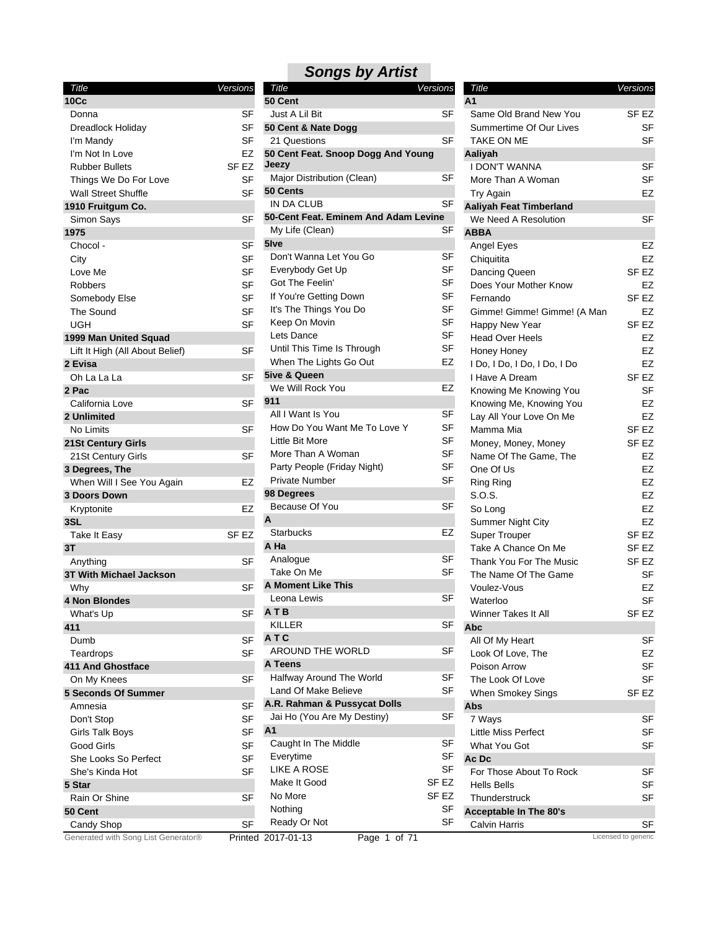| <b>Title</b>                        | Versions         | Title                                | Versions         | Title                          | Versions            |
|-------------------------------------|------------------|--------------------------------------|------------------|--------------------------------|---------------------|
| 10 <sub>CC</sub>                    |                  | 50 Cent                              |                  | A <sub>1</sub>                 |                     |
| Donna                               | SF               | Just A Lil Bit                       | <b>SF</b>        | Same Old Brand New You         | SF <sub>EZ</sub>    |
| Dreadlock Holiday                   | SF               | 50 Cent & Nate Dogg                  |                  | Summertime Of Our Lives        | <b>SF</b>           |
| I'm Mandy                           | <b>SF</b>        | 21 Questions                         | <b>SF</b>        | TAKE ON ME                     | <b>SF</b>           |
| I'm Not In Love                     | EZ               | 50 Cent Feat. Snoop Dogg And Young   |                  | Aaliyah                        |                     |
| <b>Rubber Bullets</b>               | SF <sub>EZ</sub> | Jeezy                                |                  | <b>I DON'T WANNA</b>           | <b>SF</b>           |
| Things We Do For Love               | SF               | Major Distribution (Clean)           | SF               | More Than A Woman              | <b>SF</b>           |
| <b>Wall Street Shuffle</b>          | <b>SF</b>        | 50 Cents                             |                  | <b>Try Again</b>               | <b>EZ</b>           |
| 1910 Fruitgum Co.                   |                  | IN DA CLUB                           | <b>SF</b>        | <b>Aaliyah Feat Timberland</b> |                     |
| Simon Says                          | <b>SF</b>        | 50-Cent Feat. Eminem And Adam Levine |                  | We Need A Resolution           | <b>SF</b>           |
| 1975                                |                  | My Life (Clean)                      | SF               | <b>ABBA</b>                    |                     |
| Chocol -                            | <b>SF</b>        | 5 <sub>lve</sub>                     |                  | Angel Eyes                     | EZ                  |
| City                                | <b>SF</b>        | Don't Wanna Let You Go               | <b>SF</b>        | Chiquitita                     | <b>EZ</b>           |
| Love Me                             | <b>SF</b>        | Everybody Get Up                     | <b>SF</b>        | Dancing Queen                  | SF <sub>EZ</sub>    |
| <b>Robbers</b>                      | <b>SF</b>        | Got The Feelin'                      | <b>SF</b>        | Does Your Mother Know          | EZ                  |
| Somebody Else                       | <b>SF</b>        | If You're Getting Down               | <b>SF</b>        | Fernando                       | SF <sub>EZ</sub>    |
| The Sound                           | <b>SF</b>        | It's The Things You Do               | SF               | Gimme! Gimme! Gimme! (A Man    | <b>EZ</b>           |
| <b>UGH</b>                          | <b>SF</b>        | Keep On Movin                        | <b>SF</b>        | Happy New Year                 | SF <sub>EZ</sub>    |
| 1999 Man United Squad               |                  | Lets Dance                           | SF               | <b>Head Over Heels</b>         | <b>EZ</b>           |
| Lift It High (All About Belief)     | <b>SF</b>        | Until This Time Is Through           | <b>SF</b>        | Honey Honey                    | <b>EZ</b>           |
| 2 Evisa                             |                  | When The Lights Go Out               | EZ               | I Do, I Do, I Do, I Do, I Do   | <b>EZ</b>           |
| Oh La La La                         | <b>SF</b>        | <b>5ive &amp; Queen</b>              |                  | I Have A Dream                 | SF <sub>EZ</sub>    |
| 2 Pac                               |                  | We Will Rock You                     | EZ               | Knowing Me Knowing You         | <b>SF</b>           |
| California Love                     | <b>SF</b>        | 911                                  |                  | Knowing Me, Knowing You        | EZ                  |
| 2 Unlimited                         |                  | All I Want Is You                    | <b>SF</b>        | Lay All Your Love On Me        | EZ                  |
| No Limits                           | <b>SF</b>        | How Do You Want Me To Love Y         | SF               | Mamma Mia                      | SF <sub>EZ</sub>    |
| 21St Century Girls                  |                  | Little Bit More                      | <b>SF</b>        | Money, Money, Money            | SF <sub>EZ</sub>    |
| 21St Century Girls                  | <b>SF</b>        | More Than A Woman                    | <b>SF</b>        | Name Of The Game, The          | EZ                  |
| 3 Degrees, The                      |                  | Party People (Friday Night)          | <b>SF</b>        | One Of Us                      | <b>EZ</b>           |
| When Will I See You Again           | <b>EZ</b>        | Private Number                       | <b>SF</b>        | <b>Ring Ring</b>               | EZ                  |
| 3 Doors Down                        |                  | 98 Degrees                           |                  | S.O.S.                         | <b>EZ</b>           |
| Kryptonite                          | EZ               | Because Of You                       | SF               | So Long                        | EZ                  |
| 3SL                                 |                  | A                                    |                  | <b>Summer Night City</b>       | EZ                  |
| Take It Easy                        | SF <sub>EZ</sub> | <b>Starbucks</b>                     | EZ               | <b>Super Trouper</b>           | SF <sub>EZ</sub>    |
| 3T                                  |                  | A Ha                                 |                  | Take A Chance On Me            | SF EZ               |
| Anything                            | <b>SF</b>        | Analogue                             | SF               | Thank You For The Music        | SF <sub>EZ</sub>    |
| 3T With Michael Jackson             |                  | Take On Me                           | <b>SF</b>        | The Name Of The Game           | <b>SF</b>           |
| Why                                 | <b>SF</b>        | <b>A Moment Like This</b>            |                  | Voulez-Vous                    | <b>EZ</b>           |
| 4 Non Blondes                       |                  | Leona Lewis                          | SF               | Waterloo                       | <b>SF</b>           |
| What's Up                           | SF               | ATB                                  |                  | Winner Takes It All            | SF EZ               |
| 411                                 |                  | KILLER                               | <b>SF</b>        | Abc                            |                     |
| Dumb                                | <b>SF</b>        | ATC                                  |                  | All Of My Heart                | <b>SF</b>           |
| Teardrops                           | <b>SF</b>        | <b>AROUND THE WORLD</b>              | SF               | Look Of Love, The              | EZ                  |
| <b>411 And Ghostface</b>            |                  | A Teens                              |                  | Poison Arrow                   | <b>SF</b>           |
| On My Knees                         | <b>SF</b>        | Halfway Around The World             | <b>SF</b>        | The Look Of Love               | <b>SF</b>           |
| <b>5 Seconds Of Summer</b>          |                  | Land Of Make Believe                 | <b>SF</b>        | When Smokey Sings              | SF EZ               |
| Amnesia                             | <b>SF</b>        | A.R. Rahman & Pussycat Dolls         |                  | Abs                            |                     |
| Don't Stop                          | <b>SF</b>        | Jai Ho (You Are My Destiny)          | SF               | 7 Ways                         | SF                  |
| <b>Girls Talk Boys</b>              | <b>SF</b>        | A <sub>1</sub>                       |                  | <b>Little Miss Perfect</b>     | SF                  |
| Good Girls                          | <b>SF</b>        | Caught In The Middle                 | SF               | What You Got                   | <b>SF</b>           |
| She Looks So Perfect                | <b>SF</b>        | Everytime                            | <b>SF</b>        | Ac Dc                          |                     |
| She's Kinda Hot                     | <b>SF</b>        | LIKE A ROSE                          | <b>SF</b>        | For Those About To Rock        | SF                  |
| 5 Star                              |                  | Make It Good                         | SF <sub>EZ</sub> | <b>Hells Bells</b>             | <b>SF</b>           |
| Rain Or Shine                       | <b>SF</b>        | No More                              | SF <sub>EZ</sub> | Thunderstruck                  | <b>SF</b>           |
| 50 Cent                             |                  | Nothing                              | <b>SF</b>        | <b>Acceptable In The 80's</b>  |                     |
| Candy Shop                          | <b>SF</b>        | Ready Or Not                         | <b>SF</b>        | Calvin Harris                  | SF                  |
| Generated with Song List Generator® |                  | Printed 2017-01-13<br>Page 1 of 71   |                  |                                | Licensed to generic |

| Title                                  | Versions |
|----------------------------------------|----------|
| 50 Cent                                |          |
| Just A Lil Bit                         | SF       |
| 50 Cent & Nate Dogg                    |          |
| 21 Questions                           | SF       |
| 50 Cent Feat. Snoop Dogg And Young     |          |
| Jeezy                                  |          |
| Major Distribution (Clean)<br>50 Cents | SF       |
| IN DA CLUB                             | SF       |
| 50-Cent Feat. Eminem And Adam Levine   |          |
| My Life (Clean)                        | SF       |
| 5Ive                                   |          |
| Don't Wanna Let You Go                 | SF       |
| Everybody Get Up                       | SF       |
| Got The Feelin'                        | SF       |
| If You're Getting Down                 | SF       |
|                                        | SF       |
| It's The Things You Do                 |          |
| Keep On Movin                          | SF       |
| Lets Dance                             | SF       |
| Until This Time Is Through             | SF       |
| When The Lights Go Out                 | EZ       |
| 5ive & Queen                           |          |
| We Will Rock You                       | EZ       |
| 911                                    |          |
| All I Want Is You                      | SF       |
| How Do You Want Me To Love Y           | SF       |
| Little Bit More                        | SF       |
| More Than A Woman                      | SF       |
| Party People (Friday Night)            | SF       |
| <b>Private Number</b>                  | SF       |
| 98 Degrees                             |          |
| Because Of You                         | SF       |
| A                                      |          |
| Starbucks                              | EZ       |
| A Ha                                   |          |
| Analogue                               | SF       |
| Take On Me                             | SF       |
| <b>A Moment Like This</b>              |          |
| Leona Lewis                            | SF       |
| <b>ATB</b>                             |          |
| KILLER                                 | SF       |
| ATC                                    |          |
| <b>AROUND THE WORLD</b>                | SF       |
| A Teens                                |          |
| Halfway Around The World               | SF       |
| Land Of Make Believe                   | SF       |
| A.R. Rahman & Pussycat Dolls           |          |
| Jai Ho (You Are My Destiny)            | SF       |
| A <sub>1</sub>                         |          |
| Caught In The Middle                   | SF       |
| Everytime                              | SF       |
| LIKE A ROSE                            | SF       |
| Make It Good                           | SF EZ    |
| No More                                | SF EZ    |
| Nothing                                | SF       |
| Ready Or Not                           | SF       |

| Title                                              | Versions               |
|----------------------------------------------------|------------------------|
| A <sub>1</sub>                                     |                        |
| Same Old Brand New You                             | SF EZ                  |
| Summertime Of Our Lives                            | SF                     |
| TAKE ON ME                                         | SF                     |
| Aaliyah                                            |                        |
| I DON'T WANNA                                      | SF                     |
| More Than A Woman                                  | SF                     |
| Try Again                                          | EZ                     |
| <b>Aaliyah Feat Timberland</b>                     |                        |
| We Need A Resolution                               | SF                     |
| <b>ABBA</b>                                        |                        |
| Angel Eyes                                         | EZ                     |
| Chiquitita                                         | EZ                     |
| Dancing Queen                                      | SF EZ                  |
| Does Your Mother Know                              | EZ                     |
| Fernando                                           | SF EZ                  |
| Gimme! Gimme! Gimme! (A Man                        | EZ                     |
| Happy New Year                                     | SF EZ                  |
| <b>Head Over Heels</b>                             | EZ                     |
| Honey Honey                                        | EZ                     |
| I Do, I Do, I Do, I Do, I Do                       | EZ                     |
| I Have A Dream                                     | SF <sub>EZ</sub><br>SF |
| Knowing Me Knowing You                             | EZ                     |
| Knowing Me, Knowing You<br>Lay All Your Love On Me | EZ                     |
| Mamma Mia                                          | SF EZ                  |
|                                                    | SF EZ                  |
| Money, Money, Money<br>Name Of The Game, The       | EZ                     |
| One Of Us                                          | EZ                     |
| Ring Ring                                          | EZ                     |
| S.O.S.                                             | EZ                     |
| So Long                                            | EZ                     |
| Summer Night City                                  | EZ                     |
| <b>Super Trouper</b>                               | SF EZ                  |
| Take A Chance On Me                                | SF <sub>EZ</sub>       |
| Thank You For The Music                            | SF <sub>EZ</sub>       |
| The Name Of The Game                               | SF                     |
| Voulez-Vous                                        | EZ                     |
| Waterloo                                           | SF                     |
| Winner Takes It All                                | SF <sub>EZ</sub>       |
| Abc                                                |                        |
| All Of My Heart                                    | SF                     |
| Look Of Love, The                                  | EZ                     |
| Poison Arrow                                       | SF                     |
| The Look Of Love                                   | SF                     |
| When Smokey Sings                                  | SF EZ                  |
| Abs                                                |                        |
| 7 Ways                                             | SF                     |
| <b>Little Miss Perfect</b>                         | SF                     |
| What You Got                                       | SF                     |
| Ac Dc                                              |                        |
| For Those About To Rock                            | SF                     |
| Hells Bells                                        | SF                     |
| Thunderstruck                                      | SF                     |
| <b>Acceptable In The 80's</b>                      |                        |
| Calvin Harris                                      | SF                     |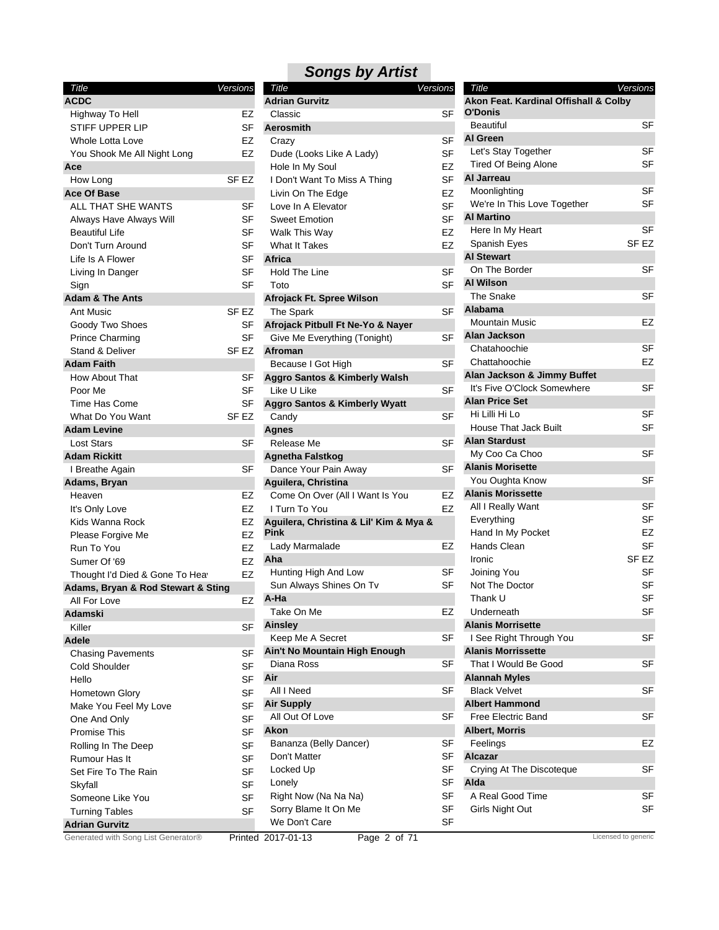| Title                               | Versions         | Title                                    | <b>Versions</b> | Title                                 | Versions            |
|-------------------------------------|------------------|------------------------------------------|-----------------|---------------------------------------|---------------------|
| <b>ACDC</b>                         |                  | <b>Adrian Gurvitz</b>                    |                 | Akon Feat. Kardinal Offishall & Colby |                     |
| Highway To Hell                     | EZ               | Classic                                  | <b>SF</b>       | O'Donis                               |                     |
| <b>STIFF UPPER LIP</b>              | <b>SF</b>        | Aerosmith                                |                 | <b>Beautiful</b>                      | SF                  |
| Whole Lotta Love                    | EZ               | Crazy                                    | SF              | <b>Al Green</b>                       |                     |
| You Shook Me All Night Long         | <b>EZ</b>        | Dude (Looks Like A Lady)                 | <b>SF</b>       | Let's Stay Together                   | <b>SF</b>           |
| Ace                                 |                  | Hole In My Soul                          | <b>EZ</b>       | <b>Tired Of Being Alone</b>           | SF                  |
| How Long                            | SF <sub>EZ</sub> | I Don't Want To Miss A Thing             | <b>SF</b>       | Al Jarreau                            |                     |
| <b>Ace Of Base</b>                  |                  | Livin On The Edge                        | EZ              | Moonlighting                          | <b>SF</b>           |
| ALL THAT SHE WANTS                  | SF               | Love In A Elevator                       | <b>SF</b>       | We're In This Love Together           | <b>SF</b>           |
| Always Have Always Will             | <b>SF</b>        | <b>Sweet Emotion</b>                     | <b>SF</b>       | <b>Al Martino</b>                     |                     |
| <b>Beautiful Life</b>               | SF               | Walk This Way                            | EZ              | Here In My Heart                      | <b>SF</b>           |
| Don't Turn Around                   | <b>SF</b>        | <b>What It Takes</b>                     | EZ              | Spanish Eyes                          | SF <sub>EZ</sub>    |
| Life Is A Flower                    | <b>SF</b>        | Africa                                   |                 | <b>Al Stewart</b>                     |                     |
| Living In Danger                    | <b>SF</b>        | <b>Hold The Line</b>                     | <b>SF</b>       | On The Border                         | SF                  |
| Sign                                | <b>SF</b>        | Toto                                     | <b>SF</b>       | <b>Al Wilson</b>                      |                     |
| <b>Adam &amp; The Ants</b>          |                  | Afrojack Ft. Spree Wilson                |                 | The Snake                             | <b>SF</b>           |
| Ant Music                           | SF EZ            | The Spark                                | <b>SF</b>       | Alabama                               |                     |
| Goody Two Shoes                     | SF               | Afrojack Pitbull Ft Ne-Yo & Nayer        |                 | <b>Mountain Music</b>                 | EZ                  |
| <b>Prince Charming</b>              | <b>SF</b>        | Give Me Everything (Tonight)             | SF              | Alan Jackson                          |                     |
| Stand & Deliver                     | SF <sub>EZ</sub> |                                          |                 | Chatahoochie                          | <b>SF</b>           |
|                                     |                  | Afroman                                  | <b>SF</b>       | Chattahoochie                         | EZ                  |
| <b>Adam Faith</b>                   |                  | Because I Got High                       |                 | Alan Jackson & Jimmy Buffet           |                     |
| How About That                      | <b>SF</b>        | <b>Aggro Santos &amp; Kimberly Walsh</b> |                 | It's Five O'Clock Somewhere           | <b>SF</b>           |
| Poor Me                             | SF               | Like U Like                              | <b>SF</b>       | <b>Alan Price Set</b>                 |                     |
| Time Has Come                       | SF               | <b>Aggro Santos &amp; Kimberly Wyatt</b> |                 |                                       | <b>SF</b>           |
| What Do You Want                    | SF <sub>EZ</sub> | Candy                                    | <b>SF</b>       | Hi Lilli Hi Lo                        |                     |
| <b>Adam Levine</b>                  |                  | <b>Agnes</b>                             |                 | <b>House That Jack Built</b>          | <b>SF</b>           |
| <b>Lost Stars</b>                   | SF               | Release Me                               | <b>SF</b>       | <b>Alan Stardust</b>                  |                     |
| <b>Adam Rickitt</b>                 |                  | <b>Agnetha Falstkog</b>                  |                 | My Coo Ca Choo                        | <b>SF</b>           |
| I Breathe Again                     | <b>SF</b>        | Dance Your Pain Away                     | <b>SF</b>       | <b>Alanis Morisette</b>               |                     |
| Adams, Bryan                        |                  | Aguilera, Christina                      |                 | You Oughta Know                       | <b>SF</b>           |
| Heaven                              | EZ               | Come On Over (All I Want Is You          | EZ              | <b>Alanis Morissette</b>              |                     |
| It's Only Love                      | <b>EZ</b>        | I Turn To You                            | <b>EZ</b>       | All I Really Want                     | <b>SF</b>           |
| Kids Wanna Rock                     | EZ               | Aguilera, Christina & Lil' Kim & Mya &   |                 | Everything                            | <b>SF</b>           |
| Please Forgive Me                   | <b>EZ</b>        | <b>Pink</b>                              |                 | Hand In My Pocket                     | EZ                  |
| Run To You                          | <b>EZ</b>        | Lady Marmalade                           | EZ              | Hands Clean                           | <b>SF</b>           |
| Sumer Of '69                        | <b>EZ</b>        | Aha                                      |                 | Ironic                                | SF EZ               |
| Thought I'd Died & Gone To Heav     | EZ               | Hunting High And Low                     | SF              | Joining You                           | SF                  |
| Adams, Bryan & Rod Stewart & Sting  |                  | Sun Always Shines On Tv                  | <b>SF</b>       | Not The Doctor                        | <b>SF</b>           |
| All For Love                        | EZ               | A-Ha                                     |                 | Thank U                               | <b>SF</b>           |
| <b>Adamski</b>                      |                  | Take On Me                               | EZ              | Underneath                            | SF                  |
| Killer                              | <b>SF</b>        | Ainsley                                  |                 | <b>Alanis Morrisette</b>              |                     |
| Adele                               |                  | Keep Me A Secret                         | <b>SF</b>       | I See Right Through You               | <b>SF</b>           |
| <b>Chasing Pavements</b>            | <b>SF</b>        | Ain't No Mountain High Enough            |                 | <b>Alanis Morrissette</b>             |                     |
| Cold Shoulder                       | <b>SF</b>        | Diana Ross                               | SF              | That I Would Be Good                  | <b>SF</b>           |
| Hello                               | <b>SF</b>        | Air                                      |                 | <b>Alannah Myles</b>                  |                     |
| Hometown Glory                      | <b>SF</b>        | All I Need                               | SF              | <b>Black Velvet</b>                   | <b>SF</b>           |
| Make You Feel My Love               | <b>SF</b>        | <b>Air Supply</b>                        |                 | <b>Albert Hammond</b>                 |                     |
|                                     | <b>SF</b>        | All Out Of Love                          | SF              | <b>Free Electric Band</b>             | SF                  |
| One And Only                        | <b>SF</b>        | Akon                                     |                 | <b>Albert, Morris</b>                 |                     |
| Promise This                        |                  | Bananza (Belly Dancer)                   | SF              | Feelings                              | EZ                  |
| Rolling In The Deep                 | <b>SF</b>        | Don't Matter                             | SF              | <b>Alcazar</b>                        |                     |
| Rumour Has It                       | <b>SF</b>        |                                          |                 |                                       |                     |
| Set Fire To The Rain                | <b>SF</b>        | Locked Up                                | SF              | Crying At The Discoteque              | SF                  |
| Skyfall                             | <b>SF</b>        | Lonely                                   | <b>SF</b>       | Alda                                  |                     |
| Someone Like You                    | <b>SF</b>        | Right Now (Na Na Na)                     | <b>SF</b>       | A Real Good Time                      | <b>SF</b>           |
| <b>Turning Tables</b>               | <b>SF</b>        | Sorry Blame It On Me                     | <b>SF</b>       | Girls Night Out                       | SF                  |
| <b>Adrian Gurvitz</b>               |                  | We Don't Care                            | <b>SF</b>       |                                       |                     |
| Generated with Song List Generator® |                  | Page 2 of 71<br>Printed 2017-01-13       |                 |                                       | Licensed to generic |

|  | <b>Songs by Artist</b> |
|--|------------------------|
|--|------------------------|

| Title                                                   | Versions |
|---------------------------------------------------------|----------|
| <b>Adrian Gurvitz</b>                                   |          |
| Classic                                                 | SF       |
| Aerosmith                                               |          |
| Crazy                                                   | SF       |
| Dude (Looks Like A Lady)                                | SF       |
| Hole In My Soul                                         | EZ       |
| I Don't Want To Miss A Thing                            | SF       |
| Livin On The Edge                                       | EZ       |
| Love In A Elevator                                      | SF       |
| <b>Sweet Emotion</b>                                    | SF       |
| Walk This Way                                           | EZ       |
| What It Takes                                           | EZ       |
| Africa                                                  |          |
| <b>Hold The Line</b>                                    | SF       |
| Toto                                                    | SF       |
| Afrojack Ft. Spree Wilson                               |          |
| The Spark                                               | SF       |
| Afrojack Pitbull Ft Ne-Yo & Nayer                       |          |
| Give Me Everything (Tonight)                            | SF       |
| <b>Afroman</b>                                          |          |
| Because I Got High                                      | SF       |
| <b>Aggro Santos &amp; Kimberly Walsh</b><br>Like U Like |          |
| <b>Aggro Santos &amp; Kimberly Wyatt</b>                | SF       |
|                                                         | SF       |
| Candy<br><b>Agnes</b>                                   |          |
| Release Me                                              | SF       |
|                                                         |          |
| <b>Agnetha Falstkog</b>                                 | SF       |
| Dance Your Pain Away<br>Aguilera, Christina             |          |
| Come On Over (All I Want Is You                         | EZ       |
| I Turn To You                                           | EZ       |
| Aguilera, Christina & Lil' Kim & Mya &                  |          |
| Pink                                                    |          |
| Lady Marmalade                                          | EZ       |
| Aha                                                     |          |
| Hunting High And Low                                    | SF       |
| Sun Always Shines On Tv                                 | SF       |
| A-Ha                                                    |          |
| Take On Me                                              | EZ       |
| Ainsley                                                 |          |
| Keep Me A Secret                                        | SF       |
| Ain't No Mountain High Enough                           |          |
| Diana Ross                                              | SF       |
| Air                                                     |          |
| All I Need                                              | SF       |
| <b>Air Supply</b>                                       |          |
| All Out Of Love                                         | SF       |
| Akon                                                    |          |
| Bananza (Belly Dancer)                                  | SF       |
| Don't Matter                                            | SF       |
| Locked Up                                               | SF       |
| Lonely                                                  | SF       |
| Right Now (Na Na Na)                                    | SF       |
| Sorry Blame It On Me                                    | SF       |
| We Don't Care                                           | SF       |

| Title                                 | Versions         |
|---------------------------------------|------------------|
| Akon Feat. Kardinal Offishall & Colby |                  |
| O'Donis                               |                  |
| Beautiful                             | SF               |
| <b>Al Green</b>                       |                  |
| Let's Stay Together                   | SF               |
| <b>Tired Of Being Alone</b>           | SF               |
| Al Jarreau                            |                  |
| Moonlighting                          | SF               |
| We're In This Love Together           | SF               |
| <b>Al Martino</b>                     |                  |
| Here In My Heart                      | SF               |
| Spanish Eyes                          | SF <sub>EZ</sub> |
| <b>Al Stewart</b>                     |                  |
| On The Border                         | SF               |
| <b>Al Wilson</b>                      |                  |
| The Snake                             | SF               |
| Alabama                               |                  |
| Mountain Music                        | EZ               |
| Alan Jackson                          |                  |
| Chatahoochie                          | SF               |
| Chattahoochie                         | EZ               |
| Alan Jackson & Jimmy Buffet           |                  |
| It's Five O'Clock Somewhere           | SF               |
| <b>Alan Price Set</b>                 |                  |
| Hi Lilli Hi Lo                        | SF               |
| House That Jack Built                 | SF               |
| <b>Alan Stardust</b>                  |                  |
| My Coo Ca Choo                        | SF               |
| <b>Alanis Morisette</b>               |                  |
| You Oughta Know                       | SF               |
| <b>Alanis Morissette</b>              |                  |
| All I Really Want                     | SF               |
| Everything                            | SF               |
| Hand In My Pocket                     | EZ               |
| Hands Clean                           | SF               |
| Ironic                                | SF EZ            |
| Joining You                           | SF               |
| Not The Doctor                        | SF               |
| Thank U                               | SF               |
| Underneath                            | SF               |
| <b>Alanis Morrisette</b>              |                  |
| I See Right Through You               | SF               |
| <b>Alanis Morrissette</b>             |                  |
| That I Would Be Good                  | SF               |
| <b>Alannah Myles</b>                  |                  |
| <b>Black Velvet</b>                   | SF               |
| <b>Albert Hammond</b>                 |                  |
| <b>Free Electric Band</b>             | SF               |
| <b>Albert, Morris</b>                 |                  |
| Feelings                              | EZ               |
| Alcazar                               |                  |
| Crying At The Discoteque              | SF               |
| Alda                                  |                  |
| A Real Good Time                      | SF               |
| Girls Night Out                       | SF               |
|                                       |                  |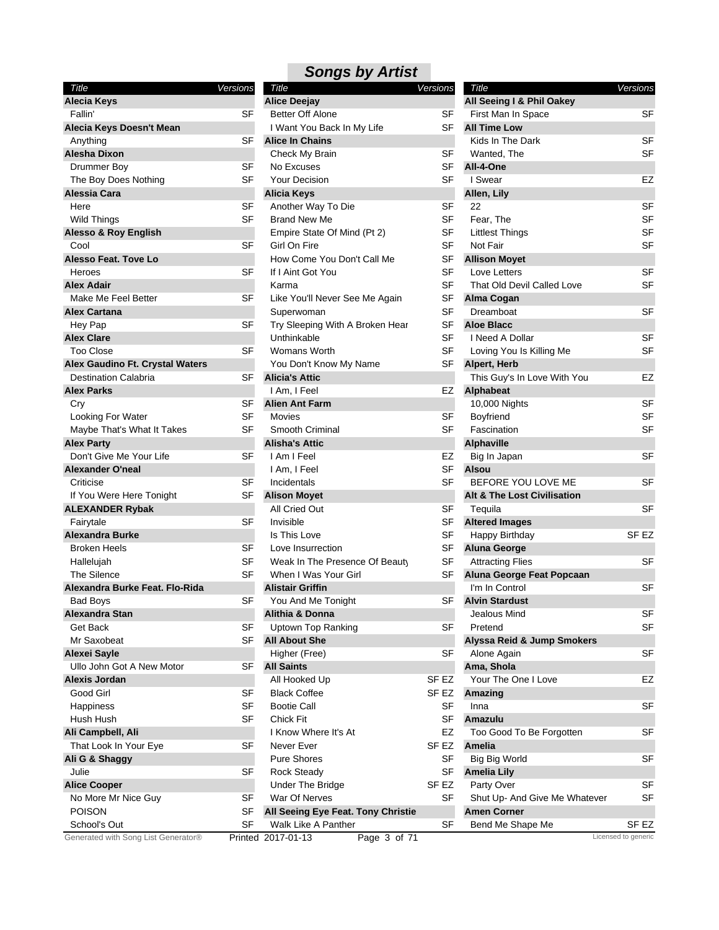| Title                                                          | Versions |
|----------------------------------------------------------------|----------|
| <b>Alecia Keys</b>                                             |          |
| Fallin'                                                        | SF       |
| Alecia Keys Doesn't Mean                                       |          |
| Anything                                                       | SF       |
| Alesha Dixon                                                   |          |
| Drummer Boy                                                    | SF       |
| The Boy Does Nothing                                           | SF       |
| Alessia Cara                                                   |          |
| Here                                                           | SF       |
| Wild Things                                                    | SF       |
| <b>Alesso &amp; Roy English</b>                                |          |
| Cool                                                           | SF       |
| Alesso Feat. Tove Lo                                           |          |
| Heroes                                                         | SF       |
| <b>Alex Adair</b>                                              |          |
| Make Me Feel Better                                            | SF       |
| <b>Alex Cartana</b>                                            |          |
| Hey Pap                                                        | SF       |
| <b>Alex Clare</b>                                              |          |
| <b>Too Close</b>                                               | SF       |
| Alex Gaudino Ft. Crystal Waters<br><b>Destination Calabria</b> |          |
| <b>Alex Parks</b>                                              | SF       |
| Cry                                                            | SF       |
| Looking For Water                                              | SF       |
| Maybe That's What It Takes                                     | SF       |
| <b>Alex Party</b>                                              |          |
| Don't Give Me Your Life                                        | SF       |
| <b>Alexander O'neal</b>                                        |          |
| Criticise                                                      | SF       |
| If You Were Here Tonight                                       | SF       |
| <b>ALEXANDER Rybak</b>                                         |          |
| Fairytale                                                      | SF       |
| Alexandra Burke                                                |          |
| <b>Broken Heels</b>                                            | SF       |
| Hallelujah                                                     | SF       |
| The Silence                                                    | SF       |
| Alexandra Burke Feat. Flo-Rida                                 |          |
| <b>Bad Boys</b>                                                | SF       |
| Alexandra Stan                                                 |          |
| Get Back                                                       | SF       |
| Mr Saxobeat                                                    | SF       |
| <b>Alexei Sayle</b>                                            |          |
| Ullo John Got A New Motor                                      | SF       |
| Alexis Jordan                                                  |          |
| Good Girl                                                      | SF       |
| Happiness                                                      | SF       |
| Hush Hush                                                      | SF       |
| Ali Campbell, Ali                                              |          |
| That Look In Your Eye                                          | SF       |
| Ali G & Shaggy                                                 |          |
| Julie                                                          | SF       |
| <b>Alice Cooper</b>                                            |          |
| No More Mr Nice Guy                                            | SF       |
| POISON<br>School's Out                                         | SF<br>SF |
|                                                                |          |

| Title                               | Versions  | Title                              | Versions         | Title                                  | Versions            |
|-------------------------------------|-----------|------------------------------------|------------------|----------------------------------------|---------------------|
| <b>Alecia Keys</b>                  |           | <b>Alice Deejay</b>                |                  | All Seeing I & Phil Oakey              |                     |
| Fallin'                             | <b>SF</b> | <b>Better Off Alone</b>            | SF               | First Man In Space                     | <b>SF</b>           |
| Alecia Keys Doesn't Mean            |           | I Want You Back In My Life         | <b>SF</b>        | <b>All Time Low</b>                    |                     |
| Anything                            | <b>SF</b> | <b>Alice In Chains</b>             |                  | Kids In The Dark                       | <b>SF</b>           |
| Alesha Dixon                        |           | Check My Brain                     | SF               | Wanted, The                            | <b>SF</b>           |
| Drummer Boy                         | <b>SF</b> | No Excuses                         | SF               | All-4-One                              |                     |
| The Boy Does Nothing                | SF        | <b>Your Decision</b>               | SF               | I Swear                                | <b>EZ</b>           |
| Alessia Cara                        |           | Alicia Keys                        |                  | Allen, Lily                            |                     |
| Here                                | <b>SF</b> | Another Way To Die                 | <b>SF</b>        | 22                                     | <b>SF</b>           |
| <b>Wild Things</b>                  | <b>SF</b> | <b>Brand New Me</b>                | <b>SF</b>        | Fear, The                              | SF                  |
| <b>Alesso &amp; Roy English</b>     |           | Empire State Of Mind (Pt 2)        | SF               | <b>Littlest Things</b>                 | <b>SF</b>           |
| Cool                                | <b>SF</b> | Girl On Fire                       | <b>SF</b>        | Not Fair                               | <b>SF</b>           |
| <b>Alesso Feat. Tove Lo</b>         |           | How Come You Don't Call Me         | <b>SF</b>        | <b>Allison Moyet</b>                   |                     |
| Heroes                              | <b>SF</b> | If I Aint Got You                  | <b>SF</b>        | Love Letters                           | <b>SF</b>           |
| <b>Alex Adair</b>                   |           | Karma                              | <b>SF</b>        | That Old Devil Called Love             | <b>SF</b>           |
| Make Me Feel Better                 | SF        | Like You'll Never See Me Again     | SF               | Alma Cogan                             |                     |
| <b>Alex Cartana</b>                 |           | Superwoman                         | <b>SF</b>        | Dreamboat                              | <b>SF</b>           |
| Hey Pap                             | SF        | Try Sleeping With A Broken Hear    | <b>SF</b>        | <b>Aloe Blacc</b>                      |                     |
|                                     |           |                                    | SF               |                                        | <b>SF</b>           |
| <b>Alex Clare</b>                   |           | Unthinkable                        |                  | I Need A Dollar                        | <b>SF</b>           |
| <b>Too Close</b>                    | SF        | Womans Worth                       | <b>SF</b>        | Loving You Is Killing Me               |                     |
| Alex Gaudino Ft. Crystal Waters     |           | You Don't Know My Name             | <b>SF</b>        | Alpert, Herb                           |                     |
| <b>Destination Calabria</b>         | SF        | <b>Alicia's Attic</b>              |                  | This Guy's In Love With You            | <b>EZ</b>           |
| <b>Alex Parks</b>                   |           | I Am, I Feel                       | EZ               | Alphabeat                              |                     |
| Cry                                 | <b>SF</b> | <b>Alien Ant Farm</b>              |                  | 10,000 Nights                          | <b>SF</b>           |
| Looking For Water                   | <b>SF</b> | Movies                             | <b>SF</b>        | Boyfriend                              | SF                  |
| Maybe That's What It Takes          | <b>SF</b> | Smooth Criminal                    | <b>SF</b>        | Fascination                            | <b>SF</b>           |
| <b>Alex Party</b>                   |           | <b>Alisha's Attic</b>              |                  | <b>Alphaville</b>                      |                     |
| Don't Give Me Your Life             | <b>SF</b> | I Am I Feel                        | EZ               | Big In Japan                           | <b>SF</b>           |
| <b>Alexander O'neal</b>             |           | I Am, I Feel                       | <b>SF</b>        | <b>Alsou</b>                           |                     |
| Criticise                           | SF        | Incidentals                        | SF               | BEFORE YOU LOVE ME                     | <b>SF</b>           |
| If You Were Here Tonight            | SF        | <b>Alison Moyet</b>                |                  | <b>Alt &amp; The Lost Civilisation</b> |                     |
| <b>ALEXANDER Rybak</b>              |           | All Cried Out                      | SF               | Tequila                                | <b>SF</b>           |
| Fairytale                           | SF        | Invisible                          | <b>SF</b>        | <b>Altered Images</b>                  |                     |
| <b>Alexandra Burke</b>              |           | Is This Love                       | <b>SF</b>        | Happy Birthday                         | SF EZ               |
| <b>Broken Heels</b>                 | SF        | Love Insurrection                  | SF               | <b>Aluna George</b>                    |                     |
| Hallelujah                          | <b>SF</b> | Weak In The Presence Of Beauty     | <b>SF</b>        | <b>Attracting Flies</b>                | <b>SF</b>           |
| The Silence                         | SF        | When I Was Your Girl               | SF               | Aluna George Feat Popcaan              |                     |
| Alexandra Burke Feat. Flo-Rida      |           | <b>Alistair Griffin</b>            |                  | I'm In Control                         | <b>SF</b>           |
| <b>Bad Boys</b>                     | SF        | You And Me Tonight                 | SF               | <b>Alvin Stardust</b>                  |                     |
| Alexandra Stan                      |           | Alithia & Donna                    |                  | Jealous Mind                           | SF                  |
| Get Back                            | SF        | Uptown Top Ranking                 | SF               | Pretend                                | <b>SF</b>           |
| Mr Saxobeat                         | <b>SF</b> | <b>All About She</b>               |                  | Alyssa Reid & Jump Smokers             |                     |
| Alexei Sayle                        |           | Higher (Free)                      | <b>SF</b>        | Alone Again                            | <b>SF</b>           |
| Ullo John Got A New Motor           | <b>SF</b> | <b>All Saints</b>                  |                  |                                        |                     |
|                                     |           |                                    |                  | Ama, Shola                             |                     |
| Alexis Jordan                       |           | All Hooked Up                      | SF EZ            | Your The One I Love                    | EZ                  |
| Good Girl                           | SF        | <b>Black Coffee</b>                | SF EZ            | Amazing                                |                     |
| Happiness                           | <b>SF</b> | <b>Bootie Call</b>                 | <b>SF</b>        | Inna                                   | SF                  |
| Hush Hush                           | <b>SF</b> | Chick Fit                          | <b>SF</b>        | Amazulu                                |                     |
| Ali Campbell, Ali                   |           | I Know Where It's At               | EZ               | Too Good To Be Forgotten               | <b>SF</b>           |
| That Look In Your Eye               | SF        | Never Ever                         | SF <sub>EZ</sub> | Amelia                                 |                     |
| Ali G & Shaggy                      |           | <b>Pure Shores</b>                 | <b>SF</b>        | <b>Big Big World</b>                   | SF                  |
| Julie                               | SF        | <b>Rock Steady</b>                 | SF               | <b>Amelia Lily</b>                     |                     |
| <b>Alice Cooper</b>                 |           | Under The Bridge                   | SF EZ            | Party Over                             | SF                  |
| No More Mr Nice Guy                 | SF        | War Of Nerves                      | SF               | Shut Up- And Give Me Whatever          | <b>SF</b>           |
| <b>POISON</b>                       | <b>SF</b> | All Seeing Eye Feat. Tony Christie |                  | <b>Amen Corner</b>                     |                     |
| School's Out                        | <b>SF</b> | Walk Like A Panther                | SF               | Bend Me Shape Me                       | SF EZ               |
| Generated with Song List Generator® |           | Printed 2017-01-13<br>Page 3 of 71 |                  |                                        | Licensed to generic |

| Title                                  |           |
|----------------------------------------|-----------|
| All Seeing I & Phil Oakey              | Versions  |
| First Man In Space                     | SF        |
| <b>All Time Low</b>                    |           |
| Kids In The Dark                       | SF        |
| Wanted, The                            | SF        |
| All-4-One                              |           |
| I Swear                                | EZ        |
| Allen, Lily                            |           |
| 22                                     | SF        |
| Fear, The                              | SF        |
| <b>Littlest Things</b>                 | SF        |
| Not Fair                               | SF        |
| <b>Allison Moyet</b>                   |           |
| Love Letters                           | SF        |
| That Old Devil Called Love             | SF        |
| Alma Cogan                             |           |
| Dreamboat                              | SF        |
| <b>Aloe Blacc</b>                      |           |
| I Need A Dollar                        |           |
|                                        | SF        |
| Loving You Is Killing Me               | SF        |
| Alpert, Herb                           |           |
| This Guy's In Love With You            | EZ        |
| <b>Alphabeat</b>                       |           |
| 10,000 Nights                          | SF        |
| Boyfriend                              | SF        |
| Fascination                            | <b>SF</b> |
| <b>Alphaville</b>                      |           |
| Big In Japan                           | SF        |
| Alsou                                  |           |
| BEFORE YOU LOVE ME                     | SF        |
| <b>Alt &amp; The Lost Civilisation</b> |           |
| Tequila                                | SF        |
| <b>Altered Images</b>                  |           |
| Happy Birthday                         | SF EZ     |
| <b>Aluna George</b>                    |           |
| <b>Attracting Flies</b>                | SF        |
| Aluna George Feat Popcaan              |           |
| I'm In Control                         | SF        |
| <b>Alvin Stardust</b>                  |           |
| Jealous Mind                           | SF        |
| Pretend                                | SF        |
| Alyssa Reid & Jump Smokers             |           |
| Alone Again                            | SF        |
| Ama, Shola                             |           |
| Your The One I Love                    | EZ        |
| Amazing                                |           |
| Inna                                   | SF        |
| Amazulu                                |           |
| Too Good To Be Forgotten               | SF        |
| <b>Amelia</b>                          |           |
| <b>Big Big World</b>                   | SF        |
| <b>Amelia Lily</b>                     |           |
| Party Over                             | SF        |
| Shut Up- And Give Me Whatever          | SF        |
| <b>Amen Corner</b>                     |           |
| Bend Me Shape Me                       | SF EZ     |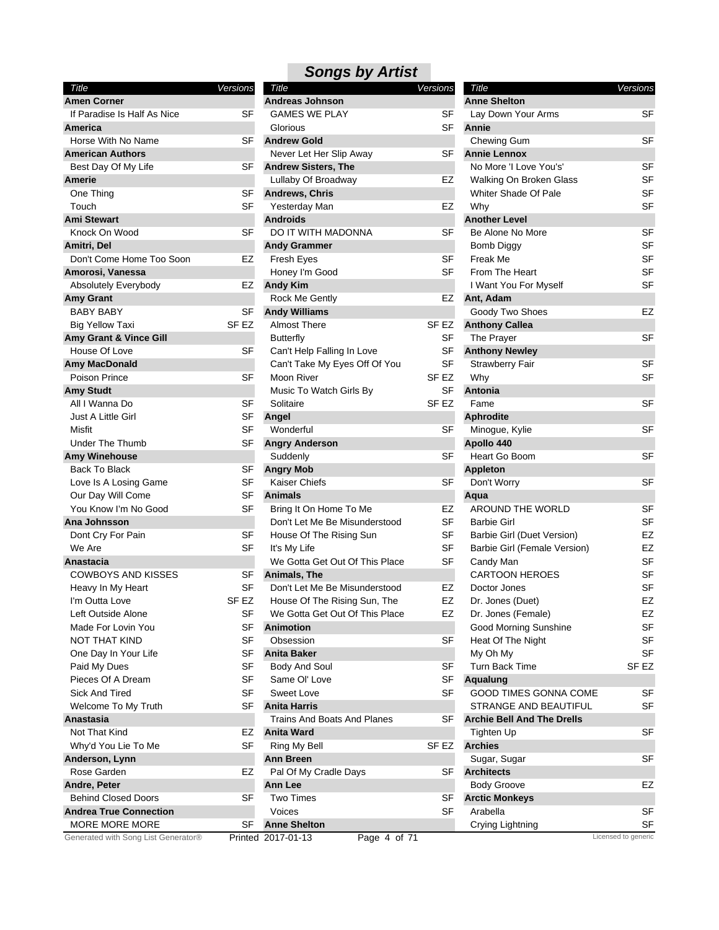| Title                               | Versions             |   |
|-------------------------------------|----------------------|---|
| <b>Amen Corner</b>                  |                      | A |
| If Paradise Is Half As Nice         | SF                   |   |
| America                             |                      |   |
| Horse With No Name                  | SF                   | A |
| <b>American Authors</b>             |                      |   |
| Best Day Of My Life                 | SF                   | Α |
| Amerie                              |                      |   |
| One Thing                           | SF                   | A |
| Touch                               | SF                   |   |
| <b>Ami Stewart</b>                  |                      | A |
| Knock On Wood                       | SF                   |   |
| Amitri. Del                         |                      | A |
| Don't Come Home Too Soon            | EZ                   |   |
| Amorosi, Vanessa                    |                      |   |
| Absolutely Everybody                | EZ                   | A |
| <b>Amy Grant</b>                    |                      |   |
| <b>BABY BABY</b>                    | SF                   | A |
| <b>Big Yellow Taxi</b>              | SF <sub>EZ</sub>     |   |
| Amy Grant & Vince Gill              |                      |   |
| House Of Love                       | SF                   |   |
| <b>Amy MacDonald</b>                |                      |   |
| Poison Prince                       | SF                   |   |
| <b>Amy Studt</b>                    |                      |   |
| All I Wanna Do                      | SF                   |   |
| Just A Little Girl                  | SF                   | A |
| Misfit                              | SF                   |   |
| Under The Thumb                     | SF                   | A |
| <b>Amy Winehouse</b>                |                      |   |
| <b>Back To Black</b>                | SF                   | A |
| Love Is A Losing Game               | SF                   |   |
| Our Day Will Come                   | SF                   | A |
| You Know I'm No Good                | SF                   |   |
| Ana Johnsson                        |                      |   |
| Dont Cry For Pain                   | SF                   |   |
| We Are                              | SF                   |   |
| Anastacia                           |                      |   |
| COWBOYS AND KISSES                  | SF                   | Α |
| Heavy In My Heart                   | SF                   |   |
| I'm Outta Love                      | SF <sub>EZ</sub>     |   |
| Left Outside Alone                  | SF                   |   |
| Made For Lovin You                  | SF                   | A |
| NOT THAT KIND                       | SF                   |   |
| One Day In Your Life                | SF                   | Α |
| Paid My Dues                        | SF                   |   |
| Pieces Of A Dream                   | SF                   |   |
| Sick And Tired                      | SF                   |   |
| Welcome To My Truth                 | SF                   | A |
| Anastasia                           |                      |   |
| Not That Kind                       | EZ                   | Α |
| Why'd You Lie To Me                 | SF                   |   |
| Anderson, Lynn                      |                      | A |
| Rose Garden                         | EZ                   |   |
| Andre, Peter                        |                      | A |
| <b>Behind Closed Doors</b>          | SF                   |   |
| <b>Andrea True Connection</b>       |                      |   |
| <b>MORE MORE MORE</b>               | SF                   | A |
| Generated with Song List Generator® | Printed <sub>2</sub> |   |

| Title                               | <b>Versions</b>  | Title                              | <b>Versions</b> | Title                             | Versions            |
|-------------------------------------|------------------|------------------------------------|-----------------|-----------------------------------|---------------------|
| <b>Amen Corner</b>                  |                  | <b>Andreas Johnson</b>             |                 | <b>Anne Shelton</b>               |                     |
| If Paradise Is Half As Nice         | <b>SF</b>        | <b>GAMES WE PLAY</b>               | SF              | Lay Down Your Arms                | <b>SF</b>           |
| America                             |                  | Glorious                           | <b>SF</b>       | Annie                             |                     |
| Horse With No Name                  | SF               | <b>Andrew Gold</b>                 |                 | Chewing Gum                       | SF                  |
| <b>American Authors</b>             |                  | Never Let Her Slip Away            | SF              | <b>Annie Lennox</b>               |                     |
| Best Day Of My Life                 | <b>SF</b>        | <b>Andrew Sisters, The</b>         |                 | No More 'I Love You's'            | SF                  |
| Amerie                              |                  | Lullaby Of Broadway                | EZ              | Walking On Broken Glass           | SF                  |
| One Thing                           | <b>SF</b>        | <b>Andrews, Chris</b>              |                 | Whiter Shade Of Pale              | SF                  |
| Touch                               | SF               | Yesterday Man                      | EZ              | Why                               | SF                  |
| Ami Stewart                         |                  | <b>Androids</b>                    |                 | <b>Another Level</b>              |                     |
| Knock On Wood                       | SF               | DO IT WITH MADONNA                 | SF              | Be Alone No More                  | <b>SF</b>           |
| Amitri, Del                         |                  | <b>Andy Grammer</b>                |                 | <b>Bomb Diggy</b>                 | SF                  |
| Don't Come Home Too Soon            | EZ               | Fresh Eyes                         | SF              | Freak Me                          | SF                  |
| Amorosi, Vanessa                    |                  | Honey I'm Good                     | <b>SF</b>       | From The Heart                    | SF                  |
| <b>Absolutely Everybody</b>         | EZ               | <b>Andy Kim</b>                    |                 | I Want You For Myself             | SF                  |
| <b>Amy Grant</b>                    |                  | Rock Me Gently                     | EZ              | Ant, Adam                         |                     |
| <b>BABY BABY</b>                    | <b>SF</b>        | <b>Andy Williams</b>               |                 | Goody Two Shoes                   | EZ                  |
|                                     | SF <sub>EZ</sub> | <b>Almost There</b>                |                 |                                   |                     |
| <b>Big Yellow Taxi</b>              |                  |                                    | SF EZ           | <b>Anthony Callea</b>             |                     |
| Amy Grant & Vince Gill              |                  | <b>Butterfly</b>                   | SF              | The Prayer                        | SF                  |
| House Of Love                       | SF               | Can't Help Falling In Love         | SF              | <b>Anthony Newley</b>             |                     |
| Amy MacDonald                       |                  | Can't Take My Eyes Off Of You      | <b>SF</b>       | <b>Strawberry Fair</b>            | SF                  |
| Poison Prince                       | <b>SF</b>        | Moon River                         | SF EZ           | Why                               | SF                  |
| <b>Amy Studt</b>                    |                  | Music To Watch Girls By            | SF              | Antonia                           |                     |
| All I Wanna Do                      | <b>SF</b>        | Solitaire                          | SF EZ           | Fame                              | <b>SF</b>           |
| <b>Just A Little Girl</b>           | SF               | Angel                              |                 | <b>Aphrodite</b>                  |                     |
| Misfit                              | SF               | Wonderful                          | SF              | Minogue, Kylie                    | <b>SF</b>           |
| Under The Thumb                     | SF               | <b>Angry Anderson</b>              |                 | Apollo 440                        |                     |
| Amy Winehouse                       |                  | Suddenly                           | <b>SF</b>       | Heart Go Boom                     | SF                  |
| <b>Back To Black</b>                | SF               | <b>Angry Mob</b>                   |                 | <b>Appleton</b>                   |                     |
| Love Is A Losing Game               | SF               | <b>Kaiser Chiefs</b>               | SF              | Don't Worry                       | SF                  |
| Our Day Will Come                   | SF               | <b>Animals</b>                     |                 | Aqua                              |                     |
| You Know I'm No Good                | <b>SF</b>        | Bring It On Home To Me             | EZ              | AROUND THE WORLD                  | <b>SF</b>           |
| Ana Johnsson                        |                  | Don't Let Me Be Misunderstood      | <b>SF</b>       | <b>Barbie Girl</b>                | SF                  |
| Dont Cry For Pain                   | SF               | House Of The Rising Sun            | <b>SF</b>       | Barbie Girl (Duet Version)        | EZ                  |
| We Are                              | <b>SF</b>        | It's My Life                       | <b>SF</b>       | Barbie Girl (Female Version)      | EZ                  |
| Anastacia                           |                  | We Gotta Get Out Of This Place     | <b>SF</b>       | Candy Man                         | SF                  |
| <b>COWBOYS AND KISSES</b>           | SF               | Animals, The                       |                 | <b>CARTOON HEROES</b>             | SF                  |
| Heavy In My Heart                   | SF               | Don't Let Me Be Misunderstood      | EZ              | Doctor Jones                      | SF                  |
| I'm Outta Love                      | SF EZ            | House Of The Rising Sun, The       | EZ              | Dr. Jones (Duet)                  | EZ                  |
| Left Outside Alone                  | <b>SF</b>        | We Gotta Get Out Of This Place     | EZ              | Dr. Jones (Female)                | EZ                  |
| Made For Lovin You                  | SF               | Animotion                          |                 | Good Morning Sunshine             | SF                  |
| NOT THAT KIND                       | <b>SF</b>        | Obsession                          | SF              | Heat Of The Night                 | SF                  |
| One Day In Your Life                | SF               | <b>Anita Baker</b>                 |                 | My Oh My                          | SF                  |
| Paid My Dues                        | <b>SF</b>        | <b>Body And Soul</b>               | <b>SF</b>       | <b>Turn Back Time</b>             | SF <sub>EZ</sub>    |
| Pieces Of A Dream                   | SF               | Same Ol' Love                      | SF              | Aqualung                          |                     |
|                                     |                  |                                    |                 |                                   |                     |
| Sick And Tired                      | SF               | <b>Sweet Love</b>                  | SF              | <b>GOOD TIMES GONNA COME</b>      | SF                  |
| Welcome To My Truth                 | SF               | <b>Anita Harris</b>                |                 | STRANGE AND BEAUTIFUL             | SF                  |
| Anastasia                           |                  | <b>Trains And Boats And Planes</b> | SF              | <b>Archie Bell And The Drells</b> |                     |
| Not That Kind                       | EZ               | <b>Anita Ward</b>                  |                 | Tighten Up                        | SF                  |
| Why'd You Lie To Me                 | <b>SF</b>        | Ring My Bell                       | SF EZ           | <b>Archies</b>                    |                     |
| Anderson, Lynn                      |                  | <b>Ann Breen</b>                   |                 | Sugar, Sugar                      | SF                  |
| Rose Garden                         | EZ               | Pal Of My Cradle Days              | SF              | <b>Architects</b>                 |                     |
| Andre, Peter                        |                  | Ann Lee                            |                 | <b>Body Groove</b>                | EZ                  |
| <b>Behind Closed Doors</b>          | SF               | <b>Two Times</b>                   | SF              | <b>Arctic Monkeys</b>             |                     |
| <b>Andrea True Connection</b>       |                  | Voices                             | <b>SF</b>       | Arabella                          | SF                  |
| MORE MORE MORE                      | SF               | <b>Anne Shelton</b>                |                 | Crying Lightning                  | SF                  |
| Generated with Song List Generator® |                  | Page 4 of 71<br>Printed 2017-01-13 |                 |                                   | Licensed to generic |

| Title                             | <b>Versions</b> |
|-----------------------------------|-----------------|
| <b>Anne Shelton</b>               |                 |
| Lay Down Your Arms                | SF              |
| Annie                             |                 |
| Chewing Gum                       | SF              |
| <b>Annie Lennox</b>               |                 |
| No More 'I Love You's'            | SF              |
| Walking On Broken Glass           | SF              |
| Whiter Shade Of Pale              | SF              |
| Why                               | SF              |
| <b>Another Level</b>              |                 |
| Be Alone No More                  | SF              |
| Bomb Diggy                        | SF              |
| Freak Me                          | SF              |
| From The Heart                    | SF              |
| I Want You For Myself             | SF              |
| Ant, Adam                         |                 |
| Goody Two Shoes                   | EZ              |
| <b>Anthony Callea</b>             |                 |
| The Prayer                        | SF              |
| <b>Anthony Newley</b>             |                 |
| <b>Strawberry Fair</b>            | SF              |
| Why                               | SF              |
| <b>Antonia</b>                    |                 |
| Fame                              | SF              |
| <b>Aphrodite</b>                  |                 |
| Minogue, Kylie                    | SF              |
| Apollo 440                        |                 |
| Heart Go Boom                     | SF              |
| <b>Appleton</b>                   |                 |
| Don't Worry                       | SF              |
| Aqua                              |                 |
| AROUND THE WORLD                  | SF              |
| <b>Barbie Girl</b>                | SF              |
| Barbie Girl (Duet Version)        | EZ              |
| Barbie Girl (Female Version)      | EZ              |
| Candy Man                         | <b>SF</b>       |
| <b>CARTOON HEROES</b>             | SF              |
| Doctor Jones                      | SF              |
| Dr. Jones (Duet)                  | EZ              |
| Dr. Jones (Female)                | EZ              |
| Good Morning Sunshine             | SF              |
| Heat Of The Night                 | SF              |
| My Oh My                          | SF              |
| <b>Turn Back Time</b>             | SF EZ           |
| Aqualung                          |                 |
| <b>GOOD TIMES GONNA COME</b>      | SF              |
| STRANGE AND BEAUTIFUL             | SF              |
| <b>Archie Bell And The Drells</b> |                 |
| Tighten Up                        | SF              |
| <b>Archies</b>                    |                 |
| Sugar, Sugar                      | SF              |
| <b>Architects</b>                 |                 |
| Body Groove                       | EZ              |
| <b>Arctic Monkeys</b>             |                 |
| Arabella                          | SF              |
|                                   | SF              |
| Crying Lightning                  |                 |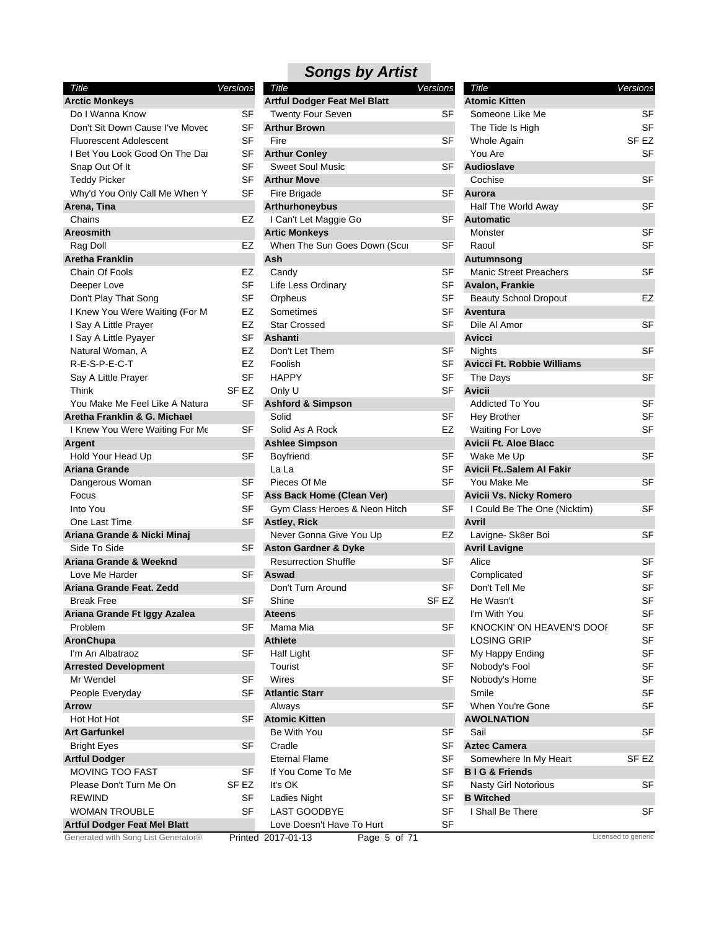| Title                               | Versions  |
|-------------------------------------|-----------|
| <b>Arctic Monkeys</b>               |           |
| Do I Wanna Know                     | SF        |
| Don't Sit Down Cause I've Movec     | SF        |
| Fluorescent Adolescent              | SF        |
| I Bet You Look Good On The Dar      | SF        |
| Snap Out Of It                      | SF        |
| <b>Teddy Picker</b>                 | SF        |
| Why'd You Only Call Me When Y       | <b>SF</b> |
| Arena, Tina                         |           |
| Chains                              | EZ        |
| <b>Areosmith</b>                    |           |
| Rag Doll                            | EZ        |
| Aretha Franklin                     |           |
| Chain Of Fools                      | EZ        |
| Deeper Love                         | SF        |
| Don't Play That Song                | SF        |
| I Knew You Were Waiting (For M      | EZ        |
| I Say A Little Prayer               | EZ        |
| I Say A Little Pyayer               | SF        |
| Natural Woman, A                    | EZ        |
| R-E-S-P-E-C-T                       | EZ        |
| Say A Little Prayer                 | <b>SF</b> |
| Think                               | SF EZ     |
| You Make Me Feel Like A Natura      | SF        |
| Aretha Franklin & G. Michael        |           |
| I Knew You Were Waiting For Me      | SF        |
| Argent                              |           |
| Hold Your Head Up                   | SF        |
| <b>Ariana Grande</b>                |           |
|                                     | SF        |
| Dangerous Woman                     | SF        |
| Focus<br>Into You                   |           |
| One Last Time                       | SF        |
|                                     | SF        |
| Ariana Grande & Nicki Minaj         |           |
| Side To Side                        | SF        |
| Ariana Grande & Weeknd              |           |
| Love Me Harder                      | SF        |
| Ariana Grande Feat. Zedd            |           |
| <b>Break Free</b>                   | SF        |
| Ariana Grande Ft Iggy Azalea        |           |
| Problem                             | SF        |
| AronChupa                           |           |
| I'm An Albatraoz                    | SF        |
| <b>Arrested Development</b>         |           |
| Mr Wendel                           | SF        |
| People Everyday                     | SF        |
| Arrow                               |           |
| Hot Hot Hot                         | SF        |
| <b>Art Garfunkel</b>                |           |
| <b>Bright Eyes</b>                  | SF        |
| <b>Artful Dodger</b>                |           |
| <b>MOVING TOO FAST</b>              | SF        |
| Please Don't Turn Me On             | SF EZ     |
| <b>REWIND</b>                       | SF        |
| <b>WOMAN TROUBLE</b>                | SF        |
| <b>Artful Dodger Feat Mel Blatt</b> |           |
| erated with Song List Generator®    |           |

| Title                               | <b>Versions</b> | Title                               | <b>Versions</b>  | Title                             | Versions                   |
|-------------------------------------|-----------------|-------------------------------------|------------------|-----------------------------------|----------------------------|
| <b>Arctic Monkeys</b>               |                 | <b>Artful Dodger Feat Mel Blatt</b> |                  | <b>Atomic Kitten</b>              |                            |
| Do I Wanna Know                     | SF              | <b>Twenty Four Seven</b>            | <b>SF</b>        | Someone Like Me                   | <b>SF</b>                  |
| Don't Sit Down Cause I've Movec     | SF              | <b>Arthur Brown</b>                 |                  | The Tide Is High                  | <b>SF</b>                  |
| <b>Fluorescent Adolescent</b>       | <b>SF</b>       | Fire                                | SF               | Whole Again                       | SF <sub>EZ</sub>           |
| I Bet You Look Good On The Dar      | SF              | <b>Arthur Conley</b>                |                  | You Are                           | <b>SF</b>                  |
| Snap Out Of It                      | SF              | <b>Sweet Soul Music</b>             | <b>SF</b>        | Audioslave                        |                            |
| Teddy Picker                        | SF              | <b>Arthur Move</b>                  |                  | Cochise                           | <b>SF</b>                  |
| Why'd You Only Call Me When Y       | SF              | Fire Brigade                        | SF               | Aurora                            |                            |
| Arena, Tina                         |                 | <b>Arthurhoneybus</b>               |                  | Half The World Away               | <b>SF</b>                  |
| Chains                              | EZ              | I Can't Let Maggie Go               | SF               | <b>Automatic</b>                  |                            |
| Areosmith                           |                 | <b>Artic Monkeys</b>                |                  | Monster                           | <b>SF</b>                  |
| Rag Doll                            | EZ              | When The Sun Goes Down (Scur        | SF               | Raoul                             | <b>SF</b>                  |
| Aretha Franklin                     |                 | Ash                                 |                  | Autumnsong                        |                            |
| Chain Of Fools                      | EZ              | Candy                               | <b>SF</b>        | <b>Manic Street Preachers</b>     | <b>SF</b>                  |
| Deeper Love                         | SF              | Life Less Ordinary                  | <b>SF</b>        | Avalon, Frankie                   |                            |
| Don't Play That Song                | SF              | Orpheus                             | SF               | <b>Beauty School Dropout</b>      | EZ                         |
|                                     | EZ              | Sometimes                           | <b>SF</b>        | Aventura                          |                            |
| I Knew You Were Waiting (For M      |                 |                                     |                  |                                   | <b>SF</b>                  |
| I Say A Little Prayer               | EZ              | <b>Star Crossed</b>                 | <b>SF</b>        | Dile Al Amor                      |                            |
| I Say A Little Pyayer               | SF              | Ashanti                             |                  | <b>Avicci</b>                     |                            |
| Natural Woman, A                    | EZ              | Don't Let Them                      | SF               | <b>Nights</b>                     | <b>SF</b>                  |
| R-E-S-P-E-C-T                       | EZ              | Foolish                             | <b>SF</b>        | <b>Avicci Ft. Robbie Williams</b> |                            |
| Say A Little Prayer                 | <b>SF</b>       | <b>HAPPY</b>                        | SF               | The Days                          | <b>SF</b>                  |
| Think                               | SF EZ           | Only U                              | <b>SF</b>        | <b>Avicii</b>                     |                            |
| You Make Me Feel Like A Natura      | SF              | <b>Ashford &amp; Simpson</b>        |                  | <b>Addicted To You</b>            | <b>SF</b>                  |
| Aretha Franklin & G. Michael        |                 | Solid                               | <b>SF</b>        | Hey Brother                       | <b>SF</b>                  |
| I Knew You Were Waiting For Me      | SF              | Solid As A Rock                     | EZ               | <b>Waiting For Love</b>           | <b>SF</b>                  |
| <b>Argent</b>                       |                 | <b>Ashlee Simpson</b>               |                  | <b>Avicii Ft. Aloe Blacc</b>      |                            |
| Hold Your Head Up                   | <b>SF</b>       | <b>Boyfriend</b>                    | <b>SF</b>        | Wake Me Up                        | <b>SF</b>                  |
| <b>Ariana Grande</b>                |                 | La La                               | <b>SF</b>        | Avicii FtSalem Al Fakir           |                            |
| Dangerous Woman                     | SF              | Pieces Of Me                        | <b>SF</b>        | You Make Me                       | <b>SF</b>                  |
| Focus                               | SF              | Ass Back Home (Clean Ver)           |                  | <b>Avicii Vs. Nicky Romero</b>    |                            |
| Into You                            | <b>SF</b>       | Gym Class Heroes & Neon Hitch       | SF               | I Could Be The One (Nicktim)      | <b>SF</b>                  |
| One Last Time                       | SF              | <b>Astley, Rick</b>                 |                  | Avril                             |                            |
| Ariana Grande & Nicki Minaj         |                 | Never Gonna Give You Up             | EZ               | Lavigne- Sk8er Boi                | <b>SF</b>                  |
| Side To Side                        | SF              | <b>Aston Gardner &amp; Dyke</b>     |                  | <b>Avril Lavigne</b>              |                            |
| Ariana Grande & Weeknd              |                 | <b>Resurrection Shuffle</b>         | <b>SF</b>        | Alice                             | <b>SF</b>                  |
| Love Me Harder                      | SF              | Aswad                               |                  | Complicated                       | <b>SF</b>                  |
| Ariana Grande Feat. Zedd            |                 | Don't Turn Around                   | <b>SF</b>        | Don't Tell Me                     | <b>SF</b>                  |
| <b>Break Free</b>                   | SF              | Shine                               | SF <sub>EZ</sub> | He Wasn't                         | <b>SF</b>                  |
| Ariana Grande Ft Iggy Azalea        |                 | <b>Ateens</b>                       |                  | I'm With You                      | $\ensuremath{\mathsf{SF}}$ |
| Problem                             | SF              | Mama Mia                            | SF               | KNOCKIN' ON HEAVEN'S DOOF         | <b>SF</b>                  |
| AronChupa                           |                 | <b>Athlete</b>                      |                  | <b>LOSING GRIP</b>                | <b>SF</b>                  |
| I'm An Albatraoz                    | <b>SF</b>       | <b>Half Light</b>                   | SF               | My Happy Ending                   | <b>SF</b>                  |
| <b>Arrested Development</b>         |                 | Tourist                             | <b>SF</b>        | Nobody's Fool                     | SF                         |
| Mr Wendel                           | SF              | Wires                               | <b>SF</b>        | Nobody's Home                     | <b>SF</b>                  |
| People Everyday                     | SF              | <b>Atlantic Starr</b>               |                  | Smile                             | <b>SF</b>                  |
|                                     |                 |                                     | <b>SF</b>        | When You're Gone                  | <b>SF</b>                  |
| Arrow                               |                 | Always                              |                  |                                   |                            |
| Hot Hot Hot                         | SF              | <b>Atomic Kitten</b>                |                  | <b>AWOLNATION</b>                 |                            |
| Art Garfunkel                       |                 | Be With You                         | SF               | Sail                              | <b>SF</b>                  |
| <b>Bright Eyes</b>                  | SF              | Cradle                              | <b>SF</b>        | <b>Aztec Camera</b>               |                            |
| <b>Artful Dodger</b>                |                 | <b>Eternal Flame</b>                | SF               | Somewhere In My Heart             | SF <sub>EZ</sub>           |
| MOVING TOO FAST                     | SF              | If You Come To Me                   | <b>SF</b>        | <b>BIG &amp; Friends</b>          |                            |
| Please Don't Turn Me On             | SF EZ           | It's OK                             | <b>SF</b>        | <b>Nasty Girl Notorious</b>       | <b>SF</b>                  |
| <b>REWIND</b>                       | SF              | Ladies Night                        | <b>SF</b>        | <b>B</b> Witched                  |                            |
| <b>WOMAN TROUBLE</b>                | <b>SF</b>       | LAST GOODBYE                        | <b>SF</b>        | I Shall Be There                  | <b>SF</b>                  |
| <b>Artful Dodger Feat Mel Blatt</b> |                 | Love Doesn't Have To Hurt           | <b>SF</b>        |                                   |                            |
| Generated with Song List Generator® |                 | Printed 2017-01-13<br>Page 5 of 71  |                  |                                   | Licensed to generic        |

| Title                             | Versions |           |
|-----------------------------------|----------|-----------|
| <b>Atomic Kitten</b>              |          |           |
| Someone Like Me                   |          | SF        |
| The Tide Is High                  |          | SF        |
| Whole Again                       |          | SF EZ     |
| You Are                           |          | SF        |
| <b>Audioslave</b>                 |          |           |
| Cochise                           |          | SF        |
| Aurora                            |          |           |
| Half The World Away               |          | SF        |
| <b>Automatic</b>                  |          |           |
| Monster                           |          | SF        |
| Raoul                             |          | SF        |
| Autumnsong                        |          |           |
| Manic Street Preachers            |          | SF        |
| Avalon, Frankie                   |          |           |
| Beauty School Dropout             |          | EZ        |
| Aventura                          |          |           |
| Dile Al Amor                      |          | SF        |
| Avicci                            |          |           |
| Nights                            |          | SF        |
| <b>Avicci Ft. Robbie Williams</b> |          |           |
| The Days                          |          | SF        |
| Avicii                            |          |           |
| <b>Addicted To You</b>            |          | SF        |
| Hey Brother                       |          | SF        |
| <b>Waiting For Love</b>           |          | SF        |
| <b>Avicii Ft. Aloe Blacc</b>      |          |           |
| Wake Me Up                        |          | SF        |
| Avicii FtSalem Al Fakir           |          |           |
| You Make Me                       |          | SF        |
| <b>Avicii Vs. Nicky Romero</b>    |          |           |
| I Could Be The One (Nicktim)      |          | SF        |
| Avril                             |          |           |
| Lavigne- Sk8er Boi                |          | SF        |
| <b>Avril Lavigne</b>              |          |           |
| Alice                             |          | SF        |
| Complicated                       |          | SF        |
| Don't Tell Me                     |          | SF        |
| He Wasn't                         |          | SF        |
| I'm With You                      |          | SF        |
| KNOCKIN' ON HEAVEN'S DOOF         |          | SF        |
| <b>LOSING GRIP</b>                |          | SF        |
| My Happy Ending                   |          | <b>SF</b> |
| Nobody's Fool                     |          | SF        |
| Nobody's Home                     |          | <b>SF</b> |
| Smile                             |          | SF        |
| When You're Gone                  |          | SF        |
| <b>AWOLNATION</b>                 |          |           |
| Sail                              |          | SF        |
| <b>Aztec Camera</b>               |          |           |
| Somewhere In My Heart             |          | SF EZ     |
| <b>BIG &amp; Friends</b>          |          |           |
| <b>Nasty Girl Notorious</b>       |          | SF        |
| <b>B</b> Witched                  |          |           |
| I Shall Be There                  |          | SF        |
|                                   |          |           |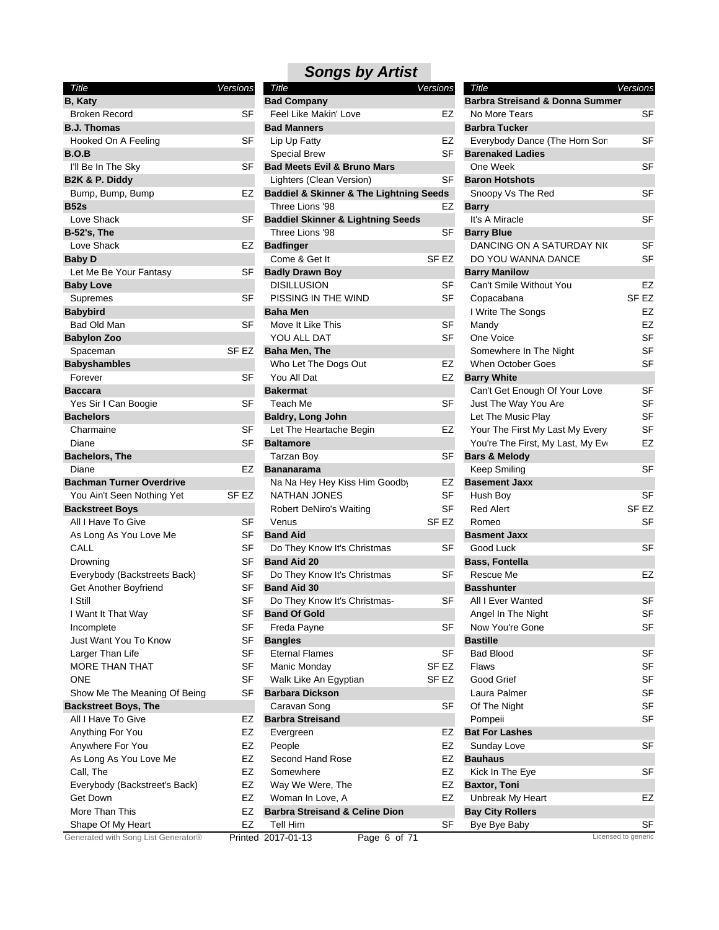| Title                               | Versions  |
|-------------------------------------|-----------|
| B, Katy                             |           |
| <b>Broken Record</b>                | SF        |
| <b>B.J. Thomas</b>                  |           |
| Hooked On A Feeling                 | SF        |
| B.O.B                               |           |
| I'll Be In The Sky                  | SF        |
| B2K & P. Diddy                      |           |
| Bump, Bump, Bump                    | EZ        |
| <b>B52s</b>                         |           |
| Love Shack                          | SF        |
| <b>B-52's, The</b>                  |           |
| Love Shack                          | EZ        |
| <b>Baby D</b>                       |           |
| Let Me Be Your Fantasy              | SF        |
| <b>Baby Love</b>                    |           |
| Supremes                            | SF        |
| <b>Babybird</b>                     |           |
| Bad Old Man                         | SF        |
| <b>Babylon Zoo</b>                  |           |
| Spaceman                            | SF EZ     |
| <b>Babyshambles</b>                 |           |
| Forever                             | SF        |
| <b>Baccara</b>                      |           |
| Yes Sir I Can Boogie                | SF        |
| <b>Bachelors</b>                    |           |
| Charmaine                           | <b>SF</b> |
| Diane                               | SF        |
| <b>Bachelors, The</b>               |           |
| Diane                               | EZ        |
| <b>Bachman Turner Overdrive</b>     |           |
| You Ain't Seen Nothing Yet          | SF EZ     |
| <b>Backstreet Boys</b>              |           |
| All I Have To Give                  | SF        |
| As Long As You Love Me              | SF        |
| CALL                                | SF        |
| Drowning                            | SF        |
| Everybody (Backstreets Back)        | SF        |
| Get Another Boyfriend               | SF        |
| I Still                             | SF        |
| I Want It That Way                  | SF        |
| Incomplete                          | <b>SF</b> |
| Just Want You To Know               | SF        |
| Larger Than Life                    | SF        |
| MORE THAN THAT                      | SF        |
| ONE                                 | SF        |
| Show Me The Meaning Of Being        | SF        |
| <b>Backstreet Boys, The</b>         |           |
| All I Have To Give                  | EZ        |
| Anything For You                    | EZ        |
| Anywhere For You                    | EZ        |
| As Long As You Love Me              | EZ        |
| Call, The                           | EZ        |
| Everybody (Backstreet's Back)       | EZ        |
| Get Down                            | EZ        |
| More Than This                      | EZ        |
| Shape Of My Heart                   | EZ        |
| Generated with Song List Generator® | Printec   |

| Title                               | <b>Versions</b> | Title                                                  | <b>Versions</b>  | Title                                      | Versions            |
|-------------------------------------|-----------------|--------------------------------------------------------|------------------|--------------------------------------------|---------------------|
| B, Katy                             |                 | <b>Bad Company</b>                                     |                  | <b>Barbra Streisand &amp; Donna Summer</b> |                     |
| <b>Broken Record</b>                | <b>SF</b>       | Feel Like Makin' Love                                  | EZ               | No More Tears                              | <b>SF</b>           |
| <b>B.J. Thomas</b>                  |                 | <b>Bad Manners</b>                                     |                  | <b>Barbra Tucker</b>                       |                     |
| Hooked On A Feeling                 | SF              | Lip Up Fatty                                           | EZ               | Everybody Dance (The Horn Son              | <b>SF</b>           |
| B.O.B                               |                 | <b>Special Brew</b>                                    | <b>SF</b>        | <b>Barenaked Ladies</b>                    |                     |
| I'll Be In The Sky                  | <b>SF</b>       | <b>Bad Meets Evil &amp; Bruno Mars</b>                 |                  | One Week                                   | <b>SF</b>           |
| B2K & P. Diddy                      |                 | Lighters (Clean Version)                               | SF               | <b>Baron Hotshots</b>                      |                     |
| Bump, Bump, Bump                    | EZ              | <b>Baddiel &amp; Skinner &amp; The Lightning Seeds</b> |                  | Snoopy Vs The Red                          | SF                  |
| <b>B52s</b>                         |                 | Three Lions '98                                        | EZ               | <b>Barry</b>                               |                     |
| Love Shack                          | SF              | <b>Baddiel Skinner &amp; Lightning Seeds</b>           |                  | It's A Miracle                             | <b>SF</b>           |
| <b>B-52's, The</b>                  |                 | Three Lions '98                                        | SF               | <b>Barry Blue</b>                          |                     |
| Love Shack                          | EZ              | <b>Badfinger</b>                                       |                  | DANCING ON A SATURDAY NIC                  | SF                  |
| Baby D                              |                 | Come & Get It                                          | SF <sub>EZ</sub> | DO YOU WANNA DANCE                         | SF                  |
| Let Me Be Your Fantasy              | SF              | <b>Badly Drawn Boy</b>                                 |                  | <b>Barry Manilow</b>                       |                     |
| <b>Baby Love</b>                    |                 | <b>DISILLUSION</b>                                     | SF               | Can't Smile Without You                    | EZ                  |
| Supremes                            | SF              | PISSING IN THE WIND                                    | SF               | Copacabana                                 | SF <sub>EZ</sub>    |
| <b>Babybird</b>                     |                 | <b>Baha Men</b>                                        |                  | I Write The Songs                          | EZ                  |
| Bad Old Man                         | SF              | Move It Like This                                      | SF               | Mandy                                      | EZ                  |
| <b>Babylon Zoo</b>                  |                 | YOU ALL DAT                                            | <b>SF</b>        | One Voice                                  | SF                  |
| Spaceman                            | SF EZ           | <b>Baha Men, The</b>                                   |                  | Somewhere In The Night                     | SF                  |
| Babyshambles                        |                 | Who Let The Dogs Out                                   | EZ               | When October Goes                          | SF                  |
| Forever                             | SF              | You All Dat                                            | EZ               | <b>Barry White</b>                         |                     |
| Baccara                             |                 | <b>Bakermat</b>                                        |                  |                                            | SF                  |
|                                     | SF              | Teach Me                                               | SF               | Can't Get Enough Of Your Love              | SF                  |
| Yes Sir I Can Boogie                |                 |                                                        |                  | Just The Way You Are<br>Let The Music Play | <b>SF</b>           |
| Bachelors                           |                 | <b>Baldry, Long John</b>                               |                  |                                            | SF                  |
| Charmaine                           | SF              | Let The Heartache Begin                                | EZ               | Your The First My Last My Every            |                     |
| Diane                               | SF              | <b>Baltamore</b>                                       |                  | You're The First, My Last, My Eve          | EZ                  |
| <b>Bachelors, The</b>               |                 | <b>Tarzan Boy</b>                                      | SF               | <b>Bars &amp; Melody</b>                   |                     |
| Diane                               | EZ              | <b>Bananarama</b>                                      |                  | Keep Smiling                               | <b>SF</b>           |
| <b>Bachman Turner Overdrive</b>     |                 | Na Na Hey Hey Kiss Him Goodby                          | EZ               | <b>Basement Jaxx</b>                       |                     |
| You Ain't Seen Nothing Yet          | SF EZ           | <b>NATHAN JONES</b>                                    | SF               | Hush Boy                                   | SF                  |
| Backstreet Boys                     |                 | <b>Robert DeNiro's Waiting</b>                         | <b>SF</b>        | <b>Red Alert</b>                           | SF <sub>EZ</sub>    |
| All I Have To Give                  | SF              | Venus                                                  | SF <sub>EZ</sub> | Romeo                                      | SF                  |
| As Long As You Love Me              | SF              | <b>Band Aid</b>                                        |                  | <b>Basment Jaxx</b>                        |                     |
| CALL                                | SF              | Do They Know It's Christmas                            | SF               | Good Luck                                  | <b>SF</b>           |
| Drowning                            | <b>SF</b>       | <b>Band Aid 20</b>                                     |                  | <b>Bass, Fontella</b>                      |                     |
| Everybody (Backstreets Back)        | SF              | Do They Know It's Christmas                            | SF               | Rescue Me                                  | EZ                  |
| Get Another Boyfriend               | SF              | <b>Band Aid 30</b>                                     |                  | <b>Basshunter</b>                          |                     |
| I Still                             | SF              | Do They Know It's Christmas-                           | SF               | All I Ever Wanted                          | <b>SF</b>           |
| I Want It That Way                  | SF              | <b>Band Of Gold</b>                                    |                  | Angel In The Night                         | <b>SF</b>           |
| Incomplete                          | SF              | Freda Payne                                            | SF               | Now You're Gone                            | SF                  |
| Just Want You To Know               | SF              | <b>Bangles</b>                                         |                  | <b>Bastille</b>                            |                     |
| Larger Than Life                    | <b>SF</b>       | <b>Eternal Flames</b>                                  | <b>SF</b>        | <b>Bad Blood</b>                           | SF                  |
| MORE THAN THAT                      | SF              | Manic Monday                                           | SF <sub>EZ</sub> | Flaws                                      | SF                  |
| <b>ONE</b>                          | <b>SF</b>       | Walk Like An Egyptian                                  | SF EZ            | Good Grief                                 | SF                  |
| Show Me The Meaning Of Being        | SF              | <b>Barbara Dickson</b>                                 |                  | Laura Palmer                               | SF                  |
| <b>Backstreet Boys, The</b>         |                 | Caravan Song                                           | <b>SF</b>        | Of The Night                               | SF                  |
| All I Have To Give                  | EZ              | <b>Barbra Streisand</b>                                |                  | Pompeii                                    | SF                  |
| Anything For You                    | EZ              | Evergreen                                              | EZ               | <b>Bat For Lashes</b>                      |                     |
| Anywhere For You                    | EZ              | People                                                 | EZ               | Sunday Love                                | <b>SF</b>           |
| As Long As You Love Me              | EZ              | Second Hand Rose                                       | EZ               | <b>Bauhaus</b>                             |                     |
| Call, The                           | EZ              | Somewhere                                              | EZ               | Kick In The Eye                            | SF                  |
| Everybody (Backstreet's Back)       | EZ              | Way We Were, The                                       | EZ               | <b>Baxtor, Toni</b>                        |                     |
| Get Down                            | EZ              | Woman In Love, A                                       | EZ               | Unbreak My Heart                           | EZ                  |
| More Than This                      | EZ              | <b>Barbra Streisand &amp; Celine Dion</b>              |                  | <b>Bay City Rollers</b>                    |                     |
| Shape Of My Heart                   | EZ              | Tell Him                                               | SF               | Bye Bye Baby                               | SF                  |
| Generated with Song List Generator® |                 | Printed 2017-01-13<br>Page 6 of 71                     |                  |                                            | Licensed to generic |
|                                     |                 |                                                        |                  |                                            |                     |

| Title                                      | <b>Versions</b>  |
|--------------------------------------------|------------------|
| <b>Barbra Streisand &amp; Donna Summer</b> |                  |
| No More Tears                              | SF               |
| <b>Barbra Tucker</b>                       |                  |
| Everybody Dance (The Horn Son              | SF               |
| <b>Barenaked Ladies</b>                    |                  |
| One Week                                   | SF               |
| <b>Baron Hotshots</b>                      |                  |
| Snoopy Vs The Red                          | SF               |
| <b>Barry</b>                               |                  |
| It's A Miracle                             | SF               |
| <b>Barry Blue</b>                          |                  |
| DANCING ON A SATURDAY NK                   | SF               |
| DO YOU WANNA DANCE                         | SF               |
| <b>Barry Manilow</b>                       |                  |
| Can't Smile Without You                    | EZ               |
| Copacabana                                 | SF <sub>EZ</sub> |
| I Write The Songs                          | EZ               |
| Mandy                                      | EZ               |
| One Voice                                  | SF               |
| Somewhere In The Night                     | SF               |
| <b>When October Goes</b>                   | SF               |
| <b>Barry White</b>                         |                  |
| Can't Get Enough Of Your Love              | SF               |
| Just The Way You Are                       | SF               |
| Let The Music Play                         | SF               |
| Your The First My Last My Every            | SF               |
| You're The First, My Last, My Eve          | EZ               |
| <b>Bars &amp; Melody</b>                   |                  |
| Keep Smiling                               | SF               |
| <b>Basement Jaxx</b>                       |                  |
| Hush Boy                                   | <b>SF</b>        |
| <b>Red Alert</b>                           | SF EZ            |
| Romeo                                      | SF               |
| <b>Basment Jaxx</b>                        |                  |
| Good Luck                                  | <b>SF</b>        |
| <b>Bass, Fontella</b>                      |                  |
| Rescue Me                                  | EZ               |
| <b>Basshunter</b>                          |                  |
| All I Ever Wanted                          | SF               |
| Angel In The Night                         | SF               |
| Now You're Gone                            | SF               |
| Bastille                                   |                  |
| <b>Bad Blood</b>                           | SF               |
| <b>Flaws</b>                               | SF               |
| Good Grief                                 | SF               |
| Laura Palmer                               | SF               |
| Of The Night                               | SF               |
| Pompeii                                    | SF               |
| <b>Bat For Lashes</b>                      |                  |
| Sunday Love                                | SF               |
| Bauhaus                                    |                  |
| Kick In The Eye                            | SF               |
| <b>Baxtor, Toni</b>                        |                  |
| Unbreak My Heart                           | EZ               |
| <b>Bay City Rollers</b>                    |                  |
| Bye Bye Baby                               | SF               |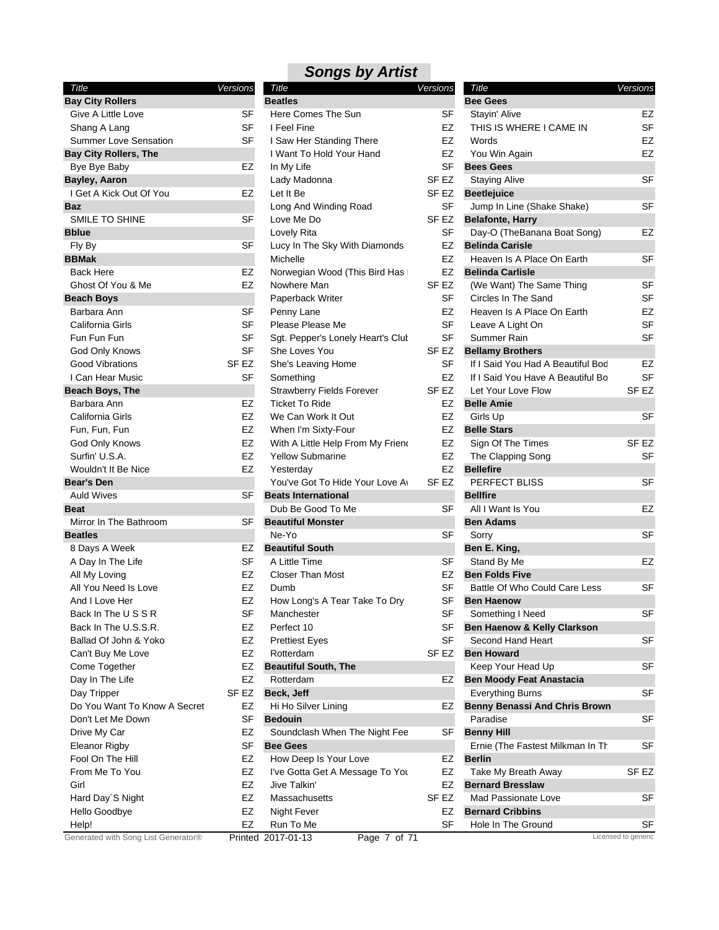| Title                        | Versions         |
|------------------------------|------------------|
| <b>Bay City Rollers</b>      |                  |
| Give A Little Love           | SF               |
| Shang A Lang                 | SF               |
| <b>Summer Love Sensation</b> | SF               |
| <b>Bay City Rollers, The</b> |                  |
| Bye Bye Baby                 | EZ               |
| Bayley, Aaron                |                  |
| I Get A Kick Out Of You      | EZ               |
| Baz                          |                  |
| SMILE TO SHINE               | SF               |
| <b>Bblue</b>                 |                  |
| Fly By                       | SF               |
| <b>BBMak</b>                 |                  |
| <b>Back Here</b>             | EZ               |
| Ghost Of You & Me            | EZ               |
| <b>Beach Boys</b>            |                  |
| Barbara Ann                  | SF               |
| California Girls             | SF               |
| Fun Fun Fun                  | SF               |
| <b>God Only Knows</b>        | SF               |
| <b>Good Vibrations</b>       | SF <sub>EZ</sub> |
| I Can Hear Music             | SF               |
| <b>Beach Boys, The</b>       |                  |
| Barbara Ann                  | EZ               |
| California Girls             | EZ               |
| Fun, Fun, Fun                | EZ               |
| <b>God Only Knows</b>        | EZ               |
| Surfin' U.S.A.               | EZ               |
| Wouldn't It Be Nice          | EZ               |
| <b>Bear's Den</b>            |                  |
| <b>Auld Wives</b>            | SF               |
| <b>Beat</b>                  |                  |
| Mirror In The Bathroom       | SF               |
| <b>Beatles</b>               |                  |
| 8 Days A Week                | EZ               |
| A Day In The Life            | SF               |
| All My Loving                | EZ               |
| All You Need Is Love         | EZ               |
| And I Love Her               | EZ               |
| Back In The USSR             | SF               |
| Back In The U.S.S.R.         | EZ               |
| Ballad Of John & Yoko        | EZ               |
| Can't Buy Me Love            | EZ               |
| Come Together                | EZ               |
| Day In The Life              | EZ               |
| Day Tripper                  | SF EZ            |
| Do You Want To Know A Secret | EZ               |
| Don't Let Me Down            |                  |
|                              | SF               |
| Drive My Car                 | EZ               |
| <b>Eleanor Rigby</b>         | SF               |
| Fool On The Hill             | EZ               |
| From Me To You               | EZ               |
| Girl                         | EZ               |
| Hard Day'S Night             | EZ               |
| Hello Goodbye                | EZ               |
| Help!                        | EZ               |

| I | Title                                    | <u>Ve</u> rsions |                        |
|---|------------------------------------------|------------------|------------------------|
|   | <b>Beatles</b>                           |                  |                        |
|   | Here Comes The Sun                       |                  | SF                     |
|   | I Feel Fine                              |                  | EZ                     |
|   | I Saw Her Standing There                 |                  | EZ                     |
|   | I Want To Hold Your Hand                 |                  | EZ                     |
|   | In My Life                               |                  | SF                     |
|   | Lady Madonna                             |                  | SF <sub>EZ</sub>       |
|   | Let It Be                                |                  | SF <sub>EZ</sub>       |
|   | Long And Winding Road                    |                  | SF                     |
|   | Love Me Do                               |                  | SF <sub>EZ</sub>       |
|   | Lovely Rita                              |                  | <b>SF</b>              |
|   | Lucy In The Sky With Diamonds            |                  | EZ                     |
|   | Michelle                                 |                  | EZ                     |
|   | Norwegian Wood (This Bird Has            |                  | EZ                     |
|   | Nowhere Man                              |                  | SF EZ                  |
|   | Paperback Writer                         |                  | SF                     |
|   | Penny Lane                               |                  | EZ                     |
|   | Please Please Me                         |                  | SF                     |
|   | Sgt. Pepper's Lonely Heart's Clut        |                  | <b>SF</b>              |
|   | She Loves You                            |                  | SF <sub>EZ</sub>       |
|   | She's Leaving Home                       |                  | SF                     |
|   | Something                                |                  | EZ                     |
|   | <b>Strawberry Fields Forever</b>         |                  | SF <sub>EZ</sub>       |
|   | <b>Ticket To Ride</b>                    |                  | EZ                     |
|   | We Can Work It Out                       |                  | EZ                     |
|   | When I'm Sixty-Four                      |                  | EZ                     |
|   | With A Little Help From My Frieno        |                  | EZ                     |
|   | <b>Yellow Submarine</b>                  |                  | EZ                     |
|   | Yesterday                                |                  | EZ                     |
|   | You've Got To Hide Your Love Ay          |                  | SF <sub>EZ</sub>       |
|   | <b>Beats International</b>               |                  |                        |
|   | Dub Be Good To Me                        |                  | SF                     |
|   | <b>Beautiful Monster</b>                 |                  |                        |
|   | Ne-Yo                                    |                  | SF                     |
|   | <b>Beautiful South</b><br>A Little Time  |                  |                        |
|   | <b>Closer Than Most</b>                  |                  | SF<br>EZ               |
|   |                                          |                  | SF                     |
|   | Dumb                                     |                  | SF                     |
|   | How Long's A Tear Take To Dry            |                  |                        |
|   | Manchester                               |                  | SF                     |
|   | Perfect 10                               |                  | SF                     |
|   | <b>Prettiest Eyes</b>                    |                  | SF<br>SF <sub>EZ</sub> |
|   | Rotterdam                                |                  |                        |
|   | <b>Beautiful South, The</b><br>Rotterdam |                  |                        |
|   | Beck, Jeff                               |                  | EZ                     |
|   | Hi Ho Silver Lining                      |                  | EZ                     |
|   | <b>Bedouin</b>                           |                  |                        |
|   | Soundclash When The Night Fee            |                  | SF                     |
|   | <b>Bee Gees</b>                          |                  |                        |
|   | How Deep Is Your Love                    |                  | EZ                     |
|   | I've Gotta Get A Message To You          |                  | EZ                     |
|   | Jive Talkin'                             |                  | EZ                     |
|   | Massachusetts                            |                  | SF EZ                  |
|   | Night Fever                              |                  | EZ                     |
|   | Run To Me                                |                  | SF                     |
|   |                                          |                  |                        |

#### THIS IS WHERE I CAME IN SF Words EZ You Win Again **EZ** Circles In The Sand SF Heaven Is A Place On Earth EZ Leave A Light On SF Summer Rain SF If I Said You Have A Beautiful Bo SF Let Your Love Flow SF EZ The Clapping Song SF *Title Versions* **Bee Gees** Stayin' Alive EZ **Bees Gees** Staying Alive SF **Beetlejuice** Jump In Line (Shake Shake) SF **Belafonte, Harry** Day-O (TheBanana Boat Song) EZ **Belinda Carisle** Heaven Is A Place On Earth SF **Belinda Carlisle** (We Want) The Same Thing SF **Bellamy Brothers** If I Said You Had A Beautiful Bod EZ **Belle Amie** Girls Up **SF Belle Stars** Sign Of The Times SF EZ **Bellefire** PERFECT BLISS SF **Bellfire** All I Want Is You EZ **Ben Adams** Sorry SF SERIES SERIES SERIES SERIES SERIES SERIES SERIES SERIES SERIES SERIES SERIES SERIES SERIES SERIES SERIES SERIES SERIES SERIES SERIES SERIES SERIES SERIES SERIES SERIES SERIES SERIES SERIES SERIES SERIES SERIES SER **Ben E. King,** Stand By Me **EZ Ben Folds Five** Battle Of Who Could Care Less SF **Ben Haenow** Something I Need SF **Ben Haenow & Kelly Clarkson** Second Hand Heart SF **Ben Howard** Keep Your Head Up SF **Ben Moody Feat Anastacia** Everything Burns SF **Benny Benassi And Chris Brown** Paradise SF **Benny Hill** Ernie (The Fastest Milkman In The SF **Berlin** Take My Breath Away SF EZ **Bernard Bresslaw** Mad Passionate Love **SF Bernard Cribbins** Hole In The Ground SF

Generated with Song List Generator® Printed 2017-01-13 Page 7 of 71 Licensed to generic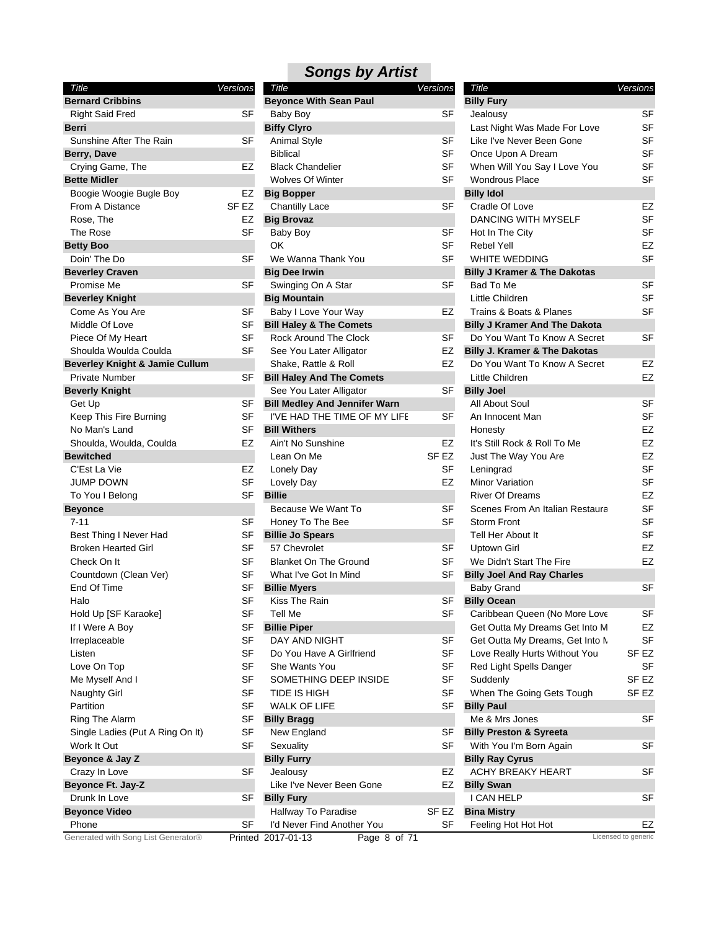| Title                                     | Versions |   |
|-------------------------------------------|----------|---|
| <b>Bernard Cribbins</b>                   |          | E |
| <b>Right Said Fred</b>                    | SF       |   |
| Berri                                     |          | E |
| Sunshine After The Rain                   | SF       |   |
| Berry, Dave                               |          |   |
| Crying Game, The                          | EZ       |   |
| <b>Bette Midler</b>                       |          |   |
| Boogie Woogie Bugle Boy                   | EZ       | E |
| From A Distance                           | SF EZ    |   |
| Rose, The                                 | EZ       | E |
| The Rose                                  | SF       |   |
| <b>Betty Boo</b>                          |          |   |
| Doin' The Do                              | SF       |   |
| <b>Beverley Craven</b>                    |          | E |
| Promise Me                                | SF       |   |
| <b>Beverley Knight</b>                    |          | E |
| Come As You Are                           | SF       |   |
| Middle Of Love                            | SF       | E |
| Piece Of My Heart                         | SF       |   |
| Shoulda Woulda Coulda                     | SF       |   |
| <b>Beverley Knight &amp; Jamie Cullum</b> |          |   |
| <b>Private Number</b>                     | SF       | E |
| <b>Beverly Knight</b>                     |          |   |
| Get Up                                    | SF       | Е |
| Keep This Fire Burning                    | SF       |   |
| No Man's Land                             | SF       | B |
| Shoulda, Woulda, Coulda                   | EZ       |   |
| <b>Bewitched</b>                          |          |   |
| C'Est La Vie                              | EZ       |   |
| <b>JUMP DOWN</b>                          | SF       |   |
| To You I Belong                           | SF       | E |
| <b>Beyonce</b>                            |          |   |
| $7 - 11$                                  | SF       |   |
| Best Thing I Never Had                    | SF       | E |
| <b>Broken Hearted Girl</b>                | SF       |   |
| Check On It                               | SF       |   |
| Countdown (Clean Ver)                     | SF       |   |
| End Of Time                               | SF       | E |
| Halo                                      | SF       |   |
| Hold Up [SF Karaoke]                      | SF       |   |
| If I Were A Boy                           | SF       | B |
| Irreplaceable                             | SF       |   |
| Listen                                    | SF       |   |
| Love On Top                               | SF       |   |
| Me Myself And I                           | SF       |   |
| Naughty Girl                              | SF       |   |
| Partition                                 | SF       |   |
| Ring The Alarm                            | SF       | E |
| Single Ladies (Put A Ring On It)          | SF       |   |
| Work It Out                               | SF       |   |
| Beyonce & Jay Z                           |          | E |
| Crazy In Love                             | SF       |   |
| Beyonce Ft. Jay-Z                         |          |   |
| Drunk In Love                             | SF       | E |
| <b>Beyonce Video</b>                      |          |   |
| Phone                                     | SF       |   |

| <b>Songs by Artist</b> |  |  |
|------------------------|--|--|
|                        |  |  |

| Title                               | <b>Versions</b> | Title                                | <b>Versions</b>  | Title                                    | Versions            |
|-------------------------------------|-----------------|--------------------------------------|------------------|------------------------------------------|---------------------|
| <b>Bernard Cribbins</b>             |                 | <b>Beyonce With Sean Paul</b>        |                  | <b>Billy Fury</b>                        |                     |
| <b>Right Said Fred</b>              | <b>SF</b>       | Baby Boy                             | <b>SF</b>        | Jealousy                                 | SF                  |
| Berri                               |                 | <b>Biffy Clyro</b>                   |                  | Last Night Was Made For Love             | SF                  |
| Sunshine After The Rain             | SF              | <b>Animal Style</b>                  | SF               | Like I've Never Been Gone                | SF                  |
| Berry, Dave                         |                 | <b>Biblical</b>                      | <b>SF</b>        | Once Upon A Dream                        | SF                  |
| Crying Game, The                    | EZ              | <b>Black Chandelier</b>              | <b>SF</b>        | When Will You Say I Love You             | SF                  |
| <b>Bette Midler</b>                 |                 | <b>Wolves Of Winter</b>              | SF               | <b>Wondrous Place</b>                    | SF                  |
| Boogie Woogie Bugle Boy             | EZ              | <b>Big Bopper</b>                    |                  | <b>Billy Idol</b>                        |                     |
| From A Distance                     | SF EZ           | <b>Chantilly Lace</b>                | SF               | Cradle Of Love                           | EZ                  |
| Rose, The                           | EZ              | <b>Big Brovaz</b>                    |                  | <b>DANCING WITH MYSELF</b>               | <b>SF</b>           |
| The Rose                            | <b>SF</b>       | Baby Boy                             | SF               | Hot In The City                          | SF                  |
| Betty Boo                           |                 | OK                                   | <b>SF</b>        | <b>Rebel Yell</b>                        | EZ                  |
| Doin' The Do                        | <b>SF</b>       | We Wanna Thank You                   | <b>SF</b>        | WHITE WEDDING                            | <b>SF</b>           |
| <b>Beverley Craven</b>              |                 | <b>Big Dee Irwin</b>                 |                  | <b>Billy J Kramer &amp; The Dakotas</b>  |                     |
| Promise Me                          | SF              | Swinging On A Star                   | <b>SF</b>        | Bad To Me                                | <b>SF</b>           |
| <b>Beverley Knight</b>              |                 | <b>Big Mountain</b>                  |                  | Little Children                          | SF                  |
| Come As You Are                     | <b>SF</b>       | Baby I Love Your Way                 | EZ               | Trains & Boats & Planes                  | <b>SF</b>           |
| Middle Of Love                      | SF              | <b>Bill Haley &amp; The Comets</b>   |                  | <b>Billy J Kramer And The Dakota</b>     |                     |
| Piece Of My Heart                   | <b>SF</b>       | <b>Rock Around The Clock</b>         | SF               | Do You Want To Know A Secret             | <b>SF</b>           |
| Shoulda Woulda Coulda               | <b>SF</b>       | See You Later Alligator              | EZ               | <b>Billy J. Kramer &amp; The Dakotas</b> |                     |
| Beverley Knight & Jamie Cullum      |                 | Shake, Rattle & Roll                 | EZ               | Do You Want To Know A Secret             | EZ                  |
| <b>Private Number</b>               | SF              | <b>Bill Haley And The Comets</b>     |                  | Little Children                          | EZ                  |
|                                     |                 |                                      | <b>SF</b>        |                                          |                     |
| <b>Beverly Knight</b>               |                 | See You Later Alligator              |                  | <b>Billy Joel</b>                        | SF                  |
| Get Up                              | SF              | <b>Bill Medley And Jennifer Warn</b> |                  | All About Soul                           | <b>SF</b>           |
| Keep This Fire Burning              | <b>SF</b>       | I'VE HAD THE TIME OF MY LIFE         | <b>SF</b>        | An Innocent Man                          |                     |
| No Man's Land                       | SF              | <b>Bill Withers</b>                  |                  | Honesty                                  | EZ                  |
| Shoulda, Woulda, Coulda             | EZ              | Ain't No Sunshine                    | EZ               | It's Still Rock & Roll To Me             | EZ                  |
| Bewitched                           |                 | Lean On Me                           | SF <sub>EZ</sub> | Just The Way You Are                     | EZ                  |
| C'Est La Vie                        | EZ              | Lonely Day                           | <b>SF</b>        | Leningrad                                | SF                  |
| <b>JUMP DOWN</b>                    | <b>SF</b>       | Lovely Day                           | EZ               | Minor Variation                          | SF                  |
| To You I Belong                     | SF              | <b>Billie</b>                        |                  | <b>River Of Dreams</b>                   | EZ                  |
| <b>Beyonce</b>                      |                 | Because We Want To                   | SF               | Scenes From An Italian Restaura          | <b>SF</b>           |
| $7 - 11$                            | SF              | Honey To The Bee                     | <b>SF</b>        | <b>Storm Front</b>                       | <b>SF</b>           |
| Best Thing I Never Had              | SF              | <b>Billie Jo Spears</b>              |                  | Tell Her About It                        | SF                  |
| <b>Broken Hearted Girl</b>          | SF              | 57 Chevrolet                         | SF               | Uptown Girl                              | EZ                  |
| Check On It                         | <b>SF</b>       | <b>Blanket On The Ground</b>         | <b>SF</b>        | We Didn't Start The Fire                 | EZ                  |
| Countdown (Clean Ver)               | SF              | What I've Got In Mind                | SF               | <b>Billy Joel And Ray Charles</b>        |                     |
| End Of Time                         | SF              | <b>Billie Myers</b>                  |                  | <b>Baby Grand</b>                        | <b>SF</b>           |
| Halo                                | <b>SF</b>       | Kiss The Rain                        | SF               | <b>Billy Ocean</b>                       |                     |
| Hold Up [SF Karaoke]                | SF              | Tell Me                              | SF               | Caribbean Queen (No More Love            | SF                  |
| If I Were A Boy                     | <b>SF</b>       | <b>Billie Piper</b>                  |                  | Get Outta My Dreams Get Into M           | EZ                  |
| Irreplaceable                       | SF              | DAY AND NIGHT                        | SF               | Get Outta My Dreams, Get Into N          | SF                  |
| Listen                              | <b>SF</b>       | Do You Have A Girlfriend             | SF               | Love Really Hurts Without You            | SF <sub>EZ</sub>    |
| Love On Top                         | <b>SF</b>       | She Wants You                        | SF               | Red Light Spells Danger                  | SF                  |
| Me Myself And I                     | <b>SF</b>       | SOMETHING DEEP INSIDE                | SF               | Suddenly                                 | SF EZ               |
| <b>Naughty Girl</b>                 | SF              | TIDE IS HIGH                         | SF               | When The Going Gets Tough                | SF <sub>EZ</sub>    |
| Partition                           | <b>SF</b>       | <b>WALK OF LIFE</b>                  | <b>SF</b>        | <b>Billy Paul</b>                        |                     |
| Ring The Alarm                      | SF              | <b>Billy Bragg</b>                   |                  | Me & Mrs Jones                           | SF                  |
| Single Ladies (Put A Ring On It)    | SF              | New England                          | SF               | <b>Billy Preston &amp; Syreeta</b>       |                     |
| Work It Out                         | <b>SF</b>       | Sexuality                            | <b>SF</b>        | With You I'm Born Again                  | SF                  |
| Beyonce & Jay Z                     |                 | <b>Billy Furry</b>                   |                  | <b>Billy Ray Cyrus</b>                   |                     |
| Crazy In Love                       | SF              | Jealousy                             | EZ               | ACHY BREAKY HEART                        | <b>SF</b>           |
| Beyonce Ft. Jay-Z                   |                 | Like I've Never Been Gone            | EZ               | <b>Billy Swan</b>                        |                     |
| Drunk In Love                       | SF              | <b>Billy Fury</b>                    |                  | I CAN HELP                               | SF                  |
| <b>Beyonce Video</b>                |                 | Halfway To Paradise                  | SF <sub>EZ</sub> | <b>Bina Mistry</b>                       |                     |
| Phone                               | SF              | I'd Never Find Another You           | SF               | Feeling Hot Hot Hot                      | EZ                  |
| Generated with Song List Generator® |                 | Printed 2017-01-13<br>Page 8 of 71   |                  |                                          | Licensed to generic |
|                                     |                 |                                      |                  |                                          |                     |

| Title                                   | Versions         |
|-----------------------------------------|------------------|
| <b>Billy Fury</b>                       |                  |
| Jealousy                                | SF               |
| Last Night Was Made For Love            | SF               |
| Like I've Never Been Gone               | SF               |
| Once Upon A Dream                       | SF               |
| When Will You Say I Love You            | <b>SF</b>        |
| <b>Wondrous Place</b>                   | SF               |
| <b>Billy Idol</b>                       |                  |
| Cradle Of Love                          | EZ               |
| <b>DANCING WITH MYSELF</b>              | SF               |
| Hot In The City                         | SF               |
| <b>Rebel Yell</b>                       | EZ               |
| <b>WHITE WEDDING</b>                    | SF               |
| <b>Billy J Kramer &amp; The Dakotas</b> |                  |
| Bad To Me                               | SF               |
| Little Children                         | SF               |
| Trains & Boats & Planes                 | SF               |
| <b>Billy J Kramer And The Dakota</b>    |                  |
| Do You Want To Know A Secret            | SF               |
| Billy J. Kramer & The Dakotas           |                  |
| Do You Want To Know A Secret            | EZ               |
| Little Children                         | EZ               |
| <b>Billy Joel</b>                       |                  |
| All About Soul                          | SF               |
| An Innocent Man                         | SF               |
| Honesty                                 | EZ               |
| It's Still Rock & Roll To Me            | EZ               |
| Just The Way You Are                    | EZ               |
| Leningrad                               | SF               |
| Minor Variation                         | SF               |
| <b>River Of Dreams</b>                  | EZ               |
| Scenes From An Italian Restaura         | SF               |
| <b>Storm Front</b>                      | SF               |
| Tell Her About It                       | SF               |
| <b>Uptown Girl</b>                      | EZ               |
| We Didn't Start The Fire                | EZ               |
| <b>Billy Joel And Ray Charles</b>       |                  |
| <b>Baby Grand</b>                       | SF               |
| <b>Billy Ocean</b>                      |                  |
| Caribbean Queen (No More Love           | SF               |
| Get Outta My Dreams Get Into M          | EZ               |
| Get Outta My Dreams, Get Into M         | SF               |
| Love Really Hurts Without You           | SF EZ            |
| Red Light Spells Danger                 | SF               |
| Suddenly                                | SF EZ            |
| When The Going Gets Tough               | SF <sub>EZ</sub> |
| <b>Billy Paul</b>                       |                  |
| Me & Mrs Jones                          | SF               |
| <b>Billy Preston &amp; Syreeta</b>      |                  |
| With You I'm Born Again                 | SF               |
| <b>Billy Ray Cyrus</b>                  |                  |
| ACHY BREAKY HEART                       | SF               |
| <b>Billy Swan</b>                       |                  |
| I CAN HELP                              | SF               |
| <b>Bina Mistry</b>                      |                  |
| Feeling Hot Hot Hot                     | EZ               |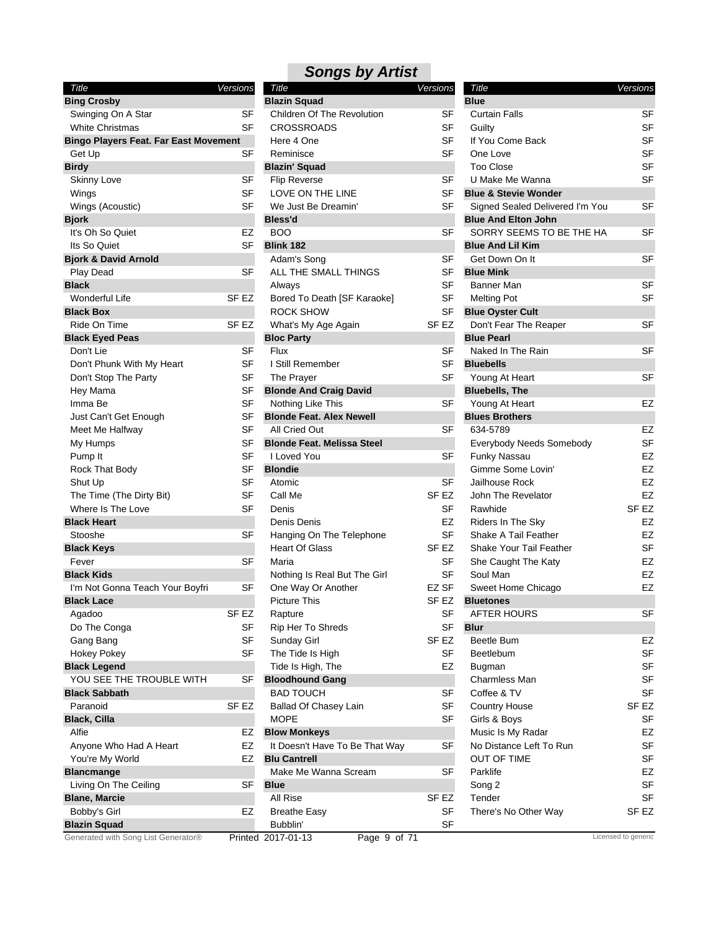| Title                                        | Versions  | Title                                  | Versions         |
|----------------------------------------------|-----------|----------------------------------------|------------------|
| <b>Bing Crosby</b>                           |           | <b>Blazin Squad</b>                    |                  |
| Swinging On A Star                           | SF        | <b>Children Of The Revolution</b>      | SF               |
| <b>White Christmas</b>                       | SF        | <b>CROSSROADS</b>                      | SF               |
| <b>Bingo Players Feat. Far East Movement</b> |           | Here 4 One                             | SF               |
| Get Up                                       | SF        | Reminisce                              | SF               |
| <b>Birdy</b>                                 |           | <b>Blazin' Squad</b>                   |                  |
| <b>Skinny Love</b>                           | SF        | <b>Flip Reverse</b>                    | SF               |
| Wings                                        | <b>SF</b> | LOVE ON THE LINE                       | SF               |
| Wings (Acoustic)                             | <b>SF</b> | We Just Be Dreamin'                    | SF               |
| <b>Bjork</b>                                 |           | Bless'd                                |                  |
| It's Oh So Quiet                             | <b>EZ</b> | <b>BOO</b>                             | SF               |
| Its So Quiet                                 | <b>SF</b> | <b>Blink 182</b>                       |                  |
| <b>Bjork &amp; David Arnold</b>              |           | Adam's Song                            | SF               |
| Play Dead                                    | <b>SF</b> | ALL THE SMALL THINGS                   | SF               |
| <b>Black</b>                                 |           | Always                                 | SF               |
| Wonderful Life                               | SF EZ     | Bored To Death [SF Karaoke]            | SF               |
| <b>Black Box</b>                             |           | <b>ROCK SHOW</b>                       | SF               |
| Ride On Time                                 | SF EZ     | What's My Age Again                    | SF EZ            |
| <b>Black Eyed Peas</b>                       |           | <b>Bloc Party</b>                      |                  |
| Don't Lie                                    | SF        | Flux                                   | SF               |
| Don't Phunk With My Heart                    | SF        | I Still Remember                       | SF               |
| Don't Stop The Party                         | <b>SF</b> | The Prayer                             | SF               |
| Hey Mama                                     | <b>SF</b> | <b>Blonde And Craig David</b>          |                  |
| Imma Be                                      | <b>SF</b> | Nothing Like This                      | SF               |
| Just Can't Get Enough                        | <b>SF</b> | <b>Blonde Feat. Alex Newell</b>        |                  |
| Meet Me Halfway                              | <b>SF</b> | All Cried Out                          | SF               |
| My Humps                                     | <b>SF</b> | <b>Blonde Feat. Melissa Steel</b>      |                  |
| Pump It                                      | <b>SF</b> | I Loved You                            | SF               |
| Rock That Body                               | <b>SF</b> | <b>Blondie</b>                         |                  |
| Shut Up                                      | <b>SF</b> | Atomic                                 | SF               |
| The Time (The Dirty Bit)                     | <b>SF</b> | Call Me                                | SF <sub>EZ</sub> |
| Where Is The Love                            | <b>SF</b> | Denis                                  | SF               |
| <b>Black Heart</b>                           |           | Denis Denis                            | EZ               |
| Stooshe                                      | SF        | Hanging On The Telephone               | SF               |
| <b>Black Keys</b>                            |           | <b>Heart Of Glass</b>                  | SF EZ            |
| Fever                                        | <b>SF</b> | Maria                                  | SF               |
| <b>Black Kids</b>                            |           | Nothing Is Real But The Girl           | SF               |
| I'm Not Gonna Teach Your Boyfri              | <b>SF</b> | One Way Or Another                     | EZ SF            |
| <b>Black Lace</b>                            |           | <b>Picture This</b>                    | SF <sub>EZ</sub> |
| Agadoo                                       | SF EZ     | Rapture                                | SF               |
| Do The Conga                                 | SF        | Rip Her To Shreds                      | SF               |
| Gang Bang                                    | <b>SF</b> | <b>Sunday Girl</b>                     | SF EZ            |
| <b>Hokey Pokey</b>                           | <b>SF</b> | The Tide Is High                       | SF               |
| <b>Black Legend</b>                          |           | Tide Is High, The                      | EZ               |
| YOU SEE THE TROUBLE WITH                     | <b>SF</b> | <b>Bloodhound Gang</b>                 |                  |
| <b>Black Sabbath</b>                         |           | <b>BAD TOUCH</b>                       | SF               |
| Paranoid                                     | SF EZ     | Ballad Of Chasey Lain                  | SF               |
| <b>Black, Cilla</b>                          |           | MOPE                                   | SF               |
| Alfie                                        | EZ        | <b>Blow Monkeys</b>                    |                  |
| Anyone Who Had A Heart                       | EZ        | It Doesn't Have To Be That Way         | SF               |
| You're My World                              | EZ        | <b>Blu Cantrell</b>                    |                  |
| <b>Blancmange</b>                            |           | Make Me Wanna Scream                   | SF               |
| Living On The Ceiling                        | <b>SF</b> | <b>Blue</b>                            |                  |
| <b>Blane, Marcie</b>                         |           | All Rise                               | SF EZ            |
| Bobby's Girl                                 | EZ        | <b>Breathe Easy</b>                    | SF               |
| <b>Blazin Squad</b>                          |           | Bubblin'                               | SF               |
| Generated with Song List Generator®          |           | Drintod 2017 01 12<br>$Dao \cap$ of 71 |                  |

| <b>Songs by Artist</b>      |                  |
|-----------------------------|------------------|
| Title                       | Versions         |
| <b>Blazin Squad</b>         |                  |
| Children Of The Revolution  | SF               |
| <b>CROSSROADS</b>           | SF               |
| Here 4 One                  | SF               |
| Reminisce                   | SF               |
| <b>Blazin' Squad</b>        |                  |
| <b>Flip Reverse</b>         | SF               |
| LOVE ON THE LINE            | SF               |
| We Just Be Dreamin'         | SF               |
| <b>Bless'd</b>              |                  |
| <b>BOO</b>                  | SF               |
| <b>Blink 182</b>            |                  |
| Adam's Song                 | SF               |
| ALL THE SMALL THINGS        | SF               |
| Always                      | SF               |
| Bored To Death [SF Karaoke] | SF               |
| ROCK SHOW                   | SF               |
| What's My Age Again         | SF <sub>EZ</sub> |
| <b>Bloc Party</b>           |                  |
| Flux                        | SF               |
| I Still Remember            | SF               |
| The Prayer                  | SF               |

| Title                             | <b>Versions</b>  | Title                                      | Versions         |
|-----------------------------------|------------------|--------------------------------------------|------------------|
| <b>Blazin Squad</b>               |                  | <b>Blue</b>                                |                  |
| <b>Children Of The Revolution</b> | SF               | <b>Curtain Falls</b>                       | SF               |
| <b>CROSSROADS</b>                 | SF               | Guilty                                     | <b>SF</b>        |
| Here 4 One                        | <b>SF</b>        | If You Come Back                           | <b>SF</b>        |
| Reminisce                         | <b>SF</b>        | One Love                                   | <b>SF</b>        |
| <b>Blazin' Squad</b>              |                  | <b>Too Close</b>                           | <b>SF</b>        |
| <b>Flip Reverse</b>               | SF               | U Make Me Wanna                            | SF               |
| LOVE ON THE LINE                  | <b>SF</b>        | <b>Blue &amp; Stevie Wonder</b>            |                  |
| We Just Be Dreamin'               | <b>SF</b>        | Signed Sealed Delivered I'm You            | SF               |
| 3less'd                           |                  | <b>Blue And Elton John</b>                 |                  |
| <b>BOO</b>                        | SF               | SORRY SEEMS TO BE THE HA                   | SF               |
| <b>Blink 182</b>                  |                  | <b>Blue And Lil Kim</b>                    |                  |
| Adam's Song                       | <b>SF</b>        | Get Down On It                             | <b>SF</b>        |
| ALL THE SMALL THINGS              | <b>SF</b>        | <b>Blue Mink</b>                           |                  |
| Always                            | SF               | Banner Man                                 | SF               |
| Bored To Death [SF Karaoke]       | SF               | <b>Melting Pot</b>                         | SF               |
| ROCK SHOW                         | <b>SF</b>        | <b>Blue Oyster Cult</b>                    |                  |
|                                   | SF <sub>EZ</sub> |                                            | <b>SF</b>        |
| What's My Age Again               |                  | Don't Fear The Reaper<br><b>Blue Pearl</b> |                  |
| <b>Bloc Party</b><br>Flux         | <b>SF</b>        | Naked In The Rain                          | <b>SF</b>        |
| I Still Remember                  | <b>SF</b>        |                                            |                  |
|                                   |                  | <b>Bluebells</b>                           |                  |
| The Prayer                        | SF               | Young At Heart                             | SF               |
| <b>Blonde And Craig David</b>     |                  | <b>Bluebells, The</b>                      |                  |
| Nothing Like This                 | SF               | Young At Heart                             | EZ               |
| 3Ionde Feat. Alex Newell          |                  | <b>Blues Brothers</b>                      |                  |
| All Cried Out                     | SF               | 634-5789                                   | EZ               |
| <b>Blonde Feat, Melissa Steel</b> |                  | Everybody Needs Somebody                   | SF               |
| I Loved You                       | <b>SF</b>        | Funky Nassau                               | EZ               |
| <b>Blondie</b>                    |                  | Gimme Some Lovin'                          | EZ               |
| Atomic                            | SF               | Jailhouse Rock                             | EZ               |
| Call Me                           | SF <sub>EZ</sub> | John The Revelator                         | <b>EZ</b>        |
| Denis                             | <b>SF</b>        | Rawhide                                    | SF <sub>EZ</sub> |
| Denis Denis                       | EZ               | Riders In The Sky                          | <b>EZ</b>        |
| Hanging On The Telephone          | SF               | Shake A Tail Feather                       | <b>EZ</b>        |
| <b>Heart Of Glass</b>             | SF EZ            | Shake Your Tail Feather                    | <b>SF</b>        |
| Maria                             | <b>SF</b>        | She Caught The Katy                        | EZ               |
| Nothing Is Real But The Girl      | SF               | Soul Man                                   | <b>EZ</b>        |
| One Way Or Another                | EZ SF            | Sweet Home Chicago                         | EZ               |
| <b>Picture This</b>               | SF <sub>EZ</sub> | <b>Bluetones</b>                           |                  |
| Rapture                           | SF               | AFTER HOURS                                | S⊦               |
| Rip Her To Shreds                 | SF               | <b>Blur</b>                                |                  |
| Sunday Girl                       | SF <sub>EZ</sub> | Beetle Bum                                 | EZ               |
| The Tide Is High                  | <b>SF</b>        | Beetlebum                                  | <b>SF</b>        |
| Tide Is High, The                 | EZ               | <b>Bugman</b>                              | SF               |
| <b>Bloodhound Gang</b>            |                  | Charmless Man                              | SF               |
| <b>BAD TOUCH</b>                  | SF               | Coffee & TV                                | SF               |
| Ballad Of Chasey Lain             | <b>SF</b>        | <b>Country House</b>                       | SF <sub>EZ</sub> |
| <b>MOPE</b>                       | <b>SF</b>        | Girls & Boys                               | <b>SF</b>        |
| <b>Blow Monkeys</b>               |                  | Music Is My Radar                          | EZ               |
| It Doesn't Have To Be That Way    | <b>SF</b>        | No Distance Left To Run                    | <b>SF</b>        |
| <b>Blu Cantrell</b>               |                  | <b>OUT OF TIME</b>                         | SF               |
| Make Me Wanna Scream              | <b>SF</b>        | Parklife                                   | EZ               |
| 3lue                              |                  | Song 2                                     | <b>SF</b>        |
| All Rise                          | SF EZ            | Tender                                     | SF               |
|                                   | <b>SF</b>        |                                            | SF <sub>EZ</sub> |
| <b>Breathe Easy</b>               |                  | There's No Other Way                       |                  |
| Bubblin'                          | SF               |                                            |                  |

### **Blazi**

Printed 2017-01-13 Page 9 of 71 Licensed to generic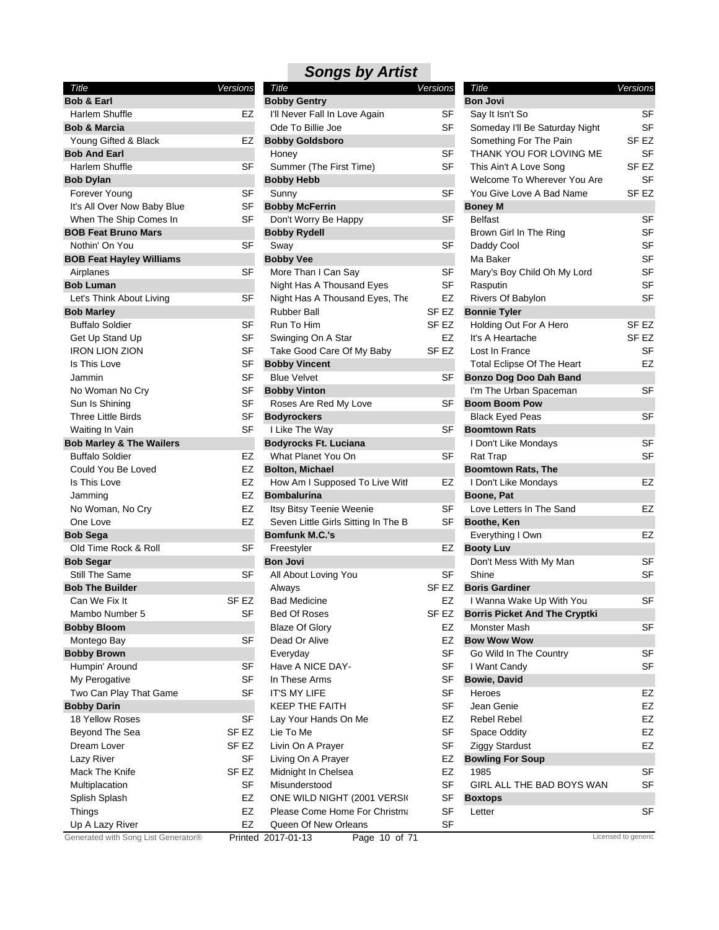| Title                               | Versions |
|-------------------------------------|----------|
| <b>Bob &amp; Earl</b>               |          |
| Harlem Shuffle                      | EZ       |
| <b>Bob &amp; Marcia</b>             |          |
| Young Gifted & Black                | EZ       |
| <b>Bob And Earl</b>                 |          |
| Harlem Shuffle                      | SF       |
| <b>Bob Dylan</b>                    |          |
| Forever Young                       | SF       |
| It's All Over Now Baby Blue         | SF       |
| When The Ship Comes In              | SF       |
| <b>BOB Feat Bruno Mars</b>          |          |
| Nothin' On You                      | SF       |
| <b>BOB Feat Hayley Williams</b>     |          |
| Airplanes                           | SF       |
| <b>Bob Luman</b>                    |          |
| Let's Think About Living            | SF       |
| <b>Bob Marley</b>                   |          |
| <b>Buffalo Soldier</b>              | SF       |
| Get Up Stand Up                     | SF       |
| <b>IRON LION ZION</b>               | SF       |
| Is This Love                        | SF       |
| Jammin                              | SF       |
| No Woman No Cry                     | SF       |
| Sun Is Shining                      | SF       |
| <b>Three Little Birds</b>           | SF       |
| Waiting In Vain                     | SF       |
| <b>Bob Marley &amp; The Wailers</b> |          |
| <b>Buffalo Soldier</b>              | EZ       |
| Could You Be Loved                  | EZ       |
| Is This Love                        | EZ       |
| Jamming                             | EZ       |
| No Woman, No Cry                    | EZ       |
| One Love                            | EZ       |
| <b>Bob Sega</b>                     |          |
| Old Time Rock & Roll                | SF       |
| <b>Bob Segar</b>                    |          |
| Still The Same                      | SF       |
| <b>Bob The Builder</b>              |          |
| Can We Fix It                       | SF EZ    |
| Mambo Number 5                      | SF       |
| <b>Bobby Bloom</b>                  |          |
| Montego Bay                         | SF       |
| <b>Bobby Brown</b>                  |          |
| Humpin' Around                      | SF       |
| My Perogative                       | SF       |
| Two Can Play That Game              | SF       |
| <b>Bobby Darin</b>                  |          |
| 18 Yellow Roses                     | SF       |
| Beyond The Sea                      | SF EZ    |
| Dream Lover                         | SF EZ    |
| Lazy River                          | SF       |
| Mack The Knife                      | SF EZ    |
| Multiplacation                      | SF       |
| Splish Splash                       | EZ       |
| Things                              | EZ       |
| Up A Lazy River                     | EZ       |

| Title                               | <b>Versions</b> | Title                               | <b>Versions</b>  | Title                                | Versions            |
|-------------------------------------|-----------------|-------------------------------------|------------------|--------------------------------------|---------------------|
| <b>Bob &amp; Earl</b>               |                 | <b>Bobby Gentry</b>                 |                  | <b>Bon Jovi</b>                      |                     |
| Harlem Shuffle                      | EZ              | I'll Never Fall In Love Again       | SF               | Say It Isn't So                      | <b>SF</b>           |
| <b>Bob &amp; Marcia</b>             |                 | Ode To Billie Joe                   | SF               | Someday I'll Be Saturday Night       | <b>SF</b>           |
| Young Gifted & Black                | EZ              | <b>Bobby Goldsboro</b>              |                  | Something For The Pain               | SF EZ               |
| <b>Bob And Earl</b>                 |                 | Honey                               | <b>SF</b>        | THANK YOU FOR LOVING ME              | <b>SF</b>           |
| Harlem Shuffle                      | <b>SF</b>       | Summer (The First Time)             | <b>SF</b>        | This Ain't A Love Song               | SF <sub>EZ</sub>    |
| <b>Bob Dylan</b>                    |                 | <b>Bobby Hebb</b>                   |                  | Welcome To Wherever You Are          | <b>SF</b>           |
| Forever Young                       | SF              | Sunny                               | <b>SF</b>        | You Give Love A Bad Name             | SF <sub>EZ</sub>    |
| It's All Over Now Baby Blue         | SF              | <b>Bobby McFerrin</b>               |                  | <b>Boney M</b>                       |                     |
| When The Ship Comes In              | SF              | Don't Worry Be Happy                | <b>SF</b>        | <b>Belfast</b>                       | SF                  |
| <b>BOB Feat Bruno Mars</b>          |                 | <b>Bobby Rydell</b>                 |                  | Brown Girl In The Ring               | <b>SF</b>           |
| Nothin' On You                      | SF              | Sway                                | SF               | Daddy Cool                           | <b>SF</b>           |
| <b>BOB Feat Hayley Williams</b>     |                 | <b>Bobby Vee</b>                    |                  | Ma Baker                             | <b>SF</b>           |
| Airplanes                           | <b>SF</b>       | More Than I Can Say                 | SF               | Mary's Boy Child Oh My Lord          | SF                  |
| <b>Bob Luman</b>                    |                 | Night Has A Thousand Eyes           | <b>SF</b>        | Rasputin                             | <b>SF</b>           |
| Let's Think About Living            | SF              | Night Has A Thousand Eyes, The      | EZ               | Rivers Of Babylon                    | <b>SF</b>           |
| <b>Bob Marley</b>                   |                 | <b>Rubber Ball</b>                  | SF <sub>EZ</sub> | <b>Bonnie Tyler</b>                  |                     |
| <b>Buffalo Soldier</b>              | SF              | Run To Him                          | SF <sub>EZ</sub> | Holding Out For A Hero               | SF EZ               |
| Get Up Stand Up                     | <b>SF</b>       | Swinging On A Star                  | EZ               | It's A Heartache                     | SF <sub>EZ</sub>    |
| <b>IRON LION ZION</b>               | SF              | Take Good Care Of My Baby           | SF <sub>EZ</sub> | Lost In France                       | <b>SF</b>           |
| Is This Love                        | <b>SF</b>       | <b>Bobby Vincent</b>                |                  | Total Eclipse Of The Heart           | EZ                  |
| Jammin                              | SF              | <b>Blue Velvet</b>                  | SF               |                                      |                     |
|                                     |                 |                                     |                  | <b>Bonzo Dog Doo Dah Band</b>        |                     |
| No Woman No Cry                     | SF              | <b>Bobby Vinton</b>                 |                  | I'm The Urban Spaceman               | <b>SF</b>           |
| Sun Is Shining                      | SF              | Roses Are Red My Love               | SF               | <b>Boom Boom Pow</b>                 |                     |
| Three Little Birds                  | <b>SF</b>       | <b>Bodyrockers</b>                  |                  | <b>Black Eyed Peas</b>               | <b>SF</b>           |
| Waiting In Vain                     | <b>SF</b>       | I Like The Way                      | SF               | <b>Boomtown Rats</b>                 |                     |
| <b>Bob Marley &amp; The Wailers</b> |                 | <b>Bodyrocks Ft. Luciana</b>        |                  | I Don't Like Mondays                 | <b>SF</b>           |
| <b>Buffalo Soldier</b>              | EZ              | What Planet You On                  | <b>SF</b>        | <b>Rat Trap</b>                      | <b>SF</b>           |
| Could You Be Loved                  | EZ              | <b>Bolton, Michael</b>              |                  | <b>Boomtown Rats, The</b>            |                     |
| Is This Love                        | EZ              | How Am I Supposed To Live With      | EZ               | I Don't Like Mondays                 | EZ                  |
| Jamming                             | EZ              | <b>Bombalurina</b>                  |                  | Boone, Pat                           |                     |
| No Woman, No Cry                    | EZ              | Itsy Bitsy Teenie Weenie            | SF               | Love Letters In The Sand             | <b>EZ</b>           |
| One Love                            | EZ              | Seven Little Girls Sitting In The B | SF               | Boothe, Ken                          |                     |
| <b>Bob Sega</b>                     |                 | <b>Bomfunk M.C.'s</b>               |                  | Everything I Own                     | EZ                  |
| Old Time Rock & Roll                | SF              | Freestyler                          | EZ               | <b>Booty Luv</b>                     |                     |
| <b>Bob Segar</b>                    |                 | <b>Bon Jovi</b>                     |                  | Don't Mess With My Man               | <b>SF</b>           |
| Still The Same                      | SF              | All About Loving You                | SF               | Shine                                | <b>SF</b>           |
| <b>Bob The Builder</b>              |                 | Always                              | SF EZ            | <b>Boris Gardiner</b>                |                     |
| Can We Fix It                       | SF EZ           | <b>Bad Medicine</b>                 | EZ               | I Wanna Wake Up With You             | <b>SF</b>           |
| Mambo Number 5                      | SF              | Bed Of Roses                        | SF EZ            | <b>Borris Picket And The Cryptki</b> |                     |
| <b>Bobby Bloom</b>                  |                 | <b>Blaze Of Glory</b>               | EZ               | Monster Mash                         | SF                  |
| Montego Bay                         | SF              | Dead Or Alive                       | EZ               | <b>Bow Wow Wow</b>                   |                     |
| <b>Bobby Brown</b>                  |                 | Everyday                            | <b>SF</b>        | Go Wild In The Country               | SF                  |
| Humpin' Around                      | <b>SF</b>       | Have A NICE DAY-                    | <b>SF</b>        | I Want Candy                         | <b>SF</b>           |
| My Perogative                       | SF              | In These Arms                       | SF               | <b>Bowie, David</b>                  |                     |
| Two Can Play That Game              | <b>SF</b>       | IT'S MY LIFE                        | SF               | Heroes                               | EZ                  |
| <b>Bobby Darin</b>                  |                 | <b>KEEP THE FAITH</b>               | <b>SF</b>        | Jean Genie                           | EZ                  |
| 18 Yellow Roses                     | <b>SF</b>       | Lay Your Hands On Me                | EZ               | Rebel Rebel                          | EZ                  |
| Beyond The Sea                      | SF EZ           | Lie To Me                           | <b>SF</b>        | Space Oddity                         | EZ                  |
| Dream Lover                         | SF EZ           | Livin On A Prayer                   | <b>SF</b>        | <b>Ziggy Stardust</b>                | EZ                  |
| Lazy River                          | <b>SF</b>       | Living On A Prayer                  | EZ               | <b>Bowling For Soup</b>              |                     |
| Mack The Knife                      | SF EZ           | Midnight In Chelsea                 | EZ               | 1985                                 | <b>SF</b>           |
| Multiplacation                      | SF              | Misunderstood                       | SF               | GIRL ALL THE BAD BOYS WAN            | <b>SF</b>           |
| Splish Splash                       | EZ              | ONE WILD NIGHT (2001 VERSI)         | SF               | <b>Boxtops</b>                       |                     |
| Things                              | EZ              | Please Come Home For Christma       | SF               | Letter                               | <b>SF</b>           |
| Up A Lazy River                     | EZ              | Queen Of New Orleans                | <b>SF</b>        |                                      |                     |
| Generated with Song List Generator® |                 | Printed 2017-01-13<br>Page 10 of 71 |                  |                                      | Licensed to generic |
|                                     |                 |                                     |                  |                                      |                     |

| Title<br><b>Versions</b>             |           |
|--------------------------------------|-----------|
| <b>Bon Jovi</b>                      |           |
| Say It Isn't So                      | SF        |
| Someday I'll Be Saturday Night       | SF        |
| Something For The Pain               | SF EZ     |
| THANK YOU FOR LOVING ME              | <b>SF</b> |
| This Ain't A Love Song               | SF EZ     |
| Welcome To Wherever You Are          | SF        |
| You Give Love A Bad Name             | SF EZ     |
| <b>Boney M</b>                       |           |
| <b>Belfast</b>                       | SF        |
| Brown Girl In The Ring               | SF        |
| Daddy Cool                           | SF        |
| Ma Baker                             | SF        |
| Mary's Boy Child Oh My Lord          | SF        |
| Rasputin                             | SF        |
| Rivers Of Babylon                    | SF        |
| <b>Bonnie Tyler</b>                  |           |
| Holding Out For A Hero               | SF EZ     |
| It's A Heartache                     | SF EZ     |
| Lost In France                       |           |
|                                      | SF        |
| Total Eclipse Of The Heart           | EZ        |
| <b>Bonzo Dog Doo Dah Band</b>        |           |
| I'm The Urban Spaceman               | SF        |
| <b>Boom Boom Pow</b>                 |           |
| Black Eyed Peas                      | SF        |
| <b>Boomtown Rats</b>                 |           |
| I Don't Like Mondays                 | SF        |
| Rat Trap                             | SF        |
| <b>Boomtown Rats, The</b>            |           |
| I Don't Like Mondays                 | EZ        |
| Boone, Pat                           |           |
| Love Letters In The Sand             | EZ        |
| Boothe, Ken                          |           |
| Everything I Own                     | EZ        |
| <b>Booty Luv</b>                     |           |
| Don't Mess With My Man               | SF        |
| Shine                                | SF        |
| <b>Boris Gardiner</b>                |           |
| I Wanna Wake Up With You             | SF        |
| <b>Borris Picket And The Cryptki</b> |           |
| Monster Mash                         | SF        |
| <b>Bow Wow Wow</b>                   |           |
| Go Wild In The Country               | SF        |
| I Want Candy                         | SF        |
| <b>Bowie, David</b>                  |           |
| Heroes                               | EZ        |
| Jean Genie                           | EZ        |
| <b>Rebel Rebel</b>                   | EZ        |
| <b>Space Oddity</b>                  | EZ        |
| Ziggy Stardust                       | EZ        |
| <b>Bowling For Soup</b>              |           |
| 1985                                 | SF        |
| GIRL ALL THE BAD BOYS WAN            | SF        |
|                                      |           |
| <b>Boxtops</b>                       |           |
| Letter                               | SF        |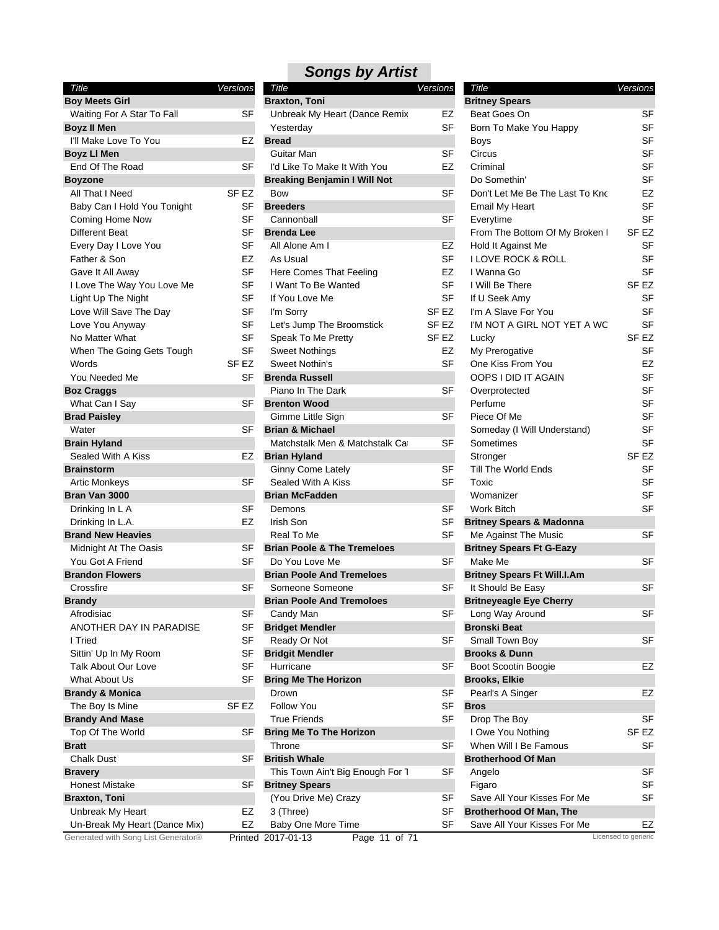| Title                               | Versions         |
|-------------------------------------|------------------|
| <b>Boy Meets Girl</b>               |                  |
| Waiting For A Star To Fall          | SF               |
| <b>Boyz II Men</b>                  |                  |
| I'll Make Love To You               | EZ               |
| <b>Boyz LI Men</b>                  |                  |
| End Of The Road                     | SF               |
| <b>Boyzone</b>                      |                  |
| All That I Need                     | SF EZ            |
| Baby Can I Hold You Tonight         | SF               |
| Coming Home Now                     | SF               |
| Different Beat                      | SF               |
| Every Day I Love You                | SF               |
| Father & Son                        | EZ               |
| Gave It All Away                    | <b>SF</b>        |
| I Love The Way You Love Me          | SF               |
| Light Up The Night                  | SF               |
| Love Will Save The Day              | SF               |
| Love You Anyway                     | SF               |
| No Matter What                      | SF               |
| When The Going Gets Tough           | SF               |
| Words                               | SF <sub>EZ</sub> |
| You Needed Me                       | SF               |
| <b>Boz Craggs</b>                   |                  |
| What Can I Say                      | SF               |
| <b>Brad Paisley</b>                 |                  |
| Water                               | SF               |
| <b>Brain Hyland</b>                 |                  |
| Sealed With A Kiss                  | EZ               |
| <b>Brainstorm</b>                   |                  |
| Artic Monkeys                       | SF               |
| Bran Van 3000                       |                  |
| Drinking In L A                     | SF               |
| Drinking In L.A.                    | EZ               |
| <b>Brand New Heavies</b>            |                  |
| Midnight At The Oasis               | SF               |
| You Got A Friend                    | SF               |
| <b>Brandon Flowers</b>              |                  |
| Crossfire                           | SF               |
| <b>Brandy</b>                       |                  |
| Afrodisiac                          | SF               |
| ANOTHER DAY IN PARADISE             | SF               |
| I Tried                             | SF               |
| Sittin' Up In My Room               | SF               |
| Talk About Our Love                 | SF               |
| What About Us                       | SF               |
| <b>Brandy &amp; Monica</b>          |                  |
| The Boy Is Mine                     | SF EZ            |
| <b>Brandy And Mase</b>              |                  |
| Top Of The World                    | SF               |
| <b>Bratt</b>                        |                  |
| <b>Chalk Dust</b>                   | SF               |
| <b>Bravery</b>                      |                  |
| Honest Mistake                      | SF               |
| <b>Braxton, Toni</b>                |                  |
| Unbreak My Heart                    | EZ               |
| Un-Break My Heart (Dance Mix)       | EZ               |
| Generated with Song List Generator® | <b>Drinton</b>   |

| Title                               | Versions         | Title                                  | <b>Versions</b>  | Title                               | Versions            |
|-------------------------------------|------------------|----------------------------------------|------------------|-------------------------------------|---------------------|
| <b>Boy Meets Girl</b>               |                  | <b>Braxton, Toni</b>                   |                  | <b>Britney Spears</b>               |                     |
| Waiting For A Star To Fall          | <b>SF</b>        | Unbreak My Heart (Dance Remix          | EZ               | Beat Goes On                        | SF                  |
| Boyz II Men                         |                  | Yesterday                              | <b>SF</b>        | Born To Make You Happy              | <b>SF</b>           |
| I'll Make Love To You               | EZ               | <b>Bread</b>                           |                  | Boys                                | SF                  |
| <b>Boyz LI Men</b>                  |                  | Guitar Man                             | <b>SF</b>        | Circus                              | SF                  |
| End Of The Road                     | <b>SF</b>        | I'd Like To Make It With You           | EZ               | Criminal                            | SF                  |
| Boyzone                             |                  | <b>Breaking Benjamin I Will Not</b>    |                  | Do Somethin'                        | SF                  |
| All That I Need                     | SF <sub>EZ</sub> | Bow                                    | <b>SF</b>        | Don't Let Me Be The Last To Kno     | EZ                  |
| Baby Can I Hold You Tonight         | SF               | <b>Breeders</b>                        |                  | Email My Heart                      | <b>SF</b>           |
| Coming Home Now                     | <b>SF</b>        | Cannonball                             | <b>SF</b>        | Everytime                           | <b>SF</b>           |
| Different Beat                      | <b>SF</b>        | <b>Brenda Lee</b>                      |                  | From The Bottom Of My Broken I      | SF <sub>EZ</sub>    |
| Every Day I Love You                | <b>SF</b>        | All Alone Am I                         | EZ               | Hold It Against Me                  | SF                  |
| Father & Son                        | EZ               | As Usual                               | <b>SF</b>        | <b>I LOVE ROCK &amp; ROLL</b>       | SF                  |
| Gave It All Away                    | <b>SF</b>        | Here Comes That Feeling                | EZ               | I Wanna Go                          | <b>SF</b>           |
| I Love The Way You Love Me          | <b>SF</b>        | I Want To Be Wanted                    | <b>SF</b>        | I Will Be There                     | SF <sub>EZ</sub>    |
| Light Up The Night                  | SF               | If You Love Me                         | <b>SF</b>        | If U Seek Amy                       | SF                  |
| Love Will Save The Day              | <b>SF</b>        | I'm Sorry                              | SF <sub>EZ</sub> | I'm A Slave For You                 | <b>SF</b>           |
| Love You Anyway                     | <b>SF</b>        | Let's Jump The Broomstick              | SF <sub>EZ</sub> | I'M NOT A GIRL NOT YET A WC         | <b>SF</b>           |
| No Matter What                      | <b>SF</b>        | Speak To Me Pretty                     | SF <sub>EZ</sub> |                                     | SF <sub>EZ</sub>    |
|                                     | <b>SF</b>        |                                        | EZ               | Lucky                               |                     |
| When The Going Gets Tough           |                  | <b>Sweet Nothings</b>                  |                  | My Prerogative                      | SF                  |
| Words                               | SF <sub>EZ</sub> | Sweet Nothin's                         | <b>SF</b>        | One Kiss From You                   | EZ                  |
| You Needed Me                       | SF               | <b>Brenda Russell</b>                  |                  | OOPS I DID IT AGAIN                 | SF                  |
| <b>Boz Craggs</b>                   |                  | Piano In The Dark                      | <b>SF</b>        | Overprotected                       | SF                  |
| What Can I Say                      | SF               | <b>Brenton Wood</b>                    |                  | Perfume                             | <b>SF</b>           |
| <b>Brad Paisley</b>                 |                  | Gimme Little Sign                      | <b>SF</b>        | Piece Of Me                         | <b>SF</b>           |
| Water                               | SF               | <b>Brian &amp; Michael</b>             |                  | Someday (I Will Understand)         | <b>SF</b>           |
| Brain Hyland                        |                  | Matchstalk Men & Matchstalk Ca         | SF               | Sometimes                           | <b>SF</b>           |
| Sealed With A Kiss                  | EZ               | <b>Brian Hyland</b>                    |                  | Stronger                            | SF <sub>EZ</sub>    |
| <b>Brainstorm</b>                   |                  | Ginny Come Lately                      | <b>SF</b>        | Till The World Ends                 | SF                  |
| <b>Artic Monkeys</b>                | SF               | Sealed With A Kiss                     | <b>SF</b>        | Toxic                               | <b>SF</b>           |
| Bran Van 3000                       |                  | <b>Brian McFadden</b>                  |                  | Womanizer                           | SF                  |
| Drinking In L A                     | <b>SF</b>        | Demons                                 | <b>SF</b>        | <b>Work Bitch</b>                   | <b>SF</b>           |
| Drinking In L.A.                    | <b>EZ</b>        | Irish Son                              | SF               | <b>Britney Spears &amp; Madonna</b> |                     |
| <b>Brand New Heavies</b>            |                  | Real To Me                             | <b>SF</b>        | Me Against The Music                | SF                  |
| Midnight At The Oasis               | SF               | <b>Brian Poole &amp; The Tremeloes</b> |                  | <b>Britney Spears Ft G-Eazy</b>     |                     |
| You Got A Friend                    | <b>SF</b>        | Do You Love Me                         | <b>SF</b>        | Make Me                             | <b>SF</b>           |
| <b>Brandon Flowers</b>              |                  | <b>Brian Poole And Tremeloes</b>       |                  | <b>Britney Spears Ft Will.I.Am</b>  |                     |
| Crossfire                           | SF               | Someone Someone                        | <b>SF</b>        | It Should Be Easy                   | <b>SF</b>           |
| Brandy                              |                  | <b>Brian Poole And Tremoloes</b>       |                  | <b>Britneyeagle Eye Cherry</b>      |                     |
| Afrodisiac                          | S⊦               | Candy Man                              | SF               | Long Way Around                     | SF                  |
| ANOTHER DAY IN PARADISE             | <b>SF</b>        | <b>Bridget Mendler</b>                 |                  | <b>Bronski Beat</b>                 |                     |
| I Tried                             | <b>SF</b>        | Ready Or Not                           | SF               | Small Town Boy                      | SF                  |
| Sittin' Up In My Room               | <b>SF</b>        | <b>Bridgit Mendler</b>                 |                  | <b>Brooks &amp; Dunn</b>            |                     |
| Talk About Our Love                 | <b>SF</b>        | Hurricane                              | <b>SF</b>        | Boot Scootin Boogie                 | EZ                  |
| What About Us                       | SF               | <b>Bring Me The Horizon</b>            |                  | <b>Brooks, Elkie</b>                |                     |
| Brandy & Monica                     |                  | Drown                                  | <b>SF</b>        | Pearl's A Singer                    | EZ                  |
| The Boy Is Mine                     | SF EZ            | <b>Follow You</b>                      | SF               | <b>Bros</b>                         |                     |
| <b>Brandy And Mase</b>              |                  | <b>True Friends</b>                    | <b>SF</b>        | Drop The Boy                        | SF                  |
| Top Of The World                    | SF               | <b>Bring Me To The Horizon</b>         |                  | I Owe You Nothing                   | SF <sub>EZ</sub>    |
|                                     |                  | Throne                                 |                  | When Will I Be Famous               |                     |
| Bratt                               | <b>SF</b>        |                                        | SF               |                                     | SF                  |
| <b>Chalk Dust</b>                   |                  | <b>British Whale</b>                   |                  | <b>Brotherhood Of Man</b>           |                     |
| <b>Bravery</b>                      |                  | This Town Ain't Big Enough For 1       | SF               | Angelo                              | SF                  |
| <b>Honest Mistake</b>               | SF               | <b>Britney Spears</b>                  |                  | Figaro                              | SF                  |
| <b>Braxton, Toni</b>                |                  | (You Drive Me) Crazy                   | SF               | Save All Your Kisses For Me         | SF                  |
| Unbreak My Heart                    | EZ               | 3 (Three)                              | SF               | <b>Brotherhood Of Man, The</b>      |                     |
| Un-Break My Heart (Dance Mix)       | EZ               | Baby One More Time                     | <b>SF</b>        | Save All Your Kisses For Me         | EZ                  |
| Generated with Song List Generator® |                  | Page 11 of 71<br>Printed 2017-01-13    |                  |                                     | Licensed to generic |

| Title                                      | Versions  |
|--------------------------------------------|-----------|
| <b>Britney Spears</b>                      |           |
| Beat Goes On                               | SF        |
| Born To Make You Happy                     | SF        |
| Boys                                       | <b>SF</b> |
| Circus                                     | SF        |
| Criminal                                   | SF        |
| Do Somethin'                               | SF        |
| Don't Let Me Be The Last To Kno            | EZ        |
| <b>Email My Heart</b>                      | SF        |
| Everytime                                  | SF        |
| From The Bottom Of My Broken I             | SF EZ     |
| Hold It Against Me                         | SF        |
| I LOVE ROCK & ROLL                         | SF        |
| I Wanna Go                                 | SF        |
| I Will Be There                            | SF EZ     |
| If U Seek Amy                              | SF        |
| I'm A Slave For You                        | SF        |
| I'M NOT A GIRL NOT YET A WC                | SF        |
| Lucky                                      | SF EZ     |
| My Prerogative                             | SF        |
| One Kiss From You                          | EZ        |
| OOPS I DID IT AGAIN                        | SF        |
| Overprotected                              | SF        |
| Perfume                                    | SF        |
| Piece Of Me                                | SF        |
|                                            |           |
| Someday (I Will Understand)                | SF        |
| Sometimes                                  | SF        |
| Stronger                                   | SF EZ     |
| Till The World Ends                        | SF        |
| Toxic                                      | SF        |
| Womanizer                                  | SF        |
| Work Bitch                                 | SF        |
| <b>Britney Spears &amp; Madonna</b>        | <b>SF</b> |
| Me Against The Music                       |           |
| <b>Britney Spears Ft G-Eazy</b><br>Make Me | SF        |
| <b>Britney Spears Ft Will.I.Am</b>         |           |
| It Should Be Easy                          | SF        |
| <b>Britneyeagle Eye Cherry</b>             |           |
| Long Way Around                            | SF        |
| <b>Bronski Beat</b>                        |           |
|                                            |           |
| Small Town Boy                             | SF        |
| <b>Brooks &amp; Dunn</b>                   |           |
| Boot Scootin Boogie                        | EZ        |
| <b>Brooks, Elkie</b>                       |           |
| Pearl's A Singer                           | EZ        |
| Bros                                       |           |
| Drop The Boy                               | SF        |
| I Owe You Nothing                          | SF EZ     |
| When Will I Be Famous                      | SF        |
| <b>Brotherhood Of Man</b>                  |           |
| Angelo                                     | SF        |
| Figaro                                     | SF        |
| Save All Your Kisses For Me                | SF        |
| <b>Brotherhood Of Man, The</b>             |           |
| Save All Your Kisses For Me                | EZ        |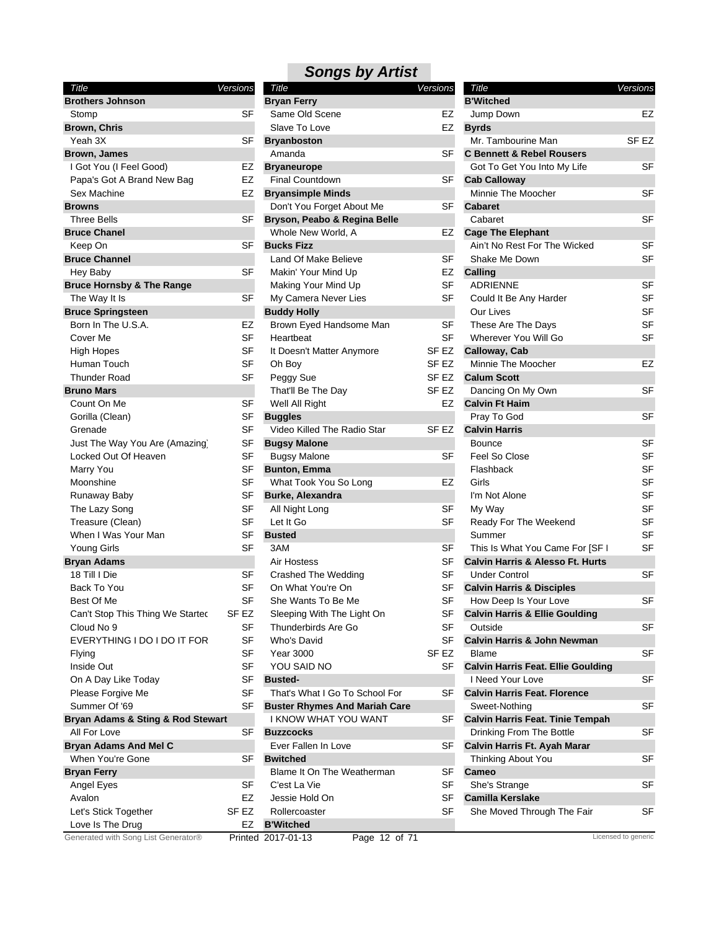| Title                                | Versions         |
|--------------------------------------|------------------|
| <b>Brothers Johnson</b>              |                  |
| Stomp                                | SF               |
| <b>Brown, Chris</b>                  |                  |
| Yeah 3X                              | SF               |
| <b>Brown, James</b>                  |                  |
| I Got You (I Feel Good)              | EZ               |
| Papa's Got A Brand New Bag           | EZ               |
| Sex Machine                          | EZ               |
| <b>Browns</b>                        |                  |
| <b>Three Bells</b>                   | SF               |
| <b>Bruce Chanel</b>                  |                  |
| Keep On                              | SF               |
| <b>Bruce Channel</b>                 |                  |
| Hey Baby                             | SF               |
| <b>Bruce Hornsby &amp; The Range</b> |                  |
| The Way It Is                        | SF               |
| <b>Bruce Springsteen</b>             |                  |
| Born In The U.S.A.                   | EZ               |
| Cover Me                             | SF               |
| <b>High Hopes</b>                    | SF               |
| Human Touch                          | SF               |
| <b>Thunder Road</b>                  | <b>SF</b>        |
| <b>Bruno Mars</b>                    |                  |
| Count On Me                          | SF               |
| Gorilla (Clean)                      | SF               |
| Grenade                              | <b>SF</b>        |
|                                      |                  |
| Just The Way You Are (Amazing)       | SF               |
| Locked Out Of Heaven                 | SF               |
| Marry You                            | SF               |
| Moonshine                            | SF               |
| Runaway Baby                         | SF               |
| The Lazy Song                        | SF               |
| Treasure (Clean)                     | SF               |
| When I Was Your Man                  | SF               |
| <b>Young Girls</b>                   | <b>SF</b>        |
| <b>Bryan Adams</b>                   |                  |
| 18 Till I Die                        | SF               |
| Back To You                          | SF               |
| <b>Best Of Me</b>                    | SF               |
| Can't Stop This Thing We Startec     | SF <sub>EZ</sub> |
| Cloud No 9                           | SF               |
| EVERYTHING I DO I DO IT FOR          | SF               |
| Flying                               | SF               |
| <b>Inside Out</b>                    | SF               |
| On A Day Like Today                  | SF               |
| Please Forgive Me                    | SF               |
| Summer Of '69                        | SF               |
| Bryan Adams & Sting & Rod Stewart    |                  |
| All For Love                         | SF               |
| <b>Bryan Adams And Mel C</b>         |                  |
| When You're Gone                     | SF               |
| <b>Bryan Ferry</b>                   |                  |
| Angel Eyes                           | SF               |
| Avalon                               | EZ               |
| Let's Stick Together                 | SF EZ            |
|                                      | EZ               |
| Love Is The Drug<br>$+$ od with      |                  |

| <b>Brothers Johnson</b><br><b>B'Witched</b><br><b>Bryan Ferry</b><br><b>SF</b><br>Same Old Scene<br>EZ<br>EZ<br>Stomp<br>Jump Down<br>EZ<br>Brown, Chris<br>Slave To Love<br><b>Byrds</b><br>Mr. Tambourine Man<br><b>SF EZ</b><br>Yeah 3X<br>SF<br><b>Bryanboston</b><br>Amanda<br>SF<br><b>C Bennett &amp; Rebel Rousers</b><br><b>Brown, James</b><br><b>SF</b><br>I Got You (I Feel Good)<br>EZ<br>Got To Get You Into My Life<br><b>Bryaneurope</b><br><b>Final Countdown</b><br><b>SF</b><br>Papa's Got A Brand New Bag<br>EZ<br><b>Cab Calloway</b><br><b>SF</b><br>Minnie The Moocher<br>Sex Machine<br>EZ<br><b>Bryansimple Minds</b><br>Don't You Forget About Me<br>SF<br><b>Cabaret</b><br><b>Browns</b><br><b>SF</b><br><b>SF</b><br><b>Three Bells</b><br>Bryson, Peabo & Regina Belle<br>Cabaret<br>Whole New World, A<br><b>EZ</b><br><b>Bruce Chanel</b><br><b>Cage The Elephant</b><br><b>SF</b><br><b>SF</b><br><b>Bucks Fizz</b><br>Ain't No Rest For The Wicked<br>Keep On<br><b>SF</b><br><b>SF</b><br><b>Bruce Channel</b><br>Land Of Make Believe<br>Shake Me Down<br><b>SF</b><br>EZ<br>Hey Baby<br>Makin' Your Mind Up<br>Calling<br><b>SF</b><br>Making Your Mind Up<br><b>SF</b><br><b>Bruce Hornsby &amp; The Range</b><br><b>ADRIENNE</b><br><b>SF</b><br><b>SF</b><br><b>SF</b><br>The Way It Is<br>My Camera Never Lies<br>Could It Be Any Harder<br><b>SF</b><br><b>Bruce Springsteen</b><br><b>Buddy Holly</b><br>Our Lives<br><b>SF</b><br><b>SF</b><br>These Are The Days<br>Born In The U.S.A.<br>EZ<br>Brown Eyed Handsome Man<br><b>SF</b><br><b>SF</b><br><b>SF</b><br>Cover Me<br>Heartbeat<br>Wherever You Will Go<br>SF<br>SF EZ<br>Calloway, Cab<br>High Hopes<br>It Doesn't Matter Anymore<br><b>SF</b><br>SF <sub>EZ</sub><br>Minnie The Moocher<br>EZ<br>Human Touch<br>Oh Boy<br><b>Thunder Road</b><br><b>SF</b><br>SF <sub>EZ</sub><br>Peggy Sue<br><b>Calum Scott</b><br><b>SF</b><br>SF <sub>EZ</sub><br><b>Bruno Mars</b><br>That'll Be The Day<br>Dancing On My Own<br><b>EZ</b><br>Count On Me<br>SF<br>Well All Right<br><b>Calvin Ft Haim</b><br><b>SF</b><br><b>SF</b><br>Pray To God<br>Gorilla (Clean)<br><b>Buggles</b><br>Video Killed The Radio Star<br>Grenade<br>SF<br>SF EZ<br><b>Calvin Harris</b><br><b>SF</b><br>Just The Way You Are (Amazing)<br>SF<br><b>Bounce</b><br><b>Bugsy Malone</b> |
|--------------------------------------------------------------------------------------------------------------------------------------------------------------------------------------------------------------------------------------------------------------------------------------------------------------------------------------------------------------------------------------------------------------------------------------------------------------------------------------------------------------------------------------------------------------------------------------------------------------------------------------------------------------------------------------------------------------------------------------------------------------------------------------------------------------------------------------------------------------------------------------------------------------------------------------------------------------------------------------------------------------------------------------------------------------------------------------------------------------------------------------------------------------------------------------------------------------------------------------------------------------------------------------------------------------------------------------------------------------------------------------------------------------------------------------------------------------------------------------------------------------------------------------------------------------------------------------------------------------------------------------------------------------------------------------------------------------------------------------------------------------------------------------------------------------------------------------------------------------------------------------------------------------------------------------------------------------------------------------------------------------------------------------------------------------------------------------------------------------------------------------------------------------------------------------------------------------------------------------------------------------------------------------------------------------------------------------------------------------------|
|                                                                                                                                                                                                                                                                                                                                                                                                                                                                                                                                                                                                                                                                                                                                                                                                                                                                                                                                                                                                                                                                                                                                                                                                                                                                                                                                                                                                                                                                                                                                                                                                                                                                                                                                                                                                                                                                                                                                                                                                                                                                                                                                                                                                                                                                                                                                                                    |
|                                                                                                                                                                                                                                                                                                                                                                                                                                                                                                                                                                                                                                                                                                                                                                                                                                                                                                                                                                                                                                                                                                                                                                                                                                                                                                                                                                                                                                                                                                                                                                                                                                                                                                                                                                                                                                                                                                                                                                                                                                                                                                                                                                                                                                                                                                                                                                    |
|                                                                                                                                                                                                                                                                                                                                                                                                                                                                                                                                                                                                                                                                                                                                                                                                                                                                                                                                                                                                                                                                                                                                                                                                                                                                                                                                                                                                                                                                                                                                                                                                                                                                                                                                                                                                                                                                                                                                                                                                                                                                                                                                                                                                                                                                                                                                                                    |
|                                                                                                                                                                                                                                                                                                                                                                                                                                                                                                                                                                                                                                                                                                                                                                                                                                                                                                                                                                                                                                                                                                                                                                                                                                                                                                                                                                                                                                                                                                                                                                                                                                                                                                                                                                                                                                                                                                                                                                                                                                                                                                                                                                                                                                                                                                                                                                    |
|                                                                                                                                                                                                                                                                                                                                                                                                                                                                                                                                                                                                                                                                                                                                                                                                                                                                                                                                                                                                                                                                                                                                                                                                                                                                                                                                                                                                                                                                                                                                                                                                                                                                                                                                                                                                                                                                                                                                                                                                                                                                                                                                                                                                                                                                                                                                                                    |
|                                                                                                                                                                                                                                                                                                                                                                                                                                                                                                                                                                                                                                                                                                                                                                                                                                                                                                                                                                                                                                                                                                                                                                                                                                                                                                                                                                                                                                                                                                                                                                                                                                                                                                                                                                                                                                                                                                                                                                                                                                                                                                                                                                                                                                                                                                                                                                    |
|                                                                                                                                                                                                                                                                                                                                                                                                                                                                                                                                                                                                                                                                                                                                                                                                                                                                                                                                                                                                                                                                                                                                                                                                                                                                                                                                                                                                                                                                                                                                                                                                                                                                                                                                                                                                                                                                                                                                                                                                                                                                                                                                                                                                                                                                                                                                                                    |
|                                                                                                                                                                                                                                                                                                                                                                                                                                                                                                                                                                                                                                                                                                                                                                                                                                                                                                                                                                                                                                                                                                                                                                                                                                                                                                                                                                                                                                                                                                                                                                                                                                                                                                                                                                                                                                                                                                                                                                                                                                                                                                                                                                                                                                                                                                                                                                    |
|                                                                                                                                                                                                                                                                                                                                                                                                                                                                                                                                                                                                                                                                                                                                                                                                                                                                                                                                                                                                                                                                                                                                                                                                                                                                                                                                                                                                                                                                                                                                                                                                                                                                                                                                                                                                                                                                                                                                                                                                                                                                                                                                                                                                                                                                                                                                                                    |
|                                                                                                                                                                                                                                                                                                                                                                                                                                                                                                                                                                                                                                                                                                                                                                                                                                                                                                                                                                                                                                                                                                                                                                                                                                                                                                                                                                                                                                                                                                                                                                                                                                                                                                                                                                                                                                                                                                                                                                                                                                                                                                                                                                                                                                                                                                                                                                    |
|                                                                                                                                                                                                                                                                                                                                                                                                                                                                                                                                                                                                                                                                                                                                                                                                                                                                                                                                                                                                                                                                                                                                                                                                                                                                                                                                                                                                                                                                                                                                                                                                                                                                                                                                                                                                                                                                                                                                                                                                                                                                                                                                                                                                                                                                                                                                                                    |
|                                                                                                                                                                                                                                                                                                                                                                                                                                                                                                                                                                                                                                                                                                                                                                                                                                                                                                                                                                                                                                                                                                                                                                                                                                                                                                                                                                                                                                                                                                                                                                                                                                                                                                                                                                                                                                                                                                                                                                                                                                                                                                                                                                                                                                                                                                                                                                    |
|                                                                                                                                                                                                                                                                                                                                                                                                                                                                                                                                                                                                                                                                                                                                                                                                                                                                                                                                                                                                                                                                                                                                                                                                                                                                                                                                                                                                                                                                                                                                                                                                                                                                                                                                                                                                                                                                                                                                                                                                                                                                                                                                                                                                                                                                                                                                                                    |
|                                                                                                                                                                                                                                                                                                                                                                                                                                                                                                                                                                                                                                                                                                                                                                                                                                                                                                                                                                                                                                                                                                                                                                                                                                                                                                                                                                                                                                                                                                                                                                                                                                                                                                                                                                                                                                                                                                                                                                                                                                                                                                                                                                                                                                                                                                                                                                    |
|                                                                                                                                                                                                                                                                                                                                                                                                                                                                                                                                                                                                                                                                                                                                                                                                                                                                                                                                                                                                                                                                                                                                                                                                                                                                                                                                                                                                                                                                                                                                                                                                                                                                                                                                                                                                                                                                                                                                                                                                                                                                                                                                                                                                                                                                                                                                                                    |
|                                                                                                                                                                                                                                                                                                                                                                                                                                                                                                                                                                                                                                                                                                                                                                                                                                                                                                                                                                                                                                                                                                                                                                                                                                                                                                                                                                                                                                                                                                                                                                                                                                                                                                                                                                                                                                                                                                                                                                                                                                                                                                                                                                                                                                                                                                                                                                    |
|                                                                                                                                                                                                                                                                                                                                                                                                                                                                                                                                                                                                                                                                                                                                                                                                                                                                                                                                                                                                                                                                                                                                                                                                                                                                                                                                                                                                                                                                                                                                                                                                                                                                                                                                                                                                                                                                                                                                                                                                                                                                                                                                                                                                                                                                                                                                                                    |
|                                                                                                                                                                                                                                                                                                                                                                                                                                                                                                                                                                                                                                                                                                                                                                                                                                                                                                                                                                                                                                                                                                                                                                                                                                                                                                                                                                                                                                                                                                                                                                                                                                                                                                                                                                                                                                                                                                                                                                                                                                                                                                                                                                                                                                                                                                                                                                    |
|                                                                                                                                                                                                                                                                                                                                                                                                                                                                                                                                                                                                                                                                                                                                                                                                                                                                                                                                                                                                                                                                                                                                                                                                                                                                                                                                                                                                                                                                                                                                                                                                                                                                                                                                                                                                                                                                                                                                                                                                                                                                                                                                                                                                                                                                                                                                                                    |
|                                                                                                                                                                                                                                                                                                                                                                                                                                                                                                                                                                                                                                                                                                                                                                                                                                                                                                                                                                                                                                                                                                                                                                                                                                                                                                                                                                                                                                                                                                                                                                                                                                                                                                                                                                                                                                                                                                                                                                                                                                                                                                                                                                                                                                                                                                                                                                    |
|                                                                                                                                                                                                                                                                                                                                                                                                                                                                                                                                                                                                                                                                                                                                                                                                                                                                                                                                                                                                                                                                                                                                                                                                                                                                                                                                                                                                                                                                                                                                                                                                                                                                                                                                                                                                                                                                                                                                                                                                                                                                                                                                                                                                                                                                                                                                                                    |
|                                                                                                                                                                                                                                                                                                                                                                                                                                                                                                                                                                                                                                                                                                                                                                                                                                                                                                                                                                                                                                                                                                                                                                                                                                                                                                                                                                                                                                                                                                                                                                                                                                                                                                                                                                                                                                                                                                                                                                                                                                                                                                                                                                                                                                                                                                                                                                    |
|                                                                                                                                                                                                                                                                                                                                                                                                                                                                                                                                                                                                                                                                                                                                                                                                                                                                                                                                                                                                                                                                                                                                                                                                                                                                                                                                                                                                                                                                                                                                                                                                                                                                                                                                                                                                                                                                                                                                                                                                                                                                                                                                                                                                                                                                                                                                                                    |
|                                                                                                                                                                                                                                                                                                                                                                                                                                                                                                                                                                                                                                                                                                                                                                                                                                                                                                                                                                                                                                                                                                                                                                                                                                                                                                                                                                                                                                                                                                                                                                                                                                                                                                                                                                                                                                                                                                                                                                                                                                                                                                                                                                                                                                                                                                                                                                    |
|                                                                                                                                                                                                                                                                                                                                                                                                                                                                                                                                                                                                                                                                                                                                                                                                                                                                                                                                                                                                                                                                                                                                                                                                                                                                                                                                                                                                                                                                                                                                                                                                                                                                                                                                                                                                                                                                                                                                                                                                                                                                                                                                                                                                                                                                                                                                                                    |
|                                                                                                                                                                                                                                                                                                                                                                                                                                                                                                                                                                                                                                                                                                                                                                                                                                                                                                                                                                                                                                                                                                                                                                                                                                                                                                                                                                                                                                                                                                                                                                                                                                                                                                                                                                                                                                                                                                                                                                                                                                                                                                                                                                                                                                                                                                                                                                    |
|                                                                                                                                                                                                                                                                                                                                                                                                                                                                                                                                                                                                                                                                                                                                                                                                                                                                                                                                                                                                                                                                                                                                                                                                                                                                                                                                                                                                                                                                                                                                                                                                                                                                                                                                                                                                                                                                                                                                                                                                                                                                                                                                                                                                                                                                                                                                                                    |
| <b>SF</b><br>Locked Out Of Heaven<br>SF<br><b>Bugsy Malone</b><br>SF<br>Feel So Close                                                                                                                                                                                                                                                                                                                                                                                                                                                                                                                                                                                                                                                                                                                                                                                                                                                                                                                                                                                                                                                                                                                                                                                                                                                                                                                                                                                                                                                                                                                                                                                                                                                                                                                                                                                                                                                                                                                                                                                                                                                                                                                                                                                                                                                                              |
| <b>SF</b><br><b>SF</b><br>Marry You<br><b>Bunton, Emma</b><br>Flashback                                                                                                                                                                                                                                                                                                                                                                                                                                                                                                                                                                                                                                                                                                                                                                                                                                                                                                                                                                                                                                                                                                                                                                                                                                                                                                                                                                                                                                                                                                                                                                                                                                                                                                                                                                                                                                                                                                                                                                                                                                                                                                                                                                                                                                                                                            |
| <b>SF</b><br><b>SF</b><br>What Took You So Long<br>Moonshine<br>EZ<br>Girls                                                                                                                                                                                                                                                                                                                                                                                                                                                                                                                                                                                                                                                                                                                                                                                                                                                                                                                                                                                                                                                                                                                                                                                                                                                                                                                                                                                                                                                                                                                                                                                                                                                                                                                                                                                                                                                                                                                                                                                                                                                                                                                                                                                                                                                                                        |
| <b>SF</b><br>SF<br>Burke, Alexandra<br>I'm Not Alone<br>Runaway Baby                                                                                                                                                                                                                                                                                                                                                                                                                                                                                                                                                                                                                                                                                                                                                                                                                                                                                                                                                                                                                                                                                                                                                                                                                                                                                                                                                                                                                                                                                                                                                                                                                                                                                                                                                                                                                                                                                                                                                                                                                                                                                                                                                                                                                                                                                               |
| <b>SF</b><br><b>SF</b><br><b>SF</b><br>The Lazy Song<br>All Night Long<br>My Way                                                                                                                                                                                                                                                                                                                                                                                                                                                                                                                                                                                                                                                                                                                                                                                                                                                                                                                                                                                                                                                                                                                                                                                                                                                                                                                                                                                                                                                                                                                                                                                                                                                                                                                                                                                                                                                                                                                                                                                                                                                                                                                                                                                                                                                                                   |
| <b>SF</b><br><b>SF</b><br>Let It Go<br><b>SF</b><br>Treasure (Clean)<br>Ready For The Weekend                                                                                                                                                                                                                                                                                                                                                                                                                                                                                                                                                                                                                                                                                                                                                                                                                                                                                                                                                                                                                                                                                                                                                                                                                                                                                                                                                                                                                                                                                                                                                                                                                                                                                                                                                                                                                                                                                                                                                                                                                                                                                                                                                                                                                                                                      |
| <b>SF</b><br>When I Was Your Man<br>SF<br><b>Busted</b><br>Summer                                                                                                                                                                                                                                                                                                                                                                                                                                                                                                                                                                                                                                                                                                                                                                                                                                                                                                                                                                                                                                                                                                                                                                                                                                                                                                                                                                                                                                                                                                                                                                                                                                                                                                                                                                                                                                                                                                                                                                                                                                                                                                                                                                                                                                                                                                  |
| <b>SF</b><br>3AM<br><b>SF</b><br>Young Girls<br>SF<br>This Is What You Came For [SF I                                                                                                                                                                                                                                                                                                                                                                                                                                                                                                                                                                                                                                                                                                                                                                                                                                                                                                                                                                                                                                                                                                                                                                                                                                                                                                                                                                                                                                                                                                                                                                                                                                                                                                                                                                                                                                                                                                                                                                                                                                                                                                                                                                                                                                                                              |
| <b>SF</b><br><b>Bryan Adams</b><br>Air Hostess<br><b>Calvin Harris &amp; Alesso Ft. Hurts</b>                                                                                                                                                                                                                                                                                                                                                                                                                                                                                                                                                                                                                                                                                                                                                                                                                                                                                                                                                                                                                                                                                                                                                                                                                                                                                                                                                                                                                                                                                                                                                                                                                                                                                                                                                                                                                                                                                                                                                                                                                                                                                                                                                                                                                                                                      |
| <b>SF</b><br><b>SF</b><br>18 Till I Die<br>SF<br><b>Under Control</b><br>Crashed The Wedding                                                                                                                                                                                                                                                                                                                                                                                                                                                                                                                                                                                                                                                                                                                                                                                                                                                                                                                                                                                                                                                                                                                                                                                                                                                                                                                                                                                                                                                                                                                                                                                                                                                                                                                                                                                                                                                                                                                                                                                                                                                                                                                                                                                                                                                                       |
| <b>SF</b><br><b>SF</b><br>Back To You<br>On What You're On<br><b>Calvin Harris &amp; Disciples</b>                                                                                                                                                                                                                                                                                                                                                                                                                                                                                                                                                                                                                                                                                                                                                                                                                                                                                                                                                                                                                                                                                                                                                                                                                                                                                                                                                                                                                                                                                                                                                                                                                                                                                                                                                                                                                                                                                                                                                                                                                                                                                                                                                                                                                                                                 |
| <b>SF</b><br>SF<br><b>SF</b><br>Best Of Me<br>She Wants To Be Me<br>How Deep Is Your Love                                                                                                                                                                                                                                                                                                                                                                                                                                                                                                                                                                                                                                                                                                                                                                                                                                                                                                                                                                                                                                                                                                                                                                                                                                                                                                                                                                                                                                                                                                                                                                                                                                                                                                                                                                                                                                                                                                                                                                                                                                                                                                                                                                                                                                                                          |
| Can't Stop This Thing We Startec<br>SF <sub>EZ</sub><br>Sleeping With The Light On<br>SF<br><b>Calvin Harris &amp; Ellie Goulding</b>                                                                                                                                                                                                                                                                                                                                                                                                                                                                                                                                                                                                                                                                                                                                                                                                                                                                                                                                                                                                                                                                                                                                                                                                                                                                                                                                                                                                                                                                                                                                                                                                                                                                                                                                                                                                                                                                                                                                                                                                                                                                                                                                                                                                                              |
| Cloud No 9<br>SF<br>Thunderbirds Are Go<br>SF<br>Outside<br><b>SF</b>                                                                                                                                                                                                                                                                                                                                                                                                                                                                                                                                                                                                                                                                                                                                                                                                                                                                                                                                                                                                                                                                                                                                                                                                                                                                                                                                                                                                                                                                                                                                                                                                                                                                                                                                                                                                                                                                                                                                                                                                                                                                                                                                                                                                                                                                                              |
| <b>SF</b><br>EVERYTHING I DO I DO IT FOR<br>Who's David<br>SF<br><b>Calvin Harris &amp; John Newman</b>                                                                                                                                                                                                                                                                                                                                                                                                                                                                                                                                                                                                                                                                                                                                                                                                                                                                                                                                                                                                                                                                                                                                                                                                                                                                                                                                                                                                                                                                                                                                                                                                                                                                                                                                                                                                                                                                                                                                                                                                                                                                                                                                                                                                                                                            |
| SF<br><b>Year 3000</b><br>SF EZ<br>SF<br>Flying<br><b>Blame</b>                                                                                                                                                                                                                                                                                                                                                                                                                                                                                                                                                                                                                                                                                                                                                                                                                                                                                                                                                                                                                                                                                                                                                                                                                                                                                                                                                                                                                                                                                                                                                                                                                                                                                                                                                                                                                                                                                                                                                                                                                                                                                                                                                                                                                                                                                                    |
| <b>SF</b><br>Inside Out<br>YOU SAID NO<br>SF<br><b>Calvin Harris Feat. Ellie Goulding</b>                                                                                                                                                                                                                                                                                                                                                                                                                                                                                                                                                                                                                                                                                                                                                                                                                                                                                                                                                                                                                                                                                                                                                                                                                                                                                                                                                                                                                                                                                                                                                                                                                                                                                                                                                                                                                                                                                                                                                                                                                                                                                                                                                                                                                                                                          |
| <b>SF</b><br>On A Day Like Today<br>SF<br><b>Busted-</b><br>I Need Your Love                                                                                                                                                                                                                                                                                                                                                                                                                                                                                                                                                                                                                                                                                                                                                                                                                                                                                                                                                                                                                                                                                                                                                                                                                                                                                                                                                                                                                                                                                                                                                                                                                                                                                                                                                                                                                                                                                                                                                                                                                                                                                                                                                                                                                                                                                       |
| Please Forgive Me<br><b>SF</b><br>That's What I Go To School For<br>SF<br><b>Calvin Harris Feat. Florence</b>                                                                                                                                                                                                                                                                                                                                                                                                                                                                                                                                                                                                                                                                                                                                                                                                                                                                                                                                                                                                                                                                                                                                                                                                                                                                                                                                                                                                                                                                                                                                                                                                                                                                                                                                                                                                                                                                                                                                                                                                                                                                                                                                                                                                                                                      |
| SF<br>Summer Of '69<br>SF<br><b>Buster Rhymes And Mariah Care</b><br>Sweet-Nothing                                                                                                                                                                                                                                                                                                                                                                                                                                                                                                                                                                                                                                                                                                                                                                                                                                                                                                                                                                                                                                                                                                                                                                                                                                                                                                                                                                                                                                                                                                                                                                                                                                                                                                                                                                                                                                                                                                                                                                                                                                                                                                                                                                                                                                                                                 |
| Bryan Adams & Sting & Rod Stewart<br>I KNOW WHAT YOU WANT<br>SF<br><b>Calvin Harris Feat. Tinie Tempah</b>                                                                                                                                                                                                                                                                                                                                                                                                                                                                                                                                                                                                                                                                                                                                                                                                                                                                                                                                                                                                                                                                                                                                                                                                                                                                                                                                                                                                                                                                                                                                                                                                                                                                                                                                                                                                                                                                                                                                                                                                                                                                                                                                                                                                                                                         |
| All For Love<br>SF<br>Drinking From The Bottle<br><b>SF</b><br><b>Buzzcocks</b>                                                                                                                                                                                                                                                                                                                                                                                                                                                                                                                                                                                                                                                                                                                                                                                                                                                                                                                                                                                                                                                                                                                                                                                                                                                                                                                                                                                                                                                                                                                                                                                                                                                                                                                                                                                                                                                                                                                                                                                                                                                                                                                                                                                                                                                                                    |
| <b>Bryan Adams And Mel C</b><br>Ever Fallen In Love<br><b>SF</b><br>Calvin Harris Ft. Ayah Marar                                                                                                                                                                                                                                                                                                                                                                                                                                                                                                                                                                                                                                                                                                                                                                                                                                                                                                                                                                                                                                                                                                                                                                                                                                                                                                                                                                                                                                                                                                                                                                                                                                                                                                                                                                                                                                                                                                                                                                                                                                                                                                                                                                                                                                                                   |
| <b>Bwitched</b><br>Thinking About You<br><b>SF</b><br>When You're Gone<br>SF                                                                                                                                                                                                                                                                                                                                                                                                                                                                                                                                                                                                                                                                                                                                                                                                                                                                                                                                                                                                                                                                                                                                                                                                                                                                                                                                                                                                                                                                                                                                                                                                                                                                                                                                                                                                                                                                                                                                                                                                                                                                                                                                                                                                                                                                                       |
| <b>Bryan Ferry</b><br>Blame It On The Weatherman<br>SF<br>Cameo                                                                                                                                                                                                                                                                                                                                                                                                                                                                                                                                                                                                                                                                                                                                                                                                                                                                                                                                                                                                                                                                                                                                                                                                                                                                                                                                                                                                                                                                                                                                                                                                                                                                                                                                                                                                                                                                                                                                                                                                                                                                                                                                                                                                                                                                                                    |
| <b>SF</b><br><b>SF</b><br>C'est La Vie<br>She's Strange<br><b>SF</b><br>Angel Eyes                                                                                                                                                                                                                                                                                                                                                                                                                                                                                                                                                                                                                                                                                                                                                                                                                                                                                                                                                                                                                                                                                                                                                                                                                                                                                                                                                                                                                                                                                                                                                                                                                                                                                                                                                                                                                                                                                                                                                                                                                                                                                                                                                                                                                                                                                 |
| <b>SF</b><br><b>Camilla Kerslake</b><br>Avalon<br>EZ<br>Jessie Hold On                                                                                                                                                                                                                                                                                                                                                                                                                                                                                                                                                                                                                                                                                                                                                                                                                                                                                                                                                                                                                                                                                                                                                                                                                                                                                                                                                                                                                                                                                                                                                                                                                                                                                                                                                                                                                                                                                                                                                                                                                                                                                                                                                                                                                                                                                             |
| <b>SF</b><br>SF EZ<br>SF<br>Let's Stick Together<br>Rollercoaster<br>She Moved Through The Fair                                                                                                                                                                                                                                                                                                                                                                                                                                                                                                                                                                                                                                                                                                                                                                                                                                                                                                                                                                                                                                                                                                                                                                                                                                                                                                                                                                                                                                                                                                                                                                                                                                                                                                                                                                                                                                                                                                                                                                                                                                                                                                                                                                                                                                                                    |
| Love Is The Drug<br>EZ<br><b>B'Witched</b>                                                                                                                                                                                                                                                                                                                                                                                                                                                                                                                                                                                                                                                                                                                                                                                                                                                                                                                                                                                                                                                                                                                                                                                                                                                                                                                                                                                                                                                                                                                                                                                                                                                                                                                                                                                                                                                                                                                                                                                                                                                                                                                                                                                                                                                                                                                         |
| Generated with Song List Generator®<br>Licensed to generic<br>Page 12 of 71<br>Printed 2017-01-13                                                                                                                                                                                                                                                                                                                                                                                                                                                                                                                                                                                                                                                                                                                                                                                                                                                                                                                                                                                                                                                                                                                                                                                                                                                                                                                                                                                                                                                                                                                                                                                                                                                                                                                                                                                                                                                                                                                                                                                                                                                                                                                                                                                                                                                                  |

| Title                                                | Versions  |
|------------------------------------------------------|-----------|
| <b>B'Witched</b>                                     | F7        |
| Jump Down                                            |           |
| <b>Byrds</b>                                         |           |
| Mr. Tambourine Man                                   | SF EZ     |
| <b>C Bennett &amp; Rebel Rousers</b>                 |           |
| Got To Get You Into My Life                          | SF        |
| <b>Cab Calloway</b>                                  |           |
| Minnie The Moocher                                   | SF        |
| <b>Cabaret</b>                                       |           |
| Cabaret                                              | SF        |
| <b>Cage The Elephant</b>                             |           |
| Ain't No Rest For The Wicked                         | SF        |
| Shake Me Down                                        | SF        |
| Calling                                              |           |
| ADRIENNE                                             | SF        |
| Could It Be Any Harder                               | SF        |
| Our Lives                                            | SF        |
| These Are The Days                                   | SF        |
| Wherever You Will Go                                 | SF        |
| Calloway, Cab                                        |           |
| Minnie The Moocher                                   | EZ        |
| <b>Calum Scott</b>                                   |           |
| Dancing On My Own                                    | SF        |
| <b>Calvin Ft Haim</b>                                |           |
| Pray To God                                          | SF        |
| <b>Calvin Harris</b>                                 |           |
| Bounce                                               | SF        |
| Feel So Close                                        | SF        |
| Flashback                                            | <b>SF</b> |
| Girls                                                | SF        |
| I'm Not Alone                                        | SF        |
| My Way                                               | SF        |
| Ready For The Weekend                                | SF        |
| Summer                                               | SF        |
| This Is What You Came For [SF I                      | SF        |
| <b>Calvin Harris &amp; Alesso Ft. Hurts</b>          |           |
| Under Control                                        | SF        |
| <b>Calvin Harris &amp; Disciples</b>                 |           |
| How Deep Is Your Love                                | SF        |
|                                                      |           |
| <b>Calvin Harris &amp; Ellie Goulding</b><br>Outside | SF        |
|                                                      |           |
| <b>Calvin Harris &amp; John Newman</b>               |           |
| Blame                                                | SF        |
| <b>Calvin Harris Feat. Ellie Goulding</b>            |           |
| I Need Your Love                                     | SF        |
| <b>Calvin Harris Feat. Florence</b>                  |           |
| Sweet-Nothing                                        | <b>SF</b> |
| <b>Calvin Harris Feat. Tinie Tempah</b>              |           |
| Drinking From The Bottle                             | SF        |
| Calvin Harris Ft. Ayah Marar                         |           |
| Thinking About You                                   | SF        |
| Cameo                                                |           |
| She's Strange                                        | SF        |
| <b>Camilla Kerslake</b>                              |           |
| She Moved Through The Fair                           | SF        |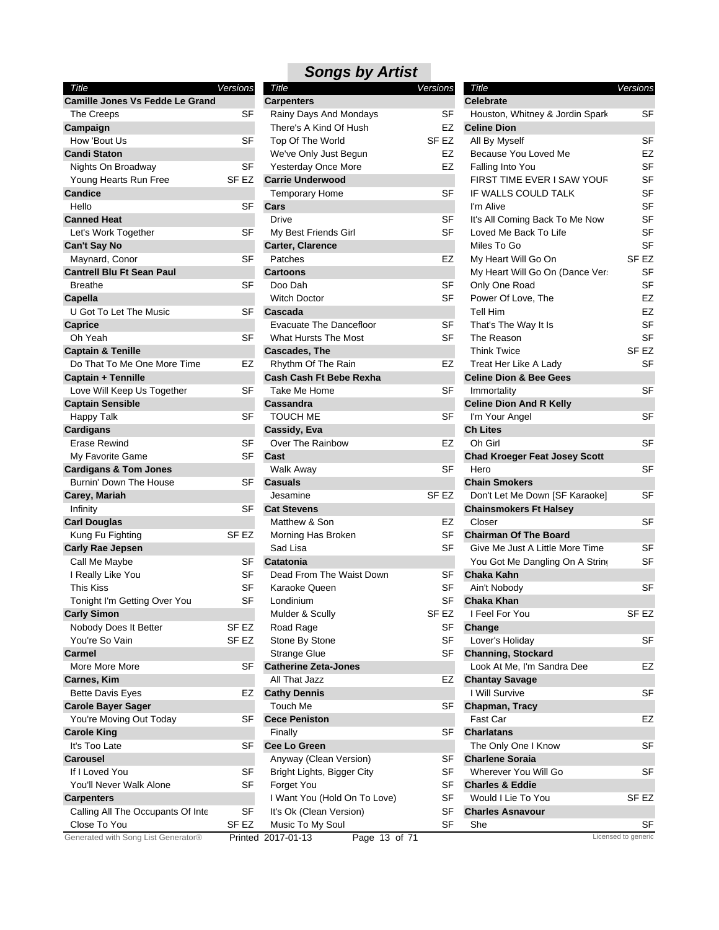| Title                                            | Versions         | Title                               | Versions         | Title                                | Versions            |
|--------------------------------------------------|------------------|-------------------------------------|------------------|--------------------------------------|---------------------|
| <b>Camille Jones Vs Fedde Le Grand</b>           |                  | <b>Carpenters</b>                   |                  | <b>Celebrate</b>                     |                     |
| The Creeps                                       | SF               | Rainy Days And Mondays              | SF               | Houston, Whitney & Jordin Spark      | <b>SF</b>           |
| Campaign                                         |                  | There's A Kind Of Hush              | EZ               | <b>Celine Dion</b>                   |                     |
| How 'Bout Us                                     | SF               | Top Of The World                    | SF EZ            | All By Myself                        | <b>SF</b>           |
| <b>Candi Staton</b>                              |                  | We've Only Just Begun               | EZ               | Because You Loved Me                 | EZ                  |
| Nights On Broadway                               | <b>SF</b>        | Yesterday Once More                 | <b>EZ</b>        | Falling Into You                     | <b>SF</b>           |
| Young Hearts Run Free                            | SF <sub>EZ</sub> | <b>Carrie Underwood</b>             |                  | FIRST TIME EVER I SAW YOUR           | <b>SF</b>           |
| Candice                                          |                  | Temporary Home                      | SF               | IF WALLS COULD TALK                  | <b>SF</b>           |
| Hello                                            | <b>SF</b>        | Cars                                |                  | I'm Alive                            | <b>SF</b>           |
| <b>Canned Heat</b>                               |                  | <b>Drive</b>                        | SF               | It's All Coming Back To Me Now       | <b>SF</b>           |
| Let's Work Together                              | <b>SF</b>        | My Best Friends Girl                | SF               | Loved Me Back To Life                | <b>SF</b>           |
| Can't Say No                                     |                  | Carter, Clarence                    |                  | Miles To Go                          | <b>SF</b>           |
| Maynard, Conor                                   | <b>SF</b>        | Patches                             | EZ               | My Heart Will Go On                  | SF <sub>EZ</sub>    |
| <b>Cantrell Blu Ft Sean Paul</b>                 |                  | <b>Cartoons</b>                     |                  | My Heart Will Go On (Dance Ver:      | <b>SF</b>           |
| <b>Breathe</b>                                   | SF               | Doo Dah                             | SF               | Only One Road                        | <b>SF</b>           |
| Capella                                          |                  | <b>Witch Doctor</b>                 | SF               | Power Of Love, The                   | EZ                  |
| U Got To Let The Music                           | SF               | Cascada                             |                  | <b>Tell Him</b>                      | EZ                  |
| <b>Caprice</b>                                   |                  | <b>Evacuate The Dancefloor</b>      | <b>SF</b>        | That's The Way It Is                 | <b>SF</b>           |
| Oh Yeah                                          | <b>SF</b>        | <b>What Hursts The Most</b>         | SF               | The Reason                           | <b>SF</b>           |
| <b>Captain &amp; Tenille</b>                     |                  | <b>Cascades, The</b>                |                  | <b>Think Twice</b>                   | SF <sub>EZ</sub>    |
| Do That To Me One More Time                      | EZ               | Rhythm Of The Rain                  | EZ               | Treat Her Like A Lady                | <b>SF</b>           |
|                                                  |                  |                                     |                  | <b>Celine Dion &amp; Bee Gees</b>    |                     |
| Captain + Tennille<br>Love Will Keep Us Together | <b>SF</b>        | Cash Cash Ft Bebe Rexha             |                  |                                      | <b>SF</b>           |
|                                                  |                  | Take Me Home                        | SF               | Immortality                          |                     |
| <b>Captain Sensible</b>                          |                  | Cassandra<br><b>TOUCH ME</b>        |                  | <b>Celine Dion And R Kelly</b>       | <b>SF</b>           |
| <b>Happy Talk</b>                                | SF               |                                     | SF               | I'm Your Angel                       |                     |
| <b>Cardigans</b>                                 |                  | Cassidy, Eva                        |                  | <b>Ch Lites</b>                      |                     |
| Erase Rewind                                     | <b>SF</b>        | Over The Rainbow                    | EZ               | Oh Girl                              | <b>SF</b>           |
| My Favorite Game                                 | <b>SF</b>        | Cast                                |                  | <b>Chad Kroeger Feat Josey Scott</b> |                     |
| <b>Cardigans &amp; Tom Jones</b>                 |                  | <b>Walk Away</b>                    | <b>SF</b>        | Hero                                 | <b>SF</b>           |
| Burnin' Down The House                           | SF               | <b>Casuals</b>                      |                  | <b>Chain Smokers</b>                 |                     |
| Carey, Mariah                                    |                  | Jesamine                            | SF <sub>EZ</sub> | Don't Let Me Down [SF Karaoke]       | <b>SF</b>           |
| Infinity                                         | SF               | <b>Cat Stevens</b>                  |                  | <b>Chainsmokers Ft Halsey</b>        |                     |
| <b>Carl Douglas</b>                              |                  | Matthew & Son                       | EZ               | Closer                               | <b>SF</b>           |
| Kung Fu Fighting                                 | SF EZ            | Morning Has Broken                  | SF               | <b>Chairman Of The Board</b>         |                     |
| <b>Carly Rae Jepsen</b>                          |                  | Sad Lisa                            | <b>SF</b>        | Give Me Just A Little More Time      | <b>SF</b>           |
| Call Me Maybe                                    | SF               | Catatonia                           |                  | You Got Me Dangling On A String      | <b>SF</b>           |
| I Really Like You                                | <b>SF</b>        | Dead From The Waist Down            | SF               | Chaka Kahn                           |                     |
| This Kiss                                        | <b>SF</b>        | Karaoke Queen                       | <b>SF</b>        | Ain't Nobody                         | <b>SF</b>           |
| Tonight I'm Getting Over You                     | <b>SF</b>        | Londinium                           | SF               | <b>Chaka Khan</b>                    |                     |
| <b>Carly Simon</b>                               |                  | Mulder & Scully                     | SF <sub>EZ</sub> | I Feel For You                       | SF <sub>EZ</sub>    |
| Nobody Does It Better                            | SF EZ            | Road Rage                           | SF               | Change                               |                     |
| You're So Vain                                   | SF EZ            | Stone By Stone                      | <b>SF</b>        | Lover's Holiday                      | SF                  |
| Carmel                                           |                  | Strange Glue                        | <b>SF</b>        | <b>Channing, Stockard</b>            |                     |
| More More More                                   | SF               | <b>Catherine Zeta-Jones</b>         |                  | Look At Me, I'm Sandra Dee           | EZ                  |
| Carnes, Kim                                      |                  | All That Jazz                       | EZ               | <b>Chantay Savage</b>                |                     |
| <b>Bette Davis Eyes</b>                          | EZ               | <b>Cathy Dennis</b>                 |                  | I Will Survive                       | SF                  |
| <b>Carole Bayer Sager</b>                        |                  | Touch Me                            | SF               | Chapman, Tracy                       |                     |
| You're Moving Out Today                          | SF               | <b>Cece Peniston</b>                |                  | Fast Car                             | EZ                  |
| <b>Carole King</b>                               |                  | Finally                             | SF               | <b>Charlatans</b>                    |                     |
| It's Too Late                                    | <b>SF</b>        | <b>Cee Lo Green</b>                 |                  | The Only One I Know                  | SF                  |
| <b>Carousel</b>                                  |                  | Anyway (Clean Version)              | <b>SF</b>        | <b>Charlene Soraia</b>               |                     |
| If I Loved You                                   | <b>SF</b>        | Bright Lights, Bigger City          | <b>SF</b>        | Wherever You Will Go                 | SF                  |
| You'll Never Walk Alone                          | <b>SF</b>        | Forget You                          | SF               | <b>Charles &amp; Eddie</b>           |                     |
| <b>Carpenters</b>                                |                  | I Want You (Hold On To Love)        | SF               | Would I Lie To You                   | SF <sub>EZ</sub>    |
| Calling All The Occupants Of Inte                | SF               | It's Ok (Clean Version)             | <b>SF</b>        | <b>Charles Asnavour</b>              |                     |
| Close To You                                     | SF EZ            | Music To My Soul                    | SF               | She                                  | SF                  |
| Generated with Song List Generator®              |                  | Printed 2017-01-13<br>Page 13 of 71 |                  |                                      | Licensed to generic |
|                                                  |                  |                                     |                  |                                      |                     |

| Title                             | Versions |
|-----------------------------------|----------|
| <b>Carpenters</b>                 |          |
| Rainy Days And Mondays            | SF       |
| There's A Kind Of Hush            | EZ       |
| Top Of The World                  | SF EZ    |
| We've Only Just Begun             | EZ       |
| Yesterday Once More               | EZ       |
| <b>Carrie Underwood</b>           |          |
| <b>Temporary Home</b>             | SF       |
| Cars                              |          |
| Drive                             | SF       |
| My Best Friends Girl              | SF       |
| Carter, Clarence                  |          |
| Patches                           | EZ       |
| <b>Cartoons</b>                   |          |
| Doo Dah                           | SF       |
| <b>Witch Doctor</b>               | SF       |
| Cascada                           |          |
| Evacuate The Dancefloor           | SF       |
| What Hursts The Most              | SF       |
| <b>Cascades, The</b>              |          |
| Rhythm Of The Rain                | EZ       |
| <b>Cash Cash Ft Bebe Rexha</b>    |          |
| Take Me Home                      | SF       |
| Cassandra                         |          |
| TOUCH ME                          | SF       |
| Cassidy, Eva                      |          |
| Over The Rainbow                  | EZ       |
| Cast                              |          |
| Walk Away                         | SF       |
| <b>Casuals</b>                    |          |
| Jesamine                          | SF EZ    |
| <b>Cat Stevens</b>                |          |
| Matthew & Son                     | EZ       |
| Morning Has Broken                | SF       |
| Sad Lisa                          | SF       |
| Catatonia                         |          |
| Dead From The Waist Down          | SF       |
| Karaoke Queen                     | SF       |
| Londinium                         | SF       |
|                                   |          |
| Mulder & Scully                   | SF EZ    |
| Road Rage                         | SF       |
| Stone By Stone                    | SF       |
| <b>Strange Glue</b>               | SF       |
| <b>Catherine Zeta-Jones</b>       |          |
| All That Jazz                     | EZ       |
| <b>Cathy Dennis</b>               |          |
| Touch Me                          | SF       |
| <b>Cece Peniston</b>              |          |
| Finally                           | SF       |
| Cee Lo Green                      |          |
| Anyway (Clean Version)            | SF       |
| Bright Lights, Bigger City        | SF       |
| Forget You                        | SF       |
| I Want You (Hold On To Love)      | SF       |
| It's Ok (Clean Version)           | SF       |
| Music To My Soul                  | SF       |
| Dage 13 of 71<br>$2017 - 01 - 13$ |          |

| <i>sulys by Arust</i>                            |           |                                                       |                  |
|--------------------------------------------------|-----------|-------------------------------------------------------|------------------|
| Title                                            | Versions  | Title                                                 | Versions         |
| arpenters                                        | SF        | <b>Celebrate</b>                                      | SF               |
| Rainy Days And Mondays<br>There's A Kind Of Hush | EZ        | Houston, Whitney & Jordin Spark<br><b>Celine Dion</b> |                  |
| Top Of The World                                 | SF EZ     | All By Myself                                         | SF               |
| We've Only Just Begun                            | EZ        | Because You Loved Me                                  | EZ               |
| Yesterday Once More                              | EZ        | Falling Into You                                      | SF               |
| arrie Underwood:                                 |           | FIRST TIME EVER I SAW YOUR                            | SF               |
| <b>Temporary Home</b>                            | SF        | IF WALLS COULD TALK                                   | SF               |
| ars                                              |           | I'm Alive                                             | SF               |
| Drive                                            | <b>SF</b> | It's All Coming Back To Me Now                        | SF               |
| My Best Friends Girl                             | <b>SF</b> | Loved Me Back To Life                                 | SF               |
| arter, Clarence                                  |           | Miles To Go                                           | SF               |
| Patches                                          | EZ        | My Heart Will Go On                                   | SF <sub>EZ</sub> |
| ∶artoons                                         |           | My Heart Will Go On (Dance Ver:                       | SF               |
| Doo Dah                                          | SF        | Only One Road                                         | SF               |
| <b>Witch Doctor</b>                              | <b>SF</b> | Power Of Love, The                                    | EZ               |
| ∶ascada                                          |           | <b>Tell Him</b>                                       | EZ               |
| <b>Evacuate The Dancefloor</b>                   | SF        | That's The Way It Is                                  | SF               |
| What Hursts The Most                             | SF        | The Reason                                            | SF               |
| ascades, The                                     |           | <b>Think Twice</b>                                    | SF EZ            |
| Rhythm Of The Rain                               | EZ        | Treat Her Like A Lady                                 | SF               |
| ∶ash Cash Ft Bebe Rexha                          |           | <b>Celine Dion &amp; Bee Gees</b>                     |                  |
| Take Me Home                                     | SF        | Immortality                                           | SF               |
| assandra                                         |           | <b>Celine Dion And R Kelly</b>                        |                  |
| TOUCH ME                                         | SF        | I'm Your Angel                                        | SF               |
| ∶assidy, Eva                                     |           | <b>Ch Lites</b>                                       |                  |
| Over The Rainbow                                 | EZ        | Oh Girl                                               | SF               |
| αst                                              |           | <b>Chad Kroeger Feat Josey Scott</b>                  |                  |
| Walk Away                                        | SF        | Hero                                                  | SF               |
| ∶asuals                                          |           | <b>Chain Smokers</b>                                  |                  |
| Jesamine                                         | SF EZ     | Don't Let Me Down [SF Karaoke]                        | SF               |
| at Stevens                                       |           | <b>Chainsmokers Ft Halsey</b>                         |                  |
| Matthew & Son                                    | EZ        | Closer                                                | SF               |
| Morning Has Broken                               | SF        | <b>Chairman Of The Board</b>                          |                  |
| Sad Lisa                                         | SF        | Give Me Just A Little More Time                       | SF               |
| atatonia                                         |           | You Got Me Dangling On A String                       | SF               |
| Dead From The Waist Down                         | SF        | Chaka Kahn                                            |                  |
| Karaoke Queen                                    | SF        | Ain't Nobody                                          | SF               |
| Londinium                                        | SF        | <b>Chaka Khan</b>                                     |                  |
| Mulder & Scully                                  | SF EZ     | I Feel For You                                        | SF EZ            |
| Road Rage                                        | <b>SF</b> | Change                                                |                  |
| Stone By Stone                                   | SF        | Lover's Holiday                                       | SF               |
| Strange Glue                                     | SF        | <b>Channing, Stockard</b>                             |                  |
| atherine Zeta-Jones                              |           | Look At Me, I'm Sandra Dee                            | EZ               |
| All That Jazz                                    | EZ        | <b>Chantay Savage</b>                                 |                  |
| athy Dennis                                      |           | I Will Survive                                        | SF               |
| Touch Me                                         | SF        | Chapman, Tracy                                        |                  |
| ece Peniston                                     |           | Fast Car                                              | EZ               |
| Finally                                          | SF        | <b>Charlatans</b>                                     |                  |
| ee Lo Green                                      |           | The Only One I Know                                   | SF               |
| Anyway (Clean Version)                           | SF        | <b>Charlene Soraia</b>                                |                  |
| Bright Lights, Bigger City                       | SF        | Wherever You Will Go                                  | SF               |
| Forget You                                       | SF        | <b>Charles &amp; Eddie</b>                            |                  |
| I Want You (Hold On To Love)                     | SF        | Would I Lie To You                                    | SF EZ            |
| It's Ok (Clean Version)                          | SF        | <b>Charles Asnavour</b>                               |                  |
| Music To My Soul                                 | <b>SF</b> | She                                                   | <b>SF</b>        |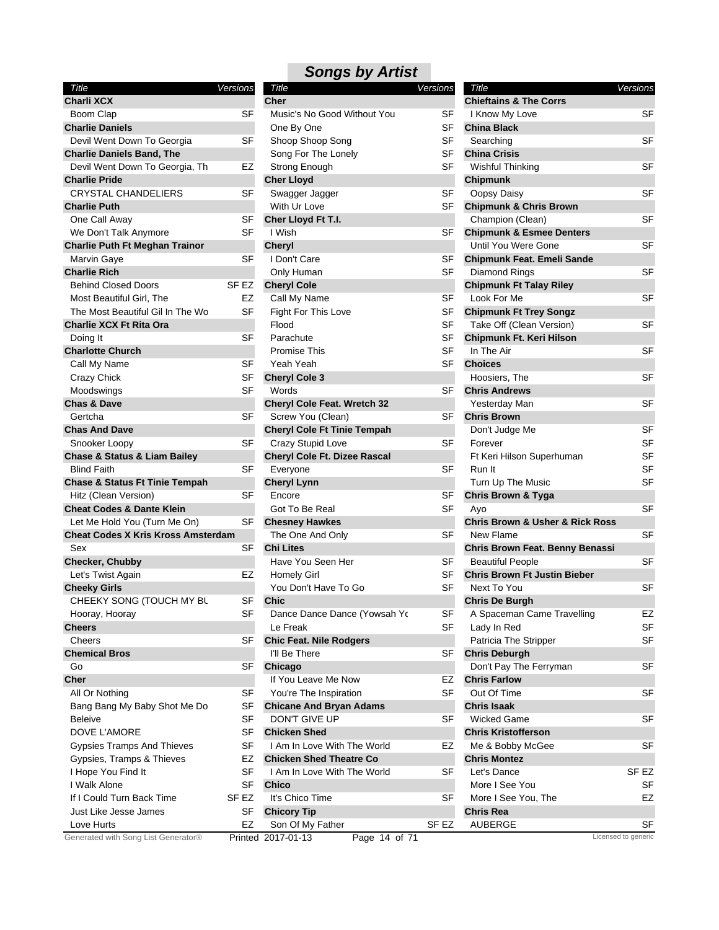### *Songs by Artist Title Versions*

| Title                                       | Versions  |
|---------------------------------------------|-----------|
| <b>Charli XCX</b>                           |           |
| Boom Clap                                   | SF        |
| <b>Charlie Daniels</b>                      |           |
| Devil Went Down To Georgia                  | SF        |
| <b>Charlie Daniels Band, The</b>            |           |
| Devil Went Down To Georgia, Th              | EZ        |
| <b>Charlie Pride</b>                        |           |
| <b>CRYSTAL CHANDELIERS</b>                  | SF        |
| <b>Charlie Puth</b>                         |           |
| One Call Away                               | SF        |
| We Don't Talk Anymore                       | SF        |
| <b>Charlie Puth Ft Meghan Trainor</b>       |           |
| Marvin Gaye                                 | SF        |
| <b>Charlie Rich</b>                         |           |
| <b>Behind Closed Doors</b>                  | SF EZ     |
| Most Beautiful Girl, The                    | EZ        |
| The Most Beautiful Gil In The Wo            | SF        |
| <b>Charlie XCX Ft Rita Ora</b>              |           |
| Doing It                                    | SF        |
| <b>Charlotte Church</b>                     |           |
| Call My Name                                | SF        |
| Crazy Chick                                 | SF        |
| Moodswings                                  | <b>SF</b> |
| <b>Chas &amp; Dave</b>                      |           |
| Gertcha                                     | SF        |
| <b>Chas And Dave</b>                        |           |
| Snooker Loopy                               | SF        |
| <b>Chase &amp; Status &amp; Liam Bailey</b> |           |
| <b>Blind Faith</b>                          | SF        |
| <b>Chase &amp; Status Ft Tinie Tempah</b>   |           |
| Hitz (Clean Version)                        | SF        |
| <b>Cheat Codes &amp; Dante Klein</b>        |           |
| Let Me Hold You (Turn Me On)                | SF        |
| <b>Cheat Codes X Kris Kross Amsterdam</b>   |           |
| Sex                                         | SF        |
| Checker, Chubby                             |           |
| Let's Twist Again                           | EZ        |
| <b>Cheeky Girls</b>                         |           |
| CHEEKY SONG (TOUCH MY BL                    | SF        |
| Hooray, Hooray                              | SF        |
| <b>Cheers</b>                               |           |
| Cheers                                      | SF        |
| <b>Chemical Bros</b>                        |           |
| Go                                          | SF        |
| Cher                                        |           |
| All Or Nothing                              | SF        |
| Bang Bang My Baby Shot Me Do                | SF        |
| <b>Beleive</b>                              | <b>SF</b> |
| DOVE L'AMORE                                | SF        |
| <b>Gypsies Tramps And Thieves</b>           | SF        |
| Gypsies, Tramps & Thieves                   | EZ        |
| I Hope You Find It                          | SF        |
| I Walk Alone                                | SF        |
| If I Could Turn Back Time                   | SF EZ     |
| Just Like Jesse James                       | SF        |
| Love Hurts                                  | EZ        |
| Generated with Song List Generator®         | Printe    |
|                                             |           |

| Charli XCX                                  |           | <b>Cher</b>                         |                  | <b>Chieftains &amp; The Corrs</b>              |                     |
|---------------------------------------------|-----------|-------------------------------------|------------------|------------------------------------------------|---------------------|
| Boom Clap                                   | SF        | Music's No Good Without You         | SF               | I Know My Love                                 | SF                  |
| <b>Charlie Daniels</b>                      |           | One By One                          | <b>SF</b>        | <b>China Black</b>                             |                     |
| Devil Went Down To Georgia                  | SF        | Shoop Shoop Song                    | SF               | Searching                                      | <b>SF</b>           |
| <b>Charlie Daniels Band, The</b>            |           | Song For The Lonely                 | <b>SF</b>        | <b>China Crisis</b>                            |                     |
| Devil Went Down To Georgia, Th              | EZ        | Strong Enough                       | <b>SF</b>        | <b>Wishful Thinking</b>                        | SF                  |
| <b>Charlie Pride</b>                        |           | <b>Cher Lloyd</b>                   |                  | Chipmunk                                       |                     |
| <b>CRYSTAL CHANDELIERS</b>                  | SF        | Swagger Jagger                      | <b>SF</b>        | Oopsy Daisy                                    | <b>SF</b>           |
| Charlie Puth                                |           | With Ur Love                        | SF               | <b>Chipmunk &amp; Chris Brown</b>              |                     |
| One Call Away                               | <b>SF</b> | Cher Lloyd Ft T.I.                  |                  | Champion (Clean)                               | <b>SF</b>           |
| We Don't Talk Anymore                       | SF        | I Wish                              | SF               | <b>Chipmunk &amp; Esmee Denters</b>            |                     |
| <b>Charlie Puth Ft Meghan Trainor</b>       |           | <b>Cheryl</b>                       |                  | Until You Were Gone                            | SF                  |
| Marvin Gaye                                 | SF        | I Don't Care                        | SF               | <b>Chipmunk Feat. Emeli Sande</b>              |                     |
| Charlie Rich                                |           | Only Human                          | <b>SF</b>        | Diamond Rings                                  | SF                  |
| <b>Behind Closed Doors</b>                  | SF EZ     | <b>Cheryl Cole</b>                  |                  | <b>Chipmunk Ft Talay Riley</b>                 |                     |
| Most Beautiful Girl, The                    | EZ        |                                     | <b>SF</b>        | Look For Me                                    | <b>SF</b>           |
|                                             |           | Call My Name                        |                  |                                                |                     |
| The Most Beautiful Gil In The Wo            | SF        | Fight For This Love                 | SF               | <b>Chipmunk Ft Trey Songz</b>                  |                     |
| Charlie XCX Ft Rita Ora                     |           | Flood                               | <b>SF</b>        | Take Off (Clean Version)                       | <b>SF</b>           |
| Doing It                                    | <b>SF</b> | Parachute                           | SF               | Chipmunk Ft. Keri Hilson                       |                     |
| <b>Charlotte Church</b>                     |           | <b>Promise This</b>                 | <b>SF</b>        | In The Air                                     | SF                  |
| Call My Name                                | SF        | Yeah Yeah                           | <b>SF</b>        | <b>Choices</b>                                 |                     |
| <b>Crazy Chick</b>                          | <b>SF</b> | <b>Cheryl Cole 3</b>                |                  | Hoosiers, The                                  | <b>SF</b>           |
| Moodswings                                  | SF        | Words                               | SF               | <b>Chris Andrews</b>                           |                     |
| <b>Chas &amp; Dave</b>                      |           | <b>Cheryl Cole Feat. Wretch 32</b>  |                  | Yesterday Man                                  | <b>SF</b>           |
| Gertcha                                     | SF        | Screw You (Clean)                   | SF               | <b>Chris Brown</b>                             |                     |
| <b>Chas And Dave</b>                        |           | <b>Cheryl Cole Ft Tinie Tempah</b>  |                  | Don't Judge Me                                 | <b>SF</b>           |
| Snooker Loopy                               | SF        | Crazy Stupid Love                   | SF               | Forever                                        | <b>SF</b>           |
| <b>Chase &amp; Status &amp; Liam Bailey</b> |           | Cheryl Cole Ft. Dizee Rascal        |                  | Ft Keri Hilson Superhuman                      | SF                  |
| <b>Blind Faith</b>                          | <b>SF</b> | Everyone                            | <b>SF</b>        | Run It                                         | SF                  |
| <b>Chase &amp; Status Ft Tinie Tempah</b>   |           | <b>Cheryl Lynn</b>                  |                  | Turn Up The Music                              | SF                  |
| Hitz (Clean Version)                        | <b>SF</b> | Encore                              | SF               | <b>Chris Brown &amp; Tyga</b>                  |                     |
| <b>Cheat Codes &amp; Dante Klein</b>        |           | Got To Be Real                      | SF               | Ayo                                            | SF                  |
| Let Me Hold You (Turn Me On)                | <b>SF</b> | <b>Chesney Hawkes</b>               |                  | <b>Chris Brown &amp; Usher &amp; Rick Ross</b> |                     |
| <b>Cheat Codes X Kris Kross Amsterdam</b>   |           | The One And Only                    | SF               | New Flame                                      | <b>SF</b>           |
| Sex                                         | SF        | <b>Chi Lites</b>                    |                  | Chris Brown Feat. Benny Benassi                |                     |
| Checker, Chubby                             |           | Have You Seen Her                   | SF               | <b>Beautiful People</b>                        | <b>SF</b>           |
| Let's Twist Again                           | EZ        | <b>Homely Girl</b>                  | SF               | <b>Chris Brown Ft Justin Bieber</b>            |                     |
| <b>Cheeky Girls</b>                         |           | You Don't Have To Go                | SF               | Next To You                                    | SF                  |
| CHEEKY SONG (TOUCH MY BL                    | SF        | <b>Chic</b>                         |                  | <b>Chris De Burgh</b>                          |                     |
| Hooray, Hooray                              | SF        | Dance Dance Dance (Yowsah Yo        | SF               | A Spaceman Came Travelling                     | EZ                  |
| Cheers                                      |           | Le Freak                            | SF               | Lady In Red                                    | SF                  |
| Cheers                                      | SF        | <b>Chic Feat. Nile Rodgers</b>      |                  | Patricia The Stripper                          | SF                  |
| <b>Chemical Bros</b>                        |           | I'll Be There                       | SF               | <b>Chris Deburgh</b>                           |                     |
| Go                                          | <b>SF</b> | Chicago                             |                  |                                                | SF                  |
|                                             |           | If You Leave Me Now                 |                  | Don't Pay The Ferryman                         |                     |
| Cher                                        | <b>SF</b> |                                     | EZ               | <b>Chris Farlow</b>                            | SF                  |
| All Or Nothing                              |           | You're The Inspiration              | SF               | Out Of Time                                    |                     |
| Bang Bang My Baby Shot Me Do                | SF        | <b>Chicane And Bryan Adams</b>      |                  | Chris Isaak                                    |                     |
| Beleive                                     | <b>SF</b> | DON'T GIVE UP                       | <b>SF</b>        | <b>Wicked Game</b>                             | SF                  |
| DOVE L'AMORE                                | <b>SF</b> | <b>Chicken Shed</b>                 |                  | <b>Chris Kristofferson</b>                     |                     |
| <b>Gypsies Tramps And Thieves</b>           | <b>SF</b> | I Am In Love With The World         | EZ               | Me & Bobby McGee                               | SF                  |
| Gypsies, Tramps & Thieves                   | EZ        | <b>Chicken Shed Theatre Co</b>      |                  | <b>Chris Montez</b>                            |                     |
| I Hope You Find It                          | <b>SF</b> | I Am In Love With The World         | <b>SF</b>        | Let's Dance                                    | SF <sub>EZ</sub>    |
| I Walk Alone                                | SF        | <b>Chico</b>                        |                  | More I See You                                 | SF                  |
| If I Could Turn Back Time                   | SF EZ     | It's Chico Time                     | <b>SF</b>        | More I See You, The                            | EZ                  |
| Just Like Jesse James                       | SF        | <b>Chicory Tip</b>                  |                  | Chris Rea                                      |                     |
| Love Hurts                                  | EZ        | Son Of My Father                    | SF <sub>EZ</sub> | <b>AUBERGE</b>                                 | SF                  |
| Generated with Song List Generator®         |           | Printed 2017-01-13<br>Page 14 of 71 |                  |                                                | Licensed to generic |
|                                             |           |                                     |                  |                                                |                     |

| ions      | Title<br><b>Chieftains &amp; The Corrs</b>     | Versions |           |
|-----------|------------------------------------------------|----------|-----------|
| SF        | I Know My Love                                 |          | SF        |
| SF        | <b>China Black</b>                             |          |           |
| SF        | Searching                                      |          | SF        |
| SF        |                                                |          |           |
|           | <b>China Crisis</b>                            |          |           |
| SF        | <b>Wishful Thinking</b>                        |          | SF        |
|           | <b>Chipmunk</b>                                |          |           |
| SF        | Oopsy Daisy                                    |          | SF        |
| SF        | <b>Chipmunk &amp; Chris Brown</b>              |          |           |
|           | Champion (Clean)                               |          | SF        |
| SF        | <b>Chipmunk &amp; Esmee Denters</b>            |          |           |
|           | Until You Were Gone                            |          | SF        |
| SF        | <b>Chipmunk Feat. Emeli Sande</b>              |          |           |
| SF        | Diamond Rings                                  |          | SF        |
|           | <b>Chipmunk Ft Talay Riley</b>                 |          |           |
| SF        | Look For Me                                    |          | SF        |
| SF        | <b>Chipmunk Ft Trey Songz</b>                  |          |           |
| SF        | Take Off (Clean Version)                       |          | SF        |
| SF        | Chipmunk Ft. Keri Hilson                       |          |           |
| SF        | In The Air                                     |          | SF        |
| SF        | <b>Choices</b>                                 |          |           |
|           | Hoosiers, The                                  |          | SF        |
| SF        | <b>Chris Andrews</b>                           |          |           |
|           | Yesterday Man                                  |          | SF        |
| SF        | <b>Chris Brown</b>                             |          |           |
|           | Don't Judge Me                                 |          | SF        |
| SF        | Forever                                        |          | SF        |
|           | Ft Keri Hilson Superhuman                      |          | SF        |
| SF        | Run It                                         |          | <b>SF</b> |
|           | Turn Up The Music                              |          | <b>SF</b> |
| SF        | <b>Chris Brown &amp; Tyga</b>                  |          |           |
| SF        | Ayo                                            |          | SF        |
|           | <b>Chris Brown &amp; Usher &amp; Rick Ross</b> |          |           |
| SF        | <b>New Flame</b>                               |          | SF        |
|           | Chris Brown Feat. Benny Benassi                |          |           |
| <b>SF</b> | <b>Beautiful People</b>                        |          | SF        |
| SF        | <b>Chris Brown Ft Justin Bieber</b>            |          |           |
| SF        | Next To You                                    |          | SF        |
|           | <b>Chris De Burgh</b>                          |          |           |
| SF        |                                                |          | EZ        |
| SF        | A Spaceman Came Travelling                     |          | SF        |
|           | Lady In Red                                    |          |           |
|           | Patricia The Stripper                          |          | SF        |
| SF        | <b>Chris Deburgh</b>                           |          |           |
|           | Don't Pay The Ferryman                         |          | SF        |
| EZ        | <b>Chris Farlow</b>                            |          |           |
| SF        | Out Of Time                                    |          | SF        |
|           | <b>Chris Isaak</b>                             |          |           |
| SF        | <b>Wicked Game</b>                             |          | SF        |
|           | <b>Chris Kristofferson</b>                     |          |           |
| EZ        | Me & Bobby McGee                               |          | SF        |
|           | <b>Chris Montez</b>                            |          |           |
| SF        | Let's Dance                                    | SF EZ    |           |
|           | More I See You                                 |          | SF        |
| SF        | More I See You, The                            |          | EZ        |
|           | <b>Chris Rea</b>                               |          |           |
| EZ        | AUBERGE                                        |          | SF        |
|           | Licensed to generic                            |          |           |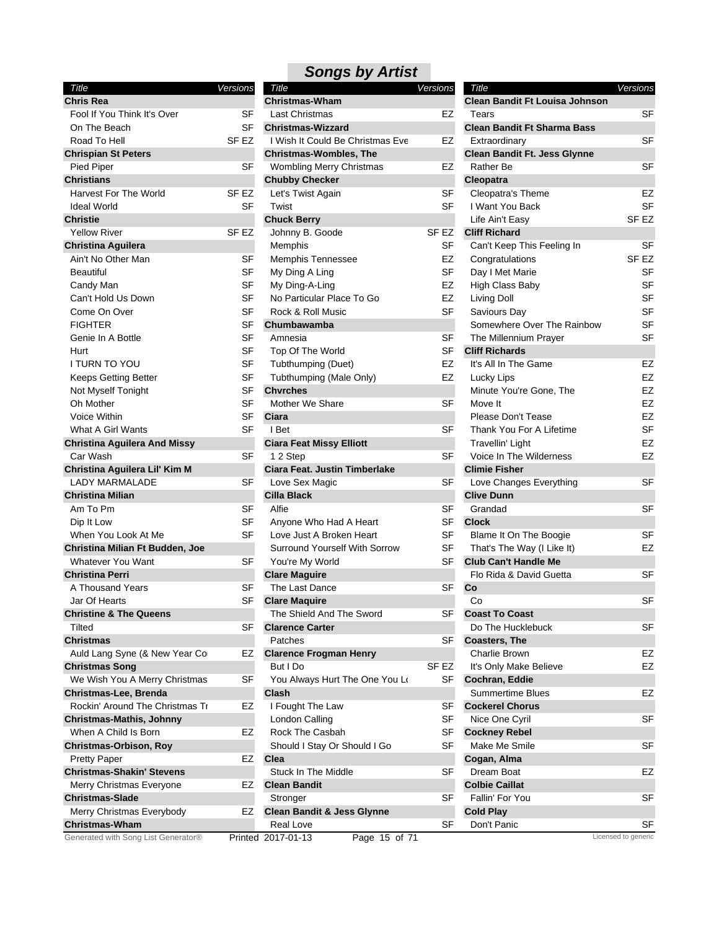| Title                               | Versions  |
|-------------------------------------|-----------|
| <b>Chris Rea</b>                    |           |
| Fool If You Think It's Over         | SF        |
| On The Beach                        | SF        |
| Road To Hell                        | SF EZ     |
| <b>Chrispian St Peters</b>          |           |
| Pied Piper                          | SF        |
| <b>Christians</b>                   |           |
| <b>Harvest For The World</b>        | SF EZ     |
| <b>Ideal World</b>                  | SF        |
| <b>Christie</b>                     |           |
| <b>Yellow River</b>                 | SF EZ     |
| <b>Christina Aquilera</b>           |           |
| Ain't No Other Man                  | SF        |
| <b>Beautiful</b>                    | SF        |
| Candy Man                           | <b>SF</b> |
| Can't Hold Us Down                  | SF        |
| Come On Over                        | SF        |
| <b>FIGHTER</b>                      | <b>SF</b> |
| Genie In A Bottle                   | SF        |
| Hurt                                | SF        |
| I TURN TO YOU                       | SF        |
| <b>Keeps Getting Better</b>         | <b>SF</b> |
| Not Myself Tonight                  | SF        |
| Oh Mother                           | SF        |
| <b>Voice Within</b>                 | SF        |
| What A Girl Wants                   | SF        |
| <b>Christina Aguilera And Missy</b> |           |
| Car Wash                            | SF        |
| Christina Aguilera Lil' Kim M       |           |
| <b>LADY MARMALADE</b>               | SF        |
| <b>Christina Milian</b>             |           |
| Am To Pm                            | <b>SF</b> |
| Dip It Low                          | SF        |
| When You Look At Me                 | SF        |
| Christina Milian Ft Budden, Joe     |           |
| <b>Whatever You Want</b>            | SF        |
| <b>Christina Perri</b>              |           |
| A Thousand Years                    | SF        |
| Jar Of Hearts                       | SF        |
| <b>Christine &amp; The Queens</b>   |           |
|                                     |           |
| Tilted                              | SF        |
| <b>Christmas</b>                    |           |
| Auld Lang Syne (& New Year Co       | EZ        |
| <b>Christmas Song</b>               |           |
| We Wish You A Merry Christmas       | SF        |
| Christmas-Lee, Brenda               |           |
| Rockin' Around The Christmas Tr     | EZ        |
| Christmas-Mathis, Johnny            |           |
| When A Child Is Born                | EZ        |
| <b>Christmas-Orbison, Roy</b>       |           |
| <b>Pretty Paper</b>                 | EZ        |
| <b>Christmas-Shakin' Stevens</b>    |           |
| Merry Christmas Everyone            | EZ        |
| <b>Christmas-Slade</b>              |           |
| Merry Christmas Everybody           | EZ        |
| <b>Christmas-Wham</b>               |           |
| Generated with Song List Generator® | Printed   |

|  | <b>Songs by Artist</b> |
|--|------------------------|
|--|------------------------|

|                      | Versions         | Title                                 | Versions         | Title                                 | <b>Versions</b>     |
|----------------------|------------------|---------------------------------------|------------------|---------------------------------------|---------------------|
|                      |                  | <b>Christmas-Wham</b>                 |                  | <b>Clean Bandit Ft Louisa Johnson</b> |                     |
| Think It's Over      | SF               | <b>Last Christmas</b>                 | EZ               | Tears                                 | <b>SF</b>           |
| ıch                  | <b>SF</b>        | <b>Christmas-Wizzard</b>              |                  | <b>Clean Bandit Ft Sharma Bass</b>    |                     |
| ٠II                  | SF EZ            | I Wish It Could Be Christmas Eve      | EZ               | Extraordinary                         | <b>SF</b>           |
| <b>Peters</b>        |                  | <b>Christmas-Wombles, The</b>         |                  | <b>Clean Bandit Ft. Jess Glynne</b>   |                     |
|                      | <b>SF</b>        | <b>Wombling Merry Christmas</b>       | EZ               | Rather Be                             | <b>SF</b>           |
|                      |                  | <b>Chubby Checker</b>                 |                  | Cleopatra                             |                     |
| The World            | SF EZ            | Let's Twist Again                     | <b>SF</b>        | Cleopatra's Theme                     | EZ                  |
|                      | SF               | Twist                                 | <b>SF</b>        | I Want You Back                       | <b>SF</b>           |
|                      |                  | <b>Chuck Berry</b>                    |                  | Life Ain't Easy                       | SF <sub>EZ</sub>    |
| r                    | SF <sub>EZ</sub> | Johnny B. Goode                       | SF <sub>EZ</sub> | <b>Cliff Richard</b>                  |                     |
| uilera               |                  | Memphis                               | <b>SF</b>        | Can't Keep This Feeling In            | <b>SF</b>           |
| er Man               | <b>SF</b>        | <b>Memphis Tennessee</b>              | EZ               | Congratulations                       | SF <sub>EZ</sub>    |
|                      | <b>SF</b>        | My Ding A Ling                        | <b>SF</b>        | Day I Met Marie                       | <b>SF</b>           |
|                      | SF               | My Ding-A-Ling                        | EZ               | High Class Baby                       | <b>SF</b>           |
| Js Down              | SF               | No Particular Place To Go             | EZ               | Living Doll                           | <b>SF</b>           |
| ver                  | <b>SF</b>        | Rock & Roll Music                     | <b>SF</b>        | Saviours Day                          | <b>SF</b>           |
|                      | <b>SF</b>        | Chumbawamba                           |                  | Somewhere Over The Rainbow            | <b>SF</b>           |
| 3ottle               | <b>SF</b>        | Amnesia                               | <b>SF</b>        | The Millennium Prayer                 | <b>SF</b>           |
|                      | <b>SF</b>        | Top Of The World                      | <b>SF</b>        | <b>Cliff Richards</b>                 |                     |
| YOU                  | <b>SF</b>        | Tubthumping (Duet)                    | EZ               | It's All In The Game                  | EZ                  |
| ng Better            | SF               | Tubthumping (Male Only)               | EZ               | Lucky Lips                            | EZ                  |
| <b>Fonight</b>       | <b>SF</b>        | <b>Chvrches</b>                       |                  | Minute You're Gone, The               | EZ                  |
|                      | <b>SF</b>        | Mother We Share                       | SF               | Move It                               | EZ                  |
|                      | <b>SF</b>        |                                       |                  |                                       | <b>EZ</b>           |
|                      | <b>SF</b>        | Ciara                                 |                  | Please Don't Tease                    | <b>SF</b>           |
| Wants                |                  | I Bet                                 | SF               | Thank You For A Lifetime              |                     |
| uilera And Missy     |                  | <b>Ciara Feat Missy Elliott</b>       |                  | <b>Travellin' Light</b>               | EZ                  |
|                      | <b>SF</b>        | 1 2 Step                              | <b>SF</b>        | Voice In The Wilderness               | EZ                  |
| uilera Lil' Kim M    |                  | Ciara Feat. Justin Timberlake         |                  | <b>Climie Fisher</b>                  |                     |
| <b>MALADE</b>        | <b>SF</b>        | Love Sex Magic                        | <b>SF</b>        | Love Changes Everything               | SF                  |
| lian                 |                  | <b>Cilla Black</b>                    |                  | <b>Clive Dunn</b>                     |                     |
|                      | <b>SF</b>        | Alfie                                 | <b>SF</b>        | Grandad                               | <b>SF</b>           |
|                      | <b>SF</b>        | Anyone Who Had A Heart                | <b>SF</b>        | <b>Clock</b>                          |                     |
| ook At Me.           | <b>SF</b>        | Love Just A Broken Heart              | <b>SF</b>        | Blame It On The Boogie                | <b>SF</b>           |
| lian Ft Budden, Joe  |                  | <b>Surround Yourself With Sorrow</b>  | <b>SF</b>        | That's The Way (I Like It)            | EZ                  |
| ou Want              | <b>SF</b>        | You're My World                       | <b>SF</b>        | <b>Club Can't Handle Me</b>           |                     |
| rri                  |                  | <b>Clare Maguire</b>                  |                  | Flo Rida & David Guetta               | <b>SF</b>           |
| l Years              | SF               | The Last Dance                        | <b>SF</b>        | Co                                    |                     |
| ts                   | <b>SF</b>        | <b>Clare Maquire</b>                  |                  | Co                                    | <b>SF</b>           |
| The Queens           |                  | The Shield And The Sword              | <b>SF</b>        | <b>Coast To Coast</b>                 |                     |
|                      | SF               | <b>Clarence Carter</b>                |                  | Do The Hucklebuck                     | SF                  |
|                      |                  | Patches                               | SF               | <b>Coasters, The</b>                  |                     |
| iyne (& New Year Co  | EZ               | <b>Clarence Frogman Henry</b>         |                  | Charlie Brown                         | EZ                  |
| ong                  |                  | But I Do                              | SF EZ            | It's Only Make Believe                | EZ                  |
| ou A Merry Christmas | SF               | You Always Hurt The One You Lo        | SF               | Cochran, Eddie                        |                     |
| ee, Brenda           |                  | Clash                                 |                  | Summertime Blues                      | EZ                  |
| und The Christmas Tr | EZ               | I Fought The Law                      | SF               | <b>Cockerel Chorus</b>                |                     |
| lathis, Johnny       |                  | London Calling                        | SF               | Nice One Cyril                        | SF                  |
| ld Is Born           | EZ               | Rock The Casbah                       | <b>SF</b>        | <b>Cockney Rebel</b>                  |                     |
| rbison, Roy          |                  | Should I Stay Or Should I Go          | <b>SF</b>        | Make Me Smile                         | SF                  |
|                      | EZ               | Clea                                  |                  | Cogan, Alma                           |                     |
| hakin' Stevens       |                  | Stuck In The Middle                   | SF               | Dream Boat                            | EZ                  |
| tmas Everyone        | EZ               | <b>Clean Bandit</b>                   |                  | <b>Colbie Caillat</b>                 |                     |
| lade                 |                  | Stronger                              | SF               | Fallin' For You                       | <b>SF</b>           |
| tmas Everybody       | EZ               | <b>Clean Bandit &amp; Jess Glynne</b> |                  | <b>Cold Play</b>                      |                     |
| /ham                 |                  | Real Love                             | SF               | Don't Panic                           | SF                  |
| Song List Generator® |                  | Printed 2017-01-13<br>Page 15 of 71   |                  |                                       | Licensed to generic |
|                      |                  |                                       |                  |                                       |                     |

| Title                                       | <b>Versions</b> |
|---------------------------------------------|-----------------|
| <b>Clean Bandit Ft Louisa Johnson</b>       | SF              |
| Tears<br><b>Clean Bandit Ft Sharma Bass</b> |                 |
| Extraordinary                               | SF              |
| <b>Clean Bandit Ft. Jess Glynne</b>         |                 |
| Rather Be                                   | SF              |
| Cleopatra                                   |                 |
| Cleopatra's Theme                           | EZ              |
| I Want You Back                             | SF              |
| Life Ain't Easy                             | SF EZ           |
| <b>Cliff Richard</b>                        |                 |
| Can't Keep This Feeling In                  | SF              |
| Congratulations                             | SF EZ           |
| Day I Met Marie                             | <b>SF</b>       |
| High Class Baby                             | SF              |
| Living Doll                                 | SF              |
| Saviours Day                                | SF              |
| Somewhere Over The Rainbow                  | SF              |
| The Millennium Prayer                       | SF              |
| <b>Cliff Richards</b>                       |                 |
| It's All In The Game                        | EZ              |
| Lucky Lips                                  | EZ              |
| Minute You're Gone, The                     | EZ              |
| Move It                                     | EZ              |
| Please Don't Tease                          | EZ              |
| Thank You For A Lifetime                    | SF              |
| Travellin' Light                            | EZ              |
| Voice In The Wilderness                     | EZ              |
| <b>Climie Fisher</b>                        |                 |
| Love Changes Everything                     | SF              |
| <b>Clive Dunn</b>                           |                 |
| Grandad                                     | SF              |
| Clock                                       |                 |
| Blame It On The Boogie                      | SF              |
| That's The Way (I Like It)                  | EZ              |
| <b>Club Can't Handle Me</b>                 |                 |
| Flo Rida & David Guetta                     | SF              |
| Co                                          |                 |
| Co                                          | SF              |
| <b>Coast To Coast</b>                       |                 |
| Do The Hucklebuck                           | SF              |
| <b>Coasters, The</b>                        |                 |
| Charlie Brown                               | EZ              |
| It's Only Make Believe                      | EZ              |
| Cochran, Eddie                              |                 |
| Summertime Blues                            | EZ              |
| <b>Cockerel Chorus</b>                      |                 |
| Nice One Cyril                              | SF              |
| <b>Cockney Rebel</b>                        |                 |
| Make Me Smile                               | SF              |
| Cogan, Alma                                 |                 |
| Dream Boat                                  | EZ              |
| <b>Colbie Caillat</b>                       |                 |
| Fallin' For You                             | SF              |
| <b>Cold Play</b>                            |                 |
| Don't Panic                                 | SF              |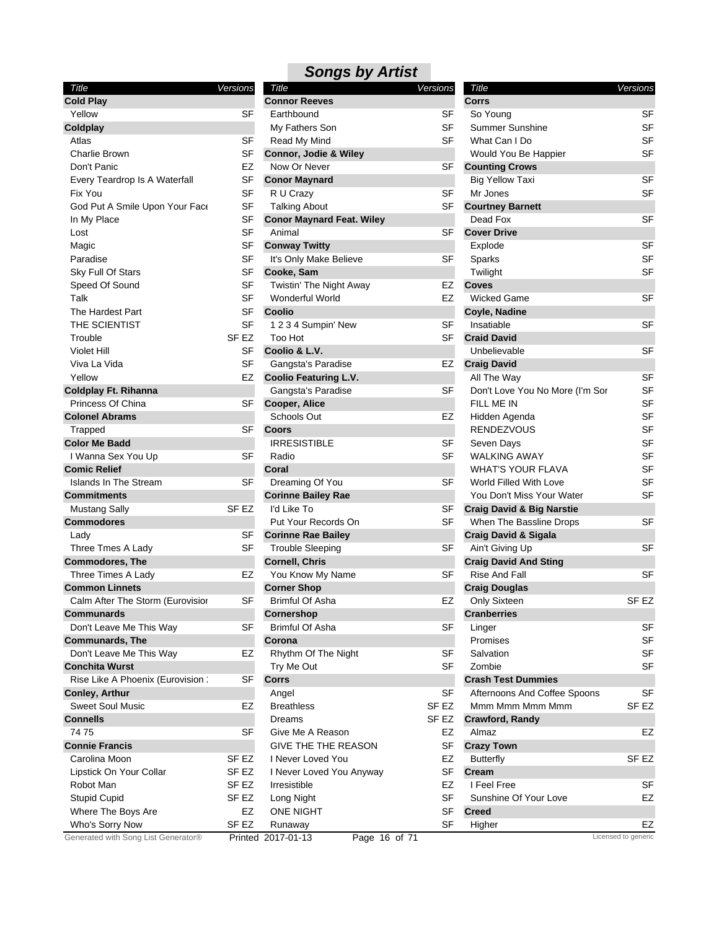| Title                               | Versions         |
|-------------------------------------|------------------|
| <b>Cold Play</b>                    |                  |
| Yellow                              | SF               |
| Coldplay                            |                  |
| Atlas                               | SF               |
| Charlie Brown                       | SF               |
| Don't Panic                         | EZ               |
| Every Teardrop Is A Waterfall       | SF               |
| Fix You                             | SF               |
| God Put A Smile Upon Your Face      | SF               |
| In My Place                         | SF               |
| Lost                                | SF               |
| Magic                               | SF               |
| Paradise                            | SF               |
| Sky Full Of Stars                   | SF               |
| Speed Of Sound                      | SF               |
| Talk                                | SF               |
| The Hardest Part                    | SF               |
| THE SCIENTIST                       | SF               |
| Trouble                             | SF EZ            |
| Violet Hill                         | SF               |
| Viva La Vida                        | SF               |
| Yellow                              | EZ               |
| <b>Coldplay Ft. Rihanna</b>         |                  |
| Princess Of China                   | SF               |
| <b>Colonel Abrams</b>               |                  |
| Trapped                             | SF               |
| <b>Color Me Badd</b>                |                  |
| I Wanna Sex You Up                  | SF               |
| <b>Comic Relief</b>                 |                  |
| Islands In The Stream               | SF               |
| Commitments                         |                  |
| <b>Mustang Sally</b>                | SF EZ            |
| Commodores                          |                  |
| Lady                                | SF               |
| Three Tmes A Lady                   | SF               |
| <b>Commodores, The</b>              |                  |
| Three Times A Lady                  | EZ               |
| <b>Common Linnets</b>               |                  |
| Calm After The Storm (Eurovisior    | SF               |
| Communards                          |                  |
| Don't Leave Me This Way             | SF               |
| <b>Communards, The</b>              |                  |
| Don't Leave Me This Way             | EZ               |
| <b>Conchita Wurst</b>               |                  |
| Rise Like A Phoenix (Eurovision :   | SF               |
| Conley, Arthur                      |                  |
| <b>Sweet Soul Music</b>             | EZ               |
| <b>Connells</b>                     |                  |
| 74 75                               | SF               |
| <b>Connie Francis</b>               |                  |
| Carolina Moon                       | SF <sub>EZ</sub> |
| Lipstick On Your Collar             | SF EZ            |
| Robot Man                           | SF EZ            |
| <b>Stupid Cupid</b>                 | SF EZ            |
| Where The Boys Are                  | EZ               |
| Who's Sorry Now                     | SF EZ            |
| Generated with Song List Generator® | Printed          |

| <b>Connor Reeves</b><br>Earthbound<br>SF<br>SF<br>My Fathers Son<br>Read My Mind<br>SF<br>Connor, Jodie & Wiley<br>Now Or Never<br>SF<br><b>Conor Maynard</b><br>R U Crazy<br>SF<br>SF<br><b>Talking About</b><br><b>Conor Maynard Feat. Wiley</b><br>SF<br>Animal<br><b>Conway Twitty</b><br>It's Only Make Believe<br>SF<br>Cooke, Sam<br>Twistin' The Night Away<br>EZ<br>Wonderful World<br>EZ<br>Coolio<br>SF<br>1234 Sumpin' New<br><b>Too Hot</b><br>SF<br>Coolio & L.V.<br>Gangsta's Paradise<br>EZ<br><b>Coolio Featuring L.V.</b><br>Gangsta's Paradise<br>SF<br>Cooper, Alice<br>Schools Out<br>EZ<br>Coors<br><b>IRRESISTIBLE</b><br>SF<br>Radio<br>SF<br>Coral<br>SF<br>Dreaming Of You<br><b>Corinne Bailey Rae</b><br>l'd Like To<br>SF<br>Put Your Records On<br>SF<br><b>Corinne Rae Bailey</b><br>SF<br>Trouble Sleeping<br><b>Cornell, Chris</b><br>SF<br>You Know My Name<br><b>Corner Shop</b><br>Brimful Of Asha<br>EZ<br>Cornershop<br>Brimful Of Asha<br>SF<br>Corona<br>Rhythm Of The Night<br>SF<br>SF<br>Try Me Out<br>Corrs<br>SF<br>Angel<br><b>Breathless</b><br>SF EZ<br>SF EZ<br>Dreams<br>Give Me A Reason<br>EZ<br><b>GIVE THE THE REASON</b><br>SF<br>I Never Loved You<br>EZ<br>SF<br>I Never Loved You Anyway<br>Irresistible<br>EZ<br>SF<br>Long Night<br>ONE NIGHT<br>SF<br>SF<br>Runaway | Title                             | Versions |
|----------------------------------------------------------------------------------------------------------------------------------------------------------------------------------------------------------------------------------------------------------------------------------------------------------------------------------------------------------------------------------------------------------------------------------------------------------------------------------------------------------------------------------------------------------------------------------------------------------------------------------------------------------------------------------------------------------------------------------------------------------------------------------------------------------------------------------------------------------------------------------------------------------------------------------------------------------------------------------------------------------------------------------------------------------------------------------------------------------------------------------------------------------------------------------------------------------------------------------------------------------------------------------------------------------------------------------|-----------------------------------|----------|
|                                                                                                                                                                                                                                                                                                                                                                                                                                                                                                                                                                                                                                                                                                                                                                                                                                                                                                                                                                                                                                                                                                                                                                                                                                                                                                                                  |                                   |          |
|                                                                                                                                                                                                                                                                                                                                                                                                                                                                                                                                                                                                                                                                                                                                                                                                                                                                                                                                                                                                                                                                                                                                                                                                                                                                                                                                  |                                   |          |
|                                                                                                                                                                                                                                                                                                                                                                                                                                                                                                                                                                                                                                                                                                                                                                                                                                                                                                                                                                                                                                                                                                                                                                                                                                                                                                                                  |                                   |          |
|                                                                                                                                                                                                                                                                                                                                                                                                                                                                                                                                                                                                                                                                                                                                                                                                                                                                                                                                                                                                                                                                                                                                                                                                                                                                                                                                  |                                   |          |
|                                                                                                                                                                                                                                                                                                                                                                                                                                                                                                                                                                                                                                                                                                                                                                                                                                                                                                                                                                                                                                                                                                                                                                                                                                                                                                                                  |                                   |          |
|                                                                                                                                                                                                                                                                                                                                                                                                                                                                                                                                                                                                                                                                                                                                                                                                                                                                                                                                                                                                                                                                                                                                                                                                                                                                                                                                  |                                   |          |
|                                                                                                                                                                                                                                                                                                                                                                                                                                                                                                                                                                                                                                                                                                                                                                                                                                                                                                                                                                                                                                                                                                                                                                                                                                                                                                                                  |                                   |          |
|                                                                                                                                                                                                                                                                                                                                                                                                                                                                                                                                                                                                                                                                                                                                                                                                                                                                                                                                                                                                                                                                                                                                                                                                                                                                                                                                  |                                   |          |
|                                                                                                                                                                                                                                                                                                                                                                                                                                                                                                                                                                                                                                                                                                                                                                                                                                                                                                                                                                                                                                                                                                                                                                                                                                                                                                                                  |                                   |          |
|                                                                                                                                                                                                                                                                                                                                                                                                                                                                                                                                                                                                                                                                                                                                                                                                                                                                                                                                                                                                                                                                                                                                                                                                                                                                                                                                  |                                   |          |
|                                                                                                                                                                                                                                                                                                                                                                                                                                                                                                                                                                                                                                                                                                                                                                                                                                                                                                                                                                                                                                                                                                                                                                                                                                                                                                                                  |                                   |          |
|                                                                                                                                                                                                                                                                                                                                                                                                                                                                                                                                                                                                                                                                                                                                                                                                                                                                                                                                                                                                                                                                                                                                                                                                                                                                                                                                  |                                   |          |
|                                                                                                                                                                                                                                                                                                                                                                                                                                                                                                                                                                                                                                                                                                                                                                                                                                                                                                                                                                                                                                                                                                                                                                                                                                                                                                                                  |                                   |          |
|                                                                                                                                                                                                                                                                                                                                                                                                                                                                                                                                                                                                                                                                                                                                                                                                                                                                                                                                                                                                                                                                                                                                                                                                                                                                                                                                  |                                   |          |
|                                                                                                                                                                                                                                                                                                                                                                                                                                                                                                                                                                                                                                                                                                                                                                                                                                                                                                                                                                                                                                                                                                                                                                                                                                                                                                                                  |                                   |          |
|                                                                                                                                                                                                                                                                                                                                                                                                                                                                                                                                                                                                                                                                                                                                                                                                                                                                                                                                                                                                                                                                                                                                                                                                                                                                                                                                  |                                   |          |
|                                                                                                                                                                                                                                                                                                                                                                                                                                                                                                                                                                                                                                                                                                                                                                                                                                                                                                                                                                                                                                                                                                                                                                                                                                                                                                                                  |                                   |          |
|                                                                                                                                                                                                                                                                                                                                                                                                                                                                                                                                                                                                                                                                                                                                                                                                                                                                                                                                                                                                                                                                                                                                                                                                                                                                                                                                  |                                   |          |
|                                                                                                                                                                                                                                                                                                                                                                                                                                                                                                                                                                                                                                                                                                                                                                                                                                                                                                                                                                                                                                                                                                                                                                                                                                                                                                                                  |                                   |          |
|                                                                                                                                                                                                                                                                                                                                                                                                                                                                                                                                                                                                                                                                                                                                                                                                                                                                                                                                                                                                                                                                                                                                                                                                                                                                                                                                  |                                   |          |
|                                                                                                                                                                                                                                                                                                                                                                                                                                                                                                                                                                                                                                                                                                                                                                                                                                                                                                                                                                                                                                                                                                                                                                                                                                                                                                                                  |                                   |          |
|                                                                                                                                                                                                                                                                                                                                                                                                                                                                                                                                                                                                                                                                                                                                                                                                                                                                                                                                                                                                                                                                                                                                                                                                                                                                                                                                  |                                   |          |
|                                                                                                                                                                                                                                                                                                                                                                                                                                                                                                                                                                                                                                                                                                                                                                                                                                                                                                                                                                                                                                                                                                                                                                                                                                                                                                                                  |                                   |          |
|                                                                                                                                                                                                                                                                                                                                                                                                                                                                                                                                                                                                                                                                                                                                                                                                                                                                                                                                                                                                                                                                                                                                                                                                                                                                                                                                  |                                   |          |
|                                                                                                                                                                                                                                                                                                                                                                                                                                                                                                                                                                                                                                                                                                                                                                                                                                                                                                                                                                                                                                                                                                                                                                                                                                                                                                                                  |                                   |          |
|                                                                                                                                                                                                                                                                                                                                                                                                                                                                                                                                                                                                                                                                                                                                                                                                                                                                                                                                                                                                                                                                                                                                                                                                                                                                                                                                  |                                   |          |
|                                                                                                                                                                                                                                                                                                                                                                                                                                                                                                                                                                                                                                                                                                                                                                                                                                                                                                                                                                                                                                                                                                                                                                                                                                                                                                                                  |                                   |          |
|                                                                                                                                                                                                                                                                                                                                                                                                                                                                                                                                                                                                                                                                                                                                                                                                                                                                                                                                                                                                                                                                                                                                                                                                                                                                                                                                  |                                   |          |
|                                                                                                                                                                                                                                                                                                                                                                                                                                                                                                                                                                                                                                                                                                                                                                                                                                                                                                                                                                                                                                                                                                                                                                                                                                                                                                                                  |                                   |          |
|                                                                                                                                                                                                                                                                                                                                                                                                                                                                                                                                                                                                                                                                                                                                                                                                                                                                                                                                                                                                                                                                                                                                                                                                                                                                                                                                  |                                   |          |
|                                                                                                                                                                                                                                                                                                                                                                                                                                                                                                                                                                                                                                                                                                                                                                                                                                                                                                                                                                                                                                                                                                                                                                                                                                                                                                                                  |                                   |          |
|                                                                                                                                                                                                                                                                                                                                                                                                                                                                                                                                                                                                                                                                                                                                                                                                                                                                                                                                                                                                                                                                                                                                                                                                                                                                                                                                  |                                   |          |
|                                                                                                                                                                                                                                                                                                                                                                                                                                                                                                                                                                                                                                                                                                                                                                                                                                                                                                                                                                                                                                                                                                                                                                                                                                                                                                                                  |                                   |          |
|                                                                                                                                                                                                                                                                                                                                                                                                                                                                                                                                                                                                                                                                                                                                                                                                                                                                                                                                                                                                                                                                                                                                                                                                                                                                                                                                  |                                   |          |
|                                                                                                                                                                                                                                                                                                                                                                                                                                                                                                                                                                                                                                                                                                                                                                                                                                                                                                                                                                                                                                                                                                                                                                                                                                                                                                                                  |                                   |          |
|                                                                                                                                                                                                                                                                                                                                                                                                                                                                                                                                                                                                                                                                                                                                                                                                                                                                                                                                                                                                                                                                                                                                                                                                                                                                                                                                  |                                   |          |
|                                                                                                                                                                                                                                                                                                                                                                                                                                                                                                                                                                                                                                                                                                                                                                                                                                                                                                                                                                                                                                                                                                                                                                                                                                                                                                                                  |                                   |          |
|                                                                                                                                                                                                                                                                                                                                                                                                                                                                                                                                                                                                                                                                                                                                                                                                                                                                                                                                                                                                                                                                                                                                                                                                                                                                                                                                  |                                   |          |
|                                                                                                                                                                                                                                                                                                                                                                                                                                                                                                                                                                                                                                                                                                                                                                                                                                                                                                                                                                                                                                                                                                                                                                                                                                                                                                                                  |                                   |          |
|                                                                                                                                                                                                                                                                                                                                                                                                                                                                                                                                                                                                                                                                                                                                                                                                                                                                                                                                                                                                                                                                                                                                                                                                                                                                                                                                  |                                   |          |
|                                                                                                                                                                                                                                                                                                                                                                                                                                                                                                                                                                                                                                                                                                                                                                                                                                                                                                                                                                                                                                                                                                                                                                                                                                                                                                                                  |                                   |          |
|                                                                                                                                                                                                                                                                                                                                                                                                                                                                                                                                                                                                                                                                                                                                                                                                                                                                                                                                                                                                                                                                                                                                                                                                                                                                                                                                  |                                   |          |
|                                                                                                                                                                                                                                                                                                                                                                                                                                                                                                                                                                                                                                                                                                                                                                                                                                                                                                                                                                                                                                                                                                                                                                                                                                                                                                                                  |                                   |          |
|                                                                                                                                                                                                                                                                                                                                                                                                                                                                                                                                                                                                                                                                                                                                                                                                                                                                                                                                                                                                                                                                                                                                                                                                                                                                                                                                  |                                   |          |
|                                                                                                                                                                                                                                                                                                                                                                                                                                                                                                                                                                                                                                                                                                                                                                                                                                                                                                                                                                                                                                                                                                                                                                                                                                                                                                                                  |                                   |          |
|                                                                                                                                                                                                                                                                                                                                                                                                                                                                                                                                                                                                                                                                                                                                                                                                                                                                                                                                                                                                                                                                                                                                                                                                                                                                                                                                  |                                   |          |
|                                                                                                                                                                                                                                                                                                                                                                                                                                                                                                                                                                                                                                                                                                                                                                                                                                                                                                                                                                                                                                                                                                                                                                                                                                                                                                                                  |                                   |          |
|                                                                                                                                                                                                                                                                                                                                                                                                                                                                                                                                                                                                                                                                                                                                                                                                                                                                                                                                                                                                                                                                                                                                                                                                                                                                                                                                  |                                   |          |
|                                                                                                                                                                                                                                                                                                                                                                                                                                                                                                                                                                                                                                                                                                                                                                                                                                                                                                                                                                                                                                                                                                                                                                                                                                                                                                                                  |                                   |          |
|                                                                                                                                                                                                                                                                                                                                                                                                                                                                                                                                                                                                                                                                                                                                                                                                                                                                                                                                                                                                                                                                                                                                                                                                                                                                                                                                  |                                   |          |
|                                                                                                                                                                                                                                                                                                                                                                                                                                                                                                                                                                                                                                                                                                                                                                                                                                                                                                                                                                                                                                                                                                                                                                                                                                                                                                                                  |                                   |          |
|                                                                                                                                                                                                                                                                                                                                                                                                                                                                                                                                                                                                                                                                                                                                                                                                                                                                                                                                                                                                                                                                                                                                                                                                                                                                                                                                  |                                   |          |
|                                                                                                                                                                                                                                                                                                                                                                                                                                                                                                                                                                                                                                                                                                                                                                                                                                                                                                                                                                                                                                                                                                                                                                                                                                                                                                                                  |                                   |          |
|                                                                                                                                                                                                                                                                                                                                                                                                                                                                                                                                                                                                                                                                                                                                                                                                                                                                                                                                                                                                                                                                                                                                                                                                                                                                                                                                  |                                   |          |
|                                                                                                                                                                                                                                                                                                                                                                                                                                                                                                                                                                                                                                                                                                                                                                                                                                                                                                                                                                                                                                                                                                                                                                                                                                                                                                                                  |                                   |          |
|                                                                                                                                                                                                                                                                                                                                                                                                                                                                                                                                                                                                                                                                                                                                                                                                                                                                                                                                                                                                                                                                                                                                                                                                                                                                                                                                  |                                   |          |
|                                                                                                                                                                                                                                                                                                                                                                                                                                                                                                                                                                                                                                                                                                                                                                                                                                                                                                                                                                                                                                                                                                                                                                                                                                                                                                                                  | 2017-01-13<br>16<br>of 71<br>Page |          |

| Title                                | Versions           |                  |
|--------------------------------------|--------------------|------------------|
| Corrs                                |                    |                  |
| So Young                             |                    | SF               |
| Summer Sunshine                      |                    | SF               |
| What Can I Do                        |                    | <b>SF</b>        |
|                                      |                    |                  |
| Would You Be Happier                 |                    | SF               |
| <b>Counting Crows</b>                |                    |                  |
| <b>Big Yellow Taxi</b>               |                    | SF               |
| Mr Jones                             |                    | SF               |
| <b>Courtney Barnett</b>              |                    |                  |
| Dead Fox                             |                    | SF               |
| <b>Cover Drive</b>                   |                    |                  |
| Explode                              |                    | SF               |
| Sparks                               |                    | SF               |
| Twilight                             |                    | SF               |
| <b>Coves</b>                         |                    |                  |
| Wicked Game                          |                    | SF               |
| Coyle, Nadine                        |                    |                  |
| Insatiable                           |                    | SF               |
| <b>Craid David</b>                   |                    |                  |
| Unbelievable                         |                    | SF               |
| <b>Craig David</b>                   |                    |                  |
| All The Way                          |                    | SF               |
| Don't Love You No More (I'm Sor      |                    | <b>SF</b>        |
| FILL ME IN                           |                    | SF               |
| Hidden Agenda                        |                    | SF               |
| <b>RENDEZVOUS</b>                    |                    | SF               |
| Seven Days                           |                    | SF               |
| <b>WALKING AWAY</b>                  |                    |                  |
|                                      |                    | SF               |
| <b>WHAT'S YOUR FLAVA</b>             |                    | SF               |
| World Filled With Love               |                    | SF               |
| You Don't Miss Your Water            |                    | SF               |
| <b>Craig David &amp; Big Narstie</b> |                    |                  |
| When The Bassline Drops              |                    | SF               |
| <b>Craig David &amp; Sigala</b>      |                    |                  |
| Ain't Giving Up                      |                    | SF               |
| <b>Craig David And Sting</b>         |                    |                  |
| <b>Rise And Fall</b>                 |                    | SF               |
| <b>Craig Douglas</b>                 |                    |                  |
| Only Sixteen                         |                    | SF EZ            |
| <b>Cranberries</b>                   |                    |                  |
| Linger                               |                    | SF               |
| Promises                             |                    | SF               |
| Salvation                            |                    | SF               |
| Zombie                               |                    | SF               |
| <b>Crash Test Dummies</b>            |                    |                  |
| Afternoons And Coffee Spoons         |                    | SF               |
| Mmm Mmm Mmm Mmm                      |                    | SF <sub>EZ</sub> |
| Crawford, Randy                      |                    |                  |
| Almaz                                |                    | EZ               |
| <b>Crazy Town</b>                    |                    |                  |
| <b>Butterfly</b>                     |                    | SF EZ            |
|                                      |                    |                  |
| <b>Cream</b>                         |                    |                  |
| I Feel Free                          |                    | SF               |
| Sunshine Of Your Love                |                    | EZ               |
| Creed                                |                    |                  |
| Higher                               | icensed to generic | EZ               |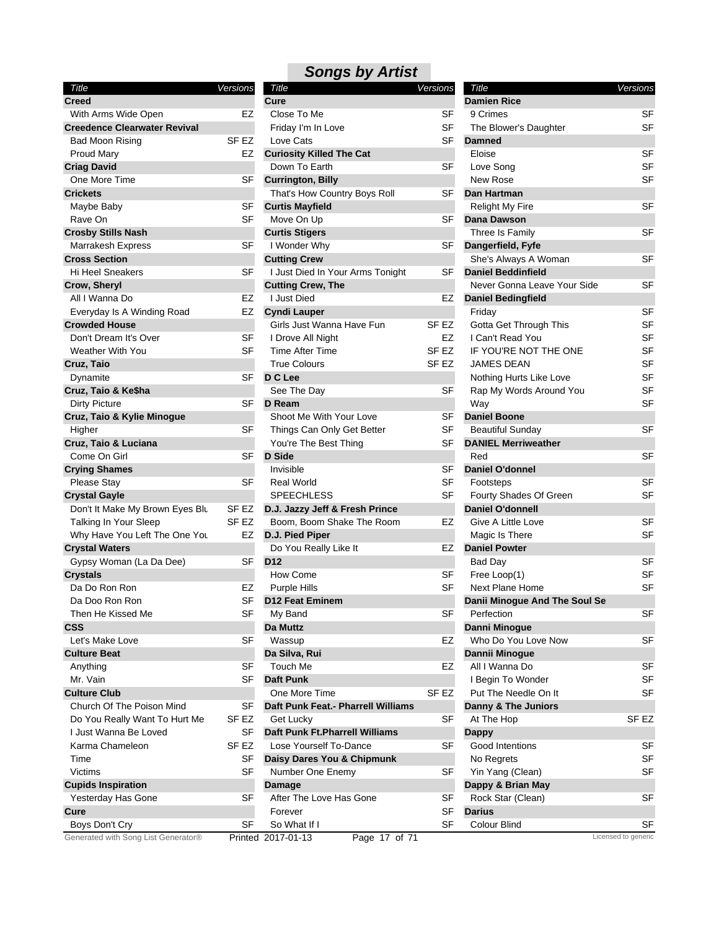| <b>Songs by Artist</b> |  |  |
|------------------------|--|--|
|------------------------|--|--|

| Title                               | Versions         |
|-------------------------------------|------------------|
| <b>Creed</b>                        |                  |
| With Arms Wide Open                 | EZ               |
| <b>Creedence Clearwater Revival</b> |                  |
| Bad Moon Rising                     | SF EZ            |
| Proud Mary                          | EZ               |
| <b>Criag David</b>                  |                  |
| One More Time                       | SF               |
| <b>Crickets</b>                     |                  |
| Maybe Baby                          | SF               |
| Rave On                             | SF               |
| <b>Crosby Stills Nash</b>           |                  |
| Marrakesh Express                   | SF               |
| <b>Cross Section</b>                |                  |
| Hi Heel Sneakers                    | SF               |
| Crow, Sheryl                        |                  |
| All I Wanna Do                      | EZ               |
| Everyday Is A Winding Road          | EZ               |
| <b>Crowded House</b>                |                  |
| Don't Dream It's Over               | SF               |
| <b>Weather With You</b>             | SF               |
| Cruz, Taio                          |                  |
| Dynamite                            | SF               |
| Cruz, Taio & Ke\$ha                 |                  |
| <b>Dirty Picture</b>                | SF               |
| Cruz, Taio & Kylie Minogue          |                  |
| Higher                              | SF               |
| Cruz, Taio & Luciana                |                  |
| Come On Girl                        | <b>SF</b>        |
| <b>Crying Shames</b>                |                  |
| <b>Please Stay</b>                  | SF               |
| <b>Crystal Gayle</b>                |                  |
| Don't It Make My Brown Eyes Blu     | SF EZ            |
| Talking In Your Sleep               | SF <sub>EZ</sub> |
| Why Have You Left The One You       | EZ               |
| <b>Crystal Waters</b>               |                  |
| Gypsy Woman (La Da Dee)             | SF               |
| <b>Crystals</b>                     |                  |
| Da Do Ron Ron                       | EZ               |
| Da Doo Ron Ron                      | SF               |
| Then He Kissed Me                   | SF               |
| <b>CSS</b>                          |                  |
| Let's Make Love                     | SF               |
| <b>Culture Beat</b>                 |                  |
| Anything                            | SF               |
| Mr. Vain                            | SF               |
| <b>Culture Club</b>                 |                  |
| Church Of The Poison Mind           | SF               |
| Do You Really Want To Hurt Me       | SF EZ            |
| I Just Wanna Be Loved               | SF               |
| Karma Chameleon                     | SF EZ            |
| Time                                | SF               |
| Victims                             | SF               |
| <b>Cupids Inspiration</b>           |                  |
| Yesterday Has Gone                  | SF               |
| Cure                                |                  |
| Boys Don't Cry                      | SF               |
| Generated with Song List Generator® | Printed          |

| Title                              | <u>Versions</u> |
|------------------------------------|-----------------|
| Cure                               |                 |
| Close To Me                        | SF              |
| Friday I'm In Love                 | SF              |
| Love Cats                          | SF              |
| <b>Curiosity Killed The Cat</b>    |                 |
| Down To Earth                      | SF              |
| <b>Currington, Billy</b>           |                 |
| That's How Country Boys Roll       | SF              |
| <b>Curtis Mayfield</b>             |                 |
| Move On Up                         | SF              |
| <b>Curtis Stigers</b>              |                 |
| I Wonder Why                       | SF              |
| <b>Cutting Crew</b>                |                 |
| I Just Died In Your Arms Tonight   | SF              |
| <b>Cutting Crew, The</b>           |                 |
| I Just Died                        | EZ              |
| <b>Cyndi Lauper</b>                |                 |
| Girls Just Wanna Have Fun          | SF EZ           |
| I Drove All Night                  | EZ              |
| <b>Time After Time</b>             | SF EZ           |
| <b>True Colours</b>                | SF EZ           |
| D C Lee                            |                 |
| See The Day                        | SF              |
| D Ream                             |                 |
| Shoot Me With Your Love            | SF              |
| Things Can Only Get Better         | SF              |
| You're The Best Thing              | SF              |
| <b>D</b> Side                      |                 |
| Invisible                          | SF              |
| <b>Real World</b>                  | SF              |
| SPEECHLESS                         | SF              |
| D.J. Jazzy Jeff & Fresh Prince     |                 |
| Boom, Boom Shake The Room          | EZ              |
| D.J. Pied Piper                    |                 |
| Do You Really Like It              | EZ              |
| D12                                |                 |
| How Come                           | SF              |
| Purple Hills                       | SF              |
| D12 Feat Eminem                    |                 |
| My Band                            | S⊦              |
| Da Muttz                           |                 |
| Wassup                             | EZ              |
| Da Silva, Rui                      |                 |
| Touch Me                           | EZ              |
| <b>Daft Punk</b>                   |                 |
| One More Time                      | SF EZ           |
| Daft Punk Feat.- Pharrell Williams |                 |
| Get Lucky                          | SF              |
| Daft Punk Ft. Pharrell Williams    |                 |
| Lose Yourself To-Dance             | SF              |
| Daisy Dares You & Chipmunk         |                 |
| Number One Enemy                   | SF              |
| <b>Damage</b>                      |                 |
| After The Love Has Gone            | SF              |
| Forever                            | SF              |
| So What If I                       | SF              |
| 2017-01-13<br>Page 17 of 71        |                 |

| Title                         | Versions            |
|-------------------------------|---------------------|
| <b>Damien Rice</b>            |                     |
| 9 Crimes                      | SF                  |
| The Blower's Daughter         | SF                  |
| <b>Damned</b>                 |                     |
| Eloise                        | SF                  |
|                               |                     |
| Love Song                     | SF                  |
| New Rose                      | SF                  |
| <b>Dan Hartman</b>            |                     |
| Relight My Fire               | SF                  |
| Dana Dawson                   |                     |
| Three Is Family               | SF                  |
| Dangerfield, Fyfe             |                     |
| She's Always A Woman          | SF                  |
| <b>Daniel Beddinfield</b>     |                     |
| Never Gonna Leave Your Side   | SF                  |
| <b>Daniel Bedingfield</b>     |                     |
| Friday                        | SF                  |
| Gotta Get Through This        | SF                  |
| l Can't Read You              | SF                  |
| IF YOU'RE NOT THE ONE         | SF                  |
| <b>JAMES DEAN</b>             | SF                  |
| Nothing Hurts Like Love       | SF                  |
| Rap My Words Around You       | SF                  |
| Way                           | SF                  |
|                               |                     |
| <b>Daniel Boone</b>           |                     |
| Beautiful Sunday              | SF                  |
| <b>DANIEL Merriweather</b>    |                     |
| Red                           | SF                  |
| <b>Daniel O'donnel</b>        |                     |
| Footsteps                     | SF                  |
| Fourty Shades Of Green        | SF                  |
| <b>Daniel O'donnell</b>       |                     |
| Give A Little Love            | SF                  |
| Magic Is There                | SF                  |
| <b>Daniel Powter</b>          |                     |
| Bad Day                       | SF                  |
| Free Loop(1)                  | SF                  |
| <b>Next Plane Home</b>        | SF                  |
| Danii Minogue And The Soul Se |                     |
| Perfection                    | SF                  |
| Danni Minogue                 |                     |
| Who Do You Love Now           | SF                  |
| <b>Dannii Minoque</b>         |                     |
| All I Wanna Do                | SF                  |
| I Begin To Wonder             | SF                  |
| Put The Needle On It          | SF                  |
| Danny & The Juniors           |                     |
|                               |                     |
| At The Hop                    | SF EZ               |
| Dappy                         |                     |
| Good Intentions               | SF                  |
| No Regrets                    | SF                  |
| Yin Yang (Clean)              | SF                  |
| Dappy & Brian May             |                     |
| Rock Star (Clean)             | SF                  |
| Darius                        |                     |
| Colour Blind                  | SF                  |
|                               | Licensed to generic |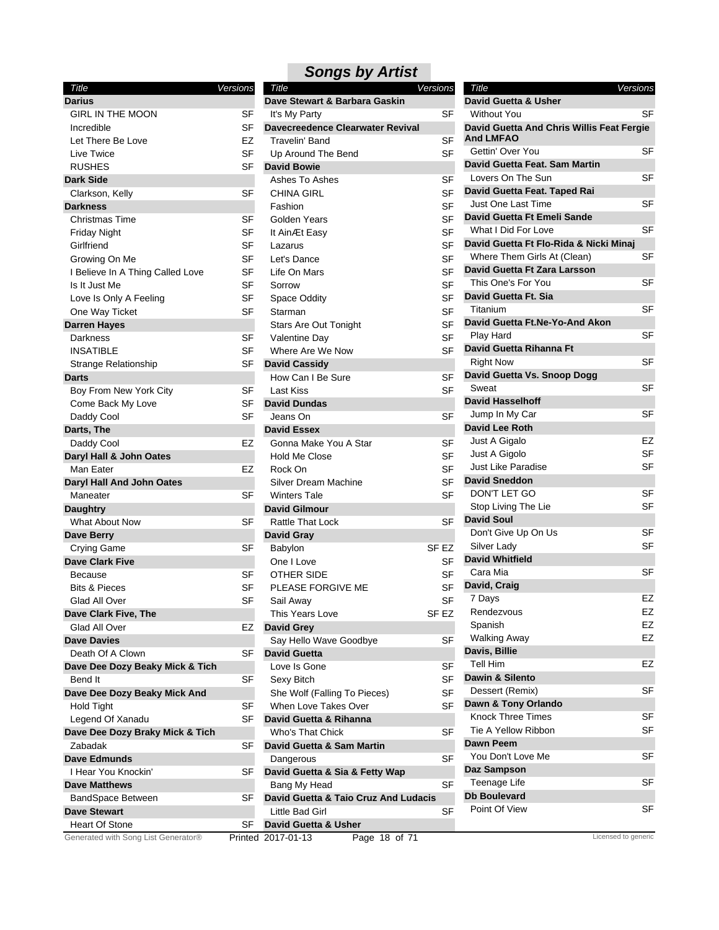| Title                                 | Versions |
|---------------------------------------|----------|
| Darius                                |          |
| <b>GIRL IN THE MOON</b>               | SF       |
| Incredible                            | SF       |
| Let There Be Love                     | EZ       |
| Live Twice                            | SF       |
| <b>RUSHES</b>                         | SF       |
| <b>Dark Side</b>                      |          |
| Clarkson, Kelly                       | SF       |
| <b>Darkness</b>                       |          |
| Christmas Time                        | SF       |
| Friday Night                          | SF       |
| Girlfriend                            | SF       |
| Growing On Me                         | SF       |
| I Believe In A Thing Called Love      | SF       |
| Is It Just Me                         | SF       |
| Love Is Only A Feeling                | SF       |
| One Way Ticket                        | SF       |
| <b>Darren Hayes</b>                   |          |
| Darkness                              | SF       |
| INSATIBLE                             | SF       |
| Strange Relationship                  | SF       |
| <b>Darts</b>                          |          |
| Boy From New York City                | SF       |
| Come Back My Love                     | SF       |
| Daddy Cool                            | SF       |
| Darts, The                            |          |
| Daddy Cool                            | EZ       |
| Daryl Hall & John Oates               |          |
| Man Eater                             | EZ       |
| Daryl Hall And John Oates<br>Maneater | SF       |
| <b>Daughtry</b>                       |          |
| <b>What About Now</b>                 | SF       |
| Dave Berry                            |          |
| Crying Game                           | SF       |
| <b>Dave Clark Five</b>                |          |
| Because                               | SF       |
| <b>Bits &amp; Pieces</b>              | SF       |
| Glad All Over                         | SF       |
| Dave Clark Five, The                  |          |
| Glad All Over                         | EZ       |
| <b>Dave Davies</b>                    |          |
| Death Of A Clown                      | SF       |
| Dave Dee Dozy Beaky Mick & Tich       |          |
| Bend It                               | SF       |
| Dave Dee Dozy Beaky Mick And          |          |
| Hold Tight                            | SF       |
| Legend Of Xanadu                      | SF       |
| Dave Dee Dozy Braky Mick & Tich       |          |
| Zabadak                               | SF       |
| <b>Dave Edmunds</b>                   |          |
| I Hear You Knockin'                   | SF       |
| <b>Dave Matthews</b>                  |          |
| BandSpace Between                     | SF       |
| <b>Dave Stewart</b>                   |          |
| Heart Of Stone                        | SF       |
| Conorated with Song Liet Conorator®   |          |

| Title                               | <b>Versions</b> | Title                                                | <b>Versions</b>  | Title                                     | Versions  |
|-------------------------------------|-----------------|------------------------------------------------------|------------------|-------------------------------------------|-----------|
| Darius                              |                 | Dave Stewart & Barbara Gaskin                        |                  | David Guetta & Usher                      |           |
| <b>GIRL IN THE MOON</b>             | SF              | It's My Party                                        | <b>SF</b>        | Without You                               | SF        |
| Incredible                          | SF              | Davecreedence Clearwater Revival                     |                  | David Guetta And Chris Willis Feat Fergie |           |
| Let There Be Love                   | EZ              | Travelin' Band                                       | <b>SF</b>        | <b>And LMFAO</b>                          |           |
| Live Twice                          | <b>SF</b>       | Up Around The Bend                                   | <b>SF</b>        | Gettin' Over You                          | SF        |
| <b>RUSHES</b>                       | <b>SF</b>       | <b>David Bowie</b>                                   |                  | David Guetta Feat. Sam Martin             |           |
| Dark Side                           |                 | Ashes To Ashes                                       | <b>SF</b>        | Lovers On The Sun                         | <b>SF</b> |
| Clarkson, Kelly                     | <b>SF</b>       | <b>CHINA GIRL</b>                                    | <b>SF</b>        | David Guetta Feat. Taped Rai              |           |
| Darkness                            |                 | Fashion                                              | <b>SF</b>        | Just One Last Time                        | <b>SF</b> |
| <b>Christmas Time</b>               | <b>SF</b>       | Golden Years                                         | <b>SF</b>        | David Guetta Ft Emeli Sande               |           |
| <b>Friday Night</b>                 | SF              | It AinÆt Easy                                        | <b>SF</b>        | What I Did For Love                       | <b>SF</b> |
| Girlfriend                          | <b>SF</b>       | Lazarus                                              | <b>SF</b>        | David Guetta Ft Flo-Rida & Nicki Minaj    |           |
| Growing On Me                       | <b>SF</b>       | Let's Dance                                          | <b>SF</b>        | Where Them Girls At (Clean)               | <b>SF</b> |
| I Believe In A Thing Called Love    | <b>SF</b>       | Life On Mars                                         | <b>SF</b>        | David Guetta Ft Zara Larsson              |           |
| Is It Just Me                       | SF              | Sorrow                                               | <b>SF</b>        | This One's For You                        | <b>SF</b> |
| Love Is Only A Feeling              | SF              | Space Oddity                                         | <b>SF</b>        | David Guetta Ft. Sia                      |           |
|                                     | <b>SF</b>       | Starman                                              | <b>SF</b>        | Titanium                                  | <b>SF</b> |
| One Way Ticket                      |                 |                                                      |                  | David Guetta Ft.Ne-Yo-And Akon            |           |
| <b>Darren Hayes</b>                 |                 | <b>Stars Are Out Tonight</b>                         | <b>SF</b>        | Play Hard                                 | <b>SF</b> |
| Darkness                            | SF              | Valentine Day                                        | <b>SF</b>        | David Guetta Rihanna Ft                   |           |
| <b>INSATIBLE</b>                    | SF              | Where Are We Now                                     | <b>SF</b>        | <b>Right Now</b>                          | <b>SF</b> |
| Strange Relationship                | <b>SF</b>       | <b>David Cassidy</b>                                 |                  |                                           |           |
| Darts                               |                 | How Can I Be Sure                                    | SF               | David Guetta Vs. Snoop Dogg               |           |
| Boy From New York City              | <b>SF</b>       | Last Kiss                                            | <b>SF</b>        | Sweat                                     | <b>SF</b> |
| Come Back My Love                   | SF              | <b>David Dundas</b>                                  |                  | <b>David Hasselhoff</b>                   |           |
| Daddy Cool                          | <b>SF</b>       | Jeans On                                             | <b>SF</b>        | Jump In My Car                            | <b>SF</b> |
| Darts, The                          |                 | <b>David Essex</b>                                   |                  | David Lee Roth                            |           |
| Daddy Cool                          | EZ              | Gonna Make You A Star                                | <b>SF</b>        | Just A Gigalo                             | EZ        |
| Daryl Hall & John Oates             |                 | <b>Hold Me Close</b>                                 | <b>SF</b>        | Just A Gigolo                             | <b>SF</b> |
| Man Eater                           | <b>EZ</b>       | Rock On                                              | <b>SF</b>        | <b>Just Like Paradise</b>                 | <b>SF</b> |
| Daryl Hall And John Oates           |                 | Silver Dream Machine                                 | <b>SF</b>        | <b>David Sneddon</b>                      |           |
| Maneater                            | <b>SF</b>       | <b>Winters Tale</b>                                  | <b>SF</b>        | DON'T LET GO                              | <b>SF</b> |
| Daughtry                            |                 | <b>David Gilmour</b>                                 |                  | Stop Living The Lie                       | <b>SF</b> |
| <b>What About Now</b>               | SF              | <b>Rattle That Lock</b>                              | <b>SF</b>        | <b>David Soul</b>                         |           |
| Dave Berry                          |                 | <b>David Gray</b>                                    |                  | Don't Give Up On Us                       | <b>SF</b> |
| <b>Crying Game</b>                  | SF              | Babylon                                              | SF EZ            | Silver Lady                               | <b>SF</b> |
| Dave Clark Five                     |                 | One I Love                                           | <b>SF</b>        | <b>David Whitfield</b>                    |           |
| <b>Because</b>                      | SF              | OTHER SIDE                                           | <b>SF</b>        | Cara Mia                                  | <b>SF</b> |
| <b>Bits &amp; Pieces</b>            | SF              | PLEASE FORGIVE ME                                    | <b>SF</b>        | David, Craig                              |           |
| Glad All Over                       | <b>SF</b>       | Sail Away                                            | <b>SF</b>        | 7 Days                                    | EZ        |
| Dave Clark Five, The                |                 | This Years Love                                      | SF <sub>EZ</sub> | Rendezvous                                | EZ        |
| Glad All Over                       | EZ              | <b>David Grey</b>                                    |                  | Spanish                                   | EZ        |
| <b>Dave Davies</b>                  |                 | Say Hello Wave Goodbye                               | <b>SF</b>        | <b>Walking Away</b>                       | EZ        |
| Death Of A Clown                    | <b>SF</b>       | <b>David Guetta</b>                                  |                  | Davis, Billie                             |           |
| Dave Dee Dozy Beaky Mick & Tich     |                 | Love Is Gone                                         | <b>SF</b>        | Tell Him                                  | EZ        |
| Bend It                             | SF              | Sexy Bitch                                           | <b>SF</b>        | Dawin & Silento                           |           |
| Dave Dee Dozy Beaky Mick And        |                 |                                                      | <b>SF</b>        | Dessert (Remix)                           | SF        |
|                                     | <b>SF</b>       | She Wolf (Falling To Pieces)<br>When Love Takes Over | <b>SF</b>        | Dawn & Tony Orlando                       |           |
| Hold Tight                          |                 |                                                      |                  | <b>Knock Three Times</b>                  | <b>SF</b> |
| Legend Of Xanadu                    | SF              | David Guetta & Rihanna                               |                  | Tie A Yellow Ribbon                       | <b>SF</b> |
| Dave Dee Dozy Braky Mick & Tich     |                 | Who's That Chick                                     | <b>SF</b>        | Dawn Peem                                 |           |
| Zabadak                             | SF              | David Guetta & Sam Martin                            |                  | You Don't Love Me                         |           |
| Dave Edmunds                        |                 | Dangerous                                            | <b>SF</b>        |                                           | SF        |
| I Hear You Knockin'                 | SF              | David Guetta & Sia & Fetty Wap                       |                  | Daz Sampson                               |           |
| <b>Dave Matthews</b>                |                 | Bang My Head                                         | <b>SF</b>        | Teenage Life                              | <b>SF</b> |
| <b>BandSpace Between</b>            | SF              | David Guetta & Taio Cruz And Ludacis                 |                  | <b>Db Boulevard</b>                       |           |
| <b>Dave Stewart</b>                 |                 | Little Bad Girl                                      | <b>SF</b>        | Point Of View                             | SF        |
| <b>Heart Of Stone</b>               | SF              | David Guetta & Usher                                 |                  |                                           |           |
| Generated with Song List Generator® |                 | Printed 2017-01-13<br>Page 18 of 71                  |                  | Licensed to generic                       |           |

| Title<br>Versions                                             |           |
|---------------------------------------------------------------|-----------|
| David Guetta & Usher<br>Without You                           | SF        |
| David Guetta And Chris Willis Feat Fergie<br><b>And LMFAO</b> |           |
| Gettin' Over You                                              | SF        |
| David Guetta Feat. Sam Martin                                 |           |
| Lovers On The Sun                                             | SF        |
| David Guetta Feat. Taped Rai<br>Just One Last Time            | SF        |
| David Guetta Ft Emeli Sande                                   |           |
| What I Did For Love                                           | SF        |
| David Guetta Ft Flo-Rida & Nicki Minaj                        |           |
| Where Them Girls At (Clean)                                   | SF        |
| David Guetta Ft Zara Larsson                                  |           |
| This One's For You                                            | SF        |
| David Guetta Ft. Sia                                          |           |
| Titanium                                                      | <b>SF</b> |
| David Guetta Ft.Ne-Yo-And Akon                                |           |
| Play Hard                                                     | SF        |
| David Guetta Rihanna Ft                                       |           |
| <b>Right Now</b>                                              | SF        |
| David Guetta Vs. Snoop Dogg<br>Sweat                          | SF        |
| <b>David Hasselhoff</b>                                       |           |
| Jump In My Car                                                | SF        |
| <b>David Lee Roth</b>                                         |           |
| Just A Gigalo                                                 | EZ        |
| Just A Gigolo                                                 | SF        |
| Just Like Paradise                                            | SF        |
| <b>David Sneddon</b>                                          |           |
| DON'T LET GO                                                  | SF        |
| Stop Living The Lie                                           | SF        |
| <b>David Soul</b>                                             |           |
| Don't Give Up On Us                                           | SF        |
| Silver Lady<br><b>David Whitfield</b>                         | SF        |
| Cara Mia                                                      | SF        |
| David, Craig                                                  |           |
| 7 Days                                                        | EZ        |
| Rendezvous                                                    | EZ        |
| Spanish                                                       | EZ        |
| <b>Walking Away</b>                                           | EZ        |
| Davis, Billie                                                 |           |
| Tell Him                                                      | EZ        |
| Dawin & Silento                                               |           |
| Dessert (Remix)                                               | SF        |
| Dawn & Tony Orlando                                           |           |
| <b>Knock Three Times</b><br>Tie A Yellow Ribbon               | SF        |
| <b>Dawn Peem</b>                                              | SF        |
| You Don't Love Me                                             | SF        |
| Daz Sampson                                                   |           |
| Teenage Life                                                  | SF        |
| <b>Db Boulevard</b>                                           |           |
| Point Of View                                                 | SF        |
|                                                               |           |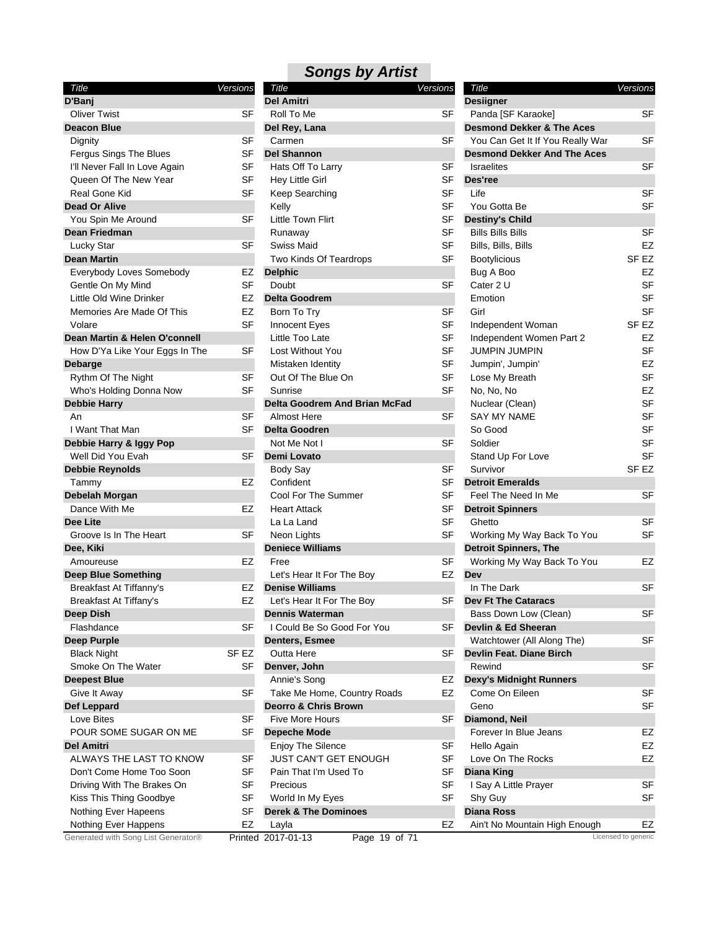| Title                               | Versions  |
|-------------------------------------|-----------|
| D'Banj                              |           |
| <b>Oliver Twist</b>                 | SF        |
| Deacon Blue                         |           |
| Dignity                             | SF        |
| Fergus Sings The Blues              | SF        |
| I'll Never Fall In Love Again       | SF        |
| Queen Of The New Year               | SF        |
| Real Gone Kid                       | SF        |
| <b>Dead Or Alive</b>                |           |
| You Spin Me Around                  | SF        |
| <b>Dean Friedman</b>                |           |
| Lucky Star                          | SF        |
| <b>Dean Martin</b>                  |           |
| Everybody Loves Somebody            | EZ        |
| Gentle On My Mind                   | SF        |
| Little Old Wine Drinker             | EZ        |
| Memories Are Made Of This           | EZ        |
| Volare                              | <b>SF</b> |
| Dean Martin & Helen O'connell       |           |
| How D'Ya Like Your Eggs In The      | SF        |
| Debarge                             |           |
| Rythm Of The Night                  | SF        |
| Who's Holding Donna Now             | SF        |
| <b>Debbie Harry</b>                 |           |
| An                                  | SF        |
| I Want That Man                     | SF        |
| Debbie Harry & Iggy Pop             |           |
| Well Did You Evah                   | SF        |
| <b>Debbie Reynolds</b>              |           |
| Tammy                               | EZ        |
| Debelah Morgan                      |           |
| Dance With Me                       | EZ        |
| Dee Lite                            |           |
| Groove Is In The Heart              | SF        |
| Dee, Kiki                           |           |
| Amoureuse                           | EZ        |
| <b>Deep Blue Something</b>          |           |
| Breakfast At Tiffanny's             | EZ        |
| Breakfast At Tiffany's              | EZ        |
| Deep Dish                           |           |
| Flashdance                          | SF        |
| <b>Deep Purple</b>                  |           |
| <b>Black Night</b>                  | SF EZ     |
| Smoke On The Water                  | SF        |
| <b>Deepest Blue</b>                 |           |
|                                     |           |
| Give It Away                        | SF        |
| Def Leppard                         |           |
| Love Bites                          | SF        |
| POUR SOME SUGAR ON ME               | SF        |
| <b>Del Amitri</b>                   |           |
| ALWAYS THE LAST TO KNOW             | SF        |
| Don't Come Home Too Soon            | SF        |
| Driving With The Brakes On          | SF        |
| Kiss This Thing Goodbye             | SF        |
| Nothing Ever Hapeens                | SF        |
| Nothing Ever Happens                | EZ        |
| Generated with Song List Generator® | Printed   |

| Title                               | <b>Versions</b> | Title                                | <b>Versions</b> | Title                                | Versions            |
|-------------------------------------|-----------------|--------------------------------------|-----------------|--------------------------------------|---------------------|
| D'Banj                              |                 | <b>Del Amitri</b>                    |                 | <b>Desiigner</b>                     |                     |
| <b>Oliver Twist</b>                 | <b>SF</b>       | Roll To Me                           | <b>SF</b>       | Panda [SF Karaoke]                   | <b>SF</b>           |
| <b>Deacon Blue</b>                  |                 | Del Rey, Lana                        |                 | <b>Desmond Dekker &amp; The Aces</b> |                     |
| Dignity                             | SF              | Carmen                               | SF              | You Can Get It If You Really War     | SF                  |
| Fergus Sings The Blues              | SF              | <b>Del Shannon</b>                   |                 | <b>Desmond Dekker And The Aces</b>   |                     |
| I'll Never Fall In Love Again       | <b>SF</b>       | Hats Off To Larry                    | <b>SF</b>       | <b>Israelites</b>                    | SF                  |
| Queen Of The New Year               | SF              | Hey Little Girl                      | SF              | Des'ree                              |                     |
| Real Gone Kid                       | <b>SF</b>       | Keep Searching                       | <b>SF</b>       | Life                                 | <b>SF</b>           |
| Dead Or Alive                       |                 | Kelly                                | SF              | You Gotta Be                         | <b>SF</b>           |
| You Spin Me Around                  | <b>SF</b>       | Little Town Flirt                    | <b>SF</b>       | <b>Destiny's Child</b>               |                     |
| Dean Friedman                       |                 | Runaway                              | <b>SF</b>       | <b>Bills Bills Bills</b>             | SF                  |
| <b>Lucky Star</b>                   | SF              | <b>Swiss Maid</b>                    | <b>SF</b>       | Bills, Bills, Bills                  | EZ                  |
| Dean Martin                         |                 | Two Kinds Of Teardrops               | <b>SF</b>       | <b>Bootylicious</b>                  | SF <sub>EZ</sub>    |
| Everybody Loves Somebody            | EZ              | <b>Delphic</b>                       |                 | Bug A Boo                            | EZ                  |
| Gentle On My Mind                   | SF              | Doubt                                | <b>SF</b>       | Cater 2 U                            | <b>SF</b>           |
| Little Old Wine Drinker             | EZ              | <b>Delta Goodrem</b>                 |                 | Emotion                              | <b>SF</b>           |
| Memories Are Made Of This           | EZ              | Born To Try                          | <b>SF</b>       | Girl                                 | <b>SF</b>           |
| Volare                              | <b>SF</b>       | Innocent Eyes                        | <b>SF</b>       | Independent Woman                    | SF <sub>EZ</sub>    |
| Dean Martin & Helen O'connell       |                 | Little Too Late                      | <b>SF</b>       | Independent Women Part 2             | EZ                  |
| How D'Ya Like Your Eggs In The      | SF              | Lost Without You                     | <b>SF</b>       | <b>JUMPIN JUMPIN</b>                 | SF                  |
| Debarge                             |                 | Mistaken Identity                    | <b>SF</b>       | Jumpin', Jumpin'                     | EZ                  |
| Rythm Of The Night                  | <b>SF</b>       | Out Of The Blue On                   | SF              | Lose My Breath                       | SF                  |
| Who's Holding Donna Now             | <b>SF</b>       | Sunrise                              | <b>SF</b>       | No, No, No                           | EZ                  |
| <b>Debbie Harry</b>                 |                 | <b>Delta Goodrem And Brian McFad</b> |                 | Nuclear (Clean)                      | <b>SF</b>           |
| An                                  | <b>SF</b>       | Almost Here                          | <b>SF</b>       | <b>SAY MY NAME</b>                   | <b>SF</b>           |
| I Want That Man                     | <b>SF</b>       | <b>Delta Goodren</b>                 |                 | So Good                              | <b>SF</b>           |
| Debbie Harry & Iggy Pop             |                 | Not Me Not I                         | SF              | Soldier                              | SF                  |
| Well Did You Evah                   | <b>SF</b>       | Demi Lovato                          |                 | Stand Up For Love                    | <b>SF</b>           |
| Debbie Reynolds                     |                 | <b>Body Say</b>                      | <b>SF</b>       | Survivor                             | SF <sub>EZ</sub>    |
|                                     | EZ              | Confident                            | SF              | <b>Detroit Emeralds</b>              |                     |
| Tammy<br>Debelah Morgan             |                 | Cool For The Summer                  | SF              | Feel The Need In Me                  | SF                  |
|                                     | EZ              |                                      | <b>SF</b>       |                                      |                     |
| Dance With Me                       |                 | <b>Heart Attack</b>                  | <b>SF</b>       | <b>Detroit Spinners</b>              | <b>SF</b>           |
| Dee Lite                            |                 | La La Land                           |                 | Ghetto                               |                     |
| Groove Is In The Heart              | SF              | Neon Lights                          | <b>SF</b>       | Working My Way Back To You           | SF                  |
| Dee, Kiki                           |                 | <b>Deniece Williams</b>              |                 | <b>Detroit Spinners, The</b>         |                     |
| Amoureuse                           | EZ              | Free                                 | <b>SF</b>       | Working My Way Back To You           | EZ                  |
| Deep Blue Something                 |                 | Let's Hear It For The Boy            | EZ              | Dev                                  |                     |
| Breakfast At Tiffanny's             | EZ              | <b>Denise Williams</b>               |                 | In The Dark                          | <b>SF</b>           |
| Breakfast At Tiffany's              | EZ              | Let's Hear It For The Boy            | SF              | <b>Dev Ft The Cataracs</b>           |                     |
| Deep Dish                           |                 | <b>Dennis Waterman</b>               |                 | Bass Down Low (Clean)                | SF                  |
| Flashdance                          | SF              | I Could Be So Good For You           | SF              | Devlin & Ed Sheeran                  |                     |
| Deep Purple                         |                 | <b>Denters, Esmee</b>                |                 | Watchtower (All Along The)           | SF                  |
| <b>Black Night</b>                  | SF EZ           | Outta Here                           | SF              | Devlin Feat. Diane Birch             |                     |
| Smoke On The Water                  | SF              | Denver, John                         |                 | Rewind                               | SF                  |
| <b>Deepest Blue</b>                 |                 | Annie's Song                         | EZ              | <b>Dexy's Midnight Runners</b>       |                     |
| Give It Away                        | SF              | Take Me Home, Country Roads          | EZ              | Come On Eileen                       | SF                  |
| Def Leppard                         |                 | <b>Deorro &amp; Chris Brown</b>      |                 | Geno                                 | SF                  |
| Love Bites                          | <b>SF</b>       | <b>Five More Hours</b>               | SF              | Diamond, Neil                        |                     |
| POUR SOME SUGAR ON ME               | <b>SF</b>       | <b>Depeche Mode</b>                  |                 | Forever In Blue Jeans                | EZ                  |
| Del Amitri                          |                 | <b>Enjoy The Silence</b>             | SF              | Hello Again                          | EZ                  |
| ALWAYS THE LAST TO KNOW             | SF              | JUST CAN'T GET ENOUGH                | <b>SF</b>       | Love On The Rocks                    | EZ                  |
| Don't Come Home Too Soon            | SF              | Pain That I'm Used To                | SF              | <b>Diana King</b>                    |                     |
| Driving With The Brakes On          | SF              | Precious                             | <b>SF</b>       | I Say A Little Prayer                | SF                  |
| Kiss This Thing Goodbye             | SF              | World In My Eyes                     | SF              | Shy Guy                              | SF                  |
| Nothing Ever Hapeens                | SF              | <b>Derek &amp; The Dominoes</b>      |                 | <b>Diana Ross</b>                    |                     |
| Nothing Ever Happens                | EZ              | Layla                                | EZ              | Ain't No Mountain High Enough        | EZ                  |
| Generated with Song List Generator® |                 | Printed 2017-01-13<br>Page 19 of 71  |                 |                                      | Licensed to generic |

| Title                                | Versions            |
|--------------------------------------|---------------------|
| <b>Desiigner</b>                     |                     |
| Panda [SF Karaoke]                   | SF                  |
| <b>Desmond Dekker &amp; The Aces</b> |                     |
| You Can Get It If You Really War     | SF                  |
| <b>Desmond Dekker And The Aces</b>   |                     |
| <b>Israelites</b>                    | SF                  |
| Des'ree                              |                     |
| Life                                 | SF                  |
| You Gotta Be                         | SF                  |
| <b>Destiny's Child</b>               |                     |
| Bills Bills Bills                    | SF                  |
| Bills, Bills, Bills                  | EZ                  |
| Bootylicious                         | SF EZ               |
| Bug A Boo                            | EZ                  |
| Cater 2 U                            | SF                  |
| Emotion                              | SF                  |
| Girl                                 | SF                  |
| Independent Woman                    | SF EZ               |
| Independent Women Part 2             | EZ                  |
| <b>JUMPIN JUMPIN</b>                 | <b>SF</b>           |
| Jumpin', Jumpin'                     | EZ                  |
| Lose My Breath                       | SF                  |
| No, No, No                           | EZ                  |
| Nuclear (Clean)                      | SF                  |
| <b>SAY MY NAME</b>                   | SF                  |
| So Good                              | SF                  |
| Soldier                              | SF                  |
| Stand Up For Love                    | SF                  |
| Survivor                             | SF <sub>EZ</sub>    |
| <b>Detroit Emeralds</b>              |                     |
| Feel The Need In Me                  | SF                  |
| <b>Detroit Spinners</b>              |                     |
| Ghetto                               | SF                  |
| Working My Way Back To You           | SF                  |
| <b>Detroit Spinners, The</b>         |                     |
| Working My Way Back To You           | EZ                  |
| Dev                                  |                     |
| In The Dark                          | SF                  |
| Dev Ft The Cataracs                  |                     |
| Bass Down Low (Clean)                | SF                  |
| Devlin & Ed Sheeran                  |                     |
| Watchtower (All Along The)           | SF                  |
| Devlin Feat. Diane Birch             |                     |
| Rewind                               | SF                  |
| <b>Dexy's Midnight Runners</b>       |                     |
| Come On Eileen                       | SF                  |
| Geno                                 | SF                  |
| Diamond, Neil                        |                     |
| Forever In Blue Jeans                | EZ                  |
| Hello Again                          | EZ                  |
| Love On The Rocks                    | EZ                  |
| <b>Diana King</b>                    |                     |
| I Say A Little Prayer                | SF                  |
| Shy Guy                              | SF                  |
| Diana Ross                           |                     |
| Ain't No Mountain High Enough        | EZ                  |
|                                      | Licensed to generic |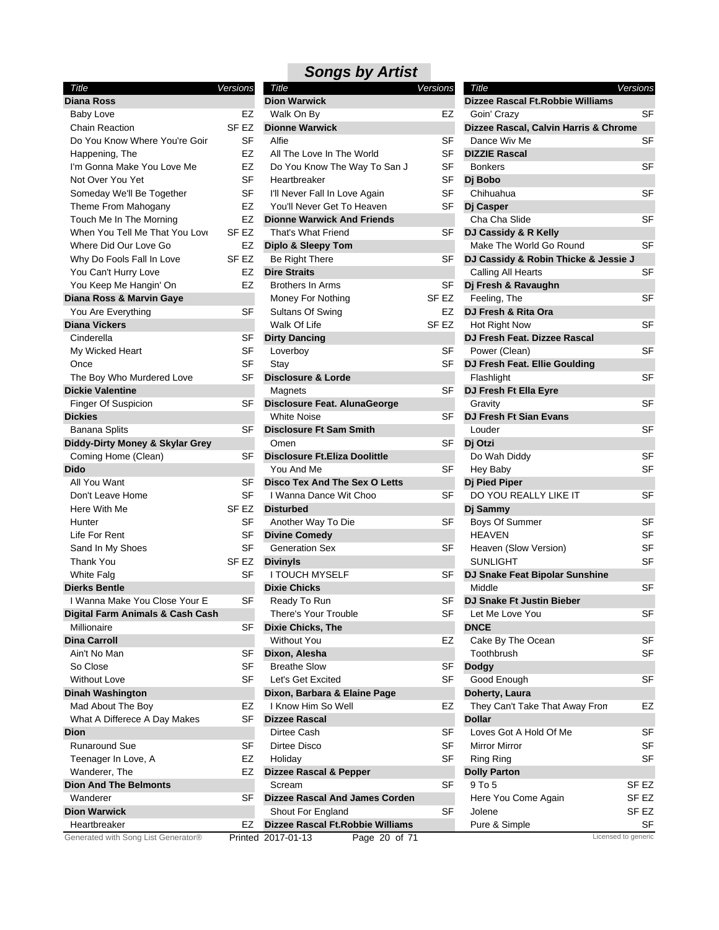| Title                               | Versions         |
|-------------------------------------|------------------|
| Diana Ross                          |                  |
| <b>Baby Love</b>                    | EZ               |
| <b>Chain Reaction</b>               | SF <sub>EZ</sub> |
| Do You Know Where You're Goir       | SF               |
| Happening, The                      | EZ               |
| I'm Gonna Make You Love Me          | EZ               |
| Not Over You Yet                    | SF               |
| Someday We'll Be Together           | SF               |
| Theme From Mahogany                 | EZ               |
| Touch Me In The Morning             | EZ               |
| When You Tell Me That You Love      | SF EZ            |
| Where Did Our Love Go               | EZ               |
| Why Do Fools Fall In Love           | SF EZ            |
| You Can't Hurry Love                | EZ               |
| You Keep Me Hangin' On              | EZ               |
| Diana Ross & Marvin Gaye            |                  |
| You Are Everything                  | SF               |
| <b>Diana Vickers</b>                |                  |
| Cinderella                          | SF               |
| My Wicked Heart                     | SF               |
| Once                                | SF               |
| The Boy Who Murdered Love           | <b>SF</b>        |
| <b>Dickie Valentine</b>             |                  |
|                                     | SF               |
| <b>Finger Of Suspicion</b>          |                  |
| <b>Dickies</b>                      |                  |
| Banana Splits                       | SF               |
| Diddy-Dirty Money & Skylar Grey     |                  |
| Coming Home (Clean)                 | SF               |
| Dido                                |                  |
| All You Want                        | SF               |
| Don't Leave Home                    | SF               |
| Here With Me                        | SF EZ            |
| Hunter                              | SF               |
| Life For Rent                       | SF               |
| Sand In My Shoes                    | SF               |
| <b>Thank You</b>                    | SF EZ            |
| <b>White Falg</b>                   | SF               |
| <b>Dierks Bentle</b>                |                  |
| I Wanna Make You Close Your E       | SF               |
| Digital Farm Animals & Cash Cash    |                  |
| Millionaire                         | SF               |
| <b>Dina Carroll</b>                 |                  |
| Ain't No Man                        | SF               |
| So Close                            | SF               |
| <b>Without Love</b>                 | SF               |
| Dinah Washington                    |                  |
| Mad About The Boy                   | EZ               |
| What A Differece A Day Makes        | SF               |
| Dion                                |                  |
| <b>Runaround Sue</b>                | SF               |
| Teenager In Love, A                 | EZ               |
| Wanderer, The                       | EZ               |
| <b>Dion And The Belmonts</b>        |                  |
| Wanderer                            | SF               |
| <b>Dion Warwick</b>                 |                  |
| Heartbreaker                        | EZ               |
| Generated with Song List Generator® | <b>Drintod</b>   |

| Title                               | Versions         | Title                                    | Versions         | Title                                 | Versions            |
|-------------------------------------|------------------|------------------------------------------|------------------|---------------------------------------|---------------------|
| Diana Ross                          |                  | <b>Dion Warwick</b>                      |                  | Dizzee Rascal Ft. Robbie Williams     |                     |
| <b>Baby Love</b>                    | EZ               | Walk On By                               | EZ               | Goin' Crazy                           | <b>SF</b>           |
| <b>Chain Reaction</b>               | SF <sub>EZ</sub> | <b>Dionne Warwick</b>                    |                  | Dizzee Rascal, Calvin Harris & Chrome |                     |
| Do You Know Where You're Goir       | <b>SF</b>        | Alfie                                    | SF               | Dance Wiv Me                          | SF                  |
| Happening, The                      | EZ               | All The Love In The World                | <b>SF</b>        | <b>DIZZIE Rascal</b>                  |                     |
| I'm Gonna Make You Love Me          | EZ               | Do You Know The Way To San J             | <b>SF</b>        | <b>Bonkers</b>                        | <b>SF</b>           |
| Not Over You Yet                    | <b>SF</b>        | Heartbreaker                             | SF               | Dj Bobo                               |                     |
| Someday We'll Be Together           | <b>SF</b>        | I'll Never Fall In Love Again            | SF               | Chihuahua                             | <b>SF</b>           |
| Theme From Mahogany                 | EZ               | You'll Never Get To Heaven               | SF               | Di Casper                             |                     |
| Touch Me In The Morning             | EZ               | <b>Dionne Warwick And Friends</b>        |                  | Cha Cha Slide                         | <b>SF</b>           |
| When You Tell Me That You Love      | SF EZ            | That's What Friend                       | SF               | DJ Cassidy & R Kelly                  |                     |
| Where Did Our Love Go               | EZ               | <b>Diplo &amp; Sleepy Tom</b>            |                  | Make The World Go Round               | <b>SF</b>           |
| Why Do Fools Fall In Love           | SF <sub>EZ</sub> | Be Right There                           | SF               | DJ Cassidy & Robin Thicke & Jessie J  |                     |
| You Can't Hurry Love                | EZ               | <b>Dire Straits</b>                      |                  | Calling All Hearts                    | <b>SF</b>           |
| You Keep Me Hangin' On              | EZ               | <b>Brothers In Arms</b>                  | SF               |                                       |                     |
|                                     |                  |                                          |                  | Dj Fresh & Ravaughn                   | <b>SF</b>           |
| Diana Ross & Marvin Gaye            |                  | Money For Nothing                        | SF EZ            | Feeling, The                          |                     |
| You Are Everything                  | <b>SF</b>        | Sultans Of Swing                         | EZ               | DJ Fresh & Rita Ora                   |                     |
| Diana Vickers                       |                  | Walk Of Life                             | SF <sub>EZ</sub> | Hot Right Now                         | <b>SF</b>           |
| Cinderella                          | SF               | <b>Dirty Dancing</b>                     |                  | DJ Fresh Feat. Dizzee Rascal          |                     |
| My Wicked Heart                     | SF               | Loverboy                                 | SF               | Power (Clean)                         | <b>SF</b>           |
| Once                                | SF               | Stay                                     | SF               | DJ Fresh Feat. Ellie Goulding         |                     |
| The Boy Who Murdered Love           | <b>SF</b>        | <b>Disclosure &amp; Lorde</b>            |                  | Flashlight                            | <b>SF</b>           |
| <b>Dickie Valentine</b>             |                  | Magnets                                  | SF               | DJ Fresh Ft Ella Eyre                 |                     |
| Finger Of Suspicion                 | SF               | Disclosure Feat. AlunaGeorge             |                  | Gravity                               | <b>SF</b>           |
| Dickies                             |                  | <b>White Noise</b>                       | <b>SF</b>        | DJ Fresh Ft Sian Evans                |                     |
| <b>Banana Splits</b>                | SF               | <b>Disclosure Ft Sam Smith</b>           |                  | Louder                                | <b>SF</b>           |
| Diddy-Dirty Money & Skylar Grey     |                  | Omen                                     | SF               | Dj Otzi                               |                     |
| Coming Home (Clean)                 | SF               | <b>Disclosure Ft.Eliza Doolittle</b>     |                  | Do Wah Diddy                          | <b>SF</b>           |
| Dido                                |                  | You And Me                               | <b>SF</b>        | Hey Baby                              | <b>SF</b>           |
| All You Want                        | SF               | <b>Disco Tex And The Sex O Letts</b>     |                  | Dj Pied Piper                         |                     |
| Don't Leave Home                    | SF               | I Wanna Dance Wit Choo                   | SF               | DO YOU REALLY LIKE IT                 | SF                  |
| Here With Me                        | SF EZ            | <b>Disturbed</b>                         |                  | Dj Sammy                              |                     |
| Hunter                              | SF               | Another Way To Die                       | SF               | Boys Of Summer                        | <b>SF</b>           |
| Life For Rent                       | SF               | <b>Divine Comedy</b>                     |                  | <b>HEAVEN</b>                         | <b>SF</b>           |
| Sand In My Shoes                    | <b>SF</b>        | <b>Generation Sex</b>                    | SF               | Heaven (Slow Version)                 | SF                  |
| Thank You                           | SF EZ            | <b>Divinyls</b>                          |                  | <b>SUNLIGHT</b>                       | <b>SF</b>           |
| White Falg                          | <b>SF</b>        | <b>I TOUCH MYSELF</b>                    | SF               | DJ Snake Feat Bipolar Sunshine        |                     |
| Dierks Bentle                       |                  | <b>Dixie Chicks</b>                      |                  | Middle                                | <b>SF</b>           |
| I Wanna Make You Close Your E       | SF               | Ready To Run                             | SF               | <b>DJ Snake Ft Justin Bieber</b>      |                     |
| Digital Farm Animals & Cash Cash    |                  |                                          |                  |                                       |                     |
| Millionaire                         | SF               | There's Your Trouble                     | SF               | Let Me Love You<br><b>DNCE</b>        | SF                  |
| Dina Carroll                        |                  | Dixie Chicks, The                        |                  |                                       | SF                  |
|                                     |                  | <b>Without You</b>                       | EZ               | Cake By The Ocean                     |                     |
| Ain't No Man                        | SF               | Dixon, Alesha                            |                  | Toothbrush                            | SF                  |
| So Close                            | <b>SF</b>        | <b>Breathe Slow</b>                      | SF               | <b>Dodgy</b>                          |                     |
| <b>Without Love</b>                 | SF               | Let's Get Excited                        | SF               | Good Enough                           | SF                  |
| Dinah Washington                    |                  | Dixon, Barbara & Elaine Page             |                  | Doherty, Laura                        |                     |
| Mad About The Boy                   | EZ               | I Know Him So Well                       | EZ               | They Can't Take That Away Fron        | EZ                  |
| What A Differece A Day Makes        | <b>SF</b>        | <b>Dizzee Rascal</b>                     |                  | <b>Dollar</b>                         |                     |
| Dion                                |                  | Dirtee Cash                              | SF               | Loves Got A Hold Of Me                | <b>SF</b>           |
| Runaround Sue                       | SF               | Dirtee Disco                             | <b>SF</b>        | <b>Mirror Mirror</b>                  | SF                  |
| Teenager In Love, A                 | EZ               | Holiday                                  | <b>SF</b>        | <b>Ring Ring</b>                      | SF                  |
| Wanderer, The                       | EZ               | <b>Dizzee Rascal &amp; Pepper</b>        |                  | <b>Dolly Parton</b>                   |                     |
| <b>Dion And The Belmonts</b>        |                  | Scream                                   | SF               | 9 To 5                                | SF <sub>EZ</sub>    |
| Wanderer                            | <b>SF</b>        | <b>Dizzee Rascal And James Corden</b>    |                  | Here You Come Again                   | SF <sub>EZ</sub>    |
| <b>Dion Warwick</b>                 |                  | Shout For England                        | SF               | Jolene                                | SF <sub>EZ</sub>    |
| Heartbreaker                        | EZ               | <b>Dizzee Rascal Ft. Robbie Williams</b> |                  | Pure & Simple                         | SF                  |
| Generated with Song List Generator® |                  | Printed 2017-01-13<br>Page 20 of 71      |                  |                                       | Licensed to generic |
|                                     |                  |                                          |                  |                                       |                     |

| Title                                  | Versions |
|----------------------------------------|----------|
| Dizzee Rascal Ft.Robbie Williams       |          |
| Goin' Crazy                            | SF       |
| Dizzee Rascal, Calvin Harris & Chrome  |          |
| Dance Wiv Me                           | SF       |
| <b>DIZZIE Rascal</b>                   |          |
| <b>Bonkers</b>                         | SF       |
| Dj Bobo                                |          |
| Chihuahua                              | SF       |
| Di Casper                              |          |
| Cha Cha Slide                          | SF       |
| DJ Cassidy & R Kelly                   |          |
| Make The World Go Round                | SF       |
| DJ Cassidy & Robin Thicke & Jessie J   |          |
| Calling All Hearts                     | SF       |
| Dj Fresh & Ravaughn                    |          |
| Feeling, The                           | SF       |
| DJ Fresh & Rita Ora                    |          |
| Hot Right Now                          | SF       |
| DJ Fresh Feat. Dizzee Rascal           |          |
| Power (Clean)                          | SF       |
| DJ Fresh Feat. Ellie Goulding          |          |
| Flashlight                             | SF       |
| DJ Fresh Ft Ella Eyre                  |          |
| Gravity                                | SF       |
| DJ Fresh Ft Sian Evans                 |          |
| Louder                                 | SF       |
| Dj Otzi                                |          |
|                                        |          |
| Do Wah Diddy                           | SF       |
| Hey Baby                               | SF       |
| Dj Pied Piper<br>DO YOU REALLY LIKE IT |          |
|                                        | SF       |
| Dj Sammy                               |          |
| Boys Of Summer                         | SF       |
| <b>HEAVEN</b>                          | SF       |
| Heaven (Slow Version)                  | SF       |
| SUNLIGHT                               | SF       |
| DJ Snake Feat Bipolar Sunshine         |          |
| Middle<br>DJ Snake Ft Justin Bieber    | SF       |
|                                        |          |
| Let Me Love You                        | SF       |
| <b>DNCE</b>                            |          |
| Cake By The Ocean                      | SF       |
| Toothbrush                             | SF       |
| <b>Dodgy</b>                           |          |
| Good Enough                            | SF       |
| Doherty, Laura                         |          |
| They Can't Take That Away Fron         | EZ       |
| <b>Dollar</b>                          |          |
| Loves Got A Hold Of Me                 | SF       |
| Mirror Mirror                          | SF       |
| Ring Ring                              | SF       |
| <b>Dolly Parton</b>                    |          |
| 9 To 5                                 | SF EZ    |
| Here You Come Again                    | SF EZ    |
| Jolene                                 | SF EZ    |
| Pure & Simple                          | SF       |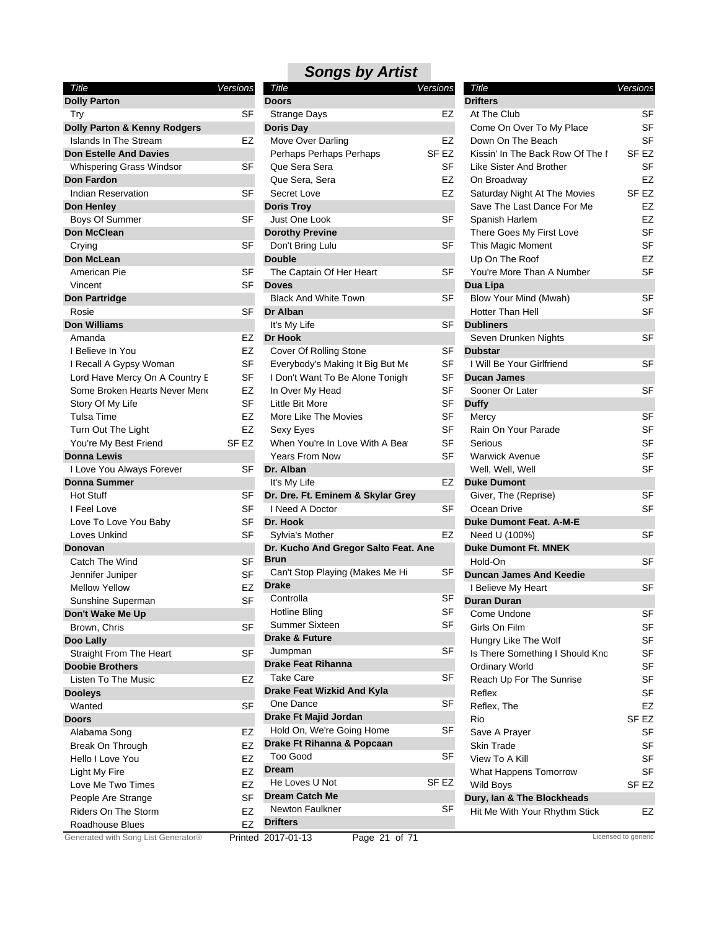| Title                          | Versions |
|--------------------------------|----------|
| <b>Dolly Parton</b>            |          |
| Try                            | SF       |
| Dolly Parton & Kenny Rodgers   |          |
| <b>Islands In The Stream</b>   | EZ       |
| <b>Don Estelle And Davies</b>  |          |
| Whispering Grass Windsor       | SF       |
| <b>Don Fardon</b>              |          |
| <b>Indian Reservation</b>      | SF       |
| Don Henley                     |          |
| <b>Boys Of Summer</b>          | SF       |
| Don McClean                    |          |
| Crying                         | SF       |
| <b>Don McLean</b>              |          |
| American Pie                   | SF       |
| Vincent                        | SF       |
| <b>Don Partridge</b>           |          |
| Rosie                          | SF       |
| <b>Don Williams</b>            |          |
| Amanda                         | EZ       |
| I Believe In You               | EZ       |
| I Recall A Gypsy Woman         | SF       |
| Lord Have Mercy On A Country E | SF       |
| Some Broken Hearts Never Meno  | EZ       |
| Story Of My Life               | SF       |
| Tulsa Time                     | EZ       |
| Turn Out The Light             | EZ       |
| You're My Best Friend          | SF EZ    |
| <b>Donna Lewis</b>             |          |
| I Love You Always Forever      | SF       |
| <b>Donna Summer</b>            |          |
| Hot Stuff                      | SF       |
| I Feel Love                    | SF       |
| Love To Love You Baby          | SF       |
| Loves Unkind                   | SF       |
| Donovan                        |          |
| Catch The Wind                 | SF       |
| Jennifer Juniper               | SF       |
| <b>Mellow Yellow</b>           | EZ       |
| Sunshine Superman              | SF       |
| Don't Wake Me Up               |          |
| Brown, Chris                   | SF       |
| Doo Lally                      |          |
| Straight From The Heart        | SF       |
| <b>Doobie Brothers</b>         |          |
| Listen To The Music            | EZ       |
| <b>Dooleys</b>                 |          |
| Wanted                         | SF       |
| Doors                          |          |
| Alabama Song                   | EZ       |
| Break On Through               | EZ       |
| Hello I Love You               | EZ       |
| Light My Fire                  | EZ       |
| Love Me Two Times              | EZ       |
| People Are Strange             | SF       |
| <b>Riders On The Storm</b>     | EZ       |
| Roadhouse Blues                | EZ       |

| Title                                        | Versions  | Title              |
|----------------------------------------------|-----------|--------------------|
| <b>Doors</b>                                 |           | <b>Drifters</b>    |
| Strange Days                                 | EZ        | At The Club        |
| <b>Doris Day</b>                             |           | Come On O          |
| Move Over Darling                            | EZ        | Down On Th         |
| Perhaps Perhaps Perhaps                      | SF EZ     | Kissin' In Th      |
| Que Sera Sera                                | <b>SF</b> | Like Sister A      |
| Que Sera, Sera                               | EZ        | On Broadwa         |
| Secret Love                                  | EZ        | Saturday Nig       |
| <b>Doris Troy</b>                            |           | Save The La        |
| Just One Look                                | SF        | Spanish Har        |
| <b>Dorothy Previne</b>                       |           | There Goes         |
| Don't Bring Lulu                             | SF        | This Magic I       |
| <b>Double</b>                                |           | Up On The I        |
| The Captain Of Her Heart                     | SF        | You're More        |
| <b>Doves</b>                                 |           | Dua Lipa           |
| <b>Black And White Town</b>                  | SF        | Blow Your M        |
| Dr Alban                                     |           | <b>Hotter Than</b> |
| It's My Life                                 | SF        | <b>Dubliners</b>   |
| <b>Dr Hook</b>                               |           | Seven Drun         |
| Cover Of Rolling Stone                       | SF        | <b>Dubstar</b>     |
| Everybody's Making It Big But Me             | SF        | l Will Be Yoı      |
| I Don't Want To Be Alone Tonigh              | SF        | Ducan Jame         |
|                                              | <b>SF</b> |                    |
| In Over My Head                              |           | Sooner Or L        |
| Little Bit More                              | SF        | <b>Duffy</b>       |
| More Like The Movies                         | <b>SF</b> | Mercy              |
| Sexy Eyes                                    | SF        | Rain On Yor        |
| When You're In Love With A Bea               | SF        | Serious            |
| <b>Years From Now</b>                        | SF        | Warwick Av         |
| Dr. Alban                                    |           | Well, Well, \      |
| It's My Life                                 | EZ        | <b>Duke Dumor</b>  |
| Dr. Dre. Ft. Eminem & Skylar Grey            |           | Giver, The (       |
| I Need A Doctor                              | SF        | Ocean Drive        |
| Dr. Hook                                     |           | <b>Duke Dumor</b>  |
| Sylvia's Mother                              | EZ        | Need U (100        |
| Dr. Kucho And Gregor Salto Feat. Ane<br>Brun |           | <b>Duke Dumor</b>  |
| Can't Stop Playing (Makes Me Hi              | SF        | Hold-On            |
| <b>Drake</b>                                 |           | Duncan Jam         |
|                                              |           | I Believe My       |
| Controlla                                    | SF        | <b>Duran Duran</b> |
| <b>Hotline Bling</b>                         | SF        | Come Undo          |
| <b>Summer Sixteen</b>                        | SF        | Girls On Filr      |
| Drake & Future                               |           | Hungry Like        |
| Jumpman                                      | SF        | Is There Sor       |
| <b>Drake Feat Rihanna</b>                    |           | Ordinary Wo        |
| Take Care                                    | SF        | Reach Up F         |
| Drake Feat Wizkid And Kyla                   |           | Reflex             |
| One Dance                                    | SF        | Reflex, The        |
| Drake Ft Majid Jordan                        |           | Rio                |
| Hold On, We're Going Home                    | SF        | Save A Pray        |
| Drake Ft Rihanna & Popcaan                   |           | Skin Trade         |
| Too Good                                     | SF        | View To A K        |
| <b>Dream</b>                                 |           | What Happe         |
| He Loves U Not                               | SF EZ     |                    |
| Dream Catch Me                               |           | Wild Boys          |
| <b>Newton Faulkner</b>                       | SF        | Dury, lan & T      |
|                                              |           | Hit Me With        |
| <b>Drifters</b>                              |           |                    |

| Title                            | Versions         |
|----------------------------------|------------------|
| <b>Drifters</b>                  |                  |
| At The Club                      | SF               |
| Come On Over To My Place         | <b>SF</b>        |
| Down On The Beach                | SF               |
| Kissin' In The Back Row Of The I | SF EZ            |
| <b>Like Sister And Brother</b>   | SF               |
| On Broadway                      | EZ               |
| Saturday Night At The Movies     | SF EZ            |
| Save The Last Dance For Me       | EZ               |
| Spanish Harlem                   | EZ               |
| There Goes My First Love         | SF               |
|                                  | <b>SF</b>        |
| This Magic Moment                |                  |
| Up On The Roof                   | EZ               |
| You're More Than A Number        | SF               |
| Dua Lipa                         |                  |
| Blow Your Mind (Mwah)            | SF               |
| Hotter Than Hell                 | SF               |
| <b>Dubliners</b>                 |                  |
| Seven Drunken Nights             | SF               |
| Dubstar                          |                  |
| I Will Be Your Girlfriend        | SF               |
| <b>Ducan James</b>               |                  |
| Sooner Or Later                  | SF               |
| <b>Duffy</b>                     |                  |
| Mercy                            | SF               |
| Rain On Your Parade              | SF               |
| Serious                          | SF               |
| <b>Warwick Avenue</b>            | SF               |
| Well, Well, Well                 | SF               |
| <b>Duke Dumont</b>               |                  |
| Giver, The (Reprise)             | SF               |
| Ocean Drive                      | SF               |
| <b>Duke Dumont Feat. A-M-E</b>   |                  |
| Need U (100%)                    | SF               |
| <b>Duke Dumont Ft. MNEK</b>      |                  |
| Hold-On                          | SF               |
| <b>Duncan James And Keedie</b>   |                  |
| I Believe My Heart               | SF               |
| <b>Duran Duran</b>               |                  |
| Come Undone                      | SF               |
| Girls On Film                    | SF               |
| Hungry Like The Wolf             | SF               |
| Is There Something I Should Kno  | SF               |
| <b>Ordinary World</b>            | SF               |
| Reach Up For The Sunrise         | SF               |
| Reflex                           | SF               |
| Reflex, The                      | EZ               |
| Rio                              | SF <sub>EZ</sub> |
| Save A Prayer                    | SF               |
| <b>Skin Trade</b>                | SF               |
| View To A Kill                   | SF               |
| What Happens Tomorrow            | SF               |
| Wild Boys                        | SF EZ            |
| Dury, Ian & The Blockheads       |                  |
| Hit Me With Your Rhythm Stick    | EZ               |

Generated with Song List Generator® Printed 2017-01-13 Page 21 of 71 Licensed to generic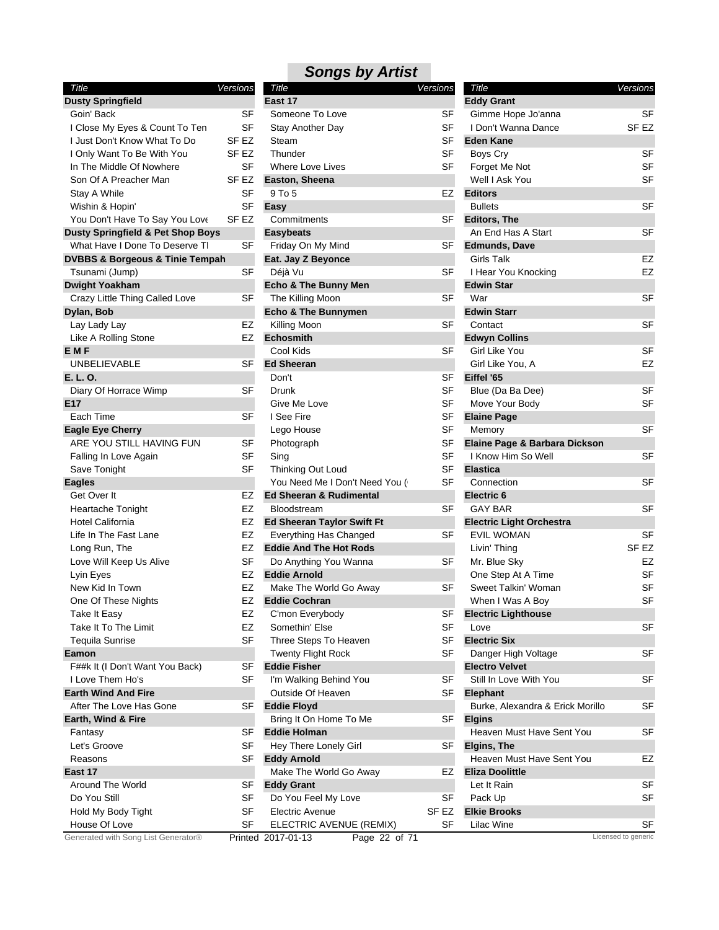| Title                                          | Versions  |
|------------------------------------------------|-----------|
| <b>Dusty Springfield</b>                       |           |
| Goin' Back                                     | SF        |
| I Close My Eyes & Count To Ten                 | SF        |
| I Just Don't Know What To Do                   | SF EZ     |
| I Only Want To Be With You                     | SF EZ     |
| In The Middle Of Nowhere                       | SF        |
| Son Of A Preacher Man                          | SF EZ     |
| <b>Stay A While</b>                            | SF        |
| Wishin & Hopin'                                | <b>SF</b> |
| You Don't Have To Say You Love                 | SF EZ     |
| <b>Dusty Springfield &amp; Pet Shop Boys</b>   |           |
| What Have I Done To Deserve TI                 | SF        |
| <b>DVBBS &amp; Borgeous &amp; Tinie Tempah</b> |           |
| Tsunami (Jump)                                 | SF        |
| <b>Dwight Yoakham</b>                          |           |
| Crazy Little Thing Called Love                 | SF        |
| Dylan, Bob                                     |           |
| Lay Lady Lay                                   | EZ        |
| Like A Rolling Stone                           | EZ        |
| <b>EMF</b>                                     |           |
| UNBELIEVABLE                                   | SF        |
| E. L. O.                                       |           |
| Diary Of Horrace Wimp                          | SF        |
| E17                                            |           |
| Each Time                                      | SF        |
| <b>Eagle Eye Cherry</b>                        |           |
| ARE YOU STILL HAVING FUN                       | SF        |
| Falling In Love Again                          | SF        |
| Save Tonight                                   | SF        |
| <b>Eagles</b>                                  |           |
| Get Over It                                    | EZ        |
| <b>Heartache Tonight</b>                       | EZ        |
| Hotel California                               | EZ        |
| Life In The Fast Lane                          | EZ        |
| Long Run, The                                  | EZ        |
| Love Will Keep Us Alive                        | SF        |
| Lyin Eyes                                      | EZ        |
| New Kid In Town                                | EZ        |
| One Of These Nights                            | EZ        |
| Take It Easy                                   | EZ        |
| Take It To The Limit                           | EZ        |
| <b>Tequila Sunrise</b>                         | SF        |
| Eamon                                          |           |
| F##k It (I Don't Want You Back)                | SF        |
| I Love Them Ho's                               | SF        |
| <b>Earth Wind And Fire</b>                     |           |
| After The Love Has Gone                        | SF        |
| Earth, Wind & Fire                             |           |
| Fantasy                                        | SF        |
| Let's Groove                                   | SF        |
| Reasons                                        | SF        |
| East 17                                        |           |
| Around The World                               | SF        |
| Do You Still                                   | SF        |
| Hold My Body Tight                             | SF        |
| House Of Love                                  | SF        |

| Title                                          | Versions         | Title                               | Versions         | Title                            | Versions            |
|------------------------------------------------|------------------|-------------------------------------|------------------|----------------------------------|---------------------|
| <b>Dusty Springfield</b>                       |                  | East 17                             |                  | <b>Eddy Grant</b>                |                     |
| Goin' Back                                     | <b>SF</b>        | Someone To Love                     | SF               | Gimme Hope Jo'anna               | SF                  |
| I Close My Eyes & Count To Ten                 | <b>SF</b>        | Stay Another Day                    | <b>SF</b>        | I Don't Wanna Dance              | SF <sub>EZ</sub>    |
| I Just Don't Know What To Do                   | SF EZ            | Steam                               | <b>SF</b>        | <b>Eden Kane</b>                 |                     |
| I Only Want To Be With You                     | SF <sub>EZ</sub> | Thunder                             | <b>SF</b>        | Boys Cry                         | <b>SF</b>           |
| In The Middle Of Nowhere                       | <b>SF</b>        | <b>Where Love Lives</b>             | <b>SF</b>        | Forget Me Not                    | <b>SF</b>           |
| Son Of A Preacher Man                          | SF EZ            | Easton, Sheena                      |                  | Well I Ask You                   | <b>SF</b>           |
| Stay A While                                   | SF               | 9 To 5                              | EZ               | <b>Editors</b>                   |                     |
| Wishin & Hopin'                                | <b>SF</b>        | Easy                                |                  | <b>Bullets</b>                   | <b>SF</b>           |
| You Don't Have To Say You Love                 | SF EZ            | Commitments                         | SF               | <b>Editors, The</b>              |                     |
| <b>Dusty Springfield &amp; Pet Shop Boys</b>   |                  | <b>Easybeats</b>                    |                  | An End Has A Start               | SF                  |
| What Have I Done To Deserve TI                 | SF               | Friday On My Mind                   | SF               | <b>Edmunds, Dave</b>             |                     |
| <b>DVBBS &amp; Borgeous &amp; Tinie Tempah</b> |                  | Eat. Jay Z Beyonce                  |                  | <b>Girls Talk</b>                | EZ                  |
| Tsunami (Jump)                                 | <b>SF</b>        | Déjà Vu                             | <b>SF</b>        | I Hear You Knocking              | EZ                  |
| <b>Dwight Yoakham</b>                          |                  | Echo & The Bunny Men                |                  | <b>Edwin Star</b>                |                     |
| Crazy Little Thing Called Love                 | SF               | The Killing Moon                    | SF               | War                              | <b>SF</b>           |
| Dylan, Bob                                     |                  | <b>Echo &amp; The Bunnymen</b>      |                  | <b>Edwin Starr</b>               |                     |
| Lay Lady Lay                                   | EZ               | Killing Moon                        | SF               | Contact                          | <b>SF</b>           |
| Like A Rolling Stone                           | EZ               | <b>Echosmith</b>                    |                  | <b>Edwyn Collins</b>             |                     |
| <b>EMF</b>                                     |                  | Cool Kids                           | SF               | Girl Like You                    | <b>SF</b>           |
| <b>UNBELIEVABLE</b>                            | <b>SF</b>        | <b>Ed Sheeran</b>                   |                  | Girl Like You, A                 | EZ                  |
| E. L. O.                                       |                  | Don't                               | SF               | Eiffel '65                       |                     |
|                                                | <b>SF</b>        | Drunk                               | SF               | Blue (Da Ba Dee)                 | <b>SF</b>           |
| Diary Of Horrace Wimp                          |                  |                                     |                  |                                  | <b>SF</b>           |
| E17                                            | <b>SF</b>        | Give Me Love                        | SF<br><b>SF</b>  | Move Your Body                   |                     |
| Each Time                                      |                  | I See Fire                          |                  | <b>Elaine Page</b>               |                     |
| <b>Eagle Eye Cherry</b>                        |                  | Lego House                          | <b>SF</b>        | Memory                           | <b>SF</b>           |
| ARE YOU STILL HAVING FUN                       | <b>SF</b>        | Photograph                          | SF               | Elaine Page & Barbara Dickson    |                     |
| Falling In Love Again                          | <b>SF</b>        | Sing                                | <b>SF</b>        | I Know Him So Well               | <b>SF</b>           |
| Save Tonight                                   | <b>SF</b>        | Thinking Out Loud                   | <b>SF</b>        | <b>Elastica</b>                  |                     |
| <b>Eagles</b>                                  |                  | You Need Me I Don't Need You (      | SF               | Connection                       | SF                  |
| Get Over It                                    | EZ               | <b>Ed Sheeran &amp; Rudimental</b>  |                  | Electric <sub>6</sub>            |                     |
| Heartache Tonight                              | EZ               | Bloodstream                         | <b>SF</b>        | <b>GAY BAR</b>                   | <b>SF</b>           |
| Hotel California                               | EZ               | <b>Ed Sheeran Taylor Swift Ft</b>   |                  | <b>Electric Light Orchestra</b>  |                     |
| Life In The Fast Lane                          | EZ               | Everything Has Changed              | SF               | <b>EVIL WOMAN</b>                | <b>SF</b>           |
| Long Run, The                                  | EZ               | <b>Eddie And The Hot Rods</b>       |                  | Livin' Thing                     | SF <sub>EZ</sub>    |
| Love Will Keep Us Alive                        | <b>SF</b>        | Do Anything You Wanna               | <b>SF</b>        | Mr. Blue Sky                     | EZ                  |
| Lyin Eyes                                      | EZ               | <b>Eddie Arnold</b>                 |                  | One Step At A Time               | SF                  |
| New Kid In Town                                | EZ               | Make The World Go Away              | <b>SF</b>        | Sweet Talkin' Woman              | SF                  |
| One Of These Nights                            | EZ               | <b>Eddie Cochran</b>                |                  | When I Was A Boy                 | <b>SF</b>           |
| Take It Easy                                   | EZ               | C'mon Everybody                     | SF               | <b>Electric Lighthouse</b>       |                     |
| Take It To The Limit                           | EZ               | Somethin' Else                      | <b>SF</b>        | Love                             | <b>SF</b>           |
| <b>Tequila Sunrise</b>                         | <b>SF</b>        | Three Steps To Heaven               | <b>SF</b>        | <b>Electric Six</b>              |                     |
| Eamon                                          |                  | <b>Twenty Flight Rock</b>           | <b>SF</b>        | Danger High Voltage              | SF                  |
| F##k It (I Don't Want You Back)                | <b>SF</b>        | <b>Eddie Fisher</b>                 |                  | <b>Electro Velvet</b>            |                     |
| I Love Them Ho's                               | SF               | I'm Walking Behind You              | SF               | Still In Love With You           | <b>SF</b>           |
| <b>Earth Wind And Fire</b>                     |                  | Outside Of Heaven                   | SF               | Elephant                         |                     |
| After The Love Has Gone                        | SF               | <b>Eddie Floyd</b>                  |                  | Burke, Alexandra & Erick Morillo | SF                  |
| Earth, Wind & Fire                             |                  | Bring It On Home To Me              | SF               | <b>Elgins</b>                    |                     |
| Fantasy                                        | SF               | <b>Eddie Holman</b>                 |                  | Heaven Must Have Sent You        | SF                  |
| Let's Groove                                   | <b>SF</b>        | Hey There Lonely Girl               | SF               | Elgins, The                      |                     |
| Reasons                                        | <b>SF</b>        | <b>Eddy Arnold</b>                  |                  | Heaven Must Have Sent You        | EZ                  |
| East 17                                        |                  | Make The World Go Away              | EZ               | <b>Eliza Doolittle</b>           |                     |
| Around The World                               | SF               | <b>Eddy Grant</b>                   |                  | Let It Rain                      | <b>SF</b>           |
| Do You Still                                   | SF               | Do You Feel My Love                 | <b>SF</b>        | Pack Up                          | <b>SF</b>           |
| Hold My Body Tight                             | SF               | <b>Electric Avenue</b>              | SF <sub>EZ</sub> | <b>Elkie Brooks</b>              |                     |
| House Of Love                                  | SF               | ELECTRIC AVENUE (REMIX)             | SF               | Lilac Wine                       | SF                  |
| Generated with Song List Generator®            |                  | Printed 2017-01-13<br>Page 22 of 71 |                  |                                  | Licensed to generic |
|                                                |                  |                                     |                  |                                  |                     |

| Title                            | Versions |           |
|----------------------------------|----------|-----------|
| <b>Eddy Grant</b>                |          |           |
| Gimme Hope Jo'anna               |          | SF        |
| I Don't Wanna Dance              |          | SF EZ     |
| <b>Eden Kane</b>                 |          |           |
| Boys Cry                         |          | SF        |
| Forget Me Not                    |          | SF        |
| Well I Ask You                   |          | SF        |
| <b>Editors</b>                   |          |           |
| <b>Bullets</b>                   |          | SF        |
| <b>Editors, The</b>              |          |           |
| An End Has A Start               |          | SF        |
| <b>Edmunds, Dave</b>             |          |           |
| Girls Talk                       |          | EZ        |
| I Hear You Knocking              |          | EZ        |
| <b>Edwin Star</b>                |          |           |
| War                              |          | SF        |
| <b>Edwin Starr</b>               |          |           |
| Contact                          |          | SF        |
| <b>Edwyn Collins</b>             |          |           |
|                                  |          |           |
| Girl Like You                    |          | SF        |
| Girl Like You, A                 |          | EZ        |
| Eiffel '65                       |          |           |
| Blue (Da Ba Dee)                 |          | SF        |
| Move Your Body                   |          | SF        |
| <b>Elaine Page</b>               |          |           |
| Memory                           |          | SF        |
| Elaine Page & Barbara Dickson    |          |           |
| I Know Him So Well               |          | SF        |
| <b>Elastica</b>                  |          |           |
| Connection                       |          | SF        |
| <b>Electric 6</b>                |          |           |
| <b>GAY BAR</b>                   |          | SF        |
| <b>Electric Light Orchestra</b>  |          |           |
| <b>EVIL WOMAN</b>                |          | SF        |
| Livin' Thing                     |          | SF EZ     |
| Mr. Blue Sky                     |          | EZ        |
| One Step At A Time               |          | SF        |
| Sweet Talkin' Woman              |          | SF        |
| When I Was A Boy                 |          | S⊦        |
| <b>Electric Lighthouse</b>       |          |           |
| Love                             |          | SF        |
| <b>Electric Six</b>              |          |           |
|                                  |          |           |
| Danger High Voltage              |          | SF        |
| <b>Electro Velvet</b>            |          |           |
| Still In Love With You           |          | SF        |
| <b>Elephant</b>                  |          |           |
| Burke, Alexandra & Erick Morillo |          | <b>SF</b> |
| <b>Elgins</b>                    |          |           |
| Heaven Must Have Sent You        |          | SF        |
| Elgins, The                      |          |           |
| Heaven Must Have Sent You        |          | EZ        |
| <b>Eliza Doolittle</b>           |          |           |
| Let It Rain                      |          | SF        |
| Pack Up                          |          | SF        |
| <b>Elkie Brooks</b>              |          |           |
| Lilac Wine                       |          | SF        |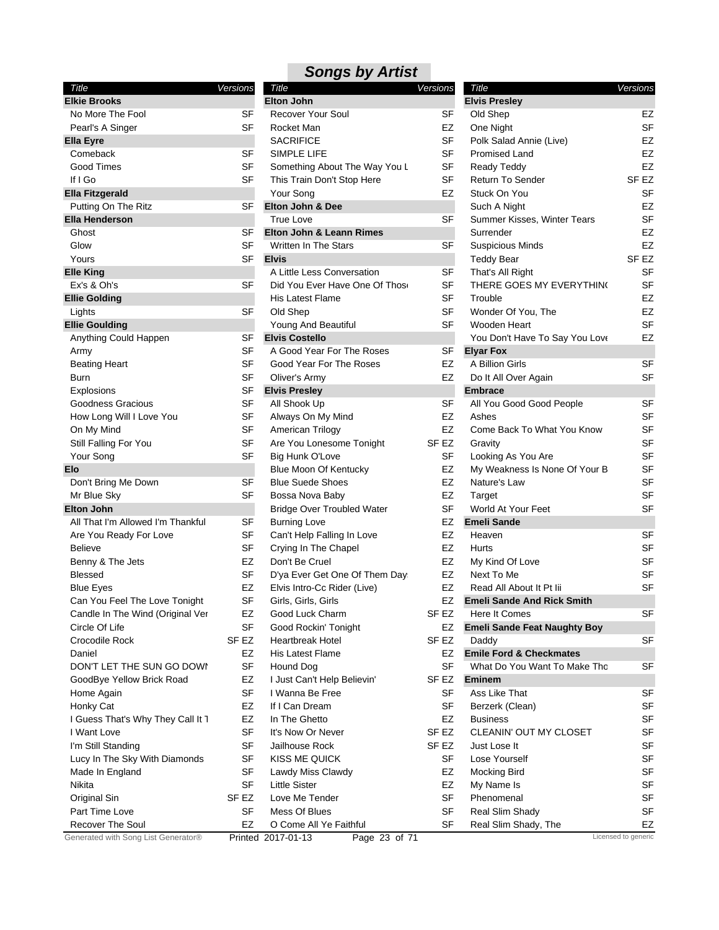| Title                               | Versions             |   |
|-------------------------------------|----------------------|---|
| <b>Elkie Brooks</b>                 |                      | E |
| No More The Fool                    | SF                   |   |
| Pearl's A Singer                    | SF                   |   |
| <b>Ella Eyre</b>                    |                      |   |
| Comeback                            | SF                   |   |
| Good Times                          | SF                   |   |
| If I Go                             | SF                   |   |
| <b>Ella Fitzgerald</b>              |                      |   |
| Putting On The Ritz                 | SF                   | E |
| <b>Ella Henderson</b>               |                      |   |
| Ghost                               | SF                   | Е |
| Glow                                | SF                   |   |
| Yours<br><b>Elle King</b>           | SF                   | E |
| Ex's & Oh's                         | SF                   |   |
| <b>Ellie Golding</b>                |                      |   |
| Lights                              | SF                   |   |
| <b>Ellie Goulding</b>               |                      |   |
| Anything Could Happen               | SF                   | E |
| Army                                | SF                   |   |
| Beating Heart                       | SF                   |   |
| Burn                                | SF                   |   |
| Explosions                          | SF                   | E |
| Goodness Gracious                   | SF                   |   |
| How Long Will I Love You            | SF                   |   |
| On My Mind                          | SF                   |   |
| Still Falling For You               | <b>SF</b>            |   |
| Your Song                           | SF                   |   |
| Elo                                 |                      |   |
| Don't Bring Me Down                 | SF                   |   |
| Mr Blue Sky                         | SF                   |   |
| <b>Elton John</b>                   |                      |   |
| All That I'm Allowed I'm Thankful   | SF                   |   |
| Are You Ready For Love              | SF                   |   |
| <b>Believe</b>                      | SF                   |   |
| Benny & The Jets                    | EZ                   |   |
| Blessed                             | SF                   |   |
| <b>Blue Eyes</b>                    | EZ                   |   |
| Can You Feel The Love Tonight       | SF                   |   |
| Candle In The Wind (Original Ver    | EZ                   |   |
| Circle Of Life                      | SF                   |   |
| Crocodile Rock                      | SF EZ                |   |
| Daniel                              | EZ                   |   |
| DON'T LET THE SUN GO DOWN           | SF                   |   |
| GoodBye Yellow Brick Road           | EZ<br>SF             |   |
| Home Again<br>Honky Cat             | EZ                   |   |
| I Guess That's Why They Call It 1   | EZ                   |   |
| I Want Love                         | SF                   |   |
| I'm Still Standing                  | SF                   |   |
| Lucy In The Sky With Diamonds       | SF                   |   |
| Made In England                     | SF                   |   |
| Nikita                              | SF                   |   |
| Original Sin                        | SF EZ                |   |
| Part Time Love                      | SF                   |   |
| <b>Recover The Soul</b>             | EZ                   |   |
| Generated with Song List Generator® | Printed <sub>2</sub> |   |

| Title                             | <u>Versions</u>  |
|-----------------------------------|------------------|
| <b>Elton John</b>                 |                  |
| <b>Recover Your Soul</b>          | SF               |
| Rocket Man                        | EZ               |
| <b>SACRIFICE</b>                  | SF               |
| SIMPLE LIFE                       | SF               |
| Something About The Way You L     | SF               |
| This Train Don't Stop Here        | SF               |
| Your Song                         | EZ               |
| <b>Elton John &amp; Dee</b>       |                  |
| <b>True Love</b>                  | SF               |
| Elton John & Leann Rimes          |                  |
| Written In The Stars              | <b>SF</b>        |
| <b>Elvis</b>                      |                  |
| A Little Less Conversation        | SF               |
| Did You Ever Have One Of Those    | SF               |
| <b>His Latest Flame</b>           | SF               |
| Old Shep                          | SF               |
| Young And Beautiful               | SF               |
| <b>Elvis Costello</b>             |                  |
| A Good Year For The Roses         | <b>SF</b>        |
| Good Year For The Roses           | EZ               |
| Oliver's Army                     | EZ               |
| <b>Elvis Presley</b>              |                  |
| All Shook Up                      | SF               |
| Always On My Mind                 | EZ               |
| American Trilogy                  | EZ               |
| Are You Lonesome Tonight          | SF <sub>EZ</sub> |
| Big Hunk O'Love                   | SF               |
| <b>Blue Moon Of Kentucky</b>      | EZ               |
| <b>Blue Suede Shoes</b>           | EZ               |
| Bossa Nova Baby                   | EZ               |
| <b>Bridge Over Troubled Water</b> | SF               |
| <b>Burning Love</b>               | EZ               |
| Can't Help Falling In Love        | EZ               |
| Crying In The Chapel              | EZ               |
| Don't Be Cruel                    | EZ               |
| D'ya Ever Get One Of Them Day     | EZ               |
| Elvis Intro-Cc Rider (Live)       | EZ               |
| Girls, Girls, Girls               | EZ               |
| Good Luck Charm                   | SF EZ            |
| Good Rockin' Tonight              | EZ               |
| <b>Heartbreak Hotel</b>           | SF <sub>EZ</sub> |
| <b>His Latest Flame</b>           | EZ               |
| Hound Dog                         | SF               |
| I Just Can't Help Believin'       | SF EZ            |
| I Wanna Be Free                   | SF               |
| If I Can Dream                    | SF               |
| In The Ghetto                     | EZ               |
| It's Now Or Never                 | SF <sub>EZ</sub> |
| Jailhouse Rock                    | SF <sub>EZ</sub> |
| <b>KISS ME QUICK</b>              | SF               |
| Lawdy Miss Clawdy                 | EZ               |
| <b>Little Sister</b>              | EZ               |
| Love Me Tender                    | SF               |
| Mess Of Blues                     | SF               |
| O Come All Ye Faithful            | SF               |

| Title                               | Versions  |
|-------------------------------------|-----------|
| <b>Elvis Presley</b>                |           |
| Old Shep                            | EZ        |
| One Night                           | SF        |
| Polk Salad Annie (Live)             | EZ        |
| Promised Land                       | EZ        |
|                                     |           |
| Ready Teddy                         | EZ        |
| <b>Return To Sender</b>             | SF EZ     |
| Stuck On You                        | <b>SF</b> |
| Such A Night                        | EZ        |
| Summer Kisses, Winter Tears         | SF        |
| Surrender                           | EZ        |
| <b>Suspicious Minds</b>             | EZ        |
| <b>Teddy Bear</b>                   | SF EZ     |
| That's All Right                    | SF        |
| THERE GOES MY EVERYTHING            | SF        |
| Trouble                             | EZ        |
| Wonder Of You, The                  | EZ        |
| Wooden Heart                        | SF        |
| You Don't Have To Say You Love      | EZ        |
| <b>Elyar Fox</b>                    |           |
| A Billion Girls                     | SF        |
| Do It All Over Again                | SF        |
| <b>Embrace</b>                      |           |
| All You Good Good People            | SF        |
| Ashes                               | SF        |
| Come Back To What You Know          | SF        |
| Gravity                             | SF        |
| Looking As You Are                  | SF        |
| My Weakness Is None Of Your B       | SF        |
| Nature's Law                        | SF        |
| Target                              | SF        |
| World At Your Feet                  | SF        |
| <b>Emeli Sande</b>                  |           |
|                                     | SF        |
| Heaven<br>Hurts                     |           |
|                                     | SF        |
| My Kind Of Love                     | SF        |
| Next To Me                          | SF        |
| Read All About It Pt Iii            | SF        |
| <b>Emeli Sande And Rick Smith</b>   |           |
| Here It Comes                       | SF        |
| <b>Emeli Sande Feat Naughty Boy</b> |           |
| Daddy                               | SF        |
| <b>Emile Ford &amp; Checkmates</b>  |           |
| What Do You Want To Make Tho        | SF        |
| <b>Eminem</b>                       |           |
| Ass Like That                       | SF        |
| Berzerk (Clean)                     | SF        |
| <b>Business</b>                     | SF        |
| <b>CLEANIN' OUT MY CLOSET</b>       | SF        |
| Just Lose It                        | SF        |
| Lose Yourself                       | SF        |
| <b>Mocking Bird</b>                 | SF        |
| My Name Is                          | SF        |
| Phenomenal                          | SF        |
| Real Slim Shady                     | SF        |
|                                     | EZ        |
| Real Slim Shady, The                |           |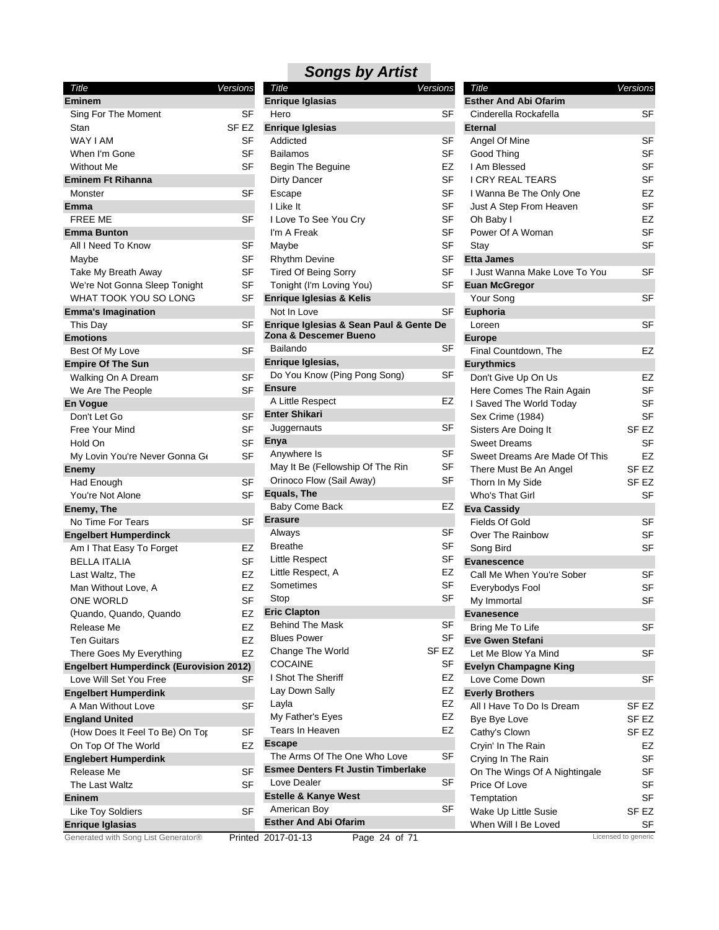| Title<br>Versions<br>E<br><b>Eminem</b><br>SF<br>Sing For The Moment<br>E<br>Stan<br>SF EZ<br>WAY I AM<br><b>SF</b><br>When I'm Gone<br>SF<br><b>Without Me</b><br>SF<br><b>Eminem Ft Rihanna</b><br>Monster<br>SF<br>Emma<br><b>FREE ME</b><br>SF<br><b>Emma Bunton</b><br>All I Need To Know<br>SF<br>SF<br>Maybe<br>SF<br>Take My Breath Away<br>We're Not Gonna Sleep Tonight<br>SF<br>WHAT TOOK YOU SO LONG<br>E<br>SF<br><b>Emma's Imagination</b><br>SF<br>E<br>This Day<br>Z<br><b>Emotions</b><br>Best Of My Love<br>SF<br>E<br><b>Empire Of The Sun</b><br>SF<br>Walking On A Dream<br>E<br>We Are The People<br>SF<br><b>En Voque</b><br>E<br>Don't Let Go<br>SF<br>Free Your Mind<br>SF<br>E<br>Hold On<br>SF<br>My Lovin You're Never Gonna Ge<br>SF<br>Enemy<br>Had Enough<br>SF<br>E<br>You're Not Alone<br>SF<br>Enemy, The<br>E<br>No Time For Tears<br>SF<br><b>Engelbert Humperdinck</b><br>Am I That Easy To Forget<br>EZ<br><b>BELLA ITALIA</b><br><b>SF</b><br>Last Waltz, The<br>EZ<br>Man Without Love, A<br>EZ<br>ONE WORLD<br>SF<br>E<br>Quando, Quando, Quando<br>EZ<br>Release Me<br>EZ<br>EZ<br>Ten Guitars<br>EZ<br>There Goes My Everything<br><b>Engelbert Humperdinck (Eurovision 2012)</b><br>Love Will Set You Free<br>SF<br><b>Engelbert Humperdink</b><br>A Man Without Love<br>SF<br><b>England United</b><br>SF<br>(How Does It Feel To Be) On Top<br>E<br>EZ<br>On Top Of The World<br><b>Englebert Humperdink</b><br>E<br>Release Me<br>SF<br>The Last Waltz<br>SF<br>E<br><b>Eninem</b><br><b>Like Toy Soldiers</b><br>SF<br>E<br><b>Enrique Iglasias</b> |  |  |
|-----------------------------------------------------------------------------------------------------------------------------------------------------------------------------------------------------------------------------------------------------------------------------------------------------------------------------------------------------------------------------------------------------------------------------------------------------------------------------------------------------------------------------------------------------------------------------------------------------------------------------------------------------------------------------------------------------------------------------------------------------------------------------------------------------------------------------------------------------------------------------------------------------------------------------------------------------------------------------------------------------------------------------------------------------------------------------------------------------------------------------------------------------------------------------------------------------------------------------------------------------------------------------------------------------------------------------------------------------------------------------------------------------------------------------------------------------------------------------------------------------------------------------------------------------------------------------------------------------|--|--|
|                                                                                                                                                                                                                                                                                                                                                                                                                                                                                                                                                                                                                                                                                                                                                                                                                                                                                                                                                                                                                                                                                                                                                                                                                                                                                                                                                                                                                                                                                                                                                                                                     |  |  |
|                                                                                                                                                                                                                                                                                                                                                                                                                                                                                                                                                                                                                                                                                                                                                                                                                                                                                                                                                                                                                                                                                                                                                                                                                                                                                                                                                                                                                                                                                                                                                                                                     |  |  |
|                                                                                                                                                                                                                                                                                                                                                                                                                                                                                                                                                                                                                                                                                                                                                                                                                                                                                                                                                                                                                                                                                                                                                                                                                                                                                                                                                                                                                                                                                                                                                                                                     |  |  |
|                                                                                                                                                                                                                                                                                                                                                                                                                                                                                                                                                                                                                                                                                                                                                                                                                                                                                                                                                                                                                                                                                                                                                                                                                                                                                                                                                                                                                                                                                                                                                                                                     |  |  |
|                                                                                                                                                                                                                                                                                                                                                                                                                                                                                                                                                                                                                                                                                                                                                                                                                                                                                                                                                                                                                                                                                                                                                                                                                                                                                                                                                                                                                                                                                                                                                                                                     |  |  |
|                                                                                                                                                                                                                                                                                                                                                                                                                                                                                                                                                                                                                                                                                                                                                                                                                                                                                                                                                                                                                                                                                                                                                                                                                                                                                                                                                                                                                                                                                                                                                                                                     |  |  |
|                                                                                                                                                                                                                                                                                                                                                                                                                                                                                                                                                                                                                                                                                                                                                                                                                                                                                                                                                                                                                                                                                                                                                                                                                                                                                                                                                                                                                                                                                                                                                                                                     |  |  |
|                                                                                                                                                                                                                                                                                                                                                                                                                                                                                                                                                                                                                                                                                                                                                                                                                                                                                                                                                                                                                                                                                                                                                                                                                                                                                                                                                                                                                                                                                                                                                                                                     |  |  |
|                                                                                                                                                                                                                                                                                                                                                                                                                                                                                                                                                                                                                                                                                                                                                                                                                                                                                                                                                                                                                                                                                                                                                                                                                                                                                                                                                                                                                                                                                                                                                                                                     |  |  |
|                                                                                                                                                                                                                                                                                                                                                                                                                                                                                                                                                                                                                                                                                                                                                                                                                                                                                                                                                                                                                                                                                                                                                                                                                                                                                                                                                                                                                                                                                                                                                                                                     |  |  |
|                                                                                                                                                                                                                                                                                                                                                                                                                                                                                                                                                                                                                                                                                                                                                                                                                                                                                                                                                                                                                                                                                                                                                                                                                                                                                                                                                                                                                                                                                                                                                                                                     |  |  |
|                                                                                                                                                                                                                                                                                                                                                                                                                                                                                                                                                                                                                                                                                                                                                                                                                                                                                                                                                                                                                                                                                                                                                                                                                                                                                                                                                                                                                                                                                                                                                                                                     |  |  |
|                                                                                                                                                                                                                                                                                                                                                                                                                                                                                                                                                                                                                                                                                                                                                                                                                                                                                                                                                                                                                                                                                                                                                                                                                                                                                                                                                                                                                                                                                                                                                                                                     |  |  |
|                                                                                                                                                                                                                                                                                                                                                                                                                                                                                                                                                                                                                                                                                                                                                                                                                                                                                                                                                                                                                                                                                                                                                                                                                                                                                                                                                                                                                                                                                                                                                                                                     |  |  |
|                                                                                                                                                                                                                                                                                                                                                                                                                                                                                                                                                                                                                                                                                                                                                                                                                                                                                                                                                                                                                                                                                                                                                                                                                                                                                                                                                                                                                                                                                                                                                                                                     |  |  |
|                                                                                                                                                                                                                                                                                                                                                                                                                                                                                                                                                                                                                                                                                                                                                                                                                                                                                                                                                                                                                                                                                                                                                                                                                                                                                                                                                                                                                                                                                                                                                                                                     |  |  |
|                                                                                                                                                                                                                                                                                                                                                                                                                                                                                                                                                                                                                                                                                                                                                                                                                                                                                                                                                                                                                                                                                                                                                                                                                                                                                                                                                                                                                                                                                                                                                                                                     |  |  |
|                                                                                                                                                                                                                                                                                                                                                                                                                                                                                                                                                                                                                                                                                                                                                                                                                                                                                                                                                                                                                                                                                                                                                                                                                                                                                                                                                                                                                                                                                                                                                                                                     |  |  |
|                                                                                                                                                                                                                                                                                                                                                                                                                                                                                                                                                                                                                                                                                                                                                                                                                                                                                                                                                                                                                                                                                                                                                                                                                                                                                                                                                                                                                                                                                                                                                                                                     |  |  |
|                                                                                                                                                                                                                                                                                                                                                                                                                                                                                                                                                                                                                                                                                                                                                                                                                                                                                                                                                                                                                                                                                                                                                                                                                                                                                                                                                                                                                                                                                                                                                                                                     |  |  |
|                                                                                                                                                                                                                                                                                                                                                                                                                                                                                                                                                                                                                                                                                                                                                                                                                                                                                                                                                                                                                                                                                                                                                                                                                                                                                                                                                                                                                                                                                                                                                                                                     |  |  |
|                                                                                                                                                                                                                                                                                                                                                                                                                                                                                                                                                                                                                                                                                                                                                                                                                                                                                                                                                                                                                                                                                                                                                                                                                                                                                                                                                                                                                                                                                                                                                                                                     |  |  |
|                                                                                                                                                                                                                                                                                                                                                                                                                                                                                                                                                                                                                                                                                                                                                                                                                                                                                                                                                                                                                                                                                                                                                                                                                                                                                                                                                                                                                                                                                                                                                                                                     |  |  |
|                                                                                                                                                                                                                                                                                                                                                                                                                                                                                                                                                                                                                                                                                                                                                                                                                                                                                                                                                                                                                                                                                                                                                                                                                                                                                                                                                                                                                                                                                                                                                                                                     |  |  |
|                                                                                                                                                                                                                                                                                                                                                                                                                                                                                                                                                                                                                                                                                                                                                                                                                                                                                                                                                                                                                                                                                                                                                                                                                                                                                                                                                                                                                                                                                                                                                                                                     |  |  |
|                                                                                                                                                                                                                                                                                                                                                                                                                                                                                                                                                                                                                                                                                                                                                                                                                                                                                                                                                                                                                                                                                                                                                                                                                                                                                                                                                                                                                                                                                                                                                                                                     |  |  |
|                                                                                                                                                                                                                                                                                                                                                                                                                                                                                                                                                                                                                                                                                                                                                                                                                                                                                                                                                                                                                                                                                                                                                                                                                                                                                                                                                                                                                                                                                                                                                                                                     |  |  |
|                                                                                                                                                                                                                                                                                                                                                                                                                                                                                                                                                                                                                                                                                                                                                                                                                                                                                                                                                                                                                                                                                                                                                                                                                                                                                                                                                                                                                                                                                                                                                                                                     |  |  |
|                                                                                                                                                                                                                                                                                                                                                                                                                                                                                                                                                                                                                                                                                                                                                                                                                                                                                                                                                                                                                                                                                                                                                                                                                                                                                                                                                                                                                                                                                                                                                                                                     |  |  |
|                                                                                                                                                                                                                                                                                                                                                                                                                                                                                                                                                                                                                                                                                                                                                                                                                                                                                                                                                                                                                                                                                                                                                                                                                                                                                                                                                                                                                                                                                                                                                                                                     |  |  |
|                                                                                                                                                                                                                                                                                                                                                                                                                                                                                                                                                                                                                                                                                                                                                                                                                                                                                                                                                                                                                                                                                                                                                                                                                                                                                                                                                                                                                                                                                                                                                                                                     |  |  |
|                                                                                                                                                                                                                                                                                                                                                                                                                                                                                                                                                                                                                                                                                                                                                                                                                                                                                                                                                                                                                                                                                                                                                                                                                                                                                                                                                                                                                                                                                                                                                                                                     |  |  |
|                                                                                                                                                                                                                                                                                                                                                                                                                                                                                                                                                                                                                                                                                                                                                                                                                                                                                                                                                                                                                                                                                                                                                                                                                                                                                                                                                                                                                                                                                                                                                                                                     |  |  |
|                                                                                                                                                                                                                                                                                                                                                                                                                                                                                                                                                                                                                                                                                                                                                                                                                                                                                                                                                                                                                                                                                                                                                                                                                                                                                                                                                                                                                                                                                                                                                                                                     |  |  |
|                                                                                                                                                                                                                                                                                                                                                                                                                                                                                                                                                                                                                                                                                                                                                                                                                                                                                                                                                                                                                                                                                                                                                                                                                                                                                                                                                                                                                                                                                                                                                                                                     |  |  |
|                                                                                                                                                                                                                                                                                                                                                                                                                                                                                                                                                                                                                                                                                                                                                                                                                                                                                                                                                                                                                                                                                                                                                                                                                                                                                                                                                                                                                                                                                                                                                                                                     |  |  |
|                                                                                                                                                                                                                                                                                                                                                                                                                                                                                                                                                                                                                                                                                                                                                                                                                                                                                                                                                                                                                                                                                                                                                                                                                                                                                                                                                                                                                                                                                                                                                                                                     |  |  |
|                                                                                                                                                                                                                                                                                                                                                                                                                                                                                                                                                                                                                                                                                                                                                                                                                                                                                                                                                                                                                                                                                                                                                                                                                                                                                                                                                                                                                                                                                                                                                                                                     |  |  |
|                                                                                                                                                                                                                                                                                                                                                                                                                                                                                                                                                                                                                                                                                                                                                                                                                                                                                                                                                                                                                                                                                                                                                                                                                                                                                                                                                                                                                                                                                                                                                                                                     |  |  |
|                                                                                                                                                                                                                                                                                                                                                                                                                                                                                                                                                                                                                                                                                                                                                                                                                                                                                                                                                                                                                                                                                                                                                                                                                                                                                                                                                                                                                                                                                                                                                                                                     |  |  |
|                                                                                                                                                                                                                                                                                                                                                                                                                                                                                                                                                                                                                                                                                                                                                                                                                                                                                                                                                                                                                                                                                                                                                                                                                                                                                                                                                                                                                                                                                                                                                                                                     |  |  |
|                                                                                                                                                                                                                                                                                                                                                                                                                                                                                                                                                                                                                                                                                                                                                                                                                                                                                                                                                                                                                                                                                                                                                                                                                                                                                                                                                                                                                                                                                                                                                                                                     |  |  |
|                                                                                                                                                                                                                                                                                                                                                                                                                                                                                                                                                                                                                                                                                                                                                                                                                                                                                                                                                                                                                                                                                                                                                                                                                                                                                                                                                                                                                                                                                                                                                                                                     |  |  |
|                                                                                                                                                                                                                                                                                                                                                                                                                                                                                                                                                                                                                                                                                                                                                                                                                                                                                                                                                                                                                                                                                                                                                                                                                                                                                                                                                                                                                                                                                                                                                                                                     |  |  |
|                                                                                                                                                                                                                                                                                                                                                                                                                                                                                                                                                                                                                                                                                                                                                                                                                                                                                                                                                                                                                                                                                                                                                                                                                                                                                                                                                                                                                                                                                                                                                                                                     |  |  |
|                                                                                                                                                                                                                                                                                                                                                                                                                                                                                                                                                                                                                                                                                                                                                                                                                                                                                                                                                                                                                                                                                                                                                                                                                                                                                                                                                                                                                                                                                                                                                                                                     |  |  |
|                                                                                                                                                                                                                                                                                                                                                                                                                                                                                                                                                                                                                                                                                                                                                                                                                                                                                                                                                                                                                                                                                                                                                                                                                                                                                                                                                                                                                                                                                                                                                                                                     |  |  |
|                                                                                                                                                                                                                                                                                                                                                                                                                                                                                                                                                                                                                                                                                                                                                                                                                                                                                                                                                                                                                                                                                                                                                                                                                                                                                                                                                                                                                                                                                                                                                                                                     |  |  |
|                                                                                                                                                                                                                                                                                                                                                                                                                                                                                                                                                                                                                                                                                                                                                                                                                                                                                                                                                                                                                                                                                                                                                                                                                                                                                                                                                                                                                                                                                                                                                                                                     |  |  |
|                                                                                                                                                                                                                                                                                                                                                                                                                                                                                                                                                                                                                                                                                                                                                                                                                                                                                                                                                                                                                                                                                                                                                                                                                                                                                                                                                                                                                                                                                                                                                                                                     |  |  |
|                                                                                                                                                                                                                                                                                                                                                                                                                                                                                                                                                                                                                                                                                                                                                                                                                                                                                                                                                                                                                                                                                                                                                                                                                                                                                                                                                                                                                                                                                                                                                                                                     |  |  |
|                                                                                                                                                                                                                                                                                                                                                                                                                                                                                                                                                                                                                                                                                                                                                                                                                                                                                                                                                                                                                                                                                                                                                                                                                                                                                                                                                                                                                                                                                                                                                                                                     |  |  |
|                                                                                                                                                                                                                                                                                                                                                                                                                                                                                                                                                                                                                                                                                                                                                                                                                                                                                                                                                                                                                                                                                                                                                                                                                                                                                                                                                                                                                                                                                                                                                                                                     |  |  |
|                                                                                                                                                                                                                                                                                                                                                                                                                                                                                                                                                                                                                                                                                                                                                                                                                                                                                                                                                                                                                                                                                                                                                                                                                                                                                                                                                                                                                                                                                                                                                                                                     |  |  |
|                                                                                                                                                                                                                                                                                                                                                                                                                                                                                                                                                                                                                                                                                                                                                                                                                                                                                                                                                                                                                                                                                                                                                                                                                                                                                                                                                                                                                                                                                                                                                                                                     |  |  |
|                                                                                                                                                                                                                                                                                                                                                                                                                                                                                                                                                                                                                                                                                                                                                                                                                                                                                                                                                                                                                                                                                                                                                                                                                                                                                                                                                                                                                                                                                                                                                                                                     |  |  |

| Title                                                            | Versions         |
|------------------------------------------------------------------|------------------|
| <b>Enrique Iglasias</b>                                          |                  |
| Hero                                                             | SF               |
| <b>Enrique Iglesias</b><br>Addicted                              |                  |
|                                                                  | SF<br>SF         |
| <b>Bailamos</b>                                                  |                  |
| <b>Begin The Beguine</b>                                         | EZ               |
| Dirty Dancer                                                     | SF               |
| Escape                                                           | SF               |
| I Like It                                                        | SF               |
| I Love To See You Cry                                            | SF               |
| I'm A Freak                                                      | SF               |
| Maybe                                                            | SF               |
| <b>Rhythm Devine</b>                                             | SF               |
| <b>Tired Of Being Sorry</b>                                      | SF               |
| Tonight (I'm Loving You)                                         | SF               |
| <b>Enrique Iglesias &amp; Kelis</b>                              |                  |
| Not In Love                                                      | SF               |
| Enrique Iglesias & Sean Paul & Gente De<br>Zona & Descemer Bueno |                  |
| Bailando                                                         | SF               |
| Enrique Iglesias,                                                |                  |
|                                                                  |                  |
| Do You Know (Ping Pong Song)<br><b>Ensure</b>                    | SF               |
|                                                                  |                  |
| A Little Respect                                                 | EZ               |
| <b>Enter Shikari</b>                                             |                  |
| Juggernauts                                                      | SF               |
| Enya                                                             |                  |
| Anywhere Is                                                      | SF               |
| May It Be (Fellowship Of The Rin                                 | SF               |
| Orinoco Flow (Sail Away)                                         | SF               |
| <b>Equals, The</b>                                               |                  |
| Baby Come Back<br><b>Erasure</b>                                 | EZ               |
|                                                                  |                  |
| Always<br><b>Breathe</b>                                         | SF               |
|                                                                  | SF<br>SF         |
| Little Respect                                                   | EZ               |
| Little Respect, A                                                | SF               |
| Sometimes                                                        |                  |
| Stop<br><b>Eric Clapton</b>                                      | SF               |
| <b>Behind The Mask</b>                                           | SF               |
| <b>Blues Power</b>                                               | SF               |
| <b>Change The World</b>                                          | SF <sub>EZ</sub> |
| <b>COCAINE</b>                                                   | SF               |
|                                                                  |                  |
| I Shot The Sheriff                                               | EZ               |
| Lay Down Sally                                                   | EZ               |
| Layla                                                            | EZ               |
| My Father's Eyes                                                 | EZ               |
| Tears In Heaven                                                  | EZ               |
| <b>Escape</b>                                                    | SF               |
| The Arms Of The One Who Love                                     |                  |
| <b>Esmee Denters Ft Justin Timberlake</b>                        |                  |
| Love Dealer                                                      | SF               |
| <b>Estelle &amp; Kanye West</b>                                  |                  |
| American Boy                                                     | SF               |
| <b>Esther And Abi Ofarim</b>                                     |                  |

| Title                         | Versions  |
|-------------------------------|-----------|
| <b>Esther And Abi Ofarim</b>  |           |
| Cinderella Rockafella         | SF        |
| <b>Eternal</b>                |           |
| Angel Of Mine                 | SF        |
| Good Thing                    | SF        |
| I Am Blessed                  | SF        |
| I CRY REAL TEARS              | <b>SF</b> |
| I Wanna Be The Only One       | EZ        |
| Just A Step From Heaven       | SF        |
| Oh Baby I                     | EZ        |
| Power Of A Woman              | SF        |
| Stay                          | <b>SF</b> |
| <b>Etta James</b>             |           |
| I Just Wanna Make Love To You | SF        |
| <b>Euan McGregor</b>          |           |
| Your Song                     | SF        |
| Euphoria                      |           |
| Loreen                        | SF        |
| <b>Europe</b>                 |           |
| Final Countdown, The          | EZ        |
| Eurythmics                    |           |
| Don't Give Up On Us           | EZ        |
| Here Comes The Rain Again     | SF        |
| I Saved The World Today       | SF        |
| Sex Crime (1984)              | SF        |
| Sisters Are Doing It          | SF EZ     |
| <b>Sweet Dreams</b>           | SF        |
| Sweet Dreams Are Made Of This | EZ        |
| There Must Be An Angel        | SF EZ     |
| Thorn In My Side              | SF EZ     |
| Who's That Girl               | SF        |
| <b>Eva Cassidy</b>            |           |
| Fields Of Gold                | SF        |
| Over The Rainbow              | SF        |
| Song Bird                     | SF        |
| <b>Evanescence</b>            |           |
| Call Me When You're Sober     | <b>SF</b> |
| Everybodys Fool               | SF        |
| My Immortal                   | SF        |
| <b>Evanesence</b>             |           |
| Bring Me To Life              | SF        |
| <b>Eve Gwen Stefani</b>       |           |
| Let Me Blow Ya Mind           | SF        |
| <b>Evelyn Champagne King</b>  |           |
| Love Come Down                | SF        |
| <b>Everly Brothers</b>        |           |
| All I Have To Do Is Dream     | SF EZ     |
| Bye Bye Love                  | SF EZ     |
| Cathy's Clown                 | SF EZ     |
| Cryin' In The Rain            | EZ        |
| Crying In The Rain            | SF        |
| On The Wings Of A Nightingale | SF        |
| Price Of Love                 | SF        |
| Temptation                    | SF        |
| Wake Up Little Susie          | SF EZ     |
| When Will I Be Loved          | SF        |
|                               |           |

Generated with Song List Generator® Printed 2017-01-13 Page 24 of 71 Licensed to generic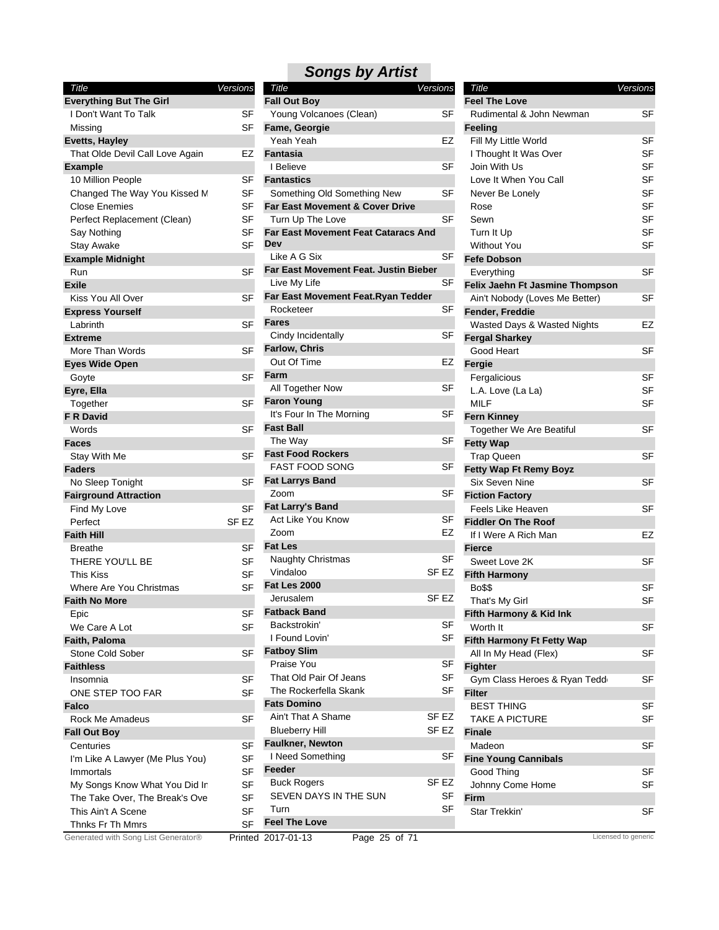| <b>Title</b>                        | Versions         | <b>Title</b>                               | Versions         | <b>Title</b>                    | Versions            |
|-------------------------------------|------------------|--------------------------------------------|------------------|---------------------------------|---------------------|
| <b>Everything But The Girl</b>      |                  | <b>Fall Out Boy</b>                        |                  | <b>Feel The Love</b>            |                     |
| I Don't Want To Talk                | SF               | Young Volcanoes (Clean)                    | SF               | Rudimental & John Newman        | <b>SF</b>           |
| Missing                             | SF               | Fame, Georgie                              |                  | <b>Feeling</b>                  |                     |
| Evetts, Hayley                      |                  | Yeah Yeah                                  | EZ               | Fill My Little World            | <b>SF</b>           |
| That Olde Devil Call Love Again     | EZ               | <b>Fantasia</b>                            |                  | I Thought It Was Over           | SF                  |
| <b>Example</b>                      |                  | I Believe                                  | <b>SF</b>        | Join With Us                    | SF                  |
| 10 Million People                   | <b>SF</b>        | <b>Fantastics</b>                          |                  | Love It When You Call           | SF                  |
| Changed The Way You Kissed M        | <b>SF</b>        | Something Old Something New                | <b>SF</b>        | Never Be Lonely                 | SF                  |
| <b>Close Enemies</b>                | SF               | <b>Far East Movement &amp; Cover Drive</b> |                  | Rose                            | SF                  |
| Perfect Replacement (Clean)         | <b>SF</b>        | Turn Up The Love                           | <b>SF</b>        | Sewn                            | <b>SF</b>           |
| Say Nothing                         | <b>SF</b>        | <b>Far East Movement Feat Cataracs And</b> |                  | Turn It Up                      | <b>SF</b>           |
| <b>Stay Awake</b>                   | <b>SF</b>        | Dev                                        |                  | <b>Without You</b>              | <b>SF</b>           |
| <b>Example Midnight</b>             |                  | Like A G Six                               | SF               | <b>Fefe Dobson</b>              |                     |
| Run                                 | <b>SF</b>        | Far East Movement Feat. Justin Bieber      |                  | Everything                      | <b>SF</b>           |
| <b>Exile</b>                        |                  | Live My Life                               | SF               | Felix Jaehn Ft Jasmine Thompson |                     |
| Kiss You All Over                   | <b>SF</b>        | Far East Movement Feat.Ryan Tedder         |                  | Ain't Nobody (Loves Me Better)  | <b>SF</b>           |
| <b>Express Yourself</b>             |                  | Rocketeer                                  | SF               | Fender, Freddie                 |                     |
|                                     | <b>SF</b>        | <b>Fares</b>                               |                  |                                 | EZ                  |
| Labrinth                            |                  | Cindy Incidentally                         | SF               | Wasted Days & Wasted Nights     |                     |
| <b>Extreme</b>                      |                  | <b>Farlow, Chris</b>                       |                  | <b>Fergal Sharkey</b>           |                     |
| More Than Words                     | <b>SF</b>        | Out Of Time                                | EZ               | Good Heart                      | <b>SF</b>           |
| <b>Eyes Wide Open</b>               |                  |                                            |                  | Fergie                          |                     |
| Goyte                               | <b>SF</b>        | Farm                                       |                  | Fergalicious                    | SF                  |
| Eyre, Ella                          |                  | All Together Now                           | SF               | L.A. Love (La La)               | <b>SF</b>           |
| Together                            | <b>SF</b>        | <b>Faron Young</b>                         |                  | <b>MILF</b>                     | <b>SF</b>           |
| <b>F R David</b>                    |                  | It's Four In The Morning                   | <b>SF</b>        | <b>Fern Kinney</b>              |                     |
| Words                               | <b>SF</b>        | <b>Fast Ball</b>                           |                  | Together We Are Beatiful        | SF                  |
| <b>Faces</b>                        |                  | The Way                                    | SF               | <b>Fetty Wap</b>                |                     |
| Stay With Me                        | <b>SF</b>        | <b>Fast Food Rockers</b>                   |                  | <b>Trap Queen</b>               | SF                  |
| <b>Faders</b>                       |                  | <b>FAST FOOD SONG</b>                      | SF               | Fetty Wap Ft Remy Boyz          |                     |
| No Sleep Tonight                    | <b>SF</b>        | <b>Fat Larrys Band</b>                     |                  | Six Seven Nine                  | <b>SF</b>           |
| <b>Fairground Attraction</b>        |                  | Zoom                                       | SF               | <b>Fiction Factory</b>          |                     |
| Find My Love                        | <b>SF</b>        | <b>Fat Larry's Band</b>                    |                  | Feels Like Heaven               | SF                  |
| Perfect                             | SF <sub>EZ</sub> | Act Like You Know                          | SF               | <b>Fiddler On The Roof</b>      |                     |
| <b>Faith Hill</b>                   |                  | Zoom                                       | EZ               | If I Were A Rich Man            | EZ                  |
| <b>Breathe</b>                      | <b>SF</b>        | <b>Fat Les</b>                             |                  | <b>Fierce</b>                   |                     |
| THERE YOU'LL BE                     | <b>SF</b>        | Naughty Christmas                          | SF               | Sweet Love 2K                   | SF                  |
| <b>This Kiss</b>                    | <b>SF</b>        | Vindaloo                                   | SF <sub>EZ</sub> | <b>Fifth Harmony</b>            |                     |
| Where Are You Christmas             | <b>SF</b>        | <b>Fat Les 2000</b>                        |                  | <b>Bo\$\$</b>                   | <b>SF</b>           |
| <b>Faith No More</b>                |                  | Jerusalem                                  | SF EZ            | That's My Girl                  | SF                  |
| Epic                                | SF               | <b>Fatback Band</b>                        |                  | Fifth Harmony & Kid Ink         |                     |
| We Care A Lot                       | <b>SF</b>        | Backstrokin'                               | <b>SF</b>        | Worth It                        | SF                  |
| Faith, Paloma                       |                  | I Found Lovin'                             | SF               | Fifth Harmony Ft Fetty Wap      |                     |
| Stone Cold Sober                    | <b>SF</b>        | <b>Fatboy Slim</b>                         |                  | All In My Head (Flex)           | SF                  |
|                                     |                  | Praise You                                 | <b>SF</b>        |                                 |                     |
| <b>Faithless</b>                    |                  | That Old Pair Of Jeans                     | <b>SF</b>        | <b>Fighter</b>                  |                     |
| Insomnia                            | <b>SF</b>        | The Rockerfella Skank                      | SF               | Gym Class Heroes & Ryan Tedd    | SF                  |
| ONE STEP TOO FAR                    | <b>SF</b>        | <b>Fats Domino</b>                         |                  | <b>Filter</b>                   |                     |
| Falco                               |                  |                                            |                  | <b>BEST THING</b>               | SF                  |
| Rock Me Amadeus                     | <b>SF</b>        | Ain't That A Shame                         | SF EZ            | <b>TAKE A PICTURE</b>           | SF                  |
| <b>Fall Out Boy</b>                 |                  | <b>Blueberry Hill</b>                      | SF <sub>EZ</sub> | <b>Finale</b>                   |                     |
| Centuries                           | SF               | <b>Faulkner, Newton</b>                    |                  | Madeon                          | SF                  |
| I'm Like A Lawyer (Me Plus You)     | <b>SF</b>        | I Need Something                           | SF               | <b>Fine Young Cannibals</b>     |                     |
| Immortals                           | <b>SF</b>        | Feeder                                     |                  | Good Thing                      | SF                  |
| My Songs Know What You Did In       | <b>SF</b>        | <b>Buck Rogers</b>                         | SF <sub>EZ</sub> | Johnny Come Home                | SF                  |
| The Take Over, The Break's Ove      | <b>SF</b>        | SEVEN DAYS IN THE SUN                      | SF               | Firm                            |                     |
| This Ain't A Scene                  | <b>SF</b>        | Turn                                       | <b>SF</b>        | Star Trekkin'                   | SF                  |
| Thnks Fr Th Mmrs                    | <b>SF</b>        | <b>Feel The Love</b>                       |                  |                                 |                     |
| Generated with Song List Generator® |                  | Printed 2017-01-13<br>Page 25 of 71        |                  |                                 | Licensed to generic |

| Title<br>Versions                                 |       |
|---------------------------------------------------|-------|
| <b>Fall Out Boy</b>                               |       |
| Young Volcanoes (Clean)                           | SF    |
| Fame, Georgie                                     |       |
| Yeah Yeah                                         | EZ    |
| Fantasia                                          |       |
| I Believe                                         | SF    |
| <b>Fantastics</b>                                 |       |
| Something Old Something New                       | SF    |
| Far East Movement & Cover Drive                   |       |
| Turn Up The Love                                  | SF    |
| <b>Far East Movement Feat Cataracs And</b><br>Dev |       |
| Like A G Six                                      | SF    |
| <b>Far East Movement Feat. Justin Bieber</b>      |       |
| Live My Life                                      | SF    |
| Far East Movement Feat.Ryan Tedder                |       |
| Rocketeer                                         | SF    |
| Fares                                             |       |
| Cindy Incidentally                                | SF    |
| Farlow, Chris                                     |       |
| Out Of Time                                       | EZ    |
| Farm                                              |       |
| All Together Now                                  | SF    |
| <b>Faron Young</b>                                |       |
| It's Four In The Morning                          | SF    |
| <b>Fast Ball</b>                                  |       |
| The Way                                           | SF    |
| <b>Fast Food Rockers</b>                          |       |
| <b>FAST FOOD SONG</b>                             | SF    |
| <b>Fat Larrys Band</b>                            |       |
| Zoom                                              | SF    |
| <b>Fat Larry's Band</b>                           |       |
| Act Like You Know                                 | SF    |
| Zoom                                              | EZ    |
| <b>Fat Les</b>                                    |       |
|                                                   | SF    |
| Naughty Christmas<br>Vindaloo                     | SF EZ |
|                                                   |       |
| <b>Fat Les 2000</b>                               |       |
| Jerusalem                                         | SF EZ |
| <b>Fatback Band</b>                               |       |
| Backstrokin'                                      | SF    |
| I Found Lovin'                                    | SF    |
| <b>Fatboy Slim</b>                                |       |
| Praise You                                        | SF    |
| That Old Pair Of Jeans                            | SF    |
| The Rockerfella Skank                             | SF    |
| <b>Fats Domino</b>                                |       |
| Ain't That A Shame                                | SF EZ |
| <b>Blueberry Hill</b>                             | SF EZ |
| <b>Faulkner, Newton</b>                           |       |
| I Need Something                                  | SF    |
| Feeder                                            |       |
| <b>Buck Rogers</b>                                | SF EZ |
| SEVEN DAYS IN THE SUN                             | SF    |
| Turn                                              | SF    |
| <b>Feel The Love</b>                              |       |
|                                                   |       |

| Title<br><b>Feel The Love</b>   | Versions |
|---------------------------------|----------|
| Rudimental & John Newman        | SF       |
| <b>Feeling</b>                  |          |
| Fill My Little World            | SF       |
| I Thought It Was Over           | SF       |
| Join With Us                    | SF       |
| Love It When You Call           | SF       |
| Never Be Lonely                 | SF       |
| Rose                            | SF       |
| Sewn                            | SF       |
| Turn It Up                      | SF       |
| <b>Without You</b>              | SF       |
| <b>Fefe Dobson</b>              |          |
| Everything                      | SF       |
| Felix Jaehn Ft Jasmine Thompson |          |
| Ain't Nobody (Loves Me Better)  | SF       |
| Fender, Freddie                 |          |
| Wasted Days & Wasted Nights     | EZ       |
| <b>Fergal Sharkey</b>           |          |
| Good Heart                      | SF       |
| Fergie                          |          |
| Fergalicious                    | SF       |
| L.A. Love (La La)               | SF       |
| <b>MILF</b>                     | SF       |
| <b>Fern Kinney</b>              |          |
| Together We Are Beatiful        | SF       |
| <b>Fetty Wap</b>                |          |
| Trap Queen                      | SF       |
| <b>Fetty Wap Ft Remy Boyz</b>   |          |
| Six Seven Nine                  | SF       |
| <b>Fiction Factory</b>          |          |
| Feels Like Heaven               | SF       |
| <b>Fiddler On The Roof</b>      |          |
| If I Were A Rich Man            | EZ       |
| <b>Fierce</b>                   |          |
| Sweet Love 2K                   | SF       |
| <b>Fifth Harmony</b>            |          |
| <b>Bo\$\$</b>                   | SF       |
| That's My Girl                  | SF       |
| Fifth Harmony & Kid Ink         |          |
| Worth It                        | SF       |
| Fifth Harmony Ft Fetty Wap      |          |
| All In My Head (Flex)           | SF       |
| <b>Fighter</b>                  |          |
| Gym Class Heroes & Ryan Tedd    | SF       |
| Filter                          |          |
| <b>BEST THING</b>               | SF       |
| <b>TAKE A PICTURE</b>           | SF       |
| <b>Finale</b>                   |          |
| Madeon                          | SF       |
| <b>Fine Young Cannibals</b>     |          |
| Good Thing                      | SF       |
| Johnny Come Home                | SF       |
| Firm                            |          |
| Star Trekkin'                   | SF       |
|                                 |          |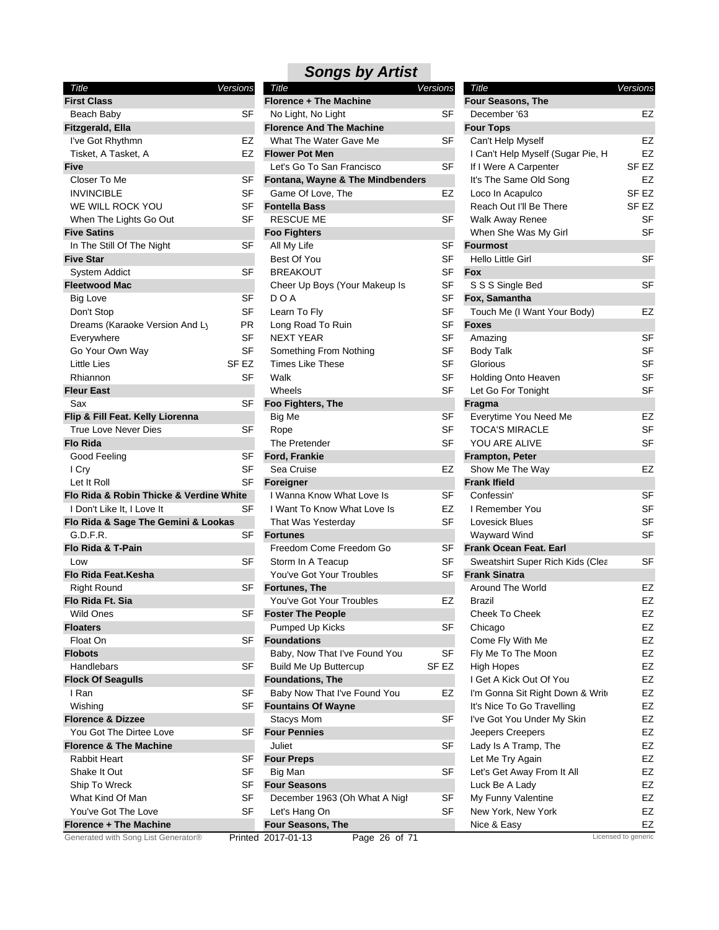| Title<br><b>First Class</b>             | Versions  |
|-----------------------------------------|-----------|
| Beach Baby                              | SF        |
| Fitzgerald, Ella                        |           |
| I've Got Rhythmn                        | EZ        |
| Tisket, A Tasket, A                     | EZ        |
| Five                                    |           |
| Closer To Me                            | SF        |
| <b>INVINCIBLE</b>                       | SF        |
| WE WILL ROCK YOU                        | SF        |
| When The Lights Go Out                  | SF        |
| <b>Five Satins</b>                      |           |
| In The Still Of The Night               | SF        |
| <b>Five Star</b>                        |           |
|                                         |           |
| System Addict                           | SF        |
| <b>Fleetwood Mac</b>                    |           |
| Big Love                                | SF        |
| Don't Stop                              | <b>SF</b> |
| Dreams (Karaoke Version And Ly          | ΡR        |
| Everywhere                              | SF        |
| Go Your Own Way                         | SF        |
| Little Lies                             | SF EZ     |
| Rhiannon                                | SF        |
| <b>Fleur East</b>                       |           |
| Sax                                     | SF        |
| Flip & Fill Feat. Kelly Liorenna        |           |
| True Love Never Dies                    | SF        |
| <b>Flo Rida</b>                         |           |
| Good Feeling                            | SF        |
| I Cry                                   | SF        |
| Let It Roll                             | SF        |
| Flo Rida & Robin Thicke & Verdine White |           |
| I Don't Like It, I Love It              | SF        |
| Flo Rida & Sage The Gemini & Lookas     |           |
| G.D.F.R.                                | SF        |
| Flo Rida & T-Pain                       |           |
| Low                                     | SF        |
| <b>Flo Rida Feat, Kesha</b>             |           |
| <b>Right Round</b>                      | SF        |
| Flo Rida Ft. Sia                        |           |
| Wild Ones                               | SF        |
| <b>Floaters</b>                         |           |
| Float On                                | SF        |
| <b>Flobots</b>                          |           |
|                                         | SF        |
| Handlebars                              |           |
| <b>Flock Of Seagulls</b>                |           |
| I Ran                                   | SF        |
| Wishina                                 | SF        |
| <b>Florence &amp; Dizzee</b>            |           |
| You Got The Dirtee Love                 | SF        |
| <b>Florence &amp; The Machine</b>       |           |
| Rabbit Heart                            | SF        |
| Shake It Out                            | SF        |
| Ship To Wreck                           | SF        |
| What Kind Of Man                        | SF        |
| You've Got The Love                     | SF        |
| <b>Florence + The Machine</b>           |           |
| Generated with Song List Generator®     | Printed   |

|                            | Versions         | Title                               | Versions         | Title                             | <b>Versions</b>     |
|----------------------------|------------------|-------------------------------------|------------------|-----------------------------------|---------------------|
|                            |                  | Florence + The Machine              |                  | <b>Four Seasons, The</b>          |                     |
|                            | SF               | No Light, No Light                  | <b>SF</b>        | December '63                      | EZ                  |
| a                          |                  | <b>Florence And The Machine</b>     |                  | <b>Four Tops</b>                  |                     |
| ገmn                        | EZ               | What The Water Gave Me              | SF               | Can't Help Myself                 | EZ                  |
| ket, A                     | <b>EZ</b>        | <b>Flower Pot Men</b>               |                  | I Can't Help Myself (Sugar Pie, H | EZ                  |
|                            |                  | Let's Go To San Francisco           | <b>SF</b>        | If I Were A Carpenter             | SF <sub>EZ</sub>    |
|                            | SF               | Fontana, Wayne & The Mindbenders    |                  | It's The Same Old Song            | EZ                  |
|                            | SF               | Game Of Love, The                   | EZ               | Loco In Acapulco                  | SF EZ               |
| CK YOU                     | SF               | <b>Fontella Bass</b>                |                  | Reach Out I'll Be There           | SF EZ               |
| ahts Go Out                | SF               | <b>RESCUE ME</b>                    | SF               | Walk Away Renee                   | <b>SF</b>           |
|                            |                  | <b>Foo Fighters</b>                 |                  | When She Was My Girl              | <b>SF</b>           |
| f The Night                | SF               | All My Life                         | <b>SF</b>        | <b>Fourmost</b>                   |                     |
|                            |                  | Best Of You                         | <b>SF</b>        | Hello Little Girl                 | <b>SF</b>           |
| C,                         | <b>SF</b>        | <b>BREAKOUT</b>                     | <b>SF</b>        | <b>Fox</b>                        |                     |
| C                          |                  | Cheer Up Boys (Your Makeup Is       | SF               | S S S Single Bed                  | SF                  |
|                            | SF               | D O A                               | SF               | Fox, Samantha                     |                     |
|                            | <b>SF</b>        | Learn To Fly                        | <b>SF</b>        | Touch Me (I Want Your Body)       | EZ                  |
| aoke Version And Ly        | PR.              | Long Road To Ruin                   | <b>SF</b>        | <b>Foxes</b>                      |                     |
|                            | <b>SF</b>        | <b>NEXT YEAR</b>                    | <b>SF</b>        | Amazing                           | <b>SF</b>           |
| ∣ Way                      | <b>SF</b>        | Something From Nothing              | <b>SF</b>        | <b>Body Talk</b>                  | <b>SF</b>           |
|                            | SF <sub>EZ</sub> | <b>Times Like These</b>             | <b>SF</b>        | Glorious                          | <b>SF</b>           |
|                            | <b>SF</b>        | Walk                                | <b>SF</b>        | Holding Onto Heaven               | <b>SF</b>           |
|                            |                  | Wheels                              | <b>SF</b>        | Let Go For Tonight                | <b>SF</b>           |
|                            | SF               | Foo Fighters, The                   |                  | Fragma                            |                     |
| t. Kelly Liorenna          |                  | Big Me                              | SF               | Everytime You Need Me             | EZ                  |
| ver Dies                   | SF               | Rope                                | <b>SF</b>        | <b>TOCA'S MIRACLE</b>             | <b>SF</b>           |
|                            |                  | The Pretender                       | <b>SF</b>        | YOU ARE ALIVE                     | <b>SF</b>           |
|                            | <b>SF</b>        | Ford, Frankie                       |                  | <b>Frampton, Peter</b>            |                     |
|                            | <b>SF</b>        | Sea Cruise                          | <b>EZ</b>        | Show Me The Way                   | EZ                  |
|                            | SF               | <b>Foreigner</b>                    |                  | <b>Frank Ifield</b>               |                     |
| bin Thicke & Verdine White |                  | I Wanna Know What Love Is           | SF               | Confessin'                        | SF                  |
| , I Love It                | <b>SF</b>        | I Want To Know What Love Is         | <b>EZ</b>        | I Remember You                    | <b>SF</b>           |
| ge The Gemini & Lookas     |                  | That Was Yesterday                  | <b>SF</b>        | Lovesick Blues                    | <b>SF</b>           |
|                            | SF               | <b>Fortunes</b>                     |                  | Wayward Wind                      | <b>SF</b>           |
| ain?                       |                  | Freedom Come Freedom Go             | SF               | Frank Ocean Feat. Earl            |                     |
|                            | <b>SF</b>        | Storm In A Teacup                   | <b>SF</b>        | Sweatshirt Super Rich Kids (Clea  | <b>SF</b>           |
| Kesha                      |                  | You've Got Your Troubles            | SF               | <b>Frank Sinatra</b>              |                     |
|                            | SF               | <b>Fortunes, The</b>                |                  | Around The World                  | EZ                  |
| ia                         |                  | You've Got Your Troubles            | EZ               | Brazil                            | EZ                  |
|                            |                  | <b>Foster The People</b>            |                  | Cheek To Cheek                    | EZ                  |
|                            | ১⊦               | Pumped Up Kicks                     | SF               |                                   | EZ                  |
|                            | SF               | <b>Foundations</b>                  |                  | Chicago                           | EZ                  |
|                            |                  |                                     | <b>SF</b>        | Come Fly With Me                  |                     |
|                            |                  | Baby, Now That I've Found You       |                  | Fly Me To The Moon                | EZ                  |
|                            | <b>SF</b>        | <b>Build Me Up Buttercup</b>        | SF <sub>EZ</sub> | High Hopes                        | EZ                  |
| ıulls                      |                  | <b>Foundations, The</b>             |                  | I Get A Kick Out Of You           | EZ                  |
|                            | SF               | Baby Now That I've Found You        | EZ               | I'm Gonna Sit Right Down & Write  | EZ                  |
|                            | SF               | <b>Fountains Of Wayne</b>           |                  | It's Nice To Go Travelling        | EZ                  |
| zzee                       |                  | Stacys Mom                          | SF               | I've Got You Under My Skin        | EZ                  |
| Dirtee Love                | SF               | <b>Four Pennies</b>                 |                  | Jeepers Creepers                  | EZ                  |
| e Machine                  |                  | Juliet                              | SF               | Lady Is A Tramp, The              | EZ                  |
|                            | SF               | <b>Four Preps</b>                   |                  | Let Me Try Again                  | EZ                  |
|                            | SF               | Big Man                             | SF               | Let's Get Away From It All        | EZ                  |
| ж.                         | <b>SF</b>        | <b>Four Seasons</b>                 |                  | Luck Be A Lady                    | EZ                  |
| Man                        | SF               | December 1963 (Oh What A Night      | SF               | My Funny Valentine                | EZ                  |
| he Love                    | <b>SF</b>        | Let's Hang On                       | <b>SF</b>        | New York, New York                | EZ                  |
| e Machine                  |                  | Four Seasons, The                   |                  | Nice & Easy                       | EZ                  |
| Song List Generator®       |                  | Page 26 of 71<br>Printed 2017-01-13 |                  |                                   | Licensed to generic |

| Title                             | Versions |
|-----------------------------------|----------|
| <b>Four Seasons, The</b>          |          |
| December '63                      | EZ       |
| <b>Four Tops</b>                  |          |
| Can't Help Myself                 | EZ       |
| I Can't Help Myself (Sugar Pie, H | EZ       |
| If I Were A Carpenter             | SF EZ    |
| It's The Same Old Song            | EZ       |
| Loco In Acapulco                  | SF EZ    |
| Reach Out I'll Be There           | SF EZ    |
| Walk Away Renee                   | SF       |
| When She Was My Girl              | SF       |
| <b>Fourmost</b>                   |          |
| Hello Little Girl                 | SF       |
| Fox                               |          |
| S S S Single Bed                  | SF       |
| Fox, Samantha                     |          |
| Touch Me (I Want Your Body)       | EZ       |
| Foxes                             |          |
| Amazing                           | SF       |
| <b>Body Talk</b>                  | SF       |
| Glorious                          | SF       |
| Holding Onto Heaven               | SF       |
| Let Go For Tonight                | SF       |
| Fragma                            |          |
| Everytime You Need Me             | EZ       |
| <b>TOCA'S MIRACLE</b>             | SF       |
| YOU ARE ALIVE                     | SF       |
| <b>Frampton, Peter</b>            |          |
| Show Me The Way                   | EZ       |
| <b>Frank Ifield</b>               |          |
| Confessin'                        | SF       |
| I Remember You                    | SF       |
| Lovesick Blues                    | SF       |
| Wayward Wind                      | SF       |
| Frank Ocean Feat. Earl            |          |
| Sweatshirt Super Rich Kids (Clea  | SF       |
| <b>Frank Sinatra</b>              |          |
| Around The World                  | EZ       |
| Brazil                            | EZ       |
| Cheek To Cheek                    | EZ       |
| Chicago                           | EZ       |
| Come Fly With Me                  | EZ       |
| Fly Me To The Moon                | EZ       |
| <b>High Hopes</b>                 | EZ       |
| I Get A Kick Out Of You           | EZ       |
| I'm Gonna Sit Right Down & Write  | EZ       |
| It's Nice To Go Travelling        | EZ       |
| I've Got You Under My Skin        | EZ       |
| Jeepers Creepers                  | EZ       |
| Lady Is A Tramp, The              | EZ       |
| Let Me Try Again                  | EZ       |
| Let's Get Away From It All        | EZ       |
| Luck Be A Lady                    | EZ       |
| My Funny Valentine                | EZ       |
| New York, New York                | EZ       |
| Nice & Easy                       | EZ       |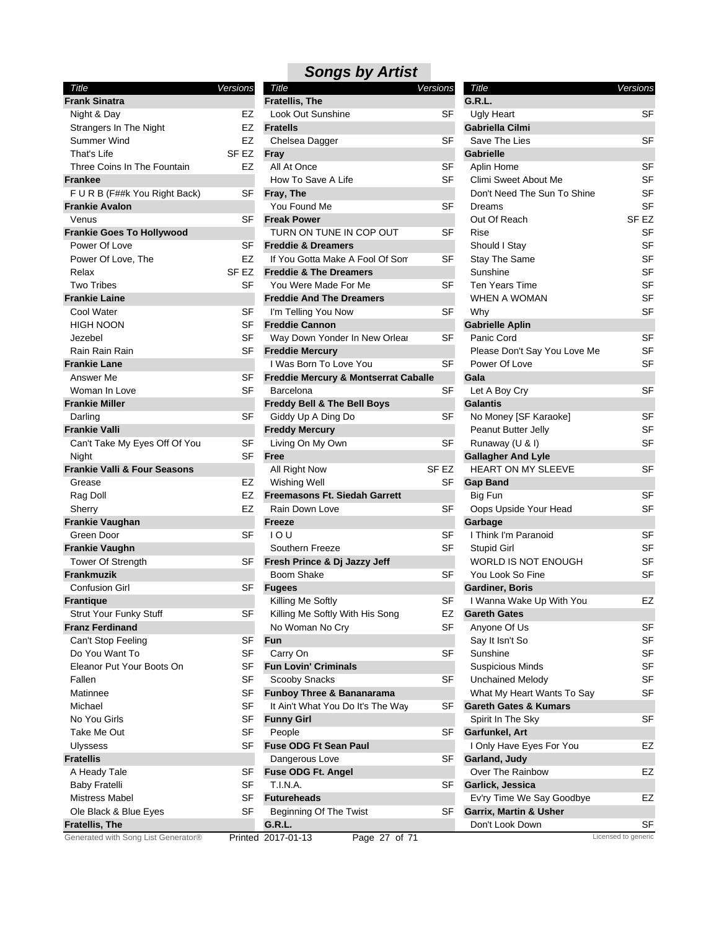| Title                                   | <b>Versions</b>  |
|-----------------------------------------|------------------|
| <b>Frank Sinatra</b>                    |                  |
| Night & Day                             | EZ               |
| Strangers In The Night                  | EZ               |
| Summer Wind                             | EZ               |
| That's Life                             | SF EZ            |
| Three Coins In The Fountain             | EZ               |
| <b>Frankee</b>                          |                  |
| F U R B (F##k You Right Back)           | SF               |
| <b>Frankie Avalon</b>                   |                  |
| Venus                                   | SF               |
| <b>Frankie Goes To Hollywood</b>        |                  |
| Power Of Love                           | SF               |
| Power Of Love, The                      | EZ               |
| Relax                                   | SF <sub>EZ</sub> |
| <b>Two Tribes</b>                       | SF               |
| <b>Frankie Laine</b>                    |                  |
| Cool Water                              | <b>SF</b>        |
| HIGH NOON                               | SF               |
| Jezebel                                 | SF               |
| Rain Rain Rain                          | SF               |
| <b>Frankie Lane</b>                     |                  |
| Answer Me                               | SF               |
| Woman In Love                           | SF               |
| <b>Frankie Miller</b>                   |                  |
| Darling                                 | SF               |
| <b>Frankie Valli</b>                    |                  |
| Can't Take My Eyes Off Of You           | SF               |
| Night                                   | SF               |
| <b>Frankie Valli &amp; Four Seasons</b> |                  |
| Grease                                  | EZ               |
| Rag Doll                                | EZ               |
| Sherry                                  | EZ               |
| Frankie Vaughan                         |                  |
| Green Door                              | SF               |
| <b>Frankie Vaughn</b>                   |                  |
| Tower Of Strength                       | SF               |
| <b>Frankmuzik</b>                       |                  |
| <b>Confusion Girl</b>                   | SF               |
| <b>Frantique</b>                        |                  |
| Strut Your Funky Stuff                  | SF               |
| <b>Franz Ferdinand</b>                  |                  |
| Can't Stop Feeling                      | SF               |
| Do You Want To                          | SF               |
| Eleanor Put Your Boots On               | SF               |
| Fallen                                  | SF               |
| Matinnee                                | SF               |
| Michael                                 | SF               |
| No You Girls                            | SF               |
| Take Me Out                             | SF               |
| Ulyssess                                | SF               |
| <b>Fratellis</b>                        |                  |
| A Heady Tale                            | SF               |
| <b>Baby Fratelli</b>                    | SF               |
| Mistress Mabel                          | SF               |
| Ole Black & Blue Eyes                   | SF               |
| <b>Fratellis, The</b>                   |                  |
| Generated with Song List Generator®     | Printed          |

| <b>Songs by Artist</b>            |          |
|-----------------------------------|----------|
| Title                             | Versions |
| <b>Fratellis, The</b>             |          |
| Look Out Sunshine                 | SF       |
| <b>Fratells</b>                   |          |
| Chelsea Dagger                    | SF       |
| Fray                              |          |
| All At Once                       | SF       |
| How To Save A Life                | SF       |
| Fray, The                         |          |
| You Found Me                      | SF       |
| <b>Freak Power</b>                |          |
| TURN ON TUNE IN COP OUT           | SF       |
| <b>Freddie &amp; Dreamers</b>     |          |
| If You Gotta Make A Fool Of Son   | SF       |
| <b>Freddie &amp; The Dreamers</b> |          |

| k You Right Back)   | SF        | Fray, The                            |                  | Don't Need The Sun To Shine       | SF                  |
|---------------------|-----------|--------------------------------------|------------------|-----------------------------------|---------------------|
|                     |           | You Found Me                         | SF               | Dreams                            | <b>SF</b>           |
|                     | SF        | <b>Freak Power</b>                   |                  | Out Of Reach                      | SF EZ               |
| <b>To Hollywood</b> |           | TURN ON TUNE IN COP OUT              | <b>SF</b>        | Rise                              | <b>SF</b>           |
| е                   | SF        | <b>Freddie &amp; Dreamers</b>        |                  | Should I Stay                     | <b>SF</b>           |
| e, The              | EZ        | If You Gotta Make A Fool Of Son      | SF               | Stay The Same                     | <b>SF</b>           |
|                     | SF EZ     | <b>Freddie &amp; The Dreamers</b>    |                  | Sunshine                          | <b>SF</b>           |
|                     | SF        | You Were Made For Me                 | <b>SF</b>        | Ten Years Time                    | <b>SF</b>           |
|                     |           | <b>Freddie And The Dreamers</b>      |                  | WHEN A WOMAN                      | <b>SF</b>           |
|                     | SF        | I'm Telling You Now                  | <b>SF</b>        | Why                               | <b>SF</b>           |
|                     | <b>SF</b> | <b>Freddie Cannon</b>                |                  | <b>Gabrielle Aplin</b>            |                     |
|                     | SF        | Way Down Yonder In New Orlear        | SF               | Panic Cord                        | <b>SF</b>           |
| in                  | <b>SF</b> | <b>Freddie Mercury</b>               |                  | Please Don't Say You Love Me      | <b>SF</b>           |
|                     |           | I Was Born To Love You               | <b>SF</b>        | Power Of Love                     | <b>SF</b>           |
|                     | SF        | Freddie Mercury & Montserrat Caballe |                  | Gala                              |                     |
|                     | SF        | Barcelona                            | <b>SF</b>        | Let A Boy Cry                     | SF                  |
| ve                  |           |                                      |                  | <b>Galantis</b>                   |                     |
|                     |           | Freddy Bell & The Bell Boys          |                  |                                   |                     |
|                     | SF        | Giddy Up A Ding Do                   | SF               | No Money [SF Karaoke]             | SF                  |
|                     |           | <b>Freddy Mercury</b>                |                  | Peanut Butter Jelly               | <b>SF</b>           |
| y Eyes Off Of You   | SF        | Living On My Own                     | SF               | Runaway (U & I)                   | <b>SF</b>           |
|                     | <b>SF</b> | Free                                 |                  | <b>Gallagher And Lyle</b>         |                     |
| ⊾ Four Seasons      |           | All Right Now                        | SF <sub>EZ</sub> | <b>HEART ON MY SLEEVE</b>         | <b>SF</b>           |
|                     | EZ        | <b>Wishing Well</b>                  | SF               | <b>Gap Band</b>                   |                     |
|                     | EZ        | <b>Freemasons Ft. Siedah Garrett</b> |                  | Big Fun                           | <b>SF</b>           |
|                     | EZ        | Rain Down Love                       | SF               | Oops Upside Your Head             | <b>SF</b>           |
| ıan                 |           | <b>Freeze</b>                        |                  | Garbage                           |                     |
|                     | SF        | 10U                                  | SF               | I Think I'm Paranoid              | <b>SF</b>           |
| m                   |           | Southern Freeze                      | <b>SF</b>        | Stupid Girl                       | <b>SF</b>           |
| ength:              | SF        | Fresh Prince & Dj Jazzy Jeff         |                  | WORLD IS NOT ENOUGH               | <b>SF</b>           |
|                     |           | Boom Shake                           | <b>SF</b>        | You Look So Fine                  | <b>SF</b>           |
| Τ                   | SF        | <b>Fugees</b>                        |                  | Gardiner, Boris                   |                     |
|                     |           | Killing Me Softly                    | SF               | I Wanna Wake Up With You          | EZ                  |
| nky Stuff           | SF        | Killing Me Softly With His Song      | EZ               | <b>Gareth Gates</b>               |                     |
| nd                  |           | No Woman No Cry                      | <b>SF</b>        | Anyone Of Us                      | <b>SF</b>           |
| eling               | SF        | <b>Fun</b>                           |                  | Say It Isn't So                   | <b>SF</b>           |
| To                  | SF        | Carry On                             | <b>SF</b>        | Sunshine                          | <b>SF</b>           |
| our Boots On        | SF        | <b>Fun Lovin' Criminals</b>          |                  | <b>Suspicious Minds</b>           | SF                  |
|                     | SF        | Scooby Snacks                        | <b>SF</b>        | <b>Unchained Melody</b>           | SF                  |
|                     | SF        | <b>Funboy Three &amp; Bananarama</b> |                  | What My Heart Wants To Say        | <b>SF</b>           |
|                     | SF        | It Ain't What You Do It's The Way    | SF               | <b>Gareth Gates &amp; Kumars</b>  |                     |
|                     | SF        | <b>Funny Girl</b>                    |                  | Spirit In The Sky                 | SF                  |
|                     | SF        | People                               | SF               | Garfunkel, Art                    |                     |
|                     | <b>SF</b> | <b>Fuse ODG Ft Sean Paul</b>         |                  | I Only Have Eyes For You          | EZ                  |
|                     |           | Dangerous Love                       | SF               | Garland, Judy                     |                     |
|                     | SF        | Fuse ODG Ft. Angel                   |                  | Over The Rainbow                  | EZ                  |
|                     | SF        | T.I.N.A.                             | SF               | Garlick, Jessica                  |                     |
| el                  | SF        | <b>Futureheads</b>                   |                  | Ev'ry Time We Say Goodbye         | EZ                  |
| lue Eyes            | SF        | Beginning Of The Twist               | SF               | <b>Garrix, Martin &amp; Usher</b> |                     |
|                     |           | <b>G.R.L.</b>                        |                  | Don't Look Down                   | <b>SF</b>           |
| ong List Generator® |           | Printed 2017-01-13<br>Page 27 of 71  |                  |                                   | Licensed to generic |
|                     |           |                                      |                  |                                   |                     |

| Title                                     | Versions  |
|-------------------------------------------|-----------|
| G.R.L.                                    |           |
| Ugly Heart                                | SF        |
| Gabriella Cilmi                           |           |
| Save The Lies                             | SF        |
| <b>Gabrielle</b>                          |           |
| Aplin Home                                | SF        |
| Climi Sweet About Me                      | SF        |
| Don't Need The Sun To Shine               | SF        |
| Dreams                                    | SF        |
| Out Of Reach                              | SF EZ     |
| Rise                                      | SF        |
| Should I Stay                             | SF        |
| Stay The Same<br>Sunshine                 | SF        |
| <b>Ten Years Time</b>                     | SF<br>SF  |
| WHEN A WOMAN                              | SF        |
|                                           | SF        |
| Why                                       |           |
| <b>Gabrielle Aplin</b><br>Panic Cord      | SF        |
| Please Don't Say You Love Me              | SF        |
| Power Of Love                             | SF        |
| Gala                                      |           |
| Let A Boy Cry                             | SF        |
| <b>Galantis</b>                           |           |
| No Money [SF Karaoke]                     | SF        |
| Peanut Butter Jelly                       | SF        |
| Runaway (U & I)                           | SF        |
| <b>Gallagher And Lyle</b>                 |           |
| <b>HEART ON MY SLEEVE</b>                 | SF        |
| <b>Gap Band</b>                           |           |
| Big Fun                                   | SF        |
| Oops Upside Your Head                     | SF        |
| Garbage                                   |           |
| I Think I'm Paranoid                      | <b>SF</b> |
| Stupid Girl                               | SF        |
| <b>WORLD IS NOT ENOUGH</b>                | SF        |
| You Look So Fine                          | SF        |
| <b>Gardiner, Boris</b>                    |           |
| I Wanna Wake Up With You                  | EZ        |
| <b>Gareth Gates</b>                       |           |
| Anyone Of Us                              | SF        |
| Say It Isn't So                           | SF        |
| Sunshine                                  | SF        |
| <b>Suspicious Minds</b>                   | SF        |
| <b>Unchained Melody</b>                   | SF        |
| What My Heart Wants To Say                | SF        |
| <b>Gareth Gates &amp; Kumars</b>          |           |
| Spirit In The Sky                         | SF        |
| Garfunkel, Art                            |           |
| I Only Have Eyes For You                  | EZ        |
| Garland, Judy                             |           |
| Over The Rainbow                          | EZ        |
| Garlick, Jessica                          |           |
| Ev'ry Time We Say Goodbye                 | EZ        |
| Garrix, Martin & Usher<br>Don't Look Down | SF        |
|                                           |           |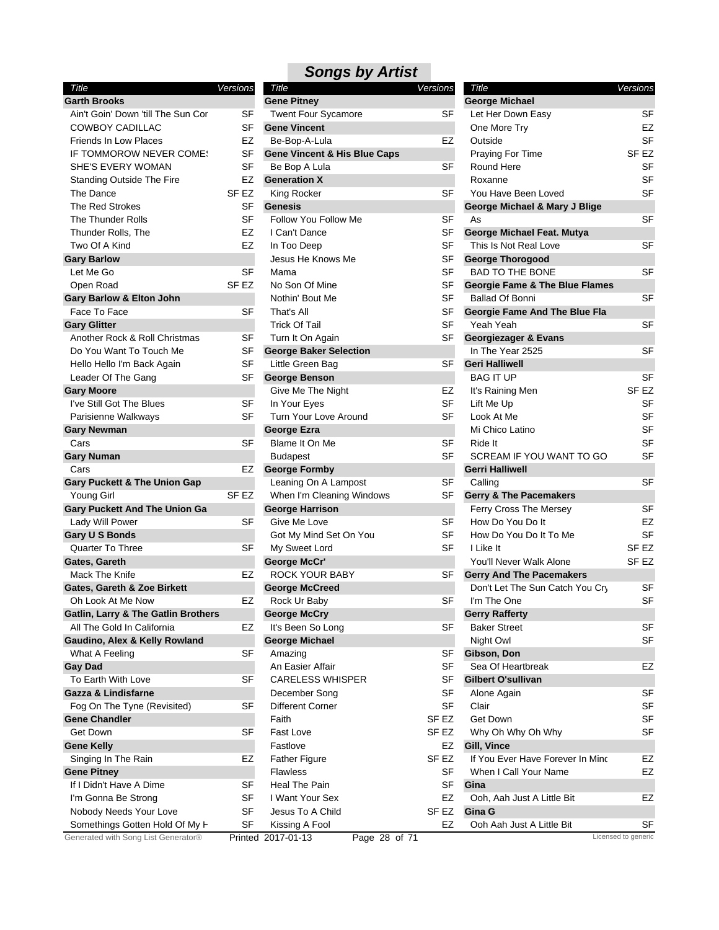| Title                                          | Versions         |
|------------------------------------------------|------------------|
| <b>Garth Brooks</b>                            |                  |
| Ain't Goin' Down 'till The Sun Cor             | SF               |
| <b>COWBOY CADILLAC</b>                         | SF               |
| <b>Friends In Low Places</b>                   | EZ               |
| IF TOMMOROW NEVER COMES                        | SF               |
| SHE'S EVERY WOMAN                              | SF               |
| <b>Standing Outside The Fire</b>               | EZ               |
| The Dance                                      | SF <sub>EZ</sub> |
| <b>The Red Strokes</b>                         | SF               |
| <b>The Thunder Rolls</b>                       | SF               |
| Thunder Rolls, The                             | EZ               |
| Two Of A Kind                                  | EZ               |
| <b>Gary Barlow</b>                             |                  |
| Let Me Go                                      | SF               |
| Open Road                                      | SF EZ            |
| <b>Gary Barlow &amp; Elton John</b>            |                  |
| Face To Face                                   | SF               |
| <b>Gary Glitter</b>                            |                  |
| Another Rock & Roll Christmas                  | SF               |
| Do You Want To Touch Me                        | SF               |
| Hello Hello I'm Back Again                     | SF               |
| Leader Of The Gang                             | SF               |
| <b>Gary Moore</b>                              |                  |
| I've Still Got The Blues                       | SF               |
| Parisienne Walkways                            | SF               |
| <b>Gary Newman</b>                             |                  |
| Cars                                           | SF               |
| <b>Gary Numan</b>                              |                  |
| Cars                                           | EZ               |
| <b>Gary Puckett &amp; The Union Gap</b>        |                  |
| Young Girl                                     | SF EZ            |
| <b>Gary Puckett And The Union Ga</b>           |                  |
| Lady Will Power                                | SF               |
| <b>Gary U S Bonds</b>                          |                  |
| <b>Quarter To Three</b>                        | SF               |
| Gates, Gareth                                  |                  |
| Mack The Knife                                 | EZ               |
| <b>Gates, Gareth &amp; Zoe Birkett</b>         |                  |
| Oh Look At Me Now                              | EZ               |
| <b>Gatlin, Larry &amp; The Gatlin Brothers</b> |                  |
| All The Gold In California                     | EZ               |
| Gaudino, Alex & Kelly Rowland                  |                  |
| What A Feeling                                 | SF               |
| <b>Gay Dad</b>                                 |                  |
| To Earth With Love                             | SF               |
| <b>Gazza &amp; Lindisfarne</b>                 |                  |
| Fog On The Tyne (Revisited)                    | SF               |
| <b>Gene Chandler</b>                           |                  |
| Get Down                                       | SF               |
| <b>Gene Kelly</b>                              |                  |
| Singing In The Rain                            | EZ               |
| <b>Gene Pitney</b>                             |                  |
| If I Didn't Have A Dime                        | SF               |
| I'm Gonna Be Strong                            | SF               |
| Nobody Needs Your Love                         | SF               |
| Somethings Gotten Hold Of My H                 | SF               |
| Generated with Song List Generator®            | Printed          |

| Title                                                    | Versions         | Title                                   | <b>Versions</b>  | Title                                     | Versions            |
|----------------------------------------------------------|------------------|-----------------------------------------|------------------|-------------------------------------------|---------------------|
| <b>Garth Brooks</b>                                      |                  | <b>Gene Pitney</b>                      |                  | <b>George Michael</b>                     |                     |
| Ain't Goin' Down 'till The Sun Cor                       | <b>SF</b>        | Twent Four Sycamore                     | SF               | Let Her Down Easy                         | <b>SF</b>           |
| COWBOY CADILLAC                                          | <b>SF</b>        | <b>Gene Vincent</b>                     |                  | One More Try                              | EZ                  |
| <b>Friends In Low Places</b>                             | EZ               | Be-Bop-A-Lula                           | EZ               | Outside                                   | <b>SF</b>           |
| IF TOMMOROW NEVER COME!                                  | <b>SF</b>        | <b>Gene Vincent &amp; His Blue Caps</b> |                  | Praying For Time                          | SF EZ               |
| SHE'S EVERY WOMAN                                        | <b>SF</b>        | Be Bop A Lula                           | <b>SF</b>        | Round Here                                | SF                  |
| Standing Outside The Fire                                | EZ               | <b>Generation X</b>                     |                  | Roxanne                                   | SF                  |
| The Dance                                                | SF EZ            | King Rocker                             | <b>SF</b>        | You Have Been Loved                       | SF                  |
| The Red Strokes                                          | SF               | <b>Genesis</b>                          |                  | George Michael & Mary J Blige             |                     |
| The Thunder Rolls                                        | <b>SF</b>        | Follow You Follow Me                    | SF               | As                                        | <b>SF</b>           |
| Thunder Rolls, The                                       | EZ               | I Can't Dance                           | <b>SF</b>        | George Michael Feat. Mutya                |                     |
| Two Of A Kind                                            | EZ               | In Too Deep                             | <b>SF</b>        | This Is Not Real Love                     | <b>SF</b>           |
| Gary Barlow                                              |                  | Jesus He Knows Me                       | SF               | <b>George Thorogood</b>                   |                     |
| Let Me Go                                                | <b>SF</b>        | Mama                                    | <b>SF</b>        | <b>BAD TO THE BONE</b>                    | <b>SF</b>           |
| Open Road                                                | SF EZ            | No Son Of Mine                          | SF               | <b>Georgie Fame &amp; The Blue Flames</b> |                     |
| Gary Barlow & Elton John                                 |                  | Nothin' Bout Me                         | SF               | <b>Ballad Of Bonni</b>                    | <b>SF</b>           |
| Face To Face                                             | <b>SF</b>        | That's All                              | <b>SF</b>        | Georgie Fame And The Blue Fla             |                     |
| <b>Gary Glitter</b>                                      |                  | <b>Trick Of Tail</b>                    | <b>SF</b>        | Yeah Yeah                                 | <b>SF</b>           |
|                                                          |                  |                                         | <b>SF</b>        |                                           |                     |
| Another Rock & Roll Christmas<br>Do You Want To Touch Me | SF               | Turn It On Again                        |                  | Georgiezager & Evans<br>In The Year 2525  | <b>SF</b>           |
|                                                          | SF               | <b>George Baker Selection</b>           |                  |                                           |                     |
| Hello Hello I'm Back Again                               | <b>SF</b>        | Little Green Bag                        | <b>SF</b>        | <b>Geri Halliwell</b>                     |                     |
| Leader Of The Gang                                       | SF               | <b>George Benson</b>                    |                  | <b>BAG IT UP</b>                          | SF                  |
| <b>Gary Moore</b>                                        |                  | Give Me The Night                       | EZ               | It's Raining Men                          | SF <sub>EZ</sub>    |
| I've Still Got The Blues                                 | <b>SF</b>        | In Your Eyes                            | <b>SF</b>        | Lift Me Up                                | SF                  |
| Parisienne Walkways                                      | <b>SF</b>        | Turn Your Love Around                   | <b>SF</b>        | Look At Me                                | <b>SF</b>           |
| <b>Gary Newman</b>                                       |                  | <b>George Ezra</b>                      |                  | Mi Chico Latino                           | <b>SF</b>           |
| Cars                                                     | <b>SF</b>        | Blame It On Me                          | <b>SF</b>        | Ride It                                   | SF                  |
| Gary Numan                                               |                  | <b>Budapest</b>                         | <b>SF</b>        | SCREAM IF YOU WANT TO GO                  | <b>SF</b>           |
| Cars                                                     | EZ               | <b>George Formby</b>                    |                  | <b>Gerri Halliwell</b>                    |                     |
| <b>Gary Puckett &amp; The Union Gap</b>                  |                  | Leaning On A Lampost                    | SF               | Calling                                   | <b>SF</b>           |
| Young Girl                                               | SF <sub>EZ</sub> | When I'm Cleaning Windows               | SF               | <b>Gerry &amp; The Pacemakers</b>         |                     |
| <b>Gary Puckett And The Union Ga</b>                     |                  | <b>George Harrison</b>                  |                  | Ferry Cross The Mersey                    | SF                  |
| Lady Will Power                                          | <b>SF</b>        | Give Me Love                            | SF               | How Do You Do It                          | EZ                  |
| Gary U S Bonds                                           |                  | Got My Mind Set On You                  | <b>SF</b>        | How Do You Do It To Me                    | SF                  |
| <b>Quarter To Three</b>                                  | SF               | My Sweet Lord                           | <b>SF</b>        | I Like It                                 | SF <sub>EZ</sub>    |
| Gates, Gareth                                            |                  | <b>George McCr'</b>                     |                  | You'll Never Walk Alone                   | SF <sub>EZ</sub>    |
| Mack The Knife                                           | EZ               | <b>ROCK YOUR BABY</b>                   | SF               | <b>Gerry And The Pacemakers</b>           |                     |
| Gates, Gareth & Zoe Birkett                              |                  | <b>George McCreed</b>                   |                  | Don't Let The Sun Catch You Cry           | SF                  |
| Oh Look At Me Now                                        | EZ               | Rock Ur Baby                            | SF               | I'm The One                               | <b>SF</b>           |
| Gatlin, Larry & The Gatlin Brothers                      |                  | <b>George McCry</b>                     |                  | <b>Gerry Rafferty</b>                     |                     |
| All The Gold In California                               | EZ               | It's Been So Long                       | SF               | <b>Baker Street</b>                       | <b>SF</b>           |
| Gaudino, Alex & Kelly Rowland                            |                  | <b>George Michael</b>                   |                  | Night Owl                                 | SF                  |
| What A Feeling                                           | SF               | Amazing                                 | SF               | Gibson, Don                               |                     |
| Gay Dad                                                  |                  | An Easier Affair                        | SF               | Sea Of Heartbreak                         | EZ                  |
| To Earth With Love                                       | SF               | <b>CARELESS WHISPER</b>                 | SF               | <b>Gilbert O'sullivan</b>                 |                     |
| Gazza & Lindisfarne                                      |                  | December Song                           | SF               | Alone Again                               | SF                  |
|                                                          | <b>SF</b>        | <b>Different Corner</b>                 | <b>SF</b>        | Clair                                     | SF                  |
| Fog On The Tyne (Revisited)                              |                  |                                         | SF <sub>EZ</sub> | Get Down                                  | SF                  |
| <b>Gene Chandler</b>                                     |                  | Faith                                   |                  |                                           |                     |
| Get Down                                                 | <b>SF</b>        | Fast Love                               | SF <sub>EZ</sub> | Why Oh Why Oh Why                         | SF                  |
| <b>Gene Kelly</b>                                        |                  | Fastlove                                | EZ               | Gill, Vince                               |                     |
| Singing In The Rain                                      | EZ               | <b>Father Figure</b>                    | SF <sub>EZ</sub> | If You Ever Have Forever In Minc          | EZ                  |
| <b>Gene Pitney</b>                                       |                  | <b>Flawless</b>                         | SF               | When I Call Your Name                     | EZ                  |
| If I Didn't Have A Dime                                  | SF               | Heal The Pain                           | SF               | Gina                                      |                     |
| I'm Gonna Be Strong                                      | SF               | I Want Your Sex                         | EZ               | Ooh, Aah Just A Little Bit                | EZ                  |
| Nobody Needs Your Love                                   | SF               | Jesus To A Child                        | SF EZ            | Gina G                                    |                     |
| Somethings Gotten Hold Of My H                           | SF               | Kissing A Fool                          | EZ               | Ooh Aah Just A Little Bit                 | SF                  |
| Generated with Song List Generator®                      |                  | Printed 2017-01-13<br>Page 28 of 71     |                  |                                           | Licensed to generic |

| Title                                     | Versions         |
|-------------------------------------------|------------------|
| <b>George Michael</b>                     |                  |
| Let Her Down Easy                         | SF               |
| One More Try                              | EZ               |
| Outside                                   | <b>SF</b>        |
| <b>Praying For Time</b>                   | SF EZ            |
| Round Here                                | SF               |
| Roxanne                                   | SF               |
| You Have Been Loved                       | SF               |
| George Michael & Mary J Blige             |                  |
| As                                        | SF               |
| George Michael Feat. Mutya                |                  |
| This Is Not Real Love                     | SF               |
| <b>George Thorogood</b>                   |                  |
| <b>BAD TO THE BONE</b>                    | SF               |
| <b>Georgie Fame &amp; The Blue Flames</b> |                  |
| Ballad Of Bonni                           | SF               |
| Georgie Fame And The Blue Fla             |                  |
| Yeah Yeah                                 | SF               |
| <b>Georgiezager &amp; Evans</b>           |                  |
| In The Year 2525                          | SF               |
| <b>Geri Halliwell</b>                     |                  |
| <b>BAG IT UP</b>                          | SF               |
| It's Raining Men                          | SF <sub>EZ</sub> |
| Lift Me Up                                | SF               |
| Look At Me                                | SF               |
| Mi Chico Latino                           |                  |
|                                           | SF               |
| Ride It                                   | SF               |
| SCREAM IF YOU WANT TO GO                  | <b>SF</b>        |
| <b>Gerri Halliwell</b>                    |                  |
| Calling                                   | SF               |
| <b>Gerry &amp; The Pacemakers</b>         |                  |
| Ferry Cross The Mersey                    | SF               |
| How Do You Do It                          | EZ               |
| How Do You Do It To Me                    | SF               |
| I Like It                                 | SF EZ            |
| You'll Never Walk Alone                   | SF <sub>EZ</sub> |
| <b>Gerry And The Pacemakers</b>           |                  |
| Don't Let The Sun Catch You Cry           | SF               |
| I'm The One                               | SF               |
| <b>Gerry Rafferty</b>                     |                  |
| <b>Baker Street</b>                       | SF               |
| Night Owl                                 | SF               |
| Gibson, Don                               |                  |
| Sea Of Heartbreak                         | EZ               |
| Gilbert O'sullivan                        |                  |
| Alone Again                               | SF               |
| Clair                                     | SF               |
| Get Down                                  | SF               |
| Why Oh Why Oh Why                         | SF               |
| Gill, Vince                               |                  |
| If You Ever Have Forever In Minc          | EZ               |
| When I Call Your Name                     | EZ               |
| Gina                                      |                  |
| Ooh, Aah Just A Little Bit                | EZ               |
| Gina G                                    |                  |
| Ooh Aah Just A Little Bit                 | SF               |
|                                           |                  |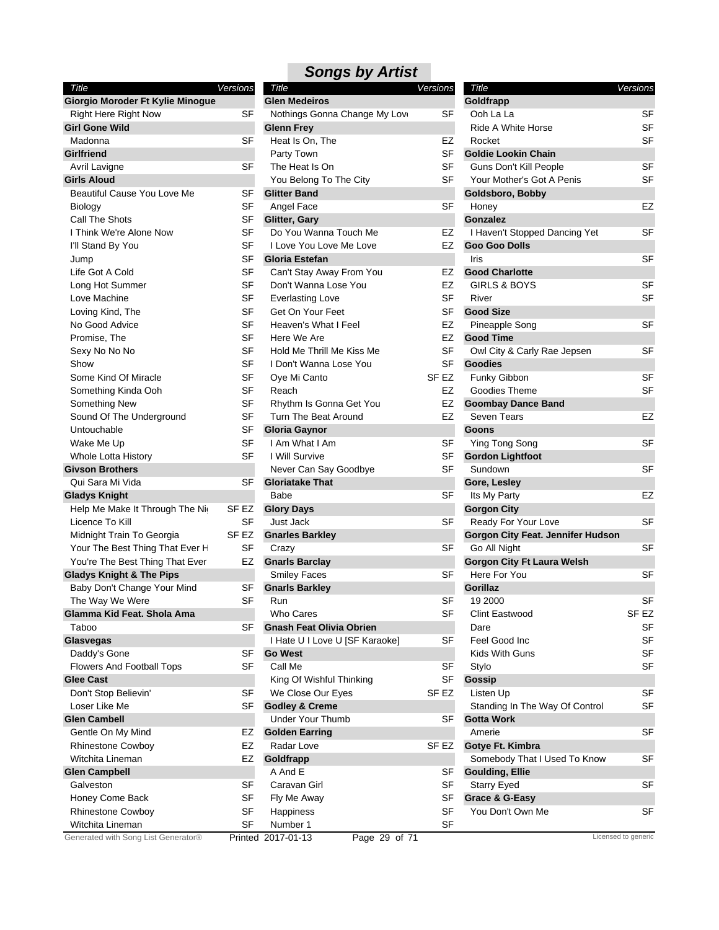| Title                                                   | Versions         | Tit       |
|---------------------------------------------------------|------------------|-----------|
| Giorgio Moroder Ft Kylie Minogue                        |                  | Glei      |
| <b>Right Here Right Now</b>                             | SF               | No        |
| <b>Girl Gone Wild</b>                                   |                  | Gler      |
| Madonna                                                 | SF               | He        |
| <b>Girlfriend</b>                                       |                  | Pa        |
| Avril Lavigne                                           | SF               | Th        |
| <b>Girls Aloud</b>                                      |                  | Yo        |
| <b>Beautiful Cause You Love Me</b>                      | SF               | Glitt     |
| Biology                                                 | SF               | An        |
| Call The Shots                                          | SF               | Glitt     |
| I Think We're Alone Now                                 | <b>SF</b>        | Do        |
| I'll Stand By You                                       | SF               | ١L        |
| Jump                                                    | SF               | Glo       |
| Life Got A Cold                                         | SF               | Сa        |
| Long Hot Summer                                         | SF               | Do        |
| Love Machine                                            | SF               | E٧        |
| Loving Kind, The                                        | SF               | Ge        |
| No Good Advice                                          | SF               | He        |
| Promise, The                                            | SF               | He        |
| Sexy No No No                                           | SF               | Ho        |
| Show                                                    | SF               | I D       |
| Some Kind Of Miracle                                    | SF               | Oy        |
| Something Kinda Ooh                                     | <b>SF</b>        | Re        |
| Something New                                           | SF               | Rh        |
| Sound Of The Underground                                | SF               | Tu        |
| Untouchable                                             | <b>SF</b>        | Glo       |
| Wake Me Up                                              | SF               | l A       |
| Whole Lotta History                                     | SF               | ۱W        |
| <b>Givson Brothers</b>                                  |                  | Ne<br>Glo |
| Qui Sara Mi Vida                                        | SF               | Ba        |
| <b>Gladys Knight</b><br>Help Me Make It Through The Nig | SF EZ            | Glo       |
| Licence To Kill                                         | SF               | Ju:       |
| Midnight Train To Georgia                               | SF <sub>EZ</sub> | Gna       |
| Your The Best Thing That Ever H                         | SF               | Cr        |
| You're The Best Thing That Ever                         | EZ               | Gna       |
| <b>Gladys Knight &amp; The Pips</b>                     |                  | Sn        |
| Baby Don't Change Your Mind                             | SF               | Gna       |
| The Way We Were                                         | SF               | Ru        |
| Glamma Kid Feat. Shola Ama                              |                  | WI        |
| Taboo                                                   | SF               | Gna       |
| <b>Glasvegas</b>                                        |                  | ١H        |
| Daddy's Gone                                            | SF               | Go '      |
| <b>Flowers And Football Tops</b>                        | SF               | Ca        |
| <b>Glee Cast</b>                                        |                  | Kir       |
| Don't Stop Believin'                                    | SF               | W٥        |
| Loser Like Me                                           | SF               | God       |
| <b>Glen Cambell</b>                                     |                  | Un        |
| Gentle On My Mind                                       | EZ               | Gol       |
| <b>Rhinestone Cowboy</b>                                | EZ               | Ra        |
| Witchita Lineman                                        | EZ               | Gol       |
| <b>Glen Campbell</b>                                    |                  | A۱        |
| Galveston                                               | SF               | Сa        |
| Honey Come Back                                         | SF               | Fly       |
| <b>Rhinestone Cowboy</b>                                | <b>SF</b>        | Ha        |
| Witchita Lineman                                        | <b>SF</b>        | Nu        |
|                                                         |                  |           |

| Title                               | Versions  | Title                               | <b>Versions</b>  | Title                             | Versions            |
|-------------------------------------|-----------|-------------------------------------|------------------|-----------------------------------|---------------------|
| Giorgio Moroder Ft Kylie Minogue    |           | <b>Glen Medeiros</b>                |                  | Goldfrapp                         |                     |
| <b>Right Here Right Now</b>         | <b>SF</b> | Nothings Gonna Change My Love       | SF               | Ooh La La                         | <b>SF</b>           |
| <b>Girl Gone Wild</b>               |           | <b>Glenn Frey</b>                   |                  | Ride A White Horse                | <b>SF</b>           |
| Madonna                             | <b>SF</b> | Heat Is On, The                     | EZ               | Rocket                            | <b>SF</b>           |
| <b>Girlfriend</b>                   |           | Party Town                          | <b>SF</b>        | <b>Goldie Lookin Chain</b>        |                     |
| Avril Lavigne                       | <b>SF</b> | The Heat Is On                      | <b>SF</b>        | Guns Don't Kill People            | <b>SF</b>           |
| <b>Girls Aloud</b>                  |           | You Belong To The City              | SF               | Your Mother's Got A Penis         | <b>SF</b>           |
| Beautiful Cause You Love Me         | <b>SF</b> | <b>Glitter Band</b>                 |                  | Goldsboro, Bobby                  |                     |
| Biology                             | SF        | Angel Face                          | <b>SF</b>        | Honey                             | EZ                  |
| Call The Shots                      | <b>SF</b> | Glitter, Gary                       |                  | Gonzalez                          |                     |
| I Think We're Alone Now             | SF        | Do You Wanna Touch Me               | EZ               | I Haven't Stopped Dancing Yet     | SF                  |
| I'll Stand By You                   | SF        | I Love You Love Me Love             | EZ               | <b>Goo Goo Dolls</b>              |                     |
| Jump                                | <b>SF</b> | <b>Gloria Estefan</b>               |                  | Iris                              | <b>SF</b>           |
| Life Got A Cold                     | <b>SF</b> | Can't Stay Away From You            | EZ               | <b>Good Charlotte</b>             |                     |
| Long Hot Summer                     | SF        | Don't Wanna Lose You                | EZ               | GIRLS & BOYS                      | SF                  |
| Love Machine                        | SF        | <b>Everlasting Love</b>             | SF               | River                             | <b>SF</b>           |
| Loving Kind, The                    | <b>SF</b> | Get On Your Feet                    | <b>SF</b>        | <b>Good Size</b>                  |                     |
| No Good Advice                      | <b>SF</b> | Heaven's What I Feel                | EZ               | Pineapple Song                    | <b>SF</b>           |
| Promise, The                        | <b>SF</b> | Here We Are                         | EZ               | <b>Good Time</b>                  |                     |
| Sexy No No No                       | <b>SF</b> | Hold Me Thrill Me Kiss Me           | <b>SF</b>        | Owl City & Carly Rae Jepsen       | <b>SF</b>           |
|                                     | <b>SF</b> |                                     | <b>SF</b>        |                                   |                     |
| Show                                |           | I Don't Wanna Lose You              |                  | <b>Goodies</b>                    |                     |
| Some Kind Of Miracle                | SF        | Oye Mi Canto                        | SF <sub>EZ</sub> | Funky Gibbon                      | <b>SF</b>           |
| Something Kinda Ooh                 | <b>SF</b> | Reach                               | EZ               | Goodies Theme                     | <b>SF</b>           |
| Something New                       | SF        | Rhythm Is Gonna Get You             | EZ               | <b>Goombay Dance Band</b>         |                     |
| Sound Of The Underground            | SF        | Turn The Beat Around                | EZ               | <b>Seven Tears</b>                | <b>EZ</b>           |
| Untouchable                         | SF        | <b>Gloria Gaynor</b>                |                  | <b>Goons</b>                      |                     |
| Wake Me Up                          | <b>SF</b> | I Am What I Am                      | SF               | Ying Tong Song                    | <b>SF</b>           |
| Whole Lotta History                 | <b>SF</b> | I Will Survive                      | SF               | <b>Gordon Lightfoot</b>           |                     |
| <b>Givson Brothers</b>              |           | Never Can Say Goodbye               | <b>SF</b>        | Sundown                           | <b>SF</b>           |
| Qui Sara Mi Vida                    | SF        | <b>Gloriatake That</b>              |                  | Gore, Lesley                      |                     |
| <b>Gladys Knight</b>                |           | Babe                                | SF               | Its My Party                      | EZ                  |
| Help Me Make It Through The Nig     | SF EZ     | <b>Glory Days</b>                   |                  | <b>Gorgon City</b>                |                     |
| Licence To Kill                     | SF        | Just Jack                           | SF               | Ready For Your Love               | <b>SF</b>           |
| Midnight Train To Georgia           | SF EZ     | <b>Gnarles Barkley</b>              |                  | Gorgon City Feat. Jennifer Hudson |                     |
| Your The Best Thing That Ever H     | <b>SF</b> | Crazy                               | SF               | Go All Night                      | <b>SF</b>           |
| You're The Best Thing That Ever     | EZ        | <b>Gnarls Barclay</b>               |                  | <b>Gorgon City Ft Laura Welsh</b> |                     |
| <b>Gladys Knight &amp; The Pips</b> |           | <b>Smiley Faces</b>                 | SF               | Here For You                      | <b>SF</b>           |
| Baby Don't Change Your Mind         | <b>SF</b> | <b>Gnarls Barkley</b>               |                  | <b>Gorillaz</b>                   |                     |
| The Way We Were                     | <b>SF</b> | Run                                 | SF               | 19 2000                           | <b>SF</b>           |
| Glamma Kid Feat. Shola Ama          |           | Who Cares                           | SF               | Clint Eastwood                    | SF EZ               |
| Taboo                               | SF        | <b>Gnash Feat Olivia Obrien</b>     |                  | Dare                              | <b>SF</b>           |
| Glasvegas                           |           | I Hate U I Love U [SF Karaoke]      | SF               | Feel Good Inc                     | <b>SF</b>           |
| Daddy's Gone                        | <b>SF</b> | <b>Go West</b>                      |                  | Kids With Guns                    | <b>SF</b>           |
| Flowers And Football Tops           | <b>SF</b> | Call Me                             | <b>SF</b>        | Stylo                             | <b>SF</b>           |
| <b>Glee Cast</b>                    |           | King Of Wishful Thinking            | <b>SF</b>        | Gossip                            |                     |
| Don't Stop Believin'                | SF        | We Close Our Eyes                   | SF EZ            | Listen Up                         | SF                  |
| Loser Like Me                       | <b>SF</b> | <b>Godley &amp; Creme</b>           |                  | Standing In The Way Of Control    | <b>SF</b>           |
| <b>Glen Cambell</b>                 |           | Under Your Thumb                    | SF               | <b>Gotta Work</b>                 |                     |
| Gentle On My Mind                   | EZ        | <b>Golden Earring</b>               |                  | Amerie                            | SF                  |
| <b>Rhinestone Cowboy</b>            | EZ        | Radar Love                          | SF EZ            | Gotye Ft. Kimbra                  |                     |
|                                     |           |                                     |                  |                                   |                     |
| Witchita Lineman                    | EZ        | Goldfrapp                           |                  | Somebody That I Used To Know      | SF                  |
| <b>Glen Campbell</b>                |           | A And E                             | SF               | <b>Goulding, Ellie</b>            |                     |
| Galveston                           | <b>SF</b> | Caravan Girl                        | SF               | <b>Starry Eyed</b>                | SF                  |
| Honey Come Back                     | SF        | Fly Me Away                         | <b>SF</b>        | Grace & G-Easy                    |                     |
| Rhinestone Cowboy                   | <b>SF</b> | Happiness                           | <b>SF</b>        | You Don't Own Me                  | SF                  |
| Witchita Lineman                    | <b>SF</b> | Number 1                            | <b>SF</b>        |                                   |                     |
| Generated with Song List Generator® |           | Printed 2017-01-13<br>Page 29 of 71 |                  |                                   | Licensed to generic |

| Title                                             | Versions  |
|---------------------------------------------------|-----------|
| Goldfrapp                                         |           |
| Ooh La La                                         | SF        |
| Ride A White Horse                                | SF        |
| Rocket                                            | SF        |
| <b>Goldie Lookin Chain</b>                        |           |
| Guns Don't Kill People                            | SF        |
| Your Mother's Got A Penis                         | SF        |
| Goldsboro, Bobby                                  |           |
| Honey                                             | EZ        |
| Gonzalez                                          |           |
| I Haven't Stopped Dancing Yet                     | SF        |
| <b>Goo Goo Dolls</b>                              |           |
| Iris                                              | SF        |
| <b>Good Charlotte</b>                             |           |
| <b>GIRLS &amp; BOYS</b>                           | SF        |
| River                                             | SF        |
| <b>Good Size</b>                                  |           |
| Pineapple Song                                    | SF        |
| <b>Good Time</b>                                  |           |
| Owl City & Carly Rae Jepsen                       | SF        |
| <b>Goodies</b>                                    |           |
| Funky Gibbon                                      | SF        |
| Goodies Theme                                     | SF        |
| <b>Goombay Dance Band</b>                         |           |
| Seven Tears                                       | EZ        |
| Goons                                             |           |
| Ying Tong Song                                    | SF        |
| <b>Gordon Lightfoot</b>                           |           |
| Sundown                                           | SF        |
| Gore, Lesley                                      |           |
| Its My Party                                      | EZ        |
| <b>Gorgon City</b>                                |           |
| Ready For Your Love                               | SF        |
| Gorgon City Feat. Jennifer Hudson                 |           |
| Go All Night                                      | SF        |
| <b>Gorgon City Ft Laura Welsh</b><br>Here For You |           |
| <b>Gorillaz</b>                                   | SF        |
| 19 2000                                           | SF        |
| <b>Clint Eastwood</b>                             | SF EZ     |
| Dare                                              | SF        |
| Feel Good Inc                                     | <b>SF</b> |
| Kids With Guns                                    | SF        |
| Stylo                                             | SF        |
| Gossip                                            |           |
| Listen Up                                         | SF        |
| Standing In The Way Of Control                    | SF        |
| <b>Gotta Work</b>                                 |           |
| Amerie                                            | SF        |
| Gotye Ft. Kimbra                                  |           |
| Somebody That I Used To Know                      | SF        |
| <b>Goulding, Ellie</b>                            |           |
| <b>Starry Eyed</b>                                | SF        |
| Grace & G-Easy                                    |           |
| You Don't Own Me                                  | SF        |
|                                                   |           |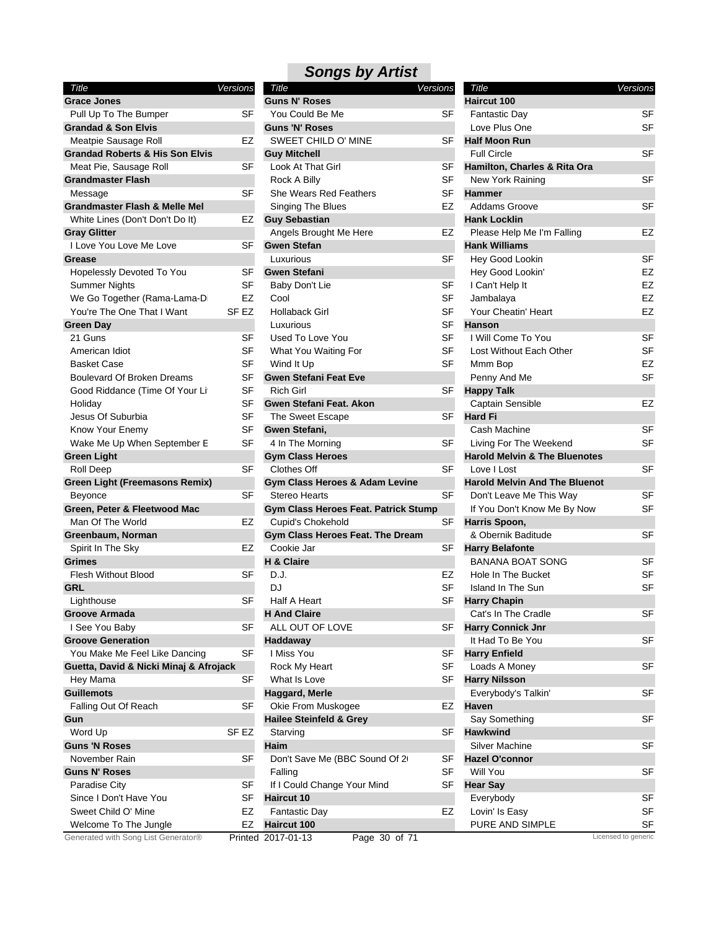| Title                                      | Versions |
|--------------------------------------------|----------|
| <b>Grace Jones</b>                         |          |
| Pull Up To The Bumper                      | SF       |
| <b>Grandad &amp; Son Elvis</b>             |          |
| Meatpie Sausage Roll                       | EZ       |
| <b>Grandad Roberts &amp; His Son Elvis</b> |          |
| Meat Pie, Sausage Roll                     | SF       |
| <b>Grandmaster Flash</b>                   |          |
| Message                                    | SF       |
| <b>Grandmaster Flash &amp; Melle Mel</b>   |          |
| White Lines (Don't Don't Do It)            | EZ       |
| <b>Gray Glitter</b>                        |          |
| I Love You Love Me Love                    | SF       |
| <b>Grease</b>                              |          |
| Hopelessly Devoted To You                  | SF       |
| Summer Nights                              | SF       |
| We Go Together (Rama-Lama-Di               | EZ       |
| You're The One That I Want                 | SF EZ    |
| <b>Green Day</b>                           |          |
| 21 Guns                                    | SF       |
| American Idiot                             | SF       |
| Basket Case                                | SF       |
| <b>Boulevard Of Broken Dreams</b>          | SF       |
| Good Riddance (Time Of Your Lit            | SF       |
| Holiday                                    | SF       |
| Jesus Of Suburbia                          | SF       |
| Know Your Enemy                            | SF       |
| Wake Me Up When September E                | SF       |
| <b>Green Light</b>                         |          |
| Roll Deep                                  | SF       |
| <b>Green Light (Freemasons Remix)</b>      |          |
| Beyonce                                    | SF       |
| Green, Peter & Fleetwood Mac               |          |
| Man Of The World                           | EZ       |
| Greenbaum, Norman                          |          |
| Spirit In The Sky                          | EZ       |
| <b>Grimes</b>                              |          |
| <b>Flesh Without Blood</b>                 | SF       |
| <b>GRL</b>                                 |          |
| Lighthouse                                 | SF       |
| Groove Armada                              |          |
| I See You Baby                             | SF       |
| <b>Groove Generation</b>                   |          |
| You Make Me Feel Like Dancing              | SF       |
| Guetta, David & Nicki Minaj & Afrojack     |          |
| Hey Mama                                   | SF       |
| <b>Guillemots</b>                          |          |
| Falling Out Of Reach                       | SF       |
| Gun                                        |          |
| Word Up                                    | SF EZ    |
| <b>Guns 'N Roses</b>                       |          |
| November Rain                              | SF       |
| <b>Guns N' Roses</b>                       |          |
| <b>Paradise City</b>                       | SF       |
| Since I Don't Have You                     | SF       |
| Sweet Child O' Mine                        | EZ       |

| Title                                         | Versions |
|-----------------------------------------------|----------|
| <b>Guns N' Roses</b>                          |          |
| You Could Be Me                               | SF       |
| <b>Guns 'N' Roses</b>                         |          |
| SWEET CHILD O' MINE                           | SF       |
| <b>Guy Mitchell</b>                           |          |
| Look At That Girl                             | SF       |
| Rock A Billy                                  | SF       |
| She Wears Red Feathers                        | SF       |
| Singing The Blues                             | EZ       |
| <b>Guy Sebastian</b>                          |          |
| Angels Brought Me Here                        | EZ       |
| <b>Gwen Stefan</b>                            |          |
| Luxurious                                     | SF       |
| <b>Gwen Stefani</b>                           |          |
| Baby Don't Lie                                | SF       |
| Cool                                          | SF       |
| Hollaback Girl                                | SF       |
| Luxurious                                     | SF       |
| Used To Love You                              | SF       |
| What You Waiting For                          | SF       |
| Wind It Up                                    | SF       |
| <b>Gwen Stefani Feat Eve</b>                  |          |
| <b>Rich Girl</b>                              | SF       |
| Gwen Stefani Feat. Akon                       |          |
| The Sweet Escape                              | SF       |
| Gwen Stefani,                                 |          |
| 4 In The Morning                              | SF       |
| <b>Gym Class Heroes</b><br><b>Clothes Off</b> | SF       |
| <b>Gym Class Heroes &amp; Adam Levine</b>     |          |
| Stereo Hearts                                 | SF       |
| Gym Class Heroes Feat. Patrick Stump          |          |
| <b>Cupid's Chokehold</b>                      | SF       |
| Gym Class Heroes Feat. The Dream              |          |
| Cookie Jar                                    | SF       |
| H & Claire                                    |          |
| D.J.                                          | EZ       |
| DJ                                            | SF       |
| Half A Heart                                  | SF       |
| <b>H</b> And Claire                           |          |
| ALL OUT OF LOVE                               | SF       |
| Haddaway                                      |          |
| I Miss You                                    | SF       |
| Rock My Heart                                 | SF       |
| What Is Love                                  | SF       |
| Haggard, Merle                                |          |
| Okie From Muskogee                            | EZ       |
| <b>Hailee Steinfeld &amp; Grey</b>            |          |
| Starving                                      | SF       |
| Haim                                          |          |
| Don't Save Me (BBC Sound Of 2                 | SF       |
| Falling                                       | SF       |
| If I Could Change Your Mind                   | SF       |
| <b>Haircut 10</b>                             |          |
| Fantastic Day                                 | EZ       |
| <b>Haircut 100</b>                            |          |
|                                               |          |

| Title                                    |          |
|------------------------------------------|----------|
| Haircut 100                              | Versions |
| <b>Fantastic Day</b>                     | SF       |
| Love Plus One                            | SF       |
| <b>Half Moon Run</b>                     |          |
| <b>Full Circle</b>                       | SF       |
| Hamilton, Charles & Rita Ora             |          |
| New York Raining                         | SF       |
| <b>Hammer</b>                            |          |
| <b>Addams Groove</b>                     | SF       |
| <b>Hank Locklin</b>                      |          |
| Please Help Me I'm Falling               | EZ       |
| <b>Hank Williams</b>                     |          |
| Hey Good Lookin                          | SF       |
| Hey Good Lookin'                         | EZ       |
| I Can't Help It                          | EZ       |
| Jambalaya                                | EZ       |
| Your Cheatin' Heart                      | EZ       |
| <b>Hanson</b>                            |          |
| I Will Come To You                       | SF       |
| Lost Without Each Other                  | SF       |
| Mmm Bop                                  | EZ       |
| Penny And Me                             | SF       |
| <b>Happy Talk</b>                        |          |
| Captain Sensible                         | EZ       |
| <b>Hard Fi</b>                           |          |
| Cash Machine                             | SF       |
| Living For The Weekend                   | SF       |
| <b>Harold Melvin &amp; The Bluenotes</b> |          |
| Love I Lost                              | SF       |
| <b>Harold Melvin And The Bluenot</b>     |          |
| Don't Leave Me This Way                  | SF       |
| If You Don't Know Me By Now              | SF       |
| Harris Spoon,                            |          |
| & Obernik Baditude                       | SF       |
| <b>Harry Belafonte</b>                   |          |
| <b>BANANA BOAT SONG</b>                  | SF       |
| <b>Hole In The Bucket</b>                | SF       |
| <b>Island In The Sun</b>                 | SF       |
| <b>Harry Chapin</b>                      |          |
| Cat's In The Cradle                      | SF       |
| <b>Harry Connick Jnr</b>                 |          |
| It Had To Be You                         | SF       |
| <b>Harry Enfield</b>                     |          |
| Loads A Money                            | SF       |
| <b>Harry Nilsson</b>                     |          |
| Everybody's Talkin'                      | SF       |
| Haven                                    |          |
| Say Something                            | SF       |
| <b>Hawkwind</b>                          |          |
| Silver Machine                           | SF       |
| <b>Hazel O'connor</b>                    |          |
| Will You                                 | SF       |
| <b>Hear Say</b>                          |          |
| Everybody                                | SF       |
| Lovin' Is Easy                           | SF       |
| PURE AND SIMPLE                          | SF       |

Generated with Song List Generator® Printed 2017-01-13 Page 30 of 71 Licensed to generic

Welcome To The Jungle **EZ**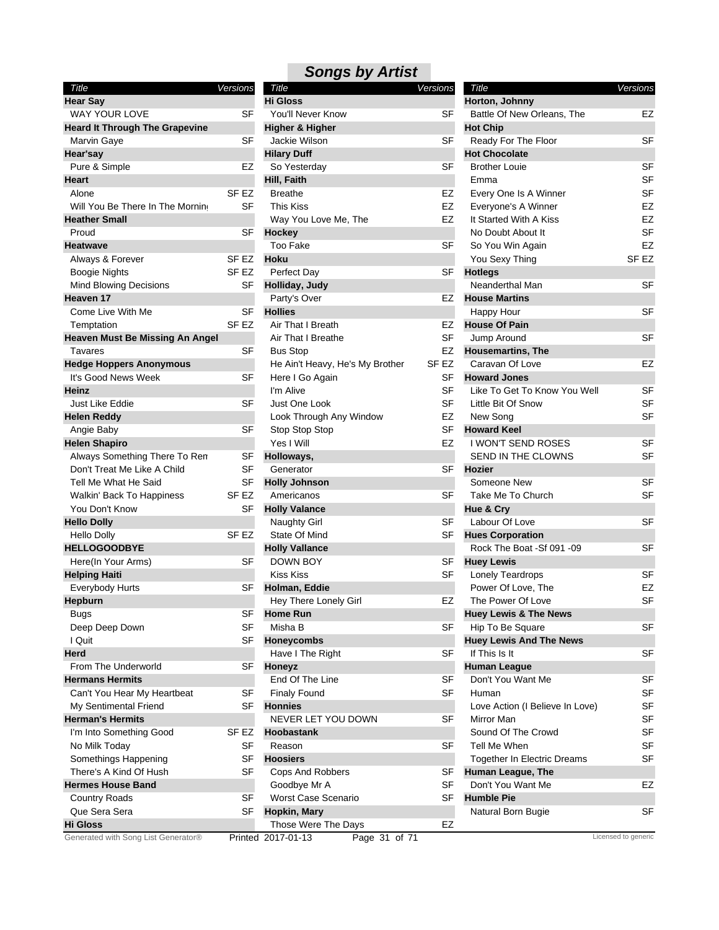| Title                                  | Versions |                  |
|----------------------------------------|----------|------------------|
| <b>Hear Say</b>                        |          |                  |
| <b>WAY YOUR LOVE</b>                   |          | SF               |
| <b>Heard It Through The Grapevine</b>  |          |                  |
| Marvin Gaye                            |          | SF               |
| Hear'say                               |          |                  |
| Pure & Simple                          |          | F7               |
| Heart                                  |          |                  |
| Alone                                  |          | SF EZ            |
| Will You Be There In The Morning       |          | SF               |
| <b>Heather Small</b>                   |          |                  |
| Proud                                  |          | SF               |
| Heatwave                               |          |                  |
| Always & Forever                       |          | SF EZ            |
| <b>Boogie Nights</b>                   |          | SF EZ            |
| <b>Mind Blowing Decisions</b>          |          | SF               |
| Heaven 17                              |          |                  |
| Come Live With Me                      |          | SF               |
| Temptation                             |          | SF <sub>EZ</sub> |
| <b>Heaven Must Be Missing An Angel</b> |          |                  |
| Tavares                                |          | SF               |
| <b>Hedge Hoppers Anonymous</b>         |          |                  |
| It's Good News Week                    |          | SF               |
| Heinz                                  |          |                  |
| Just Like Eddie                        |          | SF               |
| <b>Helen Reddy</b>                     |          |                  |
| Angie Baby                             |          | SF               |
| <b>Helen Shapiro</b>                   |          |                  |
| Always Something There To Ren          |          | SF               |
| Don't Treat Me Like A Child            |          | SF               |
| Tell Me What He Said                   |          | <b>SF</b>        |
| Walkin' Back To Happiness              |          | SF <sub>EZ</sub> |
| You Don't Know                         |          | SF               |
| <b>Hello Dolly</b>                     |          |                  |
| <b>Hello Dolly</b>                     |          | SF EZ            |
| <b>HELLOGOODBYE</b>                    |          |                  |
| Here(In Your Arms)                     |          | SF               |
| <b>Helping Haiti</b>                   |          |                  |
| <b>Everybody Hurts</b>                 |          | SF               |
|                                        |          |                  |
| Hepburn                                |          | SF               |
| Bugs                                   |          |                  |
| Deep Deep Down                         |          | SF               |
| I Quit                                 |          | SF               |
| Herd                                   |          |                  |
| From The Underworld                    |          | SF               |
| <b>Hermans Hermits</b>                 |          |                  |
| Can't You Hear My Heartbeat            |          | SF               |
| My Sentimental Friend                  |          | SF               |
| <b>Herman's Hermits</b>                |          |                  |
| I'm Into Something Good                |          | SF EZ            |
| No Milk Today                          |          | SF               |
| Somethings Happening                   |          | SF               |
| There's A Kind Of Hush                 |          | SF               |
| <b>Hermes House Band</b>               |          |                  |
| Country Roads                          |          | SF               |
| Que Sera Sera                          |          | SF               |
| <b>Hi Gloss</b>                        |          |                  |
| Conoratod with Song List Conorator®    |          |                  |

|                                        |                  | <b>Songs by Artist</b>              |           |                                    |                     |
|----------------------------------------|------------------|-------------------------------------|-----------|------------------------------------|---------------------|
| Title                                  | Versions         | Title                               | Versions  | Title                              | Versions            |
| <b>Hear Say</b>                        |                  | <b>Hi Gloss</b>                     |           | Horton, Johnny                     |                     |
| WAY YOUR LOVE                          | SF               | You'll Never Know                   | SF        | Battle Of New Orleans, The         | EZ                  |
| <b>Heard It Through The Grapevine</b>  |                  | Higher & Higher                     |           | <b>Hot Chip</b>                    |                     |
| Marvin Gaye                            | SF               | Jackie Wilson                       | SF        | Ready For The Floor                | SF                  |
| Hear'say                               |                  | <b>Hilary Duff</b>                  |           | <b>Hot Chocolate</b>               |                     |
| Pure & Simple                          | EZ               | So Yesterday                        | SF        | <b>Brother Louie</b>               | <b>SF</b>           |
| Heart                                  |                  | Hill, Faith                         |           | Emma                               | <b>SF</b>           |
| Alone                                  | SF <sub>EZ</sub> | <b>Breathe</b>                      | EZ        | Every One Is A Winner              | <b>SF</b>           |
| Will You Be There In The Morning       | SF               | <b>This Kiss</b>                    | <b>EZ</b> | Everyone's A Winner                | EZ                  |
| <b>Heather Small</b>                   |                  | Way You Love Me, The                | EZ        | It Started With A Kiss             | EZ                  |
| Proud                                  | SF               | Hockey                              |           | No Doubt About It                  | SF                  |
| Heatwave                               |                  | <b>Too Fake</b>                     | <b>SF</b> | So You Win Again                   | EZ                  |
| Always & Forever                       | SF EZ            | <b>Hoku</b>                         |           | You Sexy Thing                     | SF <sub>EZ</sub>    |
| <b>Boogie Nights</b>                   | SF <sub>EZ</sub> | Perfect Day                         | SF        | <b>Hotlegs</b>                     |                     |
| Mind Blowing Decisions                 | SF               | Holliday, Judy                      |           | Neanderthal Man                    | SF                  |
| Heaven 17                              |                  | Party's Over                        | EZ        | <b>House Martins</b>               |                     |
| Come Live With Me                      | <b>SF</b>        | <b>Hollies</b>                      |           | Happy Hour                         | SF                  |
| Temptation                             | SF EZ            | Air That I Breath                   | EZ        | <b>House Of Pain</b>               |                     |
| <b>Heaven Must Be Missing An Angel</b> |                  | Air That I Breathe                  | <b>SF</b> | Jump Around                        | <b>SF</b>           |
| Tavares                                | SF               | <b>Bus Stop</b>                     | EZ        | <b>Housemartins, The</b>           |                     |
| <b>Hedge Hoppers Anonymous</b>         |                  | He Ain't Heavy, He's My Brother     | SF EZ     | Caravan Of Love                    | EZ                  |
| It's Good News Week                    | <b>SF</b>        | Here I Go Again                     | SF        | <b>Howard Jones</b>                |                     |
| Heinz                                  |                  | I'm Alive                           | <b>SF</b> | Like To Get To Know You Well       | <b>SF</b>           |
| Just Like Eddie                        | <b>SF</b>        | Just One Look                       | SF        | Little Bit Of Snow                 | <b>SF</b>           |
| Helen Reddy                            |                  | Look Through Any Window             | EZ        | New Song                           | <b>SF</b>           |
| Angie Baby                             | SF               | Stop Stop Stop                      | SF        | <b>Howard Keel</b>                 |                     |
| <b>Helen Shapiro</b>                   |                  | Yes I Will                          | EZ        | I WON'T SEND ROSES                 | <b>SF</b>           |
| Always Something There To Ren          | SF               | Holloways,                          |           | SEND IN THE CLOWNS                 | <b>SF</b>           |
| Don't Treat Me Like A Child            | <b>SF</b>        | Generator                           | <b>SF</b> | <b>Hozier</b>                      |                     |
| Tell Me What He Said                   | SF               | <b>Holly Johnson</b>                |           | Someone New                        | <b>SF</b>           |
| Walkin' Back To Happiness              | SF EZ            | Americanos                          | <b>SF</b> | Take Me To Church                  | <b>SF</b>           |
| You Don't Know                         | SF               | <b>Holly Valance</b>                |           | Hue & Cry                          |                     |
| <b>Hello Dolly</b>                     |                  | <b>Naughty Girl</b>                 | SF        | Labour Of Love                     | <b>SF</b>           |
| <b>Hello Dolly</b>                     | SF EZ            | State Of Mind                       | SF        | <b>Hues Corporation</b>            |                     |
| <b>HELLOGOODBYE</b>                    |                  | <b>Holly Vallance</b>               |           | Rock The Boat -Sf 091 -09          | SF                  |
| Here(In Your Arms)                     | SF               | DOWN BOY                            | SF        | <b>Huey Lewis</b>                  |                     |
| <b>Helping Haiti</b>                   |                  | <b>Kiss Kiss</b>                    | <b>SF</b> | Lonely Teardrops                   | <b>SF</b>           |
| Everybody Hurts                        | SF               | Holman, Eddie                       |           | Power Of Love, The                 | EZ                  |
| Hepburn                                |                  | Hey There Lonely Girl               | EZ        | The Power Of Love                  | SF                  |
| <b>Bugs</b>                            | SF               | <b>Home Run</b>                     |           | <b>Huey Lewis &amp; The News</b>   |                     |
| Deep Deep Down                         | SF               | Misha B                             | SF        | Hip To Be Square                   | <b>SF</b>           |
| I Quit                                 | SF               | <b>Honeycombs</b>                   |           | <b>Huey Lewis And The News</b>     |                     |
| Herd                                   |                  | Have I The Right                    | SF        | If This Is It                      | SF                  |
| From The Underworld                    | SF               | Honeyz                              |           | <b>Human League</b>                |                     |
| <b>Hermans Hermits</b>                 |                  | End Of The Line                     | SF        | Don't You Want Me                  | <b>SF</b>           |
| Can't You Hear My Heartbeat            | <b>SF</b>        | <b>Finaly Found</b>                 | <b>SF</b> | Human                              | SF                  |
| My Sentimental Friend                  | SF               | <b>Honnies</b>                      |           | Love Action (I Believe In Love)    | <b>SF</b>           |
| <b>Herman's Hermits</b>                |                  | NEVER LET YOU DOWN                  | SF        | Mirror Man                         | <b>SF</b>           |
| I'm Into Something Good                | SF EZ            | Hoobastank                          |           | Sound Of The Crowd                 | <b>SF</b>           |
| No Milk Today                          | <b>SF</b>        | Reason                              | SF        | Tell Me When                       | SF                  |
| Somethings Happening                   | <b>SF</b>        | <b>Hoosiers</b>                     |           | <b>Together In Electric Dreams</b> | <b>SF</b>           |
| There's A Kind Of Hush                 | <b>SF</b>        | Cops And Robbers                    | SF        | Human League, The                  |                     |
| Hermes House Band                      |                  | Goodbye Mr A                        | <b>SF</b> | Don't You Want Me                  | EZ                  |
|                                        | SF               | Worst Case Scenario                 | SF        | <b>Humble Pie</b>                  |                     |
| <b>Country Roads</b><br>Que Sera Sera  | SF               |                                     |           |                                    | SF                  |
| Hi Gloss                               |                  | Hopkin, Mary<br>Those Were The Days | EZ        | Natural Born Bugie                 |                     |
| Generated with Song List Generator®    |                  |                                     |           |                                    | Licensed to generic |
|                                        |                  | Page 31 of 71<br>Printed 2017-01-13 |           |                                    |                     |

| Title                                  | Versions  |
|----------------------------------------|-----------|
| Horton, Johnny                         | EZ        |
| Battle Of New Orleans, The             |           |
| <b>Hot Chip</b><br>Ready For The Floor | SF        |
| <b>Hot Chocolate</b>                   |           |
| <b>Brother Louie</b>                   | SF        |
| Emma                                   | SF        |
| Every One Is A Winner                  | <b>SF</b> |
| Everyone's A Winner                    | EZ        |
| It Started With A Kiss                 | EZ        |
| No Doubt About It                      | SF        |
| So You Win Again                       | EZ        |
| You Sexy Thing                         | SF EZ     |
| <b>Hotlegs</b>                         |           |
| Neanderthal Man                        | SF        |
| <b>House Martins</b>                   |           |
| Happy Hour                             | SF        |
| <b>House Of Pain</b>                   |           |
| Jump Around                            | SF        |
| <b>Housemartins, The</b>               |           |
| Caravan Of Love                        | EZ        |
| <b>Howard Jones</b>                    |           |
| Like To Get To Know You Well           | SF        |
| Little Bit Of Snow                     | SF        |
| New Song                               | SF        |
| <b>Howard Keel</b>                     |           |
| <b>I WON'T SEND ROSES</b>              | SF        |
| SEND IN THE CLOWNS                     | SF        |
| Hozier                                 |           |
| Someone New                            | SF        |
| Take Me To Church                      | SF        |
| Hue & Cry                              |           |
| Labour Of Love                         | SF        |
| <b>Hues Corporation</b>                |           |
| Rock The Boat -Sf 091 -09              | SF        |
| <b>Huey Lewis</b>                      |           |
| <b>Lonely Teardrops</b>                | SF        |
| Power Of Love, The                     | EZ        |
| The Power Of Love                      | SF        |
| <b>Huey Lewis &amp; The News</b>       |           |
| Hip To Be Square                       | SF        |
| <b>Huey Lewis And The News</b>         |           |
| If This Is It                          | SF        |
| Human League                           |           |
| Don't You Want Me                      | SF        |
| Human                                  | SF        |
| Love Action (I Believe In Love)        | SF        |
| Mirror Man                             | SF        |
| Sound Of The Crowd                     | SF        |
| <b>Tell Me When</b>                    | SF        |
| Together In Electric Dreams            | SF        |
| Human League, The                      |           |
| Don't You Want Me                      | EZ        |
| <b>Humble Pie</b>                      |           |
| Natural Born Bugie                     | SF        |
|                                        |           |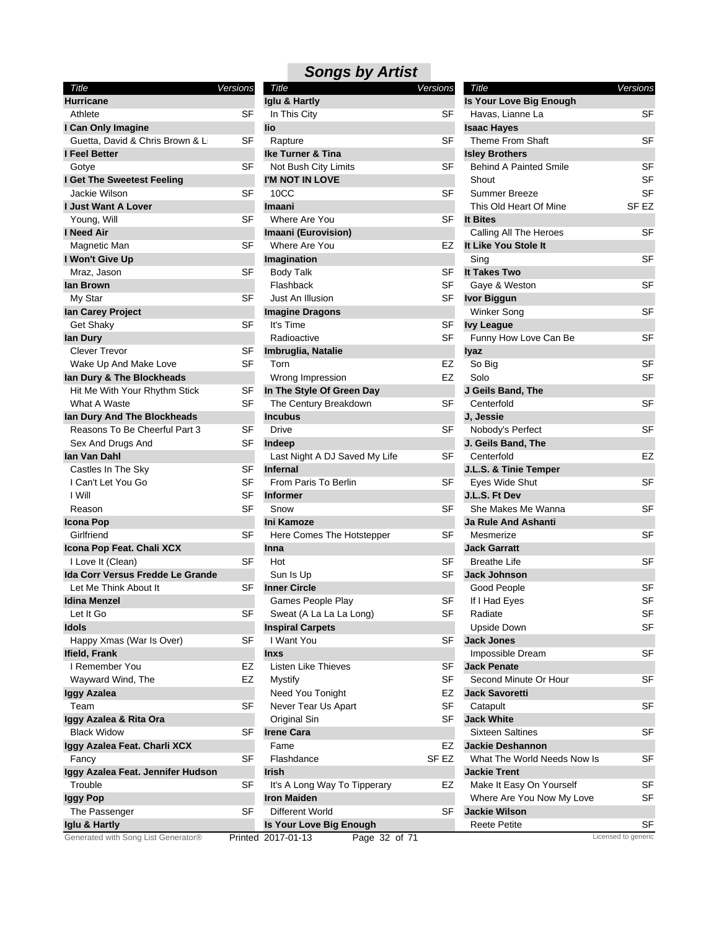| Title                               | Versions  | <b>Title</b>                        | Versions         | Title                         | Versions            |
|-------------------------------------|-----------|-------------------------------------|------------------|-------------------------------|---------------------|
| <b>Hurricane</b>                    |           | Iglu & Hartly                       |                  | Is Your Love Big Enough       |                     |
| Athlete                             | <b>SF</b> | In This City                        | <b>SF</b>        | Havas, Lianne La              | <b>SF</b>           |
| I Can Only Imagine                  |           | lio                                 |                  | <b>Isaac Hayes</b>            |                     |
| Guetta, David & Chris Brown & Li    | SF        | Rapture                             | <b>SF</b>        | <b>Theme From Shaft</b>       | <b>SF</b>           |
| I Feel Better                       |           | <b>Ike Turner &amp; Tina</b>        |                  | <b>Isley Brothers</b>         |                     |
| Gotye                               | <b>SF</b> | Not Bush City Limits                | <b>SF</b>        | <b>Behind A Painted Smile</b> | <b>SF</b>           |
| I Get The Sweetest Feeling          |           | I'M NOT IN LOVE                     |                  | Shout                         | SF                  |
| Jackie Wilson                       | <b>SF</b> | 10CC                                | <b>SF</b>        | <b>Summer Breeze</b>          | <b>SF</b>           |
| <b>I Just Want A Lover</b>          |           | <b>Imaani</b>                       |                  | This Old Heart Of Mine        | SF <sub>EZ</sub>    |
| Young, Will                         | SF        | Where Are You                       | SF               | It Bites                      |                     |
| I Need Air                          |           | Imaani (Eurovision)                 |                  | Calling All The Heroes        | <b>SF</b>           |
| Magnetic Man                        | SF        | Where Are You                       | EZ               | It Like You Stole It          |                     |
| I Won't Give Up                     |           | Imagination                         |                  | Sing                          | <b>SF</b>           |
| Mraz, Jason                         | SF        | <b>Body Talk</b>                    | SF               | It Takes Two                  |                     |
| lan Brown                           |           | Flashback                           | <b>SF</b>        | Gaye & Weston                 | <b>SF</b>           |
| My Star                             | <b>SF</b> | Just An Illusion                    | <b>SF</b>        | <b>Ivor Biggun</b>            |                     |
| lan Carey Project                   |           | <b>Imagine Dragons</b>              |                  | <b>Winker Song</b>            | <b>SF</b>           |
| Get Shaky                           | SF        | It's Time                           | SF               | <b>Ivy League</b>             |                     |
| lan Dury                            |           | Radioactive                         | <b>SF</b>        | Funny How Love Can Be         | <b>SF</b>           |
| <b>Clever Trevor</b>                | SF        | Imbruglia, Natalie                  |                  | lyaz                          |                     |
| Wake Up And Make Love               | <b>SF</b> | Torn                                | EZ               | So Big                        | <b>SF</b>           |
| lan Dury & The Blockheads           |           | Wrong Impression                    | <b>EZ</b>        | Solo                          | SF                  |
| Hit Me With Your Rhythm Stick       | SF        | In The Style Of Green Day           |                  | J Geils Band, The             |                     |
| What A Waste                        | SF        | The Century Breakdown               | <b>SF</b>        | Centerfold                    | SF                  |
| lan Dury And The Blockheads         |           | <b>Incubus</b>                      |                  | J, Jessie                     |                     |
| Reasons To Be Cheerful Part 3       | <b>SF</b> | <b>Drive</b>                        | <b>SF</b>        | Nobody's Perfect              | <b>SF</b>           |
| Sex And Drugs And                   | SF        | Indeep                              |                  | J. Geils Band, The            |                     |
| lan Van Dahl                        |           | Last Night A DJ Saved My Life       | <b>SF</b>        | Centerfold                    | EZ                  |
| Castles In The Sky                  | SF        | <b>Infernal</b>                     |                  | J.L.S. & Tinie Temper         |                     |
| I Can't Let You Go                  | <b>SF</b> | From Paris To Berlin                | <b>SF</b>        | Eyes Wide Shut                | <b>SF</b>           |
| I Will                              | SF        | <b>Informer</b>                     |                  | J.L.S. Ft Dev                 |                     |
| Reason                              | <b>SF</b> | Snow                                | <b>SF</b>        | She Makes Me Wanna            | <b>SF</b>           |
| Icona Pop                           |           | Ini Kamoze                          |                  | <b>Ja Rule And Ashanti</b>    |                     |
| Girlfriend                          | SF        | Here Comes The Hotstepper           | SF               | Mesmerize                     | <b>SF</b>           |
| Icona Pop Feat. Chali XCX           |           | Inna                                |                  | <b>Jack Garratt</b>           |                     |
| I Love It (Clean)                   | <b>SF</b> | Hot                                 | SF               | <b>Breathe Life</b>           | <b>SF</b>           |
| Ida Corr Versus Fredde Le Grande    |           | Sun Is Up                           | <b>SF</b>        | <b>Jack Johnson</b>           |                     |
| Let Me Think About It               | SF        | <b>Inner Circle</b>                 |                  | Good People                   | <b>SF</b>           |
| <b>Idina Menzel</b>                 |           | Games People Play                   | <b>SF</b>        | If I Had Eyes                 | SF                  |
| Let It Go                           | <b>SF</b> | Sweat (A La La La Long)             | SF               | Radiate                       | SF                  |
| Idols                               |           | <b>Inspiral Carpets</b>             |                  | Upside Down                   | <b>SF</b>           |
| Happy Xmas (War Is Over)            | SF        | I Want You                          | SF               | <b>Jack Jones</b>             |                     |
| Ifield, Frank                       |           | <b>Inxs</b>                         |                  | Impossible Dream              | <b>SF</b>           |
| I Remember You                      | EZ        | Listen Like Thieves                 | SF               | <b>Jack Penate</b>            |                     |
| Wayward Wind, The                   | EZ        | Mystify                             | <b>SF</b>        | Second Minute Or Hour         | <b>SF</b>           |
| Iggy Azalea                         |           | Need You Tonight                    | EZ               | <b>Jack Savoretti</b>         |                     |
| Team                                | <b>SF</b> | Never Tear Us Apart                 | SF               | Catapult                      | <b>SF</b>           |
| Iggy Azalea & Rita Ora              |           | Original Sin                        | SF               | <b>Jack White</b>             |                     |
| <b>Black Widow</b>                  | <b>SF</b> | <b>Irene Cara</b>                   |                  | <b>Sixteen Saltines</b>       | <b>SF</b>           |
| Iggy Azalea Feat. Charli XCX        |           | Fame                                | EZ               | <b>Jackie Deshannon</b>       |                     |
| Fancy                               | <b>SF</b> | Flashdance                          | SF <sub>EZ</sub> | What The World Needs Now Is   | SF                  |
| Iggy Azalea Feat. Jennifer Hudson   |           | <b>Irish</b>                        |                  | <b>Jackie Trent</b>           |                     |
| Trouble                             | SF        | It's A Long Way To Tipperary        | EZ               | Make It Easy On Yourself      | <b>SF</b>           |
| <b>Iggy Pop</b>                     |           | <b>Iron Maiden</b>                  |                  | Where Are You Now My Love     | SF                  |
| The Passenger                       | SF        | Different World                     | SF               | <b>Jackie Wilson</b>          |                     |
| Iglu & Hartly                       |           | Is Your Love Big Enough             |                  | <b>Reete Petite</b>           | SF                  |
| Generated with Song List Generator® |           | Printed 2017-01-13<br>Page 32 of 71 |                  |                               | Licensed to generic |

| Title                                     | Versions |
|-------------------------------------------|----------|
| Iglu & Hartly                             |          |
| In This City                              | SF       |
| lio                                       |          |
| Rapture                                   | SF       |
| <b>Ike Turner &amp; Tina</b>              |          |
| Not Bush City Limits                      | SF       |
| I'M NOT IN LOVE                           |          |
| 10CC                                      | SF       |
| Imaani                                    |          |
| Where Are You                             | SF       |
| Imaani (Eurovision)                       |          |
| Where Are You                             | EZ       |
| Imagination                               |          |
| Body Talk                                 | SF       |
| Flashback                                 | SF       |
| Just An Illusion                          | SF       |
| <b>Imagine Dragons</b>                    |          |
| It's Time                                 | SF       |
| Radioactive                               | SF       |
| Imbruglia, Natalie                        |          |
| Torn                                      | EZ       |
| Wrong Impression                          | EZ       |
| In The Style Of Green Day                 |          |
| The Century Breakdown<br><b>Incubus</b>   | SF       |
| Drive                                     | SF       |
|                                           |          |
| Indeep                                    | SF       |
| Last Night A DJ Saved My Life<br>Infernal |          |
| From Paris To Berlin                      | SF       |
| <b>Informer</b>                           |          |
| Snow                                      | SF       |
| Ini Kamoze                                |          |
| Here Comes The Hotstepper                 | SF       |
| Inna                                      |          |
| Hot                                       | SF       |
| Sun Is Up                                 | SF       |
| <b>Inner Circle</b>                       |          |
| Games People Play                         | SF       |
| Sweat (A La La La Long)                   | S⊦       |
| <b>Inspiral Carpets</b>                   |          |
| I Want You                                | SF       |
| <b>Inxs</b>                               |          |
| Listen Like Thieves                       | SF       |
| Mystify                                   | SF       |
| Need You Tonight                          | EZ       |
| Never Tear Us Apart                       | SF       |
| Original Sin                              | SF       |
| <b>Irene Cara</b>                         |          |
| Fame                                      | EZ       |
| Flashdance                                | SF EZ    |
| <b>Irish</b>                              |          |
| It's A Long Way To Tipperary              | EZ       |
| <b>Iron Maiden</b>                        |          |
| Different World                           | SF       |
| Is Your Love Big Enough                   |          |
|                                           |          |

| Title                                  | Versions |
|----------------------------------------|----------|
| Is Your Love Big Enough                |          |
| Havas, Lianne La                       | SF       |
| <b>Isaac Hayes</b><br>Theme From Shaft | SF       |
| <b>Isley Brothers</b>                  |          |
| <b>Behind A Painted Smile</b>          | SF       |
| Shout                                  | SF       |
| Summer Breeze                          | SF       |
| This Old Heart Of Mine                 | SF EZ    |
| It Bites                               |          |
| Calling All The Heroes                 | SF       |
| It Like You Stole It                   |          |
| Sing                                   | SF       |
| It Takes Two                           |          |
| Gaye & Weston                          | SF       |
| <b>Ivor Biggun</b>                     |          |
| Winker Song                            | SF       |
| <b>Ivy League</b>                      |          |
| Funny How Love Can Be                  | SF       |
| lyaz                                   |          |
| So Big                                 | SF       |
| Solo                                   | SF       |
| J Geils Band, The                      |          |
| Centerfold                             | SF       |
| J, Jessie                              |          |
| Nobody's Perfect                       | SF       |
| J. Geils Band, The                     |          |
| Centerfold                             | EZ       |
| J.L.S. & Tinie Temper                  |          |
| Eyes Wide Shut                         | SF       |
| J.L.S. Ft Dev                          |          |
| She Makes Me Wanna                     | SF       |
| <b>Ja Rule And Ashanti</b>             |          |
| Mesmerize                              | SF       |
| <b>Jack Garratt</b>                    |          |
| Breathe Life                           | SF       |
| <b>Jack Johnson</b>                    |          |
| Good People                            | SF       |
| If I Had Eyes                          | న⊦       |
| Radiate                                | SF       |
| <b>Upside Down</b>                     | SF       |
| <b>Jack Jones</b>                      |          |
| Impossible Dream                       | SF       |
| <b>Jack Penate</b>                     |          |
| Second Minute Or Hour                  | SF       |
| <b>Jack Savoretti</b>                  |          |
| Catapult                               | SF       |
| <b>Jack White</b>                      |          |
| Sixteen Saltines                       | SF       |
| <b>Jackie Deshannon</b>                |          |
| What The World Needs Now Is            | SF       |
| <b>Jackie Trent</b>                    |          |
| Make It Easy On Yourself               | SF       |
| Where Are You Now My Love              | SF       |
| Jackie Wilson                          |          |
| <b>Reete Petite</b>                    | SF       |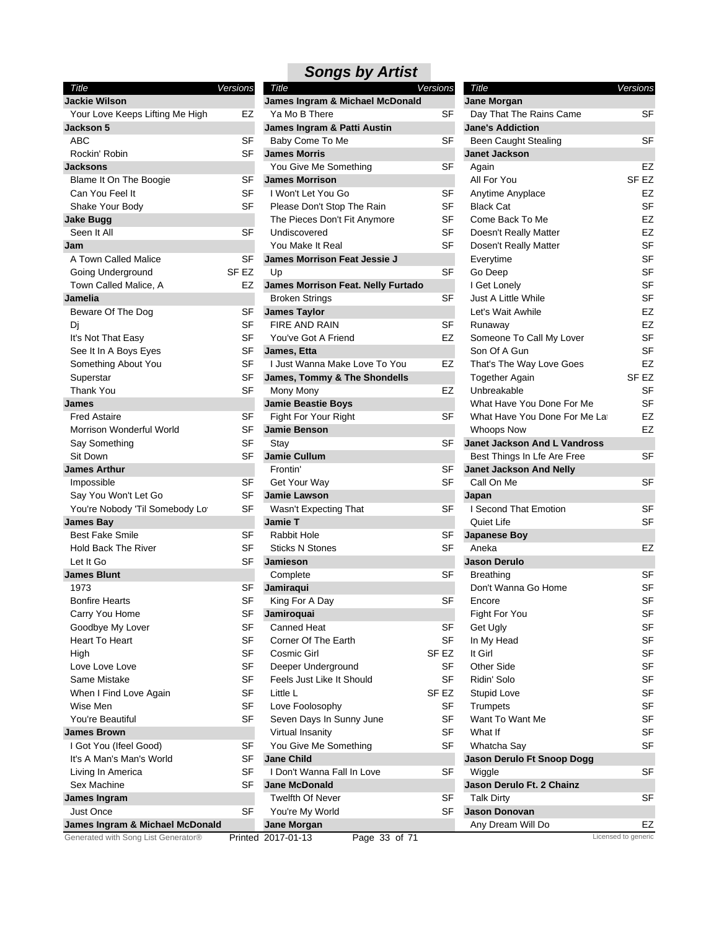| Title                                                               | Versions  | Ti  |
|---------------------------------------------------------------------|-----------|-----|
| Jackie Wilson                                                       |           | Jan |
| Your Love Keeps Lifting Me High                                     | EZ        | Yε  |
| Jackson 5                                                           |           | Jan |
| ABC                                                                 | SF        | Вε  |
| Rockin' Robin                                                       | SF        | Jan |
| <b>Jacksons</b>                                                     |           | Yς  |
| Blame It On The Boogie                                              | SF        | Jan |
| Can You Feel It                                                     | SF        | ١V  |
| Shake Your Body                                                     | SF        | PI  |
| <b>Jake Bugg</b>                                                    |           | Tł  |
| Seen It All                                                         | SF        | Ur  |
| Jam                                                                 |           | Yς  |
| A Town Called Malice                                                | SF        | Jan |
| Going Underground                                                   | SF EZ     | Uŗ  |
| Town Called Malice, A                                               | EZ        | Jan |
| Jamelia                                                             |           | Br  |
| Beware Of The Dog                                                   | SF        | Jan |
| Di                                                                  | <b>SF</b> | FI  |
| It's Not That Easy                                                  | SF        | Yς  |
| See It In A Boys Eyes                                               | SF        | Jan |
| Something About You                                                 | <b>SF</b> | IJ  |
| Superstar                                                           | SF        | Jan |
| Thank You                                                           | SF        | M   |
| <b>James</b>                                                        |           | Jan |
| <b>Fred Astaire</b>                                                 | SF        | Fig |
| Morrison Wonderful World                                            | SF        | Jan |
| Say Something                                                       | SF        | St  |
| Sit Down                                                            | SF        | Jan |
| <b>James Arthur</b>                                                 |           | Fr  |
| Impossible                                                          | SF        | G   |
| Say You Won't Let Go                                                | SF        | Jan |
| You're Nobody 'Til Somebody Lo'                                     | SF        | W   |
| <b>James Bay</b>                                                    |           | Jan |
| <b>Best Fake Smile</b>                                              | SF        | R٤  |
| <b>Hold Back The River</b>                                          | SF        | St  |
| Let It Go                                                           | SF        | Jan |
| <b>James Blunt</b>                                                  |           | C٥  |
| 1973                                                                | SF        | Jan |
| <b>Bonfire Hearts</b>                                               | SF        | Ki  |
| Carry You Home                                                      | SF        | Jan |
| Goodbye My Lover                                                    | SF        | Сć  |
| <b>Heart To Heart</b>                                               | SF        | C٥  |
| High                                                                | SF        | C٥  |
| Love Love Love                                                      | SF        | D   |
| Same Mistake                                                        | SF        | Fe  |
|                                                                     | SF        | Lit |
| When I Find Love Again                                              |           |     |
| Wise Men                                                            | SF        | Lc  |
| You're Beautiful<br><b>James Brown</b>                              | <b>SF</b> | Sε  |
|                                                                     |           | Vi  |
| I Got You (Ifeel Good)                                              | SF        | Yς  |
| It's A Man's Man's World                                            | SF        | Jan |
| Living In America                                                   | <b>SF</b> | ١c  |
| Sex Machine                                                         | SF        | Jan |
| James Ingram                                                        |           | T٧  |
| <b>Just Once</b>                                                    | SF        | Yς  |
| James Ingram & Michael McDonald<br>arated with Song List Generator® |           | Jan |

| Title                                               | Versions |
|-----------------------------------------------------|----------|
| James Ingram & Michael McDonald                     |          |
| Ya Mo B There                                       | SF       |
| James Ingram & Patti Austin                         |          |
| Baby Come To Me                                     | SF       |
| <b>James Morris</b>                                 |          |
| You Give Me Something                               | SF       |
| <b>James Morrison</b>                               |          |
| I Won't Let You Go                                  | SF       |
| Please Don't Stop The Rain                          | SF       |
| The Pieces Don't Fit Anymore                        | SF       |
| Undiscovered                                        | SF       |
| You Make It Real                                    | SF       |
| <b>James Morrison Feat Jessie J</b>                 |          |
| Up                                                  | SF       |
| James Morrison Feat. Nelly Furtado                  |          |
| <b>Broken Strings</b>                               | SF       |
| <b>James Taylor</b>                                 |          |
| <b>FIRE AND RAIN</b>                                | SF       |
| You've Got A Friend                                 | EZ       |
| James, Etta                                         |          |
| I Just Wanna Make Love To You                       | EZ       |
| James, Tommy & The Shondells                        |          |
| Mony Mony                                           | EZ       |
| <b>Jamie Beastie Boys</b>                           |          |
| Fight For Your Right                                | SF       |
| <b>Jamie Benson</b>                                 |          |
| Stay                                                | SF       |
| <b>Jamie Cullum</b>                                 |          |
| Frontin'                                            | SF       |
| Get Your Way                                        | SF       |
| Jamie Lawson                                        |          |
| Wasn't Expecting That                               | SF       |
| <b>Jamie T</b>                                      |          |
| <b>Rabbit Hole</b>                                  | SF       |
| <b>Sticks N Stones</b>                              | SF       |
| <b>Jamieson</b>                                     |          |
| Complete                                            | SF       |
| Jamiraqui                                           |          |
| King For A Day                                      | SF       |
| Jamiroquai                                          |          |
| Canned Heat                                         | SF       |
| Corner Of The Earth                                 | SF       |
| Cosmic Girl                                         | SF EZ    |
| Deeper Underground                                  | SF       |
| Feels Just Like It Should                           | SF       |
| Little L                                            | SF EZ    |
| Love Foolosophy                                     | SF       |
| Seven Days In Sunny June                            | SF       |
| Virtual Insanity                                    | SF       |
| You Give Me Something                               | SF       |
| <b>Jane Child</b>                                   |          |
| I Don't Wanna Fall In Love                          | SF       |
| <b>Jane McDonald</b>                                |          |
| Twelfth Of Never                                    |          |
|                                                     | SF<br>SF |
| You're My World                                     |          |
| Jane Morgan<br>1.2017.01.12<br>22<br>$\sim$ f<br>71 |          |

|                                            |                 | Songs by Artist                     |                  |                                |                     |
|--------------------------------------------|-----------------|-------------------------------------|------------------|--------------------------------|---------------------|
| Title                                      | Versions        | Title                               | Versions         | Title                          | <b>Versions</b>     |
| <b>Jackie Wilson</b>                       |                 | James Ingram & Michael McDonald     |                  | Jane Morgan                    |                     |
| Your Love Keeps Lifting Me High            | EZ              | Ya Mo B There                       | <b>SF</b>        | Day That The Rains Came        | <b>SF</b>           |
| Jackson 5                                  |                 | James Ingram & Patti Austin         |                  | <b>Jane's Addiction</b>        |                     |
| ABC                                        | SF              | Baby Come To Me                     | SF               | Been Caught Stealing           | <b>SF</b>           |
| Rockin' Robin                              | <b>SF</b>       | <b>James Morris</b>                 |                  | <b>Janet Jackson</b>           |                     |
| Jacksons                                   |                 | You Give Me Something               | <b>SF</b>        | Again                          | EZ                  |
| Blame It On The Boogie                     | SF              | <b>James Morrison</b>               |                  | All For You                    | SF <sub>EZ</sub>    |
| Can You Feel It                            | SF              | I Won't Let You Go                  | <b>SF</b>        | Anytime Anyplace               | EZ                  |
| Shake Your Body                            | <b>SF</b>       | Please Don't Stop The Rain          | <b>SF</b>        | <b>Black Cat</b>               | <b>SF</b>           |
| <b>Jake Bugg</b>                           |                 | The Pieces Don't Fit Anymore        | <b>SF</b>        | Come Back To Me                | <b>EZ</b>           |
| Seen It All                                | <b>SF</b>       | Undiscovered                        | <b>SF</b>        | Doesn't Really Matter          | EZ                  |
| Jam                                        |                 | You Make It Real                    | <b>SF</b>        | Dosen't Really Matter          | <b>SF</b>           |
| A Town Called Malice                       | <b>SF</b>       | <b>James Morrison Feat Jessie J</b> |                  | Everytime                      | <b>SF</b>           |
| Going Underground                          | SF EZ           | Up                                  | <b>SF</b>        | Go Deep                        | <b>SF</b>           |
| Town Called Malice, A                      | EZ              | James Morrison Feat. Nelly Furtado  |                  | I Get Lonely                   | <b>SF</b>           |
| Jamelia                                    |                 | <b>Broken Strings</b>               | <b>SF</b>        | Just A Little While            | <b>SF</b>           |
| Beware Of The Dog                          | SF              | <b>James Taylor</b>                 |                  | Let's Wait Awhile              | EZ                  |
| Dj                                         | SF              | FIRE AND RAIN                       | SF               | Runaway                        | <b>EZ</b>           |
| It's Not That Easy                         | SF              | You've Got A Friend                 | EZ               | Someone To Call My Lover       | <b>SF</b>           |
| See It In A Boys Eyes                      | SF              | James, Etta                         |                  | Son Of A Gun                   | <b>SF</b>           |
| Something About You                        | SF              | I Just Wanna Make Love To You       | EZ               | That's The Way Love Goes       | EZ                  |
| Superstar                                  | SF              | James, Tommy & The Shondells        |                  | <b>Together Again</b>          | SF <sub>EZ</sub>    |
| <b>Thank You</b>                           | SF              | Mony Mony                           | EZ               | Unbreakable                    | <b>SF</b>           |
| James                                      |                 | <b>Jamie Beastie Boys</b>           |                  | What Have You Done For Me      | <b>SF</b>           |
| <b>Fred Astaire</b>                        | SF              | Fight For Your Right                | SF               | What Have You Done For Me Lat  | <b>EZ</b>           |
| Morrison Wonderful World                   | SF              | Jamie Benson                        |                  | <b>Whoops Now</b>              | EZ                  |
| Say Something                              | <b>SF</b>       | Stay                                | SF               | Janet Jackson And L Vandross   |                     |
| Sit Down                                   | <b>SF</b>       | <b>Jamie Cullum</b>                 |                  | Best Things In Lfe Are Free    | <b>SF</b>           |
| <b>James Arthur</b>                        |                 | Frontin'                            | SF               | <b>Janet Jackson And Nelly</b> |                     |
| Impossible                                 | SF              | Get Your Way                        | <b>SF</b>        | Call On Me                     | <b>SF</b>           |
| Say You Won't Let Go                       | SF              | Jamie Lawson                        |                  | Japan                          |                     |
| You're Nobody 'Til Somebody Lo'            | <b>SF</b>       | Wasn't Expecting That               | SF               | I Second That Emotion          | <b>SF</b>           |
|                                            |                 | <b>Jamie T</b>                      |                  | Quiet Life                     | <b>SF</b>           |
| <b>James Bay</b><br><b>Best Fake Smile</b> | SF              | <b>Rabbit Hole</b>                  | SF               | <b>Japanese Boy</b>            |                     |
|                                            |                 |                                     | <b>SF</b>        | Aneka                          | EZ                  |
| <b>Hold Back The River</b>                 | SF<br><b>SF</b> | <b>Sticks N Stones</b>              |                  |                                |                     |
| Let It Go                                  |                 | Jamieson                            |                  | <b>Jason Derulo</b>            |                     |
| <b>James Blunt</b>                         |                 | Complete                            | SF               | <b>Breathing</b>               | SF<br><b>SF</b>     |
| 1973                                       | SF              | Jamiraqui                           |                  | Don't Wanna Go Home            |                     |
| Bonfire Hearts                             | SF              | King For A Day                      | SF               | Encore                         | SF                  |
| Carry You Home                             | <b>SF</b>       | Jamiroquai                          |                  | Fight For You                  | <b>SF</b>           |
| Goodbye My Lover                           | <b>SF</b>       | <b>Canned Heat</b>                  | SF               | Get Ugly                       | <b>SF</b>           |
| Heart To Heart                             | <b>SF</b>       | Corner Of The Earth                 | <b>SF</b>        | In My Head                     | <b>SF</b>           |
| High                                       | <b>SF</b>       | Cosmic Girl                         | SF <sub>EZ</sub> | It Girl                        | <b>SF</b>           |
| Love Love Love                             | <b>SF</b>       | Deeper Underground                  | SF               | Other Side                     | <b>SF</b>           |
| Same Mistake                               | <b>SF</b>       | Feels Just Like It Should           | <b>SF</b>        | Ridin' Solo                    | <b>SF</b>           |
| When I Find Love Again                     | <b>SF</b>       | Little L                            | SF <sub>EZ</sub> | Stupid Love                    | SF                  |
| Wise Men                                   | SF              | Love Foolosophy                     | SF               | Trumpets                       | <b>SF</b>           |
| You're Beautiful                           | <b>SF</b>       | Seven Days In Sunny June            | <b>SF</b>        | Want To Want Me                | <b>SF</b>           |
| <b>James Brown</b>                         |                 | Virtual Insanity                    | SF               | What If                        | <b>SF</b>           |
| I Got You (Ifeel Good)                     | SF              | You Give Me Something               | <b>SF</b>        | Whatcha Say                    | <b>SF</b>           |
| It's A Man's Man's World                   | SF              | <b>Jane Child</b>                   |                  | Jason Derulo Ft Snoop Dogg     |                     |
| Living In America                          | SF              | I Don't Wanna Fall In Love          | SF               | Wiggle                         | SF                  |
| Sex Machine                                | SF              | <b>Jane McDonald</b>                |                  | Jason Derulo Ft. 2 Chainz      |                     |
| James Ingram                               |                 | <b>Twelfth Of Never</b>             | <b>SF</b>        | <b>Talk Dirty</b>              | <b>SF</b>           |
| Just Once                                  | SF              | You're My World                     | <b>SF</b>        | <b>Jason Donovan</b>           |                     |
| James Ingram & Michael McDonald            |                 | Jane Morgan                         |                  | Any Dream Will Do              | EZ                  |
| Generated with Song List Generator®        |                 | Printed 2017-01-13<br>Page 33 of 71 |                  |                                | Licensed to generic |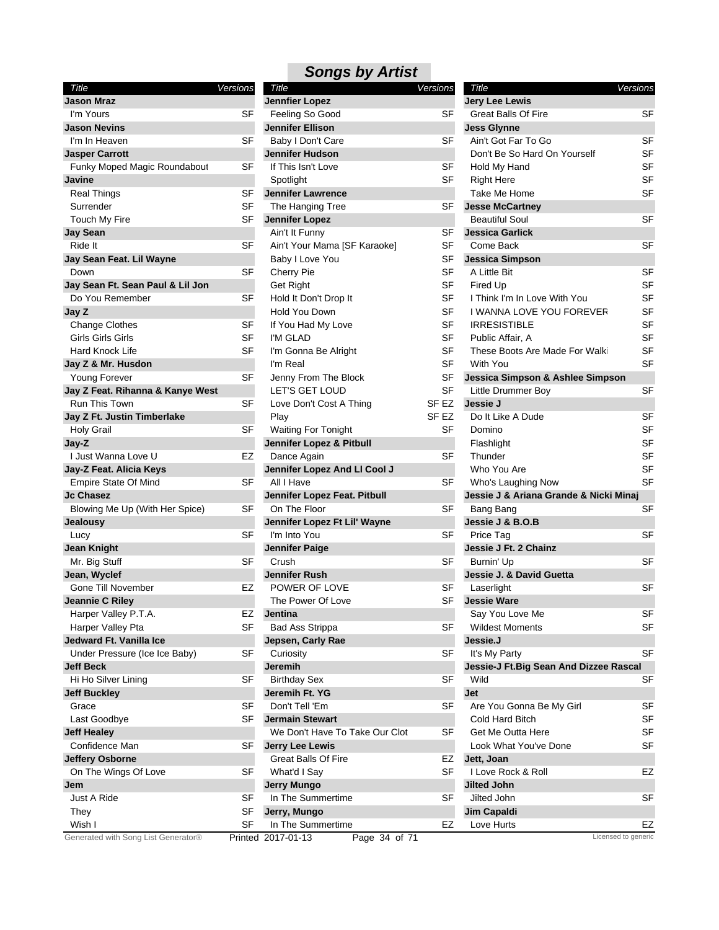| Title                                    | Versions |
|------------------------------------------|----------|
| <b>Jason Mraz</b>                        |          |
| I'm Yours                                | SF       |
| <b>Jason Nevins</b>                      |          |
| I'm In Heaven                            | SF       |
| <b>Jasper Carrott</b>                    |          |
| Funky Moped Magic Roundabout             | SF       |
| Javine                                   |          |
| Real Things                              | SF       |
| Surrender                                | SF       |
| Touch My Fire                            | SF       |
| <b>Jay Sean</b>                          |          |
| Ride It                                  | SF       |
| Jay Sean Feat. Lil Wayne                 |          |
| Down                                     | SF       |
| Jay Sean Ft. Sean Paul & Lil Jon         |          |
| Do You Remember                          | SF       |
| Jay Z                                    |          |
| Change Clothes                           | SF       |
| Girls Girls Girls                        | SF       |
| Hard Knock Life                          | SF       |
| Jay Z & Mr. Husdon                       |          |
| <b>Young Forever</b>                     | SF       |
| Jay Z Feat. Rihanna & Kanye West         |          |
| Run This Town                            | SF       |
| Jay Z Ft. Justin Timberlake              |          |
| Holy Grail                               | SF       |
| Jay-Z                                    |          |
| I Just Wanna Love U                      | EZ       |
| Jay-Z Feat. Alicia Keys                  |          |
| Empire State Of Mind<br><b>Jc Chasez</b> | SF       |
|                                          |          |
| Blowing Me Up (With Her Spice)           | SF       |
| <b>Jealousy</b>                          | SF       |
| Lucy<br><b>Jean Knight</b>               |          |
|                                          | SF       |
| Mr. Big Stuff<br>Jean, Wyclef            |          |
| <b>Gone Till November</b>                | EZ       |
| Jeannie C Riley                          |          |
| Harper Valley P.T.A.                     | EZ       |
| Harper Valley Pta                        | SF       |
| Jedward Ft. Vanilla Ice                  |          |
| Under Pressure (Ice Ice Baby)            | SF       |
| <b>Jeff Beck</b>                         |          |
| Hi Ho Silver Lining                      | SF       |
| <b>Jeff Buckley</b>                      |          |
| Grace                                    | SF       |
| Last Goodbye                             | SF       |
| <b>Jeff Healey</b>                       |          |
| Confidence Man                           | SF       |
| <b>Jeffery Osborne</b>                   |          |
| On The Wings Of Love                     | SF       |
| Jem                                      |          |
| Just A Ride                              | SF       |
| They                                     | SF       |
| Wish I                                   | SF       |
| Generated with Song List Generator®      | Printad  |

#### *Songs by Artist Title Versions*

| ,,,,                                              | <u>u uu u</u> |                                        | 0,00,00   | 1100                                    | , 0, 0, 0, 0 |
|---------------------------------------------------|---------------|----------------------------------------|-----------|-----------------------------------------|--------------|
| Jason Mraz                                        |               | <b>Jennfier Lopez</b>                  |           | <b>Jery Lee Lewis</b>                   |              |
| I'm Yours                                         | SF            | Feeling So Good                        | SF        | <b>Great Balls Of Fire</b>              | <b>SF</b>    |
| Jason Nevins                                      |               | <b>Jennifer Ellison</b>                |           | <b>Jess Glynne</b>                      |              |
| I'm In Heaven                                     | <b>SF</b>     | Baby I Don't Care                      | SF        | Ain't Got Far To Go                     | <b>SF</b>    |
| <b>Jasper Carrott</b>                             |               | Jennifer Hudson                        |           | Don't Be So Hard On Yourself            | <b>SF</b>    |
| Funky Moped Magic Roundabout                      | SF            | If This Isn't Love                     | SF        | Hold My Hand                            | <b>SF</b>    |
| Javine                                            |               | Spotlight                              | <b>SF</b> | <b>Right Here</b>                       | <b>SF</b>    |
| <b>Real Things</b>                                | SF            | <b>Jennifer Lawrence</b>               |           | Take Me Home                            | <b>SF</b>    |
| Surrender                                         | SF            | The Hanging Tree                       | SF        | <b>Jesse McCartney</b>                  |              |
| Touch My Fire                                     | SF            | <b>Jennifer Lopez</b>                  |           | <b>Beautiful Soul</b>                   | <b>SF</b>    |
| <b>Jay Sean</b>                                   |               | Ain't It Funny                         | SF        | <b>Jessica Garlick</b>                  |              |
| Ride It                                           | SF            | Ain't Your Mama [SF Karaoke]           | SF        | Come Back                               | <b>SF</b>    |
| Jay Sean Feat. Lil Wayne                          |               | Baby I Love You                        | <b>SF</b> | <b>Jessica Simpson</b>                  |              |
| Down                                              | SF            | Cherry Pie                             | SF        | A Little Bit                            | <b>SF</b>    |
| Jay Sean Ft. Sean Paul & Lil Jon                  |               | Get Right                              | <b>SF</b> | Fired Up                                | <b>SF</b>    |
| Do You Remember                                   | SF            | Hold It Don't Drop It                  | SF        | I Think I'm In Love With You            | <b>SF</b>    |
| Jay Z                                             |               | Hold You Down                          | SF        | I WANNA LOVE YOU FOREVER                | <b>SF</b>    |
| <b>Change Clothes</b>                             | SF            | If You Had My Love                     | SF        | <b>IRRESISTIBLE</b>                     | <b>SF</b>    |
| Girls Girls Girls                                 | <b>SF</b>     | I'M GLAD                               | SF        | Public Affair, A                        | <b>SF</b>    |
| Hard Knock Life                                   | SF            | I'm Gonna Be Alright                   | SF        | These Boots Are Made For Walki          | <b>SF</b>    |
| Jay Z & Mr. Husdon                                |               | I'm Real                               | <b>SF</b> | With You                                | <b>SF</b>    |
| <b>Young Forever</b>                              | <b>SF</b>     |                                        | SF        | Jessica Simpson & Ashlee Simpson        |              |
|                                                   |               | Jenny From The Block<br>LET'S GET LOUD | <b>SF</b> |                                         | <b>SF</b>    |
| Jay Z Feat. Rihanna & Kanye West<br>Run This Town |               |                                        |           | Little Drummer Boy                      |              |
|                                                   | <b>SF</b>     | Love Don't Cost A Thing                | SF EZ     | Jessie J                                |              |
| Jay Z Ft. Justin Timberlake                       |               | Play                                   | SF EZ     | Do It Like A Dude                       | SF           |
| <b>Holy Grail</b>                                 | <b>SF</b>     | Waiting For Tonight                    | <b>SF</b> | Domino                                  | <b>SF</b>    |
| Jay-Z                                             |               | Jennifer Lopez & Pitbull               |           | Flashlight                              | <b>SF</b>    |
| I Just Wanna Love U                               | EZ            | Dance Again                            | SF        | Thunder                                 | <b>SF</b>    |
| Jay-Z Feat. Alicia Keys                           |               | Jennifer Lopez And LI Cool J           |           | Who You Are                             | <b>SF</b>    |
| <b>Empire State Of Mind</b>                       | <b>SF</b>     | All I Have                             | <b>SF</b> | Who's Laughing Now                      | <b>SF</b>    |
| Jc Chasez                                         |               | Jennifer Lopez Feat. Pitbull           |           | Jessie J & Ariana Grande & Nicki Minaj  |              |
| Blowing Me Up (With Her Spice)                    | SF            | On The Floor                           | SF        | Bang Bang                               | <b>SF</b>    |
| Jealousy                                          |               | Jennifer Lopez Ft Lil' Wayne           |           | Jessie J & B.O.B                        |              |
| Lucy                                              | SF            | I'm Into You                           | <b>SF</b> | Price Tag                               | <b>SF</b>    |
| Jean Knight                                       |               | <b>Jennifer Paige</b>                  |           | Jessie J Ft. 2 Chainz                   |              |
| Mr. Big Stuff                                     | <b>SF</b>     | Crush                                  | SF        | Burnin' Up                              | <b>SF</b>    |
| Jean, Wyclef                                      |               | <b>Jennifer Rush</b>                   |           | Jessie J. & David Guetta                |              |
| <b>Gone Till November</b>                         | EZ            | POWER OF LOVE                          | SF        | Laserlight                              | <b>SF</b>    |
| Jeannie C Riley                                   |               | The Power Of Love                      | SF        | <b>Jessie Ware</b>                      |              |
| Harper Valley P.T.A.                              | EZ            | Jentina                                |           | Say You Love Me                         | <b>SF</b>    |
| Harper Valley Pta                                 | SF            | <b>Bad Ass Strippa</b>                 | SF        | <b>Wildest Moments</b>                  | SF           |
| Jedward Ft. Vanilla Ice                           |               | Jepsen, Carly Rae                      |           | Jessie.J                                |              |
| Under Pressure (Ice Ice Baby)                     | SF            | Curiosity                              | SF        | It's My Party                           | SF           |
| <b>Jeff Beck</b>                                  |               | Jeremih                                |           | Jessie-J Ft. Big Sean And Dizzee Rascal |              |
| Hi Ho Silver Lining                               | <b>SF</b>     | <b>Birthday Sex</b>                    | <b>SF</b> | Wild                                    | <b>SF</b>    |
| <b>Jeff Buckley</b>                               |               | Jeremih Ft. YG                         |           | Jet                                     |              |
| Grace                                             | SF            | Don't Tell 'Em                         | <b>SF</b> | Are You Gonna Be My Girl                | SF           |
| Last Goodbye                                      | SF            | <b>Jermain Stewart</b>                 |           | Cold Hard Bitch                         | SF           |
| <b>Jeff Healey</b>                                |               | We Don't Have To Take Our Clot         | SF        | Get Me Outta Here                       | SF           |
| Confidence Man                                    | SF            | <b>Jerry Lee Lewis</b>                 |           | Look What You've Done                   | SF           |
| <b>Jeffery Osborne</b>                            |               | <b>Great Balls Of Fire</b>             | EZ        | Jett, Joan                              |              |
| On The Wings Of Love                              | SF            | What'd I Say                           | SF        | I Love Rock & Roll                      | EZ           |
| Jem                                               |               | <b>Jerry Mungo</b>                     |           | Jilted John                             |              |
| Just A Ride                                       | SF            | In The Summertime                      | SF        | Jilted John                             | <b>SF</b>    |
| They                                              | SF            | Jerry, Mungo                           |           | Jim Capaldi                             |              |
| Wish I                                            | <b>SF</b>     | In The Summertime                      | EZ        | Love Hurts                              | EZ           |
| Generated with Song List Generator®               |               | Page 34 of 71<br>Printed 2017-01-13    |           | Licensed to generic                     |              |
|                                                   |               |                                        |           |                                         |              |

| <b>Title</b><br>Versions                        |           |
|-------------------------------------------------|-----------|
| <b>Jery Lee Lewis</b>                           |           |
| Great Balls Of Fire                             | SF        |
| <b>Jess Glynne</b>                              |           |
| Ain't Got Far To Go                             | SF        |
| Don't Be So Hard On Yourself                    | SF        |
|                                                 |           |
| Hold My Hand                                    | SF        |
| <b>Right Here</b>                               | SF        |
| <b>Take Me Home</b>                             | SF        |
| <b>Jesse McCartney</b>                          | SF        |
| <b>Beautiful Soul</b><br><b>Jessica Garlick</b> |           |
|                                                 |           |
| Come Back                                       | SF        |
| <b>Jessica Simpson</b>                          |           |
| A Little Bit                                    | SF        |
| Fired Up                                        | SF        |
| I Think I'm In Love With You                    | SF        |
| I WANNA LOVE YOU FOREVER                        | SF        |
| <b>IRRESISTIBLE</b>                             | SF        |
| Public Affair, A                                | SF        |
| These Boots Are Made For Walki                  | SF        |
| With You                                        | SF        |
| Jessica Simpson & Ashlee Simpson                |           |
| Little Drummer Boy                              | SF        |
| Jessie J                                        |           |
| Do It Like A Dude                               | SF        |
| Domino                                          | SF        |
| Flashlight                                      | <b>SF</b> |
| Thunder                                         | SF        |
| Who You Are                                     | SF        |
| Who's Laughing Now                              | SF        |
| Jessie J & Ariana Grande & Nicki Minaj          |           |
| Bang Bang                                       | SF        |
| Jessie J & B.O.B                                |           |
| Price Tag                                       | SF        |
| Jessie J Ft. 2 Chainz                           |           |
| Burnin' Up                                      | SF        |
| Jessie J. & David Guetta                        |           |
| Laserlight                                      | SF        |
| <b>Jessie Ware</b>                              |           |
| Say You Love Me                                 | SF        |
| <b>Wildest Moments</b>                          | SF        |
| Jessie.J                                        |           |
| It's My Party                                   | SF        |
| Jessie-J Ft. Big Sean And Dizzee Rascal         |           |
| Wild                                            | SF        |
| <b>Jet</b>                                      |           |
| Are You Gonna Be My Girl                        | SF        |
| <b>Cold Hard Bitch</b>                          | SF        |
| Get Me Outta Here                               | SF        |
| Look What You've Done                           | SF        |
| Jett, Joan                                      |           |
| I Love Rock & Roll                              | EZ        |
| <b>Jilted John</b>                              |           |
| Jilted John                                     | SF        |
| <b>Jim Capaldi</b>                              |           |
| Love Hurts                                      | EZ        |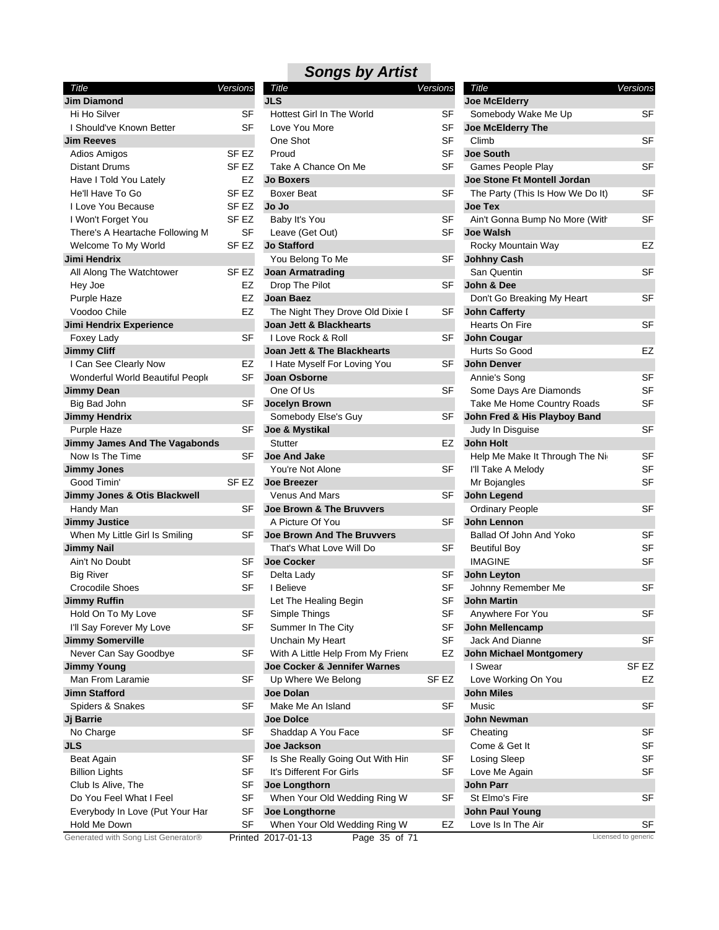| Title                                | Versions         |  |
|--------------------------------------|------------------|--|
| <b>Jim Diamond</b>                   |                  |  |
| Hi Ho Silver                         | SF               |  |
| I Should've Known Better             | SF               |  |
| <b>Jim Reeves</b>                    |                  |  |
| <b>Adios Amigos</b>                  | SF EZ            |  |
| <b>Distant Drums</b>                 | SF <sub>EZ</sub> |  |
| Have I Told You Lately               | EZ               |  |
| He'll Have To Go                     | SF <sub>EZ</sub> |  |
| I Love You Because                   | SF EZ            |  |
| I Won't Forget You                   | SF EZ            |  |
| There's A Heartache Following M      | SF               |  |
| Welcome To My World                  | SF EZ            |  |
| Jimi Hendrix                         |                  |  |
| All Along The Watchtower             | SF EZ            |  |
| Hey Joe                              | EZ               |  |
| Purple Haze                          | EZ               |  |
| Voodoo Chile                         | EZ               |  |
| Jimi Hendrix Experience              |                  |  |
| Foxey Lady                           | SF               |  |
| <b>Jimmy Cliff</b>                   |                  |  |
| I Can See Clearly Now                | EZ               |  |
| Wonderful World Beautiful People     | SF               |  |
| Jimmy Dean                           |                  |  |
| Big Bad John                         | SF               |  |
| <b>Jimmy Hendrix</b>                 |                  |  |
| Purple Haze                          | SF               |  |
| <b>Jimmy James And The Vagabonds</b> |                  |  |
| Now Is The Time                      | SF               |  |
| <b>Jimmy Jones</b>                   |                  |  |
| Good Timin'                          | SF EZ            |  |
| Jimmy Jones & Otis Blackwell         |                  |  |
| Handy Man                            | SF               |  |
| <b>Jimmy Justice</b>                 |                  |  |
| When My Little Girl Is Smiling       | SF               |  |
| <b>Jimmy Nail</b>                    |                  |  |
| Ain't No Doubt                       | SF               |  |
| <b>Big River</b>                     | SF               |  |
| <b>Crocodile Shoes</b>               | SF               |  |
| <b>Jimmy Ruffin</b>                  |                  |  |
| Hold On To My Love                   | SF               |  |
| I'll Say Forever My Love             | SF               |  |
| <b>Jimmy Somerville</b>              |                  |  |
| Never Can Say Goodbye                | SF               |  |
| <b>Jimmy Young</b>                   |                  |  |
| Man From Laramie                     | SF               |  |
| Jimn Stafford                        |                  |  |
| Spiders & Snakes                     | SF               |  |
| Jj Barrie                            |                  |  |
| No Charge                            | SF               |  |
| <b>JLS</b>                           |                  |  |
| Beat Again                           | SF               |  |
| <b>Billion Lights</b>                | SF               |  |
| Club Is Alive, The                   | SF               |  |
| Do You Feel What I Feel              | SF               |  |
| Everybody In Love (Put Your Har      | SF               |  |
| Hold Me Down                         | SF               |  |
| Generated with Song List Generator®  | Printed          |  |

| Title                               | <b>Versions</b>  | Title                               | <b>Versions</b> | Title                            | Versions            |
|-------------------------------------|------------------|-------------------------------------|-----------------|----------------------------------|---------------------|
| Jim Diamond                         |                  | <b>JLS</b>                          |                 | Joe McElderry                    |                     |
| Hi Ho Silver                        | <b>SF</b>        | <b>Hottest Girl In The World</b>    | SF              | Somebody Wake Me Up              | <b>SF</b>           |
| I Should've Known Better            | <b>SF</b>        | Love You More                       | <b>SF</b>       | Joe McElderry The                |                     |
| Jim Reeves                          |                  | One Shot                            | <b>SF</b>       | Climb                            | SF                  |
| Adios Amigos                        | SF <sub>EZ</sub> | Proud                               | SF              | <b>Joe South</b>                 |                     |
| <b>Distant Drums</b>                | SF <sub>EZ</sub> | Take A Chance On Me                 | <b>SF</b>       | Games People Play                | <b>SF</b>           |
| Have I Told You Lately              | EZ               | <b>Jo Boxers</b>                    |                 | Joe Stone Ft Montell Jordan      |                     |
| He'll Have To Go                    | SF EZ            | Boxer Beat                          | <b>SF</b>       | The Party (This Is How We Do It) | <b>SF</b>           |
| I Love You Because                  | SF EZ            | Jo Jo                               |                 | <b>Joe Tex</b>                   |                     |
| I Won't Forget You                  | SF EZ            | Baby It's You                       | <b>SF</b>       | Ain't Gonna Bump No More (With   | SF                  |
| There's A Heartache Following M     | SF               | Leave (Get Out)                     | SF              | <b>Joe Walsh</b>                 |                     |
| Welcome To My World                 | SF EZ            | <b>Jo Stafford</b>                  |                 | Rocky Mountain Way               | EZ                  |
| Jimi Hendrix                        |                  | You Belong To Me                    | SF              | <b>Johhny Cash</b>               |                     |
| All Along The Watchtower            | SF EZ            | <b>Joan Armatrading</b>             |                 | San Quentin                      | <b>SF</b>           |
| Hey Joe                             | EZ               | Drop The Pilot                      |                 | John & Dee                       |                     |
|                                     |                  |                                     | SF              |                                  | SF                  |
| Purple Haze                         | EZ               | Joan Baez                           |                 | Don't Go Breaking My Heart       |                     |
| Voodoo Chile                        | EZ               | The Night They Drove Old Dixie I    | SF              | <b>John Cafferty</b>             |                     |
| Jimi Hendrix Experience             |                  | Joan Jett & Blackhearts             |                 | Hearts On Fire                   | <b>SF</b>           |
| Foxey Lady                          | SF               | I Love Rock & Roll                  | SF              | <b>John Cougar</b>               |                     |
| <b>Jimmy Cliff</b>                  |                  | Joan Jett & The Blackhearts         |                 | Hurts So Good                    | EZ                  |
| I Can See Clearly Now               | EZ               | I Hate Myself For Loving You        | SF              | John Denver                      |                     |
| Wonderful World Beautiful People    | SF               | Joan Osborne                        |                 | Annie's Song                     | SF                  |
| Jimmy Dean                          |                  | One Of Us                           | SF              | Some Days Are Diamonds           | SF                  |
| Big Bad John                        | SF               | Jocelyn Brown                       |                 | Take Me Home Country Roads       | SF                  |
| <b>Jimmy Hendrix</b>                |                  | Somebody Else's Guy                 | SF              | John Fred & His Playboy Band     |                     |
| Purple Haze                         | SF               | Joe & Mystikal                      |                 | Judy In Disguise                 | <b>SF</b>           |
| Jimmy James And The Vagabonds       |                  | <b>Stutter</b>                      | EZ              | <b>John Holt</b>                 |                     |
| Now Is The Time                     | SF               | <b>Joe And Jake</b>                 |                 | Help Me Make It Through The Nig  | SF                  |
| <b>Jimmy Jones</b>                  |                  | You're Not Alone                    | SF              | I'll Take A Melody               | SF                  |
| Good Timin'                         | SF EZ            | <b>Joe Breezer</b>                  |                 | Mr Bojangles                     | SF                  |
| Jimmy Jones & Otis Blackwell        |                  | <b>Venus And Mars</b>               | SF              | John Legend                      |                     |
| Handy Man                           | SF               | Joe Brown & The Bruvvers            |                 | <b>Ordinary People</b>           | <b>SF</b>           |
| <b>Jimmy Justice</b>                |                  | A Picture Of You                    | SF              | John Lennon                      |                     |
| When My Little Girl Is Smiling      | SF               | <b>Joe Brown And The Bruvvers</b>   |                 | Ballad Of John And Yoko          | SF                  |
| Jimmy Nail                          |                  | That's What Love Will Do            | SF              | <b>Beutiful Boy</b>              | SF                  |
| Ain't No Doubt                      | SF               | <b>Joe Cocker</b>                   |                 | <b>IMAGINE</b>                   | SF                  |
| <b>Big River</b>                    | SF               | Delta Lady                          | SF              | <b>John Leyton</b>               |                     |
| <b>Crocodile Shoes</b>              | SF               | I Believe                           | SF              | Johnny Remember Me               | <b>SF</b>           |
| Jimmy Ruffin                        |                  | Let The Healing Begin               | SF              | <b>John Martin</b>               |                     |
| Hold On To My Love                  | SF               | Simple Things                       | SF              | Anywhere For You                 | SF                  |
| I'll Say Forever My Love            | <b>SF</b>        | Summer In The City                  | SF              | <b>John Mellencamp</b>           |                     |
| <b>Jimmy Somerville</b>             |                  | Unchain My Heart                    | SF              | Jack And Dianne                  | SF                  |
|                                     | <b>SF</b>        |                                     |                 |                                  |                     |
| Never Can Say Goodbye               |                  | With A Little Help From My Friend   | EZ              | <b>John Michael Montgomery</b>   |                     |
| <b>Jimmy Young</b>                  |                  | Joe Cocker & Jennifer Warnes        |                 | I Swear                          | SF <sub>EZ</sub>    |
| Man From Laramie                    | SF               | Up Where We Belong                  | SF EZ           | Love Working On You              | EZ                  |
| Jimn Stafford                       |                  | Joe Dolan                           |                 | <b>John Miles</b>                |                     |
| Spiders & Snakes                    | <b>SF</b>        | Make Me An Island                   | <b>SF</b>       | Music                            | SF                  |
| Jj Barrie                           |                  | <b>Joe Dolce</b>                    |                 | John Newman                      |                     |
| No Charge                           | SF               | Shaddap A You Face                  | SF              | Cheating                         | SF                  |
| JLS                                 |                  | Joe Jackson                         |                 | Come & Get It                    | SF                  |
| <b>Beat Again</b>                   | <b>SF</b>        | Is She Really Going Out With Hin    | <b>SF</b>       | Losing Sleep                     | SF                  |
| <b>Billion Lights</b>               | SF               | It's Different For Girls            | SF              | Love Me Again                    | SF                  |
| Club Is Alive, The                  | SF               | Joe Longthorn                       |                 | <b>John Parr</b>                 |                     |
| Do You Feel What I Feel             | SF               | When Your Old Wedding Ring W        | SF              | St Elmo's Fire                   | SF                  |
| Everybody In Love (Put Your Har     | <b>SF</b>        | Joe Longthorne                      |                 | <b>John Paul Young</b>           |                     |
| Hold Me Down                        | <b>SF</b>        | When Your Old Wedding Ring W        | EZ              | Love Is In The Air               | SF                  |
| Generated with Song List Generator® |                  | Printed 2017-01-13<br>Page 35 of 71 |                 |                                  | Licensed to generic |
|                                     |                  |                                     |                 |                                  |                     |

| Title                                              | Versions  |
|----------------------------------------------------|-----------|
| <b>Joe McElderry</b>                               |           |
| Somebody Wake Me Up                                | SF        |
| Joe McElderry The                                  |           |
| Climb                                              | SF        |
| <b>Joe South</b>                                   |           |
| Games People Play                                  | SF        |
| Joe Stone Ft Montell Jordan                        |           |
|                                                    | SF        |
| The Party (This Is How We Do It)<br><b>Joe Tex</b> |           |
|                                                    | SF        |
| Ain't Gonna Bump No More (With<br><b>Joe Walsh</b> |           |
| Rocky Mountain Way                                 | EZ        |
|                                                    |           |
| <b>Johhny Cash</b><br>San Quentin                  | SF        |
|                                                    |           |
| John & Dee                                         | SF        |
| Don't Go Breaking My Heart                         |           |
| <b>John Cafferty</b>                               |           |
| Hearts On Fire                                     | SF        |
| <b>John Cougar</b>                                 |           |
| Hurts So Good                                      | EZ        |
| John Denver                                        |           |
| Annie's Song                                       | SF        |
| Some Days Are Diamonds                             | SF        |
| Take Me Home Country Roads                         | SF        |
| John Fred & His Playboy Band                       |           |
| Judy In Disguise                                   | SF        |
| <b>John Holt</b>                                   |           |
| Help Me Make It Through The Nig                    | SF        |
| I'll Take A Melody                                 | SF        |
| Mr Bojangles                                       | <b>SF</b> |
| John Legend                                        |           |
| Ordinary People                                    | SF        |
| John Lennon                                        |           |
| Ballad Of John And Yoko                            | SF        |
| <b>Beutiful Boy</b>                                | SF        |
| <b>IMAGINE</b>                                     | SF        |
| <b>John Leyton</b>                                 |           |
| Johnny Remember Me                                 | SF        |
| <b>John Martin</b>                                 |           |
| Anywhere For You                                   | SF        |
| John Mellencamp                                    |           |
| Jack And Dianne                                    | SF        |
| <b>John Michael Montgomery</b>                     |           |
| I Swear                                            | SF EZ     |
| Love Working On You                                | EZ        |
| <b>John Miles</b>                                  |           |
| Music                                              | SF        |
| <b>John Newman</b>                                 |           |
| Cheating                                           | SF        |
| Come & Get It                                      | SF        |
| Losing Sleep                                       | SF        |
| Love Me Again                                      | SF        |
| John Parr                                          |           |
| St Elmo's Fire                                     | SF        |
| <b>John Paul Young</b>                             |           |
| Love Is In The Air                                 | SF        |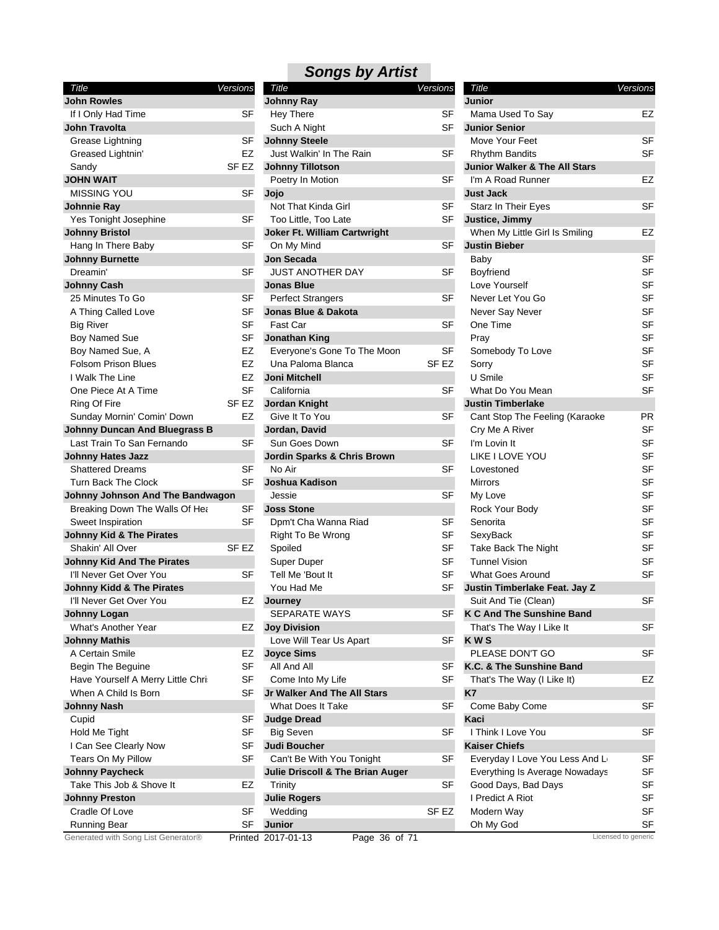| Title                                 | Versions               | Title                            | Versions         | Title                                    | Versions        |
|---------------------------------------|------------------------|----------------------------------|------------------|------------------------------------------|-----------------|
| <b>John Rowles</b>                    |                        | <b>Johnny Ray</b>                |                  | Junior                                   |                 |
| If I Only Had Time                    | SF                     | <b>Hey There</b>                 | SF               | Mama Used To Say                         | EZ              |
| <b>John Travolta</b>                  |                        | Such A Night                     | <b>SF</b>        | <b>Junior Senior</b>                     |                 |
| Grease Lightning                      | <b>SF</b>              | <b>Johnny Steele</b>             |                  | Move Your Feet                           | <b>SF</b>       |
| Greased Lightnin'                     | EZ                     | Just Walkin' In The Rain         | SF               | <b>Rhythm Bandits</b>                    | <b>SF</b>       |
| Sandy                                 | SF <sub>EZ</sub>       | <b>Johnny Tillotson</b>          |                  | <b>Junior Walker &amp; The All Stars</b> |                 |
| <b>JOHN WAIT</b>                      |                        | Poetry In Motion                 | <b>SF</b>        | I'm A Road Runner                        | EZ              |
| <b>MISSING YOU</b>                    | <b>SF</b>              | Jojo                             |                  | <b>Just Jack</b>                         |                 |
| Johnnie Ray                           |                        | Not That Kinda Girl              | SF               | Starz In Their Eyes                      | <b>SF</b>       |
| Yes Tonight Josephine                 | <b>SF</b>              | Too Little, Too Late             | SF               | Justice, Jimmy                           |                 |
| <b>Johnny Bristol</b>                 |                        | Joker Ft. William Cartwright     |                  | When My Little Girl Is Smiling           | EZ              |
| Hang In There Baby                    | <b>SF</b>              | On My Mind                       | <b>SF</b>        | <b>Justin Bieber</b>                     |                 |
| <b>Johnny Burnette</b>                |                        | Jon Secada                       |                  | Baby                                     | <b>SF</b>       |
| Dreamin'                              | <b>SF</b>              | <b>JUST ANOTHER DAY</b>          | SF               | Boyfriend                                | <b>SF</b>       |
| <b>Johnny Cash</b>                    |                        | <b>Jonas Blue</b>                |                  | Love Yourself                            | SF              |
| 25 Minutes To Go                      | SF                     | <b>Perfect Strangers</b>         | <b>SF</b>        | Never Let You Go                         | SF              |
| A Thing Called Love                   | SF                     | Jonas Blue & Dakota              |                  | Never Say Never                          | SF              |
| <b>Big River</b>                      | <b>SF</b>              | Fast Car                         | SF               | One Time                                 | <b>SF</b>       |
|                                       | <b>SF</b>              |                                  |                  |                                          | SF              |
| <b>Boy Named Sue</b>                  |                        | <b>Jonathan King</b>             |                  | Pray                                     | <b>SF</b>       |
| Boy Named Sue, A                      | EZ                     | Everyone's Gone To The Moon      | SF               | Somebody To Love                         |                 |
| <b>Folsom Prison Blues</b>            | <b>EZ</b>              | Una Paloma Blanca                | SF <sub>EZ</sub> | Sorry                                    | SF              |
| I Walk The Line                       | <b>EZ</b>              | Joni Mitchell                    |                  | U Smile                                  | <b>SF</b>       |
| One Piece At A Time                   | <b>SF</b>              | California                       | <b>SF</b>        | What Do You Mean                         | SF              |
| Ring Of Fire                          | SF EZ                  | <b>Jordan Knight</b>             |                  | <b>Justin Timberlake</b>                 |                 |
| Sunday Mornin' Comin' Down            | EZ                     | Give It To You                   | SF               | Cant Stop The Feeling (Karaoke           | PR              |
| <b>Johnny Duncan And Bluegrass B</b>  |                        | Jordan, David                    |                  | Cry Me A River                           | <b>SF</b>       |
| Last Train To San Fernando            | <b>SF</b>              | Sun Goes Down                    | <b>SF</b>        | I'm Lovin It                             | <b>SF</b>       |
| <b>Johnny Hates Jazz</b>              |                        | Jordin Sparks & Chris Brown      |                  | LIKE I LOVE YOU                          | <b>SF</b>       |
| <b>Shattered Dreams</b>               | <b>SF</b>              | No Air                           | <b>SF</b>        | Lovestoned                               | <b>SF</b>       |
| Turn Back The Clock                   | <b>SF</b>              | Joshua Kadison                   |                  | <b>Mirrors</b>                           | SF              |
| Johnny Johnson And The Bandwagon      |                        | Jessie                           | <b>SF</b>        | My Love                                  | SF              |
| Breaking Down The Walls Of Hea        | SF                     | <b>Joss Stone</b>                |                  | Rock Your Body                           | SF              |
| Sweet Inspiration                     | SF                     | Dpm't Cha Wanna Riad             | SF               | Senorita                                 | <b>SF</b>       |
| <b>Johnny Kid &amp; The Pirates</b>   |                        | Right To Be Wrong                | <b>SF</b>        | SexyBack                                 | <b>SF</b>       |
| Shakin' All Over                      | SF <sub>EZ</sub>       | Spoiled                          | <b>SF</b>        | Take Back The Night                      | <b>SF</b>       |
| <b>Johnny Kid And The Pirates</b>     |                        | Super Duper                      | <b>SF</b>        | <b>Tunnel Vision</b>                     | <b>SF</b>       |
| I'll Never Get Over You               | <b>SF</b>              | Tell Me 'Bout It                 | <b>SF</b>        | <b>What Goes Around</b>                  | <b>SF</b>       |
| <b>Johnny Kidd &amp; The Pirates</b>  |                        | You Had Me                       | SF               | Justin Timberlake Feat. Jay Z            |                 |
| I'll Never Get Over You               | EZ                     | Journey                          |                  | Suit And Tie (Clean)                     | SF              |
| Johnny Logan                          |                        | <b>SEPARATE WAYS</b>             | <b>SF</b>        | K C And The Sunshine Band                |                 |
| What's Another Year                   | EZ                     | <b>Joy Division</b>              |                  | That's The Way I Like It                 | SF              |
| <b>Johnny Mathis</b>                  |                        | Love Will Tear Us Apart          | SF               | <b>KWS</b>                               |                 |
| A Certain Smile                       | EZ                     | <b>Joyce Sims</b>                |                  | PLEASE DON'T GO                          | SF              |
| Begin The Beguine                     | <b>SF</b>              | All And All                      | SF               | K.C. & The Sunshine Band                 |                 |
| Have Yourself A Merry Little Chri:    | <b>SF</b>              | Come Into My Life                | <b>SF</b>        | That's The Way (I Like It)               | EZ              |
| When A Child Is Born                  | SF                     | Jr Walker And The All Stars      |                  | K7                                       |                 |
| <b>Johnny Nash</b>                    |                        | What Does It Take                | SF               | Come Baby Come                           | SF              |
| Cupid                                 | SF                     | <b>Judge Dread</b>               |                  | Kaci                                     |                 |
| Hold Me Tight                         | <b>SF</b>              | <b>Big Seven</b>                 | SF               | I Think I Love You                       | SF              |
|                                       |                        |                                  |                  | <b>Kaiser Chiefs</b>                     |                 |
| I Can See Clearly Now                 | SF                     | Judi Boucher                     |                  |                                          |                 |
| Tears On My Pillow                    | SF                     | Can't Be With You Tonight        | SF               | Everyday I Love You Less And L           | SF              |
| <b>Johnny Paycheck</b>                |                        | Julie Driscoll & The Brian Auger |                  | Everything Is Average Nowadays           | SF              |
| Take This Job & Shove It              | EZ                     | Trinity                          | <b>SF</b>        | Good Days, Bad Days                      | SF              |
| <b>Johnny Preston</b>                 |                        | <b>Julie Rogers</b>              |                  | I Predict A Riot                         | SF              |
|                                       |                        |                                  |                  |                                          |                 |
| Cradle Of Love<br><b>Running Bear</b> | <b>SF</b><br><b>SF</b> | Wedding<br>Junior                | SF <sub>EZ</sub> | Modern Way<br>Oh My God                  | SF<br><b>SF</b> |

| Title                               | Versions         | Title                                    | <b>Versions</b>     |
|-------------------------------------|------------------|------------------------------------------|---------------------|
| <b>Johnny Ray</b>                   |                  | Junior                                   |                     |
| Hey There                           | SF               | Mama Used To Say                         | EZ                  |
| Such A Night                        | SF               | <b>Junior Senior</b>                     |                     |
| <b>Johnny Steele</b>                |                  | Move Your Feet                           | SF                  |
| Just Walkin' In The Rain            | SF               | <b>Rhythm Bandits</b>                    | SF                  |
| <b>Johnny Tillotson</b>             |                  | <b>Junior Walker &amp; The All Stars</b> |                     |
| Poetry In Motion                    | SF               | I'm A Road Runner                        | EZ                  |
| Jojo                                |                  | <b>Just Jack</b>                         |                     |
| Not That Kinda Girl                 | SF               | Starz In Their Eyes                      | SF                  |
| Too Little, Too Late                | <b>SF</b>        | Justice, Jimmy                           |                     |
| <b>Joker Ft. William Cartwright</b> |                  | When My Little Girl Is Smiling           | EZ                  |
| On My Mind                          | SF               | <b>Justin Bieber</b>                     |                     |
| Jon Secada                          |                  | Baby                                     | SF                  |
| <b>JUST ANOTHER DAY</b>             | <b>SF</b>        | Boyfriend                                | SF                  |
| <b>Jonas Blue</b>                   |                  | Love Yourself                            | SF                  |
| <b>Perfect Strangers</b>            | SF               | Never Let You Go                         | SF                  |
| Jonas Blue & Dakota                 |                  | Never Say Never                          | SF                  |
| Fast Car                            | SF               | One Time                                 | SF                  |
| <b>Jonathan King</b>                |                  | Pray                                     | SF                  |
| Everyone's Gone To The Moon         | SF               | Somebody To Love                         | SF                  |
| Una Paloma Blanca                   | SF <sub>EZ</sub> | Sorry                                    | SF                  |
| Joni Mitchell                       |                  | U Smile                                  | SF                  |
| California                          | SF               | What Do You Mean                         | SF                  |
| <b>Jordan Knight</b>                |                  | <b>Justin Timberlake</b>                 |                     |
| Give It To You                      | SF               | Cant Stop The Feeling (Karaoke           | PR                  |
| Jordan, David                       |                  | Cry Me A River                           | SF                  |
| Sun Goes Down                       | SF               | I'm Lovin It                             | SF                  |
| Jordin Sparks & Chris Brown         |                  | LIKE I LOVE YOU                          | SF                  |
| No Air                              | <b>SF</b>        | Lovestoned                               | SF                  |
| Joshua Kadison                      |                  | <b>Mirrors</b>                           | SF                  |
| Jessie                              | SF               | My Love                                  | SF                  |
| <b>Joss Stone</b>                   |                  | Rock Your Body                           | SF                  |
| Dpm't Cha Wanna Riad                | SF               | Senorita                                 | SF                  |
| Right To Be Wrong                   | SF               | SexyBack                                 | SF                  |
| Spoiled                             | SF               | Take Back The Night                      | SF                  |
| Super Duper                         | SF               | <b>Tunnel Vision</b>                     | SF                  |
| Tell Me 'Bout It                    | <b>SF</b>        | <b>What Goes Around</b>                  | SF                  |
| You Had Me                          | SF               | Justin Timberlake Feat. Jay Z            |                     |
| Journey                             |                  | Suit And Tie (Clean)                     | SF                  |
| SEPARATE WAYS                       | S⊦               | <b>K C And The Sunshine Band</b>         |                     |
| <b>Joy Division</b>                 |                  | That's The Way I Like It                 | SF                  |
| Love Will Tear Us Apart             | <b>SF</b>        | <b>KWS</b>                               |                     |
| <b>Joyce Sims</b>                   |                  | PLEASE DON'T GO                          | SF                  |
| All And All                         | SF               | K.C. & The Sunshine Band                 |                     |
| Come Into My Life                   | SF               | That's The Way (I Like It)               | EZ                  |
| Jr Walker And The All Stars         |                  | K7                                       |                     |
| What Does It Take                   | SF               | Come Baby Come                           | SF                  |
| <b>Judge Dread</b>                  |                  | Kaci                                     |                     |
| <b>Big Seven</b>                    | SF               | I Think I Love You                       | SF                  |
| <b>Judi Boucher</b>                 |                  | <b>Kaiser Chiefs</b>                     |                     |
| Can't Be With You Tonight           | <b>SF</b>        | Everyday I Love You Less And L           | SF                  |
| Julie Driscoll & The Brian Auger    |                  | Everything Is Average Nowadays           | SF                  |
| Trinity                             | SF               | Good Days, Bad Days                      | SF                  |
| <b>Julie Rogers</b>                 |                  | I Predict A Riot                         | SF                  |
| Wedding                             | SF <sub>EZ</sub> | Modern Way                               | SF                  |
| Junior                              |                  | Oh My God                                | SF                  |
| 2017.01.12<br>Page 36 of 71         |                  |                                          | Licensed to generic |

| Title                                    | Versions |
|------------------------------------------|----------|
| Junior                                   |          |
| Mama Used To Say                         | EZ       |
| <b>Junior Senior</b>                     |          |
| Move Your Feet                           | SF       |
| <b>Rhythm Bandits</b>                    | SF       |
| <b>Junior Walker &amp; The All Stars</b> |          |
| I'm A Road Runner                        | EZ       |
| <b>Just Jack</b>                         |          |
| Starz In Their Eyes                      | SF       |
| Justice, Jimmy                           |          |
| When My Little Girl Is Smiling           | EZ       |
| <b>Justin Bieber</b>                     |          |
| Baby                                     | SF       |
| <b>Boyfriend</b>                         | SF       |
| Love Yourself                            | SF       |
| Never Let You Go                         | SF       |
| Never Say Never                          | SF       |
| One Time                                 | SF       |
| Pray                                     | SF       |
| Somebody To Love                         | SF       |
| Sorry                                    | SF       |
| U Smile                                  | SF       |
| What Do You Mean                         | SF       |
| <b>Justin Timberlake</b>                 |          |
| Cant Stop The Feeling (Karaoke           | PR       |
| Cry Me A River                           | SF       |
| I'm Lovin It                             | SF       |
| LIKE I LOVE YOU                          | SF       |
| Lovestoned                               | SF       |
| <b>Mirrors</b>                           | SF       |
| My Love                                  | SF       |
| Rock Your Body                           | SF       |
| Senorita                                 | SF       |
| SexyBack                                 | SF       |
| Take Back The Night                      | SF       |
| <b>Tunnel Vision</b>                     | SF       |
| <b>What Goes Around</b>                  | SF       |
| Justin Timberlake Feat. Jay Z            |          |
| Suit And Tie (Clean)                     | S⊦       |
| K C And The Sunshine Band                |          |
| That's The Way I Like It                 | SF       |
| K W S                                    |          |
| PLEASE DON'T GO                          | SF       |
| K.C. & The Sunshine Band                 |          |
| That's The Way (I Like It)               | EZ       |
| <b>K7</b>                                |          |
| Come Baby Come                           | SF       |
| Kaci                                     |          |
| I Think I Love You                       | SF       |
| <b>Kaiser Chiefs</b>                     |          |
| Everyday I Love You Less And L           | SF       |
| Everything Is Average Nowadays           | SF       |
| Good Days, Bad Days                      | SF       |
| I Predict A Riot                         | SF       |
| Modern Way                               | SF       |
| Oh My God                                | SF       |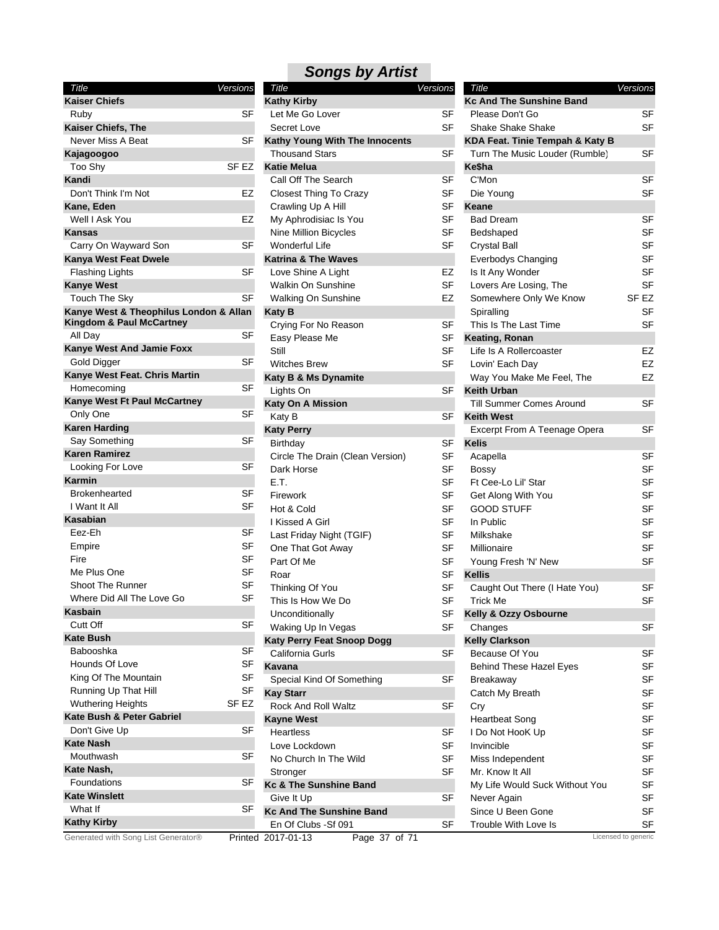| Title                                                   | Versions         |
|---------------------------------------------------------|------------------|
| <b>Kaiser Chiefs</b>                                    |                  |
| Ruby                                                    | SF               |
| Kaiser Chiefs, The                                      |                  |
| Never Miss A Beat                                       | SF               |
| Kajagoogoo                                              |                  |
| Too Shy                                                 | SF <sub>F7</sub> |
| Kandi                                                   |                  |
| Don't Think I'm Not                                     | EZ               |
| Kane, Eden                                              |                  |
| Well I Ask You                                          | EZ               |
| Kansas                                                  |                  |
| Carry On Wayward Son                                    | SF               |
| Kanya West Feat Dwele                                   |                  |
| Flashing Lights                                         | SF               |
| <b>Kanye West</b>                                       | SF               |
| Touch The Sky<br>Kanye West & Theophilus London & Allan |                  |
| Kingdom & Paul McCartney                                | SF               |
| All Day                                                 |                  |
| Kanye West And Jamie Foxx<br><b>Gold Digger</b>         | SF               |
| Kanye West Feat. Chris Martin                           |                  |
| Homecoming                                              | SF               |
| Kanye West Ft Paul McCartney                            |                  |
| Only One                                                | SF               |
| <b>Karen Harding</b>                                    |                  |
| Say Something                                           | SF               |
| <b>Karen Ramirez</b>                                    |                  |
| Looking For Love                                        | SF               |
| Karmin                                                  |                  |
| <b>Brokenhearted</b>                                    | SF               |
| I Want It All                                           | SF               |
| Kasabian                                                |                  |
| Eez-Eh                                                  | <b>SF</b>        |
| Empire                                                  | SF               |
| Fire                                                    | SF               |
| Me Plus One                                             | SF               |
| <b>Shoot The Runner</b>                                 | SF               |
| Where Did All The Love Go                               | SF               |
| Kasbain                                                 |                  |
| Cutt Off                                                | SF               |
| <b>Kate Bush</b>                                        |                  |
| Babooshka                                               | SF               |
| Hounds Of Love                                          | SF               |
| King Of The Mountain                                    | SF               |
| Running Up That Hill                                    | SF               |
| <b>Wuthering Heights</b>                                | SF EZ            |
| Kate Bush & Peter Gabriel                               |                  |
| Don't Give Up                                           | SF               |
| Kate Nash                                               |                  |
| Mouthwash                                               | SF               |
| Kate Nash,<br>Foundations                               |                  |
| <b>Kate Winslett</b>                                    | SF               |
| What If                                                 | SF               |
| <b>Kathy Kirby</b>                                      |                  |
|                                                         |                  |

#### Secret Love SF Closest Thing To Crazy SF Crawling Up A Hill SF My Aphrodisiac Is You SF Nine Million Bicycles SF Wonderful Life SF Walkin On Sunshine SF Walking On Sunshine **EZ** Easy Please Me SF Still Still Services of the Services of the Services of the Services of the Services of the Services of the Se Witches Brew **SF** Circle The Drain (Clean Version) SF Dark Horse SF E.T. SF Firework SF Hot & Cold SF I Kissed A Girl SF Last Friday Night (TGIF) SF One That Got Away SF Part Of Me SF Roar SF Search SF SEARCH SEARCH SEARCH SEARCH SEARCH SEARCH SEARCH SEARCH SEARCH SEARCH SEARCH SEARCH SEARCH S Thinking Of You SF This Is How We Do SF Unconditionally SF Waking Up In Vegas SF Love Lockdown SF No Church In The Wild SF Stronger SF *Title Versions* **Kathy Kirby** Let Me Go Lover SF **Kathy Young With The Innocents** Thousand Stars SF **Katie Melua** Call Off The Search SF **Katrina & The Waves** Love Shine A Light **EZ Katy B** Crying For No Reason SF **Katy B & Ms Dynamite** Lights On SF **Katy On A Mission** Katy B SF **Katy Perry** Birthday SF **Katy Perry Feat Snoop Dogg** California Gurls SF **Kavana** Special Kind Of Something SF **Kay Starr** Rock And Roll Waltz SF **Kayne West** Heartless SF **Kc & The Sunshine Band** Give It Up SF **Kc And The Sunshine Band**

*Songs by Artist*

| Title                           | Versions  |
|---------------------------------|-----------|
| <b>Kc And The Sunshine Band</b> |           |
| Please Don't Go                 | SF        |
| Shake Shake Shake               | SF        |
| KDA Feat. Tinie Tempah & Katy B |           |
| Turn The Music Louder (Rumble)  | SF        |
| Ke\$ha                          |           |
| C'Mon                           | SF        |
| Die Young                       | SF        |
| Keane                           |           |
| <b>Bad Dream</b>                | SF        |
| Bedshaped                       | SF        |
| Crystal Ball                    | SF        |
| Everbodys Changing              | SF        |
| Is It Any Wonder                | SF        |
| Lovers Are Losing, The          | SF        |
| Somewhere Only We Know          | SF EZ     |
| Spiralling                      | SF        |
| This Is The Last Time           | SF        |
| Keating, Ronan                  |           |
| Life Is A Rollercoaster         | EZ        |
| Lovin' Each Day                 | EZ        |
| Way You Make Me Feel, The       | EZ        |
| <b>Keith Urban</b>              |           |
| Till Summer Comes Around        | SF        |
| <b>Keith West</b>               |           |
| Excerpt From A Teenage Opera    | SF        |
| <b>Kelis</b>                    |           |
| Acapella                        | SF        |
| Bossy                           | SF        |
| Ft Cee-Lo Lil' Star             | SF        |
| Get Along With You              | SF        |
| GOOD STUFF                      | SF        |
| In Public                       | SF        |
| Milkshake                       | SF        |
| Millionaire                     | <b>SF</b> |
| Young Fresh 'N' New             | SF        |
| <b>Kellis</b>                   |           |
| Caught Out There (I Hate You)   | SF        |
| Trick Me                        | SF        |
| Kelly & Ozzy Osbourne           |           |
| Changes                         | SF        |
| <b>Kelly Clarkson</b>           |           |
| Because Of You                  | SF        |
| <b>Behind These Hazel Eyes</b>  | SF        |
| Breakaway                       | SF        |
| Catch My Breath                 | SF        |
| Cry                             | SF        |
| <b>Heartbeat Song</b>           | <b>SF</b> |
| I Do Not HooK Up                | SF        |
| Invincible                      | SF        |
| Miss Independent                | SF        |
| Mr. Know It All                 | SF        |
| My Life Would Suck Without You  | SF        |
| Never Again                     | SF        |
| Since U Been Gone               | SF        |
| Trouble With Love Is            | SF        |
|                                 |           |

Generated with Song List Generator® Printed 2017-01-13 Page 37 of 71 Licensed to generic

En Of Clubs -Sf 091 SF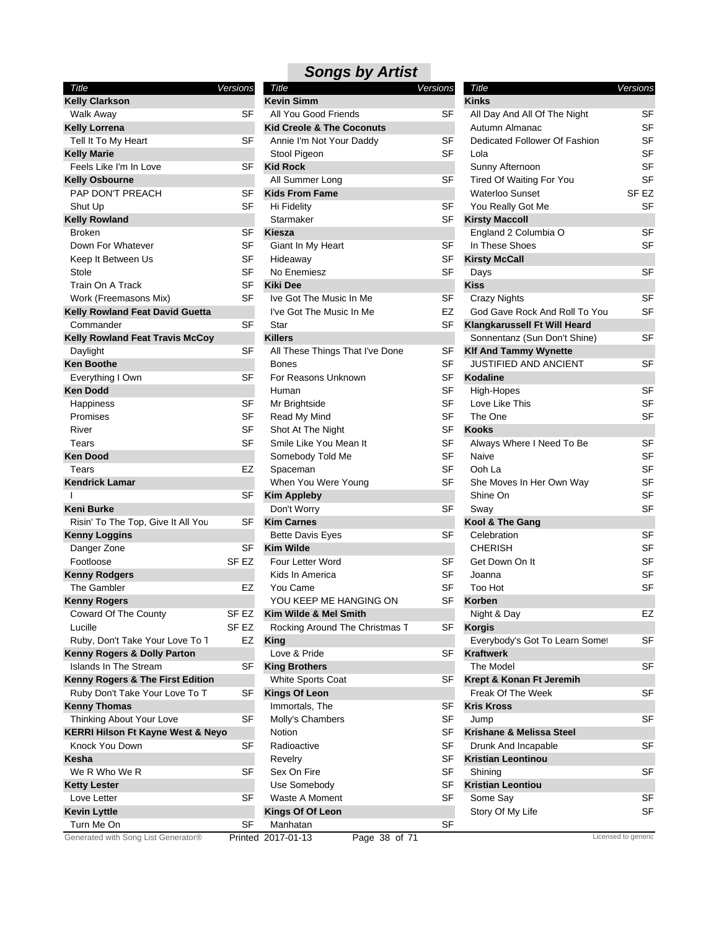| Title                                        | Versions         |
|----------------------------------------------|------------------|
| <b>Kelly Clarkson</b>                        |                  |
| Walk Away                                    | SF               |
| <b>Kelly Lorrena</b>                         |                  |
| Tell It To My Heart                          | SF               |
| <b>Kelly Marie</b>                           |                  |
| Feels Like I'm In Love                       | SF               |
| <b>Kelly Osbourne</b>                        |                  |
| PAP DON'T PREACH                             | SF               |
| Shut Up                                      | SF               |
| <b>Kelly Rowland</b>                         |                  |
| <b>Broken</b>                                | SF               |
| Down For Whatever                            | SF               |
| Keep It Between Us                           | SF               |
| Stole                                        | SF               |
| Train On A Track                             | SF               |
| Work (Freemasons Mix)                        | SF               |
| Kelly Rowland Feat David Guetta              |                  |
| Commander                                    | SF               |
| <b>Kelly Rowland Feat Travis McCoy</b>       |                  |
| Daylight<br><b>Ken Boothe</b>                | SF               |
| Everything I Own                             | SF               |
| <b>Ken Dodd</b>                              |                  |
| Happiness                                    | SF               |
| Promises                                     | SF               |
| River                                        | SF               |
| Tears                                        | SF               |
| <b>Ken Dood</b>                              |                  |
| Tears                                        | EZ               |
| <b>Kendrick Lamar</b>                        |                  |
| ı                                            | SF               |
| Keni Burke                                   |                  |
| Risin' To The Top, Give It All You           | SF               |
| <b>Kenny Loggins</b>                         |                  |
| Danger Zone                                  | SF               |
| Footloose                                    | SF <sub>EZ</sub> |
| <b>Kenny Rodgers</b>                         |                  |
| The Gambler                                  | EZ               |
| <b>Kenny Rogers</b>                          |                  |
| Coward Of The County                         | SF <sub>EZ</sub> |
| Lucille                                      | SF <sub>EZ</sub> |
| Ruby, Don't Take Your Love To T              | EZ               |
| Kenny Rogers & Dolly Parton                  |                  |
| <b>Islands In The Stream</b>                 | SF               |
| Kenny Rogers & The First Edition             |                  |
| Ruby Don't Take Your Love To T               | SF               |
| <b>Kenny Thomas</b>                          |                  |
| Thinking About Your Love                     | SF               |
| <b>KERRI Hilson Ft Kayne West &amp; Neyo</b> |                  |
| Knock You Down                               | SF               |
| Kesha                                        |                  |
| We R Who We R                                | SF               |
| <b>Ketty Lester</b>                          |                  |
| Love Letter                                  | SF               |
| <b>Kevin Lyttle</b>                          |                  |
| Turn Me On                                   | SF               |
| Generated with Song List Generator®          | Drinto           |

|  | <b>Songs by Artist</b> |
|--|------------------------|
|--|------------------------|

|                                       | Versions                  | Title                                | Versions  | Title                          | Versions            |
|---------------------------------------|---------------------------|--------------------------------------|-----------|--------------------------------|---------------------|
| ∶larkson                              |                           | <b>Kevin Simm</b>                    |           | <b>Kinks</b>                   |                     |
| Away                                  | SF                        | All You Good Friends                 | SF        | All Day And All Of The Night   | SF                  |
| orrena                                |                           | <b>Kid Creole &amp; The Coconuts</b> |           | Autumn Almanac                 | <b>SF</b>           |
| To My Heart                           | SF                        | Annie I'm Not Your Daddy             | SF        | Dedicated Follower Of Fashion  | <b>SF</b>           |
| larie                                 |                           | Stool Pigeon                         | <b>SF</b> | Lola                           | <b>SF</b>           |
| Like I'm In Love                      | SF                        | <b>Kid Rock</b>                      |           | Sunny Afternoon                | <b>SF</b>           |
| <b>sbourne</b>                        |                           | All Summer Long                      | <b>SF</b> | Tired Of Waiting For You       | <b>SF</b>           |
| )ON'T PREACH                          | SF                        | <b>Kids From Fame</b>                |           | <b>Waterloo Sunset</b>         | SF EZ               |
| Jp                                    | SF                        | Hi Fidelity                          | SF        | You Really Got Me              | SF                  |
| owland                                |                           | Starmaker                            | SF        | <b>Kirsty Maccoll</b>          |                     |
| n                                     | SF                        | Kiesza                               |           | England 2 Columbia O           | <b>SF</b>           |
| For Whatever                          | <b>SF</b>                 | Giant In My Heart                    | SF        | In These Shoes                 | <b>SF</b>           |
| It Between Us                         | SF                        | Hideaway                             | SF        | <b>Kirsty McCall</b>           |                     |
|                                       | <b>SF</b>                 | No Enemiesz                          | <b>SF</b> | Days                           | <b>SF</b>           |
| On A Track                            | <b>SF</b>                 | <b>Kiki Dee</b>                      |           | <b>Kiss</b>                    |                     |
| (Freemasons Mix)                      | <b>SF</b>                 | Ive Got The Music In Me              | SF        | <b>Crazy Nights</b>            | <b>SF</b>           |
| owland Feat David Guetta              |                           | I've Got The Music In Me             | EZ        | God Gave Rock And Roll To You  | <b>SF</b>           |
|                                       | <b>SF</b>                 |                                      | <b>SF</b> |                                |                     |
| าander                                |                           | Star                                 |           | Klangkarussell Ft Will Heard   |                     |
| owland Feat Travis McCoy              |                           | <b>Killers</b>                       |           | Sonnentanz (Sun Don't Shine)   | <b>SF</b>           |
| ۱ht                                   | SF                        | All These Things That I've Done      | <b>SF</b> | <b>Klf And Tammy Wynette</b>   |                     |
| othe                                  |                           | <b>Bones</b>                         | <b>SF</b> | <b>JUSTIFIED AND ANCIENT</b>   | <b>SF</b>           |
| thing I Own                           | <b>SF</b>                 | For Reasons Unknown                  | <b>SF</b> | <b>Kodaline</b>                |                     |
| dd                                    |                           | Human                                | SF        | High-Hopes                     | <b>SF</b>           |
| ness                                  | SF                        | Mr Brightside                        | SF        | Love Like This                 | <b>SF</b>           |
| ses                                   | <b>SF</b>                 | Read My Mind                         | <b>SF</b> | The One                        | <b>SF</b>           |
|                                       | <b>SF</b>                 | Shot At The Night                    | <b>SF</b> | <b>Kooks</b>                   |                     |
|                                       | <b>SF</b>                 | Smile Like You Mean It               | <b>SF</b> | Always Where I Need To Be      | <b>SF</b>           |
| od                                    |                           | Somebody Told Me                     | <b>SF</b> | Naive                          | <b>SF</b>           |
|                                       | EZ                        | Spaceman                             | SF        | Ooh La                         | <b>SF</b>           |
| ck Lamar                              |                           | When You Were Young                  | <b>SF</b> | She Moves In Her Own Way       | <b>SF</b>           |
|                                       | SF                        | <b>Kim Appleby</b>                   |           | Shine On                       | <b>SF</b>           |
| urke                                  |                           | Don't Worry                          | SF        | Sway                           | <b>SF</b>           |
| To The Top, Give It All You           | SF                        | <b>Kim Carnes</b>                    |           | Kool & The Gang                |                     |
| Loggins                               |                           | <b>Bette Davis Eyes</b>              | SF        | Celebration                    | <b>SF</b>           |
| er Zone                               | <b>SF</b>                 | <b>Kim Wilde</b>                     |           | <b>CHERISH</b>                 | <b>SF</b>           |
| ose                                   | SF <sub>EZ</sub>          | Four Letter Word                     | SF        | Get Down On It                 | <b>SF</b>           |
| <b>Rodgers</b>                        |                           | Kids In America                      | <b>SF</b> | Joanna                         | <b>SF</b>           |
| iambler                               | EZ                        | You Came                             | SF        | Too Hot                        | <b>SF</b>           |
| <b>Rogers</b>                         |                           | YOU KEEP ME HANGING ON               | SF        | Korben                         |                     |
|                                       |                           |                                      |           |                                | EZ                  |
| rd Of The County                      | SF EZ<br>SF <sub>EZ</sub> | Kim Wilde & Mel Smith                | SF        | Night & Day<br><b>Korgis</b>   |                     |
|                                       |                           | Rocking Around The Christmas T       |           |                                | <b>SF</b>           |
| Don't Take Your Love To T             | EZ                        | King                                 |           | Everybody's Got To Learn Somet |                     |
| <b>Rogers &amp; Dolly Parton</b>      |                           | Love & Pride                         | SF        | <b>Kraftwerk</b>               |                     |
| s In The Stream                       | <b>SF</b>                 | <b>King Brothers</b>                 |           | The Model                      | <b>SF</b>           |
| <b>Rogers &amp; The First Edition</b> |                           | White Sports Coat                    | SF        | Krept & Konan Ft Jeremih       |                     |
| Don't Take Your Love To T             | <b>SF</b>                 | <b>Kings Of Leon</b>                 |           | Freak Of The Week              | <b>SF</b>           |
| <b>Thomas</b>                         |                           | Immortals, The                       | SF        | <b>Kris Kross</b>              |                     |
| ng About Your Love                    | <b>SF</b>                 | Molly's Chambers                     | SF        | Jump                           | SF                  |
| Hilson Ft Kayne West & Neyo           |                           | Notion                               | SF        | Krishane & Melissa Steel       |                     |
| You Down                              | <b>SF</b>                 | Radioactive                          | <b>SF</b> | Drunk And Incapable            | SF                  |
|                                       |                           | Revelry                              | SF        | <b>Kristian Leontinou</b>      |                     |
| Who We R                              | <b>SF</b>                 | Sex On Fire                          | <b>SF</b> | Shining                        | <b>SF</b>           |
| ester                                 |                           | Use Somebody                         | SF        | <b>Kristian Leontiou</b>       |                     |
| _etter                                | SF                        | Waste A Moment                       | SF        | Some Say                       | <b>SF</b>           |
| -yttle                                |                           | Kings Of Of Leon                     |           | Story Of My Life               | SF                  |
| Me On                                 | SF                        | Manhatan                             | SF        |                                |                     |
| ed with Song List Generator®          |                           | Page 38 of 71<br>Printed 2017-01-13  |           |                                | Licensed to generic |
|                                       |                           |                                      |           |                                |                     |

| Title                               | Versions |
|-------------------------------------|----------|
| Kinks                               |          |
| All Day And All Of The Night        | SF       |
| Autumn Almanac                      | SF       |
| Dedicated Follower Of Fashion       | SF       |
| Lola                                | SF       |
| Sunny Afternoon                     | SF       |
| <b>Tired Of Waiting For You</b>     | SF       |
| <b>Waterloo Sunset</b>              | SF EZ    |
| You Really Got Me                   | SF       |
| <b>Kirsty Maccoll</b>               |          |
| England 2 Columbia O                | SF       |
| In These Shoes                      | SF       |
| <b>Kirsty McCall</b>                |          |
| Days                                | SF       |
| <b>Kiss</b>                         |          |
| <b>Crazy Nights</b>                 | SF       |
| God Gave Rock And Roll To You       | SF       |
| <b>Klangkarussell Ft Will Heard</b> |          |
| Sonnentanz (Sun Don't Shine)        | SF       |
| <b>Klf And Tammy Wynette</b>        |          |
| JUSTIFIED AND ANCIENT               | SF       |
| <b>Kodaline</b>                     |          |
| High-Hopes                          | SF       |
| Love Like This                      | SF       |
| The One                             | SF       |
| Kooks                               |          |
| Always Where I Need To Be           | SF       |
| Naive                               | SF       |
| Ooh La                              | SF       |
| She Moves In Her Own Way            | SF       |
| Shine On                            | SF       |
| Sway                                | SF       |
| Kool & The Gang                     |          |
| Celebration                         | SF       |
| CHERISH                             | SF       |
| Get Down On It                      | SF       |
| Joanna                              | SF       |
| Too Hot                             | SF       |
| Korben                              |          |
| Night & Day                         | EZ       |
| <b>Korgis</b>                       |          |
| Everybody's Got To Learn Somet      | SF       |
| <b>Kraftwerk</b>                    |          |
| The Model                           | SF       |
| Krept & Konan Ft Jeremih            |          |
| Freak Of The Week                   | SF       |
| <b>Kris Kross</b>                   |          |
| Jump                                | SF       |
| Krishane & Melissa Steel            |          |
| Drunk And Incapable                 | SF       |
| <b>Kristian Leontinou</b>           |          |
| Shining                             | SF       |
| Kristian Leontiou                   |          |
| Some Say                            | SF       |
| Story Of My Life                    | SF       |
|                                     |          |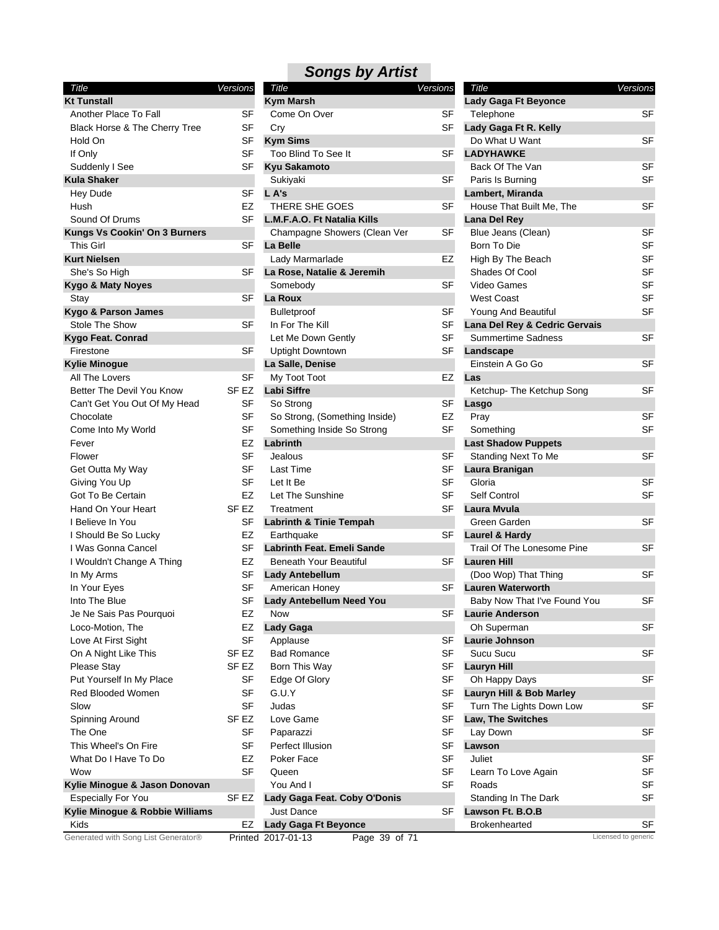| Title                                       | Versions         | Title                               | Versions  | Title                         | Versions                  |
|---------------------------------------------|------------------|-------------------------------------|-----------|-------------------------------|---------------------------|
| <b>Kt Tunstall</b>                          |                  | <b>Kym Marsh</b>                    |           | <b>Lady Gaga Ft Beyonce</b>   |                           |
| Another Place To Fall                       | SF               | Come On Over                        | SF        | Telephone                     | <b>SF</b>                 |
| Black Horse & The Cherry Tree               | <b>SF</b>        | Cry                                 | SF        | Lady Gaga Ft R. Kelly         |                           |
| Hold On                                     | SF               | <b>Kym Sims</b>                     |           | Do What U Want                | <b>SF</b>                 |
| If Only                                     | <b>SF</b>        | Too Blind To See It                 | <b>SF</b> | <b>LADYHAWKE</b>              |                           |
| Suddenly I See                              | <b>SF</b>        | <b>Kyu Sakamoto</b>                 |           | Back Of The Van               | <b>SF</b>                 |
| <b>Kula Shaker</b>                          |                  | Sukiyaki                            | SF        | Paris Is Burning              | <b>SF</b>                 |
| <b>Hey Dude</b>                             | <b>SF</b>        | L A's                               |           | Lambert, Miranda              |                           |
| Hush                                        | EZ               | THERE SHE GOES                      | <b>SF</b> | House That Built Me, The      | <b>SF</b>                 |
| Sound Of Drums                              | <b>SF</b>        | L.M.F.A.O. Ft Natalia Kills         |           | Lana Del Rey                  |                           |
| <b>Kungs Vs Cookin' On 3 Burners</b>        |                  | Champagne Showers (Clean Ver        | SF        | Blue Jeans (Clean)            | <b>SF</b>                 |
| <b>This Girl</b>                            | <b>SF</b>        | La Belle                            |           | Born To Die                   | <b>SF</b>                 |
| <b>Kurt Nielsen</b>                         |                  | Lady Marmarlade                     | EZ        | High By The Beach             | <b>SF</b>                 |
| She's So High                               | <b>SF</b>        | La Rose, Natalie & Jeremih          |           | Shades Of Cool                | <b>SF</b>                 |
| <b>Kygo &amp; Maty Noyes</b>                |                  | Somebody                            | <b>SF</b> | Video Games                   | SF                        |
| Stay                                        | <b>SF</b>        | La Roux                             |           | <b>West Coast</b>             | SF                        |
| Kygo & Parson James                         |                  | Bulletproof                         | SF        | Young And Beautiful           | <b>SF</b>                 |
| Stole The Show                              | <b>SF</b>        | In For The Kill                     | SF        | Lana Del Rey & Cedric Gervais |                           |
| Kygo Feat. Conrad                           |                  | Let Me Down Gently                  | SF        | <b>Summertime Sadness</b>     | <b>SF</b>                 |
| Firestone                                   | <b>SF</b>        | <b>Uptight Downtown</b>             | <b>SF</b> | Landscape                     |                           |
| <b>Kylie Minogue</b>                        |                  | La Salle, Denise                    |           | Einstein A Go Go              | <b>SF</b>                 |
| All The Lovers                              | <b>SF</b>        | My Toot Toot                        | EZ        | Las                           |                           |
| Better The Devil You Know                   | SF <sub>EZ</sub> | <b>Labi Siffre</b>                  |           | Ketchup- The Ketchup Song     | <b>SF</b>                 |
| Can't Get You Out Of My Head                | SF               | So Strong                           | SF        | Lasgo                         |                           |
| Chocolate                                   | <b>SF</b>        | So Strong, (Something Inside)       | EZ        | Pray                          | <b>SF</b>                 |
| Come Into My World                          | <b>SF</b>        | Something Inside So Strong          | SF        | Something                     | <b>SF</b>                 |
| Fever                                       | EZ               | Labrinth                            |           | <b>Last Shadow Puppets</b>    |                           |
| Flower                                      | <b>SF</b>        | Jealous                             | <b>SF</b> | <b>Standing Next To Me</b>    | <b>SF</b>                 |
| Get Outta My Way                            | <b>SF</b>        | Last Time                           | <b>SF</b> | Laura Branigan                |                           |
| Giving You Up                               | <b>SF</b>        | Let It Be                           | <b>SF</b> | Gloria                        | <b>SF</b>                 |
| Got To Be Certain                           | <b>EZ</b>        | Let The Sunshine                    | SF        | Self Control                  | <b>SF</b>                 |
| Hand On Your Heart                          | SF <sub>EZ</sub> | Treatment                           | SF        | Laura Mvula                   |                           |
| I Believe In You                            | SF               | <b>Labrinth &amp; Tinie Tempah</b>  |           | Green Garden                  | <b>SF</b>                 |
| I Should Be So Lucky                        | EZ               | Earthquake                          | SF        | <b>Laurel &amp; Hardy</b>     |                           |
| I Was Gonna Cancel                          | <b>SF</b>        | <b>Labrinth Feat. Emeli Sande</b>   |           | Trail Of The Lonesome Pine    | <b>SF</b>                 |
| I Wouldn't Change A Thing                   | EZ               | <b>Beneath Your Beautiful</b>       | SF        | <b>Lauren Hill</b>            |                           |
| In My Arms                                  | <b>SF</b>        | <b>Lady Antebellum</b>              |           | (Doo Wop) That Thing          | <b>SF</b>                 |
| In Your Eyes                                | <b>SF</b>        | American Honey                      | <b>SF</b> | <b>Lauren Waterworth</b>      |                           |
| Into The Blue                               | SF               | Lady Antebellum Need You            |           | Baby Now That I've Found You  | <b>SF</b>                 |
| Je Ne Sais Pas Pourquoi                     | EZ               | Now                                 | SF        | <b>Laurie Anderson</b>        |                           |
| Loco-Motion, The                            | EZ               | Lady Gaga                           |           | Oh Superman                   | <b>SF</b>                 |
| Love At First Sight                         | <b>SF</b>        | Applause                            | SF        | Laurie Johnson                |                           |
| On A Night Like This                        | SF EZ            | <b>Bad Romance</b>                  | <b>SF</b> | Sucu Sucu                     | <b>SF</b>                 |
| Please Stay                                 | SF <sub>EZ</sub> | Born This Way                       | SF        | <b>Lauryn Hill</b>            |                           |
| Put Yourself In My Place                    | <b>SF</b>        | Edge Of Glory                       | <b>SF</b> | Oh Happy Days                 | <b>SF</b>                 |
| Red Blooded Women                           | <b>SF</b>        | G.U.Y                               | <b>SF</b> | Lauryn Hill & Bob Marley      |                           |
| Slow                                        | SF               | Judas                               | SF        | Turn The Lights Down Low      | <b>SF</b>                 |
| Spinning Around                             | SF EZ            | Love Game                           | <b>SF</b> | Law, The Switches             |                           |
| The One                                     | SF               |                                     | SF        |                               | <b>SF</b>                 |
| This Wheel's On Fire                        | <b>SF</b>        | Paparazzi<br>Perfect Illusion       | <b>SF</b> | Lay Down<br>Lawson            |                           |
|                                             | EZ               |                                     | <b>SF</b> |                               |                           |
| What Do I Have To Do<br>Wow                 | <b>SF</b>        | Poker Face                          | <b>SF</b> | Juliet                        | <b>SF</b>                 |
| Kylie Minogue & Jason Donovan               |                  | Queen<br>You And I                  | <b>SF</b> | Learn To Love Again<br>Roads  | SF<br><b>SF</b>           |
|                                             |                  |                                     |           |                               | SF                        |
| <b>Especially For You</b>                   | SF EZ            | Lady Gaga Feat. Coby O'Donis        |           | Standing In The Dark          |                           |
| Kylie Minogue & Robbie Williams             |                  | <b>Just Dance</b>                   | SF        | Lawson Ft. B.O.B              |                           |
| Kids<br>Generated with Song List Generator® | EZ               | <b>Lady Gaga Ft Beyonce</b>         |           | <b>Brokenhearted</b>          | SF<br>Licensed to generic |
|                                             |                  | Page 39 of 71<br>Printed 2017-01-13 |           |                               |                           |

| Title                                  | Versions | Title                   |
|----------------------------------------|----------|-------------------------|
| <b>Kym Marsh</b>                       |          | Lady Ga                 |
| Come On Over                           | SF       | Teleph                  |
| Cry                                    | SF       | Lady Ga                 |
| <b>Kym Sims</b>                        |          | Do Wh                   |
| Too Blind To See It                    | SF       | <b>LADYH</b>            |
| <b>Kyu Sakamoto</b>                    |          | Back C                  |
| Sukiyaki                               | SF       | Paris I:                |
| L A's                                  |          | Lamber                  |
| THERE SHE GOES                         | SF       | House                   |
| L.M.F.A.O. Ft Natalia Kills            |          | Lana De                 |
| Champagne Showers (Clean Ver           | SF       | ال Blue                 |
| La Belle                               |          | Born T                  |
| Lady Marmarlade                        | EZ       | High B                  |
| La Rose, Natalie & Jeremih             |          | Shade                   |
| Somebody                               | SF       | Video                   |
| La Roux                                |          | West C                  |
| <b>Bulletproof</b>                     | SF       | Young                   |
| In For The Kill                        | SF       | Lana De                 |
| Let Me Down Gently                     | SF       | Summ                    |
| <b>Uptight Downtown</b>                | SF       | Landsc                  |
| La Salle, Denise                       |          | Einstei                 |
| My Toot Toot                           | EZ       | Las                     |
| Labi Siffre                            | SF       | Ketchu                  |
| So Strong                              |          | Lasgo                   |
| So Strong, (Something Inside)          | EZ<br>SF | Pray                    |
| Something Inside So Strong<br>Labrinth |          | Somet<br><b>Last Sh</b> |
| Jealous                                | SF       | Standi                  |
| <b>Last Time</b>                       | SF       | Laura B                 |
| Let It Be                              | SF       | Gloria                  |
| Let The Sunshine                       | SF       | Self Co                 |
| Treatment                              | SF       | Laura N                 |
| <b>Labrinth &amp; Tinie Tempah</b>     |          | Green                   |
| Earthquake                             | SF       | Laurel &                |
| Labrinth Feat. Emeli Sande             |          | Trail O                 |
| <b>Beneath Your Beautiful</b>          | SF       | Lauren                  |
| <b>Lady Antebellum</b>                 |          | (Doo V                  |
| American Honey                         | SF       | Lauren                  |
| Lady Antebellum Need You               |          | Baby N                  |
| <b>Now</b>                             | S⊦       | Laurie /                |
| Lady Gaga                              |          | Oh Su                   |
| Applause                               | SF       | Laurie                  |
| <b>Bad Romance</b>                     | SF       | Sucu S                  |
| Born This Way                          | SF       | Lauryn                  |
| Edge Of Glory                          | SF       | Oh Ha                   |
| G.U.Y                                  | SF       | Lauryn                  |
| Judas                                  | SF       | Turn T                  |
| Love Game                              | SF       | Law, Th                 |
| Paparazzi                              | SF       | Lay Do                  |
| Perfect Illusion                       | SF       | Lawson                  |
| Poker Face                             | SF       | Juliet                  |
| Queen                                  | SF       | Learn <sup>-</sup>      |
| You And I                              | SF       | Roads                   |
| Lady Gaga Feat. Coby O'Donis           |          | Standi                  |
| <b>Just Dance</b>                      | SF       | Lawson                  |
| Lady Gaga Ft Beyonce                   |          | <b>Broker</b>           |
| 2017-01-13<br>Page 39 of 71            |          |                         |

| Title                         | Versions  |
|-------------------------------|-----------|
| Lady Gaga Ft Beyonce          |           |
| Telephone                     | SF        |
| Lady Gaga Ft R. Kelly         |           |
| Do What U Want                | SF        |
| <b>LADYHAWKE</b>              |           |
| Back Of The Van               | SF        |
| Paris Is Burning              | SF        |
| Lambert, Miranda              |           |
| House That Built Me, The      | SF        |
| Lana Del Rey                  |           |
| Blue Jeans (Clean)            | SF        |
| Born To Die                   | SF        |
| High By The Beach             | SF        |
| Shades Of Cool                | SF        |
| Video Games                   | SF        |
| West Coast                    | SF        |
| Young And Beautiful           | SF        |
| Lana Del Rey & Cedric Gervais |           |
| Summertime Sadness            | SF        |
| Landscape                     |           |
| Einstein A Go Go              | SF        |
| Las                           |           |
| Ketchup-The Ketchup Song      | SF        |
| Lasgo                         |           |
|                               | <b>SF</b> |
| Pray                          | SF        |
| Something                     |           |
| <b>Last Shadow Puppets</b>    |           |
| Standing Next To Me           | SF        |
| Laura Branigan                |           |
| Gloria                        | SF        |
| Self Control                  | SF        |
| Laura Mvula                   |           |
| Green Garden                  | SF        |
| Laurel & Hardy                |           |
| Trail Of The Lonesome Pine    | SF        |
| <b>Lauren Hill</b>            |           |
| (Doo Wop) That Thing          | SF        |
| <b>Lauren Waterworth</b>      |           |
| Baby Now That I've Found You  | SF        |
| <b>Laurie Anderson</b>        |           |
| Oh Superman                   | SF        |
| Laurie Johnson                |           |
| Sucu Sucu                     | SF        |
| <b>Lauryn Hill</b>            |           |
| Oh Happy Days                 | SF        |
| Lauryn Hill & Bob Marley      |           |
| Turn The Lights Down Low      | SF        |
| Law, The Switches             |           |
| Lay Down                      | SF        |
| Lawson                        |           |
| Juliet                        | SF        |
| Learn To Love Again           | SF        |
| Roads                         | SF        |
| Standing In The Dark          | SF        |
| Lawson Ft. B.O.B              |           |
| Brokenhearted                 | SF        |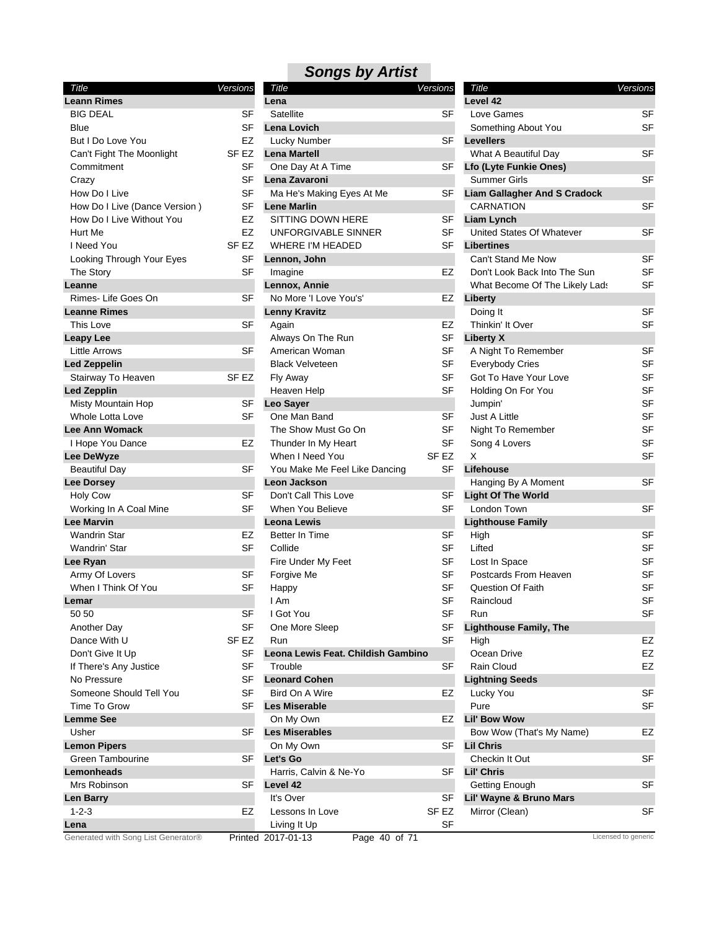### *Songs by Artist Title Versions*

| Title                               | Versions         |
|-------------------------------------|------------------|
| <b>Leann Rimes</b>                  |                  |
| <b>BIG DEAL</b>                     | SF               |
| Blue                                | SF               |
| But I Do Love You                   | EZ               |
| Can't Fight The Moonlight           | SF EZ            |
| Commitment                          | SF               |
| Crazy                               | SF               |
| How Do I Live                       | SF               |
| How Do I Live (Dance Version)       | SF               |
| How Do I Live Without You           | EZ               |
| Hurt Me                             | EZ               |
| I Need You                          |                  |
|                                     | SF EZ            |
| Looking Through Your Eyes           | SF               |
| The Story                           | SF               |
| Leanne                              |                  |
| Rimes- Life Goes On                 | SF               |
| <b>Leanne Rimes</b>                 |                  |
| This Love                           | SF               |
| <b>Leapy Lee</b>                    |                  |
| <b>Little Arrows</b>                | SF               |
| <b>Led Zeppelin</b>                 |                  |
| Stairway To Heaven                  | SF <sub>EZ</sub> |
| <b>Led Zepplin</b>                  |                  |
| Misty Mountain Hop                  | SF               |
| <b>Whole Lotta Love</b>             | SF               |
| <b>Lee Ann Womack</b>               |                  |
| I Hope You Dance                    | EZ               |
| Lee DeWyze                          |                  |
| <b>Beautiful Day</b>                | SF               |
| <b>Lee Dorsey</b>                   |                  |
| <b>Holy Cow</b>                     | SF               |
| Working In A Coal Mine              | SF               |
| <b>Lee Marvin</b>                   |                  |
| <b>Wandrin Star</b>                 | EZ               |
| Wandrin' Star                       | SF               |
| Lee Ryan                            |                  |
| Army Of Lovers                      | SF               |
| When I Think Of You                 | SF               |
|                                     |                  |
| Lemar                               |                  |
| 50 50                               | SF               |
| Another Day                         | SF               |
| Dance With U                        | SF EZ            |
| Don't Give It Up                    | SF               |
| If There's Any Justice              | SF               |
| No Pressure                         | SF               |
| Someone Should Tell You             | SF               |
| Time To Grow                        | SF               |
| <b>Lemme See</b>                    |                  |
| Usher                               | SF               |
| <b>Lemon Pipers</b>                 |                  |
| Green Tambourine                    | SF               |
| Lemonheads                          |                  |
| Mrs Robinson                        | SF               |
| <b>Len Barry</b>                    |                  |
| $1 - 2 - 3$                         | EZ               |
| Lena                                |                  |
| Generated with Song List Generator® | Printed          |

| Leann Rimes                   |                  | Lena                               |                  | Level 42                            |           |
|-------------------------------|------------------|------------------------------------|------------------|-------------------------------------|-----------|
| <b>BIG DEAL</b>               | <b>SF</b>        | Satellite                          | <b>SF</b>        | Love Games                          | SF        |
| Blue                          | <b>SF</b>        | Lena Lovich                        |                  | Something About You                 | <b>SF</b> |
| But I Do Love You             | EZ               | Lucky Number                       | SF               | <b>Levellers</b>                    |           |
| Can't Fight The Moonlight     | SF EZ            | <b>Lena Martell</b>                |                  | What A Beautiful Day                | <b>SF</b> |
| Commitment                    | SF               | One Day At A Time                  | SF               | Lfo (Lyte Funkie Ones)              |           |
| Crazy                         | <b>SF</b>        | Lena Zavaroni                      |                  | <b>Summer Girls</b>                 | <b>SF</b> |
| How Do I Live                 | <b>SF</b>        | Ma He's Making Eyes At Me          | SF               | <b>Liam Gallagher And S Cradock</b> |           |
| How Do I Live (Dance Version) | <b>SF</b>        | <b>Lene Marlin</b>                 |                  | <b>CARNATION</b>                    | SF        |
| How Do I Live Without You     | EZ               | SITTING DOWN HERE                  | SF               | <b>Liam Lynch</b>                   |           |
| Hurt Me                       | EZ               | UNFORGIVABLE SINNER                | SF               | United States Of Whatever           | <b>SF</b> |
| I Need You                    | SF <sub>EZ</sub> | <b>WHERE I'M HEADED</b>            | SF               | <b>Libertines</b>                   |           |
| Looking Through Your Eyes     | <b>SF</b>        | Lennon, John                       |                  | Can't Stand Me Now                  | <b>SF</b> |
| The Story                     | <b>SF</b>        | Imagine                            | EZ               | Don't Look Back Into The Sun        | <b>SF</b> |
| Leanne                        |                  | Lennox, Annie                      |                  | What Become Of The Likely Lads      | SF        |
| Rimes-Life Goes On            | <b>SF</b>        | No More 'I Love You's'             | EZ               |                                     |           |
| <b>Leanne Rimes</b>           |                  |                                    |                  | Liberty                             | SF        |
|                               |                  | <b>Lenny Kravitz</b>               |                  | Doing It                            |           |
| This Love                     | SF               | Again                              | EZ               | Thinkin' It Over                    | <b>SF</b> |
| Leapy Lee                     |                  | Always On The Run                  | SF               | <b>Liberty X</b>                    |           |
| <b>Little Arrows</b>          | <b>SF</b>        | American Woman                     | SF               | A Night To Remember                 | SF        |
| <b>Led Zeppelin</b>           |                  | <b>Black Velveteen</b>             | <b>SF</b>        | <b>Everybody Cries</b>              | <b>SF</b> |
| Stairway To Heaven            | SF EZ            | Fly Away                           | <b>SF</b>        | Got To Have Your Love               | SF        |
| <b>Led Zepplin</b>            |                  | Heaven Help                        | <b>SF</b>        | Holding On For You                  | SF        |
| Misty Mountain Hop            | <b>SF</b>        | <b>Leo Saver</b>                   |                  | Jumpin'                             | SF        |
| Whole Lotta Love              | SF               | One Man Band                       | <b>SF</b>        | Just A Little                       | SF        |
| Lee Ann Womack                |                  | The Show Must Go On                | SF               | Night To Remember                   | SF        |
| I Hope You Dance              | EZ               | Thunder In My Heart                | SF               | Song 4 Lovers                       | SF        |
| <b>Lee DeWyze</b>             |                  | When I Need You                    | SF <sub>EZ</sub> | X                                   | <b>SF</b> |
| <b>Beautiful Day</b>          | SF               | You Make Me Feel Like Dancing      | <b>SF</b>        | Lifehouse                           |           |
| <b>Lee Dorsey</b>             |                  | Leon Jackson                       |                  | Hanging By A Moment                 | <b>SF</b> |
| <b>Holy Cow</b>               | <b>SF</b>        | Don't Call This Love               | SF               | <b>Light Of The World</b>           |           |
| Working In A Coal Mine        | <b>SF</b>        | When You Believe                   | <b>SF</b>        | London Town                         | <b>SF</b> |
| Lee Marvin                    |                  | <b>Leona Lewis</b>                 |                  | <b>Lighthouse Family</b>            |           |
| <b>Wandrin Star</b>           | EZ               | <b>Better In Time</b>              | SF               | High                                | SF        |
| Wandrin' Star                 | <b>SF</b>        | Collide                            | <b>SF</b>        | Lifted                              | <b>SF</b> |
| Lee Ryan                      |                  | Fire Under My Feet                 | <b>SF</b>        | Lost In Space                       | SF        |
| Army Of Lovers                | SF               | Forgive Me                         | <b>SF</b>        | Postcards From Heaven               | SF        |
| When I Think Of You           | <b>SF</b>        | Happy                              | <b>SF</b>        | <b>Question Of Faith</b>            | SF        |
| Lemar                         |                  | I Am                               | <b>SF</b>        | Raincloud                           | SF        |
| 50 50                         | <b>SF</b>        | I Got You                          | <b>SF</b>        | Run                                 | SF        |
| Another Day                   | SF               | One More Sleep                     | <b>SF</b>        | <b>Lighthouse Family, The</b>       |           |
| Dance With U                  | SF EZ            | Run                                | SF               | High                                | EZ        |
|                               |                  | Leona Lewis Feat. Childish Gambino |                  |                                     |           |
| Don't Give It Up              | SF               |                                    |                  | Ocean Drive                         | EZ        |
| If There's Any Justice        | <b>SF</b>        | Trouble                            | <b>SF</b>        | Rain Cloud                          | EZ        |
| No Pressure                   | <b>SF</b>        | <b>Leonard Cohen</b>               |                  | <b>Lightning Seeds</b>              |           |
| Someone Should Tell You       | <b>SF</b>        | Bird On A Wire                     | EZ               | Lucky You                           | SF        |
| Time To Grow                  | <b>SF</b>        | <b>Les Miserable</b>               |                  | Pure                                | SF        |
| Lemme See                     |                  | On My Own                          | EZ               | <b>Lil' Bow Wow</b>                 |           |
| Usher                         | SF               | <b>Les Miserables</b>              |                  | Bow Wow (That's My Name)            | EZ        |
| <b>Lemon Pipers</b>           |                  | On My Own                          | SF               | <b>Lil Chris</b>                    |           |
| <b>Green Tambourine</b>       | SF               | Let's Go                           |                  | Checkin It Out                      | SF        |
| Lemonheads                    |                  | Harris, Calvin & Ne-Yo             | SF               | Lil' Chris                          |           |
| Mrs Robinson                  | SF               | Level 42                           |                  | Getting Enough                      | <b>SF</b> |
| Len Barry                     |                  | It's Over                          | SF               | Lil' Wayne & Bruno Mars             |           |
|                               |                  |                                    |                  |                                     |           |
| $1 - 2 - 3$                   | EZ               | Lessons In Love                    | SF EZ            | Mirror (Clean)                      | SF        |

| Title                               | Versions  |
|-------------------------------------|-----------|
| Level 42                            |           |
| Love Games                          | SF        |
| Something About You                 | SF        |
| <b>Levellers</b>                    |           |
| What A Beautiful Day                | SF        |
| <b>Lfo (Lyte Funkie Ones)</b>       |           |
| Summer Girls                        | SF        |
| <b>Liam Gallagher And S Cradock</b> |           |
| <b>CARNATION</b>                    | SF        |
| <b>Liam Lynch</b>                   |           |
| <b>United States Of Whatever</b>    | SF        |
| <b>Libertines</b>                   |           |
| Can't Stand Me Now                  | <b>SF</b> |
| Don't Look Back Into The Sun        | SF        |
| What Become Of The Likely Lads      | SF        |
| Liberty                             |           |
| Doing It                            | SF        |
| Thinkin' It Over                    | SF        |
| <b>Liberty X</b>                    |           |
| A Night To Remember                 | SF        |
| <b>Everybody Cries</b>              | SF        |
| Got To Have Your Love               | <b>SF</b> |
| Holding On For You                  | SF        |
| Jumpin'                             | SF        |
| <b>Just A Little</b>                | <b>SF</b> |
| Night To Remember                   | SF        |
| Song 4 Lovers                       | SF        |
| X                                   | <b>SF</b> |
| Lifehouse                           |           |
| Hanging By A Moment                 | SF        |
| <b>Light Of The World</b>           |           |
| London Town                         | SF        |
| <b>Lighthouse Family</b>            |           |
| High                                | SF        |
| Lifted                              | SF        |
| Lost In Space                       | SF        |
| Postcards From Heaven               | SF        |
| Question Of Faith                   | SF        |
| Raincloud                           | SF        |
| Run                                 | SF        |
| <b>Lighthouse Family, The</b>       |           |
| High                                | EZ        |
| Ocean Drive                         | EZ        |
| <b>Rain Cloud</b>                   | EZ        |
| <b>Lightning Seeds</b>              |           |
| Lucky You                           | SF        |
| Pure                                | SF        |
| <b>Lil' Bow Wow</b>                 |           |
| Bow Wow (That's My Name)            | EZ        |
| <b>Lil Chris</b>                    |           |
| Checkin It Out                      | SF        |
| Lil' Chris                          |           |
| Getting Enough                      | SF        |
| Lil' Wayne & Bruno Mars             |           |
| Mirror (Clean)                      | SF        |
|                                     |           |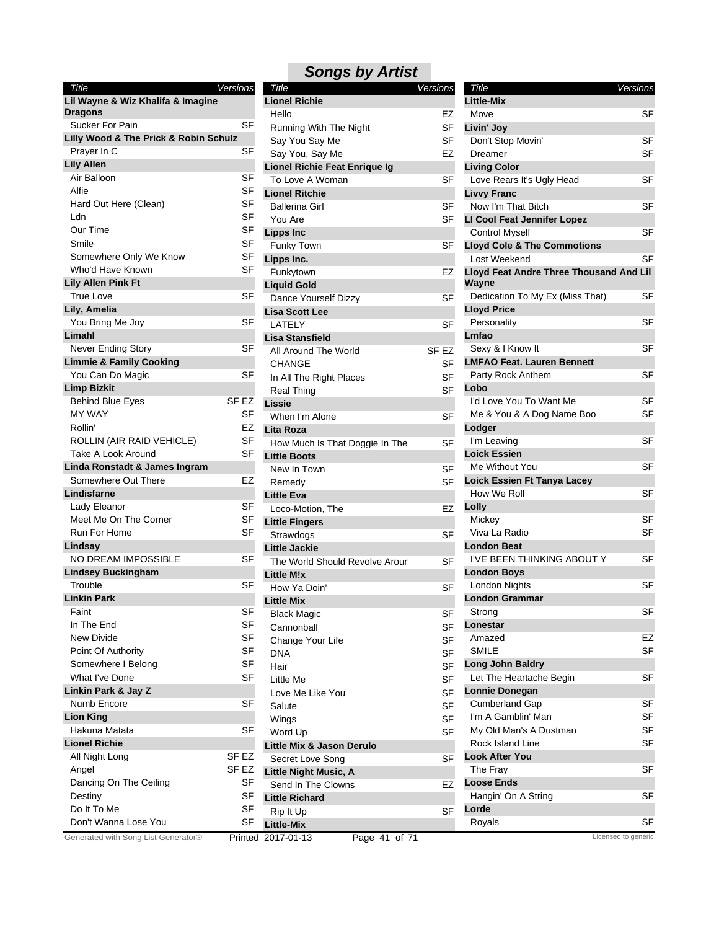*Title Versions* **Lil Wayne & Wiz Khalifa & Imagine Dragons** Sucker For Pain SF **Lilly Wood & The Prick & Robin Schulz** Prayer In C SF **Lily Allen** Air Balloon SF Alfie SF Hard Out Here (Clean) SF Ldn SF Our Time SF Smile Service SF Somewhere Only We Know SF Who'd Have Known SF **Lily Allen Pink Ft** True Love SF **Lily, Amelia** You Bring Me Joy **SF Limahl** Never Ending Story **SF Limmie & Family Cooking** You Can Do Magic **SF Limp Bizkit** Behind Blue Eyes SF EZ MY WAY SF Rollin' EZ ROLLIN (AIR RAID VEHICLE) SF Take A Look Around SF **Linda Ronstadt & James Ingram** Somewhere Out There **EZ Lindisfarne** Lady Eleanor SF Meet Me On The Corner SF Run For Home SF **Lindsay** NO DREAM IMPOSSIBLE SF **Lindsey Buckingham** Trouble SF **Linkin Park Faint** SF In The End SF New Divide SF Point Of Authority SF Somewhere I Belong SF What I've Done SF **Linkin Park & Jay Z** Numb Encore SF **Lion King** Hakuna Matata SF **Lionel Richie** All Night Long SF EZ Angel SF EZ Dancing On The Ceiling SF Destiny SF Do It To Me SF Don't Wanna Lose You **SF** 

#### Running With The Night SF Say You Say Me SF Say You, Say Me **EZ** You Are SF CHANGE SF In All The Right Places SF Real Thing SF Remedy SF Cannonball SF Change Your Life SF DNA SF Hair **SF** Little Me SF Love Me Like You **SF** Salute SF Wings **SF** Word Up SF *Title Versions* **Lionel Richie** Hello EZ **Lionel Richie Feat Enrique Ig** To Love A Woman SF **Lionel Ritchie** Ballerina Girl SF **Lipps Inc** Funky Town SF **Lipps Inc.** Funkytown EZ **Liquid Gold** Dance Yourself Dizzy SF **Lisa Scott Lee** LATELY SF **Lisa Stansfield** All Around The World SF EZ **Lissie** When I'm Alone SF **Lita Roza** How Much Is That Doggie In The SF **Little Boots** New In Town SF **Little Eva** Loco-Motion, The **EZ Little Fingers** Strawdogs SF **Little Jackie** The World Should Revolve Arour SF **Little M!x** How Ya Doin' SF **Little Mix** Black Magic SF **Little Mix & Jason Derulo** Secret Love Song SF **Little Night Music, A** Send In The Clowns **EZ Little Richard** Rip It Up SF **Little-Mix** Generated with Song List Generator® Printed 2017-01-13 Page 41 of 71 Licensed to generic

| <b>Title</b><br>Versions<br><b>Little-Mix</b><br>SF<br>Move<br>Livin' Joy<br>Don't Stop Movin'<br>SF<br>Dreamer<br>SF<br><b>Living Color</b><br>Love Rears It's Ugly Head<br>SF<br><b>Livvy Franc</b><br>Now I'm That Bitch<br>SF<br>LI Cool Feat Jennifer Lopez<br>SF<br><b>Control Myself</b><br><b>Lloyd Cole &amp; The Commotions</b><br>Lost Weekend<br>SF<br>Lloyd Feat Andre Three Thousand And Lil<br>Wayne<br>Dedication To My Ex (Miss That)<br>SF<br><b>Lloyd Price</b><br>SF<br>Personality<br>Lmfao<br>SF<br>Sexy & I Know It<br><b>LMFAO Feat. Lauren Bennett</b><br>Party Rock Anthem<br>SF<br>Lobo<br>I'd Love You To Want Me<br>SF<br>Me & You & A Dog Name Boo<br>SF<br>Lodger<br>SF<br>I'm Leaving<br><b>Loick Essien</b><br>SF<br>Me Without You<br>Loick Essien Ft Tanya Lacey<br>How We Roll<br>SF<br>Lolly<br>SF<br>Mickey<br>Viva La Radio<br>SF<br><b>London Beat</b><br>I'VE BEEN THINKING ABOUT Y<br>SF<br><b>London Boys</b><br>London Nights<br>SF<br>London Grammar<br>SF<br>Strong<br>Lonestar<br>EZ<br>Amazed<br><b>SMILE</b><br>SF<br><b>Long John Baldry</b> |
|------------------------------------------------------------------------------------------------------------------------------------------------------------------------------------------------------------------------------------------------------------------------------------------------------------------------------------------------------------------------------------------------------------------------------------------------------------------------------------------------------------------------------------------------------------------------------------------------------------------------------------------------------------------------------------------------------------------------------------------------------------------------------------------------------------------------------------------------------------------------------------------------------------------------------------------------------------------------------------------------------------------------------------------------------------------------------------------------|
|                                                                                                                                                                                                                                                                                                                                                                                                                                                                                                                                                                                                                                                                                                                                                                                                                                                                                                                                                                                                                                                                                                |
|                                                                                                                                                                                                                                                                                                                                                                                                                                                                                                                                                                                                                                                                                                                                                                                                                                                                                                                                                                                                                                                                                                |
|                                                                                                                                                                                                                                                                                                                                                                                                                                                                                                                                                                                                                                                                                                                                                                                                                                                                                                                                                                                                                                                                                                |
|                                                                                                                                                                                                                                                                                                                                                                                                                                                                                                                                                                                                                                                                                                                                                                                                                                                                                                                                                                                                                                                                                                |
|                                                                                                                                                                                                                                                                                                                                                                                                                                                                                                                                                                                                                                                                                                                                                                                                                                                                                                                                                                                                                                                                                                |
|                                                                                                                                                                                                                                                                                                                                                                                                                                                                                                                                                                                                                                                                                                                                                                                                                                                                                                                                                                                                                                                                                                |
|                                                                                                                                                                                                                                                                                                                                                                                                                                                                                                                                                                                                                                                                                                                                                                                                                                                                                                                                                                                                                                                                                                |
|                                                                                                                                                                                                                                                                                                                                                                                                                                                                                                                                                                                                                                                                                                                                                                                                                                                                                                                                                                                                                                                                                                |
|                                                                                                                                                                                                                                                                                                                                                                                                                                                                                                                                                                                                                                                                                                                                                                                                                                                                                                                                                                                                                                                                                                |
|                                                                                                                                                                                                                                                                                                                                                                                                                                                                                                                                                                                                                                                                                                                                                                                                                                                                                                                                                                                                                                                                                                |
|                                                                                                                                                                                                                                                                                                                                                                                                                                                                                                                                                                                                                                                                                                                                                                                                                                                                                                                                                                                                                                                                                                |
|                                                                                                                                                                                                                                                                                                                                                                                                                                                                                                                                                                                                                                                                                                                                                                                                                                                                                                                                                                                                                                                                                                |
|                                                                                                                                                                                                                                                                                                                                                                                                                                                                                                                                                                                                                                                                                                                                                                                                                                                                                                                                                                                                                                                                                                |
|                                                                                                                                                                                                                                                                                                                                                                                                                                                                                                                                                                                                                                                                                                                                                                                                                                                                                                                                                                                                                                                                                                |
|                                                                                                                                                                                                                                                                                                                                                                                                                                                                                                                                                                                                                                                                                                                                                                                                                                                                                                                                                                                                                                                                                                |
|                                                                                                                                                                                                                                                                                                                                                                                                                                                                                                                                                                                                                                                                                                                                                                                                                                                                                                                                                                                                                                                                                                |
|                                                                                                                                                                                                                                                                                                                                                                                                                                                                                                                                                                                                                                                                                                                                                                                                                                                                                                                                                                                                                                                                                                |
|                                                                                                                                                                                                                                                                                                                                                                                                                                                                                                                                                                                                                                                                                                                                                                                                                                                                                                                                                                                                                                                                                                |
|                                                                                                                                                                                                                                                                                                                                                                                                                                                                                                                                                                                                                                                                                                                                                                                                                                                                                                                                                                                                                                                                                                |
|                                                                                                                                                                                                                                                                                                                                                                                                                                                                                                                                                                                                                                                                                                                                                                                                                                                                                                                                                                                                                                                                                                |
|                                                                                                                                                                                                                                                                                                                                                                                                                                                                                                                                                                                                                                                                                                                                                                                                                                                                                                                                                                                                                                                                                                |
|                                                                                                                                                                                                                                                                                                                                                                                                                                                                                                                                                                                                                                                                                                                                                                                                                                                                                                                                                                                                                                                                                                |
|                                                                                                                                                                                                                                                                                                                                                                                                                                                                                                                                                                                                                                                                                                                                                                                                                                                                                                                                                                                                                                                                                                |
|                                                                                                                                                                                                                                                                                                                                                                                                                                                                                                                                                                                                                                                                                                                                                                                                                                                                                                                                                                                                                                                                                                |
|                                                                                                                                                                                                                                                                                                                                                                                                                                                                                                                                                                                                                                                                                                                                                                                                                                                                                                                                                                                                                                                                                                |
|                                                                                                                                                                                                                                                                                                                                                                                                                                                                                                                                                                                                                                                                                                                                                                                                                                                                                                                                                                                                                                                                                                |
|                                                                                                                                                                                                                                                                                                                                                                                                                                                                                                                                                                                                                                                                                                                                                                                                                                                                                                                                                                                                                                                                                                |
|                                                                                                                                                                                                                                                                                                                                                                                                                                                                                                                                                                                                                                                                                                                                                                                                                                                                                                                                                                                                                                                                                                |
|                                                                                                                                                                                                                                                                                                                                                                                                                                                                                                                                                                                                                                                                                                                                                                                                                                                                                                                                                                                                                                                                                                |
|                                                                                                                                                                                                                                                                                                                                                                                                                                                                                                                                                                                                                                                                                                                                                                                                                                                                                                                                                                                                                                                                                                |
|                                                                                                                                                                                                                                                                                                                                                                                                                                                                                                                                                                                                                                                                                                                                                                                                                                                                                                                                                                                                                                                                                                |
|                                                                                                                                                                                                                                                                                                                                                                                                                                                                                                                                                                                                                                                                                                                                                                                                                                                                                                                                                                                                                                                                                                |
|                                                                                                                                                                                                                                                                                                                                                                                                                                                                                                                                                                                                                                                                                                                                                                                                                                                                                                                                                                                                                                                                                                |
|                                                                                                                                                                                                                                                                                                                                                                                                                                                                                                                                                                                                                                                                                                                                                                                                                                                                                                                                                                                                                                                                                                |
|                                                                                                                                                                                                                                                                                                                                                                                                                                                                                                                                                                                                                                                                                                                                                                                                                                                                                                                                                                                                                                                                                                |
|                                                                                                                                                                                                                                                                                                                                                                                                                                                                                                                                                                                                                                                                                                                                                                                                                                                                                                                                                                                                                                                                                                |
|                                                                                                                                                                                                                                                                                                                                                                                                                                                                                                                                                                                                                                                                                                                                                                                                                                                                                                                                                                                                                                                                                                |
|                                                                                                                                                                                                                                                                                                                                                                                                                                                                                                                                                                                                                                                                                                                                                                                                                                                                                                                                                                                                                                                                                                |
|                                                                                                                                                                                                                                                                                                                                                                                                                                                                                                                                                                                                                                                                                                                                                                                                                                                                                                                                                                                                                                                                                                |
|                                                                                                                                                                                                                                                                                                                                                                                                                                                                                                                                                                                                                                                                                                                                                                                                                                                                                                                                                                                                                                                                                                |
|                                                                                                                                                                                                                                                                                                                                                                                                                                                                                                                                                                                                                                                                                                                                                                                                                                                                                                                                                                                                                                                                                                |
|                                                                                                                                                                                                                                                                                                                                                                                                                                                                                                                                                                                                                                                                                                                                                                                                                                                                                                                                                                                                                                                                                                |
|                                                                                                                                                                                                                                                                                                                                                                                                                                                                                                                                                                                                                                                                                                                                                                                                                                                                                                                                                                                                                                                                                                |
| SF<br>Let The Heartache Begin                                                                                                                                                                                                                                                                                                                                                                                                                                                                                                                                                                                                                                                                                                                                                                                                                                                                                                                                                                                                                                                                  |
| <b>Lonnie Donegan</b>                                                                                                                                                                                                                                                                                                                                                                                                                                                                                                                                                                                                                                                                                                                                                                                                                                                                                                                                                                                                                                                                          |
| SF<br><b>Cumberland Gap</b>                                                                                                                                                                                                                                                                                                                                                                                                                                                                                                                                                                                                                                                                                                                                                                                                                                                                                                                                                                                                                                                                    |
| I'm A Gamblin' Man<br>SF                                                                                                                                                                                                                                                                                                                                                                                                                                                                                                                                                                                                                                                                                                                                                                                                                                                                                                                                                                                                                                                                       |
| My Old Man's A Dustman<br>SF                                                                                                                                                                                                                                                                                                                                                                                                                                                                                                                                                                                                                                                                                                                                                                                                                                                                                                                                                                                                                                                                   |
| SF<br>Rock Island Line                                                                                                                                                                                                                                                                                                                                                                                                                                                                                                                                                                                                                                                                                                                                                                                                                                                                                                                                                                                                                                                                         |
| <b>Look After You</b>                                                                                                                                                                                                                                                                                                                                                                                                                                                                                                                                                                                                                                                                                                                                                                                                                                                                                                                                                                                                                                                                          |
| SF<br>The Fray                                                                                                                                                                                                                                                                                                                                                                                                                                                                                                                                                                                                                                                                                                                                                                                                                                                                                                                                                                                                                                                                                 |
|                                                                                                                                                                                                                                                                                                                                                                                                                                                                                                                                                                                                                                                                                                                                                                                                                                                                                                                                                                                                                                                                                                |
| <b>Loose Ends</b>                                                                                                                                                                                                                                                                                                                                                                                                                                                                                                                                                                                                                                                                                                                                                                                                                                                                                                                                                                                                                                                                              |
| Hangin' On A String<br>SF                                                                                                                                                                                                                                                                                                                                                                                                                                                                                                                                                                                                                                                                                                                                                                                                                                                                                                                                                                                                                                                                      |
| Lorde<br>Royals<br>SF                                                                                                                                                                                                                                                                                                                                                                                                                                                                                                                                                                                                                                                                                                                                                                                                                                                                                                                                                                                                                                                                          |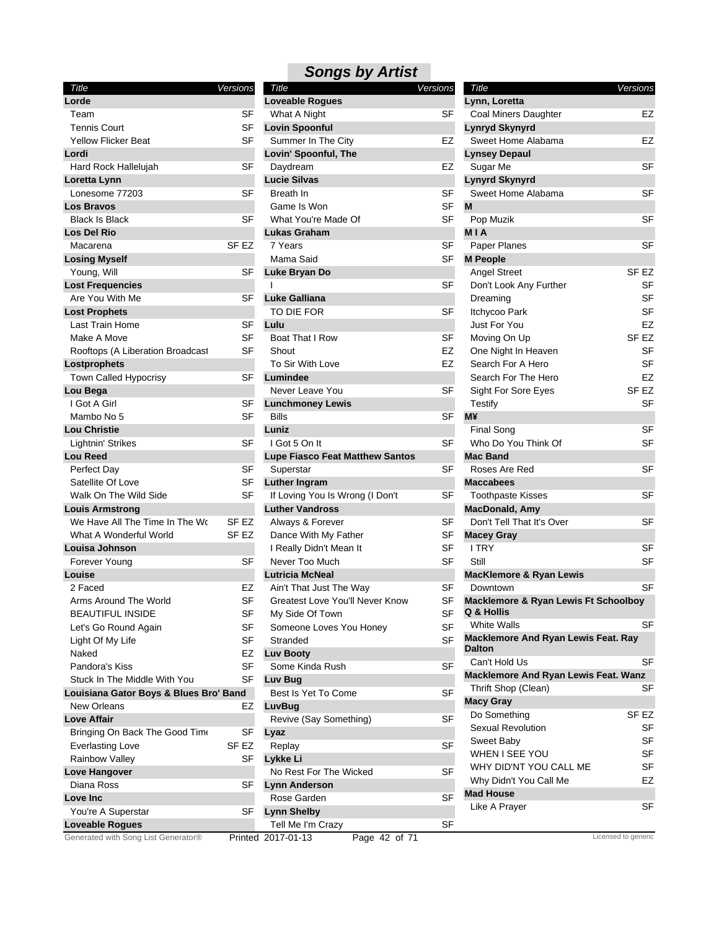| Title                                  | Versions         | Title                                  | Versions        | Title                                                         | Versions            |
|----------------------------------------|------------------|----------------------------------------|-----------------|---------------------------------------------------------------|---------------------|
| Lorde                                  |                  | <b>Loveable Rogues</b>                 |                 | Lynn, Loretta                                                 |                     |
| Team                                   | SF               | What A Night                           | SF              | <b>Coal Miners Daughter</b>                                   | EZ                  |
| <b>Tennis Court</b>                    | SF               | <b>Lovin Spoonful</b>                  |                 | <b>Lynryd Skynyrd</b>                                         |                     |
| <b>Yellow Flicker Beat</b>             | SF               | Summer In The City                     | EZ              | Sweet Home Alabama                                            | EZ                  |
| Lordi                                  |                  | Lovin' Spoonful, The                   |                 | <b>Lynsey Depaul</b>                                          |                     |
| Hard Rock Hallelujah                   | SF               | Daydream                               | EZ              | Sugar Me                                                      | <b>SF</b>           |
| Loretta Lynn                           |                  | <b>Lucie Silvas</b>                    |                 | <b>Lynyrd Skynyrd</b>                                         |                     |
| Lonesome 77203                         | <b>SF</b>        | <b>Breath In</b>                       | <b>SF</b>       | Sweet Home Alabama                                            | <b>SF</b>           |
| <b>Los Bravos</b>                      |                  | Game Is Won                            | <b>SF</b>       | M                                                             |                     |
| <b>Black Is Black</b>                  | <b>SF</b>        | What You're Made Of                    | SF              | Pop Muzik                                                     | <b>SF</b>           |
| <b>Los Del Rio</b>                     |                  | <b>Lukas Graham</b>                    |                 | <b>MIA</b>                                                    |                     |
| Macarena                               | SF <sub>EZ</sub> | 7 Years                                | <b>SF</b>       | Paper Planes                                                  | <b>SF</b>           |
| <b>Losing Myself</b>                   |                  | Mama Said                              | <b>SF</b>       | <b>M People</b>                                               |                     |
| Young, Will                            | SF               | Luke Bryan Do                          |                 | <b>Angel Street</b>                                           | SF <sub>EZ</sub>    |
| <b>Lost Frequencies</b>                |                  | $\mathbf{I}$                           | <b>SF</b>       | Don't Look Any Further                                        | <b>SF</b>           |
| Are You With Me                        | <b>SF</b>        | <b>Luke Galliana</b>                   |                 | Dreaming                                                      | SF                  |
| <b>Lost Prophets</b>                   |                  | TO DIE FOR                             | <b>SF</b>       | Itchycoo Park                                                 | <b>SF</b>           |
| Last Train Home                        | <b>SF</b>        | Lulu                                   |                 | Just For You                                                  | EZ                  |
| Make A Move                            | <b>SF</b>        | Boat That I Row                        | SF              | Moving On Up                                                  | SF <sub>EZ</sub>    |
| Rooftops (A Liberation Broadcast       | <b>SF</b>        | Shout                                  | EZ              | One Night In Heaven                                           | SF                  |
| Lostprophets                           |                  | To Sir With Love                       | <b>EZ</b>       | Search For A Hero                                             | <b>SF</b>           |
| Town Called Hypocrisy                  | <b>SF</b>        | Lumindee                               |                 | Search For The Hero                                           | EZ                  |
| Lou Bega                               |                  | Never Leave You                        | SF              | Sight For Sore Eyes                                           | SF <sub>EZ</sub>    |
| I Got A Girl                           | <b>SF</b>        | <b>Lunchmoney Lewis</b>                |                 | Testify                                                       | <b>SF</b>           |
| Mambo No 5                             | <b>SF</b>        | <b>Bills</b>                           | <b>SF</b>       | <b>M¥</b>                                                     |                     |
| <b>Lou Christie</b>                    |                  | Luniz                                  |                 | Final Song                                                    | <b>SF</b>           |
| Lightnin' Strikes                      | <b>SF</b>        | I Got 5 On It                          | <b>SF</b>       | Who Do You Think Of                                           | <b>SF</b>           |
| <b>Lou Reed</b>                        |                  | <b>Lupe Fiasco Feat Matthew Santos</b> |                 | <b>Mac Band</b>                                               |                     |
| Perfect Day                            | SF               | Superstar                              | <b>SF</b>       | Roses Are Red                                                 | <b>SF</b>           |
| Satellite Of Love                      | <b>SF</b>        | <b>Luther Ingram</b>                   |                 | <b>Maccabees</b>                                              |                     |
| Walk On The Wild Side                  | <b>SF</b>        | If Loving You Is Wrong (I Don't        | <b>SF</b>       | <b>Toothpaste Kisses</b>                                      | <b>SF</b>           |
| <b>Louis Armstrong</b>                 |                  | <b>Luther Vandross</b>                 |                 | <b>MacDonald, Amy</b>                                         |                     |
| We Have All The Time In The Wo         | SF <sub>EZ</sub> | Always & Forever                       | <b>SF</b>       | Don't Tell That It's Over                                     | <b>SF</b>           |
| What A Wonderful World                 | SF <sub>EZ</sub> | Dance With My Father                   | SF              | <b>Macey Gray</b>                                             |                     |
| Louisa Johnson                         |                  | I Really Didn't Mean It                | <b>SF</b>       | <b>I TRY</b>                                                  | SF                  |
| Forever Young                          | <b>SF</b>        | Never Too Much                         | <b>SF</b>       | Still                                                         | <b>SF</b>           |
| Louise                                 |                  | <b>Lutricia McNeal</b>                 |                 |                                                               |                     |
| 2 Faced                                | EZ               | Ain't That Just The Way                | <b>SF</b>       | <b>MacKlemore &amp; Ryan Lewis</b><br>Downtown                | <b>SF</b>           |
| Arms Around The World                  | <b>SF</b>        | <b>Greatest Love You'll Never Know</b> | SF              |                                                               |                     |
| <b>BEAUTIFUL INSIDE</b>                |                  | My Side Of Town                        |                 | <b>Macklemore &amp; Ryan Lewis Ft Schoolboy</b><br>Q & Hollis |                     |
|                                        | SF               |                                        | SF<br><b>SF</b> | White Walls                                                   | SF                  |
| Let's Go Round Again                   | SF               | Someone Loves You Honey                | <b>SF</b>       | Macklemore And Ryan Lewis Feat. Ray                           |                     |
| Light Of My Life                       | SF               | Stranded                               |                 | <b>Dalton</b>                                                 |                     |
| Naked                                  | EZ               | <b>Luv Booty</b>                       |                 | Can't Hold Us                                                 | SF                  |
| Pandora's Kiss                         | <b>SF</b>        | Some Kinda Rush                        | <b>SF</b>       | Macklemore And Ryan Lewis Feat. Wanz                          |                     |
| Stuck In The Middle With You           | <b>SF</b>        | Luv Bug                                |                 | Thrift Shop (Clean)                                           | SF                  |
| Louisiana Gator Boys & Blues Bro' Band |                  | Best Is Yet To Come                    | <b>SF</b>       | <b>Macy Gray</b>                                              |                     |
| New Orleans                            | EZ               | LuvBug                                 |                 | Do Something                                                  | SF EZ               |
| <b>Love Affair</b>                     |                  | Revive (Say Something)                 | <b>SF</b>       | Sexual Revolution                                             | SF                  |
| Bringing On Back The Good Time         | SF               | Lyaz                                   |                 | Sweet Baby                                                    | SF                  |
| <b>Everlasting Love</b>                | SF EZ            | Replay                                 | <b>SF</b>       | WHEN I SEE YOU                                                | SF                  |
| <b>Rainbow Valley</b>                  | SF               | Lykke Li                               |                 | WHY DID'NT YOU CALL ME                                        | SF                  |
| <b>Love Hangover</b>                   |                  | No Rest For The Wicked                 | SF              | Why Didn't You Call Me                                        | EZ                  |
| Diana Ross                             | SF               | <b>Lynn Anderson</b>                   |                 | <b>Mad House</b>                                              |                     |
| Love Inc                               |                  | Rose Garden                            | <b>SF</b>       | Like A Prayer                                                 | <b>SF</b>           |
| You're A Superstar                     | SF               | <b>Lynn Shelby</b>                     |                 |                                                               |                     |
| <b>Loveable Rogues</b>                 |                  | Tell Me I'm Crazy                      | SF              |                                                               |                     |
| Generated with Song List Generator®    |                  | Printed 2017-01-13<br>Page 42 of 71    |                 |                                                               | Licensed to generic |

| Title                                  | Versions |
|----------------------------------------|----------|
| <b>Loveable Rogues</b>                 |          |
| What A Night                           | SF       |
| <b>Lovin Spoonful</b>                  |          |
| Summer In The City                     | EZ       |
| Lovin' Spoonful, The                   |          |
| Daydream                               | EZ       |
| <b>Lucie Silvas</b>                    |          |
| <b>Breath In</b>                       | SF       |
| Game Is Won                            | SF       |
| What You're Made Of                    | SF       |
| <b>Lukas Graham</b>                    |          |
| 7 Years                                | SF       |
| Mama Said                              | SF       |
| Luke Bryan Do                          |          |
| I                                      | SF       |
| Luke Galliana                          |          |
| TO DIE FOR                             | SF       |
| Lulu                                   |          |
| Boat That I Row                        | SF       |
| Shout                                  | EZ       |
| To Sir With Love                       | EZ       |
| Lumindee                               |          |
| Never Leave You                        | SF       |
| <b>Lunchmoney Lewis</b>                |          |
| <b>Bills</b>                           | SF       |
| Luniz                                  |          |
| I Got 5 On It                          | SF       |
| <b>Lupe Fiasco Feat Matthew Santos</b> |          |
| Superstar                              | SF       |
| <b>Luther Ingram</b>                   |          |
| If Loving You Is Wrong (I Don't        | SF       |
| <b>Luther Vandross</b>                 |          |
| Always & Forever                       | SF       |
| Dance With My Father                   | SF       |
| I Really Didn't Mean It                | SF       |
| Never Too Much                         | SF       |
| <b>Lutricia McNeal</b>                 |          |
| Ain't That Just The Way                | SF       |
| Greatest Love You'll Never Know        | SF       |
| My Side Of Town                        | S⊦       |
| Someone Loves You Honey                | SF       |
| Stranded                               | SF       |
| <b>Luv Booty</b>                       |          |
| Some Kinda Rush                        | SF       |
| Luv Bug                                |          |
| Best Is Yet To Come                    | SF       |
| LuvBug                                 |          |
| Revive (Say Something)                 | SF       |
| Lyaz                                   |          |
| Replay                                 | SF       |
| Lykke Li                               |          |
| No Rest For The Wicked                 | SF       |
| <b>Lynn Anderson</b>                   |          |
| Rose Garden                            | SF       |
| <b>Lynn Shelby</b>                     |          |
| Tell Me I'm Crazy                      | SF       |
| 2017-01-13<br>Page 42 of 71            |          |

| Title                                                       | Versions |
|-------------------------------------------------------------|----------|
| Lynn, Loretta                                               |          |
| Coal Miners Daughter                                        | EZ       |
| Lynryd Skynyrd                                              |          |
| Sweet Home Alabama                                          | EZ       |
| Lynsey Depaul                                               |          |
| Sugar Me                                                    | SF       |
| <b>Lynyrd Skynyrd</b>                                       |          |
| Sweet Home Alabama                                          | SF       |
| M                                                           |          |
| Pop Muzik                                                   | SF       |
| <b>MIA</b>                                                  |          |
| Paper Planes                                                | SF       |
| <b>M</b> People                                             |          |
| Angel Street                                                | SF EZ    |
| Don't Look Any Further                                      | SF       |
| Dreaming                                                    | SF       |
| Itchycoo Park                                               | SF       |
| <b>Just For You</b>                                         | EZ       |
| Moving On Up                                                | SF EZ    |
| One Night In Heaven                                         | SF       |
| Search For A Hero                                           | SF       |
| Search For The Hero                                         | EZ       |
| Sight For Sore Eyes                                         | SF EZ    |
| Testify                                                     | SF       |
| M¥                                                          |          |
| Final Song                                                  | SF       |
| Who Do You Think Of                                         | SF       |
| <b>Mac Band</b>                                             |          |
| Roses Are Red                                               | SF       |
| <b>Maccabees</b>                                            |          |
| Toothpaste Kisses                                           | SF       |
| <b>MacDonald, Amy</b>                                       |          |
| Don't Tell That It's Over                                   | SF       |
| <b>Macey Gray</b>                                           |          |
| I TRY                                                       | SF       |
| Still                                                       | SF       |
| <b>MacKlemore &amp; Ryan Lewis</b>                          |          |
| Downtown                                                    | SF       |
| Macklemore & Ryan Lewis Ft Schoolboy<br>Q & Hollis          |          |
| <b>White Walls</b>                                          | SF       |
| <b>Macklemore And Ryan Lewis Feat. Ray</b><br><b>Dalton</b> |          |
| Can't Hold Us                                               | SF       |
| Macklemore And Ryan Lewis Feat. Wanz                        |          |
| Thrift Shop (Clean)                                         | SF       |
| <b>Macy Gray</b>                                            |          |
| Do Something                                                | SF EZ    |
| Sexual Revolution                                           | SF       |
| Sweet Baby                                                  | SF       |
| WHEN I SEE YOU                                              | SF       |
| WHY DID'NT YOU CALL ME                                      | SF       |
| Why Didn't You Call Me                                      | EZ       |
| <b>Mad House</b>                                            |          |
|                                                             |          |
| Like A Prayer                                               | SF       |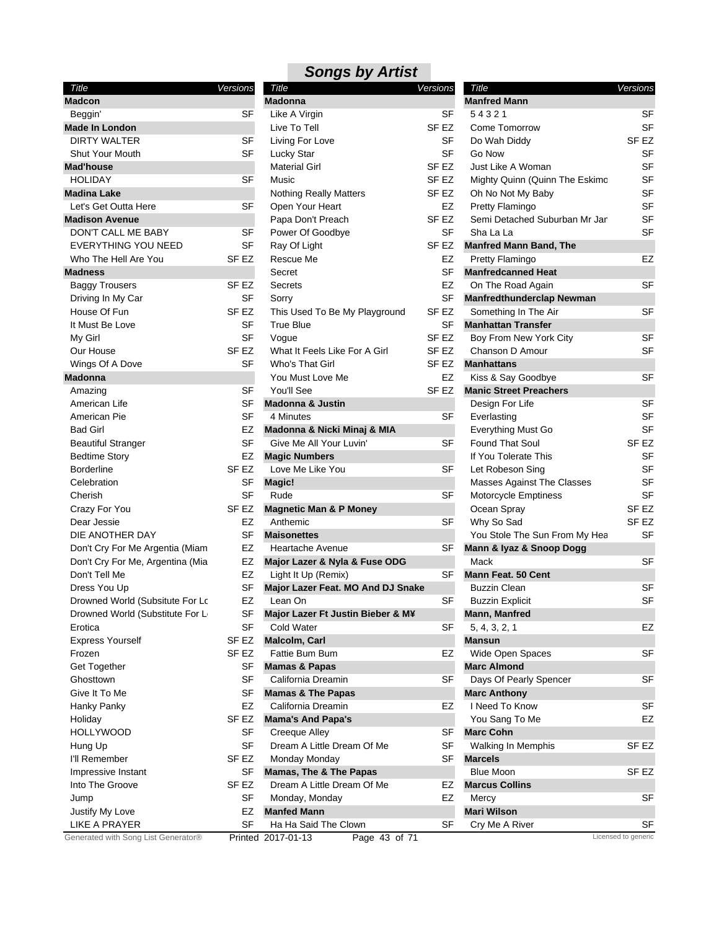| Title                                             | Versions         | Title                               | Versions         | Title                             | Versions            |
|---------------------------------------------------|------------------|-------------------------------------|------------------|-----------------------------------|---------------------|
| <b>Madcon</b>                                     |                  | <b>Madonna</b>                      |                  | <b>Manfred Mann</b>               |                     |
| Beggin'                                           | SF               | Like A Virgin                       | SF               | 54321                             | <b>SF</b>           |
| <b>Made In London</b>                             |                  | Live To Tell                        | SF <sub>EZ</sub> | Come Tomorrow                     | <b>SF</b>           |
| <b>DIRTY WALTER</b>                               | <b>SF</b>        | Living For Love                     | <b>SF</b>        | Do Wah Diddy                      | SF <sub>EZ</sub>    |
| <b>Shut Your Mouth</b>                            | <b>SF</b>        | Lucky Star                          | <b>SF</b>        | Go Now                            | <b>SF</b>           |
| <b>Mad'house</b>                                  |                  | <b>Material Girl</b>                | SF <sub>EZ</sub> | Just Like A Woman                 | <b>SF</b>           |
| <b>HOLIDAY</b>                                    | <b>SF</b>        | Music                               | SF <sub>EZ</sub> | Mighty Quinn (Quinn The Eskimo    | SF                  |
| <b>Madina Lake</b>                                |                  | <b>Nothing Really Matters</b>       | SF <sub>EZ</sub> | Oh No Not My Baby                 | SF                  |
| Let's Get Outta Here                              | <b>SF</b>        | Open Your Heart                     | EZ               | Pretty Flamingo                   | <b>SF</b>           |
| <b>Madison Avenue</b>                             |                  | Papa Don't Preach                   | SF <sub>EZ</sub> | Semi Detached Suburban Mr Jan     | <b>SF</b>           |
| DON'T CALL ME BABY                                | SF               | Power Of Goodbye                    | <b>SF</b>        | Sha La La                         | <b>SF</b>           |
| <b>EVERYTHING YOU NEED</b>                        | <b>SF</b>        | Ray Of Light                        | SF EZ            | <b>Manfred Mann Band, The</b>     |                     |
| Who The Hell Are You                              | SF <sub>EZ</sub> | Rescue Me                           | EZ               | Pretty Flamingo                   | <b>EZ</b>           |
| <b>Madness</b>                                    |                  | Secret                              | <b>SF</b>        | <b>Manfredcanned Heat</b>         |                     |
| <b>Baggy Trousers</b>                             | SF <sub>EZ</sub> | <b>Secrets</b>                      | EZ               | On The Road Again                 | <b>SF</b>           |
| Driving In My Car                                 | <b>SF</b>        | Sorry                               | <b>SF</b>        | <b>Manfredthunderclap Newman</b>  |                     |
| House Of Fun                                      | SF <sub>EZ</sub> | This Used To Be My Playground       | SF <sub>EZ</sub> | Something In The Air              | <b>SF</b>           |
| It Must Be Love                                   | <b>SF</b>        | <b>True Blue</b>                    | <b>SF</b>        | <b>Manhattan Transfer</b>         |                     |
| My Girl                                           | <b>SF</b>        | Vogue                               | SF <sub>EZ</sub> | Boy From New York City            | <b>SF</b>           |
| Our House                                         | SF <sub>EZ</sub> | What It Feels Like For A Girl       | SF <sub>EZ</sub> | Chanson D Amour                   | <b>SF</b>           |
| Wings Of A Dove                                   | <b>SF</b>        | Who's That Girl                     | SF EZ            | <b>Manhattans</b>                 |                     |
| <b>Madonna</b>                                    |                  | You Must Love Me                    | EZ               | Kiss & Say Goodbye                | <b>SF</b>           |
| Amazing                                           | <b>SF</b>        | You'll See                          | SF <sub>EZ</sub> | <b>Manic Street Preachers</b>     |                     |
| American Life                                     | <b>SF</b>        | <b>Madonna &amp; Justin</b>         |                  | Design For Life                   | <b>SF</b>           |
| American Pie                                      | <b>SF</b>        | 4 Minutes                           | <b>SF</b>        | Everlasting                       | <b>SF</b>           |
| <b>Bad Girl</b>                                   | EZ               | Madonna & Nicki Minaj & MIA         |                  | Everything Must Go                | <b>SF</b>           |
| <b>Beautiful Stranger</b>                         | <b>SF</b>        | Give Me All Your Luvin'             | <b>SF</b>        | <b>Found That Soul</b>            | SF <sub>EZ</sub>    |
| <b>Bedtime Story</b>                              | EZ               | <b>Magic Numbers</b>                |                  | If You Tolerate This              | <b>SF</b>           |
| <b>Borderline</b>                                 | SF EZ            | Love Me Like You                    | <b>SF</b>        | Let Robeson Sing                  | <b>SF</b>           |
| Celebration                                       | SF               | Magic!                              |                  | <b>Masses Against The Classes</b> | <b>SF</b>           |
| Cherish                                           | <b>SF</b>        | Rude                                | <b>SF</b>        | Motorcycle Emptiness              | <b>SF</b>           |
| Crazy For You                                     | SF EZ            | <b>Magnetic Man &amp; P Money</b>   |                  | Ocean Spray                       | SF <sub>EZ</sub>    |
| Dear Jessie                                       | <b>EZ</b>        | Anthemic                            | <b>SF</b>        | Why So Sad                        | SF <sub>EZ</sub>    |
| DIE ANOTHER DAY                                   | <b>SF</b>        | <b>Maisonettes</b>                  |                  | You Stole The Sun From My Hea     | <b>SF</b>           |
| Don't Cry For Me Argentia (Miam                   | EZ               | <b>Heartache Avenue</b>             | SF               | Mann & Iyaz & Snoop Dogg          |                     |
|                                                   | EZ               |                                     |                  | Mack                              | SF                  |
| Don't Cry For Me, Argentina (Mia<br>Don't Tell Me | EZ               | Major Lazer & Nyla & Fuse ODG       | <b>SF</b>        |                                   |                     |
|                                                   | <b>SF</b>        | Light It Up (Remix)                 |                  | <b>Mann Feat. 50 Cent</b>         | <b>SF</b>           |
| Dress You Up                                      | <b>EZ</b>        | Major Lazer Feat. MO And DJ Snake   |                  | <b>Buzzin Clean</b>               |                     |
| Drowned World (Subsitute For Lc                   |                  | Lean On                             | SF               | <b>Buzzin Explicit</b>            | <b>SF</b>           |
| Drowned World (Substitute For L                   | <b>SF</b>        | Major Lazer Ft Justin Bieber & M¥   |                  | Mann, Manfred                     |                     |
| Erotica                                           | <b>SF</b>        | <b>Cold Water</b>                   | SF               | 5, 4, 3, 2, 1                     | EZ                  |
| <b>Express Yourself</b>                           | SF EZ            | <b>Malcolm, Carl</b>                |                  | <b>Mansun</b>                     |                     |
| Frozen                                            | SF EZ            | Fattie Bum Bum                      | EZ               | <b>Wide Open Spaces</b>           | SF                  |
| Get Together                                      | SF               | <b>Mamas &amp; Papas</b>            |                  | <b>Marc Almond</b>                |                     |
| Ghosttown                                         | <b>SF</b>        | California Dreamin                  | SF               | Days Of Pearly Spencer            | SF                  |
| Give It To Me                                     | SF               | <b>Mamas &amp; The Papas</b>        |                  | <b>Marc Anthony</b>               |                     |
| Hanky Panky                                       | EZ               | California Dreamin                  | EZ               | I Need To Know                    | <b>SF</b>           |
| Holiday                                           | SF EZ            | <b>Mama's And Papa's</b>            |                  | You Sang To Me                    | EZ                  |
| <b>HOLLYWOOD</b>                                  | <b>SF</b>        | Creeque Alley                       | SF               | <b>Marc Cohn</b>                  |                     |
| Hung Up                                           | <b>SF</b>        | Dream A Little Dream Of Me          | SF               | Walking In Memphis                | SF <sub>EZ</sub>    |
| I'll Remember                                     | SF EZ            | Monday Monday                       | SF               | <b>Marcels</b>                    |                     |
| Impressive Instant                                | SF               | <b>Mamas, The &amp; The Papas</b>   |                  | <b>Blue Moon</b>                  | SF <sub>EZ</sub>    |
| Into The Groove                                   | SF EZ            | Dream A Little Dream Of Me          | EZ               | <b>Marcus Collins</b>             |                     |
| Jump                                              | <b>SF</b>        | Monday, Monday                      | EZ               | Mercy                             | SF                  |
| Justify My Love                                   | EZ               | <b>Manfed Mann</b>                  |                  | <b>Mari Wilson</b>                |                     |
| <b>LIKE A PRAYER</b>                              | <b>SF</b>        | Ha Ha Said The Clown                | SF               | Cry Me A River                    | SF                  |
| Generated with Song List Generator®               |                  | Page 43 of 71<br>Printed 2017-01-13 |                  |                                   | Licensed to generic |

| Title                                             | Versions |                  |
|---------------------------------------------------|----------|------------------|
| Madonna                                           |          |                  |
| Like A Virgin                                     |          | SF               |
| Live To Tell                                      |          | SF EZ            |
| Living For Love                                   |          | SF               |
| Lucky Star                                        |          | SF               |
| <b>Material Girl</b>                              |          | SF EZ            |
| Music                                             |          | SF EZ            |
| <b>Nothing Really Matters</b>                     |          | SF <sub>EZ</sub> |
| Open Your Heart                                   |          | EZ               |
| Papa Don't Preach                                 |          | SF EZ            |
| Power Of Goodbye                                  |          | SF               |
| Ray Of Light                                      |          | SF EZ            |
| Rescue Me                                         |          | <b>EZ</b>        |
| Secret                                            |          | SF               |
| Secrets                                           |          | EZ               |
| Sorry                                             |          | SF               |
|                                                   |          | SF EZ            |
| This Used To Be My Playground<br><b>True Blue</b> |          |                  |
|                                                   |          | SF               |
| Vogue                                             |          | SF <sub>EZ</sub> |
| What It Feels Like For A Girl                     |          | SF <sub>EZ</sub> |
| Who's That Girl                                   |          | SF EZ            |
| You Must Love Me                                  |          | EZ               |
| You'll See                                        |          | SF <sub>EZ</sub> |
| <b>Madonna &amp; Justin</b>                       |          |                  |
| 4 Minutes                                         |          | SF               |
| Madonna & Nicki Minaj & MIA                       |          |                  |
| Give Me All Your Luvin'                           |          | SF               |
| <b>Magic Numbers</b>                              |          |                  |
| Love Me Like You                                  |          | SF               |
| Magic!                                            |          |                  |
| Rude                                              |          | SF               |
| <b>Magnetic Man &amp; P Money</b>                 |          |                  |
| Anthemic                                          |          | SF               |
| <b>Maisonettes</b>                                |          |                  |
| Heartache Avenue                                  |          | SF               |
| Major Lazer & Nyla & Fuse ODG                     |          |                  |
| Light It Up (Remix)                               |          | SF               |
| Major Lazer Feat. MO And DJ Snake                 |          |                  |
| Lean On                                           |          | SF               |
| Major Lazer Ft Justin Bieber & M¥                 |          |                  |
| <b>Cold Water</b>                                 |          | SF               |
| Malcolm, Carl                                     |          |                  |
| Fattie Bum Bum                                    |          |                  |
|                                                   |          | EZ               |
| <b>Mamas &amp; Papas</b>                          |          |                  |
| California Dreamin                                |          | SF               |
| <b>Mamas &amp; The Papas</b>                      |          |                  |
| California Dreamin                                |          | EZ               |
| <b>Mama's And Papa's</b>                          |          |                  |
| <b>Creeque Alley</b>                              |          | SF               |
| Dream A Little Dream Of Me                        |          | SF               |
| Monday Monday                                     |          | SF               |
| Mamas, The & The Papas                            |          |                  |
| Dream A Little Dream Of Me                        |          | EZ               |
| Monday, Monday                                    |          | EZ               |
| <b>Manfed Mann</b>                                |          |                  |
| Ha Ha Said The Clown                              |          | SF               |
|                                                   |          |                  |

| Title                             | Versions    |           |
|-----------------------------------|-------------|-----------|
| <b>Manfred Mann</b>               |             |           |
| 54321                             |             | SF        |
| Come Tomorrow                     |             | SF        |
| Do Wah Diddy                      |             | SF EZ     |
| Go Now                            |             | SF        |
| Just Like A Woman                 |             | SF        |
| Mighty Quinn (Quinn The Eskimo    |             | SF        |
| Oh No Not My Baby                 |             | <b>SF</b> |
| <b>Pretty Flamingo</b>            |             | SF        |
| Semi Detached Suburban Mr Jan     |             | SF        |
| Sha La La                         |             | SF        |
| <b>Manfred Mann Band, The</b>     |             |           |
| Pretty Flamingo                   |             | EZ        |
| <b>Manfredcanned Heat</b>         |             |           |
| On The Road Again                 |             | SF        |
| <b>Manfredthunderclap Newman</b>  |             |           |
| Something In The Air              |             | SF        |
| <b>Manhattan Transfer</b>         |             |           |
| Boy From New York City            |             | SF        |
| Chanson D Amour                   |             | SF        |
|                                   |             |           |
| <b>Manhattans</b>                 |             |           |
| Kiss & Say Goodbye                |             | SF        |
| <b>Manic Street Preachers</b>     |             |           |
| Design For Life                   |             | SF        |
| Everlasting                       |             | SF        |
| Everything Must Go                |             | SF        |
| <b>Found That Soul</b>            |             | SF EZ     |
| If You Tolerate This              |             | SF        |
| Let Robeson Sing                  |             | SF        |
| <b>Masses Against The Classes</b> |             | SF        |
| Motorcycle Emptiness              |             | SF        |
| Ocean Spray                       |             | SF EZ     |
| Why So Sad                        |             | SF EZ     |
| You Stole The Sun From My Hea     |             | SF        |
| Mann & Iyaz & Snoop Dogg          |             |           |
| Mack                              |             | SF        |
| <b>Mann Feat. 50 Cent</b>         |             |           |
| Buzzin Clean                      |             | SF        |
| <b>Buzzin Explicit</b>            |             | SF        |
| Mann, Manfred                     |             |           |
| 5, 4, 3, 2, 1                     |             | EZ        |
| <b>Mansun</b>                     |             |           |
| Wide Open Spaces                  |             | SF        |
| <b>Marc Almond</b>                |             |           |
| Days Of Pearly Spencer            |             | SF        |
| <b>Marc Anthony</b>               |             |           |
| I Need To Know                    |             | SF        |
| You Sang To Me                    |             | EZ        |
| <b>Marc Cohn</b>                  |             |           |
| <b>Walking In Memphis</b>         |             | SF EZ     |
| <b>Marcels</b>                    |             |           |
| <b>Blue Moon</b>                  |             | SF EZ     |
| <b>Marcus Collins</b>             |             |           |
| Mercy                             |             | SF        |
| <b>Mari Wilson</b>                |             |           |
| Cry Me A River                    |             | SF        |
|                                   | need to gen |           |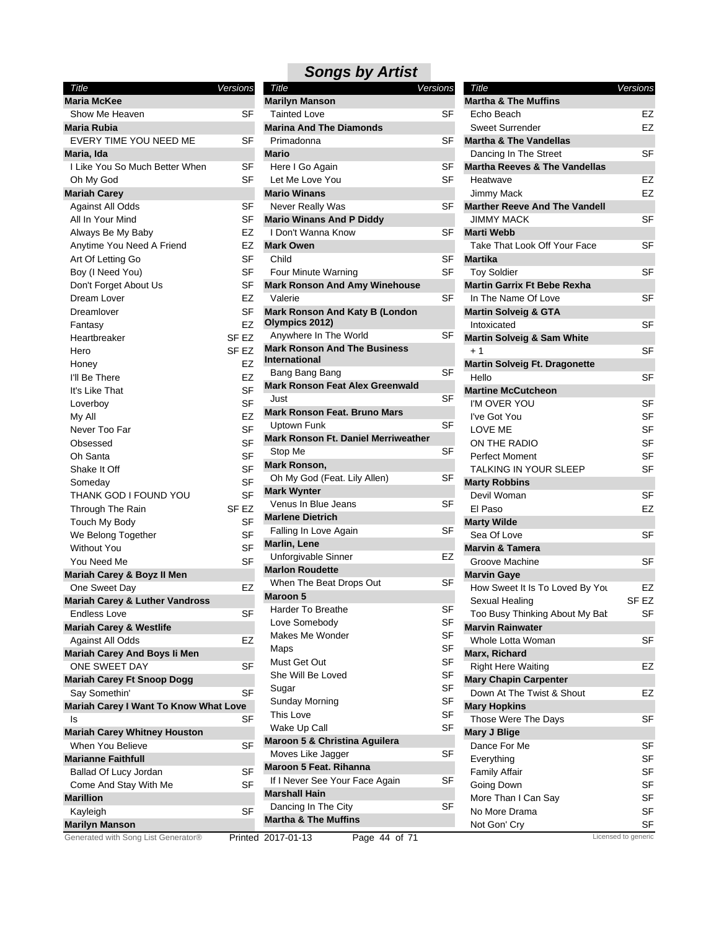| Title                                     | Versions         |
|-------------------------------------------|------------------|
| <b>Maria McKee</b>                        |                  |
| Show Me Heaven                            | SF               |
| <b>Maria Rubia</b>                        |                  |
| EVERY TIME YOU NEED ME                    | SF               |
| Maria, Ida                                |                  |
| I Like You So Much Better When            | SF               |
| Oh My God                                 | SF               |
| <b>Mariah Carey</b>                       |                  |
| <b>Against All Odds</b>                   | SF               |
| All In Your Mind                          | SF               |
| Always Be My Baby                         | EZ               |
| Anytime You Need A Friend                 | EZ               |
| Art Of Letting Go                         | SF               |
| Boy (I Need You)                          | SF               |
| Don't Forget About Us                     | SF               |
| Dream Lover                               | EZ               |
| Dreamlover                                | SF               |
| Fantasy                                   | EZ               |
| Heartbreaker                              | SF <sub>EZ</sub> |
| Hero                                      | SF <sub>EZ</sub> |
| Honey                                     | EZ               |
| I'll Be There                             | EZ               |
| It's Like That                            | SF               |
| Loverboy                                  | SF               |
| My All                                    | EZ               |
| Never Too Far                             | SF               |
| Obsessed                                  | SF               |
| Oh Santa                                  | SF               |
| Shake It Off                              | <b>SF</b>        |
| Someday                                   | SF               |
| THANK GOD I FOUND YOU                     | SF               |
| Through The Rain                          | SF <sub>EZ</sub> |
| Touch My Body                             | SF               |
| We Belong Together                        | SF               |
| <b>Without You</b>                        | SF               |
| You Need Me                               | <b>SF</b>        |
| Mariah Carey & Boyz II Men                |                  |
| One Sweet Day                             | EZ               |
| <b>Mariah Carey &amp; Luther Vandross</b> |                  |
| <b>Endless Love</b>                       | SF               |
| <b>Mariah Carey &amp; Westlife</b>        |                  |
| Against All Odds                          | EZ               |
| Mariah Carey And Boys li Men              |                  |
| ONE SWEET DAY                             | SF               |
| <b>Mariah Carey Ft Snoop Dogg</b>         |                  |
| Say Somethin'                             | SF               |
| Mariah Carey I Want To Know What Love     |                  |
| ls                                        | SF               |
| <b>Mariah Carey Whitney Houston</b>       |                  |
| When You Believe                          | SF               |
| <b>Marianne Faithfull</b>                 |                  |
| Ballad Of Lucy Jordan                     | SF               |
| Come And Stay With Me                     | SF               |
| <b>Marillion</b>                          |                  |
| Kayleigh                                  | SF               |
| <b>Marilyn Manson</b>                     |                  |

| Title                                                       | Versions |
|-------------------------------------------------------------|----------|
| <b>Marilyn Manson</b>                                       |          |
| Tainted Love<br><b>Marina And The Diamonds</b>              | SF       |
| Primadonna                                                  | SF       |
| Mario                                                       |          |
| Here I Go Again                                             | SF       |
| Let Me Love You                                             | SF       |
| <b>Mario Winans</b>                                         |          |
| <b>Never Really Was</b>                                     | SF       |
| <b>Mario Winans And P Diddy</b>                             |          |
| I Don't Wanna Know                                          | SF       |
| <b>Mark Owen</b>                                            |          |
| Child                                                       | SF       |
| Four Minute Warning                                         | SF       |
| <b>Mark Ronson And Amy Winehouse</b>                        |          |
| Valerie                                                     | SF       |
| <b>Mark Ronson And Katy B (London</b><br>Olympics 2012)     |          |
| Anywhere In The World                                       | SF       |
| <b>Mark Ronson And The Business</b><br><b>International</b> |          |
| Bang Bang Bang                                              | SF       |
| <b>Mark Ronson Feat Alex Greenwald</b>                      |          |
| Just                                                        | SF       |
| <b>Mark Ronson Feat. Bruno Mars</b>                         |          |
| Uptown Funk                                                 | SF       |
| <b>Mark Ronson Ft. Daniel Merriweather</b>                  |          |
| Stop Me                                                     | SF       |
| Mark Ronson,                                                |          |
| Oh My God (Feat. Lily Allen)                                | SF       |
| <b>Mark Wynter</b><br>Venus In Blue Jeans                   | SF       |
| <b>Marlene Dietrich</b>                                     |          |
| Falling In Love Again                                       | SF       |
| <b>Marlin, Lene</b>                                         |          |
| Unforgivable Sinner                                         | EZ       |
| <b>Marlon Roudette</b>                                      |          |
| When The Beat Drops Out                                     | SF       |
| <b>Maroon 5</b>                                             |          |
| Harder To Breathe                                           | SF       |
| Love Somebody                                               | SF       |
| <b>Makes Me Wonder</b>                                      | SF       |
| Maps                                                        | SF       |
| Must Get Out                                                | SF       |
| She Will Be Loved                                           | SF       |
| Sugar                                                       | SF       |
| <b>Sunday Morning</b>                                       | SF       |
| This Love                                                   | SF       |
| Wake Up Call                                                | SF       |
| Maroon 5 & Christina Aguilera                               |          |
| Moves Like Jagger                                           | SF       |
| <b>Maroon 5 Feat, Rihanna</b>                               |          |
| If I Never See Your Face Again                              | SF       |
| <b>Marshall Hain</b>                                        |          |
| Dancing In The City<br><b>Martha &amp; The Muffins</b>      | SF       |
|                                                             |          |

| Title                                    | Versions  |
|------------------------------------------|-----------|
| <b>Martha &amp; The Muffins</b>          |           |
| Echo Beach                               | EZ        |
| <b>Sweet Surrender</b>                   | EZ        |
| <b>Martha &amp; The Vandellas</b>        |           |
|                                          | SF        |
| Dancing In The Street                    |           |
| <b>Martha Reeves &amp; The Vandellas</b> |           |
| Heatwave                                 | EZ        |
| Jimmy Mack                               | EZ        |
| <b>Marther Reeve And The Vandell</b>     |           |
| <b>JIMMY MACK</b>                        | SF        |
| <b>Marti Webb</b>                        |           |
| Take That Look Off Your Face             | SF        |
| <b>Martika</b>                           |           |
| <b>Toy Soldier</b>                       | SF        |
| <b>Martin Garrix Ft Bebe Rexha</b>       |           |
| In The Name Of Love                      | SF        |
| <b>Martin Solveig &amp; GTA</b>          |           |
| Intoxicated                              | SF        |
| <b>Martin Solveig &amp; Sam White</b>    |           |
| $+1$                                     | SF        |
| <b>Martin Solveig Ft. Dragonette</b>     |           |
| Hello                                    | SF        |
| <b>Martine McCutcheon</b>                |           |
| I'M OVER YOU                             | SF        |
| I've Got You                             | SF        |
| LOVE ME                                  | <b>SF</b> |
| ON THE RADIO                             | <b>SF</b> |
| Perfect Moment                           | SF        |
| TALKING IN YOUR SLEEP                    | SF        |
| <b>Marty Robbins</b>                     |           |
| Devil Woman                              | SF        |
| El Paso                                  | EZ        |
| <b>Marty Wilde</b>                       |           |
| Sea Of Love                              | SF        |
| <b>Marvin &amp; Tamera</b>               |           |
| Groove Machine                           | SF        |
| <b>Marvin Gaye</b>                       |           |
| How Sweet It Is To Loved By You          | EZ        |
| Sexual Healing                           | SF EZ     |
| Too Busy Thinking About My Bat           | SF        |
| <b>Marvin Rainwater</b>                  |           |
| Whole Lotta Woman                        | SF        |
| Marx, Richard                            |           |
| <b>Right Here Waiting</b>                | EZ        |
| <b>Mary Chapin Carpenter</b>             |           |
| Down At The Twist & Shout                | EZ        |
| <b>Mary Hopkins</b>                      |           |
| Those Were The Days                      | SF        |
| <b>Mary J Blige</b>                      |           |
| Dance For Me                             | SF        |
| Everything                               | SF        |
| <b>Family Affair</b>                     | SF        |
| Going Down                               | SF        |
| More Than I Can Say                      | SF        |
| No More Drama                            | SF        |
| Not Gon' Cry                             | SF        |

Generated with Song List Generator® Printed 2017-01-13 Page 44 of 71 Licensed to generic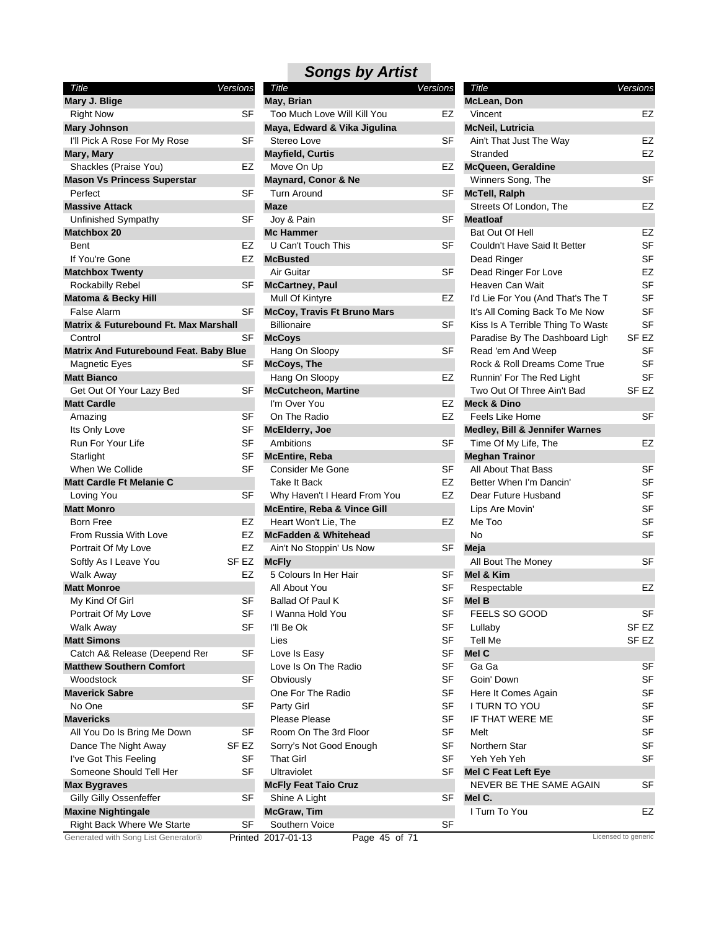| Title                                            | Versions         |
|--------------------------------------------------|------------------|
| Mary J. Blige                                    |                  |
| <b>Right Now</b>                                 | SF               |
| <b>Mary Johnson</b>                              |                  |
| I'll Pick A Rose For My Rose                     | SF               |
| Mary, Mary                                       |                  |
| Shackles (Praise You)                            | EZ               |
| <b>Mason Vs Princess Superstar</b>               |                  |
| Perfect                                          | SF               |
| <b>Massive Attack</b>                            |                  |
| Unfinished Sympathy                              | SF               |
| <b>Matchbox 20</b>                               |                  |
| Bent                                             | EZ               |
| If You're Gone                                   | EZ               |
| <b>Matchbox Twenty</b>                           |                  |
| Rockabilly Rebel                                 | SF               |
| <b>Matoma &amp; Becky Hill</b>                   |                  |
| False Alarm                                      | SF               |
| <b>Matrix &amp; Futurebound Ft. Max Marshall</b> |                  |
| Control                                          | SF               |
| Matrix And Futurebound Feat. Baby Blue           |                  |
| <b>Magnetic Eyes</b>                             | SF               |
| <b>Matt Bianco</b>                               |                  |
| Get Out Of Your Lazy Bed                         | SF               |
| <b>Matt Cardle</b>                               |                  |
| Amazing                                          | SF               |
| Its Only Love                                    | SF               |
| Run For Your Life                                | SF               |
| Starlight                                        | SF               |
| When We Collide                                  | SF               |
| <b>Matt Cardle Ft Melanie C</b>                  |                  |
| Loving You                                       | SF               |
| <b>Matt Monro</b>                                |                  |
| Born Free                                        | EZ               |
| From Russia With Love                            | EZ               |
| Portrait Of My Love                              | EZ               |
| Softly As I Leave You                            | SF <sub>EZ</sub> |
| <b>Walk Away</b>                                 | EZ               |
| <b>Matt Monroe</b>                               |                  |
| My Kind Of Girl                                  | SF               |
| Portrait Of My Love                              | SF               |
|                                                  | SF               |
| <b>Walk Away</b><br><b>Matt Simons</b>           |                  |
| Catch A& Release (Deepend Rer                    |                  |
|                                                  | SF               |
| <b>Matthew Southern Comfort</b>                  |                  |
| Woodstock<br><b>Maverick Sabre</b>               | SF               |
|                                                  |                  |
| No One                                           | SF               |
| <b>Mavericks</b>                                 |                  |
| All You Do Is Bring Me Down                      | SF               |
| Dance The Night Away                             | SF EZ            |
| I've Got This Feeling                            | SF               |
|                                                  |                  |
| Someone Should Tell Her                          | SF               |
| <b>Max Bygraves</b>                              |                  |
| Gilly Gilly Ossenfeffer                          | SF               |
| <b>Maxine Nightingale</b>                        |                  |

| Title                                  | <b>Versions</b>  | Title                                  | <b>Versions</b> | Title                                     | Versions            |
|----------------------------------------|------------------|----------------------------------------|-----------------|-------------------------------------------|---------------------|
| Mary J. Blige                          |                  | May, Brian                             |                 | McLean, Don                               |                     |
| <b>Right Now</b>                       | <b>SF</b>        | Too Much Love Will Kill You            | EZ              | Vincent                                   | EZ                  |
| Mary Johnson                           |                  | Maya, Edward & Vika Jigulina           |                 | <b>McNeil, Lutricia</b>                   |                     |
| I'll Pick A Rose For My Rose           | SF               | Stereo Love                            | SF              | Ain't That Just The Way                   | EZ                  |
| Mary, Mary                             |                  | <b>Mayfield, Curtis</b>                |                 | Stranded                                  | EZ                  |
| Shackles (Praise You)                  | EZ               | Move On Up                             | EZ              | <b>McQueen, Geraldine</b>                 |                     |
| <b>Mason Vs Princess Superstar</b>     |                  | <b>Maynard, Conor &amp; Ne</b>         |                 | Winners Song, The                         | <b>SF</b>           |
| Perfect                                | <b>SF</b>        | <b>Turn Around</b>                     | <b>SF</b>       | <b>McTell, Ralph</b>                      |                     |
| Massive Attack                         |                  | <b>Maze</b>                            |                 | Streets Of London, The                    | EZ                  |
| Unfinished Sympathy                    | <b>SF</b>        | Joy & Pain                             | <b>SF</b>       | <b>Meatloaf</b>                           |                     |
| Matchbox 20                            |                  | <b>Mc Hammer</b>                       |                 | Bat Out Of Hell                           | EZ                  |
| Bent                                   | EZ               | U Can't Touch This                     | SF              | Couldn't Have Said It Better              | SF                  |
| If You're Gone                         | EZ               | <b>McBusted</b>                        |                 | Dead Ringer                               | SF                  |
| <b>Matchbox Twenty</b>                 |                  | Air Guitar                             | <b>SF</b>       | Dead Ringer For Love                      | EZ                  |
| Rockabilly Rebel                       | SF               | <b>McCartney, Paul</b>                 |                 | Heaven Can Wait                           | <b>SF</b>           |
| Matoma & Becky Hill                    |                  | Mull Of Kintyre                        | EZ              | I'd Lie For You (And That's The T         | SF                  |
| <b>False Alarm</b>                     | <b>SF</b>        | <b>McCoy, Travis Ft Bruno Mars</b>     |                 | It's All Coming Back To Me Now            | <b>SF</b>           |
| Matrix & Futurebound Ft. Max Marshall  |                  | <b>Billionaire</b>                     | <b>SF</b>       | Kiss Is A Terrible Thing To Waste         | <b>SF</b>           |
| Control                                | SF               |                                        |                 | Paradise By The Dashboard Ligh            | SF <sub>EZ</sub>    |
|                                        |                  | <b>McCoys</b>                          | SF              |                                           | SF                  |
| Matrix And Futurebound Feat. Baby Blue |                  | Hang On Sloopy                         |                 | Read 'em And Weep                         | SF                  |
| <b>Magnetic Eyes</b>                   | SF               | <b>McCoys, The</b>                     |                 | Rock & Roll Dreams Come True              |                     |
| <b>Matt Bianco</b>                     |                  | Hang On Sloopy                         | EZ              | Runnin' For The Red Light                 | SF                  |
| Get Out Of Your Lazy Bed               | SF               | <b>McCutcheon, Martine</b>             |                 | Two Out Of Three Ain't Bad                | SF <sub>EZ</sub>    |
| <b>Matt Cardle</b>                     |                  | I'm Over You                           | EZ              | <b>Meck &amp; Dino</b>                    |                     |
| Amazing                                | <b>SF</b>        | On The Radio                           | EZ              | <b>Feels Like Home</b>                    | <b>SF</b>           |
| Its Only Love                          | SF               | <b>McElderry, Joe</b>                  |                 | <b>Medley, Bill &amp; Jennifer Warnes</b> |                     |
| Run For Your Life                      | <b>SF</b>        | Ambitions                              | <b>SF</b>       | Time Of My Life, The                      | EZ                  |
| Starlight                              | SF               | <b>McEntire, Reba</b>                  |                 | <b>Meghan Trainor</b>                     |                     |
| When We Collide                        | <b>SF</b>        | <b>Consider Me Gone</b>                | <b>SF</b>       | All About That Bass                       | SF                  |
| Matt Cardle Ft Melanie C               |                  | Take It Back                           | EZ              | Better When I'm Dancin'                   | SF                  |
| Loving You                             | <b>SF</b>        | Why Haven't I Heard From You           | EZ              | Dear Future Husband                       | SF                  |
| <b>Matt Monro</b>                      |                  | <b>McEntire, Reba &amp; Vince Gill</b> |                 | Lips Are Movin'                           | <b>SF</b>           |
| <b>Born Free</b>                       | EZ               | Heart Won't Lie, The                   | EZ              | Me Too                                    | SF                  |
| From Russia With Love                  | EZ               | <b>McFadden &amp; Whitehead</b>        |                 | No                                        | SF                  |
| Portrait Of My Love                    | EZ               | Ain't No Stoppin' Us Now               | SF              | Meja                                      |                     |
| Softly As I Leave You                  | SF EZ            | <b>McFly</b>                           |                 | All Bout The Money                        | SF                  |
| Walk Away                              | EZ               | 5 Colours In Her Hair                  | SF              | Mel & Kim                                 |                     |
| <b>Matt Monroe</b>                     |                  | All About You                          | SF              | Respectable                               | EZ                  |
| My Kind Of Girl                        | SF               | Ballad Of Paul K                       | SF              | Mel B                                     |                     |
| Portrait Of My Love                    | SF               | I Wanna Hold You                       | SF              | FEELS SO GOOD                             | SF                  |
| Walk Away                              | <b>SF</b>        | I'll Be Ok                             | <b>SF</b>       | Lullaby                                   | SF EZ               |
| <b>Matt Simons</b>                     |                  | Lies                                   | <b>SF</b>       | Tell Me                                   | SF <sub>EZ</sub>    |
| Catch A& Release (Deepend Rer          | <b>SF</b>        | Love Is Easy                           | <b>SF</b>       | Mel C                                     |                     |
| <b>Matthew Southern Comfort</b>        |                  | Love Is On The Radio                   | <b>SF</b>       | Ga Ga                                     | SF                  |
| Woodstock                              | <b>SF</b>        | Obviously                              | SF              | Goin' Down                                | SF                  |
| Maverick Sabre                         |                  | One For The Radio                      | SF              | Here It Comes Again                       | SF                  |
| No One                                 | <b>SF</b>        | Party Girl                             | <b>SF</b>       | I TURN TO YOU                             | <b>SF</b>           |
| Mavericks                              |                  | Please Please                          | SF              | IF THAT WERE ME                           | <b>SF</b>           |
| All You Do Is Bring Me Down            | <b>SF</b>        | Room On The 3rd Floor                  | <b>SF</b>       | Melt                                      | <b>SF</b>           |
| Dance The Night Away                   | SF <sub>EZ</sub> | Sorry's Not Good Enough                | <b>SF</b>       | Northern Star                             | SF                  |
| I've Got This Feeling                  | <b>SF</b>        | <b>That Girl</b>                       | <b>SF</b>       | Yeh Yeh Yeh                               | SF                  |
| Someone Should Tell Her                | <b>SF</b>        | Ultraviolet                            | SF              | <b>Mel C Feat Left Eye</b>                |                     |
| <b>Max Bygraves</b>                    |                  | <b>McFly Feat Taio Cruz</b>            |                 | NEVER BE THE SAME AGAIN                   | SF                  |
| Gilly Gilly Ossenfeffer                | <b>SF</b>        | Shine A Light                          | SF              | Mel C.                                    |                     |
| <b>Maxine Nightingale</b>              |                  | <b>McGraw, Tim</b>                     |                 | I Turn To You                             | EZ                  |
| <b>Right Back Where We Starte</b>      | SF               | Southern Voice                         | SF              |                                           |                     |
| Generated with Song List Generator®    |                  | Printed 2017-01-13<br>Page 45 of 71    |                 |                                           | Licensed to generic |
|                                        |                  |                                        |                 |                                           |                     |

| Title                             | Versions |                  |
|-----------------------------------|----------|------------------|
| McLean, Don                       |          |                  |
| Vincent                           |          | EZ               |
| McNeil, Lutricia                  |          |                  |
| Ain't That Just The Way           |          | EZ               |
| Stranded                          |          | EZ               |
| <b>McQueen, Geraldine</b>         |          |                  |
| Winners Song, The                 |          | SF               |
| <b>McTell, Ralph</b>              |          |                  |
| Streets Of London, The            |          | EZ               |
| <b>Meatloaf</b>                   |          |                  |
| Bat Out Of Hell                   |          | EZ               |
| Couldn't Have Said It Better      |          | <b>SF</b>        |
| Dead Ringer                       |          | SF               |
| Dead Ringer For Love              |          | EZ               |
| Heaven Can Wait                   |          | SF               |
| I'd Lie For You (And That's The T |          | SF               |
| It's All Coming Back To Me Now    |          | SF               |
| Kiss Is A Terrible Thing To Waste |          | SF               |
| Paradise By The Dashboard Ligh    | SF EZ    |                  |
| Read 'em And Weep                 |          | SF               |
| Rock & Roll Dreams Come True      |          | SF               |
| Runnin' For The Red Light         |          | SF               |
| Two Out Of Three Ain't Bad        |          | SF <sub>EZ</sub> |
| <b>Meck &amp; Dino</b>            |          |                  |
| Feels Like Home                   |          | SF               |
| Medley, Bill & Jennifer Warnes    |          |                  |
| Time Of My Life, The              |          | EZ               |
| <b>Meghan Trainor</b>             |          |                  |
| All About That Bass               |          | SF               |
| Better When I'm Dancin'           |          | <b>SF</b>        |
| Dear Future Husband               |          | SF               |
| Lips Are Movin'                   |          | SF               |
| Me Too                            |          | SF               |
| No                                |          | SF               |
| Meja                              |          |                  |
| All Bout The Money                |          | SF               |
| Mel & Kim                         |          |                  |
| Respectable                       |          | EZ               |
| Mel B                             |          |                  |
| FEELS SO GOOD                     |          | SF               |
| Lullaby                           |          | SF EZ            |
| <b>Tell Me</b>                    |          | SF EZ            |
| Mel C                             |          |                  |
| Ga Ga                             |          | SF               |
| Goin' Down                        |          | SF               |
| Here It Comes Again               |          | <b>SF</b>        |
| I TURN TO YOU                     |          | <b>SF</b>        |
| IF THAT WERE ME                   |          | SF               |
| Melt                              |          | <b>SF</b>        |
| Northern Star                     |          | SF               |
| Yeh Yeh Yeh                       |          | SF               |
| <b>Mel C Feat Left Eye</b>        |          |                  |
| NEVER BE THE SAME AGAIN           |          | SF               |
| Mel C.                            |          |                  |
| I Turn To You                     |          | EZ               |
|                                   |          |                  |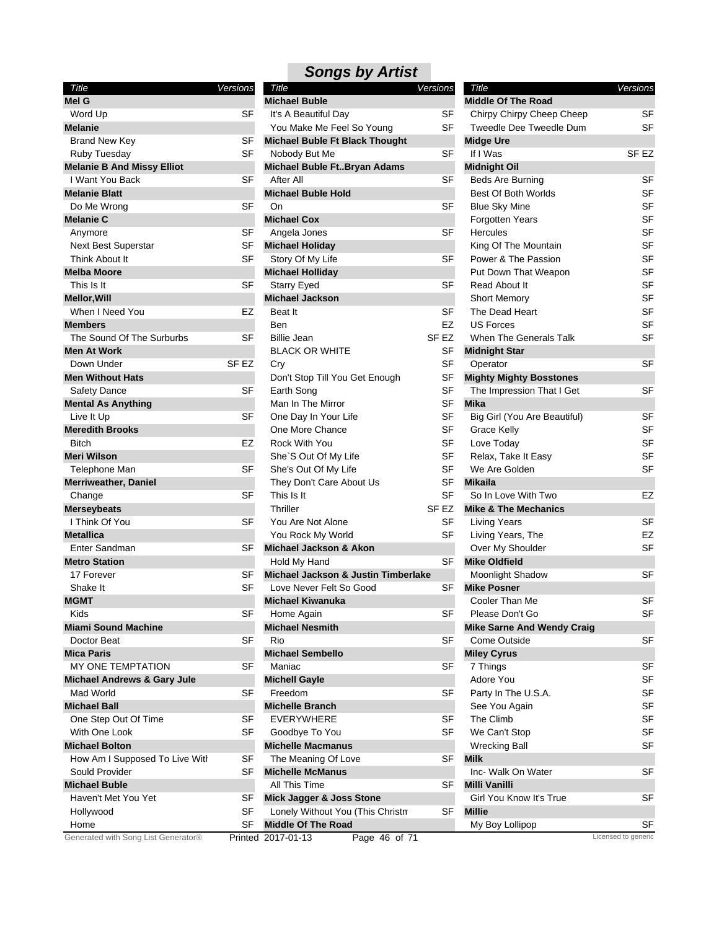|  | <b>Songs by Artist</b> |
|--|------------------------|
|--|------------------------|

| Title                                       | Versions             |
|---------------------------------------------|----------------------|
| Mel G                                       |                      |
| Word Up                                     | SF                   |
| Melanie                                     |                      |
| <b>Brand New Key</b>                        | SF                   |
| Ruby Tuesday                                | SF                   |
| <b>Melanie B And Missy Elliot</b>           |                      |
| I Want You Back                             | SF                   |
| <b>Melanie Blatt</b>                        |                      |
| Do Me Wrong                                 | SF                   |
| Melanie C                                   |                      |
| Anymore                                     | SF                   |
| <b>Next Best Superstar</b>                  | SF                   |
| <b>Think About It</b>                       | SF                   |
| <b>Melba Moore</b>                          |                      |
| This Is It                                  | SF                   |
| <b>Mellor, Will</b>                         |                      |
| When I Need You                             | EZ                   |
| <b>Members</b>                              |                      |
| The Sound Of The Surburbs                   | SF                   |
|                                             |                      |
| Men At Work                                 |                      |
| Down Under                                  | SF EZ                |
| <b>Men Without Hats</b>                     |                      |
| <b>Safety Dance</b>                         | SF                   |
| <b>Mental As Anything</b>                   |                      |
| Live It Up                                  | SF                   |
| <b>Meredith Brooks</b>                      |                      |
| <b>Bitch</b>                                | EZ                   |
| Meri Wilson                                 |                      |
| Telephone Man                               | SF                   |
| Merriweather, Daniel                        |                      |
| Change                                      | SF                   |
| <b>Merseybeats</b>                          |                      |
| I Think Of You                              | SF                   |
| <b>Metallica</b>                            |                      |
| Enter Sandman                               | SF                   |
| <b>Metro Station</b>                        |                      |
| 17 Forever                                  | SF                   |
| Shake It                                    | SF                   |
| <b>MGMT</b>                                 |                      |
| Kids                                        | SF                   |
| Miami Sound Machine                         |                      |
| Doctor Beat                                 | SF                   |
| Mica Paris                                  |                      |
| MY ONE TEMPTATION                           | SF                   |
| Michael Andrews & Gary Jule                 |                      |
| Mad World                                   | SF                   |
| Michael Ball                                |                      |
| One Step Out Of Time                        | SF                   |
| With One Look                               | SF                   |
| <b>Michael Bolton</b>                       |                      |
| How Am I Supposed To Live With              | SF                   |
| Sould Provider                              | SF                   |
| Michael Buble                               |                      |
| Haven't Met You Yet                         |                      |
|                                             | SF                   |
| Hollywood                                   | SF                   |
| Home<br>Generated with Song List Generator® | SF<br><b>Drintod</b> |

| Title                               | Versions         | Title                                 | Versions         | Title                             | Versions            |
|-------------------------------------|------------------|---------------------------------------|------------------|-----------------------------------|---------------------|
| Mel G                               |                  | <b>Michael Buble</b>                  |                  | <b>Middle Of The Road</b>         |                     |
| Word Up                             | <b>SF</b>        | It's A Beautiful Day                  | SF               | Chirpy Chirpy Cheep Cheep         | <b>SF</b>           |
| Melanie                             |                  | You Make Me Feel So Young             | <b>SF</b>        | Tweedle Dee Tweedle Dum           | <b>SF</b>           |
| <b>Brand New Key</b>                | SF               | <b>Michael Buble Ft Black Thought</b> |                  | <b>Midge Ure</b>                  |                     |
| Ruby Tuesday                        | <b>SF</b>        | Nobody But Me                         | <b>SF</b>        | If I Was                          | SF EZ               |
| <b>Melanie B And Missy Elliot</b>   |                  | Michael Buble FtBryan Adams           |                  | <b>Midnight Oil</b>               |                     |
| I Want You Back                     | <b>SF</b>        | After All                             | <b>SF</b>        | <b>Beds Are Burning</b>           | SF                  |
| Melanie Blatt                       |                  | <b>Michael Buble Hold</b>             |                  | Best Of Both Worlds               | SF                  |
| Do Me Wrong                         | <b>SF</b>        | On                                    | <b>SF</b>        | <b>Blue Sky Mine</b>              | SF                  |
| Melanie C                           |                  | <b>Michael Cox</b>                    |                  | <b>Forgotten Years</b>            | <b>SF</b>           |
| Anymore                             | SF               | Angela Jones                          | <b>SF</b>        | <b>Hercules</b>                   | <b>SF</b>           |
| <b>Next Best Superstar</b>          | SF               | <b>Michael Holiday</b>                |                  | King Of The Mountain              | SF                  |
| Think About It                      | <b>SF</b>        | Story Of My Life                      | <b>SF</b>        | Power & The Passion               | <b>SF</b>           |
| <b>Melba Moore</b>                  |                  | <b>Michael Holliday</b>               |                  | Put Down That Weapon              | SF                  |
| This Is It                          | SF               | <b>Starry Eyed</b>                    | SF               | Read About It                     | <b>SF</b>           |
| <b>Mellor, Will</b>                 |                  | <b>Michael Jackson</b>                |                  | <b>Short Memory</b>               | <b>SF</b>           |
| When I Need You                     | EZ               | Beat It                               | <b>SF</b>        | The Dead Heart                    | <b>SF</b>           |
| Members                             |                  | Ben                                   | EZ               | <b>US Forces</b>                  | <b>SF</b>           |
| The Sound Of The Surburbs           | <b>SF</b>        | <b>Billie Jean</b>                    | SF <sub>EZ</sub> | When The Generals Talk            | <b>SF</b>           |
| Men At Work                         |                  | <b>BLACK OR WHITE</b>                 | SF               | <b>Midnight Star</b>              |                     |
| Down Under                          | SF <sub>EZ</sub> | Cry                                   | <b>SF</b>        | Operator                          | <b>SF</b>           |
| <b>Men Without Hats</b>             |                  | Don't Stop Till You Get Enough        | SF               | <b>Mighty Mighty Bosstones</b>    |                     |
| Safety Dance                        | <b>SF</b>        | Earth Song                            | <b>SF</b>        | The Impression That I Get         | <b>SF</b>           |
| <b>Mental As Anything</b>           |                  | Man In The Mirror                     | <b>SF</b>        | <b>Mika</b>                       |                     |
| Live It Up                          | <b>SF</b>        | One Day In Your Life                  | <b>SF</b>        | Big Girl (You Are Beautiful)      | SF                  |
| <b>Meredith Brooks</b>              |                  | One More Chance                       | <b>SF</b>        | <b>Grace Kelly</b>                | <b>SF</b>           |
| <b>Bitch</b>                        | EZ               | Rock With You                         | <b>SF</b>        | Love Today                        | <b>SF</b>           |
| Meri Wilson                         |                  | She'S Out Of My Life                  | <b>SF</b>        | Relax, Take It Easy               | SF                  |
| Telephone Man                       | <b>SF</b>        | She's Out Of My Life                  | <b>SF</b>        | We Are Golden                     | SF                  |
|                                     |                  | They Don't Care About Us              | SF               | <b>Mikaila</b>                    |                     |
| Merriweather, Daniel                | <b>SF</b>        | This Is It                            | <b>SF</b>        | So In Love With Two               | EZ                  |
| Change                              |                  | Thriller                              | SF <sub>EZ</sub> | <b>Mike &amp; The Mechanics</b>   |                     |
| Merseybeats                         | <b>SF</b>        |                                       |                  |                                   | <b>SF</b>           |
| I Think Of You                      |                  | You Are Not Alone                     | SF               | <b>Living Years</b>               |                     |
| Metallica                           |                  | You Rock My World                     | <b>SF</b>        | Living Years, The                 | EZ                  |
| Enter Sandman                       | SF               | Michael Jackson & Akon                |                  | Over My Shoulder                  | SF                  |
| <b>Metro Station</b>                |                  | Hold My Hand                          | <b>SF</b>        | <b>Mike Oldfield</b>              |                     |
| 17 Forever                          | SF               | Michael Jackson & Justin Timberlake   |                  | Moonlight Shadow                  | <b>SF</b>           |
| Shake It                            | SF               | Love Never Felt So Good               | <b>SF</b>        | <b>Mike Posner</b>                |                     |
| <b>MGMT</b>                         |                  | <b>Michael Kiwanuka</b>               |                  | Cooler Than Me                    | SF                  |
| Kids                                | S⊦               | Home Again                            | SF               | Please Don't Go                   | <b>SF</b>           |
| Miami Sound Machine                 |                  | <b>Michael Nesmith</b>                |                  | <b>Mike Sarne And Wendy Craig</b> |                     |
| Doctor Beat                         | SF               | Rio                                   | SF               | Come Outside                      | SF                  |
| Mica Paris                          |                  | <b>Michael Sembello</b>               |                  | <b>Miley Cyrus</b>                |                     |
| MY ONE TEMPTATION                   | <b>SF</b>        | Maniac                                | <b>SF</b>        | 7 Things                          | SF                  |
| Michael Andrews & Gary Jule         |                  | <b>Michell Gayle</b>                  |                  | Adore You                         | SF                  |
| Mad World                           | SF               | Freedom                               | SF               | Party In The U.S.A.               | SF                  |
| Michael Ball                        |                  | <b>Michelle Branch</b>                |                  | See You Again                     | SF                  |
| One Step Out Of Time                | SF               | <b>EVERYWHERE</b>                     | SF               | The Climb                         | SF                  |
| With One Look                       | <b>SF</b>        | Goodbye To You                        | <b>SF</b>        | We Can't Stop                     | SF                  |
| <b>Michael Bolton</b>               |                  | <b>Michelle Macmanus</b>              |                  | <b>Wrecking Ball</b>              | SF                  |
| How Am I Supposed To Live With      | <b>SF</b>        | The Meaning Of Love                   | SF               | <b>Milk</b>                       |                     |
| Sould Provider                      | SF               | <b>Michelle McManus</b>               |                  | Inc- Walk On Water                | SF                  |
| Michael Buble                       |                  | All This Time                         | <b>SF</b>        | <b>Milli Vanilli</b>              |                     |
| Haven't Met You Yet                 | SF               | Mick Jagger & Joss Stone              |                  | Girl You Know It's True           | SF                  |
| Hollywood                           | <b>SF</b>        | Lonely Without You (This Christm      | <b>SF</b>        | <b>Millie</b>                     |                     |
| Home                                | <b>SF</b>        | <b>Middle Of The Road</b>             |                  | My Boy Lollipop                   | <b>SF</b>           |
| Generated with Song List Generator® |                  | Printed 2017-01-13<br>Page 46 of 71   |                  |                                   | Licensed to generic |

| Title                             | <b>Versions</b> |
|-----------------------------------|-----------------|
| <b>Middle Of The Road</b>         |                 |
| Chirpy Chirpy Cheep Cheep         | SF              |
| Tweedle Dee Tweedle Dum           | SF              |
| <b>Midge Ure</b>                  |                 |
| If I Was                          | SF EZ           |
| <b>Midnight Oil</b>               |                 |
| Beds Are Burning                  | SF              |
| Best Of Both Worlds               | SF              |
| <b>Blue Sky Mine</b>              | <b>SF</b>       |
| <b>Forgotten Years</b>            | SF              |
| Hercules                          | SF              |
| King Of The Mountain              | SF              |
| Power & The Passion               | SF              |
| Put Down That Weapon              | SF              |
| Read About It                     | SF              |
| <b>Short Memory</b>               | SF              |
| The Dead Heart                    | SF              |
| US Forces                         | SF              |
| When The Generals Talk            | SF              |
| <b>Midnight Star</b>              |                 |
| Operator                          | SF              |
| <b>Mighty Mighty Bosstones</b>    |                 |
| The Impression That I Get         | SF              |
| <b>Mika</b>                       |                 |
| Big Girl (You Are Beautiful)      | SF              |
| Grace Kelly                       | SF              |
| Love Today                        | SF              |
| Relax, Take It Easy               | SF              |
| We Are Golden                     | SF              |
| <b>Mikaila</b>                    |                 |
| So In Love With Two               | EZ              |
| <b>Mike &amp; The Mechanics</b>   |                 |
| Living Years                      | SF              |
| Living Years, The                 | EZ              |
| Over My Shoulder                  | SF              |
| <b>Mike Oldfield</b>              |                 |
| Moonlight Shadow                  | SF              |
| <b>Mike Posner</b>                |                 |
| Cooler Than Me                    | SF              |
| Please Don't Go                   | SF              |
| <b>Mike Sarne And Wendy Craig</b> |                 |
| Come Outside                      | SF              |
| <b>Miley Cyrus</b>                |                 |
| 7 Things                          | SF              |
| Adore You                         | SF              |
| Party In The U.S.A.               | SF              |
| See You Again                     | <b>SF</b>       |
| The Climb                         | SF              |
| We Can't Stop                     | SF              |
| <b>Wrecking Ball</b>              | SF              |
| <b>Milk</b>                       |                 |
| Inc- Walk On Water                | SF              |
| Milli Vanilli                     |                 |
| Girl You Know It's True           | SF              |
| Millie                            |                 |
| My Boy Lollipop                   | SF              |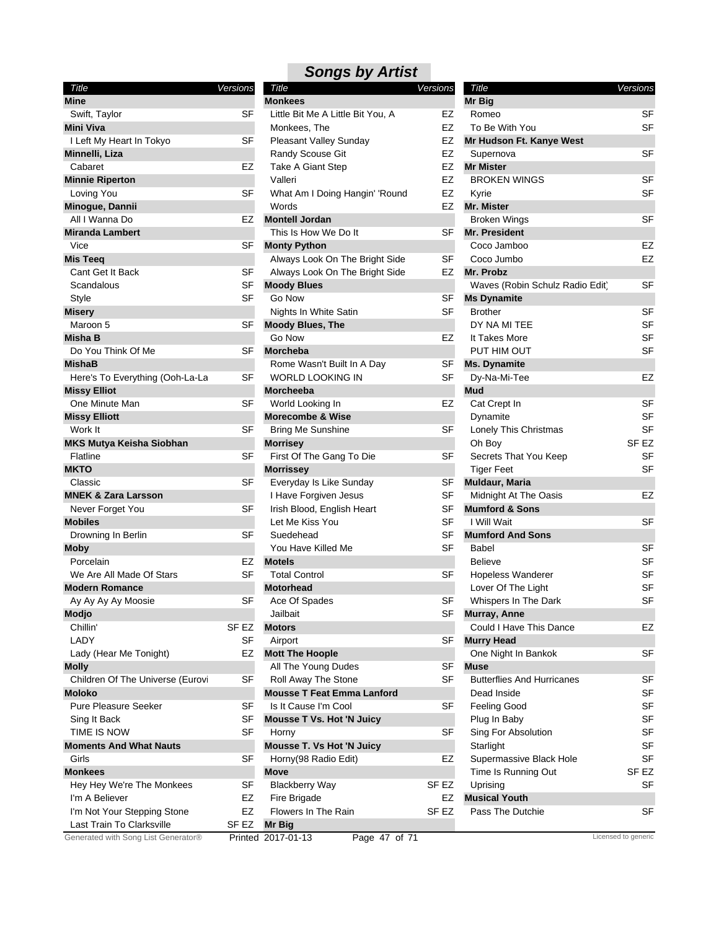| Title                            | Versions         |
|----------------------------------|------------------|
| <b>Mine</b>                      |                  |
| Swift, Taylor                    | SF               |
| <b>Mini Viva</b>                 |                  |
| I Left My Heart In Tokyo         | SF               |
| Minnelli, Liza                   |                  |
| Cabaret                          | EZ               |
| <b>Minnie Riperton</b>           |                  |
| Loving You                       | SF               |
| Minogue, Dannii                  |                  |
| All I Wanna Do                   | EZ               |
| <b>Miranda Lambert</b>           |                  |
| Vice                             | SF               |
| <b>Mis Teeq</b>                  |                  |
| Cant Get It Back                 | SF               |
| Scandalous                       | SF               |
| Style                            | SF               |
| <b>Misery</b>                    |                  |
| Maroon 5                         | SF               |
| Misha B                          |                  |
| Do You Think Of Me               | SF               |
| <b>MishaB</b>                    |                  |
| Here's To Everything (Ooh-La-La  | SF               |
| <b>Missy Elliot</b>              |                  |
| One Minute Man                   | SF               |
| <b>Missy Elliott</b>             |                  |
| Work It                          | SF               |
| <b>MKS Mutya Keisha Siobhan</b>  |                  |
| Flatline                         | SF               |
| <b>MKTO</b>                      |                  |
| Classic                          | SF               |
| <b>MNEK &amp; Zara Larsson</b>   |                  |
| Never Forget You                 | SF               |
| <b>Mobiles</b>                   |                  |
| Drowning In Berlin               | SF               |
| <b>Moby</b>                      |                  |
| Porcelain                        | EZ               |
| We Are All Made Of Stars         | SF               |
| <b>Modern Romance</b>            |                  |
| Ay Ay Ay Ay Moosie               | SF               |
| Modjo                            |                  |
| Chillin'                         | SF <sub>EZ</sub> |
| LADY                             | SF               |
| Lady (Hear Me Tonight)           | EZ               |
| <b>Molly</b>                     |                  |
| Children Of The Universe (Eurovi | SF               |
| Moloko                           |                  |
| <b>Pure Pleasure Seeker</b>      | SF               |
| Sing It Back                     | SF               |
| TIME IS NOW                      | SF               |
| <b>Moments And What Nauts</b>    |                  |
| Girls                            | SF               |
| <b>Monkees</b>                   |                  |
| Hey Hey We're The Monkees        | SF               |
| I'm A Believer                   | EZ               |
| I'm Not Your Stepping Stone      | EZ               |
| Last Train To Clarksville        | SF EZ            |

| <b>Monkees</b>                    |    |
|-----------------------------------|----|
| Little Bit Me A Little Bit You, A | EZ |
| Monkees, The                      | EZ |
| <b>Pleasant Valley Sunday</b>     | EZ |
| <b>Randy Scouse Git</b>           | EZ |
| <b>Take A Giant Step</b>          | EZ |
| Valleri                           | EZ |
| What Am I Doing Hangin' 'Round    | EZ |
| Words                             | EZ |
| <b>Montell Jordan</b>             |    |
| This Is How We Do It              | SF |
| <b>Monty Python</b>               |    |
| Always Look On The Bright Side    | SF |
| Always Look On The Bright Side    | EZ |
| <b>Moody Blues</b>                |    |
| Go Now                            | SF |
| <b>Nights In White Satin</b>      | SF |
| <b>Moody Blues, The</b>           |    |
| Go Now                            | EZ |
| <b>Morcheba</b>                   |    |
| Rome Wasn't Built In A Day        | SF |
| <b>WORLD LOOKING IN</b>           | SF |
| <b>Morcheeba</b>                  |    |
| World Looking In                  | EZ |
| <b>Morecombe &amp; Wise</b>       |    |
| <b>Bring Me Sunshine</b>          | SF |
| <b>Morrisey</b>                   |    |
| First Of The Gang To Die          | SF |
| <b>Morrissey</b>                  |    |
| Everyday Is Like Sunday           | SF |
| I Have Forgiven Jesus             | SF |
| Irish Blood, English Heart        | SF |
| Let Me Kiss You                   | SF |
| Suedehead                         | SF |
| You Have Killed Me                | SF |
| <b>Motels</b>                     |    |
| <b>Total Control</b>              | SF |
| <b>Motorhead</b>                  |    |
| Ace Of Spades                     | SF |
| Jailbait                          | SF |
| <b>Motors</b>                     |    |
| Airport                           | SF |
| <b>Mott The Hoople</b>            |    |
| All The Young Dudes               | SF |
| Roll Away The Stone               | SF |
| <b>Mousse T Feat Emma Lanford</b> |    |
| Is It Cause I'm Cool              | SF |
| <b>Mousse T Vs. Hot 'N Juicy</b>  |    |
| Horny                             | SF |
| <b>Mousse T. Vs Hot 'N Juicy</b>  |    |
| Horny(98 Radio Edit)              | EZ |

**Move**

**Mr Big**

*Songs by Artist Title Versions*

#### To Be With You **SF** Kyrie SF Coco Jumbo EZ DY NA MI TEE SF It Takes More SF PUT HIM OUT SF Dynamite SF Lonely This Christmas SF Oh Boy SF EZ Secrets That You Keep SF Tiger Feet SF Believe SF Hopeless Wanderer SF Lover Of The Light SF Whispers In The Dark SF Dead Inside SF Feeling Good SF Plug In Baby SF Sing For Absolution SF Starlight SF Supermassive Black Hole SF Time Is Running Out SF EZ Uprising SF *Title Versions* **Mr Big** Romeo SF **Mr Hudson Ft. Kanye West** Supernova SF **Mr Mister** BROKEN WINGS SF **Mr. Mister** Broken Wings **SF Mr. President** Coco Jamboo EZ **Mr. Probz** Waves (Robin Schulz Radio Edit) SF **Ms Dynamite** Brother SF **Ms. Dynamite** Dy-Na-Mi-Tee EZ **Mud** Cat Crept In SF **Muldaur, Maria** Midnight At The Oasis **EZ Mumford & Sons** I Will Wait SF **Mumford And Sons** Babel SF **Murray, Anne** Could I Have This Dance EZ **Murry Head** One Night In Bankok SF **Muse** Butterflies And Hurricanes SF **Musical Youth** Pass The Dutchie SF

Generated with Song List Generator® Printed 2017-01-13 Page 47 of 71 Licensed to generic

Fire Brigade **EZ** Flowers In The Rain SF EZ

Blackberry Way SF EZ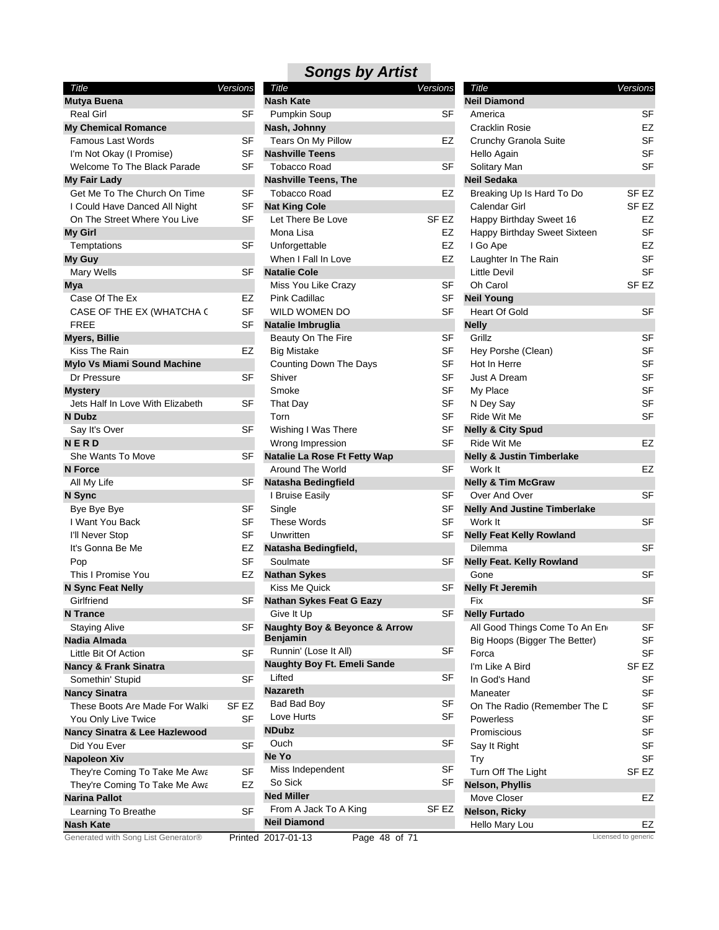| Title                                              | Versions |
|----------------------------------------------------|----------|
| Mutya Buena                                        |          |
| <b>Real Girl</b>                                   | SF       |
| <b>My Chemical Romance</b>                         |          |
| Famous Last Words                                  | SF       |
| I'm Not Okay (I Promise)                           | SF       |
| Welcome To The Black Parade                        | SF       |
| <b>My Fair Lady</b>                                |          |
| Get Me To The Church On Time                       | SF       |
| I Could Have Danced All Night                      | SF       |
| On The Street Where You Live                       | SF       |
| My Girl                                            |          |
| Temptations                                        | SF       |
| My Guy                                             |          |
| Mary Wells                                         | SF       |
| Mya                                                |          |
| Case Of The Ex                                     | EZ       |
| CASE OF THE EX (WHATCHA C                          | SF       |
| FREE                                               | SF       |
| <b>Myers, Billie</b>                               |          |
| Kiss The Rain                                      | EZ       |
|                                                    |          |
| Mylo Vs Miami Sound Machine<br>Dr Pressure         | SF       |
|                                                    |          |
| <b>Mystery</b><br>Jets Half In Love With Elizabeth | SF       |
|                                                    |          |
| <b>N</b> Dubz                                      |          |
| Say It's Over                                      | SF       |
| NERD                                               |          |
| She Wants To Move                                  | SF       |
| <b>N</b> Force                                     |          |
| All My Life                                        | SF       |
| N Sync                                             |          |
| Bye Bye Bye                                        | SF       |
| I Want You Back                                    | SF       |
| I'll Never Stop                                    | SF       |
| It's Gonna Be Me                                   | EZ       |
| Pop                                                | SF       |
| This I Promise You                                 | EZ       |
| N Sync Feat Nelly                                  |          |
| Girlfriend                                         | SF       |
| <b>N</b> Trance                                    |          |
| Staying Alive                                      | SF       |
| Nadia Almada                                       |          |
| Little Bit Of Action                               | SF       |
| <b>Nancy &amp; Frank Sinatra</b>                   |          |
| Somethin' Stupid                                   | SF       |
| <b>Nancy Sinatra</b>                               |          |
| These Boots Are Made For Walki                     | SF EZ    |
| You Only Live Twice                                | SF       |
| Nancy Sinatra & Lee Hazlewood                      |          |
| Did You Ever                                       | SF       |
| <b>Napoleon Xiv</b>                                |          |
| They're Coming To Take Me Awa                      | SF       |
| They're Coming To Take Me Awa                      | EZ       |
| <b>Narina Pallot</b>                               |          |
|                                                    |          |
| Learning To Breathe                                | SF       |
| <b>Nash Kate</b>                                   |          |

| Title                               | Versions  | Title                                        | Versions         | Title                                | Versions            |
|-------------------------------------|-----------|----------------------------------------------|------------------|--------------------------------------|---------------------|
| <b>Mutya Buena</b>                  |           | <b>Nash Kate</b>                             |                  | <b>Neil Diamond</b>                  |                     |
| <b>Real Girl</b>                    | <b>SF</b> | Pumpkin Soup                                 | SF               | America                              | <b>SF</b>           |
| <b>My Chemical Romance</b>          |           | Nash, Johnny                                 |                  | Cracklin Rosie                       | EZ                  |
| <b>Famous Last Words</b>            | <b>SF</b> | Tears On My Pillow                           | EZ               | Crunchy Granola Suite                | SF                  |
| I'm Not Okay (I Promise)            | <b>SF</b> | <b>Nashville Teens</b>                       |                  | Hello Again                          | SF                  |
| Welcome To The Black Parade         | SF        | <b>Tobacco Road</b>                          | <b>SF</b>        | Solitary Man                         | SF                  |
| <b>My Fair Lady</b>                 |           | <b>Nashville Teens, The</b>                  |                  | <b>Neil Sedaka</b>                   |                     |
| Get Me To The Church On Time        | <b>SF</b> | <b>Tobacco Road</b>                          | EZ               | Breaking Up Is Hard To Do            | SF <sub>EZ</sub>    |
| I Could Have Danced All Night       | SF        | <b>Nat King Cole</b>                         |                  | Calendar Girl                        | SF <sub>EZ</sub>    |
| On The Street Where You Live        | <b>SF</b> | Let There Be Love                            | SF <sub>EZ</sub> | Happy Birthday Sweet 16              | <b>EZ</b>           |
| <b>My Girl</b>                      |           | Mona Lisa                                    | EZ               | Happy Birthday Sweet Sixteen         | <b>SF</b>           |
| Temptations                         | <b>SF</b> | Unforgettable                                | EZ               | I Go Ape                             | EZ                  |
| My Guy                              |           | When I Fall In Love                          | EZ               | Laughter In The Rain                 | SF                  |
| Mary Wells                          | <b>SF</b> | <b>Natalie Cole</b>                          |                  | <b>Little Devil</b>                  | SF                  |
| <b>Mya</b>                          |           | Miss You Like Crazy                          | SF               | Oh Carol                             | SF <sub>EZ</sub>    |
| Case Of The Ex                      | EZ        | Pink Cadillac                                | SF               | <b>Neil Young</b>                    |                     |
| CASE OF THE EX (WHATCHA C           | <b>SF</b> | WILD WOMEN DO                                | <b>SF</b>        | <b>Heart Of Gold</b>                 | <b>SF</b>           |
| <b>FREE</b>                         | <b>SF</b> |                                              |                  | <b>Nelly</b>                         |                     |
|                                     |           | Natalie Imbruglia                            | <b>SF</b>        | Grillz                               | <b>SF</b>           |
| <b>Myers, Billie</b>                |           | Beauty On The Fire                           |                  |                                      |                     |
| Kiss The Rain                       | EZ        | <b>Big Mistake</b>                           | <b>SF</b>        | Hey Porshe (Clean)                   | <b>SF</b>           |
| <b>Mylo Vs Miami Sound Machine</b>  |           | Counting Down The Days                       | <b>SF</b>        | Hot In Herre                         | SF                  |
| Dr Pressure                         | <b>SF</b> | Shiver                                       | <b>SF</b>        | Just A Dream                         | SF                  |
| <b>Mystery</b>                      |           | Smoke                                        | <b>SF</b>        | My Place                             | SF                  |
| Jets Half In Love With Elizabeth    | <b>SF</b> | That Day                                     | <b>SF</b>        | N Dey Say                            | <b>SF</b>           |
| N Dubz                              |           | Torn                                         | <b>SF</b>        | Ride Wit Me                          | <b>SF</b>           |
| Say It's Over                       | SF        | Wishing I Was There                          | <b>SF</b>        | <b>Nelly &amp; City Spud</b>         |                     |
| <b>NERD</b>                         |           | Wrong Impression                             | <b>SF</b>        | Ride Wit Me                          | <b>EZ</b>           |
| She Wants To Move                   | SF        | Natalie La Rose Ft Fetty Wap                 |                  | <b>Nelly &amp; Justin Timberlake</b> |                     |
| <b>N</b> Force                      |           | Around The World                             | <b>SF</b>        | Work It                              | EZ                  |
| All My Life                         | SF        | <b>Natasha Bedingfield</b>                   |                  | <b>Nelly &amp; Tim McGraw</b>        |                     |
| N Sync                              |           | I Bruise Easily                              | SF               | Over And Over                        | <b>SF</b>           |
| Bye Bye Bye                         | <b>SF</b> | Single                                       | <b>SF</b>        | <b>Nelly And Justine Timberlake</b>  |                     |
| I Want You Back                     | <b>SF</b> | <b>These Words</b>                           | <b>SF</b>        | Work It                              | <b>SF</b>           |
| I'll Never Stop                     | <b>SF</b> | Unwritten                                    | <b>SF</b>        | <b>Nelly Feat Kelly Rowland</b>      |                     |
| It's Gonna Be Me                    | EZ        | Natasha Bedingfield,                         |                  | <b>Dilemma</b>                       | <b>SF</b>           |
| Pop                                 | <b>SF</b> | Soulmate                                     | <b>SF</b>        | <b>Nelly Feat. Kelly Rowland</b>     |                     |
| This I Promise You                  | EZ        | <b>Nathan Sykes</b>                          |                  | Gone                                 | <b>SF</b>           |
| N Sync Feat Nelly                   |           | Kiss Me Quick                                | <b>SF</b>        | <b>Nelly Ft Jeremih</b>              |                     |
| Girlfriend                          | SF        | <b>Nathan Sykes Feat G Eazy</b>              |                  | Fix                                  | <b>SF</b>           |
| <b>N</b> Trance                     |           | Give It Up                                   | SF               | <b>Nelly Furtado</b>                 |                     |
| <b>Staying Alive</b>                | SF        | <b>Naughty Boy &amp; Beyonce &amp; Arrow</b> |                  | All Good Things Come To An En        | SF                  |
| Nadia Almada                        |           | <b>Benjamin</b>                              |                  | Big Hoops (Bigger The Better)        | <b>SF</b>           |
| Little Bit Of Action                | <b>SF</b> | Runnin' (Lose It All)                        | <b>SF</b>        | Forca                                | <b>SF</b>           |
| <b>Nancy &amp; Frank Sinatra</b>    |           | Naughty Boy Ft. Emeli Sande                  |                  | I'm Like A Bird                      | SF <sub>EZ</sub>    |
| Somethin' Stupid                    | <b>SF</b> | Lifted                                       | <b>SF</b>        | In God's Hand                        | SF                  |
| <b>Nancy Sinatra</b>                |           | <b>Nazareth</b>                              |                  | Maneater                             | <b>SF</b>           |
| These Boots Are Made For Walki      | SF EZ     | <b>Bad Bad Boy</b>                           | <b>SF</b>        | On The Radio (Remember The D         | <b>SF</b>           |
| You Only Live Twice                 | <b>SF</b> | Love Hurts                                   | <b>SF</b>        | Powerless                            | <b>SF</b>           |
| Nancy Sinatra & Lee Hazlewood       |           | <b>NDubz</b>                                 |                  | Promiscious                          | <b>SF</b>           |
| Did You Ever                        | <b>SF</b> | Ouch                                         | SF               | Say It Right                         | <b>SF</b>           |
| <b>Napoleon Xiv</b>                 |           | Ne Yo                                        |                  | Try                                  | <b>SF</b>           |
|                                     |           | Miss Independent                             | <b>SF</b>        |                                      |                     |
| They're Coming To Take Me Awa       | SF        | So Sick                                      | <b>SF</b>        | Turn Off The Light                   | SF EZ               |
| They're Coming To Take Me Awa       | EZ        | <b>Ned Miller</b>                            |                  | Nelson, Phyllis                      |                     |
| <b>Narina Pallot</b>                |           | From A Jack To A King                        | SF <sub>EZ</sub> | Move Closer                          | EZ                  |
| Learning To Breathe                 | <b>SF</b> | <b>Neil Diamond</b>                          |                  | Nelson, Ricky                        |                     |
| <b>Nash Kate</b>                    |           |                                              |                  | Hello Mary Lou                       | EZ                  |
| Generated with Song List Generator® |           | Printed 2017-01-13<br>Page 48 of 71          |                  |                                      | Licensed to generic |

| Title                                                          | Versions         |    |
|----------------------------------------------------------------|------------------|----|
| <b>Neil Diamond</b>                                            |                  |    |
| America                                                        |                  | SF |
| <b>Cracklin Rosie</b>                                          |                  | EZ |
| Crunchy Granola Suite                                          |                  | SF |
| Hello Again                                                    |                  | SF |
| Solitary Man                                                   |                  | SF |
| <b>Neil Sedaka</b>                                             |                  |    |
| Breaking Up Is Hard To Do                                      | SF EZ            |    |
| Calendar Girl                                                  | SF <sub>EZ</sub> |    |
| Happy Birthday Sweet 16                                        |                  | EZ |
| Happy Birthday Sweet Sixteen                                   |                  | SF |
| I Go Ape                                                       |                  | EZ |
| Laughter In The Rain                                           |                  | SF |
| <b>Little Devil</b>                                            |                  | SF |
| Oh Carol                                                       | SF EZ            |    |
| <b>Neil Young</b>                                              |                  |    |
| Heart Of Gold                                                  |                  | SF |
| <b>Nelly</b>                                                   |                  |    |
| Grillz                                                         |                  | SF |
| Hey Porshe (Clean)                                             |                  | SF |
| Hot In Herre                                                   |                  | SF |
| Just A Dream                                                   |                  | SF |
| My Place                                                       |                  | SF |
| N Dey Say                                                      |                  | SF |
| Ride Wit Me                                                    |                  | SF |
| <b>Nelly &amp; City Spud</b>                                   |                  |    |
| Ride Wit Me                                                    |                  | EZ |
| <b>Nelly &amp; Justin Timberlake</b>                           |                  |    |
| Work It                                                        |                  | EZ |
| <b>Nelly &amp; Tim McGraw</b>                                  |                  |    |
| Over And Over                                                  |                  | SF |
| <b>Nelly And Justine Timberlake</b>                            |                  |    |
| Work It                                                        |                  | SF |
| <b>Nelly Feat Kelly Rowland</b>                                |                  |    |
| Dilemma                                                        |                  | SF |
| <b>Nelly Feat. Kelly Rowland</b>                               |                  |    |
| Gone                                                           |                  | SF |
| <b>Nelly Ft Jeremih</b>                                        |                  |    |
| Fix                                                            |                  | SF |
| <b>Nelly Furtado</b>                                           |                  | SF |
| All Good Things Come To An En<br>Big Hoops (Bigger The Better) |                  | SF |
| Forca                                                          |                  | SF |
| I'm Like A Bird                                                |                  |    |
| In God's Hand                                                  | SF EZ            | SF |
| Maneater                                                       |                  | SF |
| On The Radio (Remember The D                                   |                  | SF |
| Powerless                                                      |                  | SF |
| Promiscious                                                    |                  | SF |
|                                                                |                  |    |
| Say It Right                                                   |                  | SF |
| Try<br>Turn Off The Light                                      | SF <sub>EZ</sub> | SF |
| Nelson, Phyllis                                                |                  |    |
| Move Closer                                                    |                  | EZ |
| Nelson, Ricky                                                  |                  |    |
| Hello Mary Lou                                                 |                  | EZ |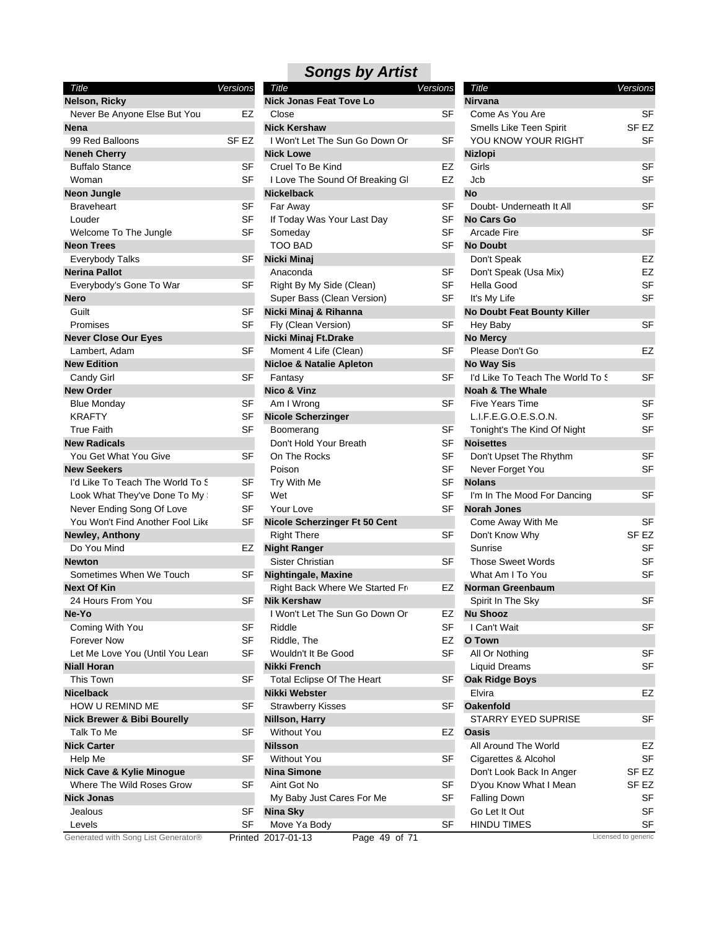| Title                                  | Versions         | Title        |
|----------------------------------------|------------------|--------------|
| Nelson, Ricky                          |                  | Nick.        |
| Never Be Anyone Else But You           | EZ               | Clos         |
| <b>Nena</b>                            |                  | Nick         |
| 99 Red Balloons                        | SF <sub>EZ</sub> | I Wc         |
| <b>Neneh Cherry</b>                    |                  | Nick         |
| <b>Buffalo Stance</b>                  | SF               | Crue         |
| Woman                                  | SF               | l Lov        |
| <b>Neon Jungle</b>                     |                  | <b>Nicke</b> |
| <b>Braveheart</b>                      | SF               | Far ,        |
| Louder                                 | SF               | If To        |
| Welcome To The Jungle                  | <b>SF</b>        | Som          |
| <b>Neon Trees</b>                      |                  | тос          |
| Everybody Talks                        | SF               | <b>Nicki</b> |
| <b>Nerina Pallot</b>                   |                  | Ana          |
| Everybody's Gone To War                | SF               | Righ         |
| <b>Nero</b>                            |                  | Sup          |
| Guilt                                  | SF               | Nicki        |
| Promises                               | <b>SF</b>        | Fly (        |
| <b>Never Close Our Eyes</b>            |                  | <b>Nicki</b> |
| Lambert, Adam                          | SF               | Mon          |
| <b>New Edition</b>                     |                  | <b>Niclo</b> |
| Candy Girl                             | SF               | Fant         |
| <b>New Order</b>                       |                  | <b>Nico</b>  |
| <b>Blue Monday</b>                     | SF               | Am l         |
| <b>KRAFTY</b>                          | SF               | <b>Nicol</b> |
| <b>True Faith</b>                      | SF               | Boo          |
| <b>New Radicals</b>                    |                  | Don          |
| You Get What You Give                  | SF               | On 1         |
| <b>New Seekers</b>                     |                  | Pois         |
| I'd Like To Teach The World To S       | SF               | Try \        |
| Look What They've Done To My :         | SF               | Wet          |
| Never Ending Song Of Love              | SF               | You          |
| You Won't Find Another Fool Like       | SF               | <b>Nicol</b> |
| Newley, Anthony                        |                  | Righ         |
| Do You Mind                            | EZ               | <b>Night</b> |
| <b>Newton</b>                          |                  | Siste        |
| Sometimes When We Touch                | SF               | <b>Night</b> |
| <b>Next Of Kin</b>                     |                  | Righ         |
| 24 Hours From You                      | SF               | Nik K        |
| Ne-Yo                                  |                  | l Wc         |
| Coming With You                        | SF               | Ridc         |
| <b>Forever Now</b>                     | SF               | Ridc         |
| Let Me Love You (Until You Leari       | SF               | Wou          |
| <b>Niall Horan</b>                     |                  | Nikki        |
| <b>This Town</b>                       | SF               | Tota         |
| Nicelback                              |                  | <b>Nikki</b> |
| HOW U REMIND ME                        | SF               | Stra         |
| <b>Nick Brewer &amp; Bibi Bourelly</b> |                  | Nillsc       |
| Talk To Me                             | SF               | With         |
| <b>Nick Carter</b>                     |                  | <b>Nilss</b> |
| Help Me                                | SF               | With         |
| <b>Nick Cave &amp; Kylie Minogue</b>   |                  | Nina         |
| Where The Wild Roses Grow              | SF               | Aint         |
| <b>Nick Jonas</b>                      |                  | My I         |
| Jealous                                | SF               | Nina         |
| Levels                                 | SF               | Mov          |
| Generated with Song List Generator®    | <b>Drintod</b>   | $2017 -$     |

| <b>Songs by Artist</b> |  |
|------------------------|--|

| <b>Versions</b> | Title                                                                                                                                                                |                                                                                                                                                                                                                                                                                                                                                                                                                                                                                                                                                                                                                                                                                                                                                                                                  | Title                                                                                                                                                                                                 | Versions                                                                                                                                                                                                                                                                                                                                                                                                                                                                                                                                                                                                                                                                                                                                          |
|-----------------|----------------------------------------------------------------------------------------------------------------------------------------------------------------------|--------------------------------------------------------------------------------------------------------------------------------------------------------------------------------------------------------------------------------------------------------------------------------------------------------------------------------------------------------------------------------------------------------------------------------------------------------------------------------------------------------------------------------------------------------------------------------------------------------------------------------------------------------------------------------------------------------------------------------------------------------------------------------------------------|-------------------------------------------------------------------------------------------------------------------------------------------------------------------------------------------------------|---------------------------------------------------------------------------------------------------------------------------------------------------------------------------------------------------------------------------------------------------------------------------------------------------------------------------------------------------------------------------------------------------------------------------------------------------------------------------------------------------------------------------------------------------------------------------------------------------------------------------------------------------------------------------------------------------------------------------------------------------|
|                 | <b>Nick Jonas Feat Tove Lo</b>                                                                                                                                       |                                                                                                                                                                                                                                                                                                                                                                                                                                                                                                                                                                                                                                                                                                                                                                                                  | <b>Nirvana</b>                                                                                                                                                                                        |                                                                                                                                                                                                                                                                                                                                                                                                                                                                                                                                                                                                                                                                                                                                                   |
| EZ              | Close                                                                                                                                                                | SF                                                                                                                                                                                                                                                                                                                                                                                                                                                                                                                                                                                                                                                                                                                                                                                               | Come As You Are                                                                                                                                                                                       | SF                                                                                                                                                                                                                                                                                                                                                                                                                                                                                                                                                                                                                                                                                                                                                |
|                 | <b>Nick Kershaw</b>                                                                                                                                                  |                                                                                                                                                                                                                                                                                                                                                                                                                                                                                                                                                                                                                                                                                                                                                                                                  | Smells Like Teen Spirit                                                                                                                                                                               | SF EZ                                                                                                                                                                                                                                                                                                                                                                                                                                                                                                                                                                                                                                                                                                                                             |
| SF EZ           | I Won't Let The Sun Go Down Or                                                                                                                                       | SF                                                                                                                                                                                                                                                                                                                                                                                                                                                                                                                                                                                                                                                                                                                                                                                               |                                                                                                                                                                                                       | SF                                                                                                                                                                                                                                                                                                                                                                                                                                                                                                                                                                                                                                                                                                                                                |
|                 | <b>Nick Lowe</b>                                                                                                                                                     |                                                                                                                                                                                                                                                                                                                                                                                                                                                                                                                                                                                                                                                                                                                                                                                                  | <b>Nizlopi</b>                                                                                                                                                                                        |                                                                                                                                                                                                                                                                                                                                                                                                                                                                                                                                                                                                                                                                                                                                                   |
| <b>SF</b>       | Cruel To Be Kind                                                                                                                                                     | EZ                                                                                                                                                                                                                                                                                                                                                                                                                                                                                                                                                                                                                                                                                                                                                                                               | Girls                                                                                                                                                                                                 | <b>SF</b>                                                                                                                                                                                                                                                                                                                                                                                                                                                                                                                                                                                                                                                                                                                                         |
| SF              |                                                                                                                                                                      | EZ                                                                                                                                                                                                                                                                                                                                                                                                                                                                                                                                                                                                                                                                                                                                                                                               | Jcb                                                                                                                                                                                                   | <b>SF</b>                                                                                                                                                                                                                                                                                                                                                                                                                                                                                                                                                                                                                                                                                                                                         |
|                 |                                                                                                                                                                      |                                                                                                                                                                                                                                                                                                                                                                                                                                                                                                                                                                                                                                                                                                                                                                                                  | <b>No</b>                                                                                                                                                                                             |                                                                                                                                                                                                                                                                                                                                                                                                                                                                                                                                                                                                                                                                                                                                                   |
|                 |                                                                                                                                                                      |                                                                                                                                                                                                                                                                                                                                                                                                                                                                                                                                                                                                                                                                                                                                                                                                  | Doubt- Underneath It All                                                                                                                                                                              | <b>SF</b>                                                                                                                                                                                                                                                                                                                                                                                                                                                                                                                                                                                                                                                                                                                                         |
| SF              |                                                                                                                                                                      |                                                                                                                                                                                                                                                                                                                                                                                                                                                                                                                                                                                                                                                                                                                                                                                                  |                                                                                                                                                                                                       |                                                                                                                                                                                                                                                                                                                                                                                                                                                                                                                                                                                                                                                                                                                                                   |
|                 |                                                                                                                                                                      |                                                                                                                                                                                                                                                                                                                                                                                                                                                                                                                                                                                                                                                                                                                                                                                                  |                                                                                                                                                                                                       | <b>SF</b>                                                                                                                                                                                                                                                                                                                                                                                                                                                                                                                                                                                                                                                                                                                                         |
|                 |                                                                                                                                                                      |                                                                                                                                                                                                                                                                                                                                                                                                                                                                                                                                                                                                                                                                                                                                                                                                  |                                                                                                                                                                                                       |                                                                                                                                                                                                                                                                                                                                                                                                                                                                                                                                                                                                                                                                                                                                                   |
|                 |                                                                                                                                                                      |                                                                                                                                                                                                                                                                                                                                                                                                                                                                                                                                                                                                                                                                                                                                                                                                  |                                                                                                                                                                                                       | EZ                                                                                                                                                                                                                                                                                                                                                                                                                                                                                                                                                                                                                                                                                                                                                |
|                 |                                                                                                                                                                      |                                                                                                                                                                                                                                                                                                                                                                                                                                                                                                                                                                                                                                                                                                                                                                                                  |                                                                                                                                                                                                       | EZ                                                                                                                                                                                                                                                                                                                                                                                                                                                                                                                                                                                                                                                                                                                                                |
|                 |                                                                                                                                                                      |                                                                                                                                                                                                                                                                                                                                                                                                                                                                                                                                                                                                                                                                                                                                                                                                  |                                                                                                                                                                                                       | <b>SF</b>                                                                                                                                                                                                                                                                                                                                                                                                                                                                                                                                                                                                                                                                                                                                         |
|                 |                                                                                                                                                                      |                                                                                                                                                                                                                                                                                                                                                                                                                                                                                                                                                                                                                                                                                                                                                                                                  |                                                                                                                                                                                                       | <b>SF</b>                                                                                                                                                                                                                                                                                                                                                                                                                                                                                                                                                                                                                                                                                                                                         |
|                 |                                                                                                                                                                      |                                                                                                                                                                                                                                                                                                                                                                                                                                                                                                                                                                                                                                                                                                                                                                                                  |                                                                                                                                                                                                       |                                                                                                                                                                                                                                                                                                                                                                                                                                                                                                                                                                                                                                                                                                                                                   |
|                 |                                                                                                                                                                      |                                                                                                                                                                                                                                                                                                                                                                                                                                                                                                                                                                                                                                                                                                                                                                                                  |                                                                                                                                                                                                       | <b>SF</b>                                                                                                                                                                                                                                                                                                                                                                                                                                                                                                                                                                                                                                                                                                                                         |
|                 |                                                                                                                                                                      |                                                                                                                                                                                                                                                                                                                                                                                                                                                                                                                                                                                                                                                                                                                                                                                                  |                                                                                                                                                                                                       |                                                                                                                                                                                                                                                                                                                                                                                                                                                                                                                                                                                                                                                                                                                                                   |
|                 |                                                                                                                                                                      |                                                                                                                                                                                                                                                                                                                                                                                                                                                                                                                                                                                                                                                                                                                                                                                                  |                                                                                                                                                                                                       | EZ                                                                                                                                                                                                                                                                                                                                                                                                                                                                                                                                                                                                                                                                                                                                                |
|                 |                                                                                                                                                                      |                                                                                                                                                                                                                                                                                                                                                                                                                                                                                                                                                                                                                                                                                                                                                                                                  |                                                                                                                                                                                                       |                                                                                                                                                                                                                                                                                                                                                                                                                                                                                                                                                                                                                                                                                                                                                   |
|                 |                                                                                                                                                                      |                                                                                                                                                                                                                                                                                                                                                                                                                                                                                                                                                                                                                                                                                                                                                                                                  |                                                                                                                                                                                                       | SF                                                                                                                                                                                                                                                                                                                                                                                                                                                                                                                                                                                                                                                                                                                                                |
|                 |                                                                                                                                                                      |                                                                                                                                                                                                                                                                                                                                                                                                                                                                                                                                                                                                                                                                                                                                                                                                  |                                                                                                                                                                                                       |                                                                                                                                                                                                                                                                                                                                                                                                                                                                                                                                                                                                                                                                                                                                                   |
|                 |                                                                                                                                                                      |                                                                                                                                                                                                                                                                                                                                                                                                                                                                                                                                                                                                                                                                                                                                                                                                  |                                                                                                                                                                                                       | <b>SF</b>                                                                                                                                                                                                                                                                                                                                                                                                                                                                                                                                                                                                                                                                                                                                         |
|                 |                                                                                                                                                                      |                                                                                                                                                                                                                                                                                                                                                                                                                                                                                                                                                                                                                                                                                                                                                                                                  |                                                                                                                                                                                                       | <b>SF</b>                                                                                                                                                                                                                                                                                                                                                                                                                                                                                                                                                                                                                                                                                                                                         |
|                 |                                                                                                                                                                      |                                                                                                                                                                                                                                                                                                                                                                                                                                                                                                                                                                                                                                                                                                                                                                                                  |                                                                                                                                                                                                       | <b>SF</b>                                                                                                                                                                                                                                                                                                                                                                                                                                                                                                                                                                                                                                                                                                                                         |
|                 |                                                                                                                                                                      |                                                                                                                                                                                                                                                                                                                                                                                                                                                                                                                                                                                                                                                                                                                                                                                                  |                                                                                                                                                                                                       |                                                                                                                                                                                                                                                                                                                                                                                                                                                                                                                                                                                                                                                                                                                                                   |
|                 |                                                                                                                                                                      |                                                                                                                                                                                                                                                                                                                                                                                                                                                                                                                                                                                                                                                                                                                                                                                                  |                                                                                                                                                                                                       |                                                                                                                                                                                                                                                                                                                                                                                                                                                                                                                                                                                                                                                                                                                                                   |
|                 |                                                                                                                                                                      |                                                                                                                                                                                                                                                                                                                                                                                                                                                                                                                                                                                                                                                                                                                                                                                                  |                                                                                                                                                                                                       | <b>SF</b>                                                                                                                                                                                                                                                                                                                                                                                                                                                                                                                                                                                                                                                                                                                                         |
|                 |                                                                                                                                                                      |                                                                                                                                                                                                                                                                                                                                                                                                                                                                                                                                                                                                                                                                                                                                                                                                  |                                                                                                                                                                                                       | <b>SF</b>                                                                                                                                                                                                                                                                                                                                                                                                                                                                                                                                                                                                                                                                                                                                         |
|                 |                                                                                                                                                                      |                                                                                                                                                                                                                                                                                                                                                                                                                                                                                                                                                                                                                                                                                                                                                                                                  |                                                                                                                                                                                                       |                                                                                                                                                                                                                                                                                                                                                                                                                                                                                                                                                                                                                                                                                                                                                   |
|                 |                                                                                                                                                                      |                                                                                                                                                                                                                                                                                                                                                                                                                                                                                                                                                                                                                                                                                                                                                                                                  |                                                                                                                                                                                                       | SF                                                                                                                                                                                                                                                                                                                                                                                                                                                                                                                                                                                                                                                                                                                                                |
|                 |                                                                                                                                                                      |                                                                                                                                                                                                                                                                                                                                                                                                                                                                                                                                                                                                                                                                                                                                                                                                  |                                                                                                                                                                                                       |                                                                                                                                                                                                                                                                                                                                                                                                                                                                                                                                                                                                                                                                                                                                                   |
|                 |                                                                                                                                                                      |                                                                                                                                                                                                                                                                                                                                                                                                                                                                                                                                                                                                                                                                                                                                                                                                  |                                                                                                                                                                                                       | <b>SF</b>                                                                                                                                                                                                                                                                                                                                                                                                                                                                                                                                                                                                                                                                                                                                         |
|                 |                                                                                                                                                                      |                                                                                                                                                                                                                                                                                                                                                                                                                                                                                                                                                                                                                                                                                                                                                                                                  |                                                                                                                                                                                                       | SF EZ                                                                                                                                                                                                                                                                                                                                                                                                                                                                                                                                                                                                                                                                                                                                             |
|                 |                                                                                                                                                                      |                                                                                                                                                                                                                                                                                                                                                                                                                                                                                                                                                                                                                                                                                                                                                                                                  |                                                                                                                                                                                                       | <b>SF</b>                                                                                                                                                                                                                                                                                                                                                                                                                                                                                                                                                                                                                                                                                                                                         |
|                 |                                                                                                                                                                      |                                                                                                                                                                                                                                                                                                                                                                                                                                                                                                                                                                                                                                                                                                                                                                                                  |                                                                                                                                                                                                       | <b>SF</b>                                                                                                                                                                                                                                                                                                                                                                                                                                                                                                                                                                                                                                                                                                                                         |
|                 |                                                                                                                                                                      |                                                                                                                                                                                                                                                                                                                                                                                                                                                                                                                                                                                                                                                                                                                                                                                                  |                                                                                                                                                                                                       | SF                                                                                                                                                                                                                                                                                                                                                                                                                                                                                                                                                                                                                                                                                                                                                |
|                 |                                                                                                                                                                      |                                                                                                                                                                                                                                                                                                                                                                                                                                                                                                                                                                                                                                                                                                                                                                                                  |                                                                                                                                                                                                       |                                                                                                                                                                                                                                                                                                                                                                                                                                                                                                                                                                                                                                                                                                                                                   |
|                 |                                                                                                                                                                      |                                                                                                                                                                                                                                                                                                                                                                                                                                                                                                                                                                                                                                                                                                                                                                                                  |                                                                                                                                                                                                       | <b>SF</b>                                                                                                                                                                                                                                                                                                                                                                                                                                                                                                                                                                                                                                                                                                                                         |
|                 |                                                                                                                                                                      | EZ                                                                                                                                                                                                                                                                                                                                                                                                                                                                                                                                                                                                                                                                                                                                                                                               |                                                                                                                                                                                                       |                                                                                                                                                                                                                                                                                                                                                                                                                                                                                                                                                                                                                                                                                                                                                   |
| SF              | Riddle                                                                                                                                                               |                                                                                                                                                                                                                                                                                                                                                                                                                                                                                                                                                                                                                                                                                                                                                                                                  |                                                                                                                                                                                                       | <b>SF</b>                                                                                                                                                                                                                                                                                                                                                                                                                                                                                                                                                                                                                                                                                                                                         |
|                 |                                                                                                                                                                      |                                                                                                                                                                                                                                                                                                                                                                                                                                                                                                                                                                                                                                                                                                                                                                                                  |                                                                                                                                                                                                       |                                                                                                                                                                                                                                                                                                                                                                                                                                                                                                                                                                                                                                                                                                                                                   |
|                 | Wouldn't It Be Good                                                                                                                                                  |                                                                                                                                                                                                                                                                                                                                                                                                                                                                                                                                                                                                                                                                                                                                                                                                  | All Or Nothing                                                                                                                                                                                        | <b>SF</b>                                                                                                                                                                                                                                                                                                                                                                                                                                                                                                                                                                                                                                                                                                                                         |
|                 | Nikki French                                                                                                                                                         |                                                                                                                                                                                                                                                                                                                                                                                                                                                                                                                                                                                                                                                                                                                                                                                                  | <b>Liquid Dreams</b>                                                                                                                                                                                  | <b>SF</b>                                                                                                                                                                                                                                                                                                                                                                                                                                                                                                                                                                                                                                                                                                                                         |
| SF              | <b>Total Eclipse Of The Heart</b>                                                                                                                                    | SF                                                                                                                                                                                                                                                                                                                                                                                                                                                                                                                                                                                                                                                                                                                                                                                               | <b>Oak Ridge Boys</b>                                                                                                                                                                                 |                                                                                                                                                                                                                                                                                                                                                                                                                                                                                                                                                                                                                                                                                                                                                   |
|                 | Nikki Webster                                                                                                                                                        |                                                                                                                                                                                                                                                                                                                                                                                                                                                                                                                                                                                                                                                                                                                                                                                                  | Elvira                                                                                                                                                                                                | EZ                                                                                                                                                                                                                                                                                                                                                                                                                                                                                                                                                                                                                                                                                                                                                |
| SF              | <b>Strawberry Kisses</b>                                                                                                                                             | SF                                                                                                                                                                                                                                                                                                                                                                                                                                                                                                                                                                                                                                                                                                                                                                                               | <b>Oakenfold</b>                                                                                                                                                                                      |                                                                                                                                                                                                                                                                                                                                                                                                                                                                                                                                                                                                                                                                                                                                                   |
|                 | Nillson, Harry                                                                                                                                                       |                                                                                                                                                                                                                                                                                                                                                                                                                                                                                                                                                                                                                                                                                                                                                                                                  | STARRY EYED SUPRISE                                                                                                                                                                                   | SF                                                                                                                                                                                                                                                                                                                                                                                                                                                                                                                                                                                                                                                                                                                                                |
| SF              | <b>Without You</b>                                                                                                                                                   | EZ                                                                                                                                                                                                                                                                                                                                                                                                                                                                                                                                                                                                                                                                                                                                                                                               | Oasis                                                                                                                                                                                                 |                                                                                                                                                                                                                                                                                                                                                                                                                                                                                                                                                                                                                                                                                                                                                   |
|                 | <b>Nilsson</b>                                                                                                                                                       |                                                                                                                                                                                                                                                                                                                                                                                                                                                                                                                                                                                                                                                                                                                                                                                                  | All Around The World                                                                                                                                                                                  | EZ                                                                                                                                                                                                                                                                                                                                                                                                                                                                                                                                                                                                                                                                                                                                                |
| <b>SF</b>       | <b>Without You</b>                                                                                                                                                   | SF                                                                                                                                                                                                                                                                                                                                                                                                                                                                                                                                                                                                                                                                                                                                                                                               | Cigarettes & Alcohol                                                                                                                                                                                  | <b>SF</b>                                                                                                                                                                                                                                                                                                                                                                                                                                                                                                                                                                                                                                                                                                                                         |
|                 | <b>Nina Simone</b>                                                                                                                                                   |                                                                                                                                                                                                                                                                                                                                                                                                                                                                                                                                                                                                                                                                                                                                                                                                  | Don't Look Back In Anger                                                                                                                                                                              | SF <sub>EZ</sub>                                                                                                                                                                                                                                                                                                                                                                                                                                                                                                                                                                                                                                                                                                                                  |
| <b>SF</b>       | Aint Got No                                                                                                                                                          | SF                                                                                                                                                                                                                                                                                                                                                                                                                                                                                                                                                                                                                                                                                                                                                                                               | D'you Know What I Mean                                                                                                                                                                                | SF <sub>EZ</sub>                                                                                                                                                                                                                                                                                                                                                                                                                                                                                                                                                                                                                                                                                                                                  |
|                 | My Baby Just Cares For Me                                                                                                                                            | SF                                                                                                                                                                                                                                                                                                                                                                                                                                                                                                                                                                                                                                                                                                                                                                                               | <b>Falling Down</b>                                                                                                                                                                                   | SF                                                                                                                                                                                                                                                                                                                                                                                                                                                                                                                                                                                                                                                                                                                                                |
| SF              | <b>Nina Sky</b>                                                                                                                                                      |                                                                                                                                                                                                                                                                                                                                                                                                                                                                                                                                                                                                                                                                                                                                                                                                  | Go Let It Out                                                                                                                                                                                         | SF                                                                                                                                                                                                                                                                                                                                                                                                                                                                                                                                                                                                                                                                                                                                                |
| <b>SF</b>       | Move Ya Body                                                                                                                                                         | SF                                                                                                                                                                                                                                                                                                                                                                                                                                                                                                                                                                                                                                                                                                                                                                                               | <b>HINDU TIMES</b>                                                                                                                                                                                    | <b>SF</b>                                                                                                                                                                                                                                                                                                                                                                                                                                                                                                                                                                                                                                                                                                                                         |
|                 |                                                                                                                                                                      |                                                                                                                                                                                                                                                                                                                                                                                                                                                                                                                                                                                                                                                                                                                                                                                                  |                                                                                                                                                                                                       | Licensed to generic                                                                                                                                                                                                                                                                                                                                                                                                                                                                                                                                                                                                                                                                                                                               |
|                 | <b>SF</b><br>SF<br>SF<br>SF<br>SF<br><b>SF</b><br>SF<br>SF<br>SF<br>SF<br><b>SF</b><br>SF<br>SF<br>SF<br><b>SF</b><br>SF<br>EZ<br>SF<br>SF<br><b>SF</b><br><b>SF</b> | I Love The Sound Of Breaking GI<br><b>Nickelback</b><br>Far Away<br>If Today Was Your Last Day<br>Someday<br><b>TOO BAD</b><br>Nicki Minaj<br>Anaconda<br>Right By My Side (Clean)<br>Super Bass (Clean Version)<br>Nicki Minaj & Rihanna<br>Fly (Clean Version)<br>Nicki Minaj Ft.Drake<br>Moment 4 Life (Clean)<br><b>Nicloe &amp; Natalie Apleton</b><br>Fantasy<br>Nico & Vinz<br>Am I Wrong<br><b>Nicole Scherzinger</b><br>Boomerang<br>Don't Hold Your Breath<br>On The Rocks<br>Poison<br>Try With Me<br>Wet<br>Your Love<br>Nicole Scherzinger Ft 50 Cent<br><b>Right There</b><br><b>Night Ranger</b><br>Sister Christian<br><b>Nightingale, Maxine</b><br>Right Back Where We Started Fr<br><b>Nik Kershaw</b><br>I Won't Let The Sun Go Down Or<br>Riddle, The<br>Printed 2017-01-13 | <b>Versions</b><br>SF<br>SF<br>SF<br>SF<br>SF<br>SF<br>SF<br>SF<br>SF<br>SF<br>SF<br>SF<br>SF<br>SF<br>SF<br>SF<br>SF<br><b>SF</b><br>SF<br><b>SF</b><br>EZ<br>SF<br>EZ<br><b>SF</b><br>Page 49 of 71 | YOU KNOW YOUR RIGHT<br><b>No Cars Go</b><br><b>Arcade Fire</b><br><b>No Doubt</b><br>Don't Speak<br>Don't Speak (Usa Mix)<br>Hella Good<br>It's My Life<br>No Doubt Feat Bounty Killer<br>Hey Baby<br><b>No Mercy</b><br>Please Don't Go<br><b>No Way Sis</b><br>I'd Like To Teach The World To S<br><b>Noah &amp; The Whale</b><br><b>Five Years Time</b><br>L.I.F.E.G.O.E.S.O.N.<br>Tonight's The Kind Of Night<br><b>Noisettes</b><br>Don't Upset The Rhythm<br>Never Forget You<br><b>Nolans</b><br>I'm In The Mood For Dancing<br><b>Norah Jones</b><br>Come Away With Me<br>Don't Know Why<br>Sunrise<br><b>Those Sweet Words</b><br>What Am I To You<br>Norman Greenbaum<br>Spirit In The Sky<br><b>Nu Shooz</b><br>I Can't Wait<br>O Town |

| <b>Nirvana</b><br>Come As You Are<br>SF<br>Smells Like Teen Spirit<br>SF EZ<br>YOU KNOW YOUR RIGHT<br>SF<br><b>Nizlopi</b><br>Girls<br>SF<br>Jcb<br><b>SF</b><br>No<br>Doubt- Underneath It All<br>SF<br>No Cars Go<br><b>Arcade Fire</b><br>SF<br><b>No Doubt</b><br>EZ<br>Don't Speak<br>EZ<br>Don't Speak (Usa Mix)<br>Hella Good<br>SF<br>It's My Life<br>SF<br><b>No Doubt Feat Bounty Killer</b><br>SF<br>Hey Baby<br><b>No Mercy</b><br>Please Don't Go<br>EZ<br><b>No Way Sis</b><br>I'd Like To Teach The World To S<br>SF<br><b>Noah &amp; The Whale</b><br>SF<br>Five Years Time<br>L.I.F.E.G.O.E.S.O.N.<br>SF<br>Tonight's The Kind Of Night<br>SF<br><b>Noisettes</b><br>SF<br>Don't Upset The Rhythm<br>SF<br>Never Forget You<br><b>Nolans</b><br>SF<br>I'm In The Mood For Dancing<br><b>Norah Jones</b><br>SF<br>Come Away With Me<br>Don't Know Why<br>SF EZ<br>SF<br>Sunrise<br><b>Those Sweet Words</b><br>SF<br>What Am I To You<br>SF<br>Norman Greenbaum<br>Spirit In The Sky<br>SF<br><b>Nu Shooz</b><br>I Can't Wait<br>SF<br>O Town<br>All Or Nothing<br>SF<br><b>Liquid Dreams</b><br>SF<br><b>Oak Ridge Boys</b><br>Elvira<br>EZ<br><b>Oakenfold</b><br>STARRY EYED SUPRISE<br>SF<br><b>Oasis</b><br>All Around The World<br>EZ<br>Cigarettes & Alcohol<br>SF<br>Don't Look Back In Anger<br>SF EZ<br>D'you Know What I Mean<br>SF EZ<br><b>Falling Down</b><br>SF<br>Go Let It Out<br>SF<br><b>HINDU TIMES</b><br>SF |       |          |
|---------------------------------------------------------------------------------------------------------------------------------------------------------------------------------------------------------------------------------------------------------------------------------------------------------------------------------------------------------------------------------------------------------------------------------------------------------------------------------------------------------------------------------------------------------------------------------------------------------------------------------------------------------------------------------------------------------------------------------------------------------------------------------------------------------------------------------------------------------------------------------------------------------------------------------------------------------------------------------------------------------------------------------------------------------------------------------------------------------------------------------------------------------------------------------------------------------------------------------------------------------------------------------------------------------------------------------------------------------------------------------------------------------------------------------------------------|-------|----------|
|                                                                                                                                                                                                                                                                                                                                                                                                                                                                                                                                                                                                                                                                                                                                                                                                                                                                                                                                                                                                                                                                                                                                                                                                                                                                                                                                                                                                                                                   | Title | Versions |
|                                                                                                                                                                                                                                                                                                                                                                                                                                                                                                                                                                                                                                                                                                                                                                                                                                                                                                                                                                                                                                                                                                                                                                                                                                                                                                                                                                                                                                                   |       |          |
|                                                                                                                                                                                                                                                                                                                                                                                                                                                                                                                                                                                                                                                                                                                                                                                                                                                                                                                                                                                                                                                                                                                                                                                                                                                                                                                                                                                                                                                   |       |          |
|                                                                                                                                                                                                                                                                                                                                                                                                                                                                                                                                                                                                                                                                                                                                                                                                                                                                                                                                                                                                                                                                                                                                                                                                                                                                                                                                                                                                                                                   |       |          |
|                                                                                                                                                                                                                                                                                                                                                                                                                                                                                                                                                                                                                                                                                                                                                                                                                                                                                                                                                                                                                                                                                                                                                                                                                                                                                                                                                                                                                                                   |       |          |
|                                                                                                                                                                                                                                                                                                                                                                                                                                                                                                                                                                                                                                                                                                                                                                                                                                                                                                                                                                                                                                                                                                                                                                                                                                                                                                                                                                                                                                                   |       |          |
|                                                                                                                                                                                                                                                                                                                                                                                                                                                                                                                                                                                                                                                                                                                                                                                                                                                                                                                                                                                                                                                                                                                                                                                                                                                                                                                                                                                                                                                   |       |          |
|                                                                                                                                                                                                                                                                                                                                                                                                                                                                                                                                                                                                                                                                                                                                                                                                                                                                                                                                                                                                                                                                                                                                                                                                                                                                                                                                                                                                                                                   |       |          |
|                                                                                                                                                                                                                                                                                                                                                                                                                                                                                                                                                                                                                                                                                                                                                                                                                                                                                                                                                                                                                                                                                                                                                                                                                                                                                                                                                                                                                                                   |       |          |
|                                                                                                                                                                                                                                                                                                                                                                                                                                                                                                                                                                                                                                                                                                                                                                                                                                                                                                                                                                                                                                                                                                                                                                                                                                                                                                                                                                                                                                                   |       |          |
|                                                                                                                                                                                                                                                                                                                                                                                                                                                                                                                                                                                                                                                                                                                                                                                                                                                                                                                                                                                                                                                                                                                                                                                                                                                                                                                                                                                                                                                   |       |          |
|                                                                                                                                                                                                                                                                                                                                                                                                                                                                                                                                                                                                                                                                                                                                                                                                                                                                                                                                                                                                                                                                                                                                                                                                                                                                                                                                                                                                                                                   |       |          |
|                                                                                                                                                                                                                                                                                                                                                                                                                                                                                                                                                                                                                                                                                                                                                                                                                                                                                                                                                                                                                                                                                                                                                                                                                                                                                                                                                                                                                                                   |       |          |
|                                                                                                                                                                                                                                                                                                                                                                                                                                                                                                                                                                                                                                                                                                                                                                                                                                                                                                                                                                                                                                                                                                                                                                                                                                                                                                                                                                                                                                                   |       |          |
|                                                                                                                                                                                                                                                                                                                                                                                                                                                                                                                                                                                                                                                                                                                                                                                                                                                                                                                                                                                                                                                                                                                                                                                                                                                                                                                                                                                                                                                   |       |          |
|                                                                                                                                                                                                                                                                                                                                                                                                                                                                                                                                                                                                                                                                                                                                                                                                                                                                                                                                                                                                                                                                                                                                                                                                                                                                                                                                                                                                                                                   |       |          |
|                                                                                                                                                                                                                                                                                                                                                                                                                                                                                                                                                                                                                                                                                                                                                                                                                                                                                                                                                                                                                                                                                                                                                                                                                                                                                                                                                                                                                                                   |       |          |
|                                                                                                                                                                                                                                                                                                                                                                                                                                                                                                                                                                                                                                                                                                                                                                                                                                                                                                                                                                                                                                                                                                                                                                                                                                                                                                                                                                                                                                                   |       |          |
|                                                                                                                                                                                                                                                                                                                                                                                                                                                                                                                                                                                                                                                                                                                                                                                                                                                                                                                                                                                                                                                                                                                                                                                                                                                                                                                                                                                                                                                   |       |          |
|                                                                                                                                                                                                                                                                                                                                                                                                                                                                                                                                                                                                                                                                                                                                                                                                                                                                                                                                                                                                                                                                                                                                                                                                                                                                                                                                                                                                                                                   |       |          |
|                                                                                                                                                                                                                                                                                                                                                                                                                                                                                                                                                                                                                                                                                                                                                                                                                                                                                                                                                                                                                                                                                                                                                                                                                                                                                                                                                                                                                                                   |       |          |
|                                                                                                                                                                                                                                                                                                                                                                                                                                                                                                                                                                                                                                                                                                                                                                                                                                                                                                                                                                                                                                                                                                                                                                                                                                                                                                                                                                                                                                                   |       |          |
|                                                                                                                                                                                                                                                                                                                                                                                                                                                                                                                                                                                                                                                                                                                                                                                                                                                                                                                                                                                                                                                                                                                                                                                                                                                                                                                                                                                                                                                   |       |          |
|                                                                                                                                                                                                                                                                                                                                                                                                                                                                                                                                                                                                                                                                                                                                                                                                                                                                                                                                                                                                                                                                                                                                                                                                                                                                                                                                                                                                                                                   |       |          |
|                                                                                                                                                                                                                                                                                                                                                                                                                                                                                                                                                                                                                                                                                                                                                                                                                                                                                                                                                                                                                                                                                                                                                                                                                                                                                                                                                                                                                                                   |       |          |
|                                                                                                                                                                                                                                                                                                                                                                                                                                                                                                                                                                                                                                                                                                                                                                                                                                                                                                                                                                                                                                                                                                                                                                                                                                                                                                                                                                                                                                                   |       |          |
|                                                                                                                                                                                                                                                                                                                                                                                                                                                                                                                                                                                                                                                                                                                                                                                                                                                                                                                                                                                                                                                                                                                                                                                                                                                                                                                                                                                                                                                   |       |          |
|                                                                                                                                                                                                                                                                                                                                                                                                                                                                                                                                                                                                                                                                                                                                                                                                                                                                                                                                                                                                                                                                                                                                                                                                                                                                                                                                                                                                                                                   |       |          |
|                                                                                                                                                                                                                                                                                                                                                                                                                                                                                                                                                                                                                                                                                                                                                                                                                                                                                                                                                                                                                                                                                                                                                                                                                                                                                                                                                                                                                                                   |       |          |
|                                                                                                                                                                                                                                                                                                                                                                                                                                                                                                                                                                                                                                                                                                                                                                                                                                                                                                                                                                                                                                                                                                                                                                                                                                                                                                                                                                                                                                                   |       |          |
|                                                                                                                                                                                                                                                                                                                                                                                                                                                                                                                                                                                                                                                                                                                                                                                                                                                                                                                                                                                                                                                                                                                                                                                                                                                                                                                                                                                                                                                   |       |          |
|                                                                                                                                                                                                                                                                                                                                                                                                                                                                                                                                                                                                                                                                                                                                                                                                                                                                                                                                                                                                                                                                                                                                                                                                                                                                                                                                                                                                                                                   |       |          |
|                                                                                                                                                                                                                                                                                                                                                                                                                                                                                                                                                                                                                                                                                                                                                                                                                                                                                                                                                                                                                                                                                                                                                                                                                                                                                                                                                                                                                                                   |       |          |
|                                                                                                                                                                                                                                                                                                                                                                                                                                                                                                                                                                                                                                                                                                                                                                                                                                                                                                                                                                                                                                                                                                                                                                                                                                                                                                                                                                                                                                                   |       |          |
|                                                                                                                                                                                                                                                                                                                                                                                                                                                                                                                                                                                                                                                                                                                                                                                                                                                                                                                                                                                                                                                                                                                                                                                                                                                                                                                                                                                                                                                   |       |          |
|                                                                                                                                                                                                                                                                                                                                                                                                                                                                                                                                                                                                                                                                                                                                                                                                                                                                                                                                                                                                                                                                                                                                                                                                                                                                                                                                                                                                                                                   |       |          |
|                                                                                                                                                                                                                                                                                                                                                                                                                                                                                                                                                                                                                                                                                                                                                                                                                                                                                                                                                                                                                                                                                                                                                                                                                                                                                                                                                                                                                                                   |       |          |
|                                                                                                                                                                                                                                                                                                                                                                                                                                                                                                                                                                                                                                                                                                                                                                                                                                                                                                                                                                                                                                                                                                                                                                                                                                                                                                                                                                                                                                                   |       |          |
|                                                                                                                                                                                                                                                                                                                                                                                                                                                                                                                                                                                                                                                                                                                                                                                                                                                                                                                                                                                                                                                                                                                                                                                                                                                                                                                                                                                                                                                   |       |          |
|                                                                                                                                                                                                                                                                                                                                                                                                                                                                                                                                                                                                                                                                                                                                                                                                                                                                                                                                                                                                                                                                                                                                                                                                                                                                                                                                                                                                                                                   |       |          |
|                                                                                                                                                                                                                                                                                                                                                                                                                                                                                                                                                                                                                                                                                                                                                                                                                                                                                                                                                                                                                                                                                                                                                                                                                                                                                                                                                                                                                                                   |       |          |
|                                                                                                                                                                                                                                                                                                                                                                                                                                                                                                                                                                                                                                                                                                                                                                                                                                                                                                                                                                                                                                                                                                                                                                                                                                                                                                                                                                                                                                                   |       |          |
|                                                                                                                                                                                                                                                                                                                                                                                                                                                                                                                                                                                                                                                                                                                                                                                                                                                                                                                                                                                                                                                                                                                                                                                                                                                                                                                                                                                                                                                   |       |          |
|                                                                                                                                                                                                                                                                                                                                                                                                                                                                                                                                                                                                                                                                                                                                                                                                                                                                                                                                                                                                                                                                                                                                                                                                                                                                                                                                                                                                                                                   |       |          |
|                                                                                                                                                                                                                                                                                                                                                                                                                                                                                                                                                                                                                                                                                                                                                                                                                                                                                                                                                                                                                                                                                                                                                                                                                                                                                                                                                                                                                                                   |       |          |
|                                                                                                                                                                                                                                                                                                                                                                                                                                                                                                                                                                                                                                                                                                                                                                                                                                                                                                                                                                                                                                                                                                                                                                                                                                                                                                                                                                                                                                                   |       |          |
|                                                                                                                                                                                                                                                                                                                                                                                                                                                                                                                                                                                                                                                                                                                                                                                                                                                                                                                                                                                                                                                                                                                                                                                                                                                                                                                                                                                                                                                   |       |          |
|                                                                                                                                                                                                                                                                                                                                                                                                                                                                                                                                                                                                                                                                                                                                                                                                                                                                                                                                                                                                                                                                                                                                                                                                                                                                                                                                                                                                                                                   |       |          |
|                                                                                                                                                                                                                                                                                                                                                                                                                                                                                                                                                                                                                                                                                                                                                                                                                                                                                                                                                                                                                                                                                                                                                                                                                                                                                                                                                                                                                                                   |       |          |
|                                                                                                                                                                                                                                                                                                                                                                                                                                                                                                                                                                                                                                                                                                                                                                                                                                                                                                                                                                                                                                                                                                                                                                                                                                                                                                                                                                                                                                                   |       |          |
|                                                                                                                                                                                                                                                                                                                                                                                                                                                                                                                                                                                                                                                                                                                                                                                                                                                                                                                                                                                                                                                                                                                                                                                                                                                                                                                                                                                                                                                   |       |          |
|                                                                                                                                                                                                                                                                                                                                                                                                                                                                                                                                                                                                                                                                                                                                                                                                                                                                                                                                                                                                                                                                                                                                                                                                                                                                                                                                                                                                                                                   |       |          |
|                                                                                                                                                                                                                                                                                                                                                                                                                                                                                                                                                                                                                                                                                                                                                                                                                                                                                                                                                                                                                                                                                                                                                                                                                                                                                                                                                                                                                                                   |       |          |
|                                                                                                                                                                                                                                                                                                                                                                                                                                                                                                                                                                                                                                                                                                                                                                                                                                                                                                                                                                                                                                                                                                                                                                                                                                                                                                                                                                                                                                                   |       |          |
|                                                                                                                                                                                                                                                                                                                                                                                                                                                                                                                                                                                                                                                                                                                                                                                                                                                                                                                                                                                                                                                                                                                                                                                                                                                                                                                                                                                                                                                   |       |          |
|                                                                                                                                                                                                                                                                                                                                                                                                                                                                                                                                                                                                                                                                                                                                                                                                                                                                                                                                                                                                                                                                                                                                                                                                                                                                                                                                                                                                                                                   |       |          |
|                                                                                                                                                                                                                                                                                                                                                                                                                                                                                                                                                                                                                                                                                                                                                                                                                                                                                                                                                                                                                                                                                                                                                                                                                                                                                                                                                                                                                                                   |       |          |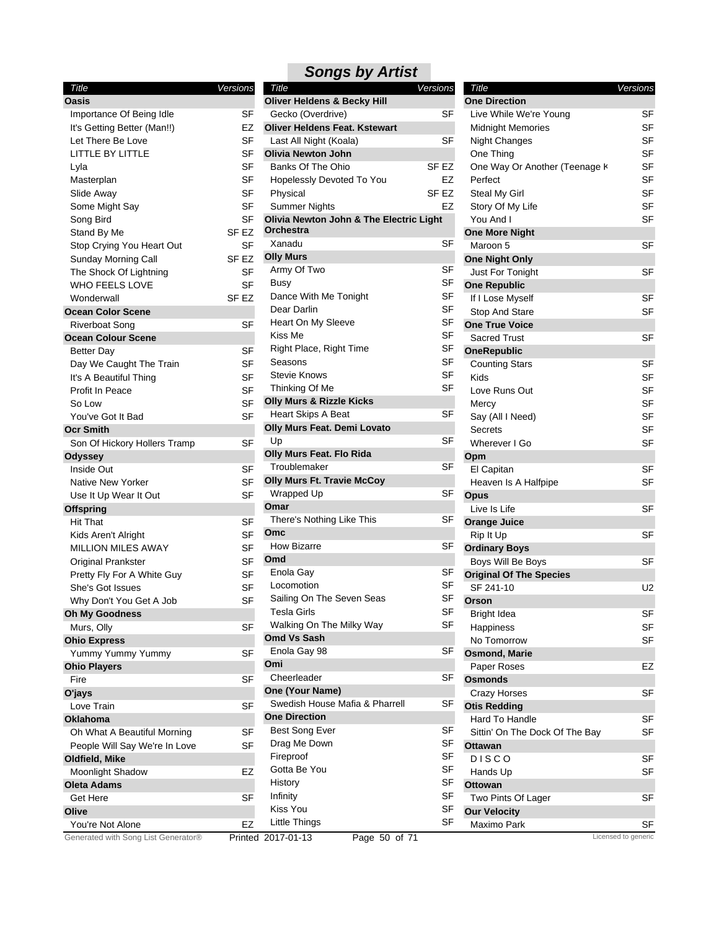| Title                         | Versions  |
|-------------------------------|-----------|
| <b>Oasis</b>                  |           |
| Importance Of Being Idle      | SF        |
| It's Getting Better (Man!!)   | EZ        |
| Let There Be Love             | SF        |
| LITTLE BY LITTLE              | SF        |
| Lyla                          | SF        |
| Masterplan                    | SF        |
| Slide Away                    | SF        |
| Some Might Say                | SF        |
| Song Bird                     | SF        |
| Stand By Me                   | SF EZ     |
| Stop Crying You Heart Out     | <b>SF</b> |
| Sunday Morning Call           | SF EZ     |
| The Shock Of Lightning        | SF        |
| WHO FEELS LOVE                | SF        |
| Wonderwall                    | SF EZ     |
| <b>Ocean Color Scene</b>      |           |
| Riverboat Song                | SF        |
| <b>Ocean Colour Scene</b>     |           |
| Better Day                    | SF        |
| Day We Caught The Train       | SF        |
| It's A Beautiful Thing        | SF        |
| Profit In Peace               | SF        |
| So Low                        | SF        |
| You've Got It Bad             | SF        |
| <b>Ocr Smith</b>              |           |
| Son Of Hickory Hollers Tramp  | SF        |
| <b>Odyssey</b>                |           |
| Inside Out                    | SF        |
| <b>Native New Yorker</b>      | SF        |
| Use It Up Wear It Out         | SF        |
| <b>Offspring</b>              |           |
| Hit That                      | SF        |
| Kids Aren't Alright           | SF        |
| MILLION MILES AWAY            | SF        |
| Original Prankster            | SF        |
| Pretty Fly For A White Guy    | SF        |
| She's Got Issues              | SF        |
| Why Don't You Get A Job       | SF        |
| Oh My Goodness                |           |
| Murs, Olly                    | SF        |
| <b>Ohio Express</b>           |           |
| Yummy Yummy Yummy             | SF        |
| <b>Ohio Players</b>           |           |
| Fire                          | SF        |
| O'jays                        |           |
| Love Train                    | SF        |
| Oklahoma                      |           |
| Oh What A Beautiful Morning   | SF        |
| People Will Say We're In Love | SF        |
| Oldfield, Mike                |           |
| Moonlight Shadow              | EZ        |
| <b>Oleta Adams</b>            |           |
| Get Here                      | SF        |
| Olive                         |           |
| You're Not Alone              | EZ        |

#### Hopelessly Devoted To You EZ Physical SF EZ Summer Nights EZ Busy SF Dance With Me Tonight SF Dear Darlin SF Heart On My Sleeve SF Kiss Me SF Right Place, Right Time SF Seasons SF Stevie Knows SF Thinking Of Me SF Locomotion SF Sailing On The Seven Seas SF Tesla Girls **SF** Walking On The Milky Way SF Drag Me Down SF Fireproof SF Gotta Be You **SF** History SF Infinity SF Kiss You SF *Title Versions* **Oliver Heldens & Becky Hill** Gecko (Overdrive) SF **Oliver Heldens Feat. Kstewart** Last All Night (Koala) SF **Olivia Newton John** Banks Of The Ohio SF EZ **Olivia Newton John & The Electric Light Orchestra** Xanadu SF **Olly Murs** Army Of Two SF **Olly Murs & Rizzle Kicks** Heart Skips A Beat SF **Olly Murs Feat. Demi Lovato** Up SF **Olly Murs Feat. Flo Rida** Troublemaker SF **Olly Murs Ft. Travie McCoy** Wrapped Up SF **Omar** There's Nothing Like This SF **Omc** How Bizarre SF **Omd** Enola Gay SF **Omd Vs Sash** Enola Gay 98 SF **Omi** Cheerleader SF **One (Your Name)** Swedish House Mafia & Pharrell SF **One Direction** Best Song Ever SF

*Songs by Artist*

#### Midnight Memories SF Night Changes SF One Thing SF One Way Or Another (Teenage K<sub>SF</sub> Perfect SF Steal My Girl SF Story Of My Life SF You And I SF Stop And Stare SF Kids SF Love Runs Out **SF** Mercy SF Say (All I Need) SF Secrets SF Wherever I Go SF Heaven Is A Halfpipe SF Happiness SF No Tomorrow SF Sittin' On The Dock Of The Bay SF Hands Up **SF** *Title Versions* **One Direction** Live While We're Young SF **One More Night** Maroon 5 SF **One Night Only** Just For Tonight SF **One Republic** If I Lose Myself SF **One True Voice** Sacred Trust SF **OneRepublic** Counting Stars SF **Opm** El Capitan SF **Opus** Live Is Life SF **Orange Juice** Rip It Up SF **Ordinary Boys** Boys Will Be Boys SF **Original Of The Species** SF 241-10 U2 **Orson** Bright Idea SF **Osmond, Marie** Paper Roses **EZ Osmonds** Crazy Horses SF **Otis Redding** Hard To Handle SF **Ottawan** D I S C O SF **Ottowan** Two Pints Of Lager SF **Our Velocity** Maximo Park SF

Generated with Song List Generator® Printed 2017-01-13 Page 50 of 71 Licensed to generic

Little Things SF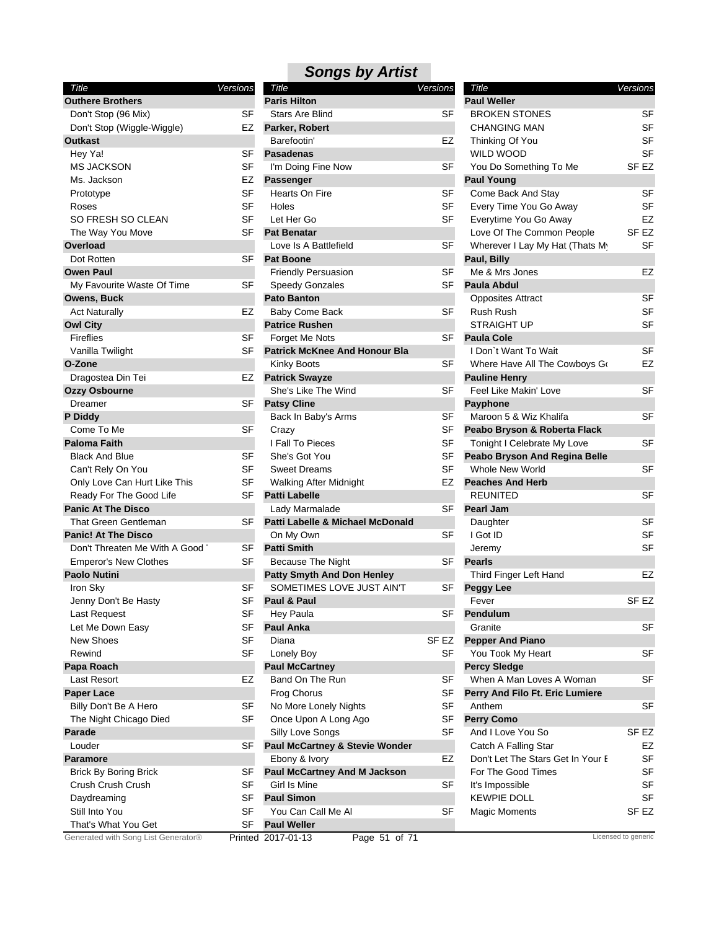| Title                         | Versions  |
|-------------------------------|-----------|
| <b>Outhere Brothers</b>       |           |
| Don't Stop (96 Mix)           | SF        |
| Don't Stop (Wiggle-Wiggle)    | EZ        |
| <b>Outkast</b>                |           |
| Hey Ya!                       | SF        |
| <b>MS JACKSON</b>             | SF        |
| Ms. Jackson                   | EZ        |
| Prototype                     | SF        |
| Roses                         | SF        |
| SO FRESH SO CLEAN             | SF        |
| The Way You Move              | SF        |
| Overload                      |           |
| Dot Rotten                    | SF        |
| <b>Owen Paul</b>              |           |
| My Favourite Waste Of Time    | SF        |
| <b>Owens, Buck</b>            |           |
| <b>Act Naturally</b>          | EZ        |
| <b>Owl City</b>               |           |
| <b>Fireflies</b>              | SF        |
| Vanilla Twilight              | SF        |
| O-Zone                        |           |
| Dragostea Din Tei             | EZ        |
|                               |           |
| <b>Ozzy Osbourne</b>          | SF        |
| Dreamer                       |           |
| P Diddy                       |           |
| Come To Me                    | SF        |
| <b>Paloma Faith</b>           |           |
| <b>Black And Blue</b>         | SF        |
| Can't Rely On You             | SF        |
| Only Love Can Hurt Like This  | <b>SF</b> |
| Ready For The Good Life       | SF        |
| <b>Panic At The Disco</b>     |           |
| That Green Gentleman          | SF        |
| <b>Panic! At The Disco</b>    |           |
| Don't Threaten Me With A Good | SF        |
| <b>Emperor's New Clothes</b>  | SF        |
| <b>Paolo Nutini</b>           |           |
| Iron Sky                      | SF        |
| Jenny Don't Be Hasty          | SF        |
| Last Request                  | SF        |
| Let Me Down Easy              | SF        |
| <b>New Shoes</b>              | SF        |
| Rewind                        | SF        |
| Papa Roach                    |           |
| Last Resort                   | EZ        |
| <b>Paper Lace</b>             |           |
| Billy Don't Be A Hero         | SF        |
| The Night Chicago Died        | SF        |
| Parade                        |           |
| Louder                        | SF        |
| Paramore                      |           |
| <b>Brick By Boring Brick</b>  | SF        |
| Crush Crush Crush             | SF        |
| Daydreaming                   | SF        |
| Still Into You                | SF        |
| That's What You Get           | SF        |
|                               |           |

| Title                               | Versions  | Title                                     | <b>Versions</b> | Title                             | Versions            |
|-------------------------------------|-----------|-------------------------------------------|-----------------|-----------------------------------|---------------------|
| <b>Outhere Brothers</b>             |           | <b>Paris Hilton</b>                       |                 | <b>Paul Weller</b>                |                     |
| Don't Stop (96 Mix)                 | SF        | <b>Stars Are Blind</b>                    | SF              | <b>BROKEN STONES</b>              | <b>SF</b>           |
| Don't Stop (Wiggle-Wiggle)          | EZ        | Parker, Robert                            |                 | <b>CHANGING MAN</b>               | <b>SF</b>           |
| Outkast                             |           | Barefootin'                               | EZ              | Thinking Of You                   | <b>SF</b>           |
| Hey Ya!                             | SF        | <b>Pasadenas</b>                          |                 | <b>WILD WOOD</b>                  | <b>SF</b>           |
| <b>MS JACKSON</b>                   | <b>SF</b> | I'm Doing Fine Now                        | <b>SF</b>       | You Do Something To Me            | SF <sub>EZ</sub>    |
| Ms. Jackson                         | EZ        | <b>Passenger</b>                          |                 | <b>Paul Young</b>                 |                     |
| Prototype                           | <b>SF</b> | Hearts On Fire                            | <b>SF</b>       | Come Back And Stay                | <b>SF</b>           |
| Roses                               | <b>SF</b> | Holes                                     | SF              | Every Time You Go Away            | <b>SF</b>           |
| SO FRESH SO CLEAN                   | <b>SF</b> | Let Her Go                                | SF              | Everytime You Go Away             | <b>EZ</b>           |
| The Way You Move                    | SF        | <b>Pat Benatar</b>                        |                 | Love Of The Common People         | SF <sub>EZ</sub>    |
| Overload                            |           | Love Is A Battlefield                     | SF              | Wherever I Lay My Hat (Thats My   | <b>SF</b>           |
| Dot Rotten                          | SF        | <b>Pat Boone</b>                          |                 | Paul, Billy                       |                     |
| <b>Owen Paul</b>                    |           | <b>Friendly Persuasion</b>                | <b>SF</b>       | Me & Mrs Jones                    | EZ                  |
| My Favourite Waste Of Time          | SF        | <b>Speedy Gonzales</b>                    | SF              | Paula Abdul                       |                     |
| Owens, Buck                         |           | <b>Pato Banton</b>                        |                 | <b>Opposites Attract</b>          | <b>SF</b>           |
| <b>Act Naturally</b>                | EZ        | Baby Come Back                            | <b>SF</b>       | Rush Rush                         | <b>SF</b>           |
| <b>Owl City</b>                     |           | <b>Patrice Rushen</b>                     |                 | <b>STRAIGHT UP</b>                | <b>SF</b>           |
| Fireflies                           | SF        | Forget Me Nots                            | SF              | <b>Paula Cole</b>                 |                     |
| Vanilla Twilight                    | SF        | <b>Patrick McKnee And Honour Bla</b>      |                 | I Don't Want To Wait              | <b>SF</b>           |
| O-Zone                              |           | Kinky Boots                               | <b>SF</b>       | Where Have All The Cowboys Go     | EZ                  |
| Dragostea Din Tei                   | EZ        | <b>Patrick Swayze</b>                     |                 | <b>Pauline Henry</b>              |                     |
|                                     |           | She's Like The Wind                       | <b>SF</b>       | Feel Like Makin' Love             | <b>SF</b>           |
| Ozzy Osbourne<br><b>Dreamer</b>     | SF        | <b>Patsy Cline</b>                        |                 |                                   |                     |
|                                     |           |                                           | <b>SF</b>       | Payphone                          | <b>SF</b>           |
| P Diddy                             |           | Back In Baby's Arms                       |                 | Maroon 5 & Wiz Khalifa            |                     |
| Come To Me                          | SF        | Crazy                                     | SF              | Peabo Bryson & Roberta Flack      |                     |
| <b>Paloma Faith</b>                 |           | I Fall To Pieces                          | <b>SF</b>       | Tonight I Celebrate My Love       | <b>SF</b>           |
| <b>Black And Blue</b>               | SF        | She's Got You                             | SF              | Peabo Bryson And Regina Belle     |                     |
| Can't Rely On You                   | SF        | <b>Sweet Dreams</b>                       | <b>SF</b>       | Whole New World                   | <b>SF</b>           |
| Only Love Can Hurt Like This        | SF        | <b>Walking After Midnight</b>             | EZ              | <b>Peaches And Herb</b>           |                     |
| Ready For The Good Life             | SF        | <b>Patti Labelle</b>                      |                 | <b>REUNITED</b>                   | <b>SF</b>           |
| <b>Panic At The Disco</b>           |           | Lady Marmalade                            | <b>SF</b>       | <b>Pearl Jam</b>                  |                     |
| <b>That Green Gentleman</b>         | SF        | Patti Labelle & Michael McDonald          |                 | Daughter                          | <b>SF</b>           |
| <b>Panic! At The Disco</b>          |           | On My Own                                 | SF              | I Got ID                          | <b>SF</b>           |
| Don't Threaten Me With A Good       | SF        | <b>Patti Smith</b>                        |                 | Jeremy                            | <b>SF</b>           |
| <b>Emperor's New Clothes</b>        | <b>SF</b> | <b>Because The Night</b>                  | <b>SF</b>       | <b>Pearls</b>                     |                     |
| <b>Paolo Nutini</b>                 |           | <b>Patty Smyth And Don Henley</b>         |                 | Third Finger Left Hand            | EZ                  |
| Iron Sky                            | SF        | SOMETIMES LOVE JUST AIN'T                 | SF              | <b>Peggy Lee</b>                  |                     |
| Jenny Don't Be Hasty                | SF        | Paul & Paul                               |                 | Fever                             | SF <sub>EZ</sub>    |
| Last Request                        | SF        | Hey Paula                                 | SF              | Pendulum                          |                     |
| Let Me Down Easy                    | <b>SF</b> | <b>Paul Anka</b>                          |                 | Granite                           | <b>SF</b>           |
| New Shoes                           | <b>SF</b> | Diana                                     | SF EZ           | <b>Pepper And Piano</b>           |                     |
| Rewind                              | <b>SF</b> | Lonely Boy                                | <b>SF</b>       | You Took My Heart                 | SF                  |
| Papa Roach                          |           | <b>Paul McCartney</b>                     |                 | <b>Percy Sledge</b>               |                     |
| Last Resort                         | EZ        | Band On The Run                           | SF              | When A Man Loves A Woman          | <b>SF</b>           |
| Paper Lace                          |           | <b>Frog Chorus</b>                        | SF              | Perry And Filo Ft. Eric Lumiere   |                     |
| Billy Don't Be A Hero               | SF        | No More Lonely Nights                     | <b>SF</b>       | Anthem                            | SF                  |
| The Night Chicago Died              | <b>SF</b> | Once Upon A Long Ago                      | <b>SF</b>       | <b>Perry Como</b>                 |                     |
| Parade                              |           | Silly Love Songs                          | <b>SF</b>       | And I Love You So                 | SF EZ               |
| Louder                              | SF        | <b>Paul McCartney &amp; Stevie Wonder</b> |                 | Catch A Falling Star              | EZ                  |
| <b>Paramore</b>                     |           | Ebony & Ivory                             | EZ              | Don't Let The Stars Get In Your E | SF                  |
| <b>Brick By Boring Brick</b>        | SF        | <b>Paul McCartney And M Jackson</b>       |                 | For The Good Times                | <b>SF</b>           |
| Crush Crush Crush                   | <b>SF</b> | Girl Is Mine                              | <b>SF</b>       | It's Impossible                   | <b>SF</b>           |
| Daydreaming                         | SF        | <b>Paul Simon</b>                         |                 | <b>KEWPIE DOLL</b>                | <b>SF</b>           |
| Still Into You                      | <b>SF</b> | You Can Call Me Al                        | <b>SF</b>       | <b>Magic Moments</b>              | SF EZ               |
| That's What You Get                 | <b>SF</b> | <b>Paul Weller</b>                        |                 |                                   |                     |
| Generated with Song List Generator® |           | Printed 2017-01-13<br>Page 51 of 71       |                 |                                   | Licensed to generic |
|                                     |           |                                           |                 |                                   |                     |

| Title<br><b>Paul Weller</b>       | Versions  |
|-----------------------------------|-----------|
| <b>BROKEN STONES</b>              | SF        |
| <b>CHANGING MAN</b>               | SF        |
| Thinking Of You                   | SF        |
| <b>WILD WOOD</b>                  | SF        |
| You Do Something To Me            | SF EZ     |
| <b>Paul Young</b>                 |           |
| Come Back And Stay                | SF        |
| Every Time You Go Away            | SF        |
| Everytime You Go Away             | EZ        |
| Love Of The Common People         | SF EZ     |
| Wherever I Lay My Hat (Thats My   | SF        |
| Paul, Billy                       |           |
| Me & Mrs Jones                    | EZ        |
| <b>Paula Abdul</b>                |           |
| <b>Opposites Attract</b>          | SF        |
| <b>Rush Rush</b>                  | SF        |
| <b>STRAIGHT UP</b>                | SF        |
| <b>Paula Cole</b>                 |           |
| I Don't Want To Wait              | SF        |
| Where Have All The Cowboys Go     | EZ        |
| <b>Pauline Henry</b>              |           |
| Feel Like Makin' Love             | SF        |
| Payphone                          |           |
| Maroon 5 & Wiz Khalifa            | SF        |
| Peabo Bryson & Roberta Flack      |           |
| Tonight I Celebrate My Love       | SF        |
| Peabo Bryson And Regina Belle     |           |
| Whole New World                   | SF        |
| <b>Peaches And Herb</b>           |           |
| REUNITED                          | SF        |
| <b>Pearl Jam</b>                  |           |
| Daughter                          | SF        |
| I Got ID                          | SF        |
| Jeremy                            | SF        |
| <b>Pearls</b>                     |           |
| Third Finger Left Hand            | EZ        |
| <b>Peggy Lee</b>                  |           |
| ⊢ever                             | SF EZ     |
| Pendulum                          |           |
| Granite                           | SF        |
| <b>Pepper And Piano</b>           |           |
| You Took My Heart                 | SF        |
| <b>Percy Sledge</b>               |           |
| When A Man Loves A Woman          | SF        |
| Perry And Filo Ft. Eric Lumiere   |           |
| Anthem                            | SF        |
| <b>Perry Como</b>                 |           |
| And I Love You So                 | SF EZ     |
| Catch A Falling Star              | EZ        |
| Don't Let The Stars Get In Your E | <b>SF</b> |
| For The Good Times                | SF        |
| It's Impossible                   | SF        |
| KEWPIE DOLL                       | SF        |
| <b>Magic Moments</b>              | SF EZ     |
|                                   |           |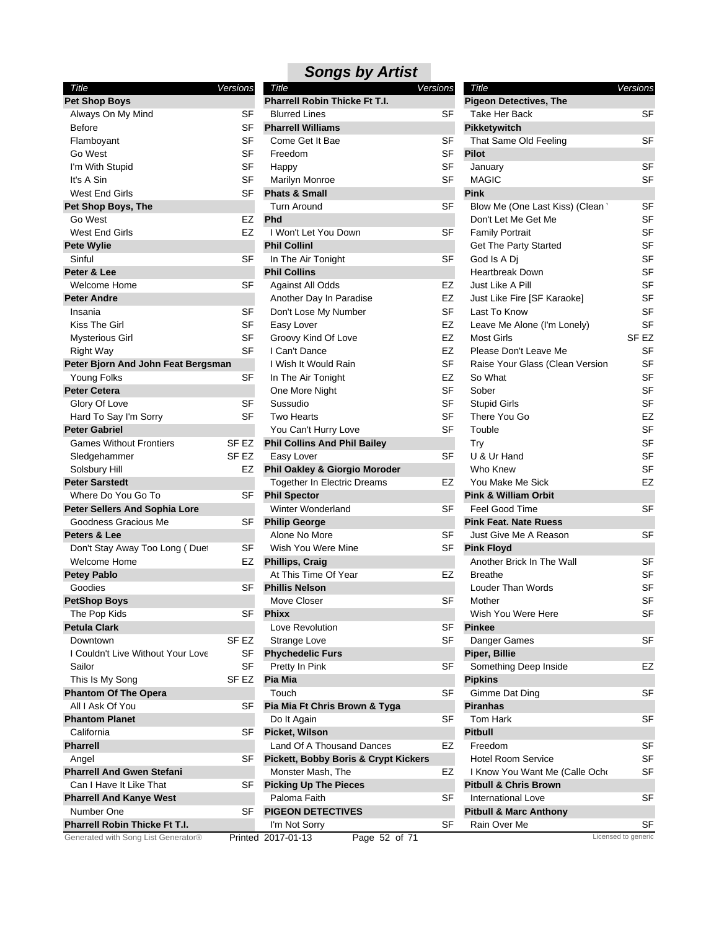| Title                                                                | Versions |        |
|----------------------------------------------------------------------|----------|--------|
| <b>Pet Shop Boys</b>                                                 |          |        |
| Always On My Mind                                                    |          | SF     |
| <b>Before</b>                                                        |          | SF     |
| Flamboyant                                                           |          | SF     |
| Go West                                                              |          | SF     |
| I'm With Stupid                                                      |          | SF     |
| It's A Sin                                                           |          | SF     |
| West End Girls                                                       |          | SF     |
| Pet Shop Boys, The                                                   |          |        |
| Go West                                                              |          | EZ     |
| West End Girls                                                       |          | EZ     |
|                                                                      |          |        |
| <b>Pete Wylie</b>                                                    |          |        |
| Sinful                                                               |          | SF     |
| Peter & Lee                                                          |          |        |
| Welcome Home                                                         |          | SF     |
| <b>Peter Andre</b>                                                   |          |        |
| Insania                                                              |          | SF     |
| Kiss The Girl                                                        |          | SF     |
| Mysterious Girl                                                      |          | SF     |
| <b>Right Way</b>                                                     |          | SF     |
| Peter Bjorn And John Feat Bergsman                                   |          |        |
| Young Folks                                                          |          | SF     |
| <b>Peter Cetera</b>                                                  |          |        |
| Glory Of Love                                                        |          | SF     |
| Hard To Say I'm Sorry                                                |          | SF     |
| <b>Peter Gabriel</b>                                                 |          |        |
| <b>Games Without Frontiers</b>                                       | SF EZ    |        |
| Sledgehammer                                                         |          | SF EZ  |
| Solsbury Hill                                                        |          | EZ     |
| <b>Peter Sarstedt</b>                                                |          |        |
| Where Do You Go To                                                   |          | SF     |
| <b>Peter Sellers And Sophia Lore</b>                                 |          |        |
| Goodness Gracious Me                                                 |          | SF     |
| Peters & Lee                                                         |          |        |
| Don't Stay Away Too Long (Duet                                       |          | SF     |
| Welcome Home                                                         |          | EZ     |
| <b>Petey Pablo</b>                                                   |          |        |
| Goodies                                                              |          | SF     |
| <b>PetShop Boys</b>                                                  |          |        |
| The Pop Kids                                                         |          | SF     |
| <b>Petula Clark</b>                                                  |          |        |
| Downtown                                                             | SF EZ    |        |
| I Couldn't Live Without Your Love                                    |          | SF     |
| Sailor                                                               |          | SF     |
|                                                                      |          | SF EZ  |
| This Is My Song<br><b>Phantom Of The Opera</b>                       |          |        |
| All I Ask Of You                                                     |          |        |
| <b>Phantom Planet</b>                                                |          | SF     |
| California                                                           |          | SF     |
| <b>Pharrell</b>                                                      |          |        |
|                                                                      |          |        |
| Angel                                                                |          | SF     |
| <b>Pharrell And Gwen Stefani</b>                                     |          |        |
| Can I Have It Like That                                              |          | SF     |
| <b>Pharrell And Kanye West</b>                                       |          |        |
| Number One                                                           |          | SF     |
| Pharrell Robin Thicke Ft T.I.<br>Generated with Song List Generator® |          |        |
|                                                                      |          | Printe |

| Title                                           | Versions  | Title                             | <u>Versions</u>     |
|-------------------------------------------------|-----------|-----------------------------------|---------------------|
| <b>Pharrell Robin Thicke Ft T.I.</b>            |           | <b>Pigeon Detectives, The</b>     |                     |
| <b>Blurred Lines</b>                            | <b>SF</b> | Take Her Back                     | <b>SF</b>           |
| <b>Pharrell Williams</b>                        |           | Pikketywitch                      |                     |
| Come Get It Bae                                 | SF        | That Same Old Feeling             | SF                  |
| Freedom                                         | <b>SF</b> | <b>Pilot</b>                      |                     |
| Happy                                           | <b>SF</b> | January                           | <b>SF</b>           |
| <b>Marilyn Monroe</b>                           | SF        | <b>MAGIC</b>                      | SF                  |
| <b>Phats &amp; Small</b>                        |           | <b>Pink</b>                       |                     |
| <b>Turn Around</b>                              | SF        | Blow Me (One Last Kiss) (Clean '  | SF                  |
| Phd                                             |           | Don't Let Me Get Me               | SF                  |
| I Won't Let You Down                            | SF        | <b>Family Portrait</b>            | SF                  |
| <b>Phil Collinl</b>                             |           | Get The Party Started             | SF                  |
| In The Air Tonight                              | <b>SF</b> | God Is A Di                       | SF                  |
| <b>Phil Collins</b>                             |           | <b>Heartbreak Down</b>            | SF                  |
| <b>Against All Odds</b>                         | EZ        | Just Like A Pill                  | SF                  |
| Another Day In Paradise                         | EZ        | Just Like Fire [SF Karaoke]       | SF                  |
| Don't Lose My Number                            | SF        | Last To Know                      | <b>SF</b>           |
|                                                 |           |                                   |                     |
| Easy Lover                                      | EZ        | Leave Me Alone (I'm Lonely)       | SF                  |
| Groovy Kind Of Love                             | EZ        | <b>Most Girls</b>                 | SF <sub>EZ</sub>    |
| I Can't Dance                                   | EZ        | Please Don't Leave Me             | SF                  |
| I Wish It Would Rain                            | <b>SF</b> | Raise Your Glass (Clean Version   | SF                  |
| In The Air Tonight                              | EZ        | So What                           | SF                  |
| One More Night                                  | SF        | Sober                             | SF                  |
| Sussudio                                        | SF        | <b>Stupid Girls</b>               | SF                  |
| <b>Two Hearts</b>                               | <b>SF</b> | There You Go                      | EZ                  |
| You Can't Hurry Love                            | <b>SF</b> | Touble                            | SF                  |
| <b>Phil Collins And Phil Bailey</b>             |           | Try                               | SF                  |
| Easy Lover                                      | <b>SF</b> | U & Ur Hand                       | SF                  |
| Phil Oakley & Giorgio Moroder                   |           | Who Knew                          | SF                  |
| <b>Together In Electric Dreams</b>              | EZ        | You Make Me Sick                  | EZ                  |
| <b>Phil Spector</b>                             |           | <b>Pink &amp; William Orbit</b>   |                     |
| <b>Winter Wonderland</b>                        | <b>SF</b> | <b>Feel Good Time</b>             | <b>SF</b>           |
| <b>Philip George</b>                            |           | <b>Pink Feat. Nate Ruess</b>      |                     |
| Alone No More                                   | SF        | Just Give Me A Reason             | SF                  |
| Wish You Were Mine                              | <b>SF</b> | <b>Pink Floyd</b>                 |                     |
| <b>Phillips, Craig</b>                          |           | Another Brick In The Wall         | <b>SF</b>           |
| At This Time Of Year                            | EZ        | <b>Breathe</b>                    | SF                  |
| <b>Phillis Nelson</b>                           |           | Louder Than Words                 | SF                  |
|                                                 | SF        | Mother                            | SF                  |
| Move Closer                                     |           |                                   |                     |
| <b>Phixx</b>                                    |           | Wish You Were Here                | SF                  |
| Love Revolution                                 | SF        | <b>Pinkee</b>                     |                     |
| Strange Love                                    | <b>SF</b> | Danger Games                      | <b>SF</b>           |
| <b>Phychedelic Furs</b>                         |           | Piper, Billie                     |                     |
| Pretty In Pink                                  | <b>SF</b> | Something Deep Inside             | EZ                  |
| Pia Mia                                         |           | <b>Pipkins</b>                    |                     |
| Touch                                           | SF        | Gimme Dat Ding                    | SF                  |
| Pia Mia Ft Chris Brown & Tyga                   |           | <b>Piranhas</b>                   |                     |
| Do It Again                                     | SF        | Tom Hark                          | SF                  |
| Picket, Wilson                                  |           | <b>Pitbull</b>                    |                     |
| Land Of A Thousand Dances                       | EZ        | Freedom                           | SF                  |
| <b>Pickett, Bobby Boris &amp; Crypt Kickers</b> |           | <b>Hotel Room Service</b>         | <b>SF</b>           |
| Monster Mash, The                               | EZ        | I Know You Want Me (Calle Ocho    | SF                  |
| <b>Picking Up The Pieces</b>                    |           | <b>Pitbull &amp; Chris Brown</b>  |                     |
| Paloma Faith                                    | SF        | International Love                | SF                  |
| <b>PIGEON DETECTIVES</b>                        |           | <b>Pitbull &amp; Marc Anthony</b> |                     |
| I'm Not Sorry                                   | SF        | Rain Over Me                      | SF                  |
| d 2017-01-13<br>Page 52 of 71                   |           |                                   | Licensed to generic |
|                                                 |           |                                   |                     |

| Title                             | Versions  |
|-----------------------------------|-----------|
| <b>Pigeon Detectives, The</b>     |           |
| Take Her Back                     | SF        |
| Pikketywitch                      |           |
| That Same Old Feeling             | SF        |
| Pilot                             |           |
| January                           | SF        |
| MAGIC<br>Pink                     | SF        |
| Blow Me (One Last Kiss) (Clean '  | SF        |
| Don't Let Me Get Me               | SF        |
| <b>Family Portrait</b>            | SF        |
|                                   | <b>SF</b> |
| Get The Party Started             |           |
| God Is A Dj                       | SF        |
| <b>Heartbreak Down</b>            | SF        |
| Just Like A Pill                  | SF        |
| Just Like Fire [SF Karaoke]       | SF        |
| Last To Know                      | SF        |
| Leave Me Alone (I'm Lonely)       | SF        |
| <b>Most Girls</b>                 | SF EZ     |
| Please Don't Leave Me             | SF        |
| Raise Your Glass (Clean Version   | <b>SF</b> |
| So What                           | SF        |
| Sober                             | SF        |
| <b>Stupid Girls</b>               | <b>SF</b> |
| There You Go                      | EZ        |
| Touble                            | SF        |
| <b>Try</b>                        | <b>SF</b> |
| U & Ur Hand                       | SF        |
| Who Knew                          | SF        |
| You Make Me Sick                  | EZ        |
| <b>Pink &amp; William Orbit</b>   |           |
| Feel Good Time                    | SF        |
| <b>Pink Feat. Nate Ruess</b>      |           |
| Just Give Me A Reason             | SF        |
| <b>Pink Floyd</b>                 |           |
| Another Brick In The Wall         | SF        |
| Breathe                           | SF        |
| Louder Than Words                 | SF        |
| Mother                            | SF        |
| Wish You Were Here                | SF        |
| Pinkee                            |           |
| Danger Games                      | SF        |
| Piper, Billie                     |           |
| Something Deep Inside             | EZ        |
| Pipkins                           |           |
| Gimme Dat Ding                    | SF        |
| Piranhas                          |           |
| Tom Hark                          | SF        |
| <b>Pitbull</b>                    |           |
| Freedom                           | SF        |
| <b>Hotel Room Service</b>         | SF        |
| I Know You Want Me (Calle Ocho    | SF        |
| <b>Pitbull &amp; Chris Brown</b>  |           |
| <b>International Love</b>         | SF        |
| <b>Pitbull &amp; Marc Anthony</b> |           |
| Rain Over Me                      | SF        |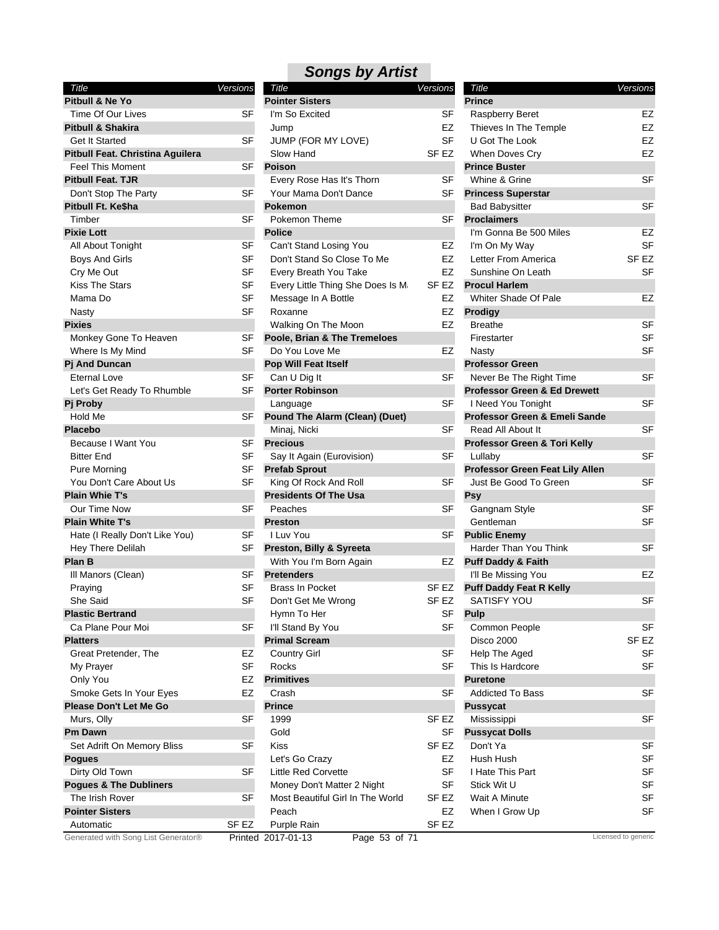| Title                             | Versions  |
|-----------------------------------|-----------|
| Pitbull & Ne Yo                   |           |
| Time Of Our Lives                 | SF        |
| <b>Pitbull &amp; Shakira</b>      |           |
| Get It Started                    | SF        |
| Pitbull Feat. Christina Aguilera  |           |
| Feel This Moment                  | SF        |
| <b>Pitbull Feat. TJR</b>          |           |
| Don't Stop The Party              | SF        |
| Pitbull Ft. Ke\$ha                |           |
| Timber                            | SF        |
| <b>Pixie Lott</b>                 |           |
| All About Tonight                 | SF        |
| <b>Boys And Girls</b>             | <b>SF</b> |
| Cry Me Out                        | SF        |
| Kiss The Stars                    | <b>SF</b> |
| Mama Do                           | SF        |
| Nasty                             | SF        |
| <b>Pixies</b>                     |           |
| Monkey Gone To Heaven             | <b>SF</b> |
| Where Is My Mind                  | SF        |
| <b>Pj And Duncan</b>              |           |
| Eternal Love                      | SF        |
| Let's Get Ready To Rhumble        | SF        |
| Pj Proby                          |           |
| Hold Me                           | SF        |
| <b>Placebo</b>                    |           |
| Because I Want You                | SF        |
| <b>Bitter End</b>                 | SF        |
| Pure Morning                      | SF        |
| You Don't Care About Us           | SF        |
| <b>Plain Whie T's</b>             |           |
| Our Time Now                      | SF        |
| <b>Plain White T's</b>            |           |
| Hate (I Really Don't Like You)    | SF        |
| Hey There Delilah                 | SF        |
| Plan B                            |           |
| III Manors (Clean)                | SF        |
| Praying                           | SF        |
| She Said                          | SF        |
| <b>Plastic Bertrand</b>           |           |
| Ca Plane Pour Moi                 | SF        |
| <b>Platters</b>                   |           |
| Great Pretender, The              | EZ        |
| My Prayer                         | SF        |
| Only You                          | EZ        |
| Smoke Gets In Your Eyes           | EZ        |
| <b>Please Don't Let Me Go</b>     |           |
| Murs, Olly                        | SF        |
| <b>Pm Dawn</b>                    |           |
| Set Adrift On Memory Bliss        | SF        |
| Pogues                            |           |
| Dirty Old Town                    | SF        |
| <b>Pogues &amp; The Dubliners</b> |           |
| The Irish Rover                   | SF        |
| <b>Pointer Sisters</b>            |           |
| Automatic                         | SF EZ     |

| Title                                    | Versions  | Title                                 | <b>Versions</b>  | Title                                   | Versions            |
|------------------------------------------|-----------|---------------------------------------|------------------|-----------------------------------------|---------------------|
| Pitbull & Ne Yo                          |           | <b>Pointer Sisters</b>                |                  | <b>Prince</b>                           |                     |
| Time Of Our Lives                        | <b>SF</b> | I'm So Excited                        | SF               | Raspberry Beret                         | EZ                  |
| <b>Pitbull &amp; Shakira</b>             |           | Jump                                  | EZ               | Thieves In The Temple                   | <b>EZ</b>           |
| <b>Get It Started</b>                    | <b>SF</b> | JUMP (FOR MY LOVE)                    | <b>SF</b>        | U Got The Look                          | EZ                  |
| Pitbull Feat. Christina Aguilera         |           | Slow Hand                             | SF <sub>EZ</sub> | When Doves Cry                          | EZ                  |
| <b>Feel This Moment</b>                  | <b>SF</b> | <b>Poison</b>                         |                  | <b>Prince Buster</b>                    |                     |
| <b>Pitbull Feat. TJR</b>                 |           | Every Rose Has It's Thorn             | <b>SF</b>        | Whine & Grine                           | <b>SF</b>           |
| Don't Stop The Party                     | <b>SF</b> | Your Mama Don't Dance                 | SF               | <b>Princess Superstar</b>               |                     |
| Pitbull Ft. Ke\$ha                       |           | <b>Pokemon</b>                        |                  | <b>Bad Babysitter</b>                   | <b>SF</b>           |
| Timber                                   | <b>SF</b> | Pokemon Theme                         | <b>SF</b>        | <b>Proclaimers</b>                      |                     |
| <b>Pixie Lott</b>                        |           | <b>Police</b>                         |                  | I'm Gonna Be 500 Miles                  | EZ                  |
| All About Tonight                        | SF        | Can't Stand Losing You                | EZ               | I'm On My Way                           | <b>SF</b>           |
| <b>Boys And Girls</b>                    | <b>SF</b> | Don't Stand So Close To Me            | EZ               | Letter From America                     | SF <sub>EZ</sub>    |
| Cry Me Out                               | <b>SF</b> | Every Breath You Take                 | EZ               | Sunshine On Leath                       | <b>SF</b>           |
| <b>Kiss The Stars</b>                    | SF        | Every Little Thing She Does Is M      | SF EZ            | <b>Procul Harlem</b>                    |                     |
| Mama Do                                  | SF        | Message In A Bottle                   | EZ               | Whiter Shade Of Pale                    | EZ                  |
| Nasty                                    | <b>SF</b> | Roxanne                               | EZ               | <b>Prodigy</b>                          |                     |
| <b>Pixies</b>                            |           | Walking On The Moon                   | EZ               | <b>Breathe</b>                          | <b>SF</b>           |
| Monkey Gone To Heaven                    | SF        | Poole, Brian & The Tremeloes          |                  | Firestarter                             | <b>SF</b>           |
|                                          | SF        | Do You Love Me                        | EZ               |                                         | <b>SF</b>           |
| Where Is My Mind<br><b>Pj And Duncan</b> |           |                                       |                  | Nasty<br><b>Professor Green</b>         |                     |
|                                          | <b>SF</b> | Pop Will Feat Itself<br>Can U Dig It  | <b>SF</b>        | Never Be The Right Time                 | <b>SF</b>           |
| <b>Eternal Love</b>                      |           |                                       |                  |                                         |                     |
| Let's Get Ready To Rhumble               | <b>SF</b> | <b>Porter Robinson</b>                |                  | <b>Professor Green &amp; Ed Drewett</b> |                     |
| Pj Proby                                 |           | Language                              | <b>SF</b>        | I Need You Tonight                      | <b>SF</b>           |
| Hold Me                                  | <b>SF</b> | <b>Pound The Alarm (Clean) (Duet)</b> |                  | Professor Green & Emeli Sande           |                     |
| <b>Placebo</b>                           |           | Minaj, Nicki                          | <b>SF</b>        | Read All About It                       | <b>SF</b>           |
| Because I Want You                       | <b>SF</b> | <b>Precious</b>                       |                  | Professor Green & Tori Kelly            |                     |
| <b>Bitter End</b>                        | <b>SF</b> | Say It Again (Eurovision)             | <b>SF</b>        | Lullaby                                 | <b>SF</b>           |
| Pure Morning                             | SF        | <b>Prefab Sprout</b>                  |                  | Professor Green Feat Lily Allen         |                     |
| You Don't Care About Us                  | SF        | King Of Rock And Roll                 | <b>SF</b>        | Just Be Good To Green                   | <b>SF</b>           |
| <b>Plain Whie T's</b>                    |           | <b>Presidents Of The Usa</b>          |                  | <b>Psy</b>                              |                     |
| Our Time Now                             | <b>SF</b> | Peaches                               | <b>SF</b>        | Gangnam Style                           | <b>SF</b>           |
| <b>Plain White T's</b>                   |           | <b>Preston</b>                        |                  | Gentleman                               | <b>SF</b>           |
| Hate (I Really Don't Like You)           | SF        | I Luv You                             | SF               | <b>Public Enemy</b>                     |                     |
| Hey There Delilah                        | SF        | Preston, Billy & Syreeta              |                  | Harder Than You Think                   | <b>SF</b>           |
| Plan B                                   |           | With You I'm Born Again               | EZ               | <b>Puff Daddy &amp; Faith</b>           |                     |
| III Manors (Clean)                       | SF        | <b>Pretenders</b>                     |                  | I'll Be Missing You                     | <b>EZ</b>           |
| Praying                                  | SF        | <b>Brass In Pocket</b>                | SF EZ            | <b>Puff Daddy Feat R Kelly</b>          |                     |
| She Said                                 | <b>SF</b> | Don't Get Me Wrong                    | SF EZ            | <b>SATISFY YOU</b>                      | <b>SF</b>           |
| <b>Plastic Bertrand</b>                  |           | Hymn To Her                           | SF               | <b>Pulp</b>                             |                     |
| Ca Plane Pour Moi                        | SF        | I'll Stand By You                     | SF               | Common People                           | <b>SF</b>           |
| <b>Platters</b>                          |           | <b>Primal Scream</b>                  |                  | <b>Disco 2000</b>                       | SF <sub>EZ</sub>    |
| Great Pretender, The                     | EZ        | <b>Country Girl</b>                   | SF               | Help The Aged                           | SF                  |
| My Prayer                                | <b>SF</b> | Rocks                                 | <b>SF</b>        | This Is Hardcore                        | <b>SF</b>           |
| Only You                                 | EZ        | <b>Primitives</b>                     |                  | <b>Puretone</b>                         |                     |
| Smoke Gets In Your Eyes                  | EZ        | Crash                                 | SF               | <b>Addicted To Bass</b>                 | SF                  |
| <b>Please Don't Let Me Go</b>            |           | <b>Prince</b>                         |                  | <b>Pussycat</b>                         |                     |
| Murs, Olly                               | SF        | 1999                                  | SF <sub>EZ</sub> | Mississippi                             | SF                  |
| Pm Dawn                                  |           | Gold                                  | SF               | <b>Pussycat Dolls</b>                   |                     |
| Set Adrift On Memory Bliss               | <b>SF</b> | <b>Kiss</b>                           | SF <sub>EZ</sub> | Don't Ya                                | <b>SF</b>           |
| <b>Pogues</b>                            |           | Let's Go Crazy                        | EZ               | Hush Hush                               | SF                  |
| Dirty Old Town                           | <b>SF</b> | <b>Little Red Corvette</b>            | <b>SF</b>        | I Hate This Part                        | SF                  |
| <b>Pogues &amp; The Dubliners</b>        |           | Money Don't Matter 2 Night            | SF               | Stick Wit U                             | <b>SF</b>           |
| The Irish Rover                          | <b>SF</b> | Most Beautiful Girl In The World      | SF EZ            | Wait A Minute                           | <b>SF</b>           |
| <b>Pointer Sisters</b>                   |           | Peach                                 | EZ               | When I Grow Up                          | <b>SF</b>           |
| Automatic                                | SF EZ     | Purple Rain                           | SF <sub>EZ</sub> |                                         |                     |
| Generated with Song List Generator®      |           | Page 53 of 71<br>Printed 2017-01-13   |                  |                                         | Licensed to generic |

| Title                                   | Versions         |
|-----------------------------------------|------------------|
| <b>Prince</b>                           |                  |
| <b>Raspberry Beret</b>                  | EZ               |
| Thieves In The Temple                   | EZ               |
| U Got The Look                          | EZ               |
| <b>When Doves Cry</b>                   | EZ               |
| <b>Prince Buster</b>                    |                  |
| Whine & Grine                           | SF               |
| <b>Princess Superstar</b>               |                  |
| Bad Babysitter                          | SF               |
| <b>Proclaimers</b>                      |                  |
| I'm Gonna Be 500 Miles                  | EZ               |
| I'm On My Way                           | SF               |
| Letter From America                     | SF <sub>EZ</sub> |
| Sunshine On Leath                       | SF               |
| <b>Procul Harlem</b>                    |                  |
| <b>Whiter Shade Of Pale</b>             | EZ               |
| Prodigy                                 |                  |
| <b>Breathe</b>                          | SF               |
| Firestarter                             | SF               |
| Nasty                                   | SF               |
| <b>Professor Green</b>                  |                  |
| Never Be The Right Time                 | SF               |
| <b>Professor Green &amp; Ed Drewett</b> |                  |
| I Need You Tonight                      | SF               |
| Professor Green & Emeli Sande           |                  |
| Read All About It                       | SF               |
| Professor Green & Tori Kelly            |                  |
| Lullaby                                 | SF               |
| Professor Green Feat Lily Allen         |                  |
| Just Be Good To Green                   | SF               |
| Psy                                     |                  |
| Gangnam Style                           | SF               |
| Gentleman                               | SF               |
| <b>Public Enemy</b>                     |                  |
| <b>Harder Than You Think</b>            | SF               |
| <b>Puff Daddy &amp; Faith</b>           |                  |
| I'll Be Missing You                     | EZ               |
| <b>Puff Daddy Feat R Kelly</b>          |                  |
| SATISFY YOU                             | SF               |
| Pulp                                    |                  |
| Common People                           | SF               |
| Disco 2000                              | SF EZ            |
| Help The Aged                           | SF               |
| This Is Hardcore                        | SF               |
| <b>Puretone</b>                         |                  |
| <b>Addicted To Bass</b>                 | SF               |
| Pussycat                                |                  |
| Mississippi                             | SF               |
| <b>Pussycat Dolls</b>                   |                  |
| Don't Ya                                | SF               |
| Hush Hush                               | SF               |
| I Hate This Part                        | SF               |
| Stick Wit U                             | SF               |
| Wait A Minute                           | SF               |
| When I Grow Up                          | SF               |
|                                         |                  |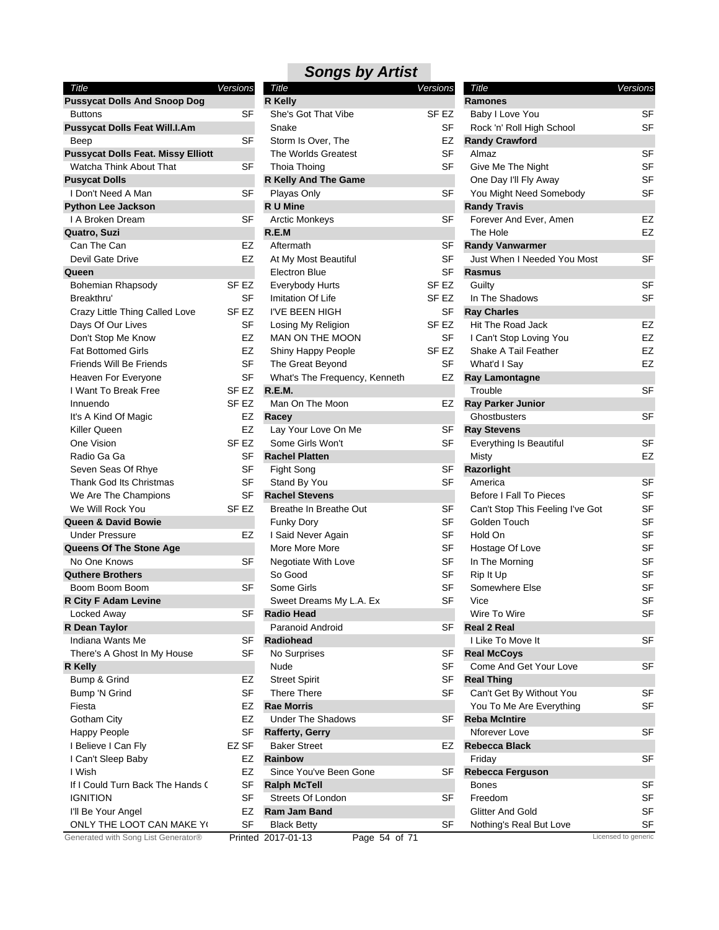| Title                                     | Versions         |
|-------------------------------------------|------------------|
| <b>Pussycat Dolls And Snoop Dog</b>       |                  |
| <b>Buttons</b>                            | SF               |
| <b>Pussycat Dolls Feat Will.I.Am</b>      |                  |
| Beep                                      | SF               |
| <b>Pussycat Dolls Feat. Missy Elliott</b> |                  |
| <b>Watcha Think About That</b>            | SF               |
| <b>Pusycat Dolls</b>                      |                  |
| I Don't Need A Man                        | SF               |
| <b>Python Lee Jackson</b>                 |                  |
| I A Broken Dream                          | SF               |
| <b>Quatro, Suzi</b>                       |                  |
| Can The Can                               | EZ               |
| Devil Gate Drive                          | EZ               |
| Queen                                     |                  |
| Bohemian Rhapsody                         | SF EZ            |
| Breakthru'                                | SF               |
| Crazy Little Thing Called Love            | SF <sub>EZ</sub> |
| Days Of Our Lives                         | SF               |
| Don't Stop Me Know                        | EZ               |
| <b>Fat Bottomed Girls</b>                 | EZ               |
| <b>Friends Will Be Friends</b>            | SF               |
| Heaven For Everyone                       | SF               |
| I Want To Break Free                      | SF EZ            |
| Innuendo                                  | SF EZ            |
| It's A Kind Of Magic                      | EZ               |
|                                           |                  |
| Killer Queen                              | EZ               |
| One Vision                                | SF <sub>EZ</sub> |
| Radio Ga Ga                               | SF               |
| Seven Seas Of Rhye                        | <b>SF</b>        |
| Thank God Its Christmas                   | SF               |
| We Are The Champions                      | SF               |
| We Will Rock You                          | SF <sub>EZ</sub> |
| <b>Queen &amp; David Bowie</b>            |                  |
| <b>Under Pressure</b>                     | EZ               |
| Queens Of The Stone Age                   |                  |
| No One Knows                              | SF               |
| <b>Quthere Brothers</b>                   |                  |
| Boom Boom Boom                            | SF               |
| <b>R City F Adam Levine</b>               |                  |
| Locked Away                               | SF               |
| R Dean Taylor                             |                  |
| Indiana Wants Me                          | SF               |
| There's A Ghost In My House               | SF               |
| R Kelly                                   |                  |
| Bump & Grind                              | EZ               |
| Bump 'N Grind                             | SF               |
| Fiesta                                    | EZ               |
| Gotham City                               | EZ               |
|                                           |                  |
| Happy People                              | SF               |
| I Believe I Can Fly                       | EZ SF            |
| I Can't Sleep Baby                        | EZ               |
| I Wish                                    | EZ               |
| If I Could Turn Back The Hands (          | SF               |
| Ignition                                  | SF               |
| I'll Be Your Angel                        | EZ               |
| ONLY THE LOOT CAN MAKE YO                 | SF               |
| Generated with Song List Generator®       | Printed          |

| Title                                     | Versions           | <b>Songs by Artist</b><br>Title | Versions         | Title                            | Versions  |
|-------------------------------------------|--------------------|---------------------------------|------------------|----------------------------------|-----------|
| <b>Pussycat Dolls And Snoop Dog</b>       |                    | <b>R</b> Kelly                  |                  | <b>Ramones</b>                   |           |
| <b>Buttons</b>                            | SF                 | She's Got That Vibe             | SF <sub>EZ</sub> | Baby I Love You                  | SF        |
| Pussycat Dolls Feat Will.I.Am             |                    | Snake                           | SF               | Rock 'n' Roll High School        | SF        |
| Beep                                      | <b>SF</b>          | Storm Is Over, The              | EZ               | <b>Randy Crawford</b>            |           |
| <b>Pussycat Dolls Feat. Missy Elliott</b> |                    | The Worlds Greatest             | <b>SF</b>        | Almaz                            | <b>SF</b> |
| Watcha Think About That                   | SF                 | Thoia Thoing                    | <b>SF</b>        | Give Me The Night                | <b>SF</b> |
| <b>Pusycat Dolls</b>                      |                    | R Kelly And The Game            |                  | One Day I'll Fly Away            | SF        |
| I Don't Need A Man                        | <b>SF</b>          | Playas Only                     | <b>SF</b>        | You Might Need Somebody          | SF        |
| <b>Python Lee Jackson</b>                 |                    | R U Mine                        |                  | <b>Randy Travis</b>              |           |
| I A Broken Dream                          | <b>SF</b>          | <b>Arctic Monkeys</b>           | <b>SF</b>        | Forever And Ever, Amen           | EZ        |
| Quatro, Suzi                              |                    | R.E.M                           |                  | The Hole                         | EZ        |
| Can The Can                               | EZ                 | Aftermath                       | <b>SF</b>        | <b>Randy Vanwarmer</b>           |           |
| Devil Gate Drive                          | <b>EZ</b>          | At My Most Beautiful            | <b>SF</b>        | Just When I Needed You Most      | <b>SF</b> |
|                                           |                    | <b>Electron Blue</b>            | <b>SF</b>        | Rasmus                           |           |
| Queen                                     |                    |                                 |                  |                                  | <b>SF</b> |
| <b>Bohemian Rhapsody</b>                  | SF EZ<br><b>SF</b> | Everybody Hurts                 | SF EZ            | Guilty<br>In The Shadows         | SF        |
| Breakthru'                                |                    | Imitation Of Life               | SF EZ            |                                  |           |
| Crazy Little Thing Called Love            | SF EZ              | I'VE BEEN HIGH                  | SF               | <b>Ray Charles</b>               |           |
| Days Of Our Lives                         | SF                 | Losing My Religion              | SF <sub>EZ</sub> | Hit The Road Jack                | EZ        |
| Don't Stop Me Know                        | EZ                 | <b>MAN ON THE MOON</b>          | SF               | I Can't Stop Loving You          | EZ        |
| <b>Fat Bottomed Girls</b>                 | <b>EZ</b>          | Shiny Happy People              | SF <sub>EZ</sub> | Shake A Tail Feather             | EZ        |
| Friends Will Be Friends                   | <b>SF</b>          | The Great Beyond                | <b>SF</b>        | What'd I Say                     | EZ        |
| Heaven For Everyone                       | <b>SF</b>          | What's The Frequency, Kenneth   | EZ               | <b>Ray Lamontagne</b>            |           |
| I Want To Break Free                      | SF EZ              | <b>R.E.M.</b>                   |                  | Trouble                          | <b>SF</b> |
| Innuendo                                  | SF EZ              | Man On The Moon                 | EZ               | <b>Ray Parker Junior</b>         |           |
| It's A Kind Of Magic                      | EZ                 | Racey                           |                  | Ghostbusters                     | <b>SF</b> |
| Killer Queen                              | EZ                 | Lay Your Love On Me             | SF               | <b>Ray Stevens</b>               |           |
| One Vision                                | SF <sub>EZ</sub>   | Some Girls Won't                | <b>SF</b>        | Everything Is Beautiful          | <b>SF</b> |
| Radio Ga Ga                               | SF                 | <b>Rachel Platten</b>           |                  | Misty                            | EZ        |
| Seven Seas Of Rhye                        | <b>SF</b>          | Fight Song                      | SF               | Razorlight                       |           |
| Thank God Its Christmas                   | SF                 | Stand By You                    | <b>SF</b>        | America                          | SF        |
| We Are The Champions                      | <b>SF</b>          | <b>Rachel Stevens</b>           |                  | <b>Before I Fall To Pieces</b>   | SF        |
| We Will Rock You                          | SF EZ              | Breathe In Breathe Out          | SF               | Can't Stop This Feeling I've Got | SF        |
| Queen & David Bowie                       |                    | <b>Funky Dory</b>               | SF               | Golden Touch                     | SF        |
| <b>Under Pressure</b>                     | EZ                 | I Said Never Again              | SF               | Hold On                          | SF        |
| Queens Of The Stone Age                   |                    | More More More                  | <b>SF</b>        | Hostage Of Love                  | SF        |
| No One Knows                              | SF                 | Negotiate With Love             | <b>SF</b>        | In The Morning                   | SF        |
| <b>Quthere Brothers</b>                   |                    | So Good                         | <b>SF</b>        | Rip It Up                        | SF        |
| Boom Boom Boom                            | <b>SF</b>          | Some Girls                      | SF               | Somewhere Else                   | SF        |
| R City F Adam Levine                      |                    | Sweet Dreams My L.A. Ex         | SF               | Vice                             | SF        |
| Locked Away                               | SF                 | <b>Radio Head</b>               |                  | Wire To Wire                     | SF        |
| R Dean Taylor                             |                    | Paranoid Android                | SF               | <b>Real 2 Real</b>               |           |
| Indiana Wants Me                          | SF                 | Radiohead                       |                  | I Like To Move It                | SF        |
| There's A Ghost In My House               | SF                 | No Surprises                    | SF               | <b>Real McCoys</b>               |           |
| R Kelly                                   |                    | Nude                            | <b>SF</b>        | Come And Get Your Love           | SF        |
| Bump & Grind                              | EZ                 | <b>Street Spirit</b>            | SF               | <b>Real Thing</b>                |           |
| Bump 'N Grind                             | <b>SF</b>          | There There                     | SF               | Can't Get By Without You         | SF        |
| Fiesta                                    | EZ                 | <b>Rae Morris</b>               |                  | You To Me Are Everything         | SF        |
| Gotham City                               | EZ                 | <b>Under The Shadows</b>        | <b>SF</b>        | <b>Reba McIntire</b>             |           |
| <b>Happy People</b>                       | SF                 | <b>Rafferty, Gerry</b>          |                  | Nforever Love                    | SF        |
| I Believe I Can Fly                       | EZ SF              | <b>Baker Street</b>             | EZ               | Rebecca Black                    |           |
| I Can't Sleep Baby                        | EZ                 | Rainbow                         |                  | Friday                           | <b>SF</b> |
| I Wish                                    | EZ                 | Since You've Been Gone          | SF               | <b>Rebecca Ferguson</b>          |           |
| If I Could Turn Back The Hands (          | SF                 | <b>Ralph McTell</b>             |                  | <b>Bones</b>                     | SF        |
| <b>IGNITION</b>                           | SF                 | Streets Of London               | SF               | Freedom                          | SF        |
|                                           | EZ                 |                                 |                  | <b>Glitter And Gold</b>          | SF        |
| I'll Be Your Angel                        |                    | Ram Jam Band                    |                  |                                  |           |
| ONLY THE LOOT CAN MAKE YO                 | SF                 | <b>Black Betty</b>              | SF               | Nothing's Real But Love          | SF        |

| Title                                            | Versions |
|--------------------------------------------------|----------|
| Ramones                                          |          |
| Baby I Love You                                  | SF       |
| Rock 'n' Roll High School                        | SF       |
| <b>Randy Crawford</b>                            |          |
| Almaz                                            | SF       |
| Give Me The Night                                | SF       |
| One Day I'll Fly Away                            | SF       |
| You Might Need Somebody                          | SF       |
| <b>Randy Travis</b>                              |          |
| Forever And Ever, Amen                           | EZ       |
| The Hole                                         | EZ       |
| <b>Randy Vanwarmer</b>                           |          |
| Just When I Needed You Most                      | SF       |
| <b>Rasmus</b>                                    |          |
| Guilty                                           | SF       |
| In The Shadows                                   | SF       |
| <b>Ray Charles</b>                               |          |
| Hit The Road Jack                                | EZ       |
| I Can't Stop Loving You                          | EZ       |
| Shake A Tail Feather                             | EZ       |
| What'd I Say                                     | EZ       |
| Ray Lamontagne                                   |          |
| Trouble                                          | SF       |
| <b>Ray Parker Junior</b>                         |          |
| Ghostbusters                                     | SF       |
| <b>Ray Stevens</b>                               |          |
| Everything Is Beautiful                          | SF       |
| Misty                                            | EZ       |
| Razorlight                                       |          |
| America<br><b>Before I Fall To Pieces</b>        | SF<br>SF |
|                                                  | SF       |
| Can't Stop This Feeling I've Got<br>Golden Touch | SF       |
| Hold On                                          | SF       |
|                                                  | SF       |
| Hostage Of Love<br>In The Morning                | SF       |
| Rip It Up                                        | SF       |
| Somewhere Else                                   | SF       |
| Vice                                             | SF       |
| Wire To Wire                                     | SF       |
| <b>Real 2 Real</b>                               |          |
| I Like To Move It                                | SF       |
| <b>Real McCoys</b>                               |          |
| Come And Get Your Love                           | SF       |
| <b>Real Thing</b>                                |          |
| Can't Get By Without You                         | SF       |
| You To Me Are Everything                         | SF       |
| <b>Reba McIntire</b>                             |          |
| Nforever Love                                    | SF       |
| Rebecca Black                                    |          |
| Friday                                           | SF       |
| <b>Rebecca Ferguson</b>                          |          |
| <b>Bones</b>                                     | SF       |
| Freedom                                          | SF       |
| Glitter And Gold                                 | SF       |
| Nothing's Real But Love                          | SF       |
|                                                  |          |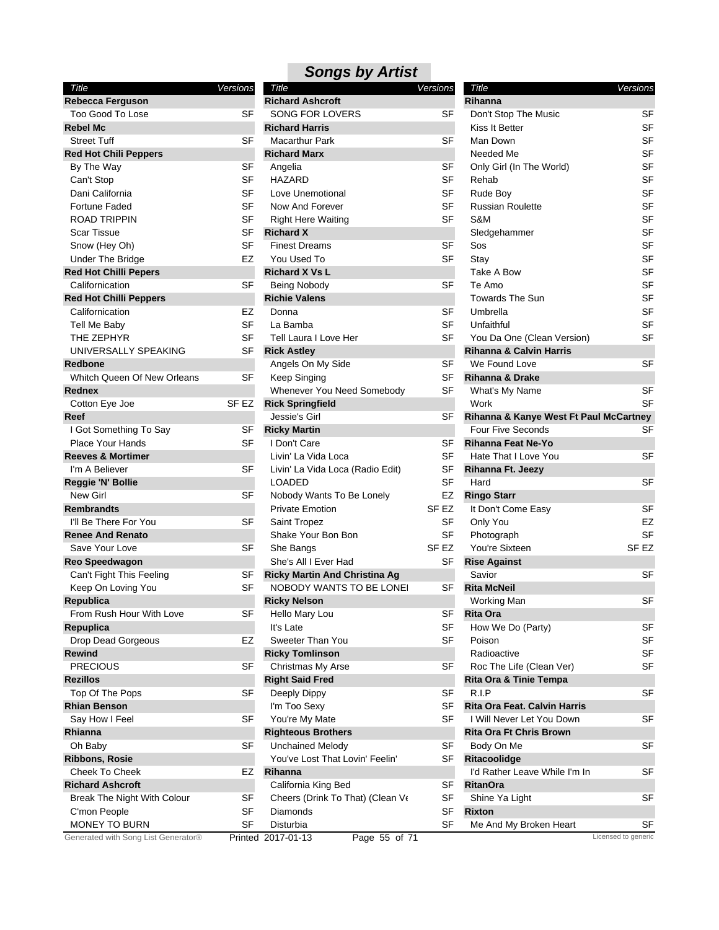| Title                               | Versions  |
|-------------------------------------|-----------|
| <b>Rebecca Ferguson</b>             |           |
| <b>Too Good To Lose</b>             | SF        |
| <b>Rebel Mc</b>                     |           |
| <b>Street Tuff</b>                  | SF        |
| <b>Red Hot Chili Peppers</b>        |           |
| By The Way                          | SF        |
| Can't Stop                          | SF        |
| Dani California                     | <b>SF</b> |
| Fortune Faded                       | SF        |
| <b>ROAD TRIPPIN</b>                 | SF        |
| <b>Scar Tissue</b>                  | SF        |
| Snow (Hey Oh)                       | SF        |
| <b>Under The Bridge</b>             | EZ        |
| <b>Red Hot Chilli Pepers</b>        |           |
| Californication                     | SF        |
| <b>Red Hot Chilli Peppers</b>       |           |
| Californication                     | EZ        |
| Tell Me Baby                        | SF        |
| THE ZEPHYR                          | SF        |
| UNIVERSALLY SPEAKING                | SF        |
| Redbone                             |           |
| Whitch Queen Of New Orleans         | SF        |
| Rednex                              |           |
| Cotton Eye Joe                      | SF EZ     |
| Reef                                |           |
| I Got Something To Say              | SF        |
| Place Your Hands                    | SF        |
| <b>Reeves &amp; Mortimer</b>        |           |
| I'm A Believer                      | SF        |
| Reggie 'N' Bollie                   |           |
| <b>New Girl</b>                     | SF        |
| <b>Rembrandts</b>                   |           |
| I'll Be There For You               | SF        |
| <b>Renee And Renato</b>             |           |
| Save Your Love                      | SF        |
| <b>Reo Speedwagon</b>               |           |
| Can't Fight This Feeling            | SF        |
| Keep On Loving You                  | SF        |
| Republica                           |           |
| From Rush Hour With Love            | SF        |
| Repuplica                           |           |
| Drop Dead Gorgeous                  | EZ        |
| <b>Rewind</b>                       |           |
| PRECIOUS                            | SF        |
| <b>Rezillos</b>                     |           |
| Top Of The Pops                     | SF        |
| <b>Rhian Benson</b>                 |           |
| Say How I Feel                      | SF        |
| Rhianna                             |           |
| Oh Baby                             | SF        |
| <b>Ribbons, Rosie</b>               |           |
| <b>Cheek To Cheek</b>               | EZ        |
| <b>Richard Ashcroft</b>             |           |
| Break The Night With Colour         | SF        |
| C'mon People                        | SF        |
| <b>MONEY TO BURN</b>                | SF        |
| Generated with Song List Generator® | Printec   |

| Title                                | <b>Versions</b>  | Title                                  | <b>Versions</b>     |
|--------------------------------------|------------------|----------------------------------------|---------------------|
| <b>Richard Ashcroft</b>              |                  | Rihanna                                |                     |
| <b>SONG FOR LOVERS</b>               | SF               | Don't Stop The Music                   | SF                  |
| <b>Richard Harris</b>                |                  | Kiss It Better                         | SF                  |
| <b>Macarthur Park</b>                | SF               | Man Down                               | SF                  |
| <b>Richard Marx</b>                  |                  | Needed Me                              | SF                  |
| Angelia                              | <b>SF</b>        | Only Girl (In The World)               | <b>SF</b>           |
| <b>HAZARD</b>                        | SF               | Rehab                                  | SF                  |
| Love Unemotional                     | SF               | Rude Boy                               | <b>SF</b>           |
| Now And Forever                      | SF               | <b>Russian Roulette</b>                | SF                  |
| <b>Right Here Waiting</b>            | SF               | S&M                                    | <b>SF</b>           |
| <b>Richard X</b>                     |                  | Sledgehammer                           | <b>SF</b>           |
| <b>Finest Dreams</b>                 | SF               | Sos                                    | SF                  |
| You Used To                          | <b>SF</b>        | Stay                                   | <b>SF</b>           |
| <b>Richard X Vs L</b>                |                  | Take A Bow                             | <b>SF</b>           |
| Being Nobody                         | <b>SF</b>        | Te Amo                                 | SF                  |
| <b>Richie Valens</b>                 |                  | <b>Towards The Sun</b>                 | SF                  |
| Donna                                | SF               | Umbrella                               | <b>SF</b>           |
| La Bamba                             | SF               | Unfaithful                             | <b>SF</b>           |
| Tell Laura I Love Her                | <b>SF</b>        | You Da One (Clean Version)             | SF                  |
| <b>Rick Astley</b>                   |                  | <b>Rihanna &amp; Calvin Harris</b>     |                     |
| Angels On My Side                    | <b>SF</b>        | We Found Love                          | <b>SF</b>           |
| Keep Singing                         | SF               | Rihanna & Drake                        |                     |
| Whenever You Need Somebody           | SF               | What's My Name                         | <b>SF</b>           |
| <b>Rick Springfield</b>              |                  | Work                                   | <b>SF</b>           |
| Jessie's Girl                        | SF               | Rihanna & Kanye West Ft Paul McCartney |                     |
| <b>Ricky Martin</b>                  |                  | <b>Four Five Seconds</b>               | SF                  |
| I Don't Care                         | SF               | Rihanna Feat Ne-Yo                     |                     |
| Livin' La Vida Loca                  | <b>SF</b>        | Hate That I Love You                   | <b>SF</b>           |
| Livin' La Vida Loca (Radio Edit)     | SF               | Rihanna Ft. Jeezy                      |                     |
| <b>LOADED</b>                        | SF               | Hard                                   | SF                  |
| Nobody Wants To Be Lonely            | EZ               | <b>Ringo Starr</b>                     |                     |
| <b>Private Emotion</b>               | SF EZ            | It Don't Come Easy                     | SF                  |
| Saint Tropez                         | SF               | Only You                               | EZ                  |
| Shake Your Bon Bon                   | <b>SF</b>        | Photograph                             | <b>SF</b>           |
| She Bangs                            | SF <sub>EZ</sub> | You're Sixteen                         | SF <sub>EZ</sub>    |
| She's All I Ever Had                 | <b>SF</b>        | <b>Rise Against</b>                    |                     |
| <b>Ricky Martin And Christina Ag</b> |                  | Savior                                 | SF                  |
| NOBODY WANTS TO BE LONEI             | SF               | <b>Rita McNeil</b>                     |                     |
| <b>Ricky Nelson</b>                  |                  | <b>Working Man</b>                     | SF                  |
| Hello Mary Lou                       | S⊦               | <b>Rita Ora</b>                        |                     |
| It's Late                            | SF               | How We Do (Party)                      | SF                  |
| Sweeter Than You                     | <b>SF</b>        | Poison                                 | SF                  |
| <b>Ricky Tomlinson</b>               |                  | Radioactive                            | SF                  |
| Christmas My Arse                    | <b>SF</b>        | Roc The Life (Clean Ver)               | SF                  |
| <b>Right Said Fred</b>               |                  | Rita Ora & Tinie Tempa                 |                     |
| Deeply Dippy                         | SF               | R.I.P                                  | SF                  |
| I'm Too Sexy                         | <b>SF</b>        | Rita Ora Feat. Calvin Harris           |                     |
| You're My Mate                       | <b>SF</b>        | I Will Never Let You Down              | SF                  |
| <b>Righteous Brothers</b>            |                  | <b>Rita Ora Ft Chris Brown</b>         |                     |
| <b>Unchained Melody</b>              | SF               | Body On Me                             | SF                  |
| You've Lost That Lovin' Feelin'      | <b>SF</b>        | Ritacoolidge                           |                     |
| Rihanna                              |                  | I'd Rather Leave While I'm In          | SF                  |
| California King Bed                  | SF               | <b>RitanOra</b>                        |                     |
| Cheers (Drink To That) (Clean Ve     | SF               | Shine Ya Light                         | SF                  |
| <b>Diamonds</b>                      | SF               | Rixton                                 |                     |
| Disturbia                            | <b>SF</b>        |                                        | SF                  |
|                                      |                  | Me And My Broken Heart                 | Licensed to generic |
| 2017-01-13<br>Page 55 of 71          |                  |                                        |                     |

| Title                                  | Versions         |
|----------------------------------------|------------------|
| Rihanna                                |                  |
| Don't Stop The Music<br>Kiss It Better | SF<br>SF         |
| Man Down                               | SF               |
| Needed Me                              | SF               |
|                                        |                  |
| Only Girl (In The World)               | SF               |
| Rehab                                  | SF               |
| <b>Rude Bov</b>                        | SF               |
| <b>Russian Roulette</b>                | SF               |
| S&M                                    | SF               |
| Sledgehammer                           | SF               |
| Sos                                    | SF               |
| Stav                                   | SF               |
| <b>Take A Bow</b>                      | SF               |
| Te Amo                                 | SF               |
| <b>Towards The Sun</b>                 | SF               |
| Umbrella                               | SF               |
| Unfaithful                             | SF               |
| You Da One (Clean Version)             | SF               |
| <b>Rihanna &amp; Calvin Harris</b>     |                  |
| We Found Love                          | SF               |
| <b>Rihanna &amp; Drake</b>             |                  |
| What's My Name                         | SF               |
| Work                                   | SF               |
| Rihanna & Kanye West Ft Paul McCartney |                  |
| <b>Four Five Seconds</b>               | SF               |
| Rihanna Feat Ne-Yo                     |                  |
| Hate That I Love You                   | SF               |
| Rihanna Ft. Jeezy                      |                  |
| Hard                                   | SF               |
| <b>Ringo Starr</b>                     |                  |
| It Don't Come Easy                     | SF               |
| Only You                               | EZ               |
| Photograph                             | SF               |
| You're Sixteen                         | SF <sub>EZ</sub> |
| <b>Rise Against</b>                    |                  |
| Savior                                 | SF               |
| <b>Rita McNeil</b>                     |                  |
| Working Man                            | ర⊦               |
| Rita Ora                               |                  |
| How We Do (Party)                      | SF               |
| Poison                                 | SF               |
| Radioactive                            | SF               |
| Roc The Life (Clean Ver)               | SF               |
| Rita Ora & Tinie Tempa                 |                  |
| R.I.P                                  | SF               |
| Rita Ora Feat. Calvin Harris           |                  |
| I Will Never Let You Down              | SF               |
| <b>Rita Ora Ft Chris Brown</b>         |                  |
| Body On Me                             | SF               |
| Ritacoolidge                           |                  |
| I'd Rather Leave While I'm In          | SF               |
| <b>RitanOra</b>                        |                  |
| Shine Ya Light                         | SF               |
| Rixton                                 |                  |
| Me And My Broken Heart                 | SF               |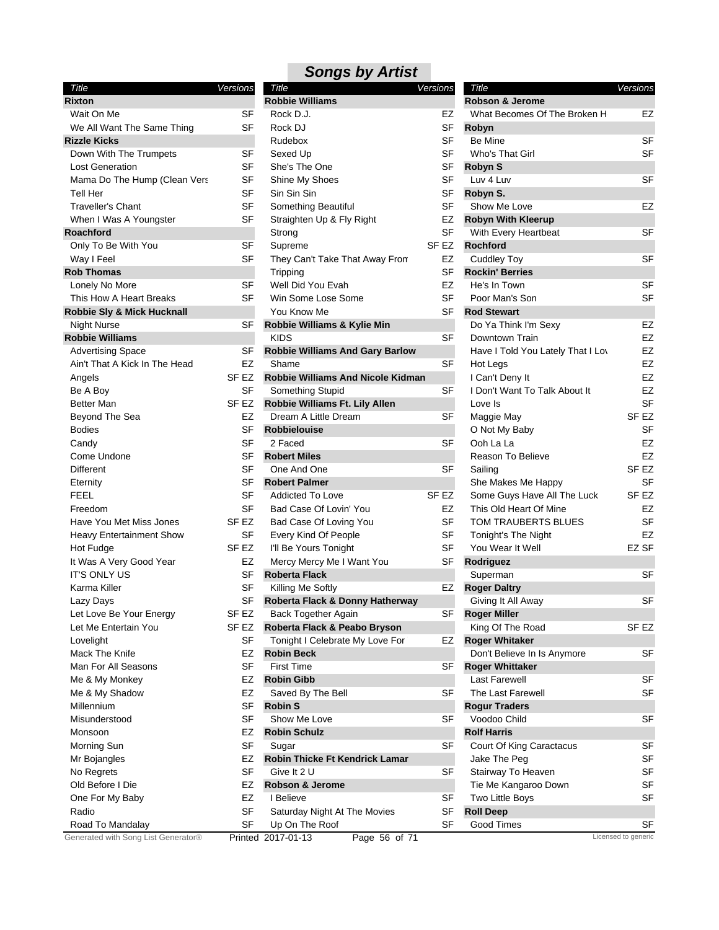|  | <b>Songs by Artist</b> |
|--|------------------------|
|--|------------------------|

|                                       |           | - ־ש                                |
|---------------------------------------|-----------|-------------------------------------|
| Title<br><b>Rixton</b>                | Versions  | Title<br><b>Robbie Williams</b>     |
| Wait On Me                            | SF        | Rock D.J.                           |
| We All Want The Same Thing            | SF        | Rock DJ                             |
| <b>Rizzle Kicks</b>                   |           | Rudebox                             |
| Down With The Trumpets                | SF        | Sexed Up                            |
| <b>Lost Generation</b>                | SF        | She's The One                       |
| Mama Do The Hump (Clean Vers          | SF        | Shine My Shoes                      |
| <b>Tell Her</b>                       | SF        | Sin Sin Sin                         |
| <b>Traveller's Chant</b>              | SF        | Something Beautiful                 |
| When I Was A Youngster                | SF        | Straighten Up & Fly Right           |
| <b>Roachford</b>                      |           | Strong                              |
| Only To Be With You                   | SF        | Supreme                             |
| Way I Feel                            | SF        | They Can't Take That Away F         |
| <b>Rob Thomas</b>                     |           | Tripping                            |
| Lonely No More                        | SF        | Well Did You Evah                   |
| This How A Heart Breaks               | SF        | Win Some Lose Some                  |
| <b>Robbie Sly &amp; Mick Hucknall</b> |           | You Know Me                         |
| <b>Night Nurse</b>                    | SF        | Robbie Williams & Kylie Min         |
| <b>Robbie Williams</b>                |           | <b>KIDS</b>                         |
| <b>Advertising Space</b>              | SF        | <b>Robbie Williams And Gary Ba</b>  |
| Ain't That A Kick In The Head         | EZ        | Shame                               |
| Angels                                | SF EZ     | Robbie Williams And Nicole K        |
| Be A Boy                              | SF        | Something Stupid                    |
| Better Man                            | SF EZ     | Robbie Williams Ft. Lily Allen      |
| Beyond The Sea                        | EZ        | Dream A Little Dream                |
| <b>Bodies</b>                         | SF        | <b>Robbielouise</b>                 |
| Candy                                 | SF        | 2 Faced                             |
| Come Undone                           | SF        | <b>Robert Miles</b>                 |
| <b>Different</b>                      | SF        | One And One                         |
| Eternity                              | SF        | <b>Robert Palmer</b>                |
| FEEL                                  | SF        | Addicted To Love                    |
| Freedom                               | SF        | Bad Case Of Lovin' You              |
| Have You Met Miss Jones               | SF EZ     | Bad Case Of Loving You              |
| <b>Heavy Entertainment Show</b>       | SF        | Every Kind Of People                |
| Hot Fudge                             | SF EZ     | I'll Be Yours Tonight               |
| It Was A Very Good Year               | F7        | Mercy Mercy Me I Want You           |
| <b>IT'S ONLY US</b>                   | SF        | <b>Roberta Flack</b>                |
| Karma Killer                          | SF        | Killing Me Softly                   |
| Lazy Days                             | SF        | Roberta Flack & Donny Hathe         |
| Let Love Be Your Energy               | SF EZ     | Back Together Again                 |
| Let Me Entertain You                  | SF EZ     | Roberta Flack & Peabo Bryso         |
| Lovelight                             | SF        | Tonight I Celebrate My Love F       |
| Mack The Knife                        | EZ        | <b>Robin Beck</b>                   |
| Man For All Seasons                   | <b>SF</b> | <b>First Time</b>                   |
| Me & My Monkey                        | EZ        | <b>Robin Gibb</b>                   |
| Me & My Shadow                        | EZ        | Saved By The Bell                   |
| Millennium                            | SF        | <b>Robin S</b>                      |
| Misunderstood                         | <b>SF</b> | Show Me Love                        |
| Monsoon                               | EZ        | <b>Robin Schulz</b>                 |
| Morning Sun                           | <b>SF</b> | Sugar                               |
| Mr Bojangles                          | EZ        | <b>Robin Thicke Ft Kendrick Lan</b> |
| No Regrets                            | <b>SF</b> | Give It 2 U                         |
| Old Before I Die                      | EZ        | Robson & Jerome                     |
| One For My Baby                       | EZ        | I Believe                           |
| Radio                                 | SF        | Saturday Night At The Movies        |
| Road To Mandalay                      | <b>SF</b> | Up On The Roof                      |
|                                       |           |                                     |

| <b>Robbie Williams</b><br>Robson & Jerome<br><b>Rixton</b><br>Wait On Me<br>SF<br>Rock D.J.<br>EZ<br>What Becomes Of The Broken H<br><b>SF</b><br><b>SF</b><br>We All Want The Same Thing<br>Rock DJ<br>Robyn<br><b>SF</b><br>Be Mine<br><b>Rizzle Kicks</b><br>Rudebox<br><b>SF</b><br><b>SF</b><br>Down With The Trumpets<br>Sexed Up<br>Who's That Girl<br>SF<br><b>SF</b><br>She's The One<br><b>Robyn S</b><br><b>Lost Generation</b><br><b>SF</b><br><b>SF</b><br>Luv 4 Luv<br>Mama Do The Hump (Clean Vers<br>Shine My Shoes<br>SF<br><b>SF</b><br><b>Tell Her</b><br>Sin Sin Sin<br>Robyn S.<br><b>SF</b><br><b>SF</b><br><b>Traveller's Chant</b><br>Something Beautiful<br>Show Me Love<br>When I Was A Youngster<br>SF<br><b>Robyn With Kleerup</b><br>Straighten Up & Fly Right<br>EZ<br>SF<br>With Every Heartbeat<br><b>Roachford</b><br>Strong<br><b>SF</b><br>SF <sub>EZ</sub><br>Supreme<br><b>Rochford</b><br>Only To Be With You<br><b>SF</b><br>EZ<br><b>Cuddley Toy</b><br>Way I Feel<br>They Can't Take That Away From<br><b>SF</b><br><b>Rob Thomas</b><br><b>Rockin' Berries</b><br>Tripping<br>EZ<br>Lonely No More<br>SF<br>Well Did You Evah<br>He's In Town<br><b>SF</b><br><b>SF</b><br>This How A Heart Breaks<br>Win Some Lose Some<br>Poor Man's Son<br>Robbie Sly & Mick Hucknall<br>You Know Me<br>SF<br><b>Rod Stewart</b><br>Robbie Williams & Kylie Min<br>SF<br>Do Ya Think I'm Sexy<br><b>Night Nurse</b><br><b>SF</b><br><b>Robbie Williams</b><br><b>KIDS</b><br>Downtown Train<br><b>SF</b><br><b>Robbie Williams And Gary Barlow</b><br><b>Advertising Space</b><br>Have I Told You Lately That I Lov<br>EZ<br>Ain't That A Kick In The Head<br>Shame<br>SF<br>Hot Legs<br>SF <sub>EZ</sub><br>Robbie Williams And Nicole Kidman<br>I Can't Deny It<br>Angels<br><b>SF</b><br><b>SF</b><br>Be A Boy<br>Something Stupid<br>I Don't Want To Talk About It<br>SF EZ<br>Robbie Williams Ft. Lily Allen<br>Better Man<br>Love Is<br>SF <sub>EZ</sub><br>Beyond The Sea<br>EZ<br>Dream A Little Dream<br>SF<br>Maggie May | Title | Versions | <b>Title</b> | Versions | Title | Versions         |
|-----------------------------------------------------------------------------------------------------------------------------------------------------------------------------------------------------------------------------------------------------------------------------------------------------------------------------------------------------------------------------------------------------------------------------------------------------------------------------------------------------------------------------------------------------------------------------------------------------------------------------------------------------------------------------------------------------------------------------------------------------------------------------------------------------------------------------------------------------------------------------------------------------------------------------------------------------------------------------------------------------------------------------------------------------------------------------------------------------------------------------------------------------------------------------------------------------------------------------------------------------------------------------------------------------------------------------------------------------------------------------------------------------------------------------------------------------------------------------------------------------------------------------------------------------------------------------------------------------------------------------------------------------------------------------------------------------------------------------------------------------------------------------------------------------------------------------------------------------------------------------------------------------------------------------------------------------------------------------------------------------------------------------------------------------------------|-------|----------|--------------|----------|-------|------------------|
|                                                                                                                                                                                                                                                                                                                                                                                                                                                                                                                                                                                                                                                                                                                                                                                                                                                                                                                                                                                                                                                                                                                                                                                                                                                                                                                                                                                                                                                                                                                                                                                                                                                                                                                                                                                                                                                                                                                                                                                                                                                                 |       |          |              |          |       |                  |
|                                                                                                                                                                                                                                                                                                                                                                                                                                                                                                                                                                                                                                                                                                                                                                                                                                                                                                                                                                                                                                                                                                                                                                                                                                                                                                                                                                                                                                                                                                                                                                                                                                                                                                                                                                                                                                                                                                                                                                                                                                                                 |       |          |              |          |       | EZ               |
|                                                                                                                                                                                                                                                                                                                                                                                                                                                                                                                                                                                                                                                                                                                                                                                                                                                                                                                                                                                                                                                                                                                                                                                                                                                                                                                                                                                                                                                                                                                                                                                                                                                                                                                                                                                                                                                                                                                                                                                                                                                                 |       |          |              |          |       |                  |
|                                                                                                                                                                                                                                                                                                                                                                                                                                                                                                                                                                                                                                                                                                                                                                                                                                                                                                                                                                                                                                                                                                                                                                                                                                                                                                                                                                                                                                                                                                                                                                                                                                                                                                                                                                                                                                                                                                                                                                                                                                                                 |       |          |              |          |       | <b>SF</b>        |
|                                                                                                                                                                                                                                                                                                                                                                                                                                                                                                                                                                                                                                                                                                                                                                                                                                                                                                                                                                                                                                                                                                                                                                                                                                                                                                                                                                                                                                                                                                                                                                                                                                                                                                                                                                                                                                                                                                                                                                                                                                                                 |       |          |              |          |       | <b>SF</b>        |
|                                                                                                                                                                                                                                                                                                                                                                                                                                                                                                                                                                                                                                                                                                                                                                                                                                                                                                                                                                                                                                                                                                                                                                                                                                                                                                                                                                                                                                                                                                                                                                                                                                                                                                                                                                                                                                                                                                                                                                                                                                                                 |       |          |              |          |       |                  |
|                                                                                                                                                                                                                                                                                                                                                                                                                                                                                                                                                                                                                                                                                                                                                                                                                                                                                                                                                                                                                                                                                                                                                                                                                                                                                                                                                                                                                                                                                                                                                                                                                                                                                                                                                                                                                                                                                                                                                                                                                                                                 |       |          |              |          |       | <b>SF</b>        |
|                                                                                                                                                                                                                                                                                                                                                                                                                                                                                                                                                                                                                                                                                                                                                                                                                                                                                                                                                                                                                                                                                                                                                                                                                                                                                                                                                                                                                                                                                                                                                                                                                                                                                                                                                                                                                                                                                                                                                                                                                                                                 |       |          |              |          |       |                  |
|                                                                                                                                                                                                                                                                                                                                                                                                                                                                                                                                                                                                                                                                                                                                                                                                                                                                                                                                                                                                                                                                                                                                                                                                                                                                                                                                                                                                                                                                                                                                                                                                                                                                                                                                                                                                                                                                                                                                                                                                                                                                 |       |          |              |          |       | EZ               |
|                                                                                                                                                                                                                                                                                                                                                                                                                                                                                                                                                                                                                                                                                                                                                                                                                                                                                                                                                                                                                                                                                                                                                                                                                                                                                                                                                                                                                                                                                                                                                                                                                                                                                                                                                                                                                                                                                                                                                                                                                                                                 |       |          |              |          |       |                  |
|                                                                                                                                                                                                                                                                                                                                                                                                                                                                                                                                                                                                                                                                                                                                                                                                                                                                                                                                                                                                                                                                                                                                                                                                                                                                                                                                                                                                                                                                                                                                                                                                                                                                                                                                                                                                                                                                                                                                                                                                                                                                 |       |          |              |          |       | <b>SF</b>        |
|                                                                                                                                                                                                                                                                                                                                                                                                                                                                                                                                                                                                                                                                                                                                                                                                                                                                                                                                                                                                                                                                                                                                                                                                                                                                                                                                                                                                                                                                                                                                                                                                                                                                                                                                                                                                                                                                                                                                                                                                                                                                 |       |          |              |          |       |                  |
|                                                                                                                                                                                                                                                                                                                                                                                                                                                                                                                                                                                                                                                                                                                                                                                                                                                                                                                                                                                                                                                                                                                                                                                                                                                                                                                                                                                                                                                                                                                                                                                                                                                                                                                                                                                                                                                                                                                                                                                                                                                                 |       |          |              |          |       | <b>SF</b>        |
|                                                                                                                                                                                                                                                                                                                                                                                                                                                                                                                                                                                                                                                                                                                                                                                                                                                                                                                                                                                                                                                                                                                                                                                                                                                                                                                                                                                                                                                                                                                                                                                                                                                                                                                                                                                                                                                                                                                                                                                                                                                                 |       |          |              |          |       |                  |
|                                                                                                                                                                                                                                                                                                                                                                                                                                                                                                                                                                                                                                                                                                                                                                                                                                                                                                                                                                                                                                                                                                                                                                                                                                                                                                                                                                                                                                                                                                                                                                                                                                                                                                                                                                                                                                                                                                                                                                                                                                                                 |       |          |              |          |       | <b>SF</b>        |
|                                                                                                                                                                                                                                                                                                                                                                                                                                                                                                                                                                                                                                                                                                                                                                                                                                                                                                                                                                                                                                                                                                                                                                                                                                                                                                                                                                                                                                                                                                                                                                                                                                                                                                                                                                                                                                                                                                                                                                                                                                                                 |       |          |              |          |       | <b>SF</b>        |
|                                                                                                                                                                                                                                                                                                                                                                                                                                                                                                                                                                                                                                                                                                                                                                                                                                                                                                                                                                                                                                                                                                                                                                                                                                                                                                                                                                                                                                                                                                                                                                                                                                                                                                                                                                                                                                                                                                                                                                                                                                                                 |       |          |              |          |       |                  |
|                                                                                                                                                                                                                                                                                                                                                                                                                                                                                                                                                                                                                                                                                                                                                                                                                                                                                                                                                                                                                                                                                                                                                                                                                                                                                                                                                                                                                                                                                                                                                                                                                                                                                                                                                                                                                                                                                                                                                                                                                                                                 |       |          |              |          |       | EZ               |
|                                                                                                                                                                                                                                                                                                                                                                                                                                                                                                                                                                                                                                                                                                                                                                                                                                                                                                                                                                                                                                                                                                                                                                                                                                                                                                                                                                                                                                                                                                                                                                                                                                                                                                                                                                                                                                                                                                                                                                                                                                                                 |       |          |              |          |       | EZ               |
|                                                                                                                                                                                                                                                                                                                                                                                                                                                                                                                                                                                                                                                                                                                                                                                                                                                                                                                                                                                                                                                                                                                                                                                                                                                                                                                                                                                                                                                                                                                                                                                                                                                                                                                                                                                                                                                                                                                                                                                                                                                                 |       |          |              |          |       | EZ               |
|                                                                                                                                                                                                                                                                                                                                                                                                                                                                                                                                                                                                                                                                                                                                                                                                                                                                                                                                                                                                                                                                                                                                                                                                                                                                                                                                                                                                                                                                                                                                                                                                                                                                                                                                                                                                                                                                                                                                                                                                                                                                 |       |          |              |          |       | <b>EZ</b>        |
|                                                                                                                                                                                                                                                                                                                                                                                                                                                                                                                                                                                                                                                                                                                                                                                                                                                                                                                                                                                                                                                                                                                                                                                                                                                                                                                                                                                                                                                                                                                                                                                                                                                                                                                                                                                                                                                                                                                                                                                                                                                                 |       |          |              |          |       | EZ               |
|                                                                                                                                                                                                                                                                                                                                                                                                                                                                                                                                                                                                                                                                                                                                                                                                                                                                                                                                                                                                                                                                                                                                                                                                                                                                                                                                                                                                                                                                                                                                                                                                                                                                                                                                                                                                                                                                                                                                                                                                                                                                 |       |          |              |          |       | <b>EZ</b>        |
|                                                                                                                                                                                                                                                                                                                                                                                                                                                                                                                                                                                                                                                                                                                                                                                                                                                                                                                                                                                                                                                                                                                                                                                                                                                                                                                                                                                                                                                                                                                                                                                                                                                                                                                                                                                                                                                                                                                                                                                                                                                                 |       |          |              |          |       | <b>SF</b>        |
|                                                                                                                                                                                                                                                                                                                                                                                                                                                                                                                                                                                                                                                                                                                                                                                                                                                                                                                                                                                                                                                                                                                                                                                                                                                                                                                                                                                                                                                                                                                                                                                                                                                                                                                                                                                                                                                                                                                                                                                                                                                                 |       |          |              |          |       |                  |
|                                                                                                                                                                                                                                                                                                                                                                                                                                                                                                                                                                                                                                                                                                                                                                                                                                                                                                                                                                                                                                                                                                                                                                                                                                                                                                                                                                                                                                                                                                                                                                                                                                                                                                                                                                                                                                                                                                                                                                                                                                                                 |       |          |              |          |       |                  |
| <b>SF</b><br><b>Robbielouise</b><br>O Not My Baby<br><b>Bodies</b>                                                                                                                                                                                                                                                                                                                                                                                                                                                                                                                                                                                                                                                                                                                                                                                                                                                                                                                                                                                                                                                                                                                                                                                                                                                                                                                                                                                                                                                                                                                                                                                                                                                                                                                                                                                                                                                                                                                                                                                              |       |          |              |          |       | <b>SF</b>        |
| <b>SF</b><br><b>SF</b><br>2 Faced<br>Ooh La La<br>Candy                                                                                                                                                                                                                                                                                                                                                                                                                                                                                                                                                                                                                                                                                                                                                                                                                                                                                                                                                                                                                                                                                                                                                                                                                                                                                                                                                                                                                                                                                                                                                                                                                                                                                                                                                                                                                                                                                                                                                                                                         |       |          |              |          |       | EZ               |
| <b>SF</b><br>Come Undone<br><b>Robert Miles</b><br>Reason To Believe                                                                                                                                                                                                                                                                                                                                                                                                                                                                                                                                                                                                                                                                                                                                                                                                                                                                                                                                                                                                                                                                                                                                                                                                                                                                                                                                                                                                                                                                                                                                                                                                                                                                                                                                                                                                                                                                                                                                                                                            |       |          |              |          |       | <b>EZ</b>        |
| <b>SF</b><br>One And One<br>SF<br>Different<br>Sailing                                                                                                                                                                                                                                                                                                                                                                                                                                                                                                                                                                                                                                                                                                                                                                                                                                                                                                                                                                                                                                                                                                                                                                                                                                                                                                                                                                                                                                                                                                                                                                                                                                                                                                                                                                                                                                                                                                                                                                                                          |       |          |              |          |       | SF <sub>EZ</sub> |
| <b>SF</b><br><b>Robert Palmer</b><br>She Makes Me Happy<br>Eternity                                                                                                                                                                                                                                                                                                                                                                                                                                                                                                                                                                                                                                                                                                                                                                                                                                                                                                                                                                                                                                                                                                                                                                                                                                                                                                                                                                                                                                                                                                                                                                                                                                                                                                                                                                                                                                                                                                                                                                                             |       |          |              |          |       | <b>SF</b>        |
| <b>SF</b><br><b>FEEL</b><br>SF <sub>EZ</sub><br>Some Guys Have All The Luck<br><b>Addicted To Love</b>                                                                                                                                                                                                                                                                                                                                                                                                                                                                                                                                                                                                                                                                                                                                                                                                                                                                                                                                                                                                                                                                                                                                                                                                                                                                                                                                                                                                                                                                                                                                                                                                                                                                                                                                                                                                                                                                                                                                                          |       |          |              |          |       | SF <sub>EZ</sub> |
| SF<br>EZ<br>Freedom<br>Bad Case Of Lovin' You<br>This Old Heart Of Mine                                                                                                                                                                                                                                                                                                                                                                                                                                                                                                                                                                                                                                                                                                                                                                                                                                                                                                                                                                                                                                                                                                                                                                                                                                                                                                                                                                                                                                                                                                                                                                                                                                                                                                                                                                                                                                                                                                                                                                                         |       |          |              |          |       | EZ               |
| SF <sub>EZ</sub><br><b>SF</b><br>Have You Met Miss Jones<br>Bad Case Of Loving You<br>TOM TRAUBERTS BLUES                                                                                                                                                                                                                                                                                                                                                                                                                                                                                                                                                                                                                                                                                                                                                                                                                                                                                                                                                                                                                                                                                                                                                                                                                                                                                                                                                                                                                                                                                                                                                                                                                                                                                                                                                                                                                                                                                                                                                       |       |          |              |          |       | <b>SF</b>        |
| SF<br>Every Kind Of People<br>SF<br>Tonight's The Night<br><b>Heavy Entertainment Show</b>                                                                                                                                                                                                                                                                                                                                                                                                                                                                                                                                                                                                                                                                                                                                                                                                                                                                                                                                                                                                                                                                                                                                                                                                                                                                                                                                                                                                                                                                                                                                                                                                                                                                                                                                                                                                                                                                                                                                                                      |       |          |              |          |       | EZ               |
| SF <sub>EZ</sub><br>I'll Be Yours Tonight<br><b>SF</b><br>You Wear It Well<br>Hot Fudge                                                                                                                                                                                                                                                                                                                                                                                                                                                                                                                                                                                                                                                                                                                                                                                                                                                                                                                                                                                                                                                                                                                                                                                                                                                                                                                                                                                                                                                                                                                                                                                                                                                                                                                                                                                                                                                                                                                                                                         |       |          |              |          |       | EZ SF            |
| It Was A Very Good Year<br>EZ<br>Mercy Mercy Me I Want You<br>SF<br>Rodriguez                                                                                                                                                                                                                                                                                                                                                                                                                                                                                                                                                                                                                                                                                                                                                                                                                                                                                                                                                                                                                                                                                                                                                                                                                                                                                                                                                                                                                                                                                                                                                                                                                                                                                                                                                                                                                                                                                                                                                                                   |       |          |              |          |       |                  |
| <b>SF</b><br><b>Roberta Flack</b><br><b>IT'S ONLY US</b><br>Superman                                                                                                                                                                                                                                                                                                                                                                                                                                                                                                                                                                                                                                                                                                                                                                                                                                                                                                                                                                                                                                                                                                                                                                                                                                                                                                                                                                                                                                                                                                                                                                                                                                                                                                                                                                                                                                                                                                                                                                                            |       |          |              |          |       | <b>SF</b>        |
| <b>SF</b><br>EZ<br>Karma Killer<br>Killing Me Softly<br><b>Roger Daltry</b>                                                                                                                                                                                                                                                                                                                                                                                                                                                                                                                                                                                                                                                                                                                                                                                                                                                                                                                                                                                                                                                                                                                                                                                                                                                                                                                                                                                                                                                                                                                                                                                                                                                                                                                                                                                                                                                                                                                                                                                     |       |          |              |          |       |                  |
| SF<br>Roberta Flack & Donny Hatherway<br>Lazy Days<br>Giving It All Away                                                                                                                                                                                                                                                                                                                                                                                                                                                                                                                                                                                                                                                                                                                                                                                                                                                                                                                                                                                                                                                                                                                                                                                                                                                                                                                                                                                                                                                                                                                                                                                                                                                                                                                                                                                                                                                                                                                                                                                        |       |          |              |          |       | <b>SF</b>        |
| Back Together Again<br>Let Love Be Your Energy<br>SF EZ<br><b>Roger Miller</b><br>SF                                                                                                                                                                                                                                                                                                                                                                                                                                                                                                                                                                                                                                                                                                                                                                                                                                                                                                                                                                                                                                                                                                                                                                                                                                                                                                                                                                                                                                                                                                                                                                                                                                                                                                                                                                                                                                                                                                                                                                            |       |          |              |          |       |                  |
| Let Me Entertain You<br>SF EZ<br>Roberta Flack & Peabo Bryson<br>King Of The Road                                                                                                                                                                                                                                                                                                                                                                                                                                                                                                                                                                                                                                                                                                                                                                                                                                                                                                                                                                                                                                                                                                                                                                                                                                                                                                                                                                                                                                                                                                                                                                                                                                                                                                                                                                                                                                                                                                                                                                               |       |          |              |          |       | SF <sub>EZ</sub> |
| SF<br><b>Roger Whitaker</b><br>Lovelight<br>Tonight I Celebrate My Love For<br>EZ                                                                                                                                                                                                                                                                                                                                                                                                                                                                                                                                                                                                                                                                                                                                                                                                                                                                                                                                                                                                                                                                                                                                                                                                                                                                                                                                                                                                                                                                                                                                                                                                                                                                                                                                                                                                                                                                                                                                                                               |       |          |              |          |       |                  |
| EZ<br><b>Robin Beck</b><br>Mack The Knife<br>Don't Believe In Is Anymore                                                                                                                                                                                                                                                                                                                                                                                                                                                                                                                                                                                                                                                                                                                                                                                                                                                                                                                                                                                                                                                                                                                                                                                                                                                                                                                                                                                                                                                                                                                                                                                                                                                                                                                                                                                                                                                                                                                                                                                        |       |          |              |          |       | SF               |
| <b>SF</b><br>Man For All Seasons<br><b>First Time</b><br><b>Roger Whittaker</b><br>SF                                                                                                                                                                                                                                                                                                                                                                                                                                                                                                                                                                                                                                                                                                                                                                                                                                                                                                                                                                                                                                                                                                                                                                                                                                                                                                                                                                                                                                                                                                                                                                                                                                                                                                                                                                                                                                                                                                                                                                           |       |          |              |          |       |                  |
| EZ<br><b>Robin Gibb</b><br><b>Last Farewell</b><br>Me & My Monkey                                                                                                                                                                                                                                                                                                                                                                                                                                                                                                                                                                                                                                                                                                                                                                                                                                                                                                                                                                                                                                                                                                                                                                                                                                                                                                                                                                                                                                                                                                                                                                                                                                                                                                                                                                                                                                                                                                                                                                                               |       |          |              |          |       | SF               |
| EZ<br><b>SF</b><br>Saved By The Bell<br>The Last Farewell<br>Me & My Shadow                                                                                                                                                                                                                                                                                                                                                                                                                                                                                                                                                                                                                                                                                                                                                                                                                                                                                                                                                                                                                                                                                                                                                                                                                                                                                                                                                                                                                                                                                                                                                                                                                                                                                                                                                                                                                                                                                                                                                                                     |       |          |              |          |       | <b>SF</b>        |
| Millennium<br>SF<br><b>Robin S</b><br><b>Rogur Traders</b>                                                                                                                                                                                                                                                                                                                                                                                                                                                                                                                                                                                                                                                                                                                                                                                                                                                                                                                                                                                                                                                                                                                                                                                                                                                                                                                                                                                                                                                                                                                                                                                                                                                                                                                                                                                                                                                                                                                                                                                                      |       |          |              |          |       |                  |
| <b>SF</b><br>Show Me Love<br><b>SF</b><br>Voodoo Child<br>Misunderstood                                                                                                                                                                                                                                                                                                                                                                                                                                                                                                                                                                                                                                                                                                                                                                                                                                                                                                                                                                                                                                                                                                                                                                                                                                                                                                                                                                                                                                                                                                                                                                                                                                                                                                                                                                                                                                                                                                                                                                                         |       |          |              |          |       | <b>SF</b>        |
| EZ<br><b>Robin Schulz</b><br><b>Rolf Harris</b><br>Monsoon                                                                                                                                                                                                                                                                                                                                                                                                                                                                                                                                                                                                                                                                                                                                                                                                                                                                                                                                                                                                                                                                                                                                                                                                                                                                                                                                                                                                                                                                                                                                                                                                                                                                                                                                                                                                                                                                                                                                                                                                      |       |          |              |          |       |                  |
| <b>SF</b><br><b>SF</b><br>Morning Sun<br>Sugar<br>Court Of King Caractacus                                                                                                                                                                                                                                                                                                                                                                                                                                                                                                                                                                                                                                                                                                                                                                                                                                                                                                                                                                                                                                                                                                                                                                                                                                                                                                                                                                                                                                                                                                                                                                                                                                                                                                                                                                                                                                                                                                                                                                                      |       |          |              |          |       | <b>SF</b>        |
| EZ<br>Robin Thicke Ft Kendrick Lamar<br>Jake The Peg<br>Mr Bojangles                                                                                                                                                                                                                                                                                                                                                                                                                                                                                                                                                                                                                                                                                                                                                                                                                                                                                                                                                                                                                                                                                                                                                                                                                                                                                                                                                                                                                                                                                                                                                                                                                                                                                                                                                                                                                                                                                                                                                                                            |       |          |              |          |       | SF               |
| <b>SF</b><br>Give It 2 U<br>SF<br>Stairway To Heaven<br>No Regrets                                                                                                                                                                                                                                                                                                                                                                                                                                                                                                                                                                                                                                                                                                                                                                                                                                                                                                                                                                                                                                                                                                                                                                                                                                                                                                                                                                                                                                                                                                                                                                                                                                                                                                                                                                                                                                                                                                                                                                                              |       |          |              |          |       | SF               |
| EZ<br>Robson & Jerome<br>Tie Me Kangaroo Down<br>Old Before I Die                                                                                                                                                                                                                                                                                                                                                                                                                                                                                                                                                                                                                                                                                                                                                                                                                                                                                                                                                                                                                                                                                                                                                                                                                                                                                                                                                                                                                                                                                                                                                                                                                                                                                                                                                                                                                                                                                                                                                                                               |       |          |              |          |       | SF               |
| EZ<br>I Believe<br>SF<br>Two Little Boys<br>One For My Baby                                                                                                                                                                                                                                                                                                                                                                                                                                                                                                                                                                                                                                                                                                                                                                                                                                                                                                                                                                                                                                                                                                                                                                                                                                                                                                                                                                                                                                                                                                                                                                                                                                                                                                                                                                                                                                                                                                                                                                                                     |       |          |              |          |       | SF               |
| SF<br><b>Roll Deep</b><br>Radio<br>Saturday Night At The Movies<br>SF                                                                                                                                                                                                                                                                                                                                                                                                                                                                                                                                                                                                                                                                                                                                                                                                                                                                                                                                                                                                                                                                                                                                                                                                                                                                                                                                                                                                                                                                                                                                                                                                                                                                                                                                                                                                                                                                                                                                                                                           |       |          |              |          |       |                  |
| Road To Mandalay<br>SF<br>Up On The Roof<br>SF<br>Good Times                                                                                                                                                                                                                                                                                                                                                                                                                                                                                                                                                                                                                                                                                                                                                                                                                                                                                                                                                                                                                                                                                                                                                                                                                                                                                                                                                                                                                                                                                                                                                                                                                                                                                                                                                                                                                                                                                                                                                                                                    |       |          |              |          |       | SF               |
| Generated with Song List Generator®<br>Licensed to generic<br>Printed 2017-01-13<br>Page 56 of 71                                                                                                                                                                                                                                                                                                                                                                                                                                                                                                                                                                                                                                                                                                                                                                                                                                                                                                                                                                                                                                                                                                                                                                                                                                                                                                                                                                                                                                                                                                                                                                                                                                                                                                                                                                                                                                                                                                                                                               |       |          |              |          |       |                  |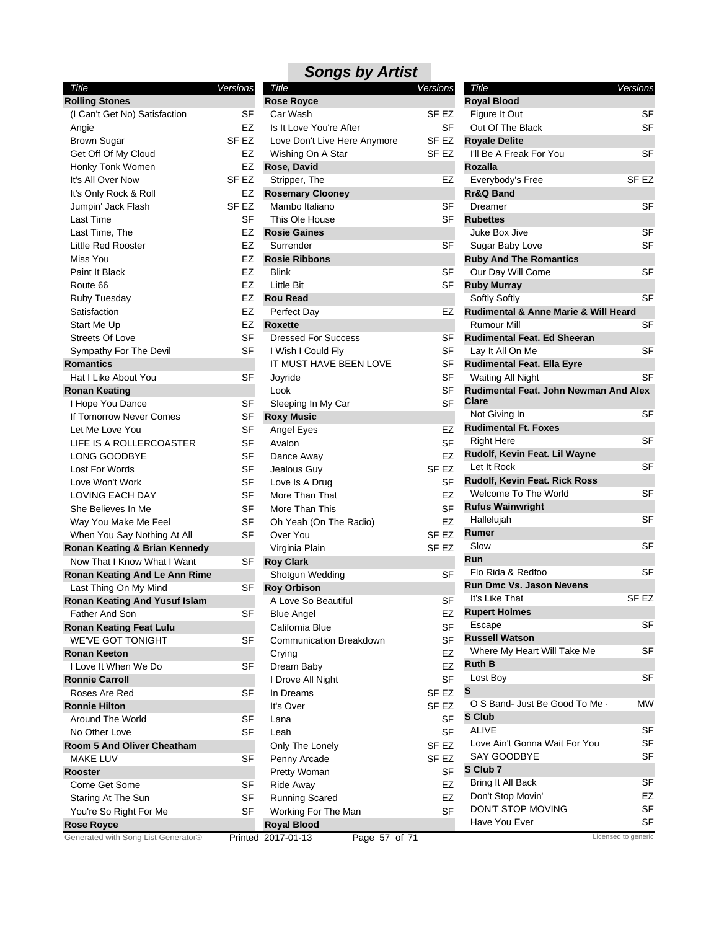| Title                                                        | Versions         |    |
|--------------------------------------------------------------|------------------|----|
| <b>Rolling Stones</b>                                        |                  |    |
| (I Can't Get No) Satisfaction                                |                  | SF |
| Angie                                                        |                  | EZ |
| <b>Brown Sugar</b>                                           | SF <sub>EZ</sub> |    |
| Get Off Of My Cloud                                          |                  | EZ |
| Honky Tonk Women                                             |                  | EZ |
| It's All Over Now                                            | SF <sub>EZ</sub> |    |
| It's Only Rock & Roll                                        |                  | EZ |
| Jumpin' Jack Flash                                           | SF <sub>EZ</sub> |    |
| Last Time                                                    |                  | SF |
| Last Time, The                                               |                  | EZ |
| <b>Little Red Rooster</b>                                    |                  | EZ |
| Miss You                                                     |                  | EZ |
| Paint It Black                                               |                  | EZ |
| Route 66                                                     |                  | EZ |
| Ruby Tuesday                                                 |                  | EZ |
| Satisfaction                                                 |                  | EZ |
| <b>Start Me Up</b>                                           |                  | EZ |
| Streets Of Love                                              |                  | SF |
| Sympathy For The Devil                                       |                  | SF |
| <b>Romantics</b>                                             |                  |    |
| Hat I Like About You                                         |                  | SF |
| <b>Ronan Keating</b>                                         |                  |    |
| I Hope You Dance                                             |                  | SF |
| If Tomorrow Never Comes                                      |                  | SF |
| Let Me Love You                                              |                  | SF |
| LIFE IS A ROLLERCOASTER                                      |                  | SF |
| LONG GOODBYE                                                 |                  | SF |
| Lost For Words                                               |                  | SF |
| Love Won't Work                                              |                  | SF |
| <b>LOVING EACH DAY</b>                                       |                  | SF |
| She Believes In Me                                           |                  | SF |
| Way You Make Me Feel                                         |                  | SF |
| When You Say Nothing At All                                  |                  | SF |
| Ronan Keating & Brian Kennedy<br>Now That I Know What I Want |                  |    |
| Ronan Keating And Le Ann Rime                                |                  | SF |
| Last Thing On My Mind                                        |                  | SF |
| Ronan Keating And Yusuf Islam                                |                  |    |
| <b>Father And Son</b>                                        |                  | SF |
| <b>Ronan Keating Feat Lulu</b>                               |                  |    |
| <b>WE'VE GOT TONIGHT</b>                                     |                  | SF |
| <b>Ronan Keeton</b>                                          |                  |    |
| I Love It When We Do                                         |                  | SF |
| <b>Ronnie Carroll</b>                                        |                  |    |
| Roses Are Red                                                |                  | SF |
| <b>Ronnie Hilton</b>                                         |                  |    |
| Around The World                                             |                  | SF |
| No Other Love                                                |                  | SF |
| <b>Room 5 And Oliver Cheatham</b>                            |                  |    |
| <b>MAKE LUV</b>                                              |                  | SF |
| Rooster                                                      |                  |    |
| Come Get Some                                                |                  | SF |
| Staring At The Sun                                           |                  | SF |
| You're So Right For Me                                       |                  | SF |
| <b>Rose Royce</b>                                            |                  |    |
| Generated with Song List Generator®                          | <b>Drinto</b>    |    |

| Title                               | Versions  | Title                               | Versions         | Title                                 | Versions            |
|-------------------------------------|-----------|-------------------------------------|------------------|---------------------------------------|---------------------|
| <b>Rolling Stones</b>               |           | <b>Rose Royce</b>                   |                  | <b>Royal Blood</b>                    |                     |
| (I Can't Get No) Satisfaction       | <b>SF</b> | Car Wash                            | SF <sub>EZ</sub> | Figure It Out                         | <b>SF</b>           |
| Angie                               | EZ        | Is It Love You're After             | SF               | Out Of The Black                      | <b>SF</b>           |
| <b>Brown Sugar</b>                  | SF EZ     | Love Don't Live Here Anymore        | SF EZ            | <b>Royale Delite</b>                  |                     |
| Get Off Of My Cloud                 | EZ        | Wishing On A Star                   | SF <sub>EZ</sub> | I'll Be A Freak For You               | <b>SF</b>           |
| Honky Tonk Women                    | EZ        | Rose, David                         |                  | Rozalla                               |                     |
| It's All Over Now                   | SF EZ     | Stripper, The                       | EZ               | Everybody's Free                      | SF <sub>EZ</sub>    |
| It's Only Rock & Roll               | EZ        | <b>Rosemary Clooney</b>             |                  | <b>Rr&amp;Q Band</b>                  |                     |
| Jumpin' Jack Flash                  | SF EZ     | Mambo Italiano                      | <b>SF</b>        | Dreamer                               | SF                  |
| Last Time                           | <b>SF</b> | This Ole House                      | <b>SF</b>        | <b>Rubettes</b>                       |                     |
| Last Time, The                      | EZ        | <b>Rosie Gaines</b>                 |                  | Juke Box Jive                         | <b>SF</b>           |
| <b>Little Red Rooster</b>           | <b>EZ</b> | Surrender                           | SF               | Sugar Baby Love                       | <b>SF</b>           |
| Miss You                            | EZ        | <b>Rosie Ribbons</b>                |                  | <b>Ruby And The Romantics</b>         |                     |
| Paint It Black                      | EZ        | <b>Blink</b>                        | <b>SF</b>        | Our Day Will Come                     | <b>SF</b>           |
| Route 66                            | <b>EZ</b> | <b>Little Bit</b>                   | SF               | <b>Ruby Murray</b>                    |                     |
|                                     | EZ        | <b>Rou Read</b>                     |                  | Softly Softly                         | <b>SF</b>           |
| Ruby Tuesday                        | EZ        |                                     |                  | Rudimental & Anne Marie & Will Heard  |                     |
| Satisfaction                        |           | Perfect Day                         | EZ               |                                       |                     |
| Start Me Up                         | EZ        | <b>Roxette</b>                      |                  | <b>Rumour Mill</b>                    | <b>SF</b>           |
| Streets Of Love                     | <b>SF</b> | <b>Dressed For Success</b>          | SF               | <b>Rudimental Feat. Ed Sheeran</b>    |                     |
| Sympathy For The Devil              | <b>SF</b> | I Wish I Could Fly                  | <b>SF</b>        | Lay It All On Me                      | <b>SF</b>           |
| Romantics                           |           | IT MUST HAVE BEEN LOVE              | <b>SF</b>        | Rudimental Feat. Ella Eyre            |                     |
| Hat I Like About You                | <b>SF</b> | Joyride                             | SF               | Waiting All Night                     | <b>SF</b>           |
| Ronan Keating                       |           | Look                                | SF               | Rudimental Feat. John Newman And Alex |                     |
| I Hope You Dance                    | <b>SF</b> | Sleeping In My Car                  | <b>SF</b>        | <b>Clare</b>                          |                     |
| If Tomorrow Never Comes             | <b>SF</b> | <b>Roxy Music</b>                   |                  | Not Giving In                         | <b>SF</b>           |
| Let Me Love You                     | <b>SF</b> | Angel Eyes                          | EZ               | <b>Rudimental Ft. Foxes</b>           |                     |
| LIFE IS A ROLLERCOASTER             | SF        | Avalon                              | <b>SF</b>        | <b>Right Here</b>                     | <b>SF</b>           |
| LONG GOODBYE                        | <b>SF</b> | Dance Away                          | EZ               | Rudolf, Kevin Feat. Lil Wayne         |                     |
| Lost For Words                      | <b>SF</b> | Jealous Guy                         | SF <sub>EZ</sub> | Let It Rock                           | SF                  |
| Love Won't Work                     | <b>SF</b> | Love Is A Drug                      | <b>SF</b>        | Rudolf, Kevin Feat. Rick Ross         |                     |
| LOVING EACH DAY                     | SF        | More Than That                      | EZ               | Welcome To The World                  | <b>SF</b>           |
| She Believes In Me                  | <b>SF</b> | More Than This                      | <b>SF</b>        | <b>Rufus Wainwright</b>               |                     |
| Way You Make Me Feel                | <b>SF</b> | Oh Yeah (On The Radio)              | EZ               | Hallelujah                            | <b>SF</b>           |
| When You Say Nothing At All         | <b>SF</b> | Over You                            | SF <sub>EZ</sub> | Rumer                                 |                     |
| Ronan Keating & Brian Kennedy       |           | Virginia Plain                      | SF <sub>EZ</sub> | Slow                                  | <b>SF</b>           |
| Now That I Know What I Want         | <b>SF</b> | <b>Roy Clark</b>                    |                  | <b>Run</b>                            |                     |
| Ronan Keating And Le Ann Rime       |           | Shotgun Wedding                     | <b>SF</b>        | Flo Rida & Redfoo                     | <b>SF</b>           |
| Last Thing On My Mind               | SF        | <b>Roy Orbison</b>                  |                  | <b>Run Dmc Vs. Jason Nevens</b>       |                     |
| Ronan Keating And Yusuf Islam       |           | A Love So Beautiful                 | <b>SF</b>        | It's Like That                        | SF <sub>EZ</sub>    |
|                                     |           | <b>Blue Angel</b>                   | EZ               | <b>Rupert Holmes</b>                  |                     |
| <b>Father And Son</b>               | S⊦        | California Blue                     | <b>SF</b>        | Escape                                | SF                  |
| Ronan Keating Feat Lulu             |           |                                     |                  | <b>Russell Watson</b>                 |                     |
| WE'VE GOT TONIGHT                   | SF        | Communication Breakdown             | <b>SF</b>        | Where My Heart Will Take Me           | SF                  |
| Ronan Keeton                        |           | Crying                              | EZ               | <b>Ruth B</b>                         |                     |
| I Love It When We Do                | <b>SF</b> | Dream Baby                          | EZ               |                                       |                     |
| <b>Ronnie Carroll</b>               |           | I Drove All Night                   | <b>SF</b>        | Lost Boy                              | SF                  |
| Roses Are Red                       | SF        | In Dreams                           | SF EZ            | S                                     |                     |
| Ronnie Hilton                       |           | It's Over                           | SF <sub>EZ</sub> | O S Band- Just Be Good To Me -        | <b>MW</b>           |
| Around The World                    | SF        | Lana                                | SF               | S Club                                |                     |
| No Other Love                       | <b>SF</b> | Leah                                | <b>SF</b>        | <b>ALIVE</b>                          | SF                  |
| Room 5 And Oliver Cheatham          |           | Only The Lonely                     | SF EZ            | Love Ain't Gonna Wait For You         | SF                  |
| <b>MAKE LUV</b>                     | <b>SF</b> | Penny Arcade                        | SF <sub>EZ</sub> | SAY GOODBYE                           | SF                  |
| Rooster                             |           | Pretty Woman                        | SF               | S Club 7                              |                     |
| Come Get Some                       | SF        | <b>Ride Away</b>                    | EZ               | Bring It All Back                     | SF                  |
| Staring At The Sun                  | SF        | <b>Running Scared</b>               | EZ               | Don't Stop Movin'                     | EZ                  |
| You're So Right For Me              | <b>SF</b> | Working For The Man                 | <b>SF</b>        | DON'T STOP MOVING                     | SF                  |
| <b>Rose Royce</b>                   |           | <b>Royal Blood</b>                  |                  | Have You Ever                         | SF                  |
| Generated with Song List Generator® |           | Printed 2017-01-13<br>Page 57 of 71 |                  |                                       | Licensed to generic |
|                                     |           |                                     |                  |                                       |                     |

| Title                                                 | Versions  |
|-------------------------------------------------------|-----------|
| <b>Royal Blood</b>                                    |           |
| Figure It Out                                         | SF        |
| Out Of The Black                                      | SF        |
| <b>Royale Delite</b>                                  |           |
| I'll Be A Freak For You                               | SF        |
| <b>Rozalla</b>                                        |           |
| Everybody's Free                                      | SF EZ     |
| <b>Rr&amp;Q Band</b>                                  |           |
| Dreamer                                               | SF        |
| <b>Rubettes</b>                                       |           |
| Juke Box Jive                                         | SF        |
| Sugar Baby Love                                       | SF        |
| <b>Ruby And The Romantics</b>                         |           |
| Our Day Will Come                                     | SF        |
| <b>Ruby Murray</b>                                    |           |
| <b>Softly Softly</b>                                  | SF        |
| Rudimental & Anne Marie & Will Heard                  |           |
| <b>Rumour Mill</b>                                    | SF        |
| <b>Rudimental Feat. Ed Sheeran</b>                    |           |
| Lay It All On Me                                      | SF        |
| <b>Rudimental Feat. Ella Eyre</b>                     |           |
| <b>Waiting All Night</b>                              | SF        |
| <b>Rudimental Feat, John Newman And Alex</b><br>Clare |           |
| Not Giving In                                         | SF        |
| <b>Rudimental Ft. Foxes</b>                           |           |
| Right Here                                            | SF        |
| Rudolf, Kevin Feat. Lil Wayne<br>Let It Rock          | SF        |
| <b>Rudolf, Kevin Feat. Rick Ross</b>                  |           |
| Welcome To The World                                  | SF        |
| <b>Rufus Wainwright</b>                               |           |
| Hallelujah                                            | SF        |
| Rumer                                                 |           |
| Slow                                                  | SF        |
| Run                                                   |           |
| Flo Rida & Redfoo                                     | SF        |
| <b>Run Dmc Vs. Jason Nevens</b>                       |           |
| It's Like That                                        | SF EZ     |
| <b>Rupert Holmes</b>                                  |           |
| Escape                                                | SF        |
| <b>Russell Watson</b>                                 |           |
| Where My Heart Will Take Me                           | SF        |
| <b>Ruth B</b>                                         |           |
| Lost Boy                                              | SF        |
| s                                                     |           |
| O S Band- Just Be Good To Me -                        | <b>MW</b> |
| S Club                                                |           |
| <b>ALIVE</b>                                          | SF        |
| Love Ain't Gonna Wait For You                         | SF        |
| <b>SAY GOODBYE</b>                                    | SF        |
| S Club 7                                              |           |
| Bring It All Back                                     | SF        |
| Don't Stop Movin'                                     | EZ        |
| DON'T STOP MOVING                                     | <b>SF</b> |
| Have You Ever                                         | SF        |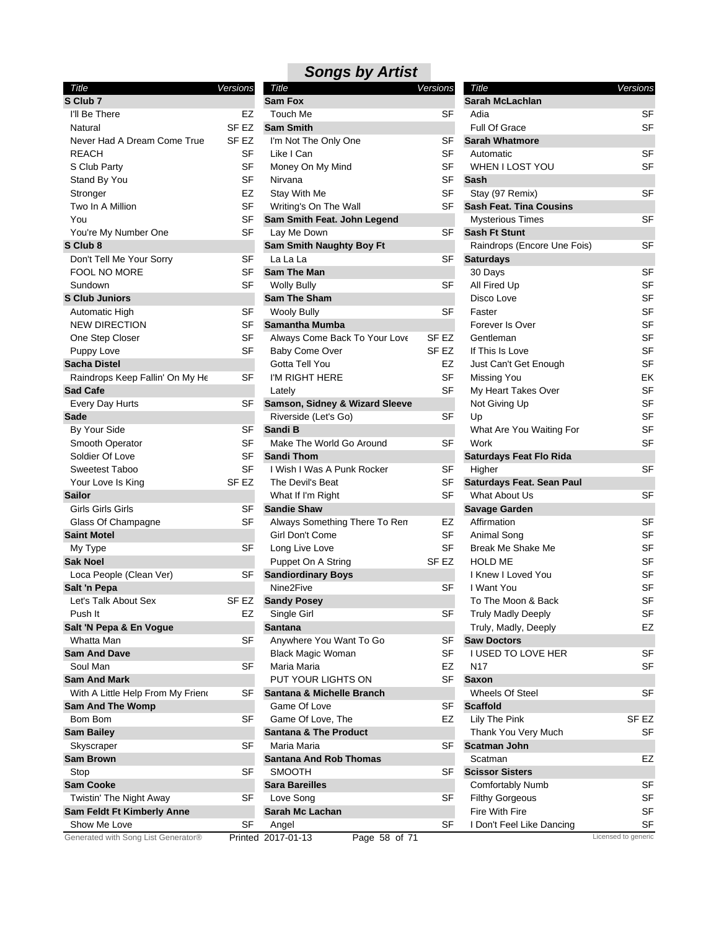| Title                               | Versions         |
|-------------------------------------|------------------|
| S Club 7                            |                  |
| I'll Be There                       | EZ               |
| Natural                             | SF <sub>EZ</sub> |
| Never Had A Dream Come True         | SF EZ            |
| REACH                               | SF               |
| S Club Party                        | SF               |
| Stand By You                        | SF               |
| Stronger                            | EZ               |
| Two In A Million                    | SF               |
| You                                 | SF               |
| You're My Number One                | SF               |
| S Club 8                            |                  |
| Don't Tell Me Your Sorry            | SF               |
| <b>FOOL NO MORE</b>                 | SF               |
| Sundown                             | SF               |
| <b>S Club Juniors</b>               |                  |
| Automatic High                      | SF               |
| <b>NEW DIRECTION</b>                | SF               |
|                                     | SF               |
| One Step Closer                     |                  |
| Puppy Love                          | SF               |
| Sacha Distel                        |                  |
| Raindrops Keep Fallin' On My He     | SF               |
| Sad Cafe                            |                  |
| Every Day Hurts                     | SF               |
| Sade                                |                  |
| By Your Side                        | SF               |
| Smooth Operator                     | SF               |
| Soldier Of Love                     | SF               |
| Sweetest Taboo                      | SF               |
| Your Love Is King                   | SF <sub>EZ</sub> |
| <b>Sailor</b>                       |                  |
| Girls Girls Girls                   | SF               |
| Glass Of Champagne                  | SF               |
| <b>Saint Motel</b>                  |                  |
| My Type                             | SF               |
| Sak Noel                            |                  |
| Loca People (Clean Ver)             | SF               |
| Salt 'n Pepa                        |                  |
| Let's Talk About Sex                | SF EZ            |
| Push It                             | EZ               |
| Salt 'N Pepa & En Vogue             |                  |
| Whatta Man                          | SF               |
| <b>Sam And Dave</b>                 |                  |
| Soul Man                            | SF               |
| Sam And Mark                        |                  |
| With A Little Help From My Friend   | SF               |
| <b>Sam And The Womp</b>             |                  |
| Bom Bom                             | SF               |
| <b>Sam Bailey</b>                   |                  |
| Skyscraper                          | SF               |
| <b>Sam Brown</b>                    |                  |
| Stop                                | SF               |
| <b>Sam Cooke</b>                    |                  |
| Twistin' The Night Away             | SF               |
| Sam Feldt Ft Kimberly Anne          |                  |
| Show Me Love                        | SF               |
| Generated with Song List Generator® | Printed          |
|                                     |                  |

| Title                                | Versions |
|--------------------------------------|----------|
| Sam Fox                              |          |
| Touch Me                             | SF       |
| <b>Sam Smith</b>                     |          |
| I'm Not The Only One                 | SF       |
| Like I Can                           | SF       |
| Money On My Mind                     | SF       |
| Nirvana                              | SF       |
| Stay With Me                         | SF       |
| Writing's On The Wall                | SF       |
| Sam Smith Feat. John Legend          |          |
| Lay Me Down                          | SF       |
| Sam Smith Naughty Boy Ft             |          |
| La La La                             | SF       |
| <b>Sam The Man</b>                   |          |
| <b>Wolly Bully</b>                   | SF       |
| <b>Sam The Sham</b>                  |          |
| <b>Wooly Bully</b>                   | SF       |
| <b>Samantha Mumba</b>                |          |
| Always Come Back To Your Love        | SF EZ    |
| <b>Baby Come Over</b>                | SF EZ    |
| Gotta Tell You                       | EZ       |
| I'M RIGHT HERE                       | SF       |
| Lately                               | SF       |
| Samson, Sidney & Wizard Sleeve       |          |
| Riverside (Let's Go)                 | SF       |
| Sandi B                              |          |
| Make The World Go Around             | SF       |
| Sandi Thom                           |          |
| I Wish I Was A Punk Rocker           | SF       |
| The Devil's Beat                     | SF       |
| What If I'm Right                    | SF       |
| <b>Sandie Shaw</b>                   |          |
| Always Something There To Ren        | EZ       |
| Girl Don't Come                      | SF       |
| Long Live Love                       | SF       |
| Puppet On A String                   | SF EZ    |
| <b>Sandiordinary Boys</b>            |          |
| Nine2Five                            | SF       |
| <b>Sandy Posey</b>                   |          |
| Single Girl                          | SF       |
| Santana                              |          |
| Anywhere You Want To Go              | SF       |
| <b>Black Magic Woman</b>             | SF       |
| Maria Maria                          | EZ       |
| PUT YOUR LIGHTS ON                   | SF       |
| <b>Santana &amp; Michelle Branch</b> |          |
| Game Of Love                         | SF       |
| Game Of Love. The                    | EZ       |
| <b>Santana &amp; The Product</b>     |          |
| Maria Maria                          | SF       |
| <b>Santana And Rob Thomas</b>        |          |
| <b>SMOOTH</b>                        | SF       |
| <b>Sara Bareilles</b>                |          |
| Love Song                            | SF       |
| Sarah Mc Lachan                      |          |
| Angel                                | SF       |
| 2017-01-13<br>Page 58 of 71          |          |
|                                      |          |

| Title                            | Versions  |
|----------------------------------|-----------|
| Sarah McLachlan                  |           |
| Adia                             | SF        |
| <b>Full Of Grace</b>             | SF        |
| <b>Sarah Whatmore</b>            |           |
| Automatic                        | SF        |
| WHEN I LOST YOU                  | <b>SF</b> |
| Sash                             |           |
| Stay (97 Remix)                  | SF        |
| <b>Sash Feat. Tina Cousins</b>   |           |
| <b>Mysterious Times</b>          | SF        |
| <b>Sash Ft Stunt</b>             |           |
| Raindrops (Encore Une Fois)      | SF        |
| <b>Saturdays</b>                 |           |
| 30 Days                          | SF        |
| All Fired Up                     | SF        |
| Disco Love                       | <b>SF</b> |
| Faster                           | <b>SF</b> |
| Forever Is Over                  | SF        |
| Gentleman                        | SF        |
| If This Is Love                  | SF        |
| Just Can't Get Enough            | <b>SF</b> |
| Missing You                      | ЕK        |
| My Heart Takes Over              | SF        |
| Not Giving Up                    | SF        |
| Up                               | SF        |
| What Are You Waiting For         | SF        |
| Work                             | <b>SF</b> |
| <b>Saturdays Feat Flo Rida</b>   |           |
| Higher                           | SF        |
| <b>Saturdays Feat. Sean Paul</b> |           |
| What About Us                    | SF        |
| <b>Savage Garden</b>             |           |
| Affirmation                      | SF        |
| Animal Song                      | SF        |
| <b>Break Me Shake Me</b>         | <b>SF</b> |
| <b>HOLD ME</b>                   | <b>SF</b> |
| I Knew I Loved You               | SF        |
| I Want You                       | SF        |
| To The Moon & Back               | SF        |
| <b>Truly Madly Deeply</b>        | SF        |
| Truly, Madly, Deeply             | EZ        |
| <b>Saw Doctors</b>               |           |
| I USED TO LOVE HER               | SF        |
| N17                              | SF        |
| <b>Saxon</b>                     |           |
| Wheels Of Steel                  | SF        |
| <b>Scaffold</b>                  |           |
| Lily The Pink                    | SF EZ     |
| Thank You Very Much              | SF        |
| Scatman John                     |           |
| Scatman                          | EZ        |
| <b>Scissor Sisters</b>           |           |
| <b>Comfortably Numb</b>          | SF        |
| Filthy Gorgeous                  | SF        |
| Fire With Fire                   | SF        |
| I Don't Feel Like Dancing        | SF        |

Licensed to generic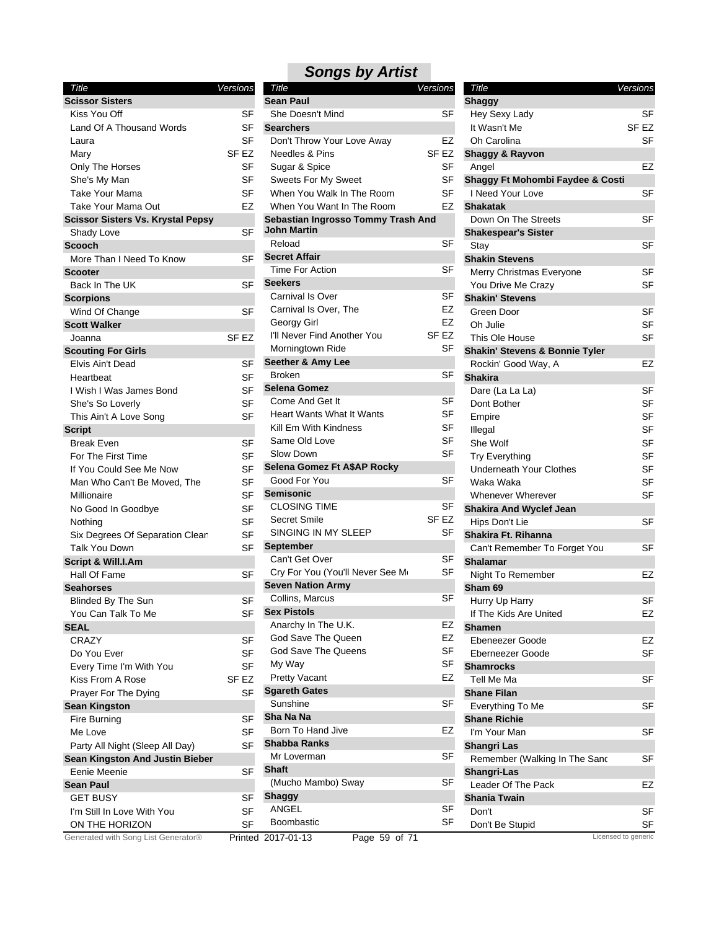| Title                                    | Versions         |
|------------------------------------------|------------------|
| <b>Scissor Sisters</b>                   |                  |
| Kiss You Off                             | SF               |
| Land Of A Thousand Words                 | SF               |
| Laura                                    | SF               |
| Mary                                     | SF <sub>EZ</sub> |
| Only The Horses                          | SF               |
| She's My Man                             | SF               |
| Take Your Mama                           | SF               |
| Take Your Mama Out                       | EZ               |
| <b>Scissor Sisters Vs. Krystal Pepsy</b> |                  |
| Shady Love                               | SF               |
| <b>Scooch</b>                            |                  |
| More Than I Need To Know                 | SF               |
| <b>Scooter</b>                           |                  |
| Back In The UK                           | SF               |
| <b>Scorpions</b>                         |                  |
| Wind Of Change                           | SF               |
| <b>Scott Walker</b>                      |                  |
| Joanna                                   | <b>SF EZ</b>     |
| <b>Scouting For Girls</b>                |                  |
| Elvis Ain't Dead                         | SF               |
|                                          |                  |
| Heartbeat                                | SF               |
| I Wish I Was James Bond                  | SF               |
| She's So Loverly                         | SF               |
| This Ain't A Love Song                   | SF               |
| <b>Script</b>                            |                  |
| Break Even                               | SF               |
| For The First Time                       | SF               |
| If You Could See Me Now                  | SF               |
| Man Who Can't Be Moved, The              | SF               |
| Millionaire                              | SF               |
| No Good In Goodbye                       | SF               |
| Nothing                                  | SF               |
| Six Degrees Of Separation Clean          | SF               |
| Talk You Down                            | SF               |
| Script & Will.I.Am                       |                  |
| Hall Of Fame                             | SF               |
| <b>Seahorses</b>                         |                  |
| <b>Blinded By The Sun</b>                | SF               |
| You Can Talk To Me                       | SF               |
| <b>SEAL</b>                              |                  |
| <b>CRAZY</b>                             | SF               |
| Do You Ever                              | SF               |
| Every Time I'm With You                  | SF               |
| Kiss From A Rose                         | SF <sub>EZ</sub> |
| Prayer For The Dying                     | SF               |
| <b>Sean Kingston</b>                     |                  |
| Fire Burning                             | SF               |
| Me Love                                  | SF               |
| Party All Night (Sleep All Day)          | SF               |
| Sean Kingston And Justin Bieber          |                  |
| Eenie Meenie                             | SF               |
| <b>Sean Paul</b>                         |                  |
| <b>GET BUSY</b>                          | SF               |
|                                          |                  |
| I'm Still In Love With You               | SF               |
| ON THE HORIZON                           | SF               |
| Generated with Song List Generator®      | Printe           |

| Title                              | Versions |             |
|------------------------------------|----------|-------------|
| <b>Sean Paul</b>                   |          |             |
| She Doesn't Mind                   |          | SF          |
| <b>Searchers</b>                   |          |             |
| Don't Throw Your Love Away         |          | EZ          |
| Needles & Pins                     |          | <b>SFEZ</b> |
| Sugar & Spice                      |          | SF          |
| <b>Sweets For My Sweet</b>         |          | SF          |
| When You Walk In The Room          |          | SF          |
| When You Want In The Room          |          | EZ          |
| Sebastian Ingrosso Tommy Trash And |          |             |
| John Martin                        |          |             |
| Reload                             |          | SF          |
| <b>Secret Affair</b>               |          |             |
| Time For Action                    |          | SF          |
| <b>Seekers</b>                     |          |             |
| Carnival Is Over                   |          | SF          |
| Carnival Is Over, The              |          | EZ          |
| Georgy Girl                        |          | EZ          |
| I'll Never Find Another You        |          | SF EZ       |
| Morningtown Ride                   |          | SF          |
| Seether & Amy Lee                  |          |             |
| <b>Broken</b>                      |          | SF          |
| <b>Selena Gomez</b>                |          |             |
| Come And Get It                    |          | SF          |
| <b>Heart Wants What It Wants</b>   |          | SF          |
| Kill Em With Kindness              |          | SF          |
| Same Old Love                      |          | SF          |
| Slow Down                          |          | SF          |
| Selena Gomez Ft A\$AP Rocky        |          |             |
| Good For You                       |          | SF          |
| <b>Semisonic</b>                   |          |             |
| <b>CLOSING TIME</b>                |          | SF          |
| Secret Smile                       |          | SF EZ       |
| SINGING IN MY SLEEP                |          | SF          |
| September                          |          |             |
| Can't Get Over                     |          | SF          |
| Cry For You (You'll Never See Me   |          | SF          |
| <b>Seven Nation Army</b>           |          |             |
| Collins, Marcus                    |          | SF          |
| <b>Sex Pistols</b>                 |          |             |
| Anarchy In The U.K.                |          | EZ          |
| God Save The Queen                 |          | EZ          |
| God Save The Queens                |          | SF          |
| My Way                             |          | SF          |
| <b>Pretty Vacant</b>               |          | EZ          |
| <b>Sgareth Gates</b>               |          |             |
| Sunshine                           |          | SF          |
| Sha Na Na                          |          |             |
| Born To Hand Jive                  |          | EZ          |
|                                    |          |             |
| <b>Shabba Ranks</b><br>Mr Loverman |          | SF          |
| <b>Shaft</b>                       |          |             |
|                                    |          |             |
| (Mucho Mambo) Sway                 |          | SF          |
| Shaggy                             |          |             |
| <b>ANGEL</b>                       |          | SF          |
| Boombastic                         |          | SF          |

| Title                                       | Versions |       |
|---------------------------------------------|----------|-------|
| <b>Shaggy</b>                               |          |       |
| Hey Sexy Lady                               |          | SF    |
| It Wasn't Me                                |          | SF EZ |
| Oh Carolina                                 |          | SF    |
| <b>Shaggy &amp; Rayvon</b>                  |          |       |
| Angel                                       |          | EZ    |
| <b>Shaggy Ft Mohombi Faydee &amp; Costi</b> |          |       |
| I Need Your Love                            |          | SF    |
| <b>Shakatak</b>                             |          |       |
| Down On The Streets                         |          | SF    |
| <b>Shakespear's Sister</b>                  |          |       |
| Stay                                        |          | SF    |
| <b>Shakin Stevens</b>                       |          |       |
| Merry Christmas Everyone                    |          | SF    |
| You Drive Me Crazy                          |          | SF    |
| <b>Shakin' Stevens</b>                      |          |       |
| Green Door                                  |          | SF    |
| Oh Julie                                    |          | SF    |
| This Ole House                              |          | SF    |
| Shakin' Stevens & Bonnie Tyler              |          |       |
| Rockin' Good Way, A                         |          | EZ    |
| <b>Shakira</b>                              |          |       |
| Dare (La La La)                             |          | SF    |
| Dont Bother                                 |          | SF    |
| Empire                                      |          | SF    |
| Illegal                                     |          | SF    |
| She Wolf                                    |          | SF    |
| <b>Try Everything</b>                       |          | SF    |
| <b>Underneath Your Clothes</b>              |          | SF    |
| Waka Waka                                   |          | SF    |
| <b>Whenever Wherever</b>                    |          | SF    |
| <b>Shakira And Wyclef Jean</b>              |          |       |
| Hips Don't Lie                              |          | SF    |
| Shakira Ft. Rihanna                         |          |       |
| Can't Remember To Forget You                |          | SF    |
| Shalamar                                    |          |       |
| Night To Remember                           |          | EZ    |
| Sham 69                                     |          |       |
| Hurry Up Harry                              |          | SF    |
| If The Kids Are United                      |          | EZ    |
| Shamen                                      |          |       |
| Ebeneezer Goode                             |          | EZ    |
| Eberneezer Goode                            |          | SF    |
| <b>Shamrocks</b>                            |          |       |
| Tell Me Ma                                  |          | SF    |
| <b>Shane Filan</b>                          |          |       |
| Everything To Me                            |          | SF    |
| <b>Shane Richie</b>                         |          |       |
| I'm Your Man                                |          | SF    |
| <b>Shangri Las</b>                          |          |       |
| Remember (Walking In The Sanc               |          | SF    |
| Shangri-Las                                 |          |       |
| Leader Of The Pack                          |          | EZ    |
| <b>Shania Twain</b>                         |          |       |
| Don't                                       |          | SF    |
| Don't Be Stupid                             |          | SF    |
|                                             |          |       |

Printed 2017-01-13 Page 59 of 71 Licensed to generic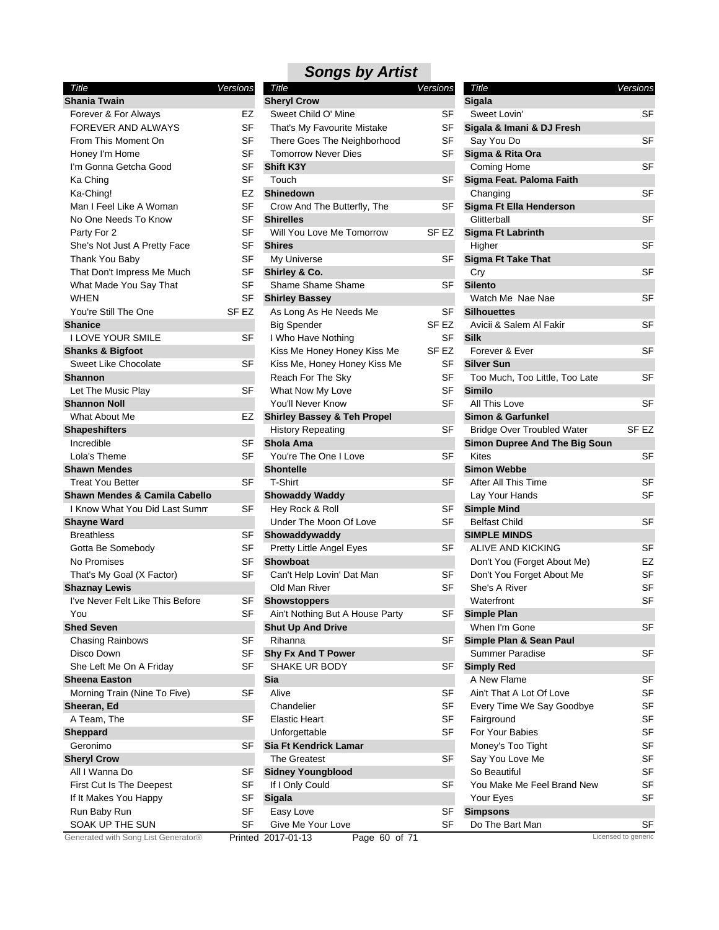| Title                               | Versions |
|-------------------------------------|----------|
| Shania Twain                        |          |
| Forever & For Always                | EZ       |
| FOREVER AND ALWAYS                  | SF       |
| From This Moment On                 | SF       |
| Honey I'm Home                      | SF       |
| I'm Gonna Getcha Good               | SF       |
| Ka Ching                            | SF       |
| Ka-Ching!                           | EZ       |
| Man I Feel Like A Woman             | SF       |
| No One Needs To Know                | SF       |
| Party For 2                         | SF       |
| She's Not Just A Pretty Face        | SF       |
| Thank You Baby                      | SF       |
| That Don't Impress Me Much          | SF       |
| What Made You Say That              | SF       |
| WHEN                                | SF       |
| You're Still The One                | SF EZ    |
| <b>Shanice</b>                      |          |
| <b>I LOVE YOUR SMILE</b>            | SF       |
| <b>Shanks &amp; Bigfoot</b>         |          |
| <b>Sweet Like Chocolate</b>         | SF       |
| <b>Shannon</b>                      |          |
| Let The Music Play                  | SF       |
| <b>Shannon Noll</b>                 |          |
| What About Me                       | EZ       |
| <b>Shapeshifters</b>                |          |
| Incredible                          | SF       |
| Lola's Theme                        | SF       |
| <b>Shawn Mendes</b>                 |          |
| Treat You Better                    | SF       |
| Shawn Mendes & Camila Cabello       |          |
| I Know What You Did Last Summ       | SF       |
| <b>Shayne Ward</b>                  |          |
| <b>Breathless</b>                   | SF       |
| Gotta Be Somebody                   | SF       |
| No Promises                         | SF       |
| That's My Goal (X Factor)           | SF       |
| <b>Shaznay Lewis</b>                |          |
| I've Never Felt Like This Before    | SF       |
| You                                 | SF       |
| <b>Shed Seven</b>                   |          |
| Chasing Rainbows                    | SF       |
| Disco Down                          | SF       |
| She Left Me On A Friday             | SF       |
| <b>Sheena Easton</b>                |          |
| Morning Train (Nine To Five)        | SF       |
| Sheeran, Ed                         |          |
| A Team, The                         | SF       |
| Sheppard                            |          |
| Geronimo                            | SF       |
| <b>Sheryl Crow</b>                  |          |
| All I Wanna Do                      | SF       |
| First Cut Is The Deepest            | SF       |
| If It Makes You Happy               | SF       |
| Run Baby Run                        | SF       |
| SOAK UP THE SUN                     | SF       |
| Conoratod with Song List Conorator® |          |

| Title                               | Versions         | Title                                  | Versions         | Title                             | Versions            |
|-------------------------------------|------------------|----------------------------------------|------------------|-----------------------------------|---------------------|
| Shania Twain                        |                  | <b>Sheryl Crow</b>                     |                  | <b>Sigala</b>                     |                     |
| Forever & For Always                | EZ               | Sweet Child O' Mine                    | SF               | Sweet Lovin'                      | <b>SF</b>           |
| <b>FOREVER AND ALWAYS</b>           | <b>SF</b>        | That's My Favourite Mistake            | <b>SF</b>        | Sigala & Imani & DJ Fresh         |                     |
| From This Moment On                 | SF               | There Goes The Neighborhood            | SF               | Say You Do                        | <b>SF</b>           |
| Honey I'm Home                      | SF               | <b>Tomorrow Never Dies</b>             | SF               | Sigma & Rita Ora                  |                     |
| I'm Gonna Getcha Good               | <b>SF</b>        | <b>Shift K3Y</b>                       |                  | Coming Home                       | <b>SF</b>           |
| Ka Ching                            | SF               | Touch                                  | SF               | Sigma Feat. Paloma Faith          |                     |
| Ka-Ching!                           | EZ               | <b>Shinedown</b>                       |                  | Changing                          | <b>SF</b>           |
| Man I Feel Like A Woman             | SF               | Crow And The Butterfly, The            | SF               | Sigma Ft Ella Henderson           |                     |
| No One Needs To Know                | SF               | <b>Shirelles</b>                       |                  | Glitterball                       | <b>SF</b>           |
| Party For 2                         | <b>SF</b>        | Will You Love Me Tomorrow              | SF EZ            | <b>Sigma Ft Labrinth</b>          |                     |
| She's Not Just A Pretty Face        | SF               | <b>Shires</b>                          |                  | Higher                            | <b>SF</b>           |
| Thank You Baby                      | <b>SF</b>        | My Universe                            | SF               | <b>Sigma Ft Take That</b>         |                     |
| That Don't Impress Me Much          | SF               | Shirley & Co.                          |                  | Cry                               | <b>SF</b>           |
| What Made You Say That              | SF               | Shame Shame Shame                      | SF               | <b>Silento</b>                    |                     |
| <b>WHEN</b>                         | SF               | <b>Shirley Bassey</b>                  |                  | Watch Me Nae Nae                  | <b>SF</b>           |
| You're Still The One                | SF <sub>EZ</sub> | As Long As He Needs Me                 | SF               | <b>Silhouettes</b>                |                     |
| <b>Shanice</b>                      |                  |                                        | SF <sub>EZ</sub> | Avicii & Salem Al Fakir           | <b>SF</b>           |
|                                     |                  | <b>Big Spender</b>                     |                  |                                   |                     |
| <b>I LOVE YOUR SMILE</b>            | SF               | I Who Have Nothing                     | <b>SF</b>        | <b>Silk</b>                       |                     |
| hanks & Bigfoot                     |                  | Kiss Me Honey Honey Kiss Me            | SF EZ            | Forever & Ever                    | <b>SF</b>           |
| Sweet Like Chocolate                | <b>SF</b>        | Kiss Me, Honey Honey Kiss Me           | SF               | <b>Silver Sun</b>                 |                     |
| ìhannon                             |                  | Reach For The Sky                      | SF               | Too Much, Too Little, Too Late    | <b>SF</b>           |
| Let The Music Play                  | <b>SF</b>        | What Now My Love                       | <b>SF</b>        | <b>Similo</b>                     |                     |
| Shannon Noll                        |                  | You'll Never Know                      | SF               | All This Love                     | <b>SF</b>           |
| What About Me                       | EZ               | <b>Shirley Bassey &amp; Teh Propel</b> |                  | <b>Simon &amp; Garfunkel</b>      |                     |
| hapeshifters                        |                  | <b>History Repeating</b>               | SF               | <b>Bridge Over Troubled Water</b> | SF EZ               |
| Incredible                          | SF               | Shola Ama                              |                  | Simon Dupree And The Big Soun     |                     |
| Lola's Theme                        | <b>SF</b>        | You're The One I Love                  | <b>SF</b>        | <b>Kites</b>                      | <b>SF</b>           |
| <b>Shawn Mendes</b>                 |                  | <b>Shontelle</b>                       |                  | <b>Simon Webbe</b>                |                     |
| <b>Treat You Better</b>             | SF               | T-Shirt                                | SF               | After All This Time               | SF                  |
| ihawn Mendes & Camila Cabello       |                  | <b>Showaddy Waddy</b>                  |                  | Lay Your Hands                    | <b>SF</b>           |
| I Know What You Did Last Summ       | SF               | Hey Rock & Roll                        | SF               | <b>Simple Mind</b>                |                     |
| Shayne Ward                         |                  | Under The Moon Of Love                 | <b>SF</b>        | <b>Belfast Child</b>              | <b>SF</b>           |
| <b>Breathless</b>                   | SF               | Showaddywaddy                          |                  | <b>SIMPLE MINDS</b>               |                     |
| Gotta Be Somebody                   | SF               | Pretty Little Angel Eyes               | SF               | ALIVE AND KICKING                 | <b>SF</b>           |
| No Promises                         | SF               | <b>Showboat</b>                        |                  | Don't You (Forget About Me)       | EZ                  |
| That's My Goal (X Factor)           | SF               | Can't Help Lovin' Dat Man              | SF               | Don't You Forget About Me         | <b>SF</b>           |
| Shaznay Lewis                       |                  | Old Man River                          | SF               | She's A River                     | <b>SF</b>           |
| I've Never Felt Like This Before    | SF               | <b>Showstoppers</b>                    |                  | Waterfront                        | SF                  |
| You                                 | S⊦               | Ain't Nothing But A House Party        | <b>SF</b>        | <b>Simple Plan</b>                |                     |
| <b>ihed Seven</b>                   |                  | <b>Shut Up And Drive</b>               |                  | When I'm Gone                     | <b>SF</b>           |
| <b>Chasing Rainbows</b>             | SF               | Rihanna                                | SF               | Simple Plan & Sean Paul           |                     |
| Disco Down                          | SF               | <b>Shy Fx And T Power</b>              |                  | Summer Paradise                   | SF                  |
| She Left Me On A Friday             | SF               | SHAKE UR BODY                          | <b>SF</b>        | <b>Simply Red</b>                 |                     |
| <b>Sheena Easton</b>                |                  | Sia                                    |                  | A New Flame                       | <b>SF</b>           |
| Morning Train (Nine To Five)        | <b>SF</b>        | Alive                                  | SF               | Ain't That A Lot Of Love          | <b>SF</b>           |
|                                     |                  | Chandelier                             | SF               | Every Time We Say Goodbye         | SF                  |
| Sheeran, Ed                         |                  |                                        | <b>SF</b>        |                                   | <b>SF</b>           |
| A Team, The                         | SF               | <b>Elastic Heart</b>                   |                  | Fairground                        |                     |
| heppard                             |                  | Unforgettable                          | <b>SF</b>        | For Your Babies                   | <b>SF</b>           |
| Geronimo                            | SF               | Sia Ft Kendrick Lamar                  |                  | Money's Too Tight                 | SF                  |
| <b>Sheryl Crow</b>                  |                  | <b>The Greatest</b>                    | <b>SF</b>        | Say You Love Me                   | SF                  |
| All I Wanna Do                      | SF               | <b>Sidney Youngblood</b>               |                  | So Beautiful                      | <b>SF</b>           |
| First Cut Is The Deepest            | <b>SF</b>        | If I Only Could                        | SF               | You Make Me Feel Brand New        | <b>SF</b>           |
| If It Makes You Happy               | SF               | <b>Sigala</b>                          |                  | Your Eyes                         | <b>SF</b>           |
| Run Baby Run                        | <b>SF</b>        | Easy Love                              | <b>SF</b>        | <b>Simpsons</b>                   |                     |
| SOAK UP THE SUN                     | <b>SF</b>        | Give Me Your Love                      | <b>SF</b>        | Do The Bart Man                   | SF                  |
| Generated with Song List Generator® |                  | Page 60 of 71<br>Printed 2017-01-13    |                  |                                   | Licensed to generic |

| Title                                         | Versions |           |
|-----------------------------------------------|----------|-----------|
| <b>Sigala</b>                                 |          |           |
| Sweet Lovin'                                  |          | SF        |
| Sigala & Imani & DJ Fresh                     |          |           |
| Say You Do                                    |          | SF        |
| Sigma & Rita Ora                              |          |           |
| Coming Home                                   |          | SF        |
| Sigma Feat. Paloma Faith                      |          |           |
| Changing                                      |          | SF        |
| Sigma Ft Ella Henderson                       |          |           |
| Glitterball                                   |          | SF        |
| <b>Sigma Ft Labrinth</b>                      |          |           |
| Higher                                        |          | SF        |
| <b>Sigma Ft Take That</b>                     |          |           |
| Cry                                           |          | SF        |
| <b>Silento</b>                                |          |           |
| Watch Me Nae Nae                              |          | SF        |
| Silhouettes                                   |          |           |
| Avicii & Salem Al Fakir                       |          | SF        |
| <b>Silk</b>                                   |          |           |
| Forever & Ever                                |          | SF        |
| <b>Silver Sun</b>                             |          |           |
| Too Much, Too Little, Too Late                |          | SF        |
| <b>Similo</b>                                 |          |           |
| All This Love                                 |          | SF        |
| <b>Simon &amp; Garfunkel</b>                  |          |           |
| Bridge Over Troubled Water                    | SF EZ    |           |
|                                               |          |           |
| <b>Simon Dupree And The Big Soun</b><br>Kites |          |           |
|                                               |          | SF        |
| <b>Simon Webbe</b>                            |          |           |
| After All This Time                           |          | SF        |
| Lay Your Hands                                |          | SF        |
| <b>Simple Mind</b>                            |          |           |
| <b>Belfast Child</b>                          |          | SF        |
| <b>SIMPLE MINDS</b>                           |          |           |
| <b>ALIVE AND KICKING</b>                      |          | SF        |
| Don't You (Forget About Me)                   |          | EZ        |
| Don't You Forget About Me                     |          | SF        |
| She's A River                                 |          | SF        |
| Waterfront                                    |          | SF        |
| <b>Simple Plan</b>                            |          |           |
| When I'm Gone                                 |          | SF        |
| Simple Plan & Sean Paul                       |          |           |
| Summer Paradise                               |          | SF        |
| <b>Simply Red</b>                             |          |           |
| A New Flame                                   |          | <b>SF</b> |
| Ain't That A Lot Of Love                      |          | SF        |
| Every Time We Say Goodbye                     |          | SF        |
| Fairground                                    |          | SF        |
| For Your Babies                               |          | SF        |
| Money's Too Tight                             |          | SF        |
| Say You Love Me                               |          | SF        |
| So Beautiful                                  |          | <b>SF</b> |
| You Make Me Feel Brand New                    |          | SF        |
| Your Eyes                                     |          | SF        |
| <b>Simpsons</b>                               |          |           |
| Do The Bart Man                               |          | SF        |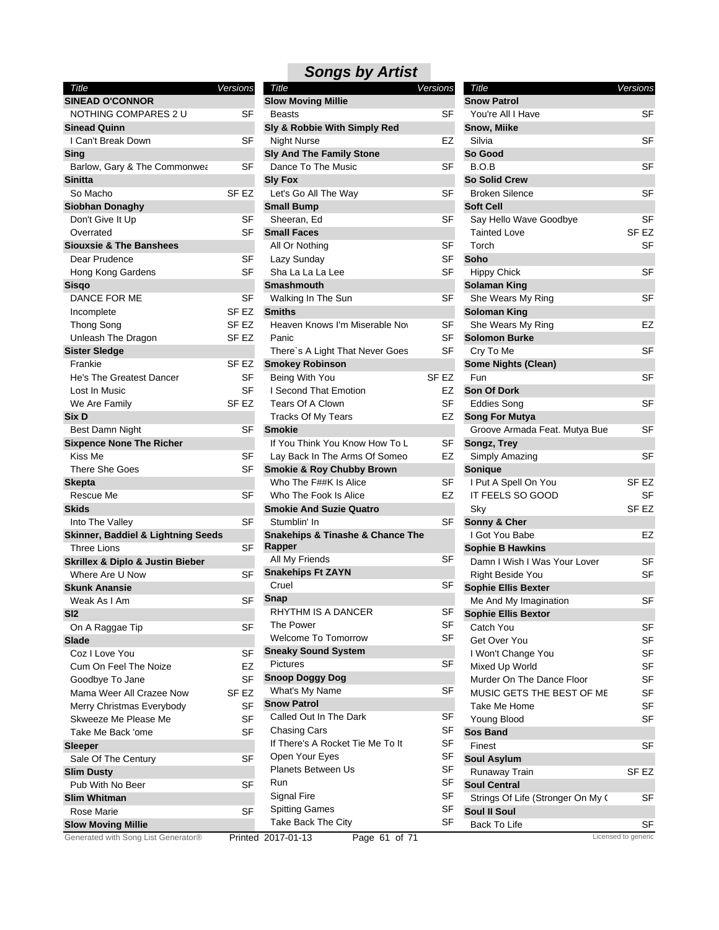| Title                                           | Versions         | Title                                           | Versions         | Title                             | Versions                  |
|-------------------------------------------------|------------------|-------------------------------------------------|------------------|-----------------------------------|---------------------------|
| <b>SINEAD O'CONNOR</b>                          |                  | <b>Slow Moving Millie</b>                       |                  | <b>Snow Patrol</b>                |                           |
| NOTHING COMPARES 2 U                            | <b>SF</b>        | <b>Beasts</b>                                   | <b>SF</b>        | You're All I Have                 | <b>SF</b>                 |
| <b>Sinead Quinn</b>                             |                  | Sly & Robbie With Simply Red                    |                  | Snow, Miike                       |                           |
| I Can't Break Down                              | SF               | Night Nurse                                     | EZ               | Silvia                            | <b>SF</b>                 |
| Sing                                            |                  | <b>Sly And The Family Stone</b>                 |                  | So Good                           |                           |
| Barlow, Gary & The Commonwea                    | <b>SF</b>        | Dance To The Music                              | SF               | B.O.B                             | <b>SF</b>                 |
| <b>Sinitta</b>                                  |                  | <b>Sly Fox</b>                                  |                  | <b>So Solid Crew</b>              |                           |
| So Macho                                        | SF EZ            | Let's Go All The Way                            | SF               | <b>Broken Silence</b>             | <b>SF</b>                 |
| <b>Siobhan Donaghy</b>                          |                  | <b>Small Bump</b>                               |                  | <b>Soft Cell</b>                  |                           |
| Don't Give It Up                                | <b>SF</b>        | Sheeran, Ed                                     | <b>SF</b>        | Say Hello Wave Goodbye            | <b>SF</b>                 |
| Overrated                                       | SF               | <b>Small Faces</b>                              |                  | <b>Tainted Love</b>               | SF <sub>EZ</sub>          |
| <b>Siouxsie &amp; The Banshees</b>              |                  | All Or Nothing                                  | <b>SF</b>        | Torch                             | <b>SF</b>                 |
| Dear Prudence                                   | SF               | Lazy Sunday                                     | SF               | Soho                              |                           |
| Hong Kong Gardens                               | <b>SF</b>        | Sha La La La Lee                                | <b>SF</b>        | <b>Hippy Chick</b>                | <b>SF</b>                 |
| Sisgo                                           |                  | <b>Smashmouth</b>                               |                  | <b>Solaman King</b>               |                           |
| DANCE FOR ME                                    | <b>SF</b>        | Walking In The Sun                              | SF               | She Wears My Ring                 | <b>SF</b>                 |
| Incomplete                                      | SF EZ            | <b>Smiths</b>                                   |                  | <b>Soloman King</b>               |                           |
| <b>Thong Song</b>                               | SF EZ            | Heaven Knows I'm Miserable Nov                  | <b>SF</b>        | She Wears My Ring                 | EZ                        |
| Unleash The Dragon                              | SF EZ            | Panic                                           | SF               | <b>Solomon Burke</b>              |                           |
| <b>Sister Sledge</b>                            |                  | There's A Light That Never Goes                 | SF               | Cry To Me                         | <b>SF</b>                 |
| Frankie                                         | SF <sub>EZ</sub> | <b>Smokey Robinson</b>                          |                  | <b>Some Nights (Clean)</b>        |                           |
| He's The Greatest Dancer                        | <b>SF</b>        | Being With You                                  | SF <sub>EZ</sub> | Fun                               | <b>SF</b>                 |
| Lost In Music                                   | <b>SF</b>        | I Second That Emotion                           | EZ               | <b>Son Of Dork</b>                |                           |
| We Are Family                                   | SF <sub>EZ</sub> | Tears Of A Clown                                | <b>SF</b>        | <b>Eddies Song</b>                | <b>SF</b>                 |
| Six D                                           |                  | Tracks Of My Tears                              | EZ               | <b>Song For Mutya</b>             |                           |
| Best Damn Night                                 | SF               | <b>Smokie</b>                                   |                  | Groove Armada Feat. Mutya Bue     | <b>SF</b>                 |
| <b>Sixpence None The Richer</b>                 |                  | If You Think You Know How To L                  | SF               | Songz, Trey                       |                           |
| Kiss Me                                         | SF               | Lay Back In The Arms Of Someo                   | EZ               | Simply Amazing                    | <b>SF</b>                 |
| There She Goes                                  | <b>SF</b>        | <b>Smokie &amp; Roy Chubby Brown</b>            |                  | Sonique                           |                           |
| <b>Skepta</b>                                   |                  | Who The F##K Is Alice                           | SF               | I Put A Spell On You              | SF EZ                     |
| Rescue Me                                       | <b>SF</b>        | Who The Fook Is Alice                           | EZ               | IT FEELS SO GOOD                  | <b>SF</b>                 |
| <b>Skids</b>                                    |                  | <b>Smokie And Suzie Quatro</b>                  |                  | Sky                               | SF <sub>EZ</sub>          |
| Into The Valley                                 | <b>SF</b>        | Stumblin' In                                    | <b>SF</b>        | Sonny & Cher                      |                           |
| <b>Skinner, Baddiel &amp; Lightning Seeds</b>   |                  | <b>Snakehips &amp; Tinashe &amp; Chance The</b> |                  | I Got You Babe                    | EZ                        |
| <b>Three Lions</b>                              | <b>SF</b>        | Rapper                                          |                  | <b>Sophie B Hawkins</b>           |                           |
| <b>Skrillex &amp; Diplo &amp; Justin Bieber</b> |                  | All My Friends                                  | SF               | Damn I Wish I Was Your Lover      | <b>SF</b>                 |
| Where Are U Now                                 | <b>SF</b>        | <b>Snakehips Ft ZAYN</b>                        |                  | <b>Right Beside You</b>           | <b>SF</b>                 |
| <b>Skunk Anansie</b>                            |                  | Cruel                                           | SF               | <b>Sophie Ellis Bexter</b>        |                           |
| Weak As I Am                                    | <b>SF</b>        | <b>Snap</b>                                     |                  | Me And My Imagination             | <b>SF</b>                 |
| SI2                                             |                  | RHYTHM IS A DANCER                              | <b>SF</b>        | <b>Sophie Ellis Bextor</b>        |                           |
| On A Raggae Tip                                 | <b>SF</b>        | The Power                                       | <b>SF</b>        | Catch You                         | SF                        |
| <b>Slade</b>                                    |                  | <b>Welcome To Tomorrow</b>                      | <b>SF</b>        | Get Over You                      | SF                        |
| Coz I Love You                                  | SF               | <b>Sneaky Sound System</b>                      |                  | I Won't Change You                | SF                        |
| Cum On Feel The Noize                           | EZ               | <b>Pictures</b>                                 | <b>SF</b>        | Mixed Up World                    | <b>SF</b>                 |
| Goodbye To Jane                                 | <b>SF</b>        | <b>Snoop Doggy Dog</b>                          |                  | Murder On The Dance Floor         | <b>SF</b>                 |
| Mama Weer All Crazee Now                        | SF EZ            | What's My Name                                  | SF               | MUSIC GETS THE BEST OF ME         | SF                        |
| Merry Christmas Everybody                       | <b>SF</b>        | <b>Snow Patrol</b>                              |                  | Take Me Home                      | <b>SF</b>                 |
| Skweeze Me Please Me                            | <b>SF</b>        | Called Out In The Dark                          | <b>SF</b>        | Young Blood                       | <b>SF</b>                 |
| Take Me Back 'ome                               | <b>SF</b>        | <b>Chasing Cars</b>                             | SF               | <b>Sos Band</b>                   |                           |
|                                                 |                  | If There's A Rocket Tie Me To It                | <b>SF</b>        | Finest                            |                           |
| Sleeper                                         |                  | Open Your Eyes                                  | SF               |                                   | SF                        |
| Sale Of The Century                             | <b>SF</b>        | Planets Between Us                              | <b>SF</b>        | <b>Soul Asylum</b>                |                           |
| <b>Slim Dusty</b>                               | <b>SF</b>        | Run                                             | <b>SF</b>        | Runaway Train                     | SF <sub>EZ</sub>          |
| Pub With No Beer                                |                  | Signal Fire                                     | <b>SF</b>        | <b>Soul Central</b>               |                           |
| <b>Slim Whitman</b>                             | <b>SF</b>        | <b>Spitting Games</b>                           | SF               | Strings Of Life (Stronger On My 0 | SF                        |
| Rose Marie                                      |                  | Take Back The City                              | SF               | Soul II Soul                      |                           |
| <b>Slow Moving Millie</b>                       |                  |                                                 |                  | Back To Life                      | SF<br>Licensed to generic |
| Generated with Song List Generator®             |                  | Page 61 of 71<br>Printed 2017-01-13             |                  |                                   |                           |

| <b>Songs by Artist</b>          |          |
|---------------------------------|----------|
| Title                           | Versions |
| <b>Slow Moving Millie</b>       |          |
| Beasts                          | SF.      |
| Sly & Robbie With Simply Red    |          |
| <b>Night Nurse</b>              | F7       |
| <b>Sly And The Family Stone</b> |          |
| Dance To The Music              | SF       |
| <b>SIV Fox</b>                  |          |

#### Lazy Sunday **SF** Sha La La Lee SF Panic SF I Second That Emotion EZ Tears Of A Clown SF Tracks Of My Tears **EZ** Lay Back In The Arms Of Someo EZ Who The Fook Is Alice **EZ** The Power SF Welcome To Tomorrow **SF** Chasing Cars **SF** If There's A Rocket Tie Me To It SF Open Your Eyes SF Planets Between Us **SF** Signal Fire SF Spitting Games SF Take Back The City **SF** Tainted Love SF EZ Torch SF IT FEELS SO GOOD SF Sky SF EZ Right Beside You SF Get Over You SF I Won't Change You SF Mixed Up World SF Murder On The Dance Floor SF MUSIC GETS THE BEST OF ME SF Take Me Home SF Young Blood SF All Or Nothing SF Walking In The Sun SF Heaven Knows I'm Miserable Now SF Being With You SF EZ If You Think You Know How To L<sub>SF</sub> Who The F##K Is Alice SF Stumblin' In SF All My Friends SF Cruel SF RHYTHM IS A DANCER SF Pictures SF Called Out In The Dark SF *Title Versions* **Snow Patrol** You're All I Have SF **Snow, Miike** Silvia SF **So Good** B.O.B SF **So Solid Crew** Broken Silence SF **Soft Cell** Say Hello Wave Goodbye SF **Soho** Hippy Chick SF **Solaman King** She Wears My Ring SF **Soloman King** She Wears My Ring **EZ Solomon Burke** Cry To Me SF **Some Nights (Clean)** Fun SF **Son Of Dork** Eddies Song SF **Song For Mutya** Groove Armada Feat. Mutya Bue SF **Songz, Trey** Simply Amazing SF **Sonique** I Put A Spell On You SF EZ **Sonny & Cher** I Got You Babe EZ **Sophie B Hawkins** Damn I Wish I Was Your Lover SF **Sophie Ellis Bexter** Me And My Imagination SF **Sophie Ellis Bextor** Catch You SF **Sos Band** Finest SF **Soul Asylum** Runaway Train SF EZ **Soul Central** Strings Of Life (Stronger On My Cwass SF **Soul II Soul** Back To Life SF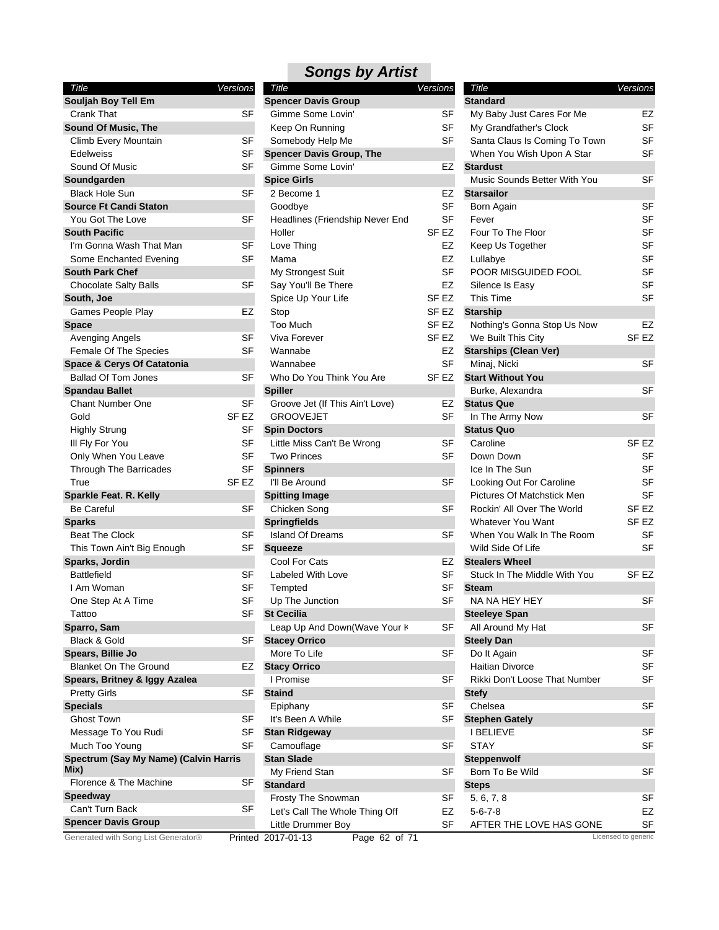| Title<br>Versions                     |                  |
|---------------------------------------|------------------|
| Souljah Boy Tell Em                   |                  |
| <b>Crank That</b>                     | SF               |
| Sound Of Music, The                   |                  |
|                                       | SF               |
| Climb Every Mountain<br>Edelweiss     | SF               |
|                                       |                  |
| Sound Of Music                        | SF               |
| Soundgarden                           |                  |
| Black Hole Sun                        | SF               |
| <b>Source Ft Candi Staton</b>         |                  |
| You Got The Love                      | SF               |
| <b>South Pacific</b>                  |                  |
| I'm Gonna Wash That Man               | SF               |
| Some Enchanted Evening                | SF               |
| <b>South Park Chef</b>                |                  |
| <b>Chocolate Salty Balls</b>          | SF               |
| South, Joe                            |                  |
| Games People Play                     | EZ               |
| Space                                 |                  |
| Avenging Angels                       | SF               |
| Female Of The Species                 | SF               |
| <b>Space &amp; Cerys Of Catatonia</b> |                  |
| <b>Ballad Of Tom Jones</b>            | SF               |
| <b>Spandau Ballet</b>                 |                  |
| <b>Chant Number One</b>               | SF               |
| Gold                                  | SF <sub>EZ</sub> |
| <b>Highly Strung</b>                  | SF               |
| III Fly For You                       | SF               |
| Only When You Leave                   | SF               |
| Through The Barricades                | SF               |
| True                                  | SF EZ            |
| Sparkle Feat. R. Kelly                |                  |
| Be Careful                            | SF               |
| <b>Sparks</b>                         |                  |
| <b>Beat The Clock</b>                 | SF               |
| This Town Ain't Big Enough            | SF               |
| Sparks, Jordin                        |                  |
| <b>Battlefield</b>                    | SF               |
| I Am Woman                            | SF               |
| One Step At A Time                    | SF               |
| Tattoo                                | SF               |
| Sparro, Sam                           |                  |
| Black & Gold                          | SF               |
| Spears, Billie Jo                     |                  |
| <b>Blanket On The Ground</b>          | EZ               |
| Spears, Britney & Iggy Azalea         |                  |
| <b>Pretty Girls</b>                   | SF               |
| <b>Specials</b>                       |                  |
| <b>Ghost Town</b>                     | SF               |
| Message To You Rudi                   | SF               |
| Much Too Young                        | SF               |
| Spectrum (Say My Name) (Calvin Harris |                  |
| Mix)                                  |                  |
| Florence & The Machine                | SF               |
| Speedway                              |                  |
| Can't Turn Back                       | SF               |
| <b>Spencer Davis Group</b>            |                  |

| Title                                       | Versions  | Title                                 | Versions         | Title                                                         | Vers           |
|---------------------------------------------|-----------|---------------------------------------|------------------|---------------------------------------------------------------|----------------|
| Souljah Boy Tell Em                         |           | <b>Spencer Davis Group</b>            |                  | <b>Standard</b>                                               |                |
| Crank That                                  | SF        | Gimme Some Lovin'                     | SF               | My Baby Just Cares For Me                                     |                |
| <b>Sound Of Music, The</b>                  |           | Keep On Running                       | <b>SF</b>        | My Grandfather's Clock                                        |                |
| Climb Every Mountain                        | SF        | Somebody Help Me                      | <b>SF</b>        | Santa Claus Is Coming To Town                                 |                |
| <b>Edelweiss</b>                            | <b>SF</b> | <b>Spencer Davis Group, The</b>       |                  | When You Wish Upon A Star                                     |                |
| Sound Of Music                              | <b>SF</b> | Gimme Some Lovin'                     | EZ               | <b>Stardust</b>                                               |                |
| Soundgarden                                 |           | <b>Spice Girls</b>                    |                  | Music Sounds Better With You                                  |                |
| <b>Black Hole Sun</b>                       | <b>SF</b> | 2 Become 1                            | EZ               | <b>Starsailor</b>                                             |                |
| <b>Source Ft Candi Staton</b>               |           | Goodbye                               | SF               | Born Again                                                    |                |
| You Got The Love                            | <b>SF</b> | Headlines (Friendship Never End       | SF               | Fever                                                         |                |
| <b>South Pacific</b>                        |           | Holler                                | SF EZ            | Four To The Floor                                             |                |
| I'm Gonna Wash That Man                     | SF        | Love Thing                            | EZ               | Keep Us Together                                              |                |
| Some Enchanted Evening                      | <b>SF</b> | Mama                                  | <b>EZ</b>        | Lullabye                                                      |                |
| <b>South Park Chef</b>                      |           | My Strongest Suit                     | SF               | POOR MISGUIDED FOOL                                           |                |
| <b>Chocolate Salty Balls</b>                | <b>SF</b> | Say You'll Be There                   | EZ               | Silence Is Easy                                               |                |
| South, Joe                                  |           | Spice Up Your Life                    | SF EZ            | This Time                                                     |                |
| Games People Play                           | EZ        | Stop                                  | SF EZ            | <b>Starship</b>                                               |                |
| <b>Space</b>                                |           | Too Much                              | SF <sub>EZ</sub> | Nothing's Gonna Stop Us Now                                   |                |
| Avenging Angels                             | SF        | Viva Forever                          | SF EZ            | We Built This City                                            | SF             |
| Female Of The Species                       | <b>SF</b> | Wannabe                               | EZ               | <b>Starships (Clean Ver)</b>                                  |                |
| Space & Cerys Of Catatonia                  |           | Wannabee                              | <b>SF</b>        | Minaj, Nicki                                                  |                |
| <b>Ballad Of Tom Jones</b>                  | <b>SF</b> | Who Do You Think You Are              | SF <sub>EZ</sub> | <b>Start Without You</b>                                      |                |
| <b>Spandau Ballet</b>                       |           | <b>Spiller</b>                        |                  | Burke, Alexandra                                              |                |
| <b>Chant Number One</b>                     | SF        | Groove Jet (If This Ain't Love)       | EZ               | <b>Status Que</b>                                             |                |
| Gold                                        | SF EZ     | <b>GROOVEJET</b>                      | <b>SF</b>        | In The Army Now                                               |                |
| <b>Highly Strung</b>                        | SF        | <b>Spin Doctors</b>                   |                  | <b>Status Quo</b>                                             |                |
| III Fly For You                             | <b>SF</b> | Little Miss Can't Be Wrong            | <b>SF</b>        | Caroline                                                      | SF             |
| Only When You Leave                         | <b>SF</b> | <b>Two Princes</b>                    | <b>SF</b>        | Down Down                                                     |                |
| Through The Barricades                      | <b>SF</b> | <b>Spinners</b>                       |                  | Ice In The Sun                                                |                |
| True                                        | SF EZ     | I'll Be Around                        | SF               |                                                               |                |
|                                             |           |                                       |                  | Looking Out For Caroline<br><b>Pictures Of Matchstick Men</b> |                |
| Sparkle Feat. R. Kelly<br><b>Be Careful</b> | <b>SF</b> | <b>Spitting Image</b><br>Chicken Song | <b>SF</b>        | Rockin' All Over The World                                    | SF             |
|                                             |           |                                       |                  | <b>Whatever You Want</b>                                      | <b>SF</b>      |
| <b>Sparks</b>                               |           | <b>Springfields</b>                   |                  |                                                               |                |
| <b>Beat The Clock</b>                       | SF        | <b>Island Of Dreams</b>               | SF               | When You Walk In The Room                                     |                |
| This Town Ain't Big Enough                  | <b>SF</b> | <b>Squeeze</b>                        |                  | Wild Side Of Life                                             |                |
| Sparks, Jordin                              |           | Cool For Cats                         | EZ               | <b>Stealers Wheel</b>                                         |                |
| <b>Battlefield</b>                          | <b>SF</b> | Labeled With Love                     | <b>SF</b>        | Stuck In The Middle With You                                  | SF             |
| I Am Woman                                  | <b>SF</b> | Tempted                               | <b>SF</b>        | <b>Steam</b>                                                  |                |
| One Step At A Time                          | SF        | Up The Junction                       | SF               | NA NA HEY HEY                                                 |                |
| Tattoo                                      | SF        | <b>St Cecilia</b>                     |                  | <b>Steeleye Span</b>                                          |                |
| Sparro, Sam                                 |           | Leap Up And Down(Wave Your K          | SF               | All Around My Hat                                             |                |
| Black & Gold                                | <b>SF</b> | <b>Stacey Orrico</b>                  |                  | <b>Steely Dan</b>                                             |                |
| Spears, Billie Jo                           |           | More To Life                          | SF               | Do It Again                                                   |                |
| <b>Blanket On The Ground</b>                | EZ        | <b>Stacy Orrico</b>                   |                  | Haitian Divorce                                               |                |
| Spears, Britney & Iggy Azalea               |           | I Promise                             | SF               | Rikki Don't Loose That Number                                 |                |
| <b>Pretty Girls</b>                         | SF        | <b>Staind</b>                         |                  | <b>Stefy</b>                                                  |                |
| <b>Specials</b>                             |           | Epiphany                              | <b>SF</b>        | Chelsea                                                       |                |
| <b>Ghost Town</b>                           | <b>SF</b> | It's Been A While                     | <b>SF</b>        | <b>Stephen Gately</b>                                         |                |
| Message To You Rudi                         | <b>SF</b> | <b>Stan Ridgeway</b>                  |                  | <b>I BELIEVE</b>                                              |                |
| Much Too Young                              | <b>SF</b> | Camouflage                            | SF               | <b>STAY</b>                                                   |                |
| Spectrum (Say My Name) (Calvin Harris       |           | <b>Stan Slade</b>                     |                  | Steppenwolf                                                   |                |
| Mix)                                        |           | My Friend Stan                        | <b>SF</b>        | Born To Be Wild                                               |                |
| Florence & The Machine                      | SF        | <b>Standard</b>                       |                  | <b>Steps</b>                                                  |                |
| Speedway                                    |           | Frosty The Snowman                    | SF               | 5, 6, 7, 8                                                    |                |
| Can't Turn Back                             | SF        | Let's Call The Whole Thing Off        | EZ               | $5 - 6 - 7 - 8$                                               |                |
| <b>Spencer Davis Group</b>                  |           | Little Drummer Boy                    | SF               | AFTER THE LOVE HAS GONE                                       |                |
| Generated with Song List Generator®         |           | Page 62 of 71<br>Printed 2017-01-13   |                  |                                                               | Licensed to ge |

| Title                                      | Versions         |
|--------------------------------------------|------------------|
| <b>Standard</b>                            |                  |
| My Baby Just Cares For Me                  | EZ               |
| My Grandfather's Clock                     | <b>SF</b>        |
| Santa Claus Is Coming To Town              | SF               |
| When You Wish Upon A Star                  | SF               |
| <b>Stardust</b>                            |                  |
| Music Sounds Better With You               | SF               |
| <b>Starsailor</b>                          |                  |
| Born Again                                 | SF               |
| Fever                                      | SF               |
|                                            |                  |
| Four To The Floor                          | SF               |
| Keep Us Together                           | SF               |
| Lullabye                                   | SF               |
| POOR MISGUIDED FOOL                        | SF               |
| Silence Is Easy                            | SF               |
| This Time                                  | SF               |
| <b>Starship</b>                            |                  |
| Nothing's Gonna Stop Us Now                | EZ               |
| We Built This City                         | SF EZ            |
| <b>Starships (Clean Ver)</b>               |                  |
| Minaj, Nicki                               | SF               |
| <b>Start Without You</b>                   |                  |
| Burke, Alexandra                           | SF               |
| <b>Status Que</b>                          |                  |
| In The Army Now                            | SF               |
| <b>Status Quo</b>                          |                  |
| Caroline                                   | SF EZ            |
| Down Down                                  | SF               |
| Ice In The Sun                             | SF               |
| Looking Out For Caroline                   | SF               |
| Pictures Of Matchstick Men                 | SF               |
| Rockin' All Over The World                 | SF EZ            |
| <b>Whatever You Want</b>                   | SF EZ            |
| When You Walk In The Room                  | SF               |
| Wild Side Of Life                          | SF               |
| <b>Stealers Wheel</b>                      |                  |
| Stuck In The Middle With You               | SF <sub>EZ</sub> |
| <b>Steam</b>                               |                  |
| NA NA HEY HEY                              | SF               |
| Steeleye Span                              |                  |
| All Around My Hat                          | SF               |
| <b>Steely Dan</b>                          |                  |
| Do It Again                                | SF               |
| <b>Haitian Divorce</b>                     |                  |
|                                            | SF               |
| Rikki Don't Loose That Number              | SF               |
|                                            |                  |
| <b>Stefy</b>                               |                  |
| Chelsea                                    | SF               |
| <b>Stephen Gately</b>                      |                  |
| I BELIEVE                                  | SF               |
| STAY                                       | SF               |
| Steppenwolf                                |                  |
| Born To Be Wild                            | SF               |
| Steps                                      |                  |
| 5, 6, 7, 8                                 | SF               |
| $5 - 6 - 7 - 8$<br>AFTER THE LOVE HAS GONE | EZ<br>SF         |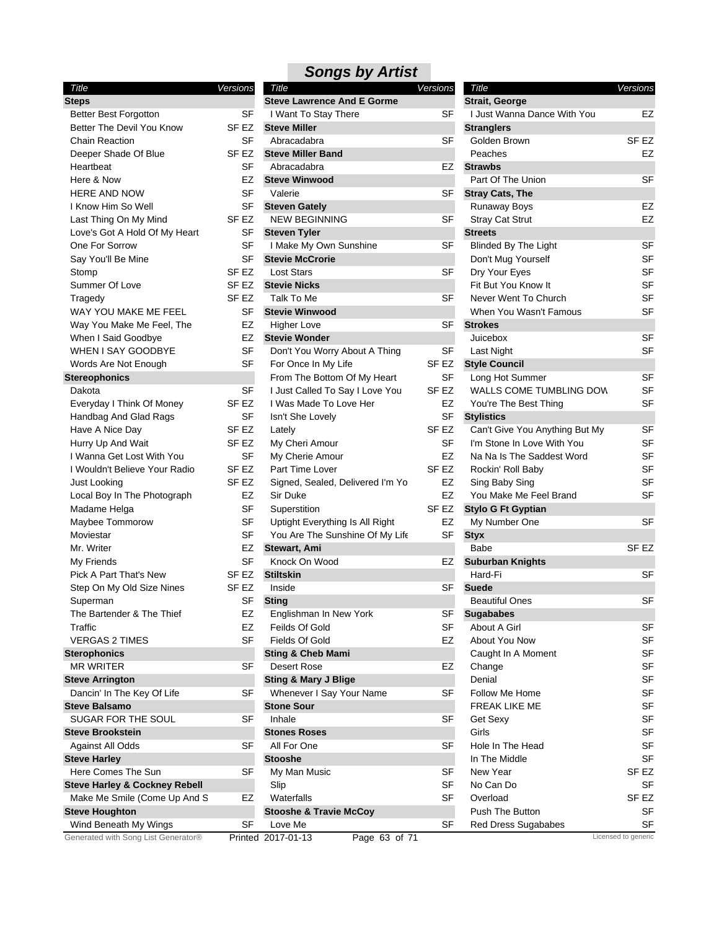### *Songs by Artist Title Versions*

| <b>Steps</b><br><b>Better Best Forgotton</b><br>SF<br>Better The Devil You Know<br>SF EZ<br><b>Chain Reaction</b><br>SF<br>Deeper Shade Of Blue<br>SF EZ<br>SF<br>Heartbeat<br>Here & Now<br>EZ<br><b>HERE AND NOW</b><br>SF<br>I Know Him So Well<br>SF<br>Last Thing On My Mind<br>SF EZ<br><b>SF</b><br>Love's Got A Hold Of My Heart<br><b>SF</b><br>One For Sorrow<br>Say You'll Be Mine<br>SF<br>SF <sub>EZ</sub><br>Stomp<br>SF <sub>EZ</sub><br>Summer Of Love<br>SF EZ<br>Tragedy<br>WAY YOU MAKE ME FEEL<br>SF<br>Way You Make Me Feel, The<br>EZ<br>When I Said Goodbye<br>EZ<br><b>WHEN I SAY GOODBYE</b><br><b>SF</b><br>SF<br>Words Are Not Enough<br><b>Stereophonics</b><br>SF<br>Dakota<br>Everyday I Think Of Money<br>SF <sub>EZ</sub><br>Handbag And Glad Rags<br>SF<br>Have A Nice Day<br>SF EZ<br>Hurry Up And Wait<br>SF EZ<br>I Wanna Get Lost With You<br>SF<br>I Wouldn't Believe Your Radio<br>SF <sub>EZ</sub><br>SF <sub>EZ</sub><br><b>Just Looking</b><br>Local Boy In The Photograph<br>EZ<br>Madame Helga<br>SF<br>Maybee Tommorow<br>SF<br><b>SF</b><br>Moviestar<br>Mr. Writer<br>EZ<br>SF<br>My Friends<br><b>Pick A Part That's New</b><br>SF <sub>EZ</sub><br>Step On My Old Size Nines<br>SF <sub>EZ</sub><br>Superman<br>SF<br>The Bartender & The Thief<br>EZ<br>Traffic<br>EZ<br><b>SF</b><br><b>VERGAS 2 TIMES</b><br><b>Sterophonics</b><br><b>MR WRITER</b><br>SF<br><b>Steve Arrington</b><br>Dancin' In The Key Of Life<br>SF<br><b>Steve Balsamo</b><br>SUGAR FOR THE SOUL<br>SF<br><b>Steve Brookstein</b><br><b>Against All Odds</b><br>SF<br><b>Steve Harley</b><br>Here Comes The Sun<br>SF<br><b>Steve Harley &amp; Cockney Rebell</b><br>Make Me Smile (Come Up And S<br>EZ<br><b>Steve Houghton</b><br>SF<br>Wind Beneath My Wings<br>Congrated with Song List Congrator® | Title | Versions |
|----------------------------------------------------------------------------------------------------------------------------------------------------------------------------------------------------------------------------------------------------------------------------------------------------------------------------------------------------------------------------------------------------------------------------------------------------------------------------------------------------------------------------------------------------------------------------------------------------------------------------------------------------------------------------------------------------------------------------------------------------------------------------------------------------------------------------------------------------------------------------------------------------------------------------------------------------------------------------------------------------------------------------------------------------------------------------------------------------------------------------------------------------------------------------------------------------------------------------------------------------------------------------------------------------------------------------------------------------------------------------------------------------------------------------------------------------------------------------------------------------------------------------------------------------------------------------------------------------------------------------------------------------------------------------------------------------------------------------------------------------------------------------------------------------------------------------------|-------|----------|
|                                                                                                                                                                                                                                                                                                                                                                                                                                                                                                                                                                                                                                                                                                                                                                                                                                                                                                                                                                                                                                                                                                                                                                                                                                                                                                                                                                                                                                                                                                                                                                                                                                                                                                                                                                                                                                  |       |          |
|                                                                                                                                                                                                                                                                                                                                                                                                                                                                                                                                                                                                                                                                                                                                                                                                                                                                                                                                                                                                                                                                                                                                                                                                                                                                                                                                                                                                                                                                                                                                                                                                                                                                                                                                                                                                                                  |       |          |
|                                                                                                                                                                                                                                                                                                                                                                                                                                                                                                                                                                                                                                                                                                                                                                                                                                                                                                                                                                                                                                                                                                                                                                                                                                                                                                                                                                                                                                                                                                                                                                                                                                                                                                                                                                                                                                  |       |          |
|                                                                                                                                                                                                                                                                                                                                                                                                                                                                                                                                                                                                                                                                                                                                                                                                                                                                                                                                                                                                                                                                                                                                                                                                                                                                                                                                                                                                                                                                                                                                                                                                                                                                                                                                                                                                                                  |       |          |
|                                                                                                                                                                                                                                                                                                                                                                                                                                                                                                                                                                                                                                                                                                                                                                                                                                                                                                                                                                                                                                                                                                                                                                                                                                                                                                                                                                                                                                                                                                                                                                                                                                                                                                                                                                                                                                  |       |          |
|                                                                                                                                                                                                                                                                                                                                                                                                                                                                                                                                                                                                                                                                                                                                                                                                                                                                                                                                                                                                                                                                                                                                                                                                                                                                                                                                                                                                                                                                                                                                                                                                                                                                                                                                                                                                                                  |       |          |
|                                                                                                                                                                                                                                                                                                                                                                                                                                                                                                                                                                                                                                                                                                                                                                                                                                                                                                                                                                                                                                                                                                                                                                                                                                                                                                                                                                                                                                                                                                                                                                                                                                                                                                                                                                                                                                  |       |          |
|                                                                                                                                                                                                                                                                                                                                                                                                                                                                                                                                                                                                                                                                                                                                                                                                                                                                                                                                                                                                                                                                                                                                                                                                                                                                                                                                                                                                                                                                                                                                                                                                                                                                                                                                                                                                                                  |       |          |
|                                                                                                                                                                                                                                                                                                                                                                                                                                                                                                                                                                                                                                                                                                                                                                                                                                                                                                                                                                                                                                                                                                                                                                                                                                                                                                                                                                                                                                                                                                                                                                                                                                                                                                                                                                                                                                  |       |          |
|                                                                                                                                                                                                                                                                                                                                                                                                                                                                                                                                                                                                                                                                                                                                                                                                                                                                                                                                                                                                                                                                                                                                                                                                                                                                                                                                                                                                                                                                                                                                                                                                                                                                                                                                                                                                                                  |       |          |
|                                                                                                                                                                                                                                                                                                                                                                                                                                                                                                                                                                                                                                                                                                                                                                                                                                                                                                                                                                                                                                                                                                                                                                                                                                                                                                                                                                                                                                                                                                                                                                                                                                                                                                                                                                                                                                  |       |          |
|                                                                                                                                                                                                                                                                                                                                                                                                                                                                                                                                                                                                                                                                                                                                                                                                                                                                                                                                                                                                                                                                                                                                                                                                                                                                                                                                                                                                                                                                                                                                                                                                                                                                                                                                                                                                                                  |       |          |
|                                                                                                                                                                                                                                                                                                                                                                                                                                                                                                                                                                                                                                                                                                                                                                                                                                                                                                                                                                                                                                                                                                                                                                                                                                                                                                                                                                                                                                                                                                                                                                                                                                                                                                                                                                                                                                  |       |          |
|                                                                                                                                                                                                                                                                                                                                                                                                                                                                                                                                                                                                                                                                                                                                                                                                                                                                                                                                                                                                                                                                                                                                                                                                                                                                                                                                                                                                                                                                                                                                                                                                                                                                                                                                                                                                                                  |       |          |
|                                                                                                                                                                                                                                                                                                                                                                                                                                                                                                                                                                                                                                                                                                                                                                                                                                                                                                                                                                                                                                                                                                                                                                                                                                                                                                                                                                                                                                                                                                                                                                                                                                                                                                                                                                                                                                  |       |          |
|                                                                                                                                                                                                                                                                                                                                                                                                                                                                                                                                                                                                                                                                                                                                                                                                                                                                                                                                                                                                                                                                                                                                                                                                                                                                                                                                                                                                                                                                                                                                                                                                                                                                                                                                                                                                                                  |       |          |
|                                                                                                                                                                                                                                                                                                                                                                                                                                                                                                                                                                                                                                                                                                                                                                                                                                                                                                                                                                                                                                                                                                                                                                                                                                                                                                                                                                                                                                                                                                                                                                                                                                                                                                                                                                                                                                  |       |          |
|                                                                                                                                                                                                                                                                                                                                                                                                                                                                                                                                                                                                                                                                                                                                                                                                                                                                                                                                                                                                                                                                                                                                                                                                                                                                                                                                                                                                                                                                                                                                                                                                                                                                                                                                                                                                                                  |       |          |
|                                                                                                                                                                                                                                                                                                                                                                                                                                                                                                                                                                                                                                                                                                                                                                                                                                                                                                                                                                                                                                                                                                                                                                                                                                                                                                                                                                                                                                                                                                                                                                                                                                                                                                                                                                                                                                  |       |          |
|                                                                                                                                                                                                                                                                                                                                                                                                                                                                                                                                                                                                                                                                                                                                                                                                                                                                                                                                                                                                                                                                                                                                                                                                                                                                                                                                                                                                                                                                                                                                                                                                                                                                                                                                                                                                                                  |       |          |
|                                                                                                                                                                                                                                                                                                                                                                                                                                                                                                                                                                                                                                                                                                                                                                                                                                                                                                                                                                                                                                                                                                                                                                                                                                                                                                                                                                                                                                                                                                                                                                                                                                                                                                                                                                                                                                  |       |          |
|                                                                                                                                                                                                                                                                                                                                                                                                                                                                                                                                                                                                                                                                                                                                                                                                                                                                                                                                                                                                                                                                                                                                                                                                                                                                                                                                                                                                                                                                                                                                                                                                                                                                                                                                                                                                                                  |       |          |
|                                                                                                                                                                                                                                                                                                                                                                                                                                                                                                                                                                                                                                                                                                                                                                                                                                                                                                                                                                                                                                                                                                                                                                                                                                                                                                                                                                                                                                                                                                                                                                                                                                                                                                                                                                                                                                  |       |          |
|                                                                                                                                                                                                                                                                                                                                                                                                                                                                                                                                                                                                                                                                                                                                                                                                                                                                                                                                                                                                                                                                                                                                                                                                                                                                                                                                                                                                                                                                                                                                                                                                                                                                                                                                                                                                                                  |       |          |
|                                                                                                                                                                                                                                                                                                                                                                                                                                                                                                                                                                                                                                                                                                                                                                                                                                                                                                                                                                                                                                                                                                                                                                                                                                                                                                                                                                                                                                                                                                                                                                                                                                                                                                                                                                                                                                  |       |          |
|                                                                                                                                                                                                                                                                                                                                                                                                                                                                                                                                                                                                                                                                                                                                                                                                                                                                                                                                                                                                                                                                                                                                                                                                                                                                                                                                                                                                                                                                                                                                                                                                                                                                                                                                                                                                                                  |       |          |
|                                                                                                                                                                                                                                                                                                                                                                                                                                                                                                                                                                                                                                                                                                                                                                                                                                                                                                                                                                                                                                                                                                                                                                                                                                                                                                                                                                                                                                                                                                                                                                                                                                                                                                                                                                                                                                  |       |          |
|                                                                                                                                                                                                                                                                                                                                                                                                                                                                                                                                                                                                                                                                                                                                                                                                                                                                                                                                                                                                                                                                                                                                                                                                                                                                                                                                                                                                                                                                                                                                                                                                                                                                                                                                                                                                                                  |       |          |
|                                                                                                                                                                                                                                                                                                                                                                                                                                                                                                                                                                                                                                                                                                                                                                                                                                                                                                                                                                                                                                                                                                                                                                                                                                                                                                                                                                                                                                                                                                                                                                                                                                                                                                                                                                                                                                  |       |          |
|                                                                                                                                                                                                                                                                                                                                                                                                                                                                                                                                                                                                                                                                                                                                                                                                                                                                                                                                                                                                                                                                                                                                                                                                                                                                                                                                                                                                                                                                                                                                                                                                                                                                                                                                                                                                                                  |       |          |
|                                                                                                                                                                                                                                                                                                                                                                                                                                                                                                                                                                                                                                                                                                                                                                                                                                                                                                                                                                                                                                                                                                                                                                                                                                                                                                                                                                                                                                                                                                                                                                                                                                                                                                                                                                                                                                  |       |          |
|                                                                                                                                                                                                                                                                                                                                                                                                                                                                                                                                                                                                                                                                                                                                                                                                                                                                                                                                                                                                                                                                                                                                                                                                                                                                                                                                                                                                                                                                                                                                                                                                                                                                                                                                                                                                                                  |       |          |
|                                                                                                                                                                                                                                                                                                                                                                                                                                                                                                                                                                                                                                                                                                                                                                                                                                                                                                                                                                                                                                                                                                                                                                                                                                                                                                                                                                                                                                                                                                                                                                                                                                                                                                                                                                                                                                  |       |          |
|                                                                                                                                                                                                                                                                                                                                                                                                                                                                                                                                                                                                                                                                                                                                                                                                                                                                                                                                                                                                                                                                                                                                                                                                                                                                                                                                                                                                                                                                                                                                                                                                                                                                                                                                                                                                                                  |       |          |
|                                                                                                                                                                                                                                                                                                                                                                                                                                                                                                                                                                                                                                                                                                                                                                                                                                                                                                                                                                                                                                                                                                                                                                                                                                                                                                                                                                                                                                                                                                                                                                                                                                                                                                                                                                                                                                  |       |          |
|                                                                                                                                                                                                                                                                                                                                                                                                                                                                                                                                                                                                                                                                                                                                                                                                                                                                                                                                                                                                                                                                                                                                                                                                                                                                                                                                                                                                                                                                                                                                                                                                                                                                                                                                                                                                                                  |       |          |
|                                                                                                                                                                                                                                                                                                                                                                                                                                                                                                                                                                                                                                                                                                                                                                                                                                                                                                                                                                                                                                                                                                                                                                                                                                                                                                                                                                                                                                                                                                                                                                                                                                                                                                                                                                                                                                  |       |          |
|                                                                                                                                                                                                                                                                                                                                                                                                                                                                                                                                                                                                                                                                                                                                                                                                                                                                                                                                                                                                                                                                                                                                                                                                                                                                                                                                                                                                                                                                                                                                                                                                                                                                                                                                                                                                                                  |       |          |
|                                                                                                                                                                                                                                                                                                                                                                                                                                                                                                                                                                                                                                                                                                                                                                                                                                                                                                                                                                                                                                                                                                                                                                                                                                                                                                                                                                                                                                                                                                                                                                                                                                                                                                                                                                                                                                  |       |          |
|                                                                                                                                                                                                                                                                                                                                                                                                                                                                                                                                                                                                                                                                                                                                                                                                                                                                                                                                                                                                                                                                                                                                                                                                                                                                                                                                                                                                                                                                                                                                                                                                                                                                                                                                                                                                                                  |       |          |
|                                                                                                                                                                                                                                                                                                                                                                                                                                                                                                                                                                                                                                                                                                                                                                                                                                                                                                                                                                                                                                                                                                                                                                                                                                                                                                                                                                                                                                                                                                                                                                                                                                                                                                                                                                                                                                  |       |          |
|                                                                                                                                                                                                                                                                                                                                                                                                                                                                                                                                                                                                                                                                                                                                                                                                                                                                                                                                                                                                                                                                                                                                                                                                                                                                                                                                                                                                                                                                                                                                                                                                                                                                                                                                                                                                                                  |       |          |
|                                                                                                                                                                                                                                                                                                                                                                                                                                                                                                                                                                                                                                                                                                                                                                                                                                                                                                                                                                                                                                                                                                                                                                                                                                                                                                                                                                                                                                                                                                                                                                                                                                                                                                                                                                                                                                  |       |          |
|                                                                                                                                                                                                                                                                                                                                                                                                                                                                                                                                                                                                                                                                                                                                                                                                                                                                                                                                                                                                                                                                                                                                                                                                                                                                                                                                                                                                                                                                                                                                                                                                                                                                                                                                                                                                                                  |       |          |
|                                                                                                                                                                                                                                                                                                                                                                                                                                                                                                                                                                                                                                                                                                                                                                                                                                                                                                                                                                                                                                                                                                                                                                                                                                                                                                                                                                                                                                                                                                                                                                                                                                                                                                                                                                                                                                  |       |          |
|                                                                                                                                                                                                                                                                                                                                                                                                                                                                                                                                                                                                                                                                                                                                                                                                                                                                                                                                                                                                                                                                                                                                                                                                                                                                                                                                                                                                                                                                                                                                                                                                                                                                                                                                                                                                                                  |       |          |
|                                                                                                                                                                                                                                                                                                                                                                                                                                                                                                                                                                                                                                                                                                                                                                                                                                                                                                                                                                                                                                                                                                                                                                                                                                                                                                                                                                                                                                                                                                                                                                                                                                                                                                                                                                                                                                  |       |          |
|                                                                                                                                                                                                                                                                                                                                                                                                                                                                                                                                                                                                                                                                                                                                                                                                                                                                                                                                                                                                                                                                                                                                                                                                                                                                                                                                                                                                                                                                                                                                                                                                                                                                                                                                                                                                                                  |       |          |
|                                                                                                                                                                                                                                                                                                                                                                                                                                                                                                                                                                                                                                                                                                                                                                                                                                                                                                                                                                                                                                                                                                                                                                                                                                                                                                                                                                                                                                                                                                                                                                                                                                                                                                                                                                                                                                  |       |          |
|                                                                                                                                                                                                                                                                                                                                                                                                                                                                                                                                                                                                                                                                                                                                                                                                                                                                                                                                                                                                                                                                                                                                                                                                                                                                                                                                                                                                                                                                                                                                                                                                                                                                                                                                                                                                                                  |       |          |
|                                                                                                                                                                                                                                                                                                                                                                                                                                                                                                                                                                                                                                                                                                                                                                                                                                                                                                                                                                                                                                                                                                                                                                                                                                                                                                                                                                                                                                                                                                                                                                                                                                                                                                                                                                                                                                  |       |          |
|                                                                                                                                                                                                                                                                                                                                                                                                                                                                                                                                                                                                                                                                                                                                                                                                                                                                                                                                                                                                                                                                                                                                                                                                                                                                                                                                                                                                                                                                                                                                                                                                                                                                                                                                                                                                                                  |       |          |
|                                                                                                                                                                                                                                                                                                                                                                                                                                                                                                                                                                                                                                                                                                                                                                                                                                                                                                                                                                                                                                                                                                                                                                                                                                                                                                                                                                                                                                                                                                                                                                                                                                                                                                                                                                                                                                  |       |          |
|                                                                                                                                                                                                                                                                                                                                                                                                                                                                                                                                                                                                                                                                                                                                                                                                                                                                                                                                                                                                                                                                                                                                                                                                                                                                                                                                                                                                                                                                                                                                                                                                                                                                                                                                                                                                                                  |       |          |
|                                                                                                                                                                                                                                                                                                                                                                                                                                                                                                                                                                                                                                                                                                                                                                                                                                                                                                                                                                                                                                                                                                                                                                                                                                                                                                                                                                                                                                                                                                                                                                                                                                                                                                                                                                                                                                  |       |          |
|                                                                                                                                                                                                                                                                                                                                                                                                                                                                                                                                                                                                                                                                                                                                                                                                                                                                                                                                                                                                                                                                                                                                                                                                                                                                                                                                                                                                                                                                                                                                                                                                                                                                                                                                                                                                                                  |       |          |
|                                                                                                                                                                                                                                                                                                                                                                                                                                                                                                                                                                                                                                                                                                                                                                                                                                                                                                                                                                                                                                                                                                                                                                                                                                                                                                                                                                                                                                                                                                                                                                                                                                                                                                                                                                                                                                  |       |          |

|                                          |                  | <b>Steve Lawrence And E Gorme</b>   |                  | <b>Strait, George</b>          |                     |
|------------------------------------------|------------------|-------------------------------------|------------------|--------------------------------|---------------------|
| leps<br>Better Best Forgotton            | <b>SF</b>        | I Want To Stay There                | SF               | I Just Wanna Dance With You    | EZ                  |
| Better The Devil You Know                | SF EZ            | <b>Steve Miller</b>                 |                  | <b>Stranglers</b>              |                     |
| Chain Reaction                           | <b>SF</b>        | Abracadabra                         | SF               | Golden Brown                   | SF <sub>EZ</sub>    |
|                                          | SF EZ            | <b>Steve Miller Band</b>            |                  | Peaches                        | EZ                  |
| Deeper Shade Of Blue<br><b>Heartbeat</b> | <b>SF</b>        | Abracadabra                         | EZ               | <b>Strawbs</b>                 |                     |
|                                          |                  |                                     |                  |                                | <b>SF</b>           |
| Here & Now                               | EZ               | <b>Steve Winwood</b>                |                  | Part Of The Union              |                     |
| HERE AND NOW                             | <b>SF</b>        | Valerie                             | SF               | <b>Stray Cats, The</b>         |                     |
| Know Him So Well                         | <b>SF</b>        | <b>Steven Gately</b>                |                  | <b>Runaway Boys</b>            | EZ                  |
| ast Thing On My Mind                     | SF EZ            | <b>NEW BEGINNING</b>                | SF               | <b>Stray Cat Strut</b>         | <b>EZ</b>           |
| ove's Got A Hold Of My Heart             | SF               | <b>Steven Tyler</b>                 |                  | <b>Streets</b>                 |                     |
| One For Sorrow                           | <b>SF</b>        | I Make My Own Sunshine              | SF               | <b>Blinded By The Light</b>    | <b>SF</b>           |
| Say You'll Be Mine                       | <b>SF</b>        | <b>Stevie McCrorie</b>              |                  | Don't Mug Yourself             | SF                  |
| Stomp                                    | SF EZ            | <b>Lost Stars</b>                   | SF               | Dry Your Eyes                  | <b>SF</b>           |
| Summer Of Love                           | SF EZ            | <b>Stevie Nicks</b>                 |                  | Fit But You Know It            | <b>SF</b>           |
| Tragedy                                  | SF EZ            | Talk To Me                          | SF               | Never Went To Church           | <b>SF</b>           |
| WAY YOU MAKE ME FEEL                     | <b>SF</b>        | <b>Stevie Winwood</b>               |                  | When You Wasn't Famous         | <b>SF</b>           |
| Nay You Make Me Feel, The                | EZ               | <b>Higher Love</b>                  | SF               | <b>Strokes</b>                 |                     |
| <b>When I Said Goodbye</b>               | EZ               | <b>Stevie Wonder</b>                |                  | Juicebox                       | <b>SF</b>           |
| WHEN I SAY GOODBYE                       | SF               | Don't You Worry About A Thing       | <b>SF</b>        | Last Night                     | <b>SF</b>           |
| <b>Nords Are Not Enough</b>              | SF               | For Once In My Life                 | SF <sub>EZ</sub> | <b>Style Council</b>           |                     |
| tereophonics                             |                  | From The Bottom Of My Heart         | SF               | Long Hot Summer                | <b>SF</b>           |
| Dakota                                   | SF               | I Just Called To Say I Love You     | SF EZ            | WALLS COME TUMBLING DOW        | <b>SF</b>           |
| Everyday I Think Of Money                | SF <sub>EZ</sub> | I Was Made To Love Her              | EZ               | You're The Best Thing          | <b>SF</b>           |
| Handbag And Glad Rags                    | <b>SF</b>        | Isn't She Lovely                    | <b>SF</b>        | <b>Stylistics</b>              |                     |
| Have A Nice Day                          | SF EZ            | Lately                              | SF EZ            | Can't Give You Anything But My | <b>SF</b>           |
| Hurry Up And Wait                        | SF EZ            | My Cheri Amour                      | <b>SF</b>        | I'm Stone In Love With You     | <b>SF</b>           |
| Wanna Get Lost With You                  | <b>SF</b>        | My Cherie Amour                     | EZ               | Na Na Is The Saddest Word      | <b>SF</b>           |
| Wouldn't Believe Your Radio              | SF <sub>EZ</sub> | Part Time Lover                     | SF <sub>EZ</sub> | Rockin' Roll Baby              | <b>SF</b>           |
| Just Looking                             | SF EZ            | Signed, Sealed, Delivered I'm Yo    | EZ               | Sing Baby Sing                 | <b>SF</b>           |
| ocal Boy In The Photograph               | EZ               | Sir Duke                            | EZ               | You Make Me Feel Brand         | <b>SF</b>           |
| Madame Helga                             | <b>SF</b>        | Superstition                        | SF <sub>EZ</sub> | <b>Stylo G Ft Gyptian</b>      |                     |
| Maybee Tommorow                          | <b>SF</b>        | Uptight Everything Is All Right     | EZ               | My Number One                  | <b>SF</b>           |
| Moviestar                                | <b>SF</b>        | You Are The Sunshine Of My Life     | SF               | <b>Styx</b>                    |                     |
| Mr. Writer                               | EZ               | Stewart, Ami                        |                  | Babe                           | SF EZ               |
| <b>My Friends</b>                        | <b>SF</b>        | Knock On Wood                       | EZ               | <b>Suburban Knights</b>        |                     |
| Pick A Part That's New                   | SF EZ            | <b>Stiltskin</b>                    |                  | Hard-Fi                        | SF                  |
| Step On My Old Size Nines                | SF EZ            | Inside                              | SF               | <b>Suede</b>                   |                     |
| Superman                                 | SF               | <b>Sting</b>                        |                  | <b>Beautiful Ones</b>          | <b>SF</b>           |
| The Bartender & The Thief                | <b>EZ</b>        | Englishman In New York              | SF               | <b>Sugababes</b>               |                     |
| Traffic                                  | EZ               | Feilds Of Gold                      | <b>SF</b>        |                                | SF                  |
|                                          | <b>SF</b>        |                                     | EZ               | About A Girl<br>About You Now  |                     |
| √ERGAS 2 TIMES                           |                  | Fields Of Gold                      |                  |                                | SF                  |
| terophonics                              |                  | <b>Sting &amp; Cheb Mami</b>        |                  | Caught In A Moment             | SF                  |
| <b>MR WRITER</b>                         | SF               | Desert Rose                         | EZ               | Change                         | <b>SF</b>           |
| teve Arrington                           |                  | <b>Sting &amp; Mary J Blige</b>     |                  | Denial                         | <b>SF</b>           |
| Dancin' In The Key Of Life               | SF               | Whenever I Say Your Name            | SF               | Follow Me Home                 | SF                  |
| teve Balsamo                             |                  | <b>Stone Sour</b>                   |                  | FREAK LIKE ME                  | SF                  |
| SUGAR FOR THE SOUL                       | SF               | Inhale                              | SF               | Get Sexy                       | SF                  |
| teve Brookstein                          |                  | <b>Stones Roses</b>                 |                  | Girls                          | SF                  |
| <b>Against All Odds</b>                  | SF               | All For One                         | <b>SF</b>        | Hole In The Head               | SF                  |
| teve Harley                              |                  | <b>Stooshe</b>                      |                  | In The Middle                  | SF                  |
| Here Comes The Sun                       | SF               | My Man Music                        | SF               | New Year                       | SF EZ               |
| teve Harley & Cockney Rebell             |                  | Slip                                | SF               | No Can Do                      | SF                  |
| Vlake Me Smile (Come Up And S            | EZ               | Waterfalls                          | <b>SF</b>        | Overload                       | SF EZ               |
| teve Houghton                            |                  | <b>Stooshe &amp; Travie McCoy</b>   |                  | Push The Button                | SF                  |
| Wind Beneath My Wings                    | SF               | Love Me                             | SF               | Red Dress Sugababes            | SF                  |
| enerated with Song List Generator®       |                  | Printed 2017-01-13<br>Page 63 of 71 |                  |                                | Licensed to generic |

| Title                                                   | Versions  |
|---------------------------------------------------------|-----------|
| <b>Strait, George</b>                                   |           |
| I Just Wanna Dance With You                             | F7        |
| <b>Stranglers</b><br>Golden Brown                       |           |
| Peaches                                                 | SF EZ     |
|                                                         | EZ        |
| <b>Strawbs</b>                                          |           |
| Part Of The Union                                       | SF        |
| <b>Stray Cats, The</b>                                  |           |
| Runaway Boys                                            | EZ<br>F7  |
| <b>Stray Cat Strut</b><br><b>Streets</b>                |           |
|                                                         | SF        |
| <b>Blinded By The Light</b>                             | SF        |
| Don't Mug Yourself                                      |           |
| Dry Your Eyes                                           | SF        |
| Fit But You Know It<br>Never Went To Church             | SF<br>SF  |
| When You Wasn't Famous                                  | SF        |
| <b>Strokes</b>                                          |           |
| Juicebox                                                | SF        |
|                                                         |           |
| <b>Last Night</b>                                       | SF        |
| <b>Style Council</b>                                    |           |
| Long Hot Summer                                         | SF        |
| WALLS COME TUMBLING DOW                                 | SF        |
| You're The Best Thing                                   | SF        |
| <b>Stylistics</b>                                       |           |
| Can't Give You Anything But My                          | SF        |
| I'm Stone In Love With You<br>Na Na Is The Saddest Word | SF        |
|                                                         | SF<br>SF  |
| Rockin' Roll Baby                                       |           |
| Sing Baby Sing<br>You Make Me Feel Brand                | SF<br>SF  |
| <b>Stylo G Ft Gyptian</b>                               |           |
| My Number One                                           | SF        |
| <b>Styx</b>                                             |           |
| Babe                                                    | SF EZ     |
|                                                         |           |
| <b>Suburban Knights</b><br>Hard-Fi                      | SF        |
| <b>Suede</b>                                            |           |
| Beautiful Ones                                          | SF        |
| <b>Sugababes</b>                                        |           |
| <b>About A Girl</b>                                     | SF        |
| <b>About You Now</b>                                    | SF        |
| Caught In A Moment                                      | <b>SF</b> |
| Change                                                  | SF        |
| Denial                                                  | <b>SF</b> |
| Follow Me Home                                          | <b>SF</b> |
| <b>FREAK LIKE ME</b>                                    | <b>SF</b> |
| Get Sexy                                                | SF        |
| Girls                                                   | SF        |
| Hole In The Head                                        | SF        |
| In The Middle                                           | SF        |
| New Year                                                | SF EZ     |
| No Can Do                                               | SF        |
| Overload                                                | SF EZ     |
| <b>Push The Button</b>                                  | SF        |
| Red Dress Sugababes                                     | SF        |
|                                                         |           |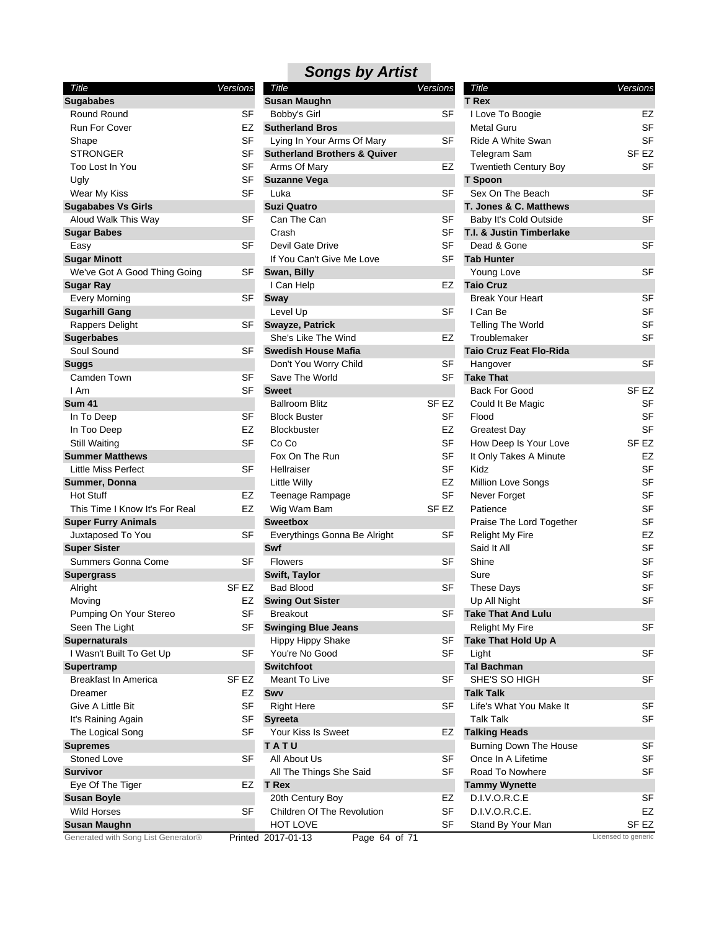| Title                               | Versions |           |
|-------------------------------------|----------|-----------|
| <b>Sugababes</b>                    |          |           |
| <b>Round Round</b>                  |          | SF        |
| <b>Run For Cover</b>                |          | EZ        |
| Shape                               |          | SF        |
| STRONGER                            |          | SF        |
| Too Lost In You                     |          | SF        |
| Ugly                                |          | SF        |
| Wear My Kiss                        |          | SF        |
| <b>Sugababes Vs Girls</b>           |          |           |
| Aloud Walk This Way                 |          | SF        |
| <b>Sugar Babes</b>                  |          |           |
| Easy                                |          | SF        |
| <b>Sugar Minott</b>                 |          |           |
| We've Got A Good Thing Going        |          | SF        |
| Sugar Ray                           |          |           |
| <b>Every Morning</b>                |          | SF        |
| <b>Sugarhill Gang</b>               |          |           |
| Rappers Delight                     |          | SF        |
| <b>Sugerbabes</b>                   |          |           |
| Soul Sound                          |          | SF        |
| Suggs                               |          |           |
| Camden Town                         |          | SF        |
| I Am                                |          | SF        |
| <b>Sum 41</b>                       |          |           |
| In To Deep                          |          | SF        |
| In Too Deep                         |          | EZ        |
| Still Waiting                       |          | SF        |
| <b>Summer Matthews</b>              |          |           |
| Little Miss Perfect                 |          | <b>SF</b> |
| Summer, Donna                       |          |           |
| <b>Hot Stuff</b>                    |          | EZ        |
| This Time I Know It's For Real      |          | EZ        |
| <b>Super Furry Animals</b>          |          |           |
| Juxtaposed To You                   |          | SF        |
| <b>Super Sister</b>                 |          |           |
| Summers Gonna Come                  |          | SF        |
| Supergrass                          |          |           |
| Alright                             | SF EZ    |           |
| Moving                              |          | EZ        |
| Pumping On Your Stereo              |          | SF        |
| Seen The Light                      |          | SF        |
| <b>Supernaturals</b>                |          |           |
| I Wasn't Built To Get Up            |          | SF        |
| Supertramp                          |          |           |
| <b>Breakfast In America</b>         | SF EZ    |           |
| Dreamer                             |          | EZ        |
| Give A Little Bit                   |          | SF        |
| It's Raining Again                  |          | SF        |
| The Logical Song                    |          | SF        |
| <b>Supremes</b>                     |          |           |
| Stoned Love                         |          | SF        |
| <b>Survivor</b>                     |          |           |
| Eye Of The Tiger                    |          | EZ        |
| <b>Susan Boyle</b>                  |          |           |
| <b>Wild Horses</b>                  |          | SF        |
| <b>Susan Maughn</b>                 |          |           |
| Generated with Song List Generator® |          | line      |

| <b>Versions</b> | Title                                                                                                                                                                                 | <b>Versions</b>                                                                                                                                                                                                                                                                                                                                                                                                                                                                                                                                                                                                                                                                                                 | Title                                                                                                                                                                                                                                                                          | Versions                                                                                                                                                                                                                                                                                                                                                                                                                                                                                                                                                                                                                                                                                                                                                           |
|-----------------|---------------------------------------------------------------------------------------------------------------------------------------------------------------------------------------|-----------------------------------------------------------------------------------------------------------------------------------------------------------------------------------------------------------------------------------------------------------------------------------------------------------------------------------------------------------------------------------------------------------------------------------------------------------------------------------------------------------------------------------------------------------------------------------------------------------------------------------------------------------------------------------------------------------------|--------------------------------------------------------------------------------------------------------------------------------------------------------------------------------------------------------------------------------------------------------------------------------|--------------------------------------------------------------------------------------------------------------------------------------------------------------------------------------------------------------------------------------------------------------------------------------------------------------------------------------------------------------------------------------------------------------------------------------------------------------------------------------------------------------------------------------------------------------------------------------------------------------------------------------------------------------------------------------------------------------------------------------------------------------------|
|                 | <b>Susan Maughn</b>                                                                                                                                                                   |                                                                                                                                                                                                                                                                                                                                                                                                                                                                                                                                                                                                                                                                                                                 | <b>T</b> Rex                                                                                                                                                                                                                                                                   |                                                                                                                                                                                                                                                                                                                                                                                                                                                                                                                                                                                                                                                                                                                                                                    |
| <b>SF</b>       | Bobby's Girl                                                                                                                                                                          | SF                                                                                                                                                                                                                                                                                                                                                                                                                                                                                                                                                                                                                                                                                                              | I Love To Boogie                                                                                                                                                                                                                                                               | EZ                                                                                                                                                                                                                                                                                                                                                                                                                                                                                                                                                                                                                                                                                                                                                                 |
| EZ              | <b>Sutherland Bros</b>                                                                                                                                                                |                                                                                                                                                                                                                                                                                                                                                                                                                                                                                                                                                                                                                                                                                                                 | Metal Guru                                                                                                                                                                                                                                                                     | <b>SF</b>                                                                                                                                                                                                                                                                                                                                                                                                                                                                                                                                                                                                                                                                                                                                                          |
| <b>SF</b>       |                                                                                                                                                                                       | SF                                                                                                                                                                                                                                                                                                                                                                                                                                                                                                                                                                                                                                                                                                              | Ride A White Swan                                                                                                                                                                                                                                                              | <b>SF</b>                                                                                                                                                                                                                                                                                                                                                                                                                                                                                                                                                                                                                                                                                                                                                          |
| <b>SF</b>       | <b>Sutherland Brothers &amp; Quiver</b>                                                                                                                                               |                                                                                                                                                                                                                                                                                                                                                                                                                                                                                                                                                                                                                                                                                                                 | Telegram Sam                                                                                                                                                                                                                                                                   | SF <sub>EZ</sub>                                                                                                                                                                                                                                                                                                                                                                                                                                                                                                                                                                                                                                                                                                                                                   |
| <b>SF</b>       |                                                                                                                                                                                       | EZ                                                                                                                                                                                                                                                                                                                                                                                                                                                                                                                                                                                                                                                                                                              |                                                                                                                                                                                                                                                                                | <b>SF</b>                                                                                                                                                                                                                                                                                                                                                                                                                                                                                                                                                                                                                                                                                                                                                          |
| SF              |                                                                                                                                                                                       |                                                                                                                                                                                                                                                                                                                                                                                                                                                                                                                                                                                                                                                                                                                 |                                                                                                                                                                                                                                                                                |                                                                                                                                                                                                                                                                                                                                                                                                                                                                                                                                                                                                                                                                                                                                                                    |
|                 |                                                                                                                                                                                       |                                                                                                                                                                                                                                                                                                                                                                                                                                                                                                                                                                                                                                                                                                                 |                                                                                                                                                                                                                                                                                | <b>SF</b>                                                                                                                                                                                                                                                                                                                                                                                                                                                                                                                                                                                                                                                                                                                                                          |
|                 | <b>Suzi Quatro</b>                                                                                                                                                                    |                                                                                                                                                                                                                                                                                                                                                                                                                                                                                                                                                                                                                                                                                                                 |                                                                                                                                                                                                                                                                                |                                                                                                                                                                                                                                                                                                                                                                                                                                                                                                                                                                                                                                                                                                                                                                    |
|                 |                                                                                                                                                                                       |                                                                                                                                                                                                                                                                                                                                                                                                                                                                                                                                                                                                                                                                                                                 |                                                                                                                                                                                                                                                                                | SF                                                                                                                                                                                                                                                                                                                                                                                                                                                                                                                                                                                                                                                                                                                                                                 |
|                 | Crash                                                                                                                                                                                 |                                                                                                                                                                                                                                                                                                                                                                                                                                                                                                                                                                                                                                                                                                                 |                                                                                                                                                                                                                                                                                |                                                                                                                                                                                                                                                                                                                                                                                                                                                                                                                                                                                                                                                                                                                                                                    |
|                 |                                                                                                                                                                                       |                                                                                                                                                                                                                                                                                                                                                                                                                                                                                                                                                                                                                                                                                                                 |                                                                                                                                                                                                                                                                                | <b>SF</b>                                                                                                                                                                                                                                                                                                                                                                                                                                                                                                                                                                                                                                                                                                                                                          |
|                 |                                                                                                                                                                                       |                                                                                                                                                                                                                                                                                                                                                                                                                                                                                                                                                                                                                                                                                                                 |                                                                                                                                                                                                                                                                                |                                                                                                                                                                                                                                                                                                                                                                                                                                                                                                                                                                                                                                                                                                                                                                    |
|                 |                                                                                                                                                                                       |                                                                                                                                                                                                                                                                                                                                                                                                                                                                                                                                                                                                                                                                                                                 |                                                                                                                                                                                                                                                                                | <b>SF</b>                                                                                                                                                                                                                                                                                                                                                                                                                                                                                                                                                                                                                                                                                                                                                          |
|                 |                                                                                                                                                                                       |                                                                                                                                                                                                                                                                                                                                                                                                                                                                                                                                                                                                                                                                                                                 |                                                                                                                                                                                                                                                                                |                                                                                                                                                                                                                                                                                                                                                                                                                                                                                                                                                                                                                                                                                                                                                                    |
|                 |                                                                                                                                                                                       |                                                                                                                                                                                                                                                                                                                                                                                                                                                                                                                                                                                                                                                                                                                 |                                                                                                                                                                                                                                                                                | SF                                                                                                                                                                                                                                                                                                                                                                                                                                                                                                                                                                                                                                                                                                                                                                 |
|                 |                                                                                                                                                                                       |                                                                                                                                                                                                                                                                                                                                                                                                                                                                                                                                                                                                                                                                                                                 |                                                                                                                                                                                                                                                                                | <b>SF</b>                                                                                                                                                                                                                                                                                                                                                                                                                                                                                                                                                                                                                                                                                                                                                          |
|                 |                                                                                                                                                                                       |                                                                                                                                                                                                                                                                                                                                                                                                                                                                                                                                                                                                                                                                                                                 |                                                                                                                                                                                                                                                                                | <b>SF</b>                                                                                                                                                                                                                                                                                                                                                                                                                                                                                                                                                                                                                                                                                                                                                          |
|                 |                                                                                                                                                                                       |                                                                                                                                                                                                                                                                                                                                                                                                                                                                                                                                                                                                                                                                                                                 |                                                                                                                                                                                                                                                                                | <b>SF</b>                                                                                                                                                                                                                                                                                                                                                                                                                                                                                                                                                                                                                                                                                                                                                          |
|                 |                                                                                                                                                                                       |                                                                                                                                                                                                                                                                                                                                                                                                                                                                                                                                                                                                                                                                                                                 |                                                                                                                                                                                                                                                                                |                                                                                                                                                                                                                                                                                                                                                                                                                                                                                                                                                                                                                                                                                                                                                                    |
|                 |                                                                                                                                                                                       |                                                                                                                                                                                                                                                                                                                                                                                                                                                                                                                                                                                                                                                                                                                 |                                                                                                                                                                                                                                                                                | <b>SF</b>                                                                                                                                                                                                                                                                                                                                                                                                                                                                                                                                                                                                                                                                                                                                                          |
|                 |                                                                                                                                                                                       |                                                                                                                                                                                                                                                                                                                                                                                                                                                                                                                                                                                                                                                                                                                 |                                                                                                                                                                                                                                                                                |                                                                                                                                                                                                                                                                                                                                                                                                                                                                                                                                                                                                                                                                                                                                                                    |
|                 |                                                                                                                                                                                       |                                                                                                                                                                                                                                                                                                                                                                                                                                                                                                                                                                                                                                                                                                                 |                                                                                                                                                                                                                                                                                | SF <sub>EZ</sub>                                                                                                                                                                                                                                                                                                                                                                                                                                                                                                                                                                                                                                                                                                                                                   |
|                 |                                                                                                                                                                                       |                                                                                                                                                                                                                                                                                                                                                                                                                                                                                                                                                                                                                                                                                                                 |                                                                                                                                                                                                                                                                                |                                                                                                                                                                                                                                                                                                                                                                                                                                                                                                                                                                                                                                                                                                                                                                    |
|                 |                                                                                                                                                                                       |                                                                                                                                                                                                                                                                                                                                                                                                                                                                                                                                                                                                                                                                                                                 |                                                                                                                                                                                                                                                                                | SF                                                                                                                                                                                                                                                                                                                                                                                                                                                                                                                                                                                                                                                                                                                                                                 |
|                 |                                                                                                                                                                                       |                                                                                                                                                                                                                                                                                                                                                                                                                                                                                                                                                                                                                                                                                                                 |                                                                                                                                                                                                                                                                                | <b>SF</b>                                                                                                                                                                                                                                                                                                                                                                                                                                                                                                                                                                                                                                                                                                                                                          |
|                 |                                                                                                                                                                                       |                                                                                                                                                                                                                                                                                                                                                                                                                                                                                                                                                                                                                                                                                                                 |                                                                                                                                                                                                                                                                                | <b>SF</b>                                                                                                                                                                                                                                                                                                                                                                                                                                                                                                                                                                                                                                                                                                                                                          |
|                 |                                                                                                                                                                                       |                                                                                                                                                                                                                                                                                                                                                                                                                                                                                                                                                                                                                                                                                                                 |                                                                                                                                                                                                                                                                                | SF <sub>EZ</sub>                                                                                                                                                                                                                                                                                                                                                                                                                                                                                                                                                                                                                                                                                                                                                   |
|                 |                                                                                                                                                                                       |                                                                                                                                                                                                                                                                                                                                                                                                                                                                                                                                                                                                                                                                                                                 |                                                                                                                                                                                                                                                                                | EZ                                                                                                                                                                                                                                                                                                                                                                                                                                                                                                                                                                                                                                                                                                                                                                 |
|                 |                                                                                                                                                                                       |                                                                                                                                                                                                                                                                                                                                                                                                                                                                                                                                                                                                                                                                                                                 |                                                                                                                                                                                                                                                                                | <b>SF</b>                                                                                                                                                                                                                                                                                                                                                                                                                                                                                                                                                                                                                                                                                                                                                          |
|                 |                                                                                                                                                                                       |                                                                                                                                                                                                                                                                                                                                                                                                                                                                                                                                                                                                                                                                                                                 |                                                                                                                                                                                                                                                                                | SF                                                                                                                                                                                                                                                                                                                                                                                                                                                                                                                                                                                                                                                                                                                                                                 |
|                 |                                                                                                                                                                                       |                                                                                                                                                                                                                                                                                                                                                                                                                                                                                                                                                                                                                                                                                                                 |                                                                                                                                                                                                                                                                                | <b>SF</b>                                                                                                                                                                                                                                                                                                                                                                                                                                                                                                                                                                                                                                                                                                                                                          |
|                 |                                                                                                                                                                                       |                                                                                                                                                                                                                                                                                                                                                                                                                                                                                                                                                                                                                                                                                                                 |                                                                                                                                                                                                                                                                                | <b>SF</b>                                                                                                                                                                                                                                                                                                                                                                                                                                                                                                                                                                                                                                                                                                                                                          |
|                 |                                                                                                                                                                                       |                                                                                                                                                                                                                                                                                                                                                                                                                                                                                                                                                                                                                                                                                                                 |                                                                                                                                                                                                                                                                                | <b>SF</b>                                                                                                                                                                                                                                                                                                                                                                                                                                                                                                                                                                                                                                                                                                                                                          |
|                 |                                                                                                                                                                                       |                                                                                                                                                                                                                                                                                                                                                                                                                                                                                                                                                                                                                                                                                                                 |                                                                                                                                                                                                                                                                                | EZ                                                                                                                                                                                                                                                                                                                                                                                                                                                                                                                                                                                                                                                                                                                                                                 |
|                 |                                                                                                                                                                                       |                                                                                                                                                                                                                                                                                                                                                                                                                                                                                                                                                                                                                                                                                                                 |                                                                                                                                                                                                                                                                                | <b>SF</b>                                                                                                                                                                                                                                                                                                                                                                                                                                                                                                                                                                                                                                                                                                                                                          |
|                 |                                                                                                                                                                                       |                                                                                                                                                                                                                                                                                                                                                                                                                                                                                                                                                                                                                                                                                                                 |                                                                                                                                                                                                                                                                                | SF                                                                                                                                                                                                                                                                                                                                                                                                                                                                                                                                                                                                                                                                                                                                                                 |
|                 |                                                                                                                                                                                       |                                                                                                                                                                                                                                                                                                                                                                                                                                                                                                                                                                                                                                                                                                                 |                                                                                                                                                                                                                                                                                | <b>SF</b>                                                                                                                                                                                                                                                                                                                                                                                                                                                                                                                                                                                                                                                                                                                                                          |
|                 |                                                                                                                                                                                       |                                                                                                                                                                                                                                                                                                                                                                                                                                                                                                                                                                                                                                                                                                                 |                                                                                                                                                                                                                                                                                | <b>SF</b>                                                                                                                                                                                                                                                                                                                                                                                                                                                                                                                                                                                                                                                                                                                                                          |
|                 |                                                                                                                                                                                       |                                                                                                                                                                                                                                                                                                                                                                                                                                                                                                                                                                                                                                                                                                                 |                                                                                                                                                                                                                                                                                | <b>SF</b>                                                                                                                                                                                                                                                                                                                                                                                                                                                                                                                                                                                                                                                                                                                                                          |
|                 | Breakout                                                                                                                                                                              |                                                                                                                                                                                                                                                                                                                                                                                                                                                                                                                                                                                                                                                                                                                 |                                                                                                                                                                                                                                                                                |                                                                                                                                                                                                                                                                                                                                                                                                                                                                                                                                                                                                                                                                                                                                                                    |
|                 |                                                                                                                                                                                       |                                                                                                                                                                                                                                                                                                                                                                                                                                                                                                                                                                                                                                                                                                                 |                                                                                                                                                                                                                                                                                | <b>SF</b>                                                                                                                                                                                                                                                                                                                                                                                                                                                                                                                                                                                                                                                                                                                                                          |
|                 |                                                                                                                                                                                       | SF                                                                                                                                                                                                                                                                                                                                                                                                                                                                                                                                                                                                                                                                                                              |                                                                                                                                                                                                                                                                                |                                                                                                                                                                                                                                                                                                                                                                                                                                                                                                                                                                                                                                                                                                                                                                    |
| SF              |                                                                                                                                                                                       |                                                                                                                                                                                                                                                                                                                                                                                                                                                                                                                                                                                                                                                                                                                 | Light                                                                                                                                                                                                                                                                          | SF                                                                                                                                                                                                                                                                                                                                                                                                                                                                                                                                                                                                                                                                                                                                                                 |
|                 | <b>Switchfoot</b>                                                                                                                                                                     |                                                                                                                                                                                                                                                                                                                                                                                                                                                                                                                                                                                                                                                                                                                 | <b>Tal Bachman</b>                                                                                                                                                                                                                                                             |                                                                                                                                                                                                                                                                                                                                                                                                                                                                                                                                                                                                                                                                                                                                                                    |
| SF EZ           | Meant To Live                                                                                                                                                                         | SF                                                                                                                                                                                                                                                                                                                                                                                                                                                                                                                                                                                                                                                                                                              | SHE'S SO HIGH                                                                                                                                                                                                                                                                  | <b>SF</b>                                                                                                                                                                                                                                                                                                                                                                                                                                                                                                                                                                                                                                                                                                                                                          |
| EZ              | Swy                                                                                                                                                                                   |                                                                                                                                                                                                                                                                                                                                                                                                                                                                                                                                                                                                                                                                                                                 | <b>Talk Talk</b>                                                                                                                                                                                                                                                               |                                                                                                                                                                                                                                                                                                                                                                                                                                                                                                                                                                                                                                                                                                                                                                    |
| <b>SF</b>       | <b>Right Here</b>                                                                                                                                                                     | SF                                                                                                                                                                                                                                                                                                                                                                                                                                                                                                                                                                                                                                                                                                              | Life's What You Make It                                                                                                                                                                                                                                                        | SF                                                                                                                                                                                                                                                                                                                                                                                                                                                                                                                                                                                                                                                                                                                                                                 |
| <b>SF</b>       | <b>Syreeta</b>                                                                                                                                                                        |                                                                                                                                                                                                                                                                                                                                                                                                                                                                                                                                                                                                                                                                                                                 | <b>Talk Talk</b>                                                                                                                                                                                                                                                               | SF                                                                                                                                                                                                                                                                                                                                                                                                                                                                                                                                                                                                                                                                                                                                                                 |
| <b>SF</b>       | Your Kiss Is Sweet                                                                                                                                                                    | EZ                                                                                                                                                                                                                                                                                                                                                                                                                                                                                                                                                                                                                                                                                                              | <b>Talking Heads</b>                                                                                                                                                                                                                                                           |                                                                                                                                                                                                                                                                                                                                                                                                                                                                                                                                                                                                                                                                                                                                                                    |
|                 | TATU                                                                                                                                                                                  |                                                                                                                                                                                                                                                                                                                                                                                                                                                                                                                                                                                                                                                                                                                 | <b>Burning Down The House</b>                                                                                                                                                                                                                                                  | <b>SF</b>                                                                                                                                                                                                                                                                                                                                                                                                                                                                                                                                                                                                                                                                                                                                                          |
| <b>SF</b>       | All About Us                                                                                                                                                                          | SF                                                                                                                                                                                                                                                                                                                                                                                                                                                                                                                                                                                                                                                                                                              | Once In A Lifetime                                                                                                                                                                                                                                                             | SF                                                                                                                                                                                                                                                                                                                                                                                                                                                                                                                                                                                                                                                                                                                                                                 |
|                 | All The Things She Said                                                                                                                                                               | SF                                                                                                                                                                                                                                                                                                                                                                                                                                                                                                                                                                                                                                                                                                              | Road To Nowhere                                                                                                                                                                                                                                                                | SF                                                                                                                                                                                                                                                                                                                                                                                                                                                                                                                                                                                                                                                                                                                                                                 |
| EZ              | <b>T</b> Rex                                                                                                                                                                          |                                                                                                                                                                                                                                                                                                                                                                                                                                                                                                                                                                                                                                                                                                                 | <b>Tammy Wynette</b>                                                                                                                                                                                                                                                           |                                                                                                                                                                                                                                                                                                                                                                                                                                                                                                                                                                                                                                                                                                                                                                    |
|                 | 20th Century Boy                                                                                                                                                                      | EZ                                                                                                                                                                                                                                                                                                                                                                                                                                                                                                                                                                                                                                                                                                              | D.I.V.O.R.C.E                                                                                                                                                                                                                                                                  | <b>SF</b>                                                                                                                                                                                                                                                                                                                                                                                                                                                                                                                                                                                                                                                                                                                                                          |
| SF              | Children Of The Revolution                                                                                                                                                            | <b>SF</b>                                                                                                                                                                                                                                                                                                                                                                                                                                                                                                                                                                                                                                                                                                       | D.I.V.O.R.C.E.                                                                                                                                                                                                                                                                 | EZ                                                                                                                                                                                                                                                                                                                                                                                                                                                                                                                                                                                                                                                                                                                                                                 |
|                 | HOT LOVE                                                                                                                                                                              | SF                                                                                                                                                                                                                                                                                                                                                                                                                                                                                                                                                                                                                                                                                                              | Stand By Your Man                                                                                                                                                                                                                                                              | SF EZ                                                                                                                                                                                                                                                                                                                                                                                                                                                                                                                                                                                                                                                                                                                                                              |
|                 |                                                                                                                                                                                       |                                                                                                                                                                                                                                                                                                                                                                                                                                                                                                                                                                                                                                                                                                                 |                                                                                                                                                                                                                                                                                | Licensed to generic                                                                                                                                                                                                                                                                                                                                                                                                                                                                                                                                                                                                                                                                                                                                                |
|                 | <b>SF</b><br>SF<br>SF<br>SF<br>SF<br>SF<br>SF<br>SF<br><b>SF</b><br><b>SF</b><br>EZ<br><b>SF</b><br><b>SF</b><br>EZ<br><b>EZ</b><br><b>SF</b><br><b>SF</b><br>SF EZ<br>EZ<br>SF<br>SF | Lying In Your Arms Of Mary<br>Arms Of Mary<br><b>Suzanne Vega</b><br>Luka<br>Can The Can<br>Devil Gate Drive<br>If You Can't Give Me Love<br>Swan, Billy<br>I Can Help<br>Sway<br>Level Up<br><b>Swayze, Patrick</b><br>She's Like The Wind<br><b>Swedish House Mafia</b><br>Don't You Worry Child<br>Save The World<br><b>Sweet</b><br><b>Ballroom Blitz</b><br><b>Block Buster</b><br>Blockbuster<br>Co Co<br>Fox On The Run<br>Hellraiser<br>Little Willy<br>Teenage Rampage<br>Wig Wam Bam<br><b>Sweetbox</b><br>Everythings Gonna Be Alright<br>Swf<br><b>Flowers</b><br>Swift, Taylor<br><b>Bad Blood</b><br><b>Swing Out Sister</b><br><b>Swinging Blue Jeans</b><br>Hippy Hippy Shake<br>You're No Good | SF<br>SF<br>SF<br><b>SF</b><br>SF<br>EZ<br>SF<br>EZ<br><b>SF</b><br>SF<br>SF <sub>EZ</sub><br>SF<br><b>EZ</b><br><b>SF</b><br><b>SF</b><br><b>SF</b><br>EZ<br><b>SF</b><br>SF <sub>EZ</sub><br>SF<br>SF<br>SF<br><b>SF</b><br><b>SF</b><br>Printed 2017-01-13<br>Page 64 of 71 | <b>Twentieth Century Boy</b><br>T Spoon<br>Sex On The Beach<br>T. Jones & C. Matthews<br>Baby It's Cold Outside<br>T.I. & Justin Timberlake<br>Dead & Gone<br><b>Tab Hunter</b><br>Young Love<br><b>Taio Cruz</b><br><b>Break Your Heart</b><br>I Can Be<br><b>Telling The World</b><br>Troublemaker<br><b>Taio Cruz Feat Flo-Rida</b><br>Hangover<br><b>Take That</b><br><b>Back For Good</b><br>Could It Be Magic<br>Flood<br>Greatest Day<br>How Deep Is Your Love<br>It Only Takes A Minute<br>Kidz<br>Million Love Songs<br>Never Forget<br>Patience<br>Praise The Lord Together<br><b>Relight My Fire</b><br>Said It All<br>Shine<br>Sure<br><b>These Days</b><br>Up All Night<br><b>Take That And Lulu</b><br><b>Relight My Fire</b><br>Take That Hold Up A |

| Title                          | Versions |           |
|--------------------------------|----------|-----------|
| T Rex                          |          |           |
| I Love To Boogie               |          | EZ        |
| Metal Guru                     |          | SF        |
| Ride A White Swan              |          | SF        |
| Telegram Sam                   |          | SF EZ     |
| <b>Twentieth Century Boy</b>   |          | <b>SF</b> |
| <b>T</b> Spoon                 |          |           |
| Sex On The Beach               |          | SF        |
| T. Jones & C. Matthews         |          |           |
| Baby It's Cold Outside         |          | SF        |
| T.I. & Justin Timberlake       |          |           |
| Dead & Gone                    |          | SF        |
| <b>Tab Hunter</b>              |          |           |
| Young Love                     |          | SF        |
| <b>Taio Cruz</b>               |          |           |
| <b>Break Your Heart</b>        |          | SF        |
| I Can Be                       |          | SF        |
| <b>Telling The World</b>       |          | SF        |
| Troublemaker                   |          | SF        |
| <b>Taio Cruz Feat Flo-Rida</b> |          |           |
| Hangover                       |          | SF        |
| <b>Take That</b>               |          |           |
| <b>Back For Good</b>           |          | SF EZ     |
| Could It Be Magic              |          | SF        |
| Flood                          |          | SF        |
| <b>Greatest Day</b>            |          | SF        |
| How Deep Is Your Love          |          | SF EZ     |
| It Only Takes A Minute         |          | EZ        |
| Kidz                           |          | SF        |
| <b>Million Love Songs</b>      |          | <b>SF</b> |
| Never Forget                   |          | <b>SF</b> |
| Patience                       |          | SF        |
| Praise The Lord Together       |          | SF        |
| <b>Relight My Fire</b>         |          | EZ        |
| Said It All                    |          | <b>SF</b> |
| Shine                          |          | SF        |
| Sure                           |          | SF        |
| <b>These Days</b>              |          | SF        |
| Up All Night                   |          | SF        |
| <b>Take That And Lulu</b>      |          |           |
| <b>Relight My Fire</b>         |          | SF        |
| Take That Hold Up A            |          |           |
| Light                          |          | SF        |
| <b>Tal Bachman</b>             |          |           |
| SHE'S SO HIGH                  |          | SF        |
| <b>Talk Talk</b>               |          |           |
| Life's What You Make It        |          | SF        |
| <b>Talk Talk</b>               |          | SF        |
| <b>Talking Heads</b>           |          |           |
| <b>Burning Down The House</b>  |          | SF        |
| Once In A Lifetime             |          | SF        |
| Road To Nowhere                |          | SF        |
| <b>Tammy Wynette</b>           |          |           |
| D.I.V.O.R.C.E                  |          | SF        |
| D.I.V.O.R.C.E.                 |          | EZ        |
| Stand By Your Man              |          | SF EZ     |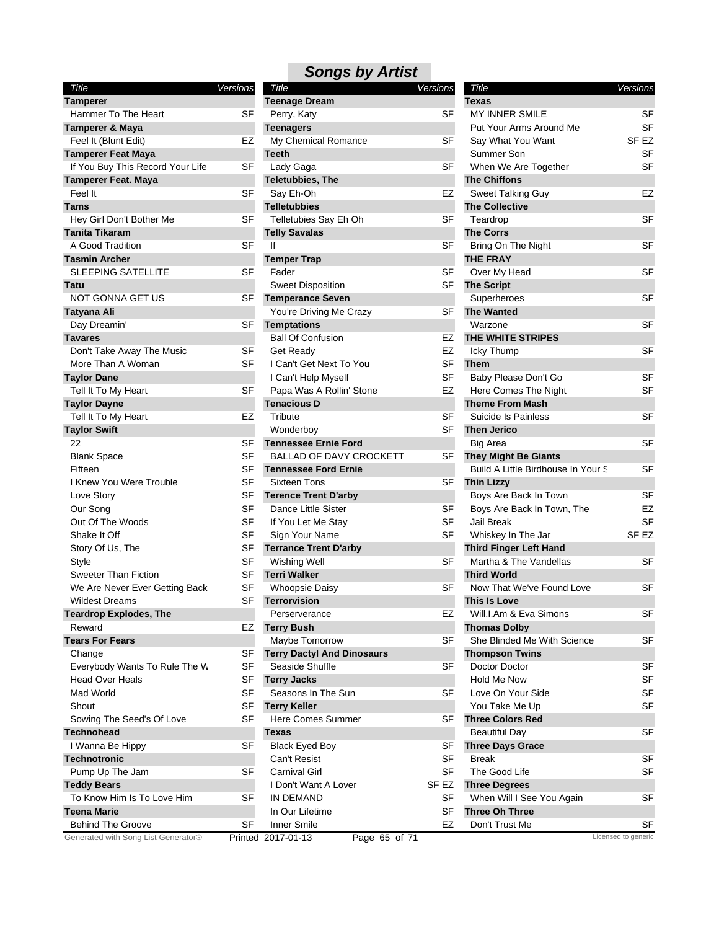| <b>Teenage Dream</b><br><b>Tamperer</b><br><b>Texas</b><br>Hammer To The Heart<br>MY INNER SMILE<br>SF<br>Perry, Katy<br>SF | SF                  |
|-----------------------------------------------------------------------------------------------------------------------------|---------------------|
|                                                                                                                             |                     |
|                                                                                                                             |                     |
| Tamperer & Maya<br>Put Your Arms Around Me<br><b>Teenagers</b>                                                              | <b>SF</b>           |
| EZ<br>My Chemical Romance<br>SF<br>Say What You Want<br>Feel It (Blunt Edit)                                                | SF <sub>EZ</sub>    |
| <b>Tamperer Feat Maya</b><br><b>Teeth</b><br>Summer Son                                                                     | <b>SF</b>           |
| <b>SF</b><br><b>SF</b><br>If You Buy This Record Your Life<br>Lady Gaga<br>When We Are Together                             | SF                  |
| <b>Tamperer Feat. Maya</b><br><b>Teletubbies, The</b><br><b>The Chiffons</b>                                                |                     |
| Feel It<br><b>SF</b><br>EZ<br>Say Eh-Oh<br>Sweet Talking Guy                                                                | EZ                  |
| <b>Tams</b><br><b>Telletubbies</b><br><b>The Collective</b>                                                                 |                     |
| <b>SF</b><br>Hey Girl Don't Bother Me<br>Telletubies Say Eh Oh<br>SF<br>Teardrop                                            | <b>SF</b>           |
| Tanita Tikaram<br><b>The Corrs</b><br><b>Telly Savalas</b>                                                                  |                     |
| lf<br><b>SF</b><br><b>SF</b><br>A Good Tradition<br>Bring On The Night                                                      | <b>SF</b>           |
| <b>THE FRAY</b><br><b>Temper Trap</b><br><b>Tasmin Archer</b>                                                               |                     |
| <b>SF</b><br><b>SF</b><br><b>SLEEPING SATELLITE</b><br>Fader<br>Over My Head                                                | <b>SF</b>           |
|                                                                                                                             |                     |
| <b>Sweet Disposition</b><br>SF<br><b>The Script</b><br>Tatu                                                                 | <b>SF</b>           |
| NOT GONNA GET US<br>SF<br><b>Temperance Seven</b><br>Superheroes                                                            |                     |
| SF<br><b>The Wanted</b><br>Tatyana Ali<br>You're Driving Me Crazy                                                           |                     |
| <b>SF</b><br>Day Dreamin'<br><b>Temptations</b><br>Warzone                                                                  | <b>SF</b>           |
| THE WHITE STRIPES<br><b>Ball Of Confusion</b><br>EZ<br><b>Tavares</b>                                                       |                     |
| Don't Take Away The Music<br>SF<br><b>Get Ready</b><br>EZ<br>Icky Thump                                                     | <b>SF</b>           |
| <b>SF</b><br><b>SF</b><br>More Than A Woman<br>I Can't Get Next To You<br><b>Them</b>                                       |                     |
| <b>SF</b><br><b>Taylor Dane</b><br>I Can't Help Myself<br>Baby Please Don't Go                                              | <b>SF</b>           |
| <b>SF</b><br>EZ<br>Tell It To My Heart<br>Papa Was A Rollin' Stone<br>Here Comes The Night                                  | SF                  |
| <b>Tenacious D</b><br><b>Theme From Mash</b><br><b>Taylor Dayne</b>                                                         |                     |
| Tell It To My Heart<br>EZ<br>Tribute<br>SF<br>Suicide Is Painless                                                           | <b>SF</b>           |
| <b>SF</b><br><b>Taylor Swift</b><br><b>Then Jerico</b><br>Wonderboy                                                         |                     |
| <b>SF</b><br>22<br><b>Tennessee Ernie Ford</b><br>Big Area                                                                  | <b>SF</b>           |
| <b>SF</b><br><b>Blank Space</b><br><b>BALLAD OF DAVY CROCKETT</b><br>SF<br><b>They Might Be Giants</b>                      |                     |
| SF<br>Fifteen<br><b>Tennessee Ford Ernie</b><br>Build A Little Birdhouse In Your S                                          | <b>SF</b>           |
| <b>SF</b><br><b>Thin Lizzy</b><br>I Knew You Were Trouble<br><b>Sixteen Tons</b><br>SF                                      |                     |
| Boys Are Back In Town<br>SF<br><b>Terence Trent D'arby</b><br>Love Story                                                    | <b>SF</b>           |
| <b>SF</b><br>Our Song<br>Dance Little Sister<br>SF<br>Boys Are Back In Town, The                                            | EZ                  |
| Out Of The Woods<br>SF<br>SF<br>Jail Break<br>If You Let Me Stay                                                            | <b>SF</b>           |
| <b>SF</b><br><b>SF</b><br>Sign Your Name<br>Shake It Off<br>Whiskey In The Jar                                              | SF <sub>EZ</sub>    |
| <b>SF</b><br><b>Terrance Trent D'arby</b><br><b>Third Finger Left Hand</b><br>Story Of Us, The                              |                     |
| <b>SF</b><br><b>SF</b><br>Style<br>Wishing Well<br>Martha & The Vandellas                                                   | SF                  |
| SF<br>Sweeter Than Fiction<br><b>Terri Walker</b><br><b>Third World</b>                                                     |                     |
| <b>SF</b><br><b>SF</b><br><b>Whoopsie Daisy</b><br>Now That We've Found Love<br>We Are Never Ever Getting Back              | <b>SF</b>           |
| SF<br><b>Terrorvision</b><br><b>Wildest Dreams</b><br>This Is Love                                                          |                     |
| Will.I.Am & Eva Simons                                                                                                      |                     |
| <b>Teardrop Explodes, The</b><br>Perserverance<br>EZ                                                                        | SF                  |
| EZ<br>Reward<br><b>Terry Bush</b><br><b>Thomas Dolby</b>                                                                    |                     |
| <b>Tears For Fears</b><br>Maybe Tomorrow<br>SF<br>She Blinded Me With Science                                               | <b>SF</b>           |
| SF<br><b>Terry Dactyl And Dinosaurs</b><br>Change<br><b>Thompson Twins</b>                                                  |                     |
| <b>SF</b><br>Everybody Wants To Rule The W<br>Seaside Shuffle<br>SF<br>Doctor Doctor                                        | SF                  |
| <b>SF</b><br><b>Terry Jacks</b><br>Hold Me Now<br><b>Head Over Heals</b>                                                    | SF                  |
| SF<br>Mad World<br>Seasons In The Sun<br>SF<br>Love On Your Side                                                            | SF                  |
| Shout<br>SF<br><b>Terry Keller</b><br>You Take Me Up                                                                        | SF                  |
| Sowing The Seed's Of Love<br>SF<br>Here Comes Summer<br>SF<br><b>Three Colors Red</b>                                       |                     |
| <b>Technohead</b><br><b>Beautiful Day</b><br><b>Texas</b>                                                                   | SF                  |
| I Wanna Be Hippy<br>SF<br><b>Black Eyed Boy</b><br>SF<br><b>Three Days Grace</b>                                            |                     |
| <b>SF</b><br><b>Technotronic</b><br>Can't Resist<br><b>Break</b>                                                            | SF                  |
| <b>SF</b><br>The Good Life<br>Pump Up The Jam<br>SF<br><b>Carnival Girl</b>                                                 | SF                  |
| <b>Teddy Bears</b><br>SF EZ<br><b>Three Degrees</b><br>I Don't Want A Lover                                                 |                     |
| To Know Him Is To Love Him<br>SF<br>SF<br>IN DEMAND<br>When Will I See You Again                                            | SF                  |
| <b>Teena Marie</b><br>In Our Lifetime<br>SF<br><b>Three Oh Three</b>                                                        |                     |
| <b>SF</b><br><b>Behind The Groove</b><br>Inner Smile<br>Don't Trust Me<br>EZ                                                | SF                  |
| Generated with Song List Generator®<br>Printed 2017-01-13<br>Page 65 of 71                                                  | Licensed to generic |

| Title                             | <u>Ve</u> rsions |
|-----------------------------------|------------------|
| <b>Teenage Dream</b>              |                  |
| Perry, Katy                       | SF               |
| Teenagers                         |                  |
| My Chemical Romance               | SF               |
| Teeth                             |                  |
| Lady Gaga                         | SF               |
| <b>Teletubbies, The</b>           |                  |
| Say Eh-Oh                         | EZ               |
| <b>Telletubbies</b>               |                  |
| Telletubies Say Eh Oh             | SF               |
| <b>Telly Savalas</b>              |                  |
| lf                                | SF               |
| <b>Temper Trap</b>                |                  |
| Fader                             | SF               |
| <b>Sweet Disposition</b>          | SF               |
| <b>Temperance Seven</b>           |                  |
| You're Driving Me Crazy           | SF               |
| <b>Temptations</b>                |                  |
| <b>Ball Of Confusion</b>          | EZ               |
| Get Ready                         | EZ               |
| I Can't Get Next To You           | SF               |
| I Can't Help Myself               | SF               |
| Papa Was A Rollin' Stone          | EZ               |
| Tenacious D                       |                  |
| Tribute                           | SF               |
| Wonderboy                         | SF               |
| <b>Tennessee Ernie Ford</b>       |                  |
| <b>BALLAD OF DAVY CROCKETT</b>    | SF               |
| <b>Tennessee Ford Ernie</b>       |                  |
| <b>Sixteen Tons</b>               | SF               |
| <b>Terence Trent D'arby</b>       |                  |
| Dance Little Sister               | SF               |
| If You Let Me Stay                | SF               |
| Sign Your Name                    | SF               |
| <b>Terrance Trent D'arby</b>      |                  |
| Wishing Well                      | SF               |
| <b>Terri Walker</b>               |                  |
| <b>Whoopsie Daisy</b>             | SF               |
| <b>Terrorvision</b>               |                  |
| Perserverance                     | EZ               |
| <b>Terry Bush</b>                 |                  |
| Maybe Tomorrow                    | SF               |
| <b>Terry Dactyl And Dinosaurs</b> |                  |
| Seaside Shuffle                   | SF               |
| <b>Terry Jacks</b>                |                  |
| Seasons In The Sun                | SF               |
| <b>Terry Keller</b>               |                  |
| <b>Here Comes Summer</b>          | SF               |
| Texas                             |                  |
|                                   | SF               |
| <b>Black Eyed Boy</b>             |                  |
| Can't Resist                      | SF               |
| Carnival Girl                     | SF               |
| I Don't Want A Lover              | SF EZ            |
| IN DEMAND                         | SF               |
| In Our Lifetime                   | SF               |
| Inner Smile<br>20170112           | EZ               |
| $\sim$ $+$ 74                     |                  |

| Title                              | Versions |
|------------------------------------|----------|
| Texas                              |          |
| MY INNER SMILE                     | SF       |
| Put Your Arms Around Me            | SF       |
| Sav What You Want                  | SF EZ    |
| Summer Son                         | SF       |
| When We Are Together               | SF       |
| <b>The Chiffons</b>                |          |
| <b>Sweet Talking Guy</b>           | EZ       |
| <b>The Collective</b>              |          |
| Teardrop                           | SF       |
| <b>The Corrs</b>                   |          |
| Bring On The Night                 | SF       |
| <b>THE FRAY</b>                    |          |
| Over My Head                       | SF       |
| <b>The Script</b>                  |          |
| Superheroes                        | SF       |
| <b>The Wanted</b>                  |          |
| Warzone                            | SF       |
| THE WHITE STRIPES                  |          |
|                                    |          |
| Icky Thump                         | SF       |
| Them                               | SF       |
| Baby Please Don't Go               |          |
| Here Comes The Night               | SF       |
| <b>Theme From Mash</b>             |          |
| Suicide Is Painless                | SF       |
| <b>Then Jerico</b>                 |          |
| <b>Big Area</b>                    | SF       |
| <b>They Might Be Giants</b>        |          |
| Build A Little Birdhouse In Your S | SF       |
| <b>Thin Lizzy</b>                  |          |
| Boys Are Back In Town              | SF       |
| Boys Are Back In Town, The         | EZ       |
| Jail Break                         | SF       |
| Whiskey In The Jar                 | SF EZ    |
| <b>Third Finger Left Hand</b>      |          |
| Martha & The Vandellas             | SF       |
| <b>Third World</b>                 |          |
| Now That We've Found Love          | SF       |
| This Is Love                       |          |
| Will.I.Am & Eva Simons             | SF       |
| <b>Thomas Dolby</b>                |          |
| She Blinded Me With Science        | SF       |
| <b>Thompson Twins</b>              |          |
| Doctor Doctor                      | SF       |
| <b>Hold Me Now</b>                 | SF       |
| Love On Your Side                  | SF       |
| You Take Me Up                     | SF       |
| <b>Three Colors Red</b>            |          |
| <b>Beautiful Day</b>               | SF       |
| <b>Three Days Grace</b>            |          |
| Break                              | SF       |
| The Good Life                      | SF       |
| <b>Three Degrees</b>               |          |
| When Will I See You Again          | SF       |
| Three Oh Three                     |          |
| Don't Trust Me                     | SF       |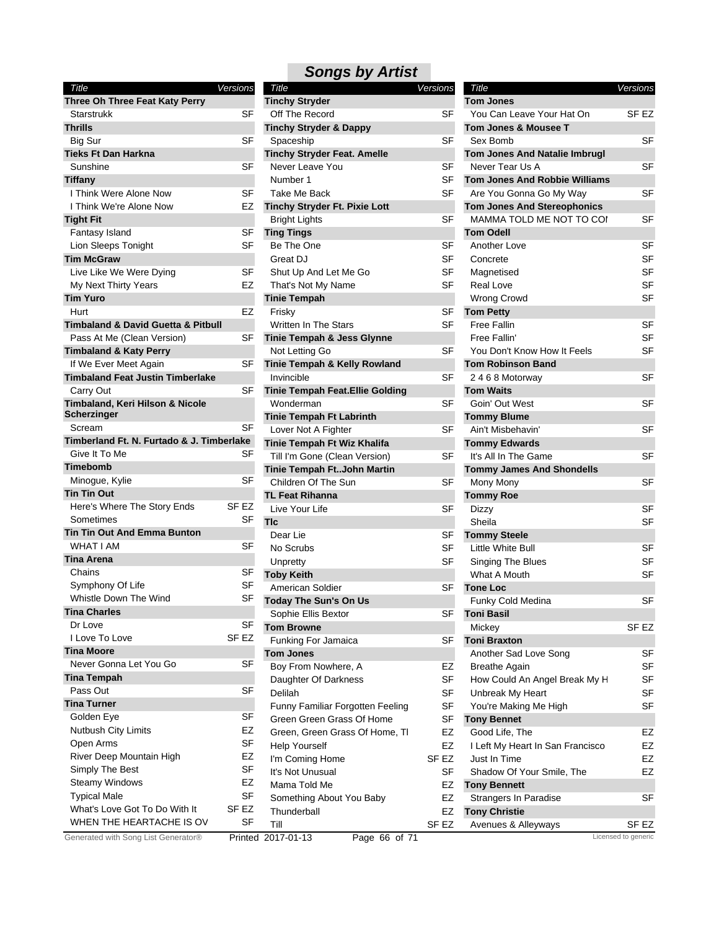| Title                                               | Versions |
|-----------------------------------------------------|----------|
| Three Oh Three Feat Katy Perry                      |          |
| Starstrukk                                          | SF       |
| <b>Thrills</b>                                      |          |
| Big Sur                                             | SF       |
| <b>Tieks Ft Dan Harkna</b>                          |          |
| Sunshine                                            | SF       |
| <b>Tiffany</b>                                      |          |
| I Think Were Alone Now                              | SF       |
| I Think We're Alone Now                             | EZ       |
| <b>Tight Fit</b>                                    |          |
| Fantasy Island                                      | SF       |
| Lion Sleeps Tonight                                 | SF       |
| <b>Tim McGraw</b>                                   |          |
| Live Like We Were Dying                             | SF       |
| My Next Thirty Years                                | EZ       |
| <b>Tim Yuro</b>                                     |          |
| Hurt                                                | EZ       |
| <b>Timbaland &amp; David Guetta &amp; Pitbull</b>   |          |
| Pass At Me (Clean Version)                          | SF       |
| <b>Timbaland &amp; Katy Perry</b>                   |          |
| If We Ever Meet Again                               | SF       |
| <b>Timbaland Feat Justin Timberlake</b>             |          |
| Carry Out                                           | SF       |
| Timbaland, Keri Hilson & Nicole                     |          |
| Scherzinger                                         | SF       |
| Scream<br>Timberland Ft. N. Furtado & J. Timberlake |          |
| Give It To Me                                       | SF       |
| <b>Timebomb</b>                                     |          |
| Minogue, Kylie                                      | SF       |
| <b>Tin Tin Out</b>                                  |          |
| Here's Where The Story Ends                         | SF EZ    |
| Sometimes                                           | SF       |
| <b>Tin Tin Out And Emma Bunton</b>                  |          |
| <b>WHAT I AM</b>                                    | SF       |
| <b>Tina Arena</b>                                   |          |
| Chains                                              | SF       |
| Symphony Of Life                                    | SF       |
| Whistle Down The Wind                               | SF       |
| <b>Tina Charles</b>                                 |          |
| Dr Love                                             | SF       |
| I Love To Love                                      | SF EZ    |
| Tina Moore                                          |          |
| Never Gonna Let You Go                              | SF       |
| <b>Tina Tempah</b>                                  |          |
| Pass Out                                            | SF       |
| <b>Tina Turner</b>                                  |          |
| Golden Eye                                          | SF       |
| <b>Nutbush City Limits</b>                          | EZ       |
| Open Arms                                           | SF       |
| River Deep Mountain High                            | EZ       |
| Simply The Best                                     | SF       |
| <b>Steamy Windows</b>                               | EZ       |
| <b>Typical Male</b>                                 | SF       |
| What's Love Got To Do With It                       | SF EZ    |
| WHEN THE HEARTACHE IS OV                            | SF       |
|                                                     |          |

| Title                                             | Versions  | Title                                | <b>Versions</b> | Title                                | Versions            |
|---------------------------------------------------|-----------|--------------------------------------|-----------------|--------------------------------------|---------------------|
| Three Oh Three Feat Katy Perry                    |           | <b>Tinchy Stryder</b>                |                 | <b>Tom Jones</b>                     |                     |
| Starstrukk                                        | <b>SF</b> | Off The Record                       | SF              | You Can Leave Your Hat On            | SF <sub>EZ</sub>    |
| <b>Thrills</b>                                    |           | <b>Tinchy Stryder &amp; Dappy</b>    |                 | <b>Tom Jones &amp; Mousee T</b>      |                     |
| <b>Big Sur</b>                                    | SF        | Spaceship                            | <b>SF</b>       | Sex Bomb                             | <b>SF</b>           |
| <b>Tieks Ft Dan Harkna</b>                        |           | <b>Tinchy Stryder Feat. Amelle</b>   |                 | <b>Tom Jones And Natalie Imbrugl</b> |                     |
| Sunshine                                          | <b>SF</b> | Never Leave You                      | <b>SF</b>       | Never Tear Us A                      | <b>SF</b>           |
| Tiffany                                           |           | Number 1                             | SF              | <b>Tom Jones And Robbie Williams</b> |                     |
| I Think Were Alone Now                            | <b>SF</b> | Take Me Back                         | <b>SF</b>       | Are You Gonna Go My Way              | <b>SF</b>           |
| I Think We're Alone Now                           | EZ        | <b>Tinchy Stryder Ft. Pixie Lott</b> |                 | <b>Tom Jones And Stereophonics</b>   |                     |
| <b>Tight Fit</b>                                  |           | <b>Bright Lights</b>                 | <b>SF</b>       | MAMMA TOLD ME NOT TO COI             | <b>SF</b>           |
| Fantasy Island                                    | SF        | <b>Ting Tings</b>                    |                 | <b>Tom Odell</b>                     |                     |
| Lion Sleeps Tonight                               | <b>SF</b> | Be The One                           | <b>SF</b>       | Another Love                         | <b>SF</b>           |
| <b>Tim McGraw</b>                                 |           | Great DJ                             | <b>SF</b>       | Concrete                             | <b>SF</b>           |
| Live Like We Were Dying                           | <b>SF</b> | Shut Up And Let Me Go                | SF              | Magnetised                           | SF                  |
| My Next Thirty Years                              | EZ        | That's Not My Name                   | SF              | Real Love                            | <b>SF</b>           |
| <b>Tim Yuro</b>                                   |           | <b>Tinie Tempah</b>                  |                 | Wrong Crowd                          | <b>SF</b>           |
| Hurt                                              | EZ        | Frisky                               | SF              | <b>Tom Petty</b>                     |                     |
| <b>Timbaland &amp; David Guetta &amp; Pitbull</b> |           | Written In The Stars                 | <b>SF</b>       | <b>Free Fallin</b>                   | SF                  |
| Pass At Me (Clean Version)                        | SF        | Tinie Tempah & Jess Glynne           |                 | Free Fallin'                         | <b>SF</b>           |
|                                                   |           | Not Letting Go                       | SF              | You Don't Know How It Feels          | <b>SF</b>           |
| <b>Timbaland &amp; Katy Perry</b>                 | <b>SF</b> |                                      |                 | <b>Tom Robinson Band</b>             |                     |
| If We Ever Meet Again                             |           | Tinie Tempah & Kelly Rowland         |                 |                                      |                     |
| <b>Timbaland Feat Justin Timberlake</b>           |           | Invincible                           | <b>SF</b>       | 2468 Motorway                        | <b>SF</b>           |
| Carry Out                                         | <b>SF</b> | Tinie Tempah Feat. Ellie Golding     |                 | <b>Tom Waits</b>                     |                     |
| Timbaland, Keri Hilson & Nicole                   |           | Wonderman                            | <b>SF</b>       | Goin' Out West                       | <b>SF</b>           |
| <b>Scherzinger</b>                                |           | <b>Tinie Tempah Ft Labrinth</b>      |                 | <b>Tommy Blume</b>                   |                     |
| Scream                                            | <b>SF</b> | Lover Not A Fighter                  | SF              | Ain't Misbehavin'                    | <b>SF</b>           |
| Timberland Ft. N. Furtado & J. Timberlake         |           | Tinie Tempah Ft Wiz Khalifa          |                 | <b>Tommy Edwards</b>                 |                     |
| Give It To Me                                     | SF        | Till I'm Gone (Clean Version)        | <b>SF</b>       | It's All In The Game                 | <b>SF</b>           |
| <b>Timebomb</b>                                   |           | Tinie Tempah FtJohn Martin           |                 | <b>Tommy James And Shondells</b>     |                     |
| Minogue, Kylie                                    | <b>SF</b> | Children Of The Sun                  | SF              | Mony Mony                            | <b>SF</b>           |
| <b>Tin Tin Out</b>                                |           | <b>TL Feat Rihanna</b>               |                 | <b>Tommy Roe</b>                     |                     |
| Here's Where The Story Ends                       | SF EZ     | Live Your Life                       | <b>SF</b>       | Dizzy                                | <b>SF</b>           |
| Sometimes                                         | SF        | <b>TIc</b>                           |                 | Sheila                               | <b>SF</b>           |
| <b>Tin Tin Out And Emma Bunton</b>                |           | Dear Lie                             | SF              | <b>Tommy Steele</b>                  |                     |
| <b>WHAT I AM</b>                                  | SF        | No Scrubs                            | <b>SF</b>       | Little White Bull                    | <b>SF</b>           |
| <b>Tina Arena</b>                                 |           | Unpretty                             | <b>SF</b>       | Singing The Blues                    | <b>SF</b>           |
| Chains                                            | SF        | <b>Toby Keith</b>                    |                 | What A Mouth                         | <b>SF</b>           |
| Symphony Of Life                                  | SF        | American Soldier                     | SF              | <b>Tone Loc</b>                      |                     |
| Whistle Down The Wind                             | SF        | <b>Today The Sun's On Us</b>         |                 | Funky Cold Medina                    | <b>SF</b>           |
| <b>Tina Charles</b>                               |           | Sophie Ellis Bextor                  | SF              | <b>Toni Basil</b>                    |                     |
| Dr Love                                           | SF        | <b>Tom Browne</b>                    |                 | Mickey                               | SF <sub>EZ</sub>    |
| I Love To Love                                    | SF EZ     | Funking For Jamaica                  | SF              | <b>Toni Braxton</b>                  |                     |
| <b>Tina Moore</b>                                 |           | <b>Tom Jones</b>                     |                 | Another Sad Love Song                | <b>SF</b>           |
| Never Gonna Let You Go                            | <b>SF</b> | Boy From Nowhere, A                  | EZ              | <b>Breathe Again</b>                 | SF                  |
| <b>Tina Tempah</b>                                |           | Daughter Of Darkness                 | SF              | How Could An Angel Break My H        | SF                  |
| Pass Out                                          | <b>SF</b> | Delilah                              | SF              | Unbreak My Heart                     | SF                  |
| <b>Tina Turner</b>                                |           | Funny Familiar Forgotten Feeling     | SF              | You're Making Me High                | <b>SF</b>           |
| Golden Eye                                        | SF        |                                      | <b>SF</b>       | <b>Tony Bennet</b>                   |                     |
| Nutbush City Limits                               | EZ        | Green Green Grass Of Home            |                 |                                      |                     |
| Open Arms                                         | SF        | Green, Green Grass Of Home, TI       | EZ              | Good Life, The                       | EZ                  |
|                                                   | EZ        | <b>Help Yourself</b>                 | EZ              | I Left My Heart In San Francisco     | EZ                  |
| River Deep Mountain High                          | SF        | I'm Coming Home                      | SF EZ           | Just In Time                         | EZ                  |
| Simply The Best                                   |           | It's Not Unusual                     | SF              | Shadow Of Your Smile, The            | EZ                  |
| <b>Steamy Windows</b>                             | EZ        | Mama Told Me                         | EZ              | <b>Tony Bennett</b>                  |                     |
| <b>Typical Male</b>                               | SF        | Something About You Baby             | EZ              | Strangers In Paradise                | SF                  |
| What's Love Got To Do With It                     | SF EZ     | Thunderball                          | EZ              | <b>Tony Christie</b>                 |                     |
| WHEN THE HEARTACHE IS OV                          | SF        | Till                                 | SF EZ           | Avenues & Alleyways                  | SF EZ               |
| Generated with Song List Generator®               |           | Printed 2017-01-13<br>Page 66 of 71  |                 |                                      | Licensed to generic |

| Title                                | Versions  |
|--------------------------------------|-----------|
| <b>Tom Jones</b>                     |           |
| You Can Leave Your Hat On            | SF EZ     |
| Tom Jones & Mousee T                 |           |
| Sex Bomb                             | SF        |
| <b>Tom Jones And Natalie Imbrugl</b> |           |
| Never Tear Us A                      | SF        |
| <b>Tom Jones And Robbie Williams</b> |           |
| Are You Gonna Go My Way              | SF        |
| <b>Tom Jones And Stereophonics</b>   |           |
| MAMMA TOLD ME NOT TO COI             | SF        |
| <b>Tom Odell</b>                     |           |
| Another Love                         | SF        |
| Concrete                             | SF        |
| Magnetised                           | SF        |
| <b>Real Love</b>                     | SF        |
| Wrong Crowd                          | SF        |
| <b>Tom Petty</b>                     |           |
| Free Fallin                          | SF        |
| Free Fallin'                         | SF        |
| You Don't Know How It Feels          | SF        |
| <b>Tom Robinson Band</b>             |           |
| 2468 Motorway                        | SF        |
| <b>Tom Waits</b>                     |           |
| Goin' Out West                       | SF        |
| <b>Tommy Blume</b>                   |           |
| Ain't Misbehavin'                    | SF        |
| <b>Tommy Edwards</b>                 |           |
| It's All In The Game                 | SF        |
| <b>Tommy James And Shondells</b>     |           |
| Mony Mony                            | SF        |
| <b>Tommy Roe</b>                     |           |
| Dizzy                                | <b>SF</b> |
| Sheila                               | SF        |
| <b>Tommy Steele</b>                  |           |
| Little White Bull                    | SF        |
| Singing The Blues                    | <b>SF</b> |
| What A Mouth                         | SF        |
| <b>Tone Loc</b>                      |           |
| Funky Cold Medina                    | SF        |
| Toni Basil                           |           |
| Mickey                               | SF EZ     |
| <b>Toni Braxton</b>                  |           |
| Another Sad Love Song                | SF        |
| <b>Breathe Again</b>                 | SF        |
| How Could An Angel Break My H        | SF        |
| Unbreak My Heart                     | SF        |
| You're Making Me High                | SF        |
| <b>Tony Bennet</b>                   |           |
| Good Life, The                       | EZ        |
| I Left My Heart In San Francisco     | EZ        |
| Just In Time                         | EZ        |
| Shadow Of Your Smile, The            | EZ        |
| <b>Tony Bennett</b>                  |           |
| Strangers In Paradise                | SF        |
| <b>Tony Christie</b>                 |           |
| Avenues & Alleyways                  | SF EZ     |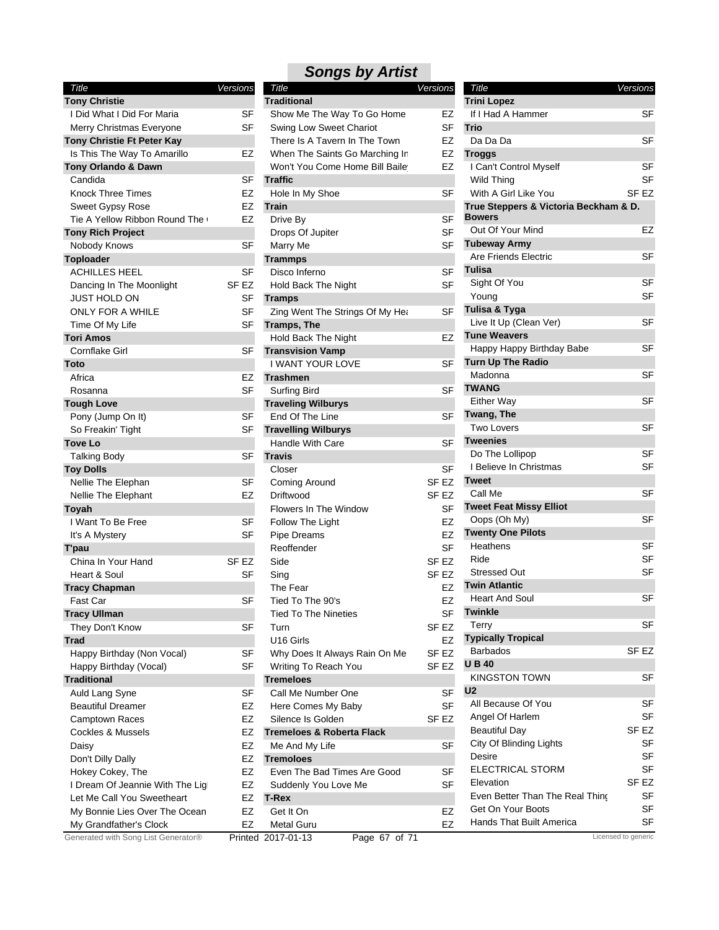| Title                               | Versions  |
|-------------------------------------|-----------|
| <b>Tony Christie</b>                |           |
| I Did What I Did For Maria          | SF        |
| Merry Christmas Everyone            | SF        |
| Tony Christie Ft Peter Kay          |           |
| Is This The Way To Amarillo         | EZ        |
| Tony Orlando & Dawn                 |           |
| Candida                             | SF        |
| <b>Knock Three Times</b>            | EZ        |
| Sweet Gypsy Rose                    | EZ        |
| Tie A Yellow Ribbon Round The (     | EZ        |
| <b>Tony Rich Project</b>            |           |
| Nobody Knows                        | SF        |
| <b>Toploader</b>                    |           |
| <b>ACHILLES HEEL</b>                | SF        |
| Dancing In The Moonlight            | SF EZ     |
| JUST HOLD ON                        | SF        |
| ONLY FOR A WHILE                    | SF        |
| Time Of My Life                     | SF        |
| <b>Tori Amos</b>                    |           |
| Cornflake Girl                      | SF        |
| <b>Toto</b>                         |           |
| Africa                              | EZ        |
| Rosanna                             | <b>SF</b> |
| <b>Tough Love</b>                   |           |
| Pony (Jump On It)                   | SF        |
| So Freakin' Tight                   | SF        |
| <b>Tove Lo</b>                      |           |
| <b>Talking Body</b>                 | SF        |
| <b>Toy Dolls</b>                    |           |
| Nellie The Elephan                  | SF        |
| Nellie The Elephant                 | EZ        |
| Toyah                               |           |
| I Want To Be Free                   | SF        |
| It's A Mystery                      | SF        |
|                                     |           |
| T'pau<br>China In Your Hand         |           |
|                                     | SF EZ     |
| Heart & Soul                        | SF        |
| <b>Tracy Chapman</b>                |           |
| Fast Car                            | SF        |
| <b>Tracy Ullman</b>                 |           |
| They Don't Know                     | SF        |
| <b>Trad</b>                         |           |
| Happy Birthday (Non Vocal)          | SF        |
| Happy Birthday (Vocal)              | SF        |
| <b>Traditional</b>                  |           |
| Auld Lang Syne                      | SF        |
| <b>Beautiful Dreamer</b>            | EZ        |
| Camptown Races                      | EZ        |
| Cockles & Mussels                   | EZ        |
| Daisy                               | EZ        |
| Don't Dilly Dally                   | EZ        |
| Hokey Cokey, The                    | EZ        |
| I Dream Of Jeannie With The Ligl    | EZ        |
| Let Me Call You Sweetheart          | EZ        |
| My Bonnie Lies Over The Ocean       | EZ        |
| My Grandfather's Clock              | EZ        |
| Generated with Song List Generator® | Printed   |

| Title                               | <b>Versions</b>  | Title                                | <b>Versions</b>  | Title                                 | Versions            |
|-------------------------------------|------------------|--------------------------------------|------------------|---------------------------------------|---------------------|
| <b>Tony Christie</b>                |                  | <b>Traditional</b>                   |                  | <b>Trini Lopez</b>                    |                     |
| I Did What I Did For Maria          | <b>SF</b>        | Show Me The Way To Go Home           | EZ               | If I Had A Hammer                     | <b>SF</b>           |
| Merry Christmas Everyone            | <b>SF</b>        | Swing Low Sweet Chariot              | <b>SF</b>        | <b>Trio</b>                           |                     |
| Tony Christie Ft Peter Kay          |                  | There Is A Tavern In The Town        | EZ               | Da Da Da                              | SF                  |
| Is This The Way To Amarillo         | EZ               | When The Saints Go Marching In       | EZ               | <b>Troggs</b>                         |                     |
| Tony Orlando & Dawn                 |                  | Won't You Come Home Bill Baile       | EZ               | I Can't Control Myself                | SF                  |
| Candida                             | <b>SF</b>        | <b>Traffic</b>                       |                  | Wild Thing                            | SF                  |
| <b>Knock Three Times</b>            | EZ               | Hole In My Shoe                      | <b>SF</b>        | With A Girl Like You                  | SF <sub>EZ</sub>    |
| <b>Sweet Gypsy Rose</b>             | EZ               | Train                                |                  | True Steppers & Victoria Beckham & D. |                     |
| Tie A Yellow Ribbon Round The (     | EZ               | Drive By                             | <b>SF</b>        | <b>Bowers</b>                         |                     |
| <b>Tony Rich Project</b>            |                  | Drops Of Jupiter                     | <b>SF</b>        | Out Of Your Mind                      | EZ                  |
| Nobody Knows                        | <b>SF</b>        | Marry Me                             | <b>SF</b>        | <b>Tubeway Army</b>                   |                     |
| <b>Toploader</b>                    |                  | <b>Trammps</b>                       |                  | Are Friends Electric                  | <b>SF</b>           |
| <b>ACHILLES HEEL</b>                | <b>SF</b>        | Disco Inferno                        | <b>SF</b>        | Tulisa                                |                     |
| Dancing In The Moonlight            | SF EZ            | Hold Back The Night                  | <b>SF</b>        | Sight Of You                          | <b>SF</b>           |
| <b>JUST HOLD ON</b>                 | SF               | <b>Tramps</b>                        |                  | Young                                 | <b>SF</b>           |
| ONLY FOR A WHILE                    | <b>SF</b>        | Zing Went The Strings Of My Hea      | <b>SF</b>        | Tulisa & Tyga                         |                     |
| Time Of My Life                     | SF               | <b>Tramps, The</b>                   |                  | Live It Up (Clean Ver)                | SF                  |
| Tori Amos                           |                  |                                      | EZ               | <b>Tune Weavers</b>                   |                     |
|                                     |                  | Hold Back The Night                  |                  | Happy Happy Birthday Babe             | SF                  |
| Cornflake Girl                      | SF               | <b>Transvision Vamp</b>              |                  | Turn Up The Radio                     |                     |
| Toto                                |                  | I WANT YOUR LOVE                     | <b>SF</b>        | Madonna                               | <b>SF</b>           |
| Africa                              | EZ               | <b>Trashmen</b>                      |                  | <b>TWANG</b>                          |                     |
| Rosanna                             | <b>SF</b>        | Surfing Bird                         | <b>SF</b>        |                                       | <b>SF</b>           |
| Tough Love                          |                  | <b>Traveling Wilburys</b>            |                  | <b>Either Way</b>                     |                     |
| Pony (Jump On It)                   | <b>SF</b>        | End Of The Line                      | <b>SF</b>        | Twang, The                            |                     |
| So Freakin' Tight                   | SF               | <b>Travelling Wilburys</b>           |                  | Two Lovers                            | <b>SF</b>           |
| Tove Lo                             |                  | Handle With Care                     | <b>SF</b>        | <b>Tweenies</b>                       |                     |
| <b>Talking Body</b>                 | <b>SF</b>        | <b>Travis</b>                        |                  | Do The Lollipop                       | <b>SF</b>           |
| <b>Toy Dolls</b>                    |                  | Closer                               | <b>SF</b>        | I Believe In Christmas                | SF                  |
| Nellie The Elephan                  | SF               | <b>Coming Around</b>                 | SF <sub>EZ</sub> | <b>Tweet</b>                          |                     |
| Nellie The Elephant                 | EZ               | Driftwood                            | SF EZ            | Call Me                               | SF                  |
| Toyah                               |                  | Flowers In The Window                | <b>SF</b>        | <b>Tweet Feat Missy Elliot</b>        |                     |
| I Want To Be Free                   | SF               | Follow The Light                     | EZ               | Oops (Oh My)                          | SF                  |
| It's A Mystery                      | <b>SF</b>        | Pipe Dreams                          | EZ               | <b>Twenty One Pilots</b>              |                     |
| T'pau                               |                  | Reoffender                           | <b>SF</b>        | Heathens                              | SF                  |
| China In Your Hand                  | SF <sub>EZ</sub> | Side                                 | SF <sub>EZ</sub> | Ride                                  | SF                  |
| Heart & Soul                        | SF               | Sing                                 | SF <sub>EZ</sub> | <b>Stressed Out</b>                   | SF                  |
| <b>Tracy Chapman</b>                |                  | The Fear                             | EZ               | <b>Twin Atlantic</b>                  |                     |
| Fast Car                            | <b>SF</b>        | Tied To The 90's                     | EZ               | <b>Heart And Soul</b>                 | SF                  |
| <b>Tracy Ullman</b>                 |                  | <b>Tied To The Nineties</b>          | SF               | <b>Twinkle</b>                        |                     |
| They Don't Know                     | SF               | Turn                                 | SF EZ            | Terry                                 | SF                  |
| Trad                                |                  | U16 Girls                            | EZ               | <b>Typically Tropical</b>             |                     |
| Happy Birthday (Non Vocal)          | SF               | Why Does It Always Rain On Me        | SF <sub>EZ</sub> | <b>Barbados</b>                       | SF <sub>EZ</sub>    |
| Happy Birthday (Vocal)              | <b>SF</b>        | Writing To Reach You                 | SF <sub>EZ</sub> | <b>UB40</b>                           |                     |
|                                     |                  |                                      |                  | <b>KINGSTON TOWN</b>                  | SF                  |
| Traditional                         |                  | <b>Tremeloes</b>                     |                  | U <sub>2</sub>                        |                     |
| Auld Lang Syne                      | SF               | Call Me Number One                   | SF               | All Because Of You                    | SF                  |
| <b>Beautiful Dreamer</b>            | EZ               | Here Comes My Baby                   | <b>SF</b>        | Angel Of Harlem                       | SF                  |
| Camptown Races                      | EZ               | Silence Is Golden                    | SF <sub>EZ</sub> |                                       |                     |
| <b>Cockles &amp; Mussels</b>        | EZ               | <b>Tremeloes &amp; Roberta Flack</b> |                  | <b>Beautiful Day</b>                  | SF <sub>EZ</sub>    |
| Daisy                               | EZ               | Me And My Life                       | SF               | City Of Blinding Lights               | SF                  |
| Don't Dilly Dally                   | EZ               | <b>Tremoloes</b>                     |                  | Desire                                | SF                  |
| Hokey Cokey, The                    | EZ               | Even The Bad Times Are Good          | <b>SF</b>        | <b>ELECTRICAL STORM</b>               | <b>SF</b>           |
| I Dream Of Jeannie With The Lig     | EZ               | Suddenly You Love Me                 | <b>SF</b>        | Elevation                             | SF <sub>EZ</sub>    |
| Let Me Call You Sweetheart          | EZ               | T-Rex                                |                  | Even Better Than The Real Thing       | SF                  |
| My Bonnie Lies Over The Ocean       | EZ               | Get It On                            | EZ               | Get On Your Boots                     | SF                  |
| My Grandfather's Clock              | EZ               | Metal Guru                           | <b>EZ</b>        | Hands That Built America              | SF                  |
| Generated with Song List Generator® |                  | Page 67 of 71<br>Printed 2017-01-13  |                  |                                       | Licensed to generic |

| Title                                 |                  | <b>Versions</b> |
|---------------------------------------|------------------|-----------------|
| <b>Trini Lopez</b>                    |                  |                 |
| If I Had A Hammer                     |                  | SF              |
| Trio                                  |                  |                 |
| Da Da Da                              |                  | SF              |
| Troggs                                |                  |                 |
| I Can't Control Myself                |                  | SF              |
| Wild Thing                            |                  | SF              |
| With A Girl Like You                  | SF <sub>EZ</sub> |                 |
| True Steppers & Victoria Beckham & D. |                  |                 |
| <b>Bowers</b>                         |                  |                 |
| Out Of Your Mind                      |                  | EZ              |
| <b>Tubeway Army</b>                   |                  |                 |
| Are Friends Electric                  |                  | SF              |
| Tulisa                                |                  |                 |
| Sight Of You                          |                  | SF              |
| Young                                 |                  | SF              |
| <b>Tulisa &amp; Tyga</b>              |                  |                 |
| Live It Up (Clean Ver)                |                  | SF              |
| <b>Tune Weavers</b>                   |                  |                 |
| Happy Happy Birthday Babe             |                  | SF              |
| <b>Turn Up The Radio</b>              |                  |                 |
| Madonna                               |                  | SF              |
| <b>TWANG</b>                          |                  |                 |
| <b>Either Way</b>                     |                  | SF              |
| Twang, The                            |                  |                 |
| Two Lovers                            |                  | SF              |
| <b>Tweenies</b>                       |                  |                 |
| Do The Lollipop                       |                  | SF              |
| I Believe In Christmas                |                  | SF              |
| Tweet                                 |                  |                 |
| Call Me                               |                  | SF              |
| <b>Tweet Feat Missy Elliot</b>        |                  |                 |
| Oops (Oh My)                          |                  | SF              |
| <b>Twenty One Pilots</b><br>Heathens  |                  | SF              |
| Ride                                  |                  | SF              |
| Stressed Out                          |                  |                 |
| <b>Twin Atlantic</b>                  |                  | SF              |
| <b>Heart And Soul</b>                 |                  | SF              |
| Twinkle                               |                  |                 |
| Terry                                 |                  | SF              |
| <b>Typically Tropical</b>             |                  |                 |
| <b>Barbados</b>                       |                  | SF EZ           |
| <b>UB40</b>                           |                  |                 |
| KINGSTON TOWN                         |                  | SF              |
| U <sub>2</sub>                        |                  |                 |
| All Because Of You                    |                  | SF              |
| Angel Of Harlem                       |                  | SF              |
| <b>Beautiful Day</b>                  |                  | SF EZ           |
| City Of Blinding Lights               |                  | <b>SF</b>       |
| Desire                                |                  | SF              |
| <b>ELECTRICAL STORM</b>               |                  | SF              |
| Elevation                             |                  | SF EZ           |
| Even Better Than The Real Thing       |                  | SF              |
| Get On Your Boots                     |                  | SF              |
| Hands That Built America              |                  | SF              |
|                                       |                  |                 |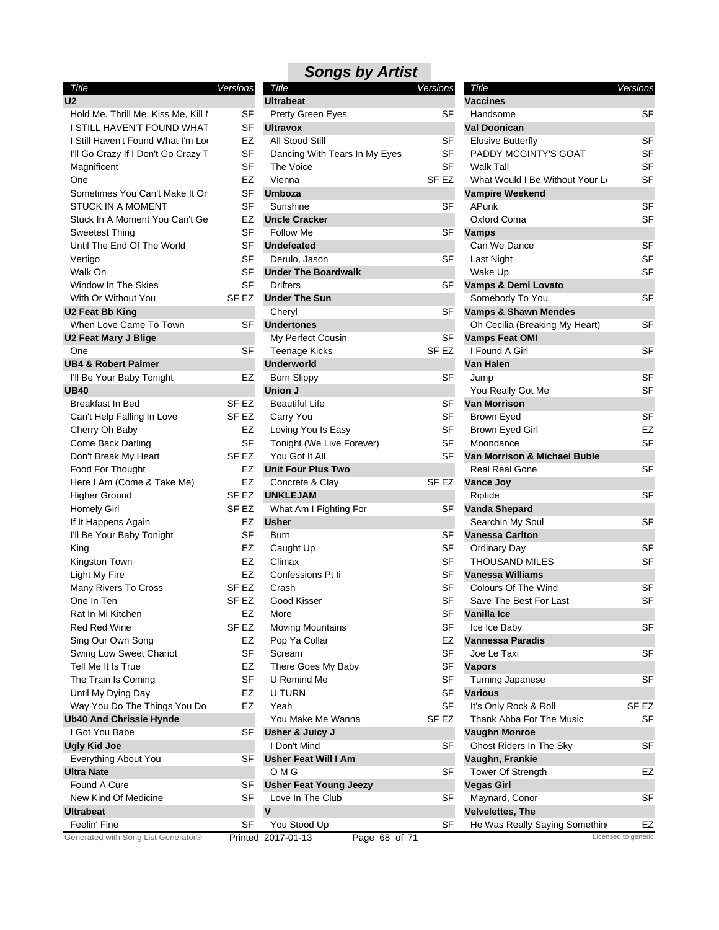#### *Title Versions* **U2** Hold Me, Thrill Me, Kiss Me, Kill I SI I STILL HAVEN'T FOUND WHAT SI I Still Haven't Found What I'm Looking F. I'll Go Crazy If I Don't Go Crazy Tomight SI Magnificent SF One EZ Sometimes You Can't Make It On SI STUCK IN A MOMENT SI Stuck In A Moment You Can't Ge E Sweetest Thing SF Until The End Of The World SF Vertigo SI Walk On SF Window In The Skies SF With Or Without You SF E **U2 Feat Bb King** When Love Came To Town SI **U2 Feat Mary J Blige** One SF **UB4 & Robert Palmer** I'll Be Your Baby Tonight E **UB40** Breakfast In Bed SF E Can't Help Falling In Love SF E. Cherry Oh Baby **EZ** Come Back Darling SF Don't Break My Heart SF E Food For Thought EZ Here I Am (Come & Take Me) E Higher Ground SF E Homely Girl SF E If It Happens Again **EXACTE** I'll Be Your Baby Tonight SF King EZ Kingston Town **EXAMPLE** Light My Fire **EXAMPLE** Many Rivers To Cross SF E One In Ten SF E Rat In Mi Kitchen **EZ** Red Red Wine SF E Sing Our Own Song **EXECUTE:** Swing Low Sweet Chariot SF Tell Me It Is True **EXACTE** The Train Is Coming SF Until My Dying Day **EXAMPLE** Way You Do The Things You Do E **Ub40 And Chrissie Hynde** I Got You Babe SF **Ugly Kid Joe** Everything About You SF **Ultra Nate** Found A Cure SF New Kind Of Medicine SF **Ultrabeat** Feelin' Fine S

| Versions  | Title                                                                                                                                                                                                                                              | <b>Versions</b>                                                                                                                                                                                                                                                                                                                                                                                                                                                                                                                 | Title                                                                                                                                                                                                                                                    | Versions                                                                                                                                                                                                                                                                                                                                                                                                                                                                                                                                                                                                                                                                                                                                      |
|-----------|----------------------------------------------------------------------------------------------------------------------------------------------------------------------------------------------------------------------------------------------------|---------------------------------------------------------------------------------------------------------------------------------------------------------------------------------------------------------------------------------------------------------------------------------------------------------------------------------------------------------------------------------------------------------------------------------------------------------------------------------------------------------------------------------|----------------------------------------------------------------------------------------------------------------------------------------------------------------------------------------------------------------------------------------------------------|-----------------------------------------------------------------------------------------------------------------------------------------------------------------------------------------------------------------------------------------------------------------------------------------------------------------------------------------------------------------------------------------------------------------------------------------------------------------------------------------------------------------------------------------------------------------------------------------------------------------------------------------------------------------------------------------------------------------------------------------------|
|           | <b>Ultrabeat</b>                                                                                                                                                                                                                                   |                                                                                                                                                                                                                                                                                                                                                                                                                                                                                                                                 | <b>Vaccines</b>                                                                                                                                                                                                                                          |                                                                                                                                                                                                                                                                                                                                                                                                                                                                                                                                                                                                                                                                                                                                               |
| SF        | Pretty Green Eyes                                                                                                                                                                                                                                  | <b>SF</b>                                                                                                                                                                                                                                                                                                                                                                                                                                                                                                                       | Handsome                                                                                                                                                                                                                                                 | <b>SF</b>                                                                                                                                                                                                                                                                                                                                                                                                                                                                                                                                                                                                                                                                                                                                     |
| <b>SF</b> | <b>Ultravox</b>                                                                                                                                                                                                                                    |                                                                                                                                                                                                                                                                                                                                                                                                                                                                                                                                 | <b>Val Doonican</b>                                                                                                                                                                                                                                      |                                                                                                                                                                                                                                                                                                                                                                                                                                                                                                                                                                                                                                                                                                                                               |
| EZ        | All Stood Still                                                                                                                                                                                                                                    | <b>SF</b>                                                                                                                                                                                                                                                                                                                                                                                                                                                                                                                       | <b>Elusive Butterfly</b>                                                                                                                                                                                                                                 | <b>SF</b>                                                                                                                                                                                                                                                                                                                                                                                                                                                                                                                                                                                                                                                                                                                                     |
| <b>SF</b> | Dancing With Tears In My Eyes                                                                                                                                                                                                                      | <b>SF</b>                                                                                                                                                                                                                                                                                                                                                                                                                                                                                                                       | PADDY MCGINTY'S GOAT                                                                                                                                                                                                                                     | <b>SF</b>                                                                                                                                                                                                                                                                                                                                                                                                                                                                                                                                                                                                                                                                                                                                     |
| <b>SF</b> | The Voice                                                                                                                                                                                                                                          | <b>SF</b>                                                                                                                                                                                                                                                                                                                                                                                                                                                                                                                       | <b>Walk Tall</b>                                                                                                                                                                                                                                         | <b>SF</b>                                                                                                                                                                                                                                                                                                                                                                                                                                                                                                                                                                                                                                                                                                                                     |
| <b>EZ</b> | Vienna                                                                                                                                                                                                                                             | SF EZ                                                                                                                                                                                                                                                                                                                                                                                                                                                                                                                           | What Would I Be Without Your Lo                                                                                                                                                                                                                          | <b>SF</b>                                                                                                                                                                                                                                                                                                                                                                                                                                                                                                                                                                                                                                                                                                                                     |
| <b>SF</b> | <b>Umboza</b>                                                                                                                                                                                                                                      |                                                                                                                                                                                                                                                                                                                                                                                                                                                                                                                                 | <b>Vampire Weekend</b>                                                                                                                                                                                                                                   |                                                                                                                                                                                                                                                                                                                                                                                                                                                                                                                                                                                                                                                                                                                                               |
| <b>SF</b> | Sunshine                                                                                                                                                                                                                                           | <b>SF</b>                                                                                                                                                                                                                                                                                                                                                                                                                                                                                                                       | APunk                                                                                                                                                                                                                                                    | <b>SF</b>                                                                                                                                                                                                                                                                                                                                                                                                                                                                                                                                                                                                                                                                                                                                     |
| EZ        | <b>Uncle Cracker</b>                                                                                                                                                                                                                               |                                                                                                                                                                                                                                                                                                                                                                                                                                                                                                                                 |                                                                                                                                                                                                                                                          | <b>SF</b>                                                                                                                                                                                                                                                                                                                                                                                                                                                                                                                                                                                                                                                                                                                                     |
|           |                                                                                                                                                                                                                                                    |                                                                                                                                                                                                                                                                                                                                                                                                                                                                                                                                 |                                                                                                                                                                                                                                                          |                                                                                                                                                                                                                                                                                                                                                                                                                                                                                                                                                                                                                                                                                                                                               |
|           |                                                                                                                                                                                                                                                    |                                                                                                                                                                                                                                                                                                                                                                                                                                                                                                                                 |                                                                                                                                                                                                                                                          | <b>SF</b>                                                                                                                                                                                                                                                                                                                                                                                                                                                                                                                                                                                                                                                                                                                                     |
|           |                                                                                                                                                                                                                                                    |                                                                                                                                                                                                                                                                                                                                                                                                                                                                                                                                 |                                                                                                                                                                                                                                                          | <b>SF</b>                                                                                                                                                                                                                                                                                                                                                                                                                                                                                                                                                                                                                                                                                                                                     |
|           |                                                                                                                                                                                                                                                    |                                                                                                                                                                                                                                                                                                                                                                                                                                                                                                                                 |                                                                                                                                                                                                                                                          | <b>SF</b>                                                                                                                                                                                                                                                                                                                                                                                                                                                                                                                                                                                                                                                                                                                                     |
|           |                                                                                                                                                                                                                                                    |                                                                                                                                                                                                                                                                                                                                                                                                                                                                                                                                 |                                                                                                                                                                                                                                                          |                                                                                                                                                                                                                                                                                                                                                                                                                                                                                                                                                                                                                                                                                                                                               |
|           |                                                                                                                                                                                                                                                    |                                                                                                                                                                                                                                                                                                                                                                                                                                                                                                                                 |                                                                                                                                                                                                                                                          | <b>SF</b>                                                                                                                                                                                                                                                                                                                                                                                                                                                                                                                                                                                                                                                                                                                                     |
|           |                                                                                                                                                                                                                                                    |                                                                                                                                                                                                                                                                                                                                                                                                                                                                                                                                 |                                                                                                                                                                                                                                                          |                                                                                                                                                                                                                                                                                                                                                                                                                                                                                                                                                                                                                                                                                                                                               |
|           |                                                                                                                                                                                                                                                    |                                                                                                                                                                                                                                                                                                                                                                                                                                                                                                                                 |                                                                                                                                                                                                                                                          |                                                                                                                                                                                                                                                                                                                                                                                                                                                                                                                                                                                                                                                                                                                                               |
|           |                                                                                                                                                                                                                                                    |                                                                                                                                                                                                                                                                                                                                                                                                                                                                                                                                 |                                                                                                                                                                                                                                                          | <b>SF</b>                                                                                                                                                                                                                                                                                                                                                                                                                                                                                                                                                                                                                                                                                                                                     |
|           |                                                                                                                                                                                                                                                    |                                                                                                                                                                                                                                                                                                                                                                                                                                                                                                                                 |                                                                                                                                                                                                                                                          |                                                                                                                                                                                                                                                                                                                                                                                                                                                                                                                                                                                                                                                                                                                                               |
|           |                                                                                                                                                                                                                                                    |                                                                                                                                                                                                                                                                                                                                                                                                                                                                                                                                 |                                                                                                                                                                                                                                                          | <b>SF</b>                                                                                                                                                                                                                                                                                                                                                                                                                                                                                                                                                                                                                                                                                                                                     |
|           |                                                                                                                                                                                                                                                    |                                                                                                                                                                                                                                                                                                                                                                                                                                                                                                                                 |                                                                                                                                                                                                                                                          |                                                                                                                                                                                                                                                                                                                                                                                                                                                                                                                                                                                                                                                                                                                                               |
|           |                                                                                                                                                                                                                                                    |                                                                                                                                                                                                                                                                                                                                                                                                                                                                                                                                 |                                                                                                                                                                                                                                                          | <b>SF</b>                                                                                                                                                                                                                                                                                                                                                                                                                                                                                                                                                                                                                                                                                                                                     |
|           | Union J                                                                                                                                                                                                                                            |                                                                                                                                                                                                                                                                                                                                                                                                                                                                                                                                 |                                                                                                                                                                                                                                                          | <b>SF</b>                                                                                                                                                                                                                                                                                                                                                                                                                                                                                                                                                                                                                                                                                                                                     |
|           | <b>Beautiful Life</b>                                                                                                                                                                                                                              |                                                                                                                                                                                                                                                                                                                                                                                                                                                                                                                                 | <b>Van Morrison</b>                                                                                                                                                                                                                                      |                                                                                                                                                                                                                                                                                                                                                                                                                                                                                                                                                                                                                                                                                                                                               |
|           | Carry You                                                                                                                                                                                                                                          |                                                                                                                                                                                                                                                                                                                                                                                                                                                                                                                                 |                                                                                                                                                                                                                                                          | <b>SF</b>                                                                                                                                                                                                                                                                                                                                                                                                                                                                                                                                                                                                                                                                                                                                     |
| EZ        | Loving You Is Easy                                                                                                                                                                                                                                 | <b>SF</b>                                                                                                                                                                                                                                                                                                                                                                                                                                                                                                                       | <b>Brown Eyed Girl</b>                                                                                                                                                                                                                                   | EZ                                                                                                                                                                                                                                                                                                                                                                                                                                                                                                                                                                                                                                                                                                                                            |
| <b>SF</b> | Tonight (We Live Forever)                                                                                                                                                                                                                          | <b>SF</b>                                                                                                                                                                                                                                                                                                                                                                                                                                                                                                                       | Moondance                                                                                                                                                                                                                                                | <b>SF</b>                                                                                                                                                                                                                                                                                                                                                                                                                                                                                                                                                                                                                                                                                                                                     |
| SF EZ     | You Got It All                                                                                                                                                                                                                                     | <b>SF</b>                                                                                                                                                                                                                                                                                                                                                                                                                                                                                                                       | Van Morrison & Michael Buble                                                                                                                                                                                                                             |                                                                                                                                                                                                                                                                                                                                                                                                                                                                                                                                                                                                                                                                                                                                               |
| EZ        | <b>Unit Four Plus Two</b>                                                                                                                                                                                                                          |                                                                                                                                                                                                                                                                                                                                                                                                                                                                                                                                 | <b>Real Real Gone</b>                                                                                                                                                                                                                                    | <b>SF</b>                                                                                                                                                                                                                                                                                                                                                                                                                                                                                                                                                                                                                                                                                                                                     |
| EZ        | Concrete & Clay                                                                                                                                                                                                                                    | SF EZ                                                                                                                                                                                                                                                                                                                                                                                                                                                                                                                           | <b>Vance Joy</b>                                                                                                                                                                                                                                         |                                                                                                                                                                                                                                                                                                                                                                                                                                                                                                                                                                                                                                                                                                                                               |
| SF EZ     | <b>UNKLEJAM</b>                                                                                                                                                                                                                                    |                                                                                                                                                                                                                                                                                                                                                                                                                                                                                                                                 |                                                                                                                                                                                                                                                          | <b>SF</b>                                                                                                                                                                                                                                                                                                                                                                                                                                                                                                                                                                                                                                                                                                                                     |
|           |                                                                                                                                                                                                                                                    |                                                                                                                                                                                                                                                                                                                                                                                                                                                                                                                                 |                                                                                                                                                                                                                                                          |                                                                                                                                                                                                                                                                                                                                                                                                                                                                                                                                                                                                                                                                                                                                               |
|           |                                                                                                                                                                                                                                                    |                                                                                                                                                                                                                                                                                                                                                                                                                                                                                                                                 |                                                                                                                                                                                                                                                          | <b>SF</b>                                                                                                                                                                                                                                                                                                                                                                                                                                                                                                                                                                                                                                                                                                                                     |
|           |                                                                                                                                                                                                                                                    |                                                                                                                                                                                                                                                                                                                                                                                                                                                                                                                                 |                                                                                                                                                                                                                                                          |                                                                                                                                                                                                                                                                                                                                                                                                                                                                                                                                                                                                                                                                                                                                               |
|           |                                                                                                                                                                                                                                                    |                                                                                                                                                                                                                                                                                                                                                                                                                                                                                                                                 |                                                                                                                                                                                                                                                          | <b>SF</b>                                                                                                                                                                                                                                                                                                                                                                                                                                                                                                                                                                                                                                                                                                                                     |
|           |                                                                                                                                                                                                                                                    |                                                                                                                                                                                                                                                                                                                                                                                                                                                                                                                                 |                                                                                                                                                                                                                                                          | <b>SF</b>                                                                                                                                                                                                                                                                                                                                                                                                                                                                                                                                                                                                                                                                                                                                     |
|           |                                                                                                                                                                                                                                                    |                                                                                                                                                                                                                                                                                                                                                                                                                                                                                                                                 |                                                                                                                                                                                                                                                          |                                                                                                                                                                                                                                                                                                                                                                                                                                                                                                                                                                                                                                                                                                                                               |
|           |                                                                                                                                                                                                                                                    |                                                                                                                                                                                                                                                                                                                                                                                                                                                                                                                                 |                                                                                                                                                                                                                                                          | <b>SF</b>                                                                                                                                                                                                                                                                                                                                                                                                                                                                                                                                                                                                                                                                                                                                     |
|           |                                                                                                                                                                                                                                                    |                                                                                                                                                                                                                                                                                                                                                                                                                                                                                                                                 |                                                                                                                                                                                                                                                          | <b>SF</b>                                                                                                                                                                                                                                                                                                                                                                                                                                                                                                                                                                                                                                                                                                                                     |
|           |                                                                                                                                                                                                                                                    |                                                                                                                                                                                                                                                                                                                                                                                                                                                                                                                                 |                                                                                                                                                                                                                                                          |                                                                                                                                                                                                                                                                                                                                                                                                                                                                                                                                                                                                                                                                                                                                               |
|           |                                                                                                                                                                                                                                                    |                                                                                                                                                                                                                                                                                                                                                                                                                                                                                                                                 |                                                                                                                                                                                                                                                          |                                                                                                                                                                                                                                                                                                                                                                                                                                                                                                                                                                                                                                                                                                                                               |
|           |                                                                                                                                                                                                                                                    |                                                                                                                                                                                                                                                                                                                                                                                                                                                                                                                                 |                                                                                                                                                                                                                                                          | <b>SF</b>                                                                                                                                                                                                                                                                                                                                                                                                                                                                                                                                                                                                                                                                                                                                     |
|           |                                                                                                                                                                                                                                                    |                                                                                                                                                                                                                                                                                                                                                                                                                                                                                                                                 |                                                                                                                                                                                                                                                          |                                                                                                                                                                                                                                                                                                                                                                                                                                                                                                                                                                                                                                                                                                                                               |
|           |                                                                                                                                                                                                                                                    |                                                                                                                                                                                                                                                                                                                                                                                                                                                                                                                                 |                                                                                                                                                                                                                                                          | <b>SF</b>                                                                                                                                                                                                                                                                                                                                                                                                                                                                                                                                                                                                                                                                                                                                     |
|           |                                                                                                                                                                                                                                                    |                                                                                                                                                                                                                                                                                                                                                                                                                                                                                                                                 |                                                                                                                                                                                                                                                          |                                                                                                                                                                                                                                                                                                                                                                                                                                                                                                                                                                                                                                                                                                                                               |
|           |                                                                                                                                                                                                                                                    |                                                                                                                                                                                                                                                                                                                                                                                                                                                                                                                                 |                                                                                                                                                                                                                                                          | SF                                                                                                                                                                                                                                                                                                                                                                                                                                                                                                                                                                                                                                                                                                                                            |
|           |                                                                                                                                                                                                                                                    |                                                                                                                                                                                                                                                                                                                                                                                                                                                                                                                                 |                                                                                                                                                                                                                                                          |                                                                                                                                                                                                                                                                                                                                                                                                                                                                                                                                                                                                                                                                                                                                               |
|           | Yeah                                                                                                                                                                                                                                               |                                                                                                                                                                                                                                                                                                                                                                                                                                                                                                                                 |                                                                                                                                                                                                                                                          | SF <sub>EZ</sub>                                                                                                                                                                                                                                                                                                                                                                                                                                                                                                                                                                                                                                                                                                                              |
|           | You Make Me Wanna                                                                                                                                                                                                                                  | SF <sub>EZ</sub>                                                                                                                                                                                                                                                                                                                                                                                                                                                                                                                | Thank Abba For The Music                                                                                                                                                                                                                                 | <b>SF</b>                                                                                                                                                                                                                                                                                                                                                                                                                                                                                                                                                                                                                                                                                                                                     |
| <b>SF</b> | Usher & Juicy J                                                                                                                                                                                                                                    |                                                                                                                                                                                                                                                                                                                                                                                                                                                                                                                                 | <b>Vaughn Monroe</b>                                                                                                                                                                                                                                     |                                                                                                                                                                                                                                                                                                                                                                                                                                                                                                                                                                                                                                                                                                                                               |
|           | I Don't Mind                                                                                                                                                                                                                                       | SF                                                                                                                                                                                                                                                                                                                                                                                                                                                                                                                              | Ghost Riders In The Sky                                                                                                                                                                                                                                  | SF                                                                                                                                                                                                                                                                                                                                                                                                                                                                                                                                                                                                                                                                                                                                            |
| SF        | <b>Usher Feat Will I Am</b>                                                                                                                                                                                                                        |                                                                                                                                                                                                                                                                                                                                                                                                                                                                                                                                 | Vaughn, Frankie                                                                                                                                                                                                                                          |                                                                                                                                                                                                                                                                                                                                                                                                                                                                                                                                                                                                                                                                                                                                               |
|           | O M G                                                                                                                                                                                                                                              | SF                                                                                                                                                                                                                                                                                                                                                                                                                                                                                                                              | <b>Tower Of Strength</b>                                                                                                                                                                                                                                 | EZ                                                                                                                                                                                                                                                                                                                                                                                                                                                                                                                                                                                                                                                                                                                                            |
| <b>SF</b> | <b>Usher Feat Young Jeezy</b>                                                                                                                                                                                                                      |                                                                                                                                                                                                                                                                                                                                                                                                                                                                                                                                 | <b>Vegas Girl</b>                                                                                                                                                                                                                                        |                                                                                                                                                                                                                                                                                                                                                                                                                                                                                                                                                                                                                                                                                                                                               |
| SF        | Love In The Club                                                                                                                                                                                                                                   | SF                                                                                                                                                                                                                                                                                                                                                                                                                                                                                                                              | Maynard, Conor                                                                                                                                                                                                                                           | SF                                                                                                                                                                                                                                                                                                                                                                                                                                                                                                                                                                                                                                                                                                                                            |
|           | V                                                                                                                                                                                                                                                  |                                                                                                                                                                                                                                                                                                                                                                                                                                                                                                                                 |                                                                                                                                                                                                                                                          |                                                                                                                                                                                                                                                                                                                                                                                                                                                                                                                                                                                                                                                                                                                                               |
|           |                                                                                                                                                                                                                                                    |                                                                                                                                                                                                                                                                                                                                                                                                                                                                                                                                 |                                                                                                                                                                                                                                                          | EZ                                                                                                                                                                                                                                                                                                                                                                                                                                                                                                                                                                                                                                                                                                                                            |
|           |                                                                                                                                                                                                                                                    |                                                                                                                                                                                                                                                                                                                                                                                                                                                                                                                                 |                                                                                                                                                                                                                                                          | Licensed to generic                                                                                                                                                                                                                                                                                                                                                                                                                                                                                                                                                                                                                                                                                                                           |
|           | <b>SF</b><br>SF<br><b>SF</b><br><b>SF</b><br>SF<br>SF EZ<br>SF<br>SF<br>EZ<br>SF <sub>EZ</sub><br>SF EZ<br>SF EZ<br>EZ<br><b>SF</b><br>EZ<br>EZ<br>EZ<br>SF <sub>EZ</sub><br>SF EZ<br>EZ<br>SF EZ<br>EZ<br>SF<br>EZ<br><b>SF</b><br>EZ<br>EZ<br>SF | Follow Me<br><b>Undefeated</b><br>Derulo, Jason<br><b>Under The Boardwalk</b><br><b>Drifters</b><br><b>Under The Sun</b><br>Cheryl<br><b>Undertones</b><br>My Perfect Cousin<br><b>Teenage Kicks</b><br><b>Underworld</b><br><b>Born Slippy</b><br>What Am I Fighting For<br><b>Usher</b><br>Burn<br>Caught Up<br>Climax<br>Confessions Pt li<br>Crash<br>Good Kisser<br>More<br><b>Moving Mountains</b><br>Pop Ya Collar<br>Scream<br>There Goes My Baby<br>U Remind Me<br><b>U TURN</b><br>You Stood Up<br>Printed 2017-01-13 | SF<br><b>SF</b><br>SF<br><b>SF</b><br><b>SF</b><br>SF <sub>EZ</sub><br><b>SF</b><br><b>SF</b><br><b>SF</b><br>SF<br>SF<br><b>SF</b><br><b>SF</b><br>SF<br>SF<br>SF<br><b>SF</b><br>EZ<br><b>SF</b><br>SF<br>SF<br>SF<br><b>SF</b><br>SF<br>Page 68 of 71 | Oxford Coma<br><b>Vamps</b><br>Can We Dance<br>Last Night<br>Wake Up<br>Vamps & Demi Lovato<br>Somebody To You<br><b>Vamps &amp; Shawn Mendes</b><br>Oh Cecilia (Breaking My Heart)<br><b>Vamps Feat OMI</b><br>I Found A Girl<br>Van Halen<br>Jump<br>You Really Got Me<br><b>Brown Eyed</b><br>Riptide<br><b>Vanda Shepard</b><br>Searchin My Soul<br><b>Vanessa Carlton</b><br><b>Ordinary Day</b><br><b>THOUSAND MILES</b><br><b>Vanessa Williams</b><br><b>Colours Of The Wind</b><br>Save The Best For Last<br>SF<br>Vanilla Ice<br>Ice Ice Baby<br><b>Vannessa Paradis</b><br>Joe Le Taxi<br><b>Vapors</b><br><b>Turning Japanese</b><br><b>Various</b><br>It's Only Rock & Roll<br>Velvelettes, The<br>He Was Really Saying Something |

| Title                           | Versions  |
|---------------------------------|-----------|
| Vaccines                        |           |
| Handsome                        | SF        |
| <b>Val Doonican</b>             |           |
| Elusive Butterfly               | SF        |
| PADDY MCGINTY'S GOAT            | SF        |
| Walk Tall                       | SF        |
| What Would I Be Without Your Lo | SF        |
| <b>Vampire Weekend</b>          |           |
| APunk                           | SF        |
| Oxford Coma                     | SF        |
| <b>Vamps</b>                    |           |
| Can We Dance                    | <b>SF</b> |
| Last Night                      | SF        |
| Wake Up                         | SF        |
| Vamps & Demi Lovato             |           |
| Somebody To You                 | SF        |
| <b>Vamps &amp; Shawn Mendes</b> |           |
| Oh Cecilia (Breaking My Heart)  | SF        |
| <b>Vamps Feat OMI</b>           |           |
| I Found A Girl                  | SF        |
| Van Halen                       |           |
| Jump                            | SF        |
| You Really Got Me               | SF        |
| <b>Van Morrison</b>             |           |
| Brown Eyed                      | SF        |
| Brown Eyed Girl                 | EZ        |
| Moondance                       | SF        |
| Van Morrison & Michael Buble    |           |
| Real Real Gone                  | SF        |
| <b>Vance Joy</b>                |           |
| Riptide                         | SF        |
| <b>Vanda Shepard</b>            |           |
| Searchin My Soul                | SF        |
| <b>Vanessa Carlton</b>          |           |
| <b>Ordinary Day</b>             | SF        |
| <b>THOUSAND MILES</b>           | SF        |
| <b>Vanessa Williams</b>         |           |
| Colours Of The Wind             | SF        |
| Save The Best For Last          | SF        |
| Vanilla Ice                     |           |
| Ice Ice Baby                    | SF        |
| Vannessa Paradis                |           |
| Joe Le Taxi                     | SF        |
| <b>Vapors</b>                   |           |
| Turning Japanese                | SF        |
| Various                         |           |
| It's Only Rock & Roll           | SF EZ     |
| Thank Abba For The Music        | SF        |
| <b>Vaughn Monroe</b>            |           |
| Ghost Riders In The Sky         | SF        |
| Vaughn, Frankie                 |           |
| Tower Of Strength               | EZ        |
| Vegas Girl                      |           |
| Maynard, Conor                  | SF        |
| <b>Velvelettes, The</b>         |           |
| He Was Really Saying Something  | EZ        |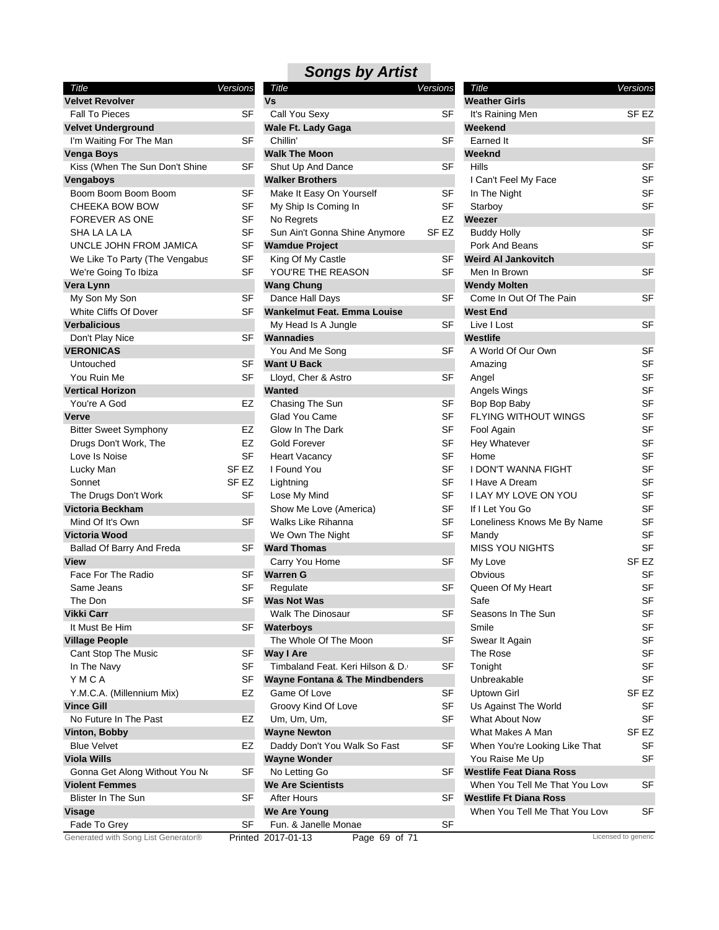### *Songs by Artist Title Versions*

| Title                               | Versions         |
|-------------------------------------|------------------|
| <b>Velvet Revolver</b>              |                  |
| <b>Fall To Pieces</b>               | SF               |
| <b>Velvet Underground</b>           |                  |
| I'm Waiting For The Man             | SF               |
| Venga Boys                          |                  |
| Kiss (When The Sun Don't Shine)     | SF               |
| Vengaboys                           |                  |
| Boom Boom Boom Boom                 | SF               |
| CHEEKA BOW BOW                      | SF               |
| <b>FOREVER AS ONE</b>               | SF               |
| SHA LA LA LA                        | SF               |
| UNCLE JOHN FROM JAMICA              | SF               |
| We Like To Party (The Vengabus      | SF               |
| We're Going To Ibiza                | SF               |
| Vera Lynn                           |                  |
| My Son My Son                       | SF               |
| White Cliffs Of Dover               | SF               |
| <b>Verbalicious</b>                 |                  |
| Don't Play Nice                     | SF               |
| <b>VERONICAS</b>                    |                  |
| Untouched                           | SF               |
| You Ruin Me                         | SF               |
| <b>Vertical Horizon</b>             |                  |
| You're A God                        | EZ               |
| Verve                               |                  |
| <b>Bitter Sweet Symphony</b>        | EZ               |
| Drugs Don't Work, The               | EZ               |
| Love Is Noise                       | SF               |
| Lucky Man                           | SF EZ            |
| Sonnet                              | SF <sub>EZ</sub> |
| The Drugs Don't Work                | SF               |
| Victoria Beckham                    |                  |
| Mind Of It's Own                    | SF               |
| <b>Victoria Wood</b>                |                  |
| Ballad Of Barry And Freda           | SF               |
| <b>View</b>                         |                  |
| Face For The Radio                  | SF               |
| Same Jeans                          | SF               |
| The Don                             | SF               |
| Vikki Carr                          |                  |
| It Must Be Him                      | SF               |
| <b>Village People</b>               |                  |
| Cant Stop The Music                 | SF               |
| In The Navy                         | SF               |
| YMCA                                | SF               |
| Y.M.C.A. (Millennium Mix)           | EZ               |
| <b>Vince Gill</b>                   |                  |
| No Future In The Past               | EZ               |
| Vinton, Bobby                       |                  |
| <b>Blue Velvet</b>                  | EZ               |
| <b>Viola Wills</b>                  |                  |
| Gonna Get Along Without You No      | SF               |
| <b>Violent Femmes</b>               |                  |
| <b>Blister In The Sun</b>           | SF               |
| Visage                              |                  |
| Fade To Grey                        | SF               |
| Generated with Song List Generator® | Printed          |

| ver                        |           | Vs                                         |                  | <b>Weather Girls</b>            |                     |
|----------------------------|-----------|--------------------------------------------|------------------|---------------------------------|---------------------|
| ЭS                         | SF        | Call You Sexy                              | SF               | It's Raining Men                | SF <sub>EZ</sub>    |
| ground                     |           | Wale Ft. Lady Gaga                         |                  | Weekend                         |                     |
| For The Man                | <b>SF</b> | Chillin'                                   | <b>SF</b>        | Earned It                       | <b>SF</b>           |
|                            |           | <b>Walk The Moon</b>                       |                  | Weeknd                          |                     |
| The Sun Don't Shine        | <b>SF</b> | Shut Up And Dance                          | SF               | Hills                           | <b>SF</b>           |
|                            |           | <b>Walker Brothers</b>                     |                  | I Can't Feel My Face            | <b>SF</b>           |
| Boom Boom                  | SF        | Make It Easy On Yourself                   | SF               | In The Night                    | <b>SF</b>           |
| ow Bow                     | <b>SF</b> | My Ship Is Coming In                       | <b>SF</b>        | Starboy                         | <b>SF</b>           |
| \S ONE                     | <b>SF</b> | No Regrets                                 | EZ               | Weezer                          |                     |
| LA                         | <b>SF</b> | Sun Ain't Gonna Shine Anymore              | SF <sub>EZ</sub> | <b>Buddy Holly</b>              | <b>SF</b>           |
| IN FROM JAMICA             | <b>SF</b> | <b>Wamdue Project</b>                      |                  | Pork And Beans                  | <b>SF</b>           |
| Party (The Vengabus        | SF        | King Of My Castle                          | SF               | <b>Weird AI Jankovitch</b>      |                     |
| To Ibiza                   | SF        | YOU'RE THE REASON                          | SF               | Men In Brown                    | <b>SF</b>           |
|                            |           | <b>Wang Chung</b>                          |                  | <b>Wendy Molten</b>             |                     |
| Son                        | <b>SF</b> | Dance Hall Days                            | <b>SF</b>        | Come In Out Of The Pain         | <b>SF</b>           |
| Of Dover                   | SF        | <b>Wankelmut Feat. Emma Louise</b>         |                  | <b>West End</b>                 |                     |
|                            |           | My Head Is A Jungle                        | SF               | Live I Lost                     | <b>SF</b>           |
| ice                        | SF        | <b>Wannadies</b>                           |                  | Westlife                        |                     |
|                            |           | You And Me Song                            | <b>SF</b>        | A World Of Our Own              | <b>SF</b>           |
|                            | SF        | <b>Want U Back</b>                         |                  | Amazing                         | <b>SF</b>           |
|                            | SF        | Lloyd, Cher & Astro                        | <b>SF</b>        | Angel                           | <b>SF</b>           |
| zon                        |           | <b>Wanted</b>                              |                  | Angels Wings                    | <b>SF</b>           |
| d                          | EZ        | Chasing The Sun                            | <b>SF</b>        | Bop Bop Baby                    | <b>SF</b>           |
|                            |           | Glad You Came                              | <b>SF</b>        | <b>FLYING WITHOUT WINGS</b>     | <b>SF</b>           |
|                            | EZ        | Glow In The Dark                           | <b>SF</b>        |                                 | <b>SF</b>           |
| Symphony                   |           |                                            | <b>SF</b>        | Fool Again                      | <b>SF</b>           |
| Work, The                  | EZ        | <b>Gold Forever</b>                        |                  | Hey Whatever                    |                     |
| е                          | <b>SF</b> | <b>Heart Vacancy</b>                       | <b>SF</b>        | Home                            | <b>SF</b>           |
|                            | SF EZ     | I Found You                                | <b>SF</b>        | I DON'T WANNA FIGHT             | SF                  |
|                            | SF EZ     | Lightning                                  | <b>SF</b>        | I Have A Dream                  | SF                  |
| on't Work                  | SF        | Lose My Mind                               | <b>SF</b>        | I LAY MY LOVE ON YOU            | <b>SF</b>           |
| <b>kham</b>                |           | Show Me Love (America)                     | <b>SF</b>        | If I Let You Go                 | <b>SF</b>           |
| Own                        | <b>SF</b> | <b>Walks Like Rihanna</b>                  | <b>SF</b>        | Loneliness Knows Me By Name     | <b>SF</b>           |
| d                          |           | We Own The Night                           | <b>SF</b>        | Mandy                           | <b>SF</b>           |
| irry And Freda             | <b>SF</b> | <b>Ward Thomas</b>                         |                  | <b>MISS YOU NIGHTS</b>          | <b>SF</b>           |
|                            |           | Carry You Home                             | SF               | My Love                         | SF EZ               |
| e Radio                    | SF        | <b>Warren G</b>                            |                  | Obvious                         | SF                  |
|                            | <b>SF</b> | Regulate                                   | SF               | Queen Of My Heart               | SF                  |
|                            | <b>SF</b> | <b>Was Not Was</b>                         |                  | Safe                            | <b>SF</b>           |
|                            |           | <b>Walk The Dinosaur</b>                   | SF               | Seasons In The Sun              | <b>SF</b>           |
| im                         | <b>SF</b> | Waterboys                                  |                  | Smile                           | SF                  |
| le                         |           | The Whole Of The Moon                      | SF               | Swear It Again                  | SF                  |
| he Music                   | <b>SF</b> | <b>Way I Are</b>                           |                  | The Rose                        | SF                  |
|                            | SF        | Timbaland Feat. Keri Hilson & D.           | SF               | Tonight                         | SF                  |
|                            | SF        | <b>Wayne Fontana &amp; The Mindbenders</b> |                  | Unbreakable                     | SF                  |
| illennium Mix)             | EZ        | Game Of Love                               | SF               | Uptown Girl                     | SF <sub>EZ</sub>    |
|                            |           | Groovy Kind Of Love                        | <b>SF</b>        | Us Against The World            | SF                  |
| The Past                   | EZ        | Um, Um, Um,                                | <b>SF</b>        | What About Now                  | SF                  |
| у                          |           | <b>Wayne Newton</b>                        |                  | What Makes A Man                | SF <sub>EZ</sub>    |
|                            | EZ        | Daddy Don't You Walk So Fast               | <b>SF</b>        | When You're Looking Like That   | SF                  |
|                            |           | <b>Wayne Wonder</b>                        |                  | You Raise Me Up                 | SF                  |
| <b>Nong Without You No</b> | SF        | No Letting Go                              | SF               | <b>Westlife Feat Diana Ross</b> |                     |
| nes                        |           | <b>We Are Scientists</b>                   |                  | When You Tell Me That You Love  | SF                  |
| e Sun                      | SF        | <b>After Hours</b>                         | SF               | <b>Westlife Ft Diana Ross</b>   |                     |
|                            |           | <b>We Are Young</b>                        |                  | When You Tell Me That You Love  | SF                  |
| эy                         | <b>SF</b> | Fun. & Janelle Monae                       | SF               |                                 |                     |
| Song List Generator®       |           | Printed 2017-01-13<br>Page 69 of 71        |                  |                                 | Licensed to generic |
|                            |           |                                            |                  |                                 |                     |

| Title                           | Versions         |  |
|---------------------------------|------------------|--|
| <b>Weather Girls</b>            |                  |  |
| It's Raining Men                | SF EZ            |  |
| Weekend                         |                  |  |
| Earned It                       | SF               |  |
| Weeknd                          |                  |  |
| Hills                           | SF               |  |
| I Can't Feel My Face            | SF               |  |
| In The Night                    | SF               |  |
| Starboy                         | SF               |  |
| Weezer                          |                  |  |
| <b>Buddy Holly</b>              | SF               |  |
| Pork And Beans                  | SF               |  |
| <b>Weird AI Jankovitch</b>      |                  |  |
| Men In Brown                    | SF               |  |
| <b>Wendy Molten</b>             |                  |  |
| Come In Out Of The Pain         | SF               |  |
| <b>West End</b>                 |                  |  |
| Live I Lost                     | SF               |  |
| Westlife                        |                  |  |
| A World Of Our Own              | SF               |  |
| Amazing                         | SF               |  |
| Angel                           | <b>SF</b>        |  |
| Angels Wings                    | SF               |  |
| Bop Bop Baby                    | SF               |  |
| FLYING WITHOUT WINGS            | SF               |  |
| Fool Again                      | SF               |  |
| Hey Whatever                    | SF               |  |
| Home                            | SF               |  |
| I DON'T WANNA FIGHT             | SF               |  |
| I Have A Dream                  | SF               |  |
| I LAY MY LOVE ON YOU            | SF               |  |
| If I Let You Go                 | <b>SF</b>        |  |
| Loneliness Knows Me By Name     | SF               |  |
| Mandy                           | SF               |  |
| MISS YOU NIGHTS                 | SF               |  |
| My Love                         | SF <sub>EZ</sub> |  |
| Obvious                         | SF               |  |
| Queen Of My Heart               | SF               |  |
| Safe                            | SF               |  |
| Seasons In The Sun              | SF               |  |
| Smile                           | SF               |  |
| Swear It Again                  | <b>SF</b>        |  |
| The Rose                        | SF               |  |
| Tonight                         | SF               |  |
| Unbreakable                     | SF               |  |
| Uptown Girl                     | SF EZ            |  |
| Us Against The World            | SF               |  |
| <b>What About Now</b>           | SF               |  |
| What Makes A Man                | SF EZ            |  |
| When You're Looking Like That   | SF               |  |
| You Raise Me Up                 | SF               |  |
| <b>Westlife Feat Diana Ross</b> |                  |  |
| When You Tell Me That You Love  | SF               |  |
| Westlife Ft Diana Ross          |                  |  |
| When You Tell Me That You Love  | SF               |  |
|                                 |                  |  |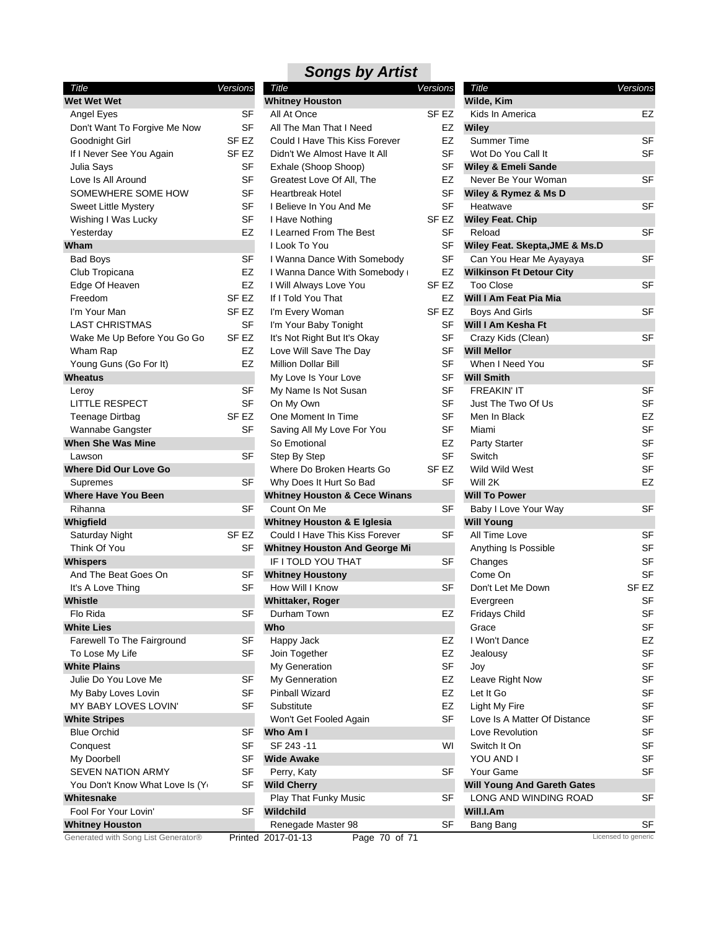| Title                               | Versions         | Title                |
|-------------------------------------|------------------|----------------------|
| <b>Wet Wet Wet</b>                  |                  | <b>Whitney Hor</b>   |
| Angel Eyes                          | SF               | All At Once          |
| Don't Want To Forgive Me Now        | SF               | All The Mar          |
| Goodnight Girl                      | SF EZ            | Could I Hav          |
| If I Never See You Again            | SF <sub>EZ</sub> | Didn't We A          |
| Julia Says                          | <b>SF</b>        | Exhale (Sho          |
| Love Is All Around                  | SF               | <b>Greatest Lo</b>   |
| SOMEWHERE SOME HOW                  | SF               | Heartbreak           |
| <b>Sweet Little Mystery</b>         | SF               | I Believe In         |
| Wishing I Was Lucky                 | SF               | I Have Noth          |
| Yesterday                           | EZ               | I Learned F          |
| Wham                                |                  | I Look To Y          |
| Bad Boys                            | SF               | I Wanna Da           |
|                                     | EZ               |                      |
| Club Tropicana                      |                  | I Wanna Da           |
| Edge Of Heaven                      | EZ               | I Will Alway         |
| Freedom                             | SF EZ            | If I Told You        |
| I'm Your Man                        | SF EZ            | I'm Every W          |
| <b>LAST CHRISTMAS</b>               | SF               | I'm Your Ba          |
| Wake Me Up Before You Go Go         | SF <sub>EZ</sub> | It's Not Righ        |
| Wham Rap                            | EZ               | Love Will S          |
| Young Guns (Go For It)              | EZ               | <b>Million Dolla</b> |
| <b>Wheatus</b>                      |                  | My Love Is           |
| Leroy                               | SF               | My Name Is           |
| <b>LITTLE RESPECT</b>               | SF               | On My Owr            |
| Teenage Dirtbag                     | SF EZ            | One Momer            |
| Wannabe Gangster                    | SF               | Saving All N         |
| <b>When She Was Mine</b>            |                  | So Emotion           |
| Lawson                              | SF               | Step By Ste          |
| <b>Where Did Our Love Go</b>        |                  | Where Do I           |
| Supremes                            | SF               | Why Does I           |
| <b>Where Have You Been</b>          |                  | <b>Whitney Hore</b>  |
| Rihanna                             | SF               | Count On N           |
| Whigfield                           |                  | <b>Whitney Hore</b>  |
| Saturday Night                      | SF EZ            | Could I Hav          |
| Think Of You                        | SF               | <b>Whitney Hore</b>  |
| Whispers                            |                  | IF I TOLD Y          |
| And The Beat Goes On                | SF               | <b>Whitney Hore</b>  |
| It's A Love Thing                   | SF               | How Will I <b>r</b>  |
| <b>Whistle</b>                      |                  | Whittaker, R         |
| Flo Rida                            | SF               | Durham To            |
| <b>White Lies</b>                   |                  | Who                  |
| Farewell To The Fairground          | SF               |                      |
|                                     | SF               | Happy Jack           |
| To Lose My Life                     |                  | Join Togeth          |
| <b>White Plains</b>                 |                  | My Generat           |
| Julie Do You Love Me                | SF               | My Gennera           |
| My Baby Loves Lovin                 | SF               | Pinball Wiza         |
| MY BABY LOVES LOVIN'                | SF               | Substitute           |
| <b>White Stripes</b>                |                  | Won't Get F          |
| <b>Blue Orchid</b>                  | SF               | Who Am I             |
| Conquest                            | SF               | SF 243-11            |
| My Doorbell                         | SF               | <b>Wide Awake</b>    |
| <b>SEVEN NATION ARMY</b>            | SF               | Perry, Katy          |
| You Don't Know What Love Is (Yo     | SF               | <b>Wild Cherry</b>   |
| Whitesnake                          |                  | Play That F          |
| Fool For Your Lovin'                | SF               | Wildchild            |
| <b>Whitney Houston</b>              |                  | Renegade I           |
| Generated with Song List Generator® |                  | Printed 2017-01-13   |

| Title                                    | Versions         | 7  |
|------------------------------------------|------------------|----|
| <b>Whitney Houston</b>                   |                  | Wi |
| All At Once                              | SF EZ            | κ  |
| All The Man That I Need                  | EZ               | Wi |
| Could I Have This Kiss Forever           | EZ               | S  |
| Didn't We Almost Have It All             | SF               | ٧  |
| Exhale (Shoop Shoop)                     | SF               | Wi |
| Greatest Love Of All, The                | EZ               | Ν  |
| <b>Heartbreak Hotel</b>                  | SF               | Wi |
| I Believe In You And Me                  | SF               | ۲  |
| I Have Nothing                           | SF EZ            | Wi |
| I Learned From The Best                  | SF               | R  |
| I Look To You                            | SF               | Wi |
| I Wanna Dance With Somebody              | SF               | C  |
| I Wanna Dance With Somebody              | EZ               | Wi |
| I Will Always Love You                   | SF EZ            | Т  |
| If I Told You That                       | EZ               | Wi |
| I'm Every Woman                          | SF EZ            | Е  |
| I'm Your Baby Tonight                    | SF               | Wi |
| It's Not Right But It's Okay             | SF               | C  |
| Love Will Save The Day                   | SF               | Wi |
| <b>Million Dollar Bill</b>               | <b>SF</b>        | ۷  |
| My Love Is Your Love                     | SF               | Wi |
| My Name Is Not Susan                     | <b>SF</b>        | F  |
| On My Own                                | SF               | J  |
| One Moment In Time                       | <b>SF</b>        | Ν  |
| Saving All My Love For You               | SF               | Ν  |
| So Emotional                             | EZ               | P  |
| Step By Step                             | SF               | S  |
| Where Do Broken Hearts Go                | SF <sub>EZ</sub> | ٧  |
| Why Does It Hurt So Bad                  | SF               | ٧  |
| <b>Whitney Houston &amp; Cece Winans</b> |                  | Wi |
| Count On Me                              | SF               | в  |
| <b>Whitney Houston &amp; E Iglesia</b>   |                  | Wi |
| Could I Have This Kiss Forever           | SF               | А  |
| <b>Whitney Houston And George Mi</b>     |                  | Α  |
| IF I TOLD YOU THAT                       | SF               | C  |
| <b>Whitney Houstony</b>                  |                  | C  |
| How Will I Know                          | SF               | С  |
| Whittaker, Roger                         |                  | E  |
| Durham Town                              | E∠               | F  |
| Who                                      |                  | C  |
| Happy Jack                               | EZ               | L  |
| Join Together                            | EZ               | J  |
| My Generation                            | SF               | J  |
| My Genneration                           | EZ               | L  |
| Pinball Wizard                           | EZ               | L  |
| Substitute                               | EZ               | L  |
| Won't Get Fooled Again                   | SF               | L  |
| Who Am I                                 |                  | L  |
| SF 243 -11                               | WI               |    |
| <b>Wide Awake</b>                        |                  |    |
| Perry, Katy                              | SF               | Υ  |
| <b>Wild Cherry</b>                       |                  | Wi |
| <b>Play That Funky Music</b>             | SF               | L  |
| Wildchild                                |                  | Wi |
| Renegade Master 98                       | SF               | Е  |
| 2017-01-13<br>ı<br>Page 70 of 71         |                  |    |

|     |                                    | Versions  |
|-----|------------------------------------|-----------|
| ons | Title<br>Wilde, Kim                |           |
| EZ  | Kids In America                    | EZ        |
| EZ  | Wiley                              |           |
| EZ  | Summer Time                        | SF        |
| SF  | Wot Do You Call It                 | SF        |
| SF  | <b>Wiley &amp; Emeli Sande</b>     |           |
| EZ  | Never Be Your Woman                | SF        |
| SF  | Wiley & Rymez & Ms D               |           |
| SF  | Heatwave                           | SF        |
| EZ  | <b>Wiley Feat. Chip</b>            |           |
| SF  | Reload                             | SF        |
| SF  | Wiley Feat. Skepta, JME & Ms.D     |           |
| SF  | Can You Hear Me Ayayaya            | SF        |
| EZ  | <b>Wilkinson Ft Detour City</b>    |           |
| EZ  | <b>Too Close</b>                   | SF        |
| EZ  | Will I Am Feat Pia Mia             |           |
| EZ  | <b>Boys And Girls</b>              | SF        |
| SF  | Will I Am Kesha Ft                 |           |
| SF  | Crazy Kids (Clean)                 | SF        |
| SF  | <b>Will Mellor</b>                 |           |
| SF  | When I Need You                    | SF        |
| SF  | <b>Will Smith</b>                  |           |
| SF  | <b>FREAKIN' IT</b>                 | SF        |
| SF  | Just The Two Of Us                 | SF        |
| SF  | Men In Black                       | EZ        |
| SF  | Miami                              | SF        |
| EZ  | Party Starter                      | SF        |
| SF  | Switch                             | SF        |
| EZ  | Wild Wild West                     | SF        |
| SF  | Will 2K                            | EZ        |
|     | <b>Will To Power</b>               |           |
| SF  | Baby I Love Your Way               | SF        |
|     | <b>Will Young</b>                  |           |
| SF  | All Time Love                      | SF        |
|     | Anything Is Possible               | SF        |
| SF  | Changes                            | SF        |
|     | Come On                            | SF        |
| SF  | Don't Let Me Down                  | SF EZ     |
|     | Evergreen                          | SF        |
| EZ  | <b>Fridays Child</b>               | SF        |
|     | Grace                              | SF        |
| EZ  | I Won't Dance                      | EZ        |
| EZ  | Jealousy                           | SF        |
| SF  | Joy                                | SF        |
| EZ  | Leave Right Now                    | SF        |
| EZ  | Let It Go                          | SF        |
| EZ  | Light My Fire                      | <b>SF</b> |
| SF  | Love Is A Matter Of Distance       | SF        |
|     | Love Revolution                    | SF        |
| WI  | Switch It On                       | SF        |
|     | YOU AND I                          | SF        |
| SF  | Your Game                          | SF        |
|     | <b>Will Young And Gareth Gates</b> |           |
| SF  | LONG AND WINDING ROAD              | SF        |
|     | Will.I.Am                          |           |
| SF  | Bang Bang                          | SF        |
|     | Licensed to generic                |           |
|     |                                    |           |